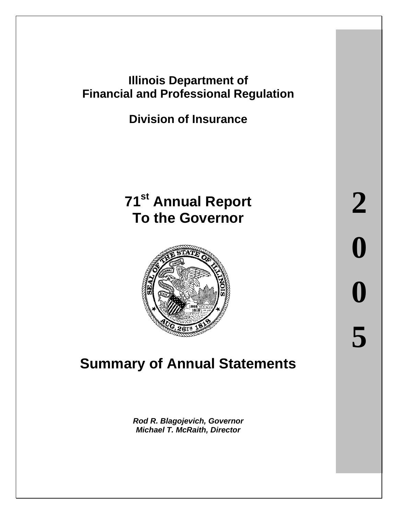# **Illinois Department of Financial and Professional Regulation**

# **Division of Insurance**

# **71st Annual Report To the Governor**



# **Summary of Annual Statements**

*Rod R. Blagojevich, Governor Michael T. McRaith, Director*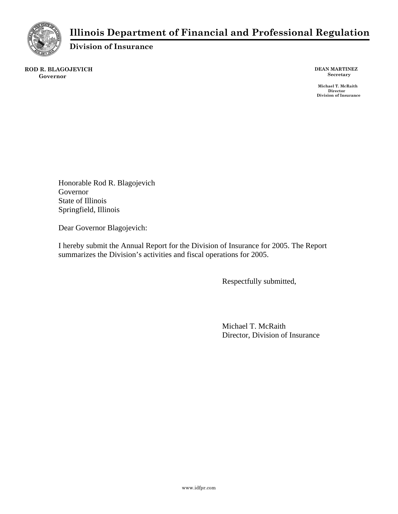

## **Illinois Department of Financial and Professional Regulation**

**Division of Insurance** 

**ROD R. BLAGOJEVICH Governor** 

**DEAN MARTINEZ Secretary** 

 **Michael T. McRaith Director Division of Insurance** 

Honorable Rod R. Blagojevich Governor State of Illinois Springfield, Illinois

Dear Governor Blagojevich:

I hereby submit the Annual Report for the Division of Insurance for 2005. The Report summarizes the Division's activities and fiscal operations for 2005.

Respectfully submitted,

Michael T. McRaith Director, Division of Insurance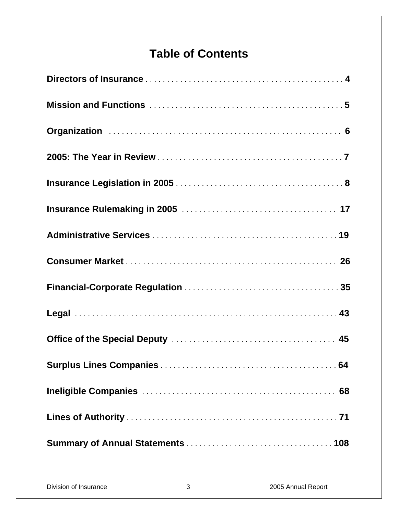# **Table of Contents**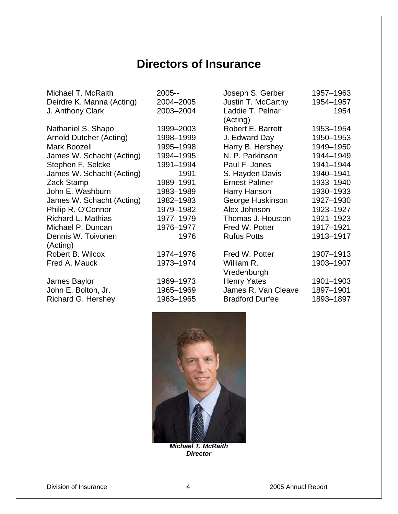# **Directors of Insurance**

| Michael T. McRaith        | 2005--    | Joseph S. Gerber         | 1957-1963 |
|---------------------------|-----------|--------------------------|-----------|
| Deirdre K. Manna (Acting) | 2004-2005 | Justin T. McCarthy       | 1954-1957 |
| J. Anthony Clark          | 2003-2004 | Laddie T. Pelnar         | 1954      |
|                           |           | (Acting)                 |           |
| Nathaniel S. Shapo        | 1999-2003 | <b>Robert E. Barrett</b> | 1953-1954 |
| Arnold Dutcher (Acting)   | 1998-1999 | J. Edward Day            | 1950-1953 |
| Mark Boozell              | 1995-1998 | Harry B. Hershey         | 1949-1950 |
| James W. Schacht (Acting) | 1994-1995 | N. P. Parkinson          | 1944-1949 |
| Stephen F. Selcke         | 1991-1994 | Paul F. Jones            | 1941-1944 |
| James W. Schacht (Acting) | 1991      | S. Hayden Davis          | 1940-1941 |
| Zack Stamp                | 1989-1991 | <b>Ernest Palmer</b>     | 1933-1940 |
| John E. Washburn          | 1983-1989 | Harry Hanson             | 1930-1933 |
| James W. Schacht (Acting) | 1982-1983 | George Huskinson         | 1927-1930 |
| Philip R. O'Connor        | 1979-1982 | Alex Johnson             | 1923-1927 |
| Richard L. Mathias        | 1977-1979 | Thomas J. Houston        | 1921-1923 |
| Michael P. Duncan         | 1976-1977 | Fred W. Potter           | 1917-1921 |
| Dennis W. Toivonen        | 1976      | <b>Rufus Potts</b>       | 1913-1917 |
| (Acting)                  |           |                          |           |
| Robert B. Wilcox          | 1974-1976 | Fred W. Potter           | 1907-1913 |
| Fred A. Mauck             | 1973-1974 | William R.               | 1903-1907 |
|                           |           | Vredenburgh              |           |
| James Baylor              | 1969-1973 | <b>Henry Yates</b>       | 1901-1903 |
| John E. Bolton, Jr.       | 1965-1969 | James R. Van Cleave      | 1897-1901 |
| Richard G. Hershey        | 1963-1965 | <b>Bradford Durfee</b>   | 1893-1897 |
|                           |           |                          |           |



*Michael T. McRaith Director*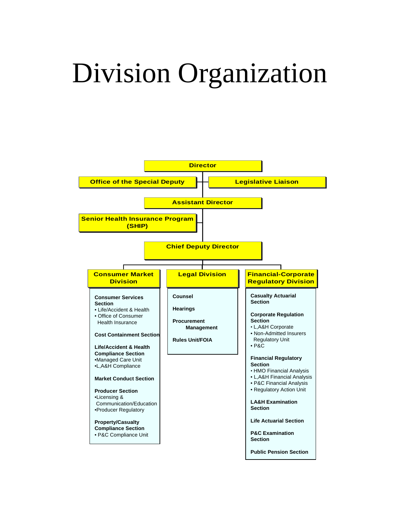# Division Organization

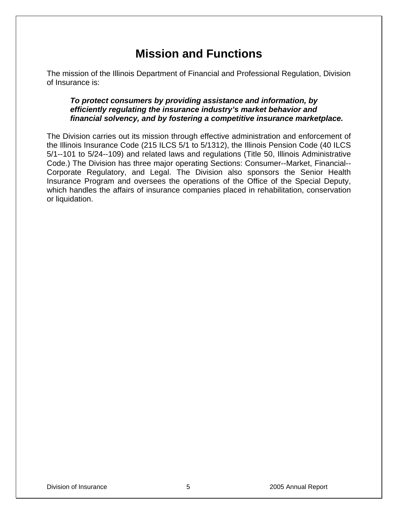# **Mission and Functions**

The mission of the Illinois Department of Financial and Professional Regulation, Division of Insurance is:

#### *To protect consumers by providing assistance and information, by efficiently regulating the insurance industry's market behavior and financial solvency, and by fostering a competitive insurance marketplace.*

The Division carries out its mission through effective administration and enforcement of the Illinois Insurance Code (215 ILCS 5/1 to 5/1312), the Illinois Pension Code (40 ILCS 5/1--101 to 5/24--109) and related laws and regulations (Title 50, Illinois Administrative Code.) The Division has three major operating Sections: Consumer--Market, Financial-- Corporate Regulatory, and Legal. The Division also sponsors the Senior Health Insurance Program and oversees the operations of the Office of the Special Deputy, which handles the affairs of insurance companies placed in rehabilitation, conservation or liquidation.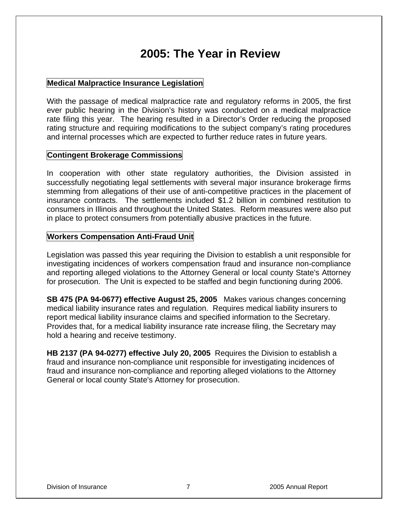# **2005: The Year in Review**

#### **Medical Malpractice Insurance Legislation**

With the passage of medical malpractice rate and regulatory reforms in 2005, the first ever public hearing in the Division's history was conducted on a medical malpractice rate filing this year. The hearing resulted in a Director's Order reducing the proposed rating structure and requiring modifications to the subject company's rating procedures and internal processes which are expected to further reduce rates in future years.

#### **Contingent Brokerage Commissions**

In cooperation with other state regulatory authorities, the Division assisted in successfully negotiating legal settlements with several major insurance brokerage firms stemming from allegations of their use of anti-competitive practices in the placement of insurance contracts. The settlements included \$1.2 billion in combined restitution to consumers in Illinois and throughout the United States. Reform measures were also put in place to protect consumers from potentially abusive practices in the future.

#### **Workers Compensation Anti-Fraud Unit**

Legislation was passed this year requiring the Division to establish a unit responsible for investigating incidences of workers compensation fraud and insurance non-compliance and reporting alleged violations to the Attorney General or local county State's Attorney for prosecution. The Unit is expected to be staffed and begin functioning during 2006.

**SB 475 (PA 94-0677) effective August 25, 2005** Makes various changes concerning medical liability insurance rates and regulation. Requires medical liability insurers to report medical liability insurance claims and specified information to the Secretary. Provides that, for a medical liability insurance rate increase filing, the Secretary may hold a hearing and receive testimony.

**HB 2137 (PA 94-0277) effective July 20, 2005** Requires the Division to establish a fraud and insurance non-compliance unit responsible for investigating incidences of fraud and insurance non-compliance and reporting alleged violations to the Attorney General or local county State's Attorney for prosecution.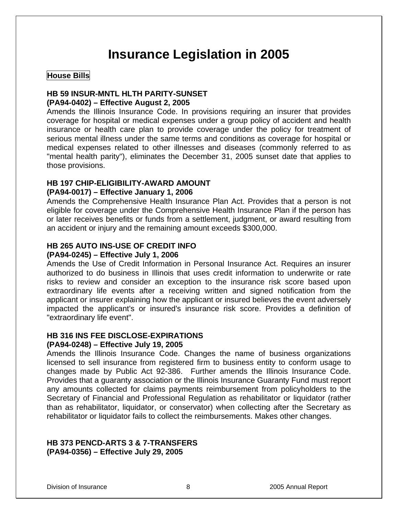# **Insurance Legislation in 2005**

#### **House Bills**

#### **HB 59 INSUR-MNTL HLTH PARITY-SUNSET**

#### **(PA94-0402) – Effective August 2, 2005**

Amends the Illinois Insurance Code. In provisions requiring an insurer that provides coverage for hospital or medical expenses under a group policy of accident and health insurance or health care plan to provide coverage under the policy for treatment of serious mental illness under the same terms and conditions as coverage for hospital or medical expenses related to other illnesses and diseases (commonly referred to as "mental health parity"), eliminates the December 31, 2005 sunset date that applies to those provisions.

#### **HB 197 CHIP-ELIGIBILITY-AWARD AMOUNT**

#### **(PA94-0017) – Effective January 1, 2006**

Amends the Comprehensive Health Insurance Plan Act. Provides that a person is not eligible for coverage under the Comprehensive Health Insurance Plan if the person has or later receives benefits or funds from a settlement, judgment, or award resulting from an accident or injury and the remaining amount exceeds \$300,000.

#### **HB 265 AUTO INS-USE OF CREDIT INFO**

#### **(PA94-0245) – Effective July 1, 2006**

Amends the Use of Credit Information in Personal Insurance Act. Requires an insurer authorized to do business in Illinois that uses credit information to underwrite or rate risks to review and consider an exception to the insurance risk score based upon extraordinary life events after a receiving written and signed notification from the applicant or insurer explaining how the applicant or insured believes the event adversely impacted the applicant's or insured's insurance risk score. Provides a definition of "extraordinary life event".

#### **HB 316 INS FEE DISCLOSE-EXPIRATIONS**

#### **(PA94-0248) – Effective July 19, 2005**

Amends the Illinois Insurance Code. Changes the name of business organizations licensed to sell insurance from registered firm to business entity to conform usage to changes made by Public Act 92-386. Further amends the Illinois Insurance Code. Provides that a guaranty association or the Illinois Insurance Guaranty Fund must report any amounts collected for claims payments reimbursement from policyholders to the Secretary of Financial and Professional Regulation as rehabilitator or liquidator (rather than as rehabilitator, liquidator, or conservator) when collecting after the Secretary as rehabilitator or liquidator fails to collect the reimbursements. Makes other changes.

#### **HB 373 PENCD-ARTS 3 & 7-TRANSFERS (PA94-0356) – Effective July 29, 2005**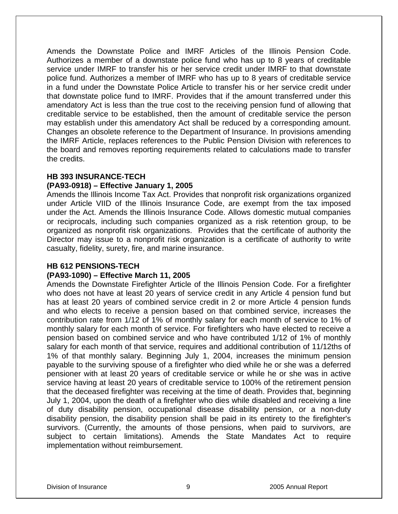Amends the Downstate Police and IMRF Articles of the Illinois Pension Code. Authorizes a member of a downstate police fund who has up to 8 years of creditable service under IMRF to transfer his or her service credit under IMRF to that downstate police fund. Authorizes a member of IMRF who has up to 8 years of creditable service in a fund under the Downstate Police Article to transfer his or her service credit under that downstate police fund to IMRF. Provides that if the amount transferred under this amendatory Act is less than the true cost to the receiving pension fund of allowing that creditable service to be established, then the amount of creditable service the person may establish under this amendatory Act shall be reduced by a corresponding amount. Changes an obsolete reference to the Department of Insurance. In provisions amending the IMRF Article, replaces references to the Public Pension Division with references to the board and removes reporting requirements related to calculations made to transfer the credits.

#### **HB 393 INSURANCE-TECH**

#### **(PA93-0918) – Effective January 1, 2005**

Amends the Illinois Income Tax Act. Provides that nonprofit risk organizations organized under Article VIID of the Illinois Insurance Code, are exempt from the tax imposed under the Act. Amends the Illinois Insurance Code. Allows domestic mutual companies or reciprocals, including such companies organized as a risk retention group, to be organized as nonprofit risk organizations. Provides that the certificate of authority the Director may issue to a nonprofit risk organization is a certificate of authority to write casualty, fidelity, surety, fire, and marine insurance.

#### **HB 612 PENSIONS-TECH**

#### **(PA93-1090) – Effective March 11, 2005**

Amends the Downstate Firefighter Article of the Illinois Pension Code. For a firefighter who does not have at least 20 years of service credit in any Article 4 pension fund but has at least 20 years of combined service credit in 2 or more Article 4 pension funds and who elects to receive a pension based on that combined service, increases the contribution rate from 1/12 of 1% of monthly salary for each month of service to 1% of monthly salary for each month of service. For firefighters who have elected to receive a pension based on combined service and who have contributed 1/12 of 1% of monthly salary for each month of that service, requires and additional contribution of 11/12ths of 1% of that monthly salary. Beginning July 1, 2004, increases the minimum pension payable to the surviving spouse of a firefighter who died while he or she was a deferred pensioner with at least 20 years of creditable service or while he or she was in active service having at least 20 years of creditable service to 100% of the retirement pension that the deceased firefighter was receiving at the time of death. Provides that, beginning July 1, 2004, upon the death of a firefighter who dies while disabled and receiving a line of duty disability pension, occupational disease disability pension, or a non-duty disability pension, the disability pension shall be paid in its entirety to the firefighter's survivors. (Currently, the amounts of those pensions, when paid to survivors, are subject to certain limitations). Amends the State Mandates Act to require implementation without reimbursement.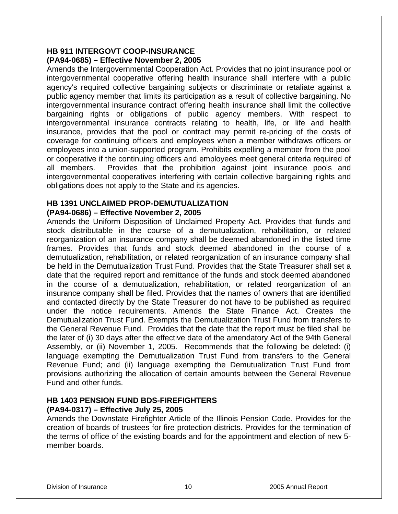#### **HB 911 INTERGOVT COOP-INSURANCE (PA94-0685) – Effective November 2, 2005**

Amends the Intergovernmental Cooperation Act. Provides that no joint insurance pool or intergovernmental cooperative offering health insurance shall interfere with a public agency's required collective bargaining subjects or discriminate or retaliate against a public agency member that limits its participation as a result of collective bargaining. No intergovernmental insurance contract offering health insurance shall limit the collective bargaining rights or obligations of public agency members. With respect to intergovernmental insurance contracts relating to health, life, or life and health insurance, provides that the pool or contract may permit re-pricing of the costs of coverage for continuing officers and employees when a member withdraws officers or employees into a union-supported program. Prohibits expelling a member from the pool or cooperative if the continuing officers and employees meet general criteria required of all members. Provides that the prohibition against joint insurance pools and intergovernmental cooperatives interfering with certain collective bargaining rights and obligations does not apply to the State and its agencies.

#### **HB 1391 UNCLAIMED PROP-DEMUTUALIZATION (PA94-0686) – Effective November 2, 2005**

Amends the Uniform Disposition of Unclaimed Property Act. Provides that funds and stock distributable in the course of a demutualization, rehabilitation, or related reorganization of an insurance company shall be deemed abandoned in the listed time frames. Provides that funds and stock deemed abandoned in the course of a demutualization, rehabilitation, or related reorganization of an insurance company shall be held in the Demutualization Trust Fund. Provides that the State Treasurer shall set a date that the required report and remittance of the funds and stock deemed abandoned in the course of a demutualization, rehabilitation, or related reorganization of an insurance company shall be filed. Provides that the names of owners that are identified and contacted directly by the State Treasurer do not have to be published as required under the notice requirements. Amends the State Finance Act. Creates the Demutualization Trust Fund. Exempts the Demutualization Trust Fund from transfers to the General Revenue Fund. Provides that the date that the report must be filed shall be the later of (i) 30 days after the effective date of the amendatory Act of the 94th General Assembly, or (ii) November 1, 2005. Recommends that the following be deleted: (i) language exempting the Demutualization Trust Fund from transfers to the General Revenue Fund; and (ii) language exempting the Demutualization Trust Fund from provisions authorizing the allocation of certain amounts between the General Revenue Fund and other funds.

#### **HB 1403 PENSION FUND BDS-FIREFIGHTERS (PA94-0317) – Effective July 25, 2005**

Amends the Downstate Firefighter Article of the Illinois Pension Code. Provides for the creation of boards of trustees for fire protection districts. Provides for the termination of the terms of office of the existing boards and for the appointment and election of new 5 member boards.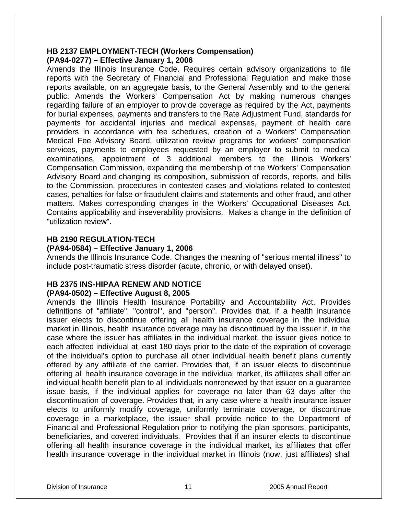#### **HB 2137 EMPLOYMENT-TECH (Workers Compensation) (PA94-0277) – Effective January 1, 2006**

Amends the Illinois Insurance Code. Requires certain advisory organizations to file reports with the Secretary of Financial and Professional Regulation and make those reports available, on an aggregate basis, to the General Assembly and to the general public. Amends the Workers' Compensation Act by making numerous changes regarding failure of an employer to provide coverage as required by the Act, payments for burial expenses, payments and transfers to the Rate Adjustment Fund, standards for payments for accidental injuries and medical expenses, payment of health care providers in accordance with fee schedules, creation of a Workers' Compensation Medical Fee Advisory Board, utilization review programs for workers' compensation services, payments to employees requested by an employer to submit to medical examinations, appointment of 3 additional members to the Illinois Workers' Compensation Commission, expanding the membership of the Workers' Compensation Advisory Board and changing its composition, submission of records, reports, and bills to the Commission, procedures in contested cases and violations related to contested cases, penalties for false or fraudulent claims and statements and other fraud, and other matters. Makes corresponding changes in the Workers' Occupational Diseases Act. Contains applicability and inseverability provisions. Makes a change in the definition of "utilization review".

#### **HB 2190 REGULATION-TECH**

#### **(PA94-0584) – Effective January 1, 2006**

Amends the Illinois Insurance Code. Changes the meaning of "serious mental illness" to include post-traumatic stress disorder (acute, chronic, or with delayed onset).

#### **HB 2375 INS-HIPAA RENEW AND NOTICE**

#### **(PA94-0502) – Effective August 8, 2005**

Amends the Illinois Health Insurance Portability and Accountability Act. Provides definitions of "affiliate", "control", and "person". Provides that, if a health insurance issuer elects to discontinue offering all health insurance coverage in the individual market in Illinois, health insurance coverage may be discontinued by the issuer if, in the case where the issuer has affiliates in the individual market, the issuer gives notice to each affected individual at least 180 days prior to the date of the expiration of coverage of the individual's option to purchase all other individual health benefit plans currently offered by any affiliate of the carrier. Provides that, if an issuer elects to discontinue offering all health insurance coverage in the individual market, its affiliates shall offer an individual health benefit plan to all individuals nonrenewed by that issuer on a guarantee issue basis, if the individual applies for coverage no later than 63 days after the discontinuation of coverage. Provides that, in any case where a health insurance issuer elects to uniformly modify coverage, uniformly terminate coverage, or discontinue coverage in a marketplace, the issuer shall provide notice to the Department of Financial and Professional Regulation prior to notifying the plan sponsors, participants, beneficiaries, and covered individuals. Provides that if an insurer elects to discontinue offering all health insurance coverage in the individual market, its affiliates that offer health insurance coverage in the individual market in Illinois (now, just affiliates) shall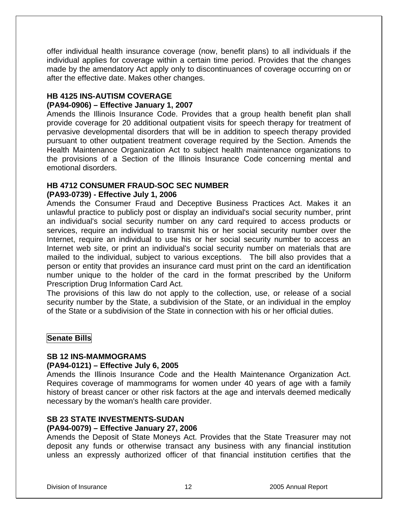offer individual health insurance coverage (now, benefit plans) to all individuals if the individual applies for coverage within a certain time period. Provides that the changes made by the amendatory Act apply only to discontinuances of coverage occurring on or after the effective date. Makes other changes.

#### **HB 4125 INS-AUTISM COVERAGE**

#### **(PA94-0906) – Effective January 1, 2007**

Amends the Illinois Insurance Code. Provides that a group health benefit plan shall provide coverage for 20 additional outpatient visits for speech therapy for treatment of pervasive developmental disorders that will be in addition to speech therapy provided pursuant to other outpatient treatment coverage required by the Section. Amends the Health Maintenance Organization Act to subject health maintenance organizations to the provisions of a Section of the Illinois Insurance Code concerning mental and emotional disorders.

#### **HB 4712 CONSUMER FRAUD-SOC SEC NUMBER**

#### **(PA93-0739) - Effective July 1, 2006**

Amends the Consumer Fraud and Deceptive Business Practices Act. Makes it an unlawful practice to publicly post or display an individual's social security number, print an individual's social security number on any card required to access products or services, require an individual to transmit his or her social security number over the Internet, require an individual to use his or her social security number to access an Internet web site, or print an individual's social security number on materials that are mailed to the individual, subject to various exceptions. The bill also provides that a person or entity that provides an insurance card must print on the card an identification number unique to the holder of the card in the format prescribed by the Uniform Prescription Drug Information Card Act.

The provisions of this law do not apply to the collection, use, or release of a social security number by the State, a subdivision of the State, or an individual in the employ of the State or a subdivision of the State in connection with his or her official duties.

#### **Senate Bills**

#### **SB 12 INS-MAMMOGRAMS**

#### **(PA94-0121) – Effective July 6, 2005**

Amends the Illinois Insurance Code and the Health Maintenance Organization Act. Requires coverage of mammograms for women under 40 years of age with a family history of breast cancer or other risk factors at the age and intervals deemed medically necessary by the woman's health care provider.

#### **SB 23 STATE INVESTMENTS-SUDAN**

#### **(PA94-0079) – Effective January 27, 2006**

Amends the Deposit of State Moneys Act. Provides that the State Treasurer may not deposit any funds or otherwise transact any business with any financial institution unless an expressly authorized officer of that financial institution certifies that the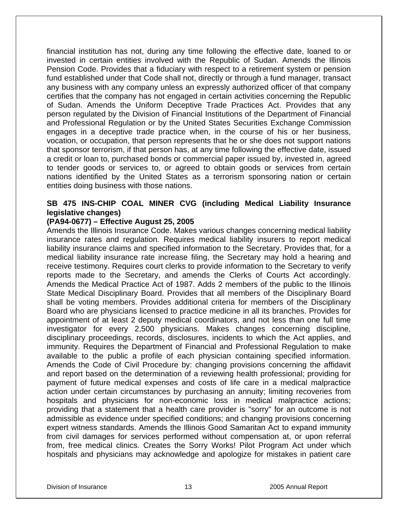financial institution has not, during any time following the effective date, loaned to or invested in certain entities involved with the Republic of Sudan. Amends the Illinois Pension Code. Provides that a fiduciary with respect to a retirement system or pension fund established under that Code shall not, directly or through a fund manager, transact any business with any company unless an expressly authorized officer of that company certifies that the company has not engaged in certain activities concerning the Republic of Sudan. Amends the Uniform Deceptive Trade Practices Act. Provides that any person regulated by the Division of Financial Institutions of the Department of Financial and Professional Regulation or by the United States Securities Exchange Commission engages in a deceptive trade practice when, in the course of his or her business, vocation, or occupation, that person represents that he or she does not support nations that sponsor terrorism, if that person has, at any time following the effective date, issued a credit or loan to, purchased bonds or commercial paper issued by, invested in, agreed to tender goods or services to, or agreed to obtain goods or services from certain nations identified by the United States as a terrorism sponsoring nation or certain entities doing business with those nations.

#### **SB 475 INS-CHIP COAL MINER CVG (including Medical Liability Insurance legislative changes)**

#### **(PA94-0677) – Effective August 25, 2005**

Amends the Illinois Insurance Code. Makes various changes concerning medical liability insurance rates and regulation. Requires medical liability insurers to report medical liability insurance claims and specified information to the Secretary. Provides that, for a medical liability insurance rate increase filing, the Secretary may hold a hearing and receive testimony. Requires court clerks to provide information to the Secretary to verify reports made to the Secretary, and amends the Clerks of Courts Act accordingly. Amends the Medical Practice Act of 1987. Adds 2 members of the public to the Illinois State Medical Disciplinary Board. Provides that all members of the Disciplinary Board shall be voting members. Provides additional criteria for members of the Disciplinary Board who are physicians licensed to practice medicine in all its branches. Provides for appointment of at least 2 deputy medical coordinators, and not less than one full time investigator for every 2,500 physicians. Makes changes concerning discipline, disciplinary proceedings, records, disclosures, incidents to which the Act applies, and immunity. Requires the Department of Financial and Professional Regulation to make available to the public a profile of each physician containing specified information. Amends the Code of Civil Procedure by: changing provisions concerning the affidavit and report based on the determination of a reviewing health professional; providing for payment of future medical expenses and costs of life care in a medical malpractice action under certain circumstances by purchasing an annuity; limiting recoveries from hospitals and physicians for non-economic loss in medical malpractice actions; providing that a statement that a health care provider is "sorry" for an outcome is not admissible as evidence under specified conditions; and changing provisions concerning expert witness standards. Amends the Illinois Good Samaritan Act to expand immunity from civil damages for services performed without compensation at, or upon referral from, free medical clinics. Creates the Sorry Works! Pilot Program Act under which hospitals and physicians may acknowledge and apologize for mistakes in patient care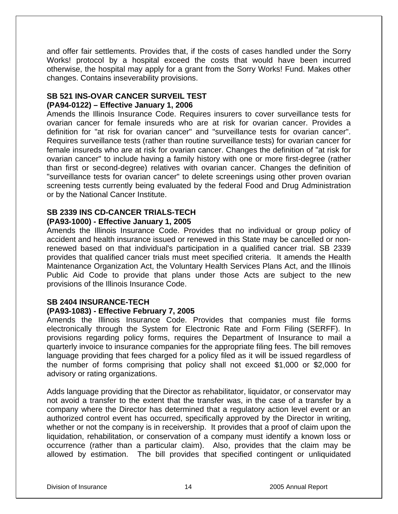and offer fair settlements. Provides that, if the costs of cases handled under the Sorry Works! protocol by a hospital exceed the costs that would have been incurred otherwise, the hospital may apply for a grant from the Sorry Works! Fund. Makes other changes. Contains inseverability provisions.

#### **SB 521 INS-OVAR CANCER SURVEIL TEST (PA94-0122) – Effective January 1, 2006**

Amends the Illinois Insurance Code. Requires insurers to cover surveillance tests for ovarian cancer for female insureds who are at risk for ovarian cancer. Provides a definition for "at risk for ovarian cancer" and "surveillance tests for ovarian cancer". Requires surveillance tests (rather than routine surveillance tests) for ovarian cancer for female insureds who are at risk for ovarian cancer. Changes the definition of "at risk for ovarian cancer" to include having a family history with one or more first-degree (rather than first or second-degree) relatives with ovarian cancer. Changes the definition of "surveillance tests for ovarian cancer" to delete screenings using other proven ovarian screening tests currently being evaluated by the federal Food and Drug Administration or by the National Cancer Institute.

# **SB 2339 INS CD-CANCER TRIALS-TECH**

#### **(PA93-1000) - Effective January 1, 2005**

Amends the Illinois Insurance Code. Provides that no individual or group policy of accident and health insurance issued or renewed in this State may be cancelled or nonrenewed based on that individual's participation in a qualified cancer trial. SB 2339 provides that qualified cancer trials must meet specified criteria. It amends the Health Maintenance Organization Act, the Voluntary Health Services Plans Act, and the Illinois Public Aid Code to provide that plans under those Acts are subject to the new provisions of the Illinois Insurance Code.

#### **SB 2404 INSURANCE-TECH**

#### **(PA93-1083) - Effective February 7, 2005**

Amends the Illinois Insurance Code. Provides that companies must file forms electronically through the System for Electronic Rate and Form Filing (SERFF). In provisions regarding policy forms, requires the Department of Insurance to mail a quarterly invoice to insurance companies for the appropriate filing fees. The bill removes language providing that fees charged for a policy filed as it will be issued regardless of the number of forms comprising that policy shall not exceed \$1,000 or \$2,000 for advisory or rating organizations.

Adds language providing that the Director as rehabilitator, liquidator, or conservator may not avoid a transfer to the extent that the transfer was, in the case of a transfer by a company where the Director has determined that a regulatory action level event or an authorized control event has occurred, specifically approved by the Director in writing, whether or not the company is in receivership. It provides that a proof of claim upon the liquidation, rehabilitation, or conservation of a company must identify a known loss or occurrence (rather than a particular claim). Also, provides that the claim may be allowed by estimation. The bill provides that specified contingent or unliquidated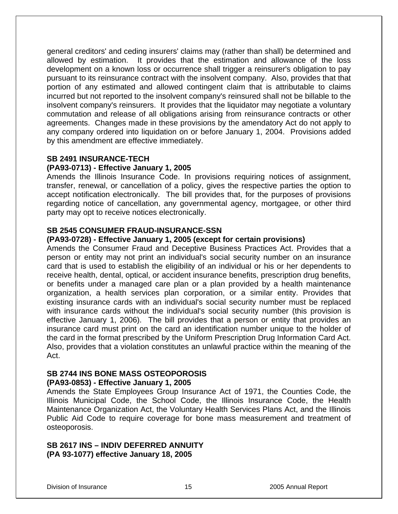general creditors' and ceding insurers' claims may (rather than shall) be determined and allowed by estimation. It provides that the estimation and allowance of the loss development on a known loss or occurrence shall trigger a reinsurer's obligation to pay pursuant to its reinsurance contract with the insolvent company. Also, provides that that portion of any estimated and allowed contingent claim that is attributable to claims incurred but not reported to the insolvent company's reinsured shall not be billable to the insolvent company's reinsurers. It provides that the liquidator may negotiate a voluntary commutation and release of all obligations arising from reinsurance contracts or other agreements. Changes made in these provisions by the amendatory Act do not apply to any company ordered into liquidation on or before January 1, 2004. Provisions added by this amendment are effective immediately.

# **SB 2491 INSURANCE-TECH**

#### **(PA93-0713) - Effective January 1, 2005**

Amends the Illinois Insurance Code. In provisions requiring notices of assignment, transfer, renewal, or cancellation of a policy, gives the respective parties the option to accept notification electronically. The bill provides that, for the purposes of provisions regarding notice of cancellation, any governmental agency, mortgagee, or other third party may opt to receive notices electronically.

#### **SB 2545 CONSUMER FRAUD-INSURANCE-SSN**

#### **(PA93-0728) - Effective January 1, 2005 (except for certain provisions)**

Amends the Consumer Fraud and Deceptive Business Practices Act. Provides that a person or entity may not print an individual's social security number on an insurance card that is used to establish the eligibility of an individual or his or her dependents to receive health, dental, optical, or accident insurance benefits, prescription drug benefits, or benefits under a managed care plan or a plan provided by a health maintenance organization, a health services plan corporation, or a similar entity. Provides that existing insurance cards with an individual's social security number must be replaced with insurance cards without the individual's social security number (this provision is effective January 1, 2006). The bill provides that a person or entity that provides an insurance card must print on the card an identification number unique to the holder of the card in the format prescribed by the Uniform Prescription Drug Information Card Act. Also, provides that a violation constitutes an unlawful practice within the meaning of the Act.

#### **SB 2744 INS BONE MASS OSTEOPOROSIS**

#### **(PA93-0853) - Effective January 1, 2005**

Amends the State Employees Group Insurance Act of 1971, the Counties Code, the Illinois Municipal Code, the School Code, the Illinois Insurance Code, the Health Maintenance Organization Act, the Voluntary Health Services Plans Act, and the Illinois Public Aid Code to require coverage for bone mass measurement and treatment of osteoporosis.

#### **SB 2617 INS – INDIV DEFERRED ANNUITY (PA 93-1077) effective January 18, 2005**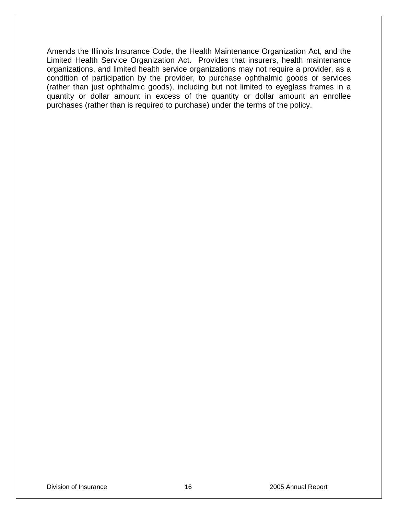Amends the Illinois Insurance Code, the Health Maintenance Organization Act, and the Limited Health Service Organization Act. Provides that insurers, health maintenance organizations, and limited health service organizations may not require a provider, as a condition of participation by the provider, to purchase ophthalmic goods or services (rather than just ophthalmic goods), including but not limited to eyeglass frames in a quantity or dollar amount in excess of the quantity or dollar amount an enrollee purchases (rather than is required to purchase) under the terms of the policy.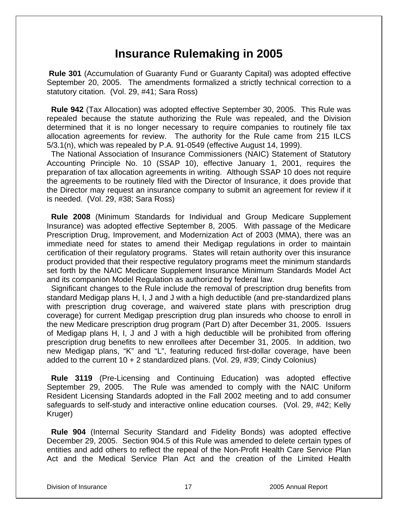## **Insurance Rulemaking in 2005**

 **Rule 301** (Accumulation of Guaranty Fund or Guaranty Capital) was adopted effective September 20, 2005. The amendments formalized a strictly technical correction to a statutory citation. (Vol. 29, #41; Sara Ross)

 **Rule 942** (Tax Allocation) was adopted effective September 30, 2005. This Rule was repealed because the statute authorizing the Rule was repealed, and the Division determined that it is no longer necessary to require companies to routinely file tax allocation agreements for review. The authority for the Rule came from 215 ILCS 5/3.1(n), which was repealed by P.A. 91-0549 (effective August 14, 1999).

 The National Association of Insurance Commissioners (NAIC) Statement of Statutory Accounting Principle No. 10 (SSAP 10), effective January 1, 2001, requires the preparation of tax allocation agreements in writing. Although SSAP 10 does not require the agreements to be routinely filed with the Director of Insurance, it does provide that the Director may request an insurance company to submit an agreement for review if it is needed. (Vol. 29, #38; Sara Ross)

 **Rule 2008** (Minimum Standards for Individual and Group Medicare Supplement Insurance) was adopted effective September 8, 2005. With passage of the Medicare Prescription Drug, Improvement, and Modernization Act of 2003 (MMA), there was an immediate need for states to amend their Medigap regulations in order to maintain certification of their regulatory programs. States will retain authority over this insurance product provided that their respective regulatory programs meet the minimum standards set forth by the NAIC Medicare Supplement Insurance Minimum Standards Model Act and its companion Model Regulation as authorized by federal law.

 Significant changes to the Rule include the removal of prescription drug benefits from standard Medigap plans H, I, J and J with a high deductible (and pre-standardized plans with prescription drug coverage, and waivered state plans with prescription drug coverage) for current Medigap prescription drug plan insureds who choose to enroll in the new Medicare prescription drug program (Part D) after December 31, 2005. Issuers of Medigap plans H, I, J and J with a high deductible will be prohibited from offering prescription drug benefits to new enrollees after December 31, 2005. In addition, two new Medigap plans, "K" and "L", featuring reduced first-dollar coverage, have been added to the current 10 + 2 standardized plans. (Vol. 29, #39; Cindy Colonius)

 **Rule 3119** (Pre-Licensing and Continuing Education) was adopted effective September 29, 2005. The Rule was amended to comply with the NAIC Uniform Resident Licensing Standards adopted in the Fall 2002 meeting and to add consumer safeguards to self-study and interactive online education courses. (Vol. 29, #42; Kelly Kruger)

 **Rule 904** (Internal Security Standard and Fidelity Bonds) was adopted effective December 29, 2005. Section 904.5 of this Rule was amended to delete certain types of entities and add others to reflect the repeal of the Non-Profit Health Care Service Plan Act and the Medical Service Plan Act and the creation of the Limited Health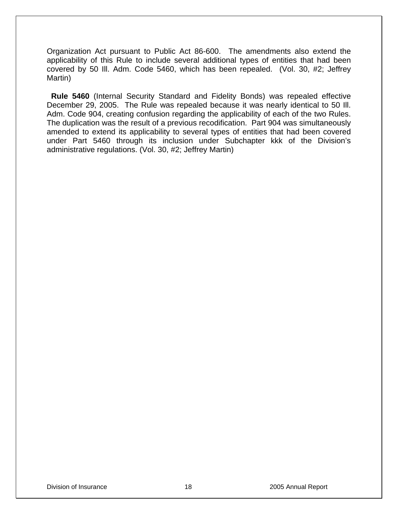Organization Act pursuant to Public Act 86-600. The amendments also extend the applicability of this Rule to include several additional types of entities that had been covered by 50 Ill. Adm. Code 5460, which has been repealed. (Vol. 30, #2; Jeffrey Martin)

 **Rule 5460** (Internal Security Standard and Fidelity Bonds) was repealed effective December 29, 2005. The Rule was repealed because it was nearly identical to 50 Ill. Adm. Code 904, creating confusion regarding the applicability of each of the two Rules. The duplication was the result of a previous recodification. Part 904 was simultaneously amended to extend its applicability to several types of entities that had been covered under Part 5460 through its inclusion under Subchapter kkk of the Division's administrative regulations. (Vol. 30, #2; Jeffrey Martin)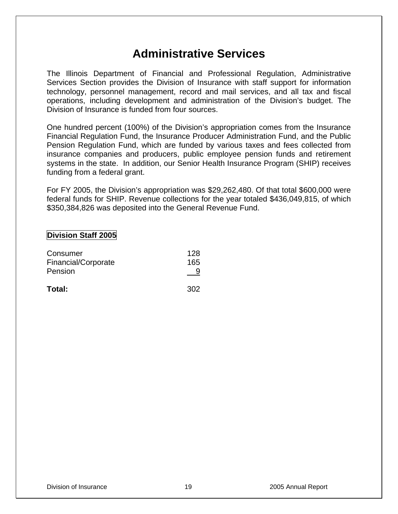# **Administrative Services**

The Illinois Department of Financial and Professional Regulation, Administrative Services Section provides the Division of Insurance with staff support for information technology, personnel management, record and mail services, and all tax and fiscal operations, including development and administration of the Division's budget. The Division of Insurance is funded from four sources.

One hundred percent (100%) of the Division's appropriation comes from the Insurance Financial Regulation Fund, the Insurance Producer Administration Fund, and the Public Pension Regulation Fund, which are funded by various taxes and fees collected from insurance companies and producers, public employee pension funds and retirement systems in the state. In addition, our Senior Health Insurance Program (SHIP) receives funding from a federal grant.

For FY 2005, the Division's appropriation was \$29,262,480. Of that total \$600,000 were federal funds for SHIP. Revenue collections for the year totaled \$436,049,815, of which \$350,384,826 was deposited into the General Revenue Fund.

#### **Division Staff 2005**

| Total:              | 302 |
|---------------------|-----|
| Pension             |     |
| Financial/Corporate | 165 |
| Consumer            | 128 |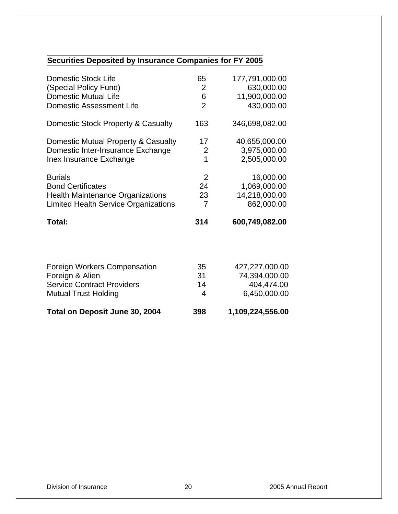# **Securities Deposited by Insurance Companies for FY 2005**

| Total on Deposit June 30, 2004              | 398            | 1,109,224,556.00 |
|---------------------------------------------|----------------|------------------|
| <b>Mutual Trust Holding</b>                 | 4              | 6,450,000.00     |
| <b>Service Contract Providers</b>           | 14             | 404,474.00       |
| Foreign & Alien                             | 31             | 74,394,000.00    |
| Foreign Workers Compensation                | 35             | 427,227,000.00   |
| Total:                                      | 314            | 600,749,082.00   |
| <b>Limited Health Service Organizations</b> | 7              | 862,000.00       |
| <b>Health Maintenance Organizations</b>     | 23             | 14,218,000.00    |
| <b>Bond Certificates</b>                    | 24             | 1,069,000.00     |
| <b>Burials</b>                              | 2              | 16,000.00        |
| Inex Insurance Exchange                     | $\overline{1}$ | 2,505,000.00     |
| Domestic Inter-Insurance Exchange           | $\overline{2}$ | 3,975,000.00     |
| Domestic Mutual Property & Casualty         | 17             | 40,655,000.00    |
| Domestic Stock Property & Casualty          | 163            | 346,698,082.00   |
| <b>Domestic Assessment Life</b>             | $\overline{2}$ | 430,000.00       |
| <b>Domestic Mutual Life</b>                 | 6              | 11,900,000.00    |
| (Special Policy Fund)                       | 2              | 630,000.00       |
| <b>Domestic Stock Life</b>                  | 65             | 177,791,000.00   |
|                                             |                |                  |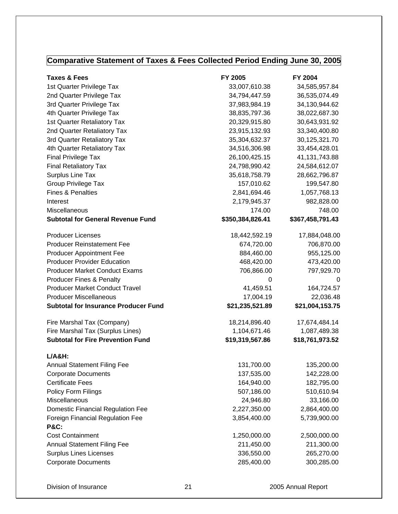## **Comparative Statement of Taxes & Fees Collected Period Ending June 30, 2005**

| <b>Taxes &amp; Fees</b>                     | FY 2005          | FY 2004          |
|---------------------------------------------|------------------|------------------|
| 1st Quarter Privilege Tax                   | 33,007,610.38    | 34,585,957.84    |
| 2nd Quarter Privilege Tax                   | 34,794,447.59    | 36,535,074.49    |
| 3rd Quarter Privilege Tax                   | 37,983,984.19    | 34,130,944.62    |
| 4th Quarter Privilege Tax                   | 38,835,797.36    | 38,022,687.30    |
| 1st Quarter Retaliatory Tax                 | 20,329,915.80    | 30,643,931.92    |
| 2nd Quarter Retaliatory Tax                 | 23,915,132.93    | 33,340,400.80    |
| 3rd Quarter Retaliatory Tax                 | 35,304,632.37    | 30,125,321.70    |
| 4th Quarter Retaliatory Tax                 | 34,516,306.98    | 33,454,428.01    |
| <b>Final Privilege Tax</b>                  | 26,100,425.15    | 41, 131, 743.88  |
| <b>Final Retaliatory Tax</b>                | 24,798,990.42    | 24,584,612.07    |
| Surplus Line Tax                            | 35,618,758.79    | 28,662,796.87    |
| <b>Group Privilege Tax</b>                  | 157,010.62       | 199,547.80       |
| <b>Fines &amp; Penalties</b>                | 2,841,694.46     | 1,057,768.13     |
| Interest                                    | 2,179,945.37     | 982,828.00       |
| Miscellaneous                               | 174.00           | 748.00           |
| <b>Subtotal for General Revenue Fund</b>    | \$350,384,826.41 | \$367,458,791.43 |
| <b>Producer Licenses</b>                    | 18,442,592.19    | 17,884,048.00    |
| <b>Producer Reinstatement Fee</b>           | 674,720.00       | 706,870.00       |
| <b>Producer Appointment Fee</b>             | 884,460.00       | 955,125.00       |
| <b>Producer Provider Education</b>          | 468,420.00       | 473,420.00       |
| <b>Producer Market Conduct Exams</b>        | 706,866.00       | 797,929.70       |
| <b>Producer Fines &amp; Penalty</b>         | 0                | 0                |
| <b>Producer Market Conduct Travel</b>       | 41,459.51        | 164,724.57       |
| <b>Producer Miscellaneous</b>               | 17,004.19        | 22,036.48        |
| <b>Subtotal for Insurance Producer Fund</b> | \$21,235,521.89  | \$21,004,153.75  |
| Fire Marshal Tax (Company)                  | 18,214,896.40    | 17,674,484.14    |
| Fire Marshal Tax (Surplus Lines)            | 1,104,671.46     | 1,087,489.38     |
| <b>Subtotal for Fire Prevention Fund</b>    | \$19,319,567.86  | \$18,761,973.52  |
| $L/A&H$ :                                   |                  |                  |
| <b>Annual Statement Filing Fee</b>          | 131,700.00       | 135,200.00       |
| <b>Corporate Documents</b>                  | 137,535.00       | 142,228.00       |
| <b>Certificate Fees</b>                     | 164,940.00       | 182,795.00       |
| Policy Form Filings                         | 507,186.00       | 510,610.94       |
| Miscellaneous                               | 24,946.80        | 33,166.00        |
| Domestic Financial Regulation Fee           | 2,227,350.00     | 2,864,400.00     |
| <b>Foreign Financial Regulation Fee</b>     | 3,854,400.00     | 5,739,900.00     |
| <b>P&amp;C:</b>                             |                  |                  |
| <b>Cost Containment</b>                     | 1,250,000.00     | 2,500,000.00     |
| <b>Annual Statement Filing Fee</b>          | 211,450.00       | 211,300.00       |
| <b>Surplus Lines Licenses</b>               | 336,550.00       | 265,270.00       |
| <b>Corporate Documents</b>                  | 285,400.00       | 300,285.00       |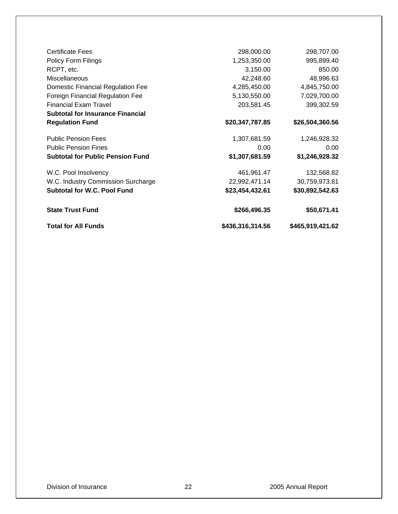| <b>Certificate Fees</b>                 | 298,000.00       | 298,707.00       |
|-----------------------------------------|------------------|------------------|
| <b>Policy Form Filings</b>              | 1,253,350.00     | 995,899.40       |
| RCPT, etc.                              | 3,150.00         | 850.00           |
| Miscellaneous                           | 42,248.60        | 48,996.63        |
| Domestic Financial Regulation Fee       | 4,285,450.00     | 4,845,750.00     |
| Foreign Financial Regulation Fee        | 5,130,550.00     | 7,029,700.00     |
| <b>Financial Exam Travel</b>            | 203,581.45       | 399,302.59       |
| <b>Subtotal for Insurance Financial</b> |                  |                  |
| <b>Regulation Fund</b>                  | \$20,347,787.85  | \$26,504,360.56  |
| <b>Public Pension Fees</b>              | 1,307,681.59     | 1,246,928.32     |
| <b>Public Pension Fines</b>             | 0.00             | 0.00             |
| <b>Subtotal for Public Pension Fund</b> | \$1,307,681.59   | \$1,246,928.32   |
| W.C. Pool Insolvency                    | 461,961.47       | 132,568.82       |
| W.C. Industry Commission Surcharge      | 22,992,471.14    | 30,759,973.81    |
| <b>Subtotal for W.C. Pool Fund</b>      | \$23,454,432.61  | \$30,892,542.63  |
| <b>State Trust Fund</b>                 | \$266,496.35     | \$50,671.41      |
| <b>Total for All Funds</b>              | \$436,316,314.56 | \$465,919,421.62 |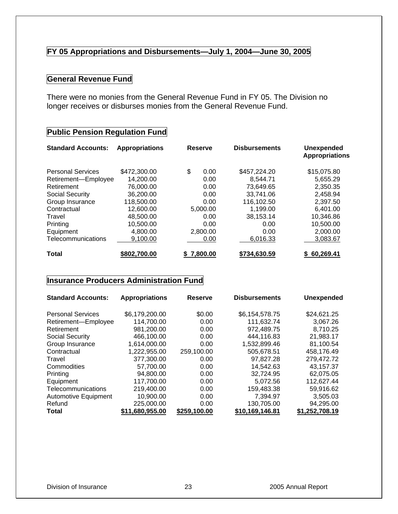#### **FY 05 Appropriations and Disbursements—July 1, 2004—June 30, 2005**

#### **General Revenue Fund**

There were no monies from the General Revenue Fund in FY 05. The Division no longer receives or disburses monies from the General Revenue Fund.

#### **Public Pension Regulation Fund**

| <b>Standard Accounts:</b> | <b>Appropriations</b> | <b>Reserve</b> | <b>Disbursements</b> | <b>Unexpended</b><br><b>Appropriations</b> |
|---------------------------|-----------------------|----------------|----------------------|--------------------------------------------|
| <b>Personal Services</b>  | \$472,300.00          | \$<br>0.00     | \$457,224.20         | \$15,075.80                                |
| Retirement-Employee       | 14,200.00             | 0.00           | 8.544.71             | 5,655.29                                   |
| Retirement                | 76,000.00             | 0.00           | 73,649.65            | 2,350.35                                   |
| <b>Social Security</b>    | 36,200,00             | 0.00           | 33.741.06            | 2.458.94                                   |
| Group Insurance           | 118,500.00            | 0.00           | 116,102.50           | 2,397.50                                   |
| Contractual               | 12,600.00             | 5,000.00       | 1,199.00             | 6.401.00                                   |
| Travel                    | 48,500.00             | 0.00           | 38,153.14            | 10,346.86                                  |
| Printing                  | 10.500.00             | 0.00           | 0.00                 | 10,500.00                                  |
| Equipment                 | 4,800.00              | 2,800.00       | 0.00                 | 2,000.00                                   |
| Telecommunications        | 9,100.00              | 0.00           | 6,016.33             | 3,083.67                                   |
| Total                     | \$802,700.00          | 7,800.00       | \$734,630.59         | \$60,269.41                                |

#### **Insurance Producers Administration Fund**

| <b>Standard Accounts:</b> | <b>Appropriations</b> | <b>Reserve</b> | <b>Disbursements</b> | <b>Unexpended</b> |
|---------------------------|-----------------------|----------------|----------------------|-------------------|
| <b>Personal Services</b>  | \$6,179,200.00        | \$0.00         | \$6,154,578.75       | \$24,621.25       |
| Retirement-Employee       | 114,700.00            | 0.00           | 111,632.74           | 3,067.26          |
| Retirement                | 981,200.00            | 0.00           | 972,489.75           | 8,710.25          |
| Social Security           | 466.100.00            | 0.00           | 444.116.83           | 21,983.17         |
| Group Insurance           | 1,614,000.00          | 0.00           | 1,532,899.46         | 81.100.54         |
| Contractual               | 1,222,955.00          | 259,100.00     | 505.678.51           | 458,176.49        |
| Travel                    | 377,300.00            | 0.00           | 97.827.28            | 279,472.72        |
| Commodities               | 57.700.00             | 0.00           | 14.542.63            | 43,157.37         |
| Printing                  | 94,800.00             | 0.00           | 32,724.95            | 62,075.05         |
| Equipment                 | 117.700.00            | 0.00           | 5.072.56             | 112.627.44        |
| Telecommunications        | 219,400.00            | 0.00           | 159,483.38           | 59,916.62         |
| Automotive Equipment      | 10,900.00             | 0.00           | 7,394.97             | 3,505.03          |
| Refund                    | 225,000.00            | 0.00           | 130,705.00           | 94,295.00         |
| <b>Total</b>              | \$11,680,955.00       | \$259,100.00   | \$10,169,146.81      | \$1,252,708.19    |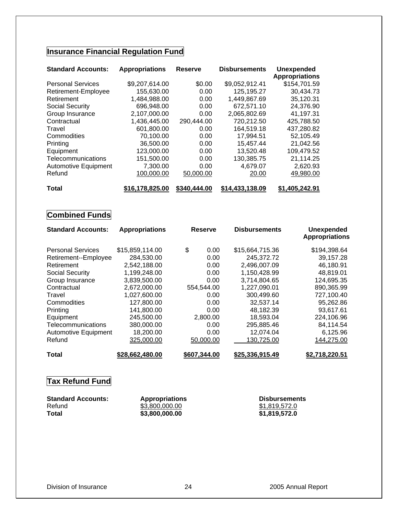## **Insurance Financial Regulation Fund**

| <b>Standard Accounts:</b> | <b>Appropriations</b> | <b>Reserve</b> | <b>Disbursements</b> | <b>Unexpended</b><br><b>Appropriations</b> |
|---------------------------|-----------------------|----------------|----------------------|--------------------------------------------|
|                           |                       |                |                      |                                            |
| <b>Personal Services</b>  | \$9,207,614.00        | \$0.00         | \$9,052,912.41       | \$154,701.59                               |
| Retirement-Employee       | 155,630.00            | 0.00           | 125,195.27           | 30,434.73                                  |
| Retirement                | 1,484,988.00          | 0.00           | 1,449,867.69         | 35,120.31                                  |
| Social Security           | 696,948.00            | 0.00           | 672,571.10           | 24,376.90                                  |
| Group Insurance           | 2,107,000.00          | 0.00           | 2,065,802.69         | 41,197.31                                  |
| Contractual               | 1,436,445.00          | 290,444.00     | 720,212.50           | 425,788.50                                 |
| Travel                    | 601,800.00            | 0.00           | 164,519.18           | 437,280.82                                 |
| Commodities               | 70,100.00             | 0.00           | 17,994.51            | 52,105.49                                  |
| Printing                  | 36,500.00             | 0.00           | 15,457.44            | 21,042.56                                  |
| Equipment                 | 123,000.00            | 0.00           | 13,520.48            | 109,479.52                                 |
| Telecommunications        | 151,500.00            | 0.00           | 130,385.75           | 21,114.25                                  |
| Automotive Equipment      | 7.300.00              | 0.00           | 4.679.07             | 2,620.93                                   |
| Refund                    | 100,000.00            | 50,000.00      | 20.00                | 49,980.00                                  |
| <b>Total</b>              | \$16,178,825.00       | \$340,444.00   | \$14,433,138.09      | \$1,405,242.91                             |

### **Combined Funds**

| <b>Standard Accounts:</b>   | <b>Appropriations</b> | <b>Reserve</b> | <b>Disbursements</b> | <b>Unexpended</b><br><b>Appropriations</b> |
|-----------------------------|-----------------------|----------------|----------------------|--------------------------------------------|
| <b>Personal Services</b>    | \$15,859,114.00       | \$<br>0.00     | \$15,664,715.36      | \$194,398.64                               |
| Retirement--Employee        | 284,530.00            | 0.00           | 245.372.72           | 39,157.28                                  |
| Retirement                  | 2,542,188.00          | 0.00           | 2,496,007.09         | 46,180.91                                  |
| Social Security             | 1,199,248.00          | 0.00           | 1,150,428.99         | 48,819.01                                  |
| Group Insurance             | 3,839,500.00          | 0.00           | 3,714,804.65         | 124,695.35                                 |
| Contractual                 | 2,672,000.00          | 554,544.00     | 1,227,090.01         | 890,365.99                                 |
| Travel                      | 1,027,600.00          | 0.00           | 300,499.60           | 727,100.40                                 |
| Commodities                 | 127,800.00            | 0.00           | 32,537.14            | 95,262.86                                  |
| Printing                    | 141,800.00            | 0.00           | 48.182.39            | 93.617.61                                  |
| Equipment                   | 245,500.00            | 2,800.00       | 18,593.04            | 224,106.96                                 |
| Telecommunications          | 380,000.00            | 0.00           | 295,885.46           | 84,114.54                                  |
| <b>Automotive Equipment</b> | 18,200.00             | 0.00           | 12,074.04            | 6,125.96                                   |
| Refund                      | 325,000.00            | 50,000.00      | 130,725.00           | 144,275.00                                 |
| <b>Total</b>                | \$28,662,480.00       | \$607,344.00   | \$25,336,915.49      | \$2,718,220.51                             |

## **Tax Refund Fund**

| <b>Standard Accounts:</b> | <b>Appropriations</b> | <b>Disbursements</b> |
|---------------------------|-----------------------|----------------------|
| Refund                    | \$3,800,000,00        | \$1,819,572.0        |
| <b>Total</b>              | \$3,800,000.00        | \$1,819,572.0        |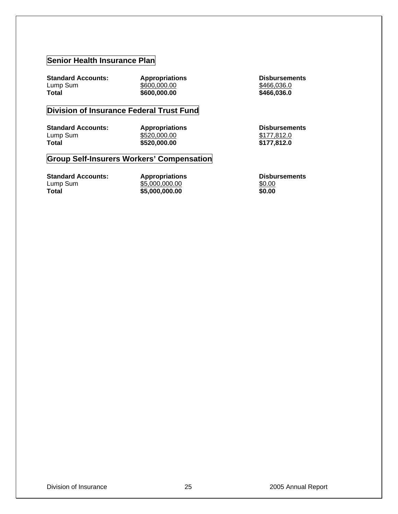#### **Senior Health Insurance Plan**

**Standard Accounts:** Appropriations <br>
Lump Sum  $$600,000.00$ <br>  $$466,036.0$ Lump Sum \$600,000.00<br> **Total** \$600,000.00

 $\overline{$}600,000.00$   $\overline{$}466,036.0$ 

#### **Division of Insurance Federal Trust Fund**

**Standard Accounts:** Appropriations Disbursements<br>
Lump Sum  $6520,000.00$   $6177,812.0$ Lump Sum  $\underbrace{$520,000.00}_{520,000.00}$   $\underbrace{$177,812.0}_{5177,812.0}$ 

**Total \$520,000.00 \$177,812.0** 

#### **Group Self-Insurers Workers' Compensation**

| <b>Standard Accounts:</b> | <b>Appropriations</b> | <b>Disbursements</b> |
|---------------------------|-----------------------|----------------------|
| Lump Sum                  | \$5,000,000.00        | \$0.00               |
| Total                     | \$5,000,000.00        | \$0.00               |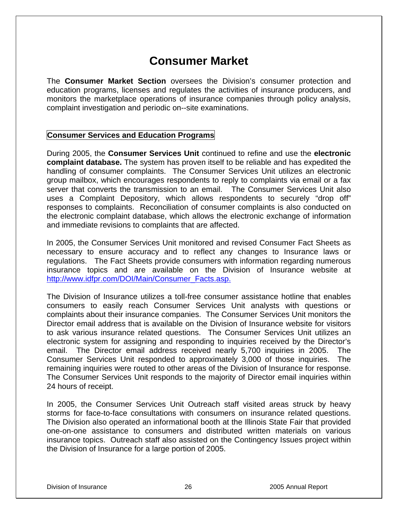# **Consumer Market**

The **Consumer Market Section** oversees the Division's consumer protection and education programs, licenses and regulates the activities of insurance producers, and monitors the marketplace operations of insurance companies through policy analysis, complaint investigation and periodic on--site examinations.

#### **Consumer Services and Education Programs**

During 2005, the **Consumer Services Unit** continued to refine and use the **electronic complaint database.** The system has proven itself to be reliable and has expedited the handling of consumer complaints. The Consumer Services Unit utilizes an electronic group mailbox, which encourages respondents to reply to complaints via email or a fax server that converts the transmission to an email. The Consumer Services Unit also uses a Complaint Depository, which allows respondents to securely "drop off" responses to complaints. Reconciliation of consumer complaints is also conducted on the electronic complaint database, which allows the electronic exchange of information and immediate revisions to complaints that are affected.

In 2005, the Consumer Services Unit monitored and revised Consumer Fact Sheets as necessary to ensure accuracy and to reflect any changes to Insurance laws or regulations. The Fact Sheets provide consumers with information regarding numerous insurance topics and are available on the Division of Insurance website at http://www.idfpr.com/DOI/Main/Consumer\_Facts.asp.

The Division of Insurance utilizes a toll-free consumer assistance hotline that enables consumers to easily reach Consumer Services Unit analysts with questions or complaints about their insurance companies. The Consumer Services Unit monitors the Director email address that is available on the Division of Insurance website for visitors to ask various insurance related questions. The Consumer Services Unit utilizes an electronic system for assigning and responding to inquiries received by the Director's email. The Director email address received nearly 5,700 inquiries in 2005. The Consumer Services Unit responded to approximately 3,000 of those inquiries. The remaining inquiries were routed to other areas of the Division of Insurance for response. The Consumer Services Unit responds to the majority of Director email inquiries within 24 hours of receipt.

In 2005, the Consumer Services Unit Outreach staff visited areas struck by heavy storms for face-to-face consultations with consumers on insurance related questions. The Division also operated an informational booth at the Illinois State Fair that provided one-on-one assistance to consumers and distributed written materials on various insurance topics. Outreach staff also assisted on the Contingency Issues project within the Division of Insurance for a large portion of 2005.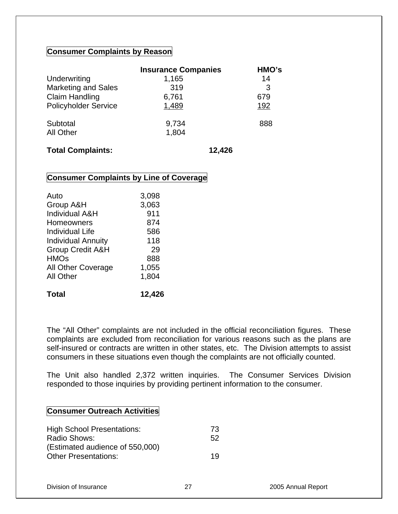#### **Consumer Complaints by Reason**

|                              | <b>Insurance Companies</b> | HMO's |
|------------------------------|----------------------------|-------|
| Underwriting                 | 1,165                      | 14    |
| <b>Marketing and Sales</b>   | 319                        | 3     |
| <b>Claim Handling</b>        | 6,761                      | 679   |
| <b>Policyholder Service</b>  | 1,489                      | 192   |
| Subtotal<br><b>All Other</b> | 9,734<br>1,804             | 888   |
|                              |                            |       |

#### **Total Complaints: 12,426**

#### **Consumer Complaints by Line of Coverage**

| Total                       | 12,426 |
|-----------------------------|--------|
| <b>All Other</b>            | 1,804  |
| <b>All Other Coverage</b>   | 1,055  |
| <b>HMOs</b>                 | 888    |
| <b>Group Credit A&amp;H</b> | 29     |
| <b>Individual Annuity</b>   | 118    |
| <b>Individual Life</b>      | 586    |
| Homeowners                  | 874    |
| <b>Individual A&amp;H</b>   | 911    |
| Group A&H                   | 3,063  |
| Auto                        | 3,098  |
|                             |        |

The "All Other" complaints are not included in the official reconciliation figures. These complaints are excluded from reconciliation for various reasons such as the plans are self-insured or contracts are written in other states, etc. The Division attempts to assist consumers in these situations even though the complaints are not officially counted.

The Unit also handled 2,372 written inquiries. The Consumer Services Division responded to those inquiries by providing pertinent information to the consumer.

#### **Consumer Outreach Activities**

| <b>High School Presentations:</b> | -73 |
|-----------------------------------|-----|
| Radio Shows:                      | .52 |
| (Estimated audience of 550,000)   |     |
| <b>Other Presentations:</b>       | 19  |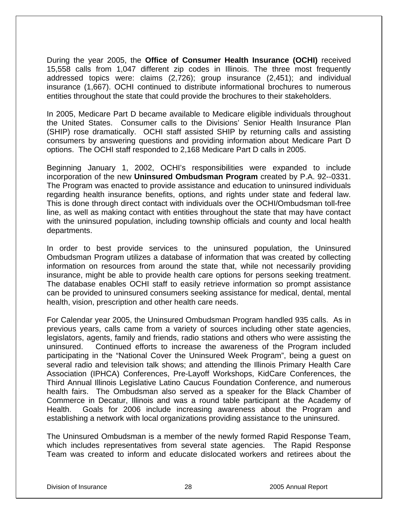During the year 2005, the **Office of Consumer Health Insurance (OCHI)** received 15,558 calls from 1,047 different zip codes in Illinois. The three most frequently addressed topics were: claims (2,726); group insurance (2,451); and individual insurance (1,667). OCHI continued to distribute informational brochures to numerous entities throughout the state that could provide the brochures to their stakeholders.

In 2005, Medicare Part D became available to Medicare eligible individuals throughout the United States. Consumer calls to the Divisions' Senior Health Insurance Plan (SHIP) rose dramatically. OCHI staff assisted SHIP by returning calls and assisting consumers by answering questions and providing information about Medicare Part D options. The OCHI staff responded to 2,168 Medicare Part D calls in 2005.

Beginning January 1, 2002, OCHI's responsibilities were expanded to include incorporation of the new **Uninsured Ombudsman Program** created by P.A. 92--0331. The Program was enacted to provide assistance and education to uninsured individuals regarding health insurance benefits, options, and rights under state and federal law. This is done through direct contact with individuals over the OCHI/Ombudsman toll-free line, as well as making contact with entities throughout the state that may have contact with the uninsured population, including township officials and county and local health departments.

In order to best provide services to the uninsured population, the Uninsured Ombudsman Program utilizes a database of information that was created by collecting information on resources from around the state that, while not necessarily providing insurance, might be able to provide health care options for persons seeking treatment. The database enables OCHI staff to easily retrieve information so prompt assistance can be provided to uninsured consumers seeking assistance for medical, dental, mental health, vision, prescription and other health care needs.

For Calendar year 2005, the Uninsured Ombudsman Program handled 935 calls. As in previous years, calls came from a variety of sources including other state agencies, legislators, agents, family and friends, radio stations and others who were assisting the uninsured. Continued efforts to increase the awareness of the Program included participating in the "National Cover the Uninsured Week Program", being a guest on several radio and television talk shows; and attending the Illinois Primary Health Care Association (IPHCA) Conferences, Pre-Layoff Workshops, KidCare Conferences, the Third Annual Illinois Legislative Latino Caucus Foundation Conference, and numerous health fairs. The Ombudsman also served as a speaker for the Black Chamber of Commerce in Decatur, Illinois and was a round table participant at the Academy of Health. Goals for 2006 include increasing awareness about the Program and establishing a network with local organizations providing assistance to the uninsured.

The Uninsured Ombudsman is a member of the newly formed Rapid Response Team, which includes representatives from several state agencies. The Rapid Response Team was created to inform and educate dislocated workers and retirees about the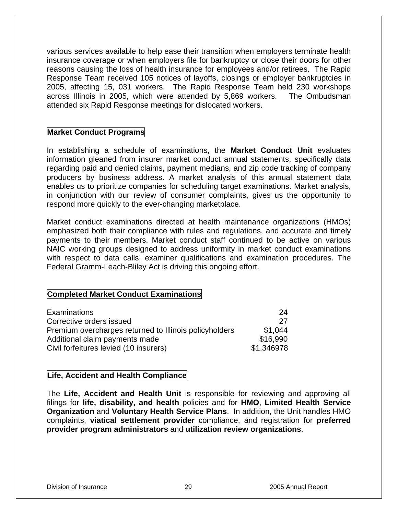various services available to help ease their transition when employers terminate health insurance coverage or when employers file for bankruptcy or close their doors for other reasons causing the loss of health insurance for employees and/or retirees. The Rapid Response Team received 105 notices of layoffs, closings or employer bankruptcies in 2005, affecting 15, 031 workers. The Rapid Response Team held 230 workshops across Illinois in 2005, which were attended by 5,869 workers. The Ombudsman attended six Rapid Response meetings for dislocated workers.

#### **Market Conduct Programs**

In establishing a schedule of examinations, the **Market Conduct Unit** evaluates information gleaned from insurer market conduct annual statements, specifically data regarding paid and denied claims, payment medians, and zip code tracking of company producers by business address. A market analysis of this annual statement data enables us to prioritize companies for scheduling target examinations. Market analysis, in conjunction with our review of consumer complaints, gives us the opportunity to respond more quickly to the ever-changing marketplace.

Market conduct examinations directed at health maintenance organizations (HMOs) emphasized both their compliance with rules and regulations, and accurate and timely payments to their members. Market conduct staff continued to be active on various NAIC working groups designed to address uniformity in market conduct examinations with respect to data calls, examiner qualifications and examination procedures. The Federal Gramm-Leach-Bliley Act is driving this ongoing effort.

#### **Completed Market Conduct Examinations**

| <b>Examinations</b>                                    | 24         |
|--------------------------------------------------------|------------|
| Corrective orders issued                               | -27        |
| Premium overcharges returned to Illinois policyholders | \$1.044    |
| Additional claim payments made                         | \$16,990   |
| Civil forfeitures levied (10 insurers)                 | \$1,346978 |

#### **Life, Accident and Health Compliance**

The **Life, Accident and Health Unit** is responsible for reviewing and approving all filings for **life, disability, and health** policies and for **HMO**, **Limited Health Service Organization** and **Voluntary Health Service Plans**. In addition, the Unit handles HMO complaints, **viatical settlement provider** compliance, and registration for **preferred provider program administrators** and **utilization review organizations**.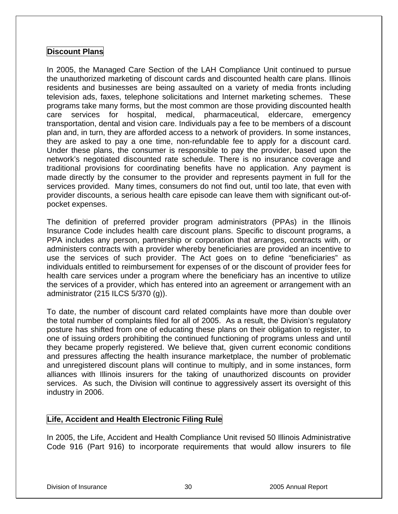#### **Discount Plans**

In 2005, the Managed Care Section of the LAH Compliance Unit continued to pursue the unauthorized marketing of discount cards and discounted health care plans. Illinois residents and businesses are being assaulted on a variety of media fronts including television ads, faxes, telephone solicitations and Internet marketing schemes. These programs take many forms, but the most common are those providing discounted health care services for hospital, medical, pharmaceutical, eldercare, emergency transportation, dental and vision care. Individuals pay a fee to be members of a discount plan and, in turn, they are afforded access to a network of providers. In some instances, they are asked to pay a one time, non-refundable fee to apply for a discount card. Under these plans, the consumer is responsible to pay the provider, based upon the network's negotiated discounted rate schedule. There is no insurance coverage and traditional provisions for coordinating benefits have no application. Any payment is made directly by the consumer to the provider and represents payment in full for the services provided. Many times, consumers do not find out, until too late, that even with provider discounts, a serious health care episode can leave them with significant out-ofpocket expenses.

The definition of preferred provider program administrators (PPAs) in the Illinois Insurance Code includes health care discount plans. Specific to discount programs, a PPA includes any person, partnership or corporation that arranges, contracts with, or administers contracts with a provider whereby beneficiaries are provided an incentive to use the services of such provider. The Act goes on to define "beneficiaries" as individuals entitled to reimbursement for expenses of or the discount of provider fees for health care services under a program where the beneficiary has an incentive to utilize the services of a provider, which has entered into an agreement or arrangement with an administrator (215 ILCS 5/370 (g)).

To date, the number of discount card related complaints have more than double over the total number of complaints filed for all of 2005. As a result, the Division's regulatory posture has shifted from one of educating these plans on their obligation to register, to one of issuing orders prohibiting the continued functioning of programs unless and until they became properly registered. We believe that, given current economic conditions and pressures affecting the health insurance marketplace, the number of problematic and unregistered discount plans will continue to multiply, and in some instances, form alliances with Illinois insurers for the taking of unauthorized discounts on provider services. As such, the Division will continue to aggressively assert its oversight of this industry in 2006.

#### **Life, Accident and Health Electronic Filing Rule**

In 2005, the Life, Accident and Health Compliance Unit revised 50 Illinois Administrative Code 916 (Part 916) to incorporate requirements that would allow insurers to file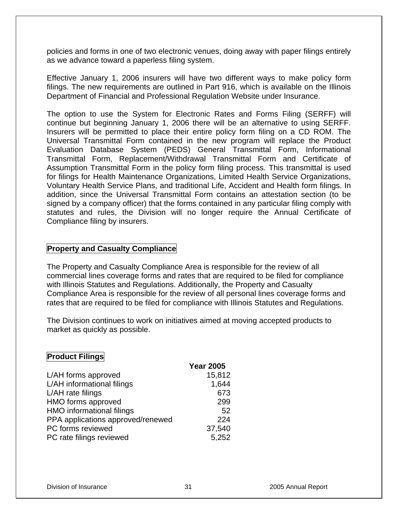policies and forms in one of two electronic venues, doing away with paper filings entirely as we advance toward a paperless filing system.

Effective January 1, 2006 insurers will have two different ways to make policy form filings. The new requirements are outlined in Part 916, which is available on the Illinois Department of Financial and Professional Regulation Website under Insurance.

The option to use the System for Electronic Rates and Forms Filing (SERFF) will continue but beginning January 1, 2006 there will be an alternative to using SERFF. Insurers will be permitted to place their entire policy form filing on a CD ROM. The Universal Transmittal Form contained in the new program will replace the Product Evaluation Database System (PEDS) General Transmittal Form, Informational Transmittal Form, Replacement/Withdrawal Transmittal Form and Certificate of Assumption Transmittal Form in the policy form filing process. This transmittal is used for filings for Health Maintenance Organizations, Limited Health Service Organizations, Voluntary Health Service Plans, and traditional Life, Accident and Health form filings. In addition, since the Universal Transmittal Form contains an attestation section (to be signed by a company officer) that the forms contained in any particular filing comply with statutes and rules, the Division will no longer require the Annual Certificate of Compliance filing by insurers.

#### **Property and Casualty Compliance**

The Property and Casualty Compliance Area is responsible for the review of all commercial lines coverage forms and rates that are required to be filed for compliance with Illinois Statutes and Regulations. Additionally, the Property and Casualty Compliance Area is responsible for the review of all personal lines coverage forms and rates that are required to be filed for compliance with Illinois Statutes and Regulations.

The Division continues to work on initiatives aimed at moving accepted products to market as quickly as possible.

#### **Product Filings**

|                                   | <b>Year 2005</b> |
|-----------------------------------|------------------|
| L/AH forms approved               | 15,812           |
| L/AH informational filings        | 1,644            |
| L/AH rate filings                 | 673              |
| HMO forms approved                | 299              |
| <b>HMO</b> informational filings  | 52               |
| PPA applications approved/renewed | 224              |
| PC forms reviewed                 | 37,540           |
| PC rate filings reviewed          | 5,252            |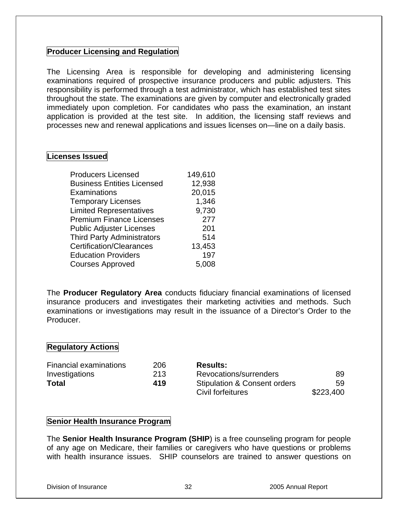#### **Producer Licensing and Regulation**

The Licensing Area is responsible for developing and administering licensing examinations required of prospective insurance producers and public adjusters. This responsibility is performed through a test administrator, which has established test sites throughout the state. The examinations are given by computer and electronically graded immediately upon completion. For candidates who pass the examination, an instant application is provided at the test site. In addition, the licensing staff reviews and processes new and renewal applications and issues licenses on—line on a daily basis.

#### **Licenses Issued**

| <b>Producers Licensed</b>         | 149,610 |
|-----------------------------------|---------|
| <b>Business Entities Licensed</b> | 12,938  |
| Examinations                      | 20,015  |
| <b>Temporary Licenses</b>         | 1,346   |
| <b>Limited Representatives</b>    | 9,730   |
| <b>Premium Finance Licenses</b>   | 277     |
| <b>Public Adjuster Licenses</b>   | 201     |
| <b>Third Party Administrators</b> | 514     |
| <b>Certification/Clearances</b>   | 13,453  |
| <b>Education Providers</b>        | 197     |
| <b>Courses Approved</b>           | 5,008   |

The **Producer Regulatory Area** conducts fiduciary financial examinations of licensed insurance producers and investigates their marketing activities and methods. Such examinations or investigations may result in the issuance of a Director's Order to the Producer.

#### **Regulatory Actions**

| Financial examinations | 206 | <b>Results:</b>                         |           |
|------------------------|-----|-----------------------------------------|-----------|
| Investigations         | 213 | Revocations/surrenders                  | 89        |
| <b>Total</b>           | 419 | <b>Stipulation &amp; Consent orders</b> | 59        |
|                        |     | Civil forfeitures                       | \$223,400 |

#### **Senior Health Insurance Program**

The **Senior Health Insurance Program (SHIP**) is a free counseling program for people of any age on Medicare, their families or caregivers who have questions or problems with health insurance issues. SHIP counselors are trained to answer questions on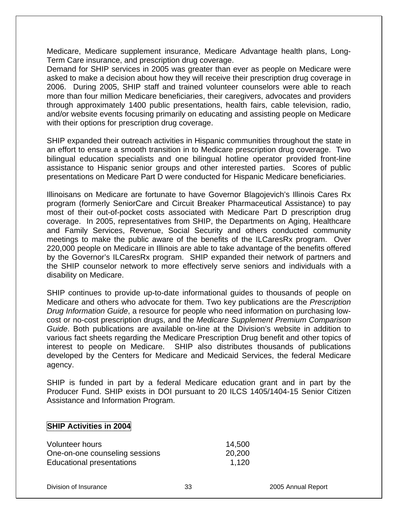Medicare, Medicare supplement insurance, Medicare Advantage health plans, Long-Term Care insurance, and prescription drug coverage.

Demand for SHIP services in 2005 was greater than ever as people on Medicare were asked to make a decision about how they will receive their prescription drug coverage in 2006. During 2005, SHIP staff and trained volunteer counselors were able to reach more than four million Medicare beneficiaries, their caregivers, advocates and providers through approximately 1400 public presentations, health fairs, cable television, radio, and/or website events focusing primarily on educating and assisting people on Medicare with their options for prescription drug coverage.

SHIP expanded their outreach activities in Hispanic communities throughout the state in an effort to ensure a smooth transition in to Medicare prescription drug coverage. Two bilingual education specialists and one bilingual hotline operator provided front-line assistance to Hispanic senior groups and other interested parties. Scores of public presentations on Medicare Part D were conducted for Hispanic Medicare beneficiaries.

Illinoisans on Medicare are fortunate to have Governor Blagojevich's Illinois Cares Rx program (formerly SeniorCare and Circuit Breaker Pharmaceutical Assistance) to pay most of their out-of-pocket costs associated with Medicare Part D prescription drug coverage. In 2005, representatives from SHIP, the Departments on Aging, Healthcare and Family Services, Revenue, Social Security and others conducted community meetings to make the public aware of the benefits of the ILCaresRx program. Over 220,000 people on Medicare in Illinois are able to take advantage of the benefits offered by the Governor's ILCaresRx program. SHIP expanded their network of partners and the SHIP counselor network to more effectively serve seniors and individuals with a disability on Medicare.

SHIP continues to provide up-to-date informational guides to thousands of people on Medicare and others who advocate for them. Two key publications are the *Prescription Drug Information Guide*, a resource for people who need information on purchasing lowcost or no-cost prescription drugs, and the *Medicare Supplement Premium Comparison Guide*. Both publications are available on-line at the Division's website in addition to various fact sheets regarding the Medicare Prescription Drug benefit and other topics of interest to people on Medicare. SHIP also distributes thousands of publications developed by the Centers for Medicare and Medicaid Services, the federal Medicare agency.

SHIP is funded in part by a federal Medicare education grant and in part by the Producer Fund. SHIP exists in DOI pursuant to 20 ILCS 1405/1404-15 Senior Citizen Assistance and Information Program.

#### **SHIP Activities in 2004**

| Volunteer hours                | 14,500 |
|--------------------------------|--------|
| One-on-one counseling sessions | 20,200 |
| Educational presentations      | 1.120  |

Division of Insurance 33 2005 Annual Report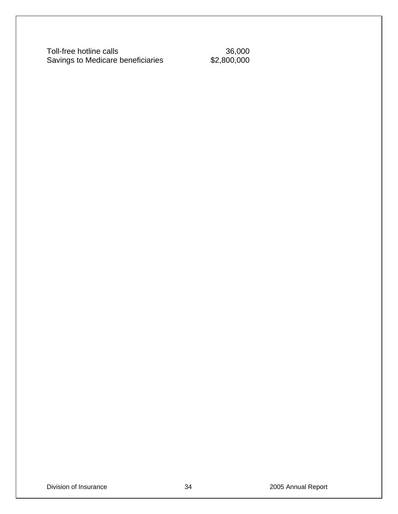Toll-free hotline calls<br>
Savings to Medicare beneficiaries<br>
\$2,800,000 Savings to Medicare beneficiaries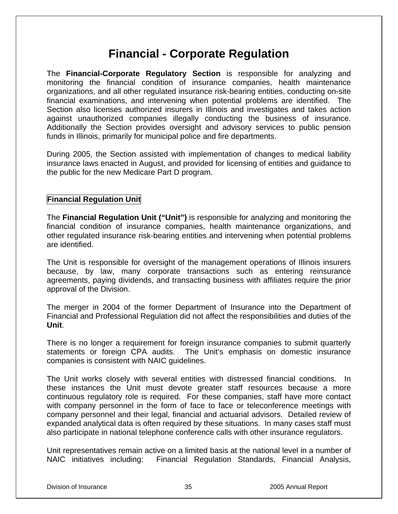# **Financial - Corporate Regulation**

The **Financial-Corporate Regulatory Section** is responsible for analyzing and monitoring the financial condition of insurance companies, health maintenance organizations, and all other regulated insurance risk-bearing entities, conducting on-site financial examinations, and intervening when potential problems are identified. The Section also licenses authorized insurers in Illinois and investigates and takes action against unauthorized companies illegally conducting the business of insurance. Additionally the Section provides oversight and advisory services to public pension funds in Illinois, primarily for municipal police and fire departments.

During 2005, the Section assisted with implementation of changes to medical liability insurance laws enacted in August, and provided for licensing of entities and guidance to the public for the new Medicare Part D program.

#### **Financial Regulation Unit**

The **Financial Regulation Unit ("Unit")** is responsible for analyzing and monitoring the financial condition of insurance companies, health maintenance organizations, and other regulated insurance risk-bearing entities and intervening when potential problems are identified.

The Unit is responsible for oversight of the management operations of Illinois insurers because, by law, many corporate transactions such as entering reinsurance agreements, paying dividends, and transacting business with affiliates require the prior approval of the Division.

The merger in 2004 of the former Department of Insurance into the Department of Financial and Professional Regulation did not affect the responsibilities and duties of the **Unit**.

There is no longer a requirement for foreign insurance companies to submit quarterly statements or foreign CPA audits. The Unit's emphasis on domestic insurance companies is consistent with NAIC guidelines.

The Unit works closely with several entities with distressed financial conditions. In these instances the Unit must devote greater staff resources because a more continuous regulatory role is required. For these companies, staff have more contact with company personnel in the form of face to face or teleconference meetings with company personnel and their legal, financial and actuarial advisors. Detailed review of expanded analytical data is often required by these situations. In many cases staff must also participate in national telephone conference calls with other insurance regulators.

Unit representatives remain active on a limited basis at the national level in a number of NAIC initiatives including: Financial Regulation Standards, Financial Analysis,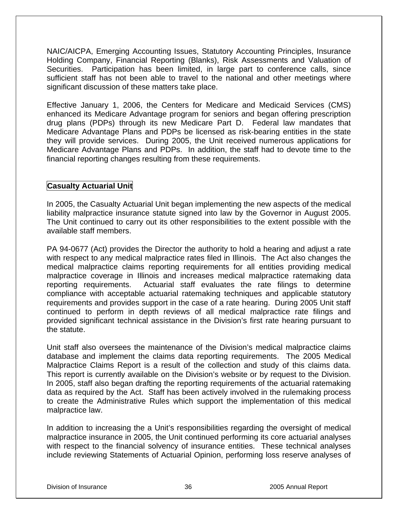NAIC/AICPA, Emerging Accounting Issues, Statutory Accounting Principles, Insurance Holding Company, Financial Reporting (Blanks), Risk Assessments and Valuation of Securities. Participation has been limited, in large part to conference calls, since sufficient staff has not been able to travel to the national and other meetings where significant discussion of these matters take place.

Effective January 1, 2006, the Centers for Medicare and Medicaid Services (CMS) enhanced its Medicare Advantage program for seniors and began offering prescription drug plans (PDPs) through its new Medicare Part D. Federal law mandates that Medicare Advantage Plans and PDPs be licensed as risk-bearing entities in the state they will provide services. During 2005, the Unit received numerous applications for Medicare Advantage Plans and PDPs. In addition, the staff had to devote time to the financial reporting changes resulting from these requirements.

#### **Casualty Actuarial Unit**

In 2005, the Casualty Actuarial Unit began implementing the new aspects of the medical liability malpractice insurance statute signed into law by the Governor in August 2005. The Unit continued to carry out its other responsibilities to the extent possible with the available staff members.

PA 94-0677 (Act) provides the Director the authority to hold a hearing and adjust a rate with respect to any medical malpractice rates filed in Illinois. The Act also changes the medical malpractice claims reporting requirements for all entities providing medical malpractice coverage in Illinois and increases medical malpractice ratemaking data reporting requirements. Actuarial staff evaluates the rate filings to determine compliance with acceptable actuarial ratemaking techniques and applicable statutory requirements and provides support in the case of a rate hearing. During 2005 Unit staff continued to perform in depth reviews of all medical malpractice rate filings and provided significant technical assistance in the Division's first rate hearing pursuant to the statute.

Unit staff also oversees the maintenance of the Division's medical malpractice claims database and implement the claims data reporting requirements. The 2005 Medical Malpractice Claims Report is a result of the collection and study of this claims data. This report is currently available on the Division's website or by request to the Division. In 2005, staff also began drafting the reporting requirements of the actuarial ratemaking data as required by the Act. Staff has been actively involved in the rulemaking process to create the Administrative Rules which support the implementation of this medical malpractice law.

In addition to increasing the a Unit's responsibilities regarding the oversight of medical malpractice insurance in 2005, the Unit continued performing its core actuarial analyses with respect to the financial solvency of insurance entities. These technical analyses include reviewing Statements of Actuarial Opinion, performing loss reserve analyses of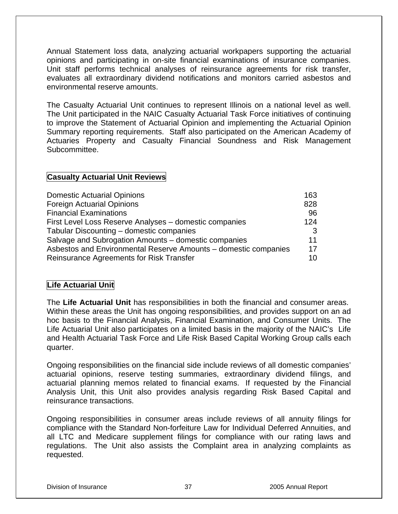Annual Statement loss data, analyzing actuarial workpapers supporting the actuarial opinions and participating in on-site financial examinations of insurance companies. Unit staff performs technical analyses of reinsurance agreements for risk transfer, evaluates all extraordinary dividend notifications and monitors carried asbestos and environmental reserve amounts.

The Casualty Actuarial Unit continues to represent Illinois on a national level as well. The Unit participated in the NAIC Casualty Actuarial Task Force initiatives of continuing to improve the Statement of Actuarial Opinion and implementing the Actuarial Opinion Summary reporting requirements. Staff also participated on the American Academy of Actuaries Property and Casualty Financial Soundness and Risk Management Subcommittee.

# **Casualty Actuarial Unit Reviews**

| <b>Domestic Actuarial Opinions</b>                              | 163 |
|-----------------------------------------------------------------|-----|
| <b>Foreign Actuarial Opinions</b>                               | 828 |
| <b>Financial Examinations</b>                                   | 96  |
| First Level Loss Reserve Analyses - domestic companies          | 124 |
| Tabular Discounting – domestic companies                        | 3   |
| Salvage and Subrogation Amounts – domestic companies            | 11  |
| Asbestos and Environmental Reserve Amounts - domestic companies | 17  |
| Reinsurance Agreements for Risk Transfer                        | 10  |

# **Life Actuarial Unit**

The **Life Actuarial Unit** has responsibilities in both the financial and consumer areas. Within these areas the Unit has ongoing responsibilities, and provides support on an ad hoc basis to the Financial Analysis, Financial Examination, and Consumer Units. The Life Actuarial Unit also participates on a limited basis in the majority of the NAIC's Life and Health Actuarial Task Force and Life Risk Based Capital Working Group calls each quarter.

Ongoing responsibilities on the financial side include reviews of all domestic companies' actuarial opinions, reserve testing summaries, extraordinary dividend filings, and actuarial planning memos related to financial exams. If requested by the Financial Analysis Unit, this Unit also provides analysis regarding Risk Based Capital and reinsurance transactions.

Ongoing responsibilities in consumer areas include reviews of all annuity filings for compliance with the Standard Non-forfeiture Law for Individual Deferred Annuities, and all LTC and Medicare supplement filings for compliance with our rating laws and regulations. The Unit also assists the Complaint area in analyzing complaints as requested.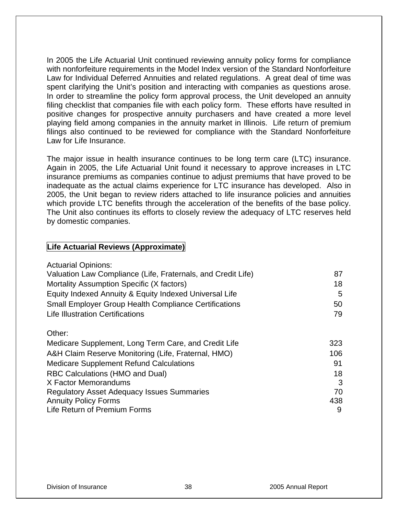In 2005 the Life Actuarial Unit continued reviewing annuity policy forms for compliance with nonforfeiture requirements in the Model Index version of the Standard Nonforfeiture Law for Individual Deferred Annuities and related regulations. A great deal of time was spent clarifying the Unit's position and interacting with companies as questions arose. In order to streamline the policy form approval process, the Unit developed an annuity filing checklist that companies file with each policy form. These efforts have resulted in positive changes for prospective annuity purchasers and have created a more level playing field among companies in the annuity market in Illinois. Life return of premium filings also continued to be reviewed for compliance with the Standard Nonforfeiture Law for Life Insurance.

The major issue in health insurance continues to be long term care (LTC) insurance. Again in 2005, the Life Actuarial Unit found it necessary to approve increases in LTC insurance premiums as companies continue to adjust premiums that have proved to be inadequate as the actual claims experience for LTC insurance has developed. Also in 2005, the Unit began to review riders attached to life insurance policies and annuities which provide LTC benefits through the acceleration of the benefits of the base policy. The Unit also continues its efforts to closely review the adequacy of LTC reserves held by domestic companies.

# **Life Actuarial Reviews (Approximate)**

| <b>Actuarial Opinions:</b>                                   |     |
|--------------------------------------------------------------|-----|
| Valuation Law Compliance (Life, Fraternals, and Credit Life) | 87  |
| Mortality Assumption Specific (X factors)                    | 18  |
| Equity Indexed Annuity & Equity Indexed Universal Life       | 5   |
| <b>Small Employer Group Health Compliance Certifications</b> | 50  |
| <b>Life Illustration Certifications</b>                      | 79  |
| Other:                                                       |     |
| Medicare Supplement, Long Term Care, and Credit Life         | 323 |
| A&H Claim Reserve Monitoring (Life, Fraternal, HMO)          | 106 |
| <b>Medicare Supplement Refund Calculations</b>               | 91  |
| <b>RBC Calculations (HMO and Dual)</b>                       | 18  |
| X Factor Memorandums                                         | 3   |
| <b>Regulatory Asset Adequacy Issues Summaries</b>            | 70  |
| <b>Annuity Policy Forms</b>                                  | 438 |
| Life Return of Premium Forms                                 | 9   |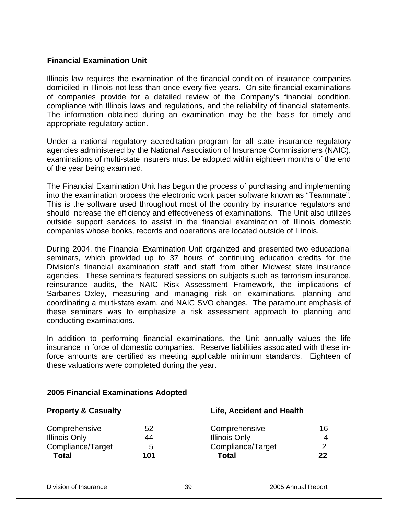# **Financial Examination Unit**

Illinois law requires the examination of the financial condition of insurance companies domiciled in Illinois not less than once every five years. On-site financial examinations of companies provide for a detailed review of the Company's financial condition, compliance with Illinois laws and regulations, and the reliability of financial statements. The information obtained during an examination may be the basis for timely and appropriate regulatory action.

Under a national regulatory accreditation program for all state insurance regulatory agencies administered by the National Association of Insurance Commissioners (NAIC), examinations of multi-state insurers must be adopted within eighteen months of the end of the year being examined.

The Financial Examination Unit has begun the process of purchasing and implementing into the examination process the electronic work paper software known as "Teammate". This is the software used throughout most of the country by insurance regulators and should increase the efficiency and effectiveness of examinations. The Unit also utilizes outside support services to assist in the financial examination of Illinois domestic companies whose books, records and operations are located outside of Illinois.

During 2004, the Financial Examination Unit organized and presented two educational seminars, which provided up to 37 hours of continuing education credits for the Division's financial examination staff and staff from other Midwest state insurance agencies. These seminars featured sessions on subjects such as terrorism insurance, reinsurance audits, the NAIC Risk Assessment Framework, the implications of Sarbanes–Oxley, measuring and managing risk on examinations, planning and coordinating a multi-state exam, and NAIC SVO changes. The paramount emphasis of these seminars was to emphasize a risk assessment approach to planning and conducting examinations.

In addition to performing financial examinations, the Unit annually values the life insurance in force of domestic companies. Reserve liabilities associated with these inforce amounts are certified as meeting applicable minimum standards. Eighteen of these valuations were completed during the year.

| <b>Property &amp; Casualty</b> |                      |                                  |
|--------------------------------|----------------------|----------------------------------|
| 52                             | Comprehensive        | 16.                              |
| 44                             | <b>Illinois Only</b> | 4                                |
| 5                              | Compliance/Target    | ◠                                |
| 101                            | <b>Total</b>         | 22                               |
|                                |                      | <b>Life, Accident and Health</b> |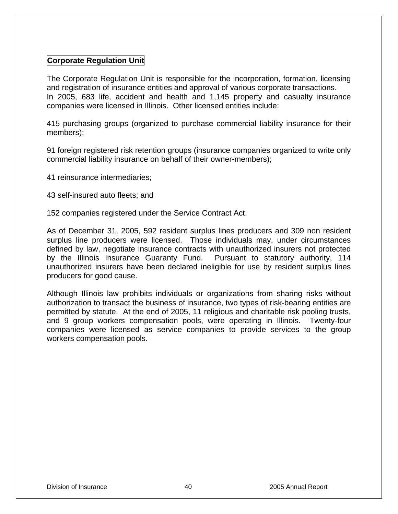# **Corporate Regulation Unit**

The Corporate Regulation Unit is responsible for the incorporation, formation, licensing and registration of insurance entities and approval of various corporate transactions. In 2005, 683 life, accident and health and 1,145 property and casualty insurance companies were licensed in Illinois. Other licensed entities include:

415 purchasing groups (organized to purchase commercial liability insurance for their members);

91 foreign registered risk retention groups (insurance companies organized to write only commercial liability insurance on behalf of their owner-members);

41 reinsurance intermediaries;

43 self-insured auto fleets; and

152 companies registered under the Service Contract Act.

As of December 31, 2005, 592 resident surplus lines producers and 309 non resident surplus line producers were licensed. Those individuals may, under circumstances defined by law, negotiate insurance contracts with unauthorized insurers not protected by the Illinois Insurance Guaranty Fund. Pursuant to statutory authority, 114 unauthorized insurers have been declared ineligible for use by resident surplus lines producers for good cause.

Although Illinois law prohibits individuals or organizations from sharing risks without authorization to transact the business of insurance, two types of risk-bearing entities are permitted by statute. At the end of 2005, 11 religious and charitable risk pooling trusts, and 9 group workers compensation pools, were operating in Illinois. Twenty-four companies were licensed as service companies to provide services to the group workers compensation pools.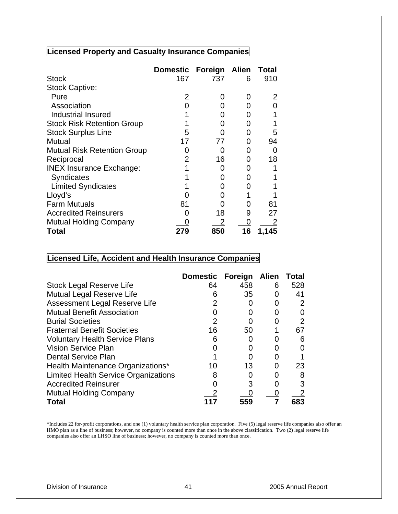# **Licensed Property and Casualty Insurance Companies**

|                                    | <b>Domestic</b> | Foreign Alien |    | <b>Total</b> |
|------------------------------------|-----------------|---------------|----|--------------|
| <b>Stock</b>                       | 167             | 737           | 6  | 910          |
| <b>Stock Captive:</b>              |                 |               |    |              |
| Pure                               | 2               | O             | O  |              |
| Association                        |                 |               | O  |              |
| Industrial Insured                 |                 |               |    |              |
| <b>Stock Risk Retention Group</b>  |                 |               | O  |              |
| <b>Stock Surplus Line</b>          | 5               |               | O  | 5            |
| Mutual                             | 17              | 77            | O  | 94           |
| <b>Mutual Risk Retention Group</b> |                 |               | O  |              |
| Reciprocal                         | 2               | 16            | ი  | 18           |
| <b>INEX Insurance Exchange:</b>    |                 | 0             | 0  |              |
| Syndicates                         |                 | O             | O  |              |
| <b>Limited Syndicates</b>          |                 | 0             | O  |              |
| Lloyd's                            |                 | 0             |    |              |
| <b>Farm Mutuals</b>                | 81              |               | 0  | 81           |
| <b>Accredited Reinsurers</b>       |                 | 18            | 9  | 27           |
| <b>Mutual Holding Company</b>      |                 |               |    |              |
| Total                              |                 | 850           | 16 | 1,145        |

# **Licensed Life, Accident and Health Insurance Companies**

|                                             | Domestic Foreign Alien |     |   | <b>Total</b> |
|---------------------------------------------|------------------------|-----|---|--------------|
| <b>Stock Legal Reserve Life</b>             | 64                     | 458 | 6 | 528          |
| Mutual Legal Reserve Life                   | 6                      | 35  |   | 41           |
| Assessment Legal Reserve Life               | 2                      |     | 0 |              |
| <b>Mutual Benefit Association</b>           |                        |     |   |              |
| <b>Burial Societies</b>                     | 2                      |     |   | 2            |
| <b>Fraternal Benefit Societies</b>          | 16                     | 50  |   | 67           |
| <b>Voluntary Health Service Plans</b>       | 6                      |     |   | 6            |
| <b>Vision Service Plan</b>                  |                        |     |   |              |
| <b>Dental Service Plan</b>                  |                        |     |   |              |
| Health Maintenance Organizations*           | 10                     | 13  | O | 23           |
| <b>Limited Health Service Organizations</b> |                        |     |   |              |
| <b>Accredited Reinsurer</b>                 |                        | 3   |   |              |
| <b>Mutual Holding Company</b>               |                        |     |   |              |
| Total                                       |                        | 559 |   | 683          |

\*Includes 22 for-profit corporations, and one (1) voluntary health service plan corporation. Five (5) legal reserve life companies also offer an HMO plan as a line of business; however, no company is counted more than once in the above classification. Two (2) legal reserve life companies also offer an LHSO line of business; however, no company is counted more than once.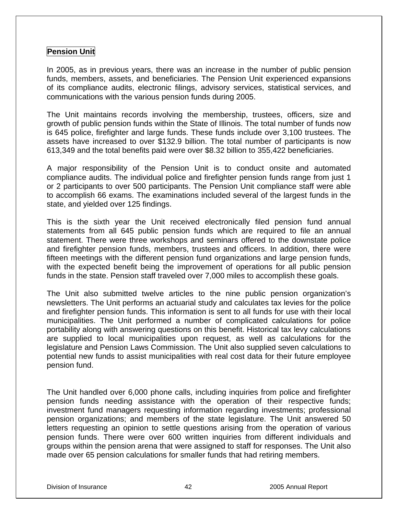## **Pension Unit**

In 2005, as in previous years, there was an increase in the number of public pension funds, members, assets, and beneficiaries. The Pension Unit experienced expansions of its compliance audits, electronic filings, advisory services, statistical services, and communications with the various pension funds during 2005.

The Unit maintains records involving the membership, trustees, officers, size and growth of public pension funds within the State of Illinois. The total number of funds now is 645 police, firefighter and large funds. These funds include over 3,100 trustees. The assets have increased to over \$132.9 billion. The total number of participants is now 613,349 and the total benefits paid were over \$8.32 billion to 355,422 beneficiaries.

A major responsibility of the Pension Unit is to conduct onsite and automated compliance audits. The individual police and firefighter pension funds range from just 1 or 2 participants to over 500 participants. The Pension Unit compliance staff were able to accomplish 66 exams. The examinations included several of the largest funds in the state, and yielded over 125 findings.

This is the sixth year the Unit received electronically filed pension fund annual statements from all 645 public pension funds which are required to file an annual statement. There were three workshops and seminars offered to the downstate police and firefighter pension funds, members, trustees and officers. In addition, there were fifteen meetings with the different pension fund organizations and large pension funds, with the expected benefit being the improvement of operations for all public pension funds in the state. Pension staff traveled over 7,000 miles to accomplish these goals.

The Unit also submitted twelve articles to the nine public pension organization's newsletters. The Unit performs an actuarial study and calculates tax levies for the police and firefighter pension funds. This information is sent to all funds for use with their local municipalities. The Unit performed a number of complicated calculations for police portability along with answering questions on this benefit. Historical tax levy calculations are supplied to local municipalities upon request, as well as calculations for the legislature and Pension Laws Commission. The Unit also supplied seven calculations to potential new funds to assist municipalities with real cost data for their future employee pension fund.

The Unit handled over 6,000 phone calls, including inquiries from police and firefighter pension funds needing assistance with the operation of their respective funds; investment fund managers requesting information regarding investments; professional pension organizations; and members of the state legislature. The Unit answered 50 letters requesting an opinion to settle questions arising from the operation of various pension funds. There were over 600 written inquiries from different individuals and groups within the pension arena that were assigned to staff for responses. The Unit also made over 65 pension calculations for smaller funds that had retiring members.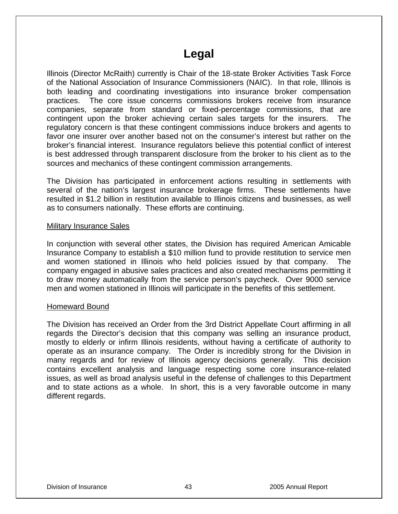# **Legal**

Illinois (Director McRaith) currently is Chair of the 18-state Broker Activities Task Force of the National Association of Insurance Commissioners (NAIC). In that role, Illinois is both leading and coordinating investigations into insurance broker compensation practices. The core issue concerns commissions brokers receive from insurance companies, separate from standard or fixed-percentage commissions, that are contingent upon the broker achieving certain sales targets for the insurers. The regulatory concern is that these contingent commissions induce brokers and agents to favor one insurer over another based not on the consumer's interest but rather on the broker's financial interest. Insurance regulators believe this potential conflict of interest is best addressed through transparent disclosure from the broker to his client as to the sources and mechanics of these contingent commission arrangements.

The Division has participated in enforcement actions resulting in settlements with several of the nation's largest insurance brokerage firms. These settlements have resulted in \$1.2 billion in restitution available to Illinois citizens and businesses, as well as to consumers nationally. These efforts are continuing.

#### Military Insurance Sales

In conjunction with several other states, the Division has required American Amicable Insurance Company to establish a \$10 million fund to provide restitution to service men and women stationed in Illinois who held policies issued by that company. The company engaged in abusive sales practices and also created mechanisms permitting it to draw money automatically from the service person's paycheck. Over 9000 service men and women stationed in Illinois will participate in the benefits of this settlement.

### Homeward Bound

The Division has received an Order from the 3rd District Appellate Court affirming in all regards the Director's decision that this company was selling an insurance product, mostly to elderly or infirm Illinois residents, without having a certificate of authority to operate as an insurance company. The Order is incredibly strong for the Division in many regards and for review of Illinois agency decisions generally. This decision contains excellent analysis and language respecting some core insurance-related issues, as well as broad analysis useful in the defense of challenges to this Department and to state actions as a whole. In short, this is a very favorable outcome in many different regards.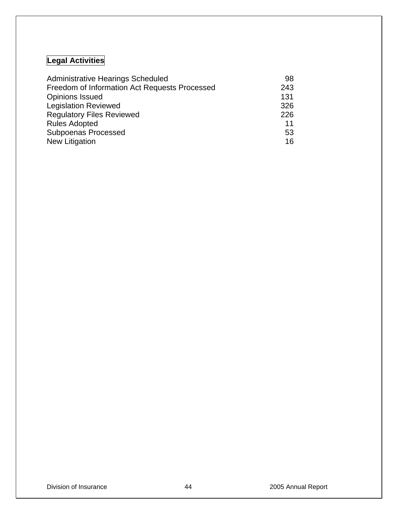# **Legal Activities**

| <b>Administrative Hearings Scheduled</b>      | 98  |
|-----------------------------------------------|-----|
| Freedom of Information Act Requests Processed | 243 |
| <b>Opinions Issued</b>                        | 131 |
| <b>Legislation Reviewed</b>                   | 326 |
| <b>Regulatory Files Reviewed</b>              | 226 |
| <b>Rules Adopted</b>                          | 11  |
| <b>Subpoenas Processed</b>                    | 53  |
| <b>New Litigation</b>                         | 16  |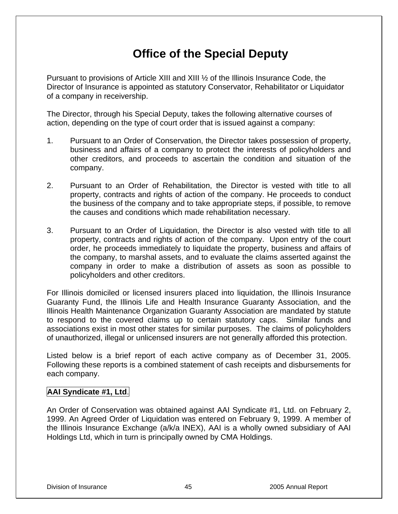# **Office of the Special Deputy**

Pursuant to provisions of Article XIII and XIII ½ of the Illinois Insurance Code, the Director of Insurance is appointed as statutory Conservator, Rehabilitator or Liquidator of a company in receivership.

The Director, through his Special Deputy, takes the following alternative courses of action, depending on the type of court order that is issued against a company:

- 1. Pursuant to an Order of Conservation, the Director takes possession of property, business and affairs of a company to protect the interests of policyholders and other creditors, and proceeds to ascertain the condition and situation of the company.
- 2. Pursuant to an Order of Rehabilitation, the Director is vested with title to all property, contracts and rights of action of the company. He proceeds to conduct the business of the company and to take appropriate steps, if possible, to remove the causes and conditions which made rehabilitation necessary.
- 3. Pursuant to an Order of Liquidation, the Director is also vested with title to all property, contracts and rights of action of the company. Upon entry of the court order, he proceeds immediately to liquidate the property, business and affairs of the company, to marshal assets, and to evaluate the claims asserted against the company in order to make a distribution of assets as soon as possible to policyholders and other creditors.

For Illinois domiciled or licensed insurers placed into liquidation, the Illinois Insurance Guaranty Fund, the Illinois Life and Health Insurance Guaranty Association, and the Illinois Health Maintenance Organization Guaranty Association are mandated by statute to respond to the covered claims up to certain statutory caps. Similar funds and associations exist in most other states for similar purposes. The claims of policyholders of unauthorized, illegal or unlicensed insurers are not generally afforded this protection.

Listed below is a brief report of each active company as of December 31, 2005. Following these reports is a combined statement of cash receipts and disbursements for each company.

# **AAI Syndicate #1, Ltd**.

An Order of Conservation was obtained against AAI Syndicate #1, Ltd. on February 2, 1999. An Agreed Order of Liquidation was entered on February 9, 1999. A member of the Illinois Insurance Exchange (a/k/a INEX), AAI is a wholly owned subsidiary of AAI Holdings Ltd, which in turn is principally owned by CMA Holdings.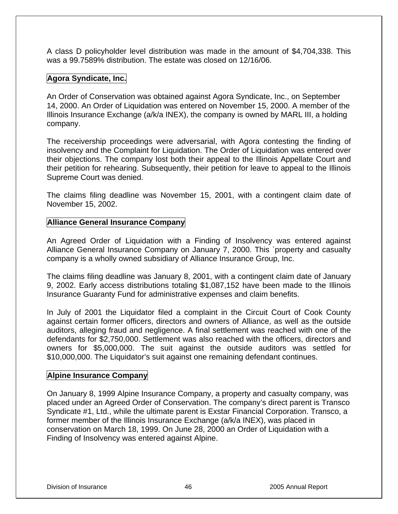A class D policyholder level distribution was made in the amount of \$4,704,338. This was a 99.7589% distribution. The estate was closed on 12/16/06.

# **Agora Syndicate, Inc.**

An Order of Conservation was obtained against Agora Syndicate, Inc., on September 14, 2000. An Order of Liquidation was entered on November 15, 2000. A member of the Illinois Insurance Exchange (a/k/a INEX), the company is owned by MARL III, a holding company.

The receivership proceedings were adversarial, with Agora contesting the finding of insolvency and the Complaint for Liquidation. The Order of Liquidation was entered over their objections. The company lost both their appeal to the Illinois Appellate Court and their petition for rehearing. Subsequently, their petition for leave to appeal to the Illinois Supreme Court was denied.

The claims filing deadline was November 15, 2001, with a contingent claim date of November 15, 2002.

# **Alliance General Insurance Company**

An Agreed Order of Liquidation with a Finding of Insolvency was entered against Alliance General Insurance Company on January 7, 2000. This `property and casualty company is a wholly owned subsidiary of Alliance Insurance Group, Inc.

The claims filing deadline was January 8, 2001, with a contingent claim date of January 9, 2002. Early access distributions totaling \$1,087,152 have been made to the Illinois Insurance Guaranty Fund for administrative expenses and claim benefits.

In July of 2001 the Liquidator filed a complaint in the Circuit Court of Cook County against certain former officers, directors and owners of Alliance, as well as the outside auditors, alleging fraud and negligence. A final settlement was reached with one of the defendants for \$2,750,000. Settlement was also reached with the officers, directors and owners for \$5,000,000. The suit against the outside auditors was settled for \$10,000,000. The Liquidator's suit against one remaining defendant continues.

# **Alpine Insurance Company**

On January 8, 1999 Alpine Insurance Company, a property and casualty company, was placed under an Agreed Order of Conservation. The company's direct parent is Transco Syndicate #1, Ltd., while the ultimate parent is Exstar Financial Corporation. Transco, a former member of the Illinois Insurance Exchange (a/k/a INEX), was placed in conservation on March 18, 1999. On June 28, 2000 an Order of Liquidation with a Finding of Insolvency was entered against Alpine.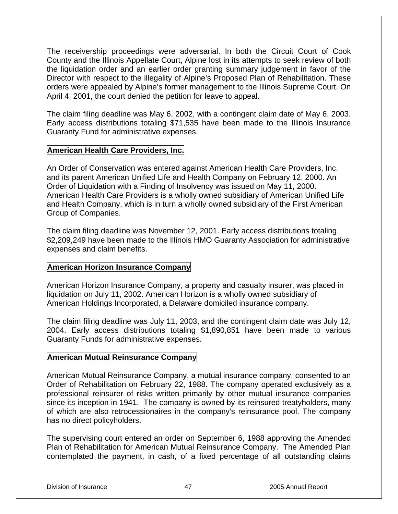The receivership proceedings were adversarial. In both the Circuit Court of Cook County and the Illinois Appellate Court, Alpine lost in its attempts to seek review of both the liquidation order and an earlier order granting summary judgement in favor of the Director with respect to the illegality of Alpine's Proposed Plan of Rehabilitation. These orders were appealed by Alpine's former management to the Illinois Supreme Court. On April 4, 2001, the court denied the petition for leave to appeal.

The claim filing deadline was May 6, 2002, with a contingent claim date of May 6, 2003. Early access distributions totaling \$71,535 have been made to the Illinois Insurance Guaranty Fund for administrative expenses.

# **American Health Care Providers, Inc.**

An Order of Conservation was entered against American Health Care Providers, Inc. and its parent American Unified Life and Health Company on February 12, 2000. An Order of Liquidation with a Finding of Insolvency was issued on May 11, 2000. American Health Care Providers is a wholly owned subsidiary of American Unified Life and Health Company, which is in turn a wholly owned subsidiary of the First American Group of Companies.

The claim filing deadline was November 12, 2001. Early access distributions totaling \$2,209,249 have been made to the Illinois HMO Guaranty Association for administrative expenses and claim benefits.

# **American Horizon Insurance Company**

American Horizon Insurance Company, a property and casualty insurer, was placed in liquidation on July 11, 2002. American Horizon is a wholly owned subsidiary of American Holdings Incorporated, a Delaware domiciled insurance company.

The claim filing deadline was July 11, 2003, and the contingent claim date was July 12, 2004. Early access distributions totaling \$1,890,851 have been made to various Guaranty Funds for administrative expenses.

# **American Mutual Reinsurance Company**

American Mutual Reinsurance Company, a mutual insurance company, consented to an Order of Rehabilitation on February 22, 1988. The company operated exclusively as a professional reinsurer of risks written primarily by other mutual insurance companies since its inception in 1941. The company is owned by its reinsured treatyholders, many of which are also retrocessionaires in the company's reinsurance pool. The company has no direct policyholders.

The supervising court entered an order on September 6, 1988 approving the Amended Plan of Rehabilitation for American Mutual Reinsurance Company. The Amended Plan contemplated the payment, in cash, of a fixed percentage of all outstanding claims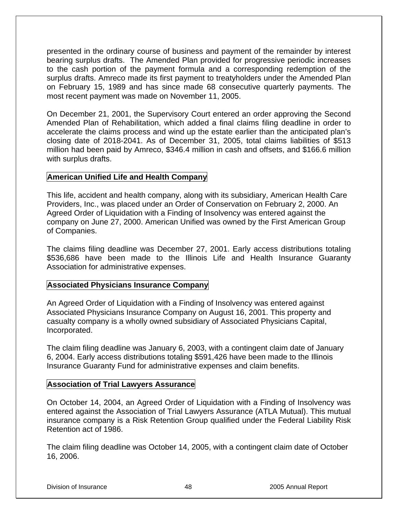presented in the ordinary course of business and payment of the remainder by interest bearing surplus drafts. The Amended Plan provided for progressive periodic increases to the cash portion of the payment formula and a corresponding redemption of the surplus drafts. Amreco made its first payment to treatyholders under the Amended Plan on February 15, 1989 and has since made 68 consecutive quarterly payments. The most recent payment was made on November 11, 2005.

On December 21, 2001, the Supervisory Court entered an order approving the Second Amended Plan of Rehabilitation, which added a final claims filing deadline in order to accelerate the claims process and wind up the estate earlier than the anticipated plan's closing date of 2018-2041. As of December 31, 2005, total claims liabilities of \$513 million had been paid by Amreco, \$346.4 million in cash and offsets, and \$166.6 million with surplus drafts.

# **American Unified Life and Health Company**

This life, accident and health company, along with its subsidiary, American Health Care Providers, Inc., was placed under an Order of Conservation on February 2, 2000. An Agreed Order of Liquidation with a Finding of Insolvency was entered against the company on June 27, 2000. American Unified was owned by the First American Group of Companies.

The claims filing deadline was December 27, 2001. Early access distributions totaling \$536,686 have been made to the Illinois Life and Health Insurance Guaranty Association for administrative expenses.

# **Associated Physicians Insurance Company**

An Agreed Order of Liquidation with a Finding of Insolvency was entered against Associated Physicians Insurance Company on August 16, 2001. This property and casualty company is a wholly owned subsidiary of Associated Physicians Capital, Incorporated.

The claim filing deadline was January 6, 2003, with a contingent claim date of January 6, 2004. Early access distributions totaling \$591,426 have been made to the Illinois Insurance Guaranty Fund for administrative expenses and claim benefits.

### **Association of Trial Lawyers Assurance**

On October 14, 2004, an Agreed Order of Liquidation with a Finding of Insolvency was entered against the Association of Trial Lawyers Assurance (ATLA Mutual). This mutual insurance company is a Risk Retention Group qualified under the Federal Liability Risk Retention act of 1986.

The claim filing deadline was October 14, 2005, with a contingent claim date of October 16, 2006.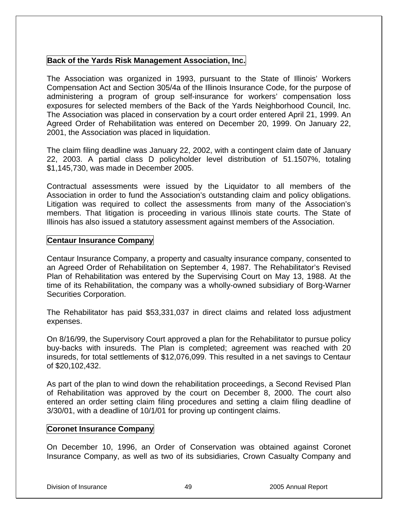## **Back of the Yards Risk Management Association, Inc.**

The Association was organized in 1993, pursuant to the State of Illinois' Workers Compensation Act and Section 305/4a of the Illinois Insurance Code, for the purpose of administering a program of group self-insurance for workers' compensation loss exposures for selected members of the Back of the Yards Neighborhood Council, Inc. The Association was placed in conservation by a court order entered April 21, 1999. An Agreed Order of Rehabilitation was entered on December 20, 1999. On January 22, 2001, the Association was placed in liquidation.

The claim filing deadline was January 22, 2002, with a contingent claim date of January 22, 2003. A partial class D policyholder level distribution of 51.1507%, totaling \$1,145,730, was made in December 2005.

Contractual assessments were issued by the Liquidator to all members of the Association in order to fund the Association's outstanding claim and policy obligations. Litigation was required to collect the assessments from many of the Association's members. That litigation is proceeding in various Illinois state courts. The State of Illinois has also issued a statutory assessment against members of the Association.

## **Centaur Insurance Company**

Centaur Insurance Company, a property and casualty insurance company, consented to an Agreed Order of Rehabilitation on September 4, 1987. The Rehabilitator's Revised Plan of Rehabilitation was entered by the Supervising Court on May 13, 1988. At the time of its Rehabilitation, the company was a wholly-owned subsidiary of Borg-Warner Securities Corporation.

The Rehabilitator has paid \$53,331,037 in direct claims and related loss adjustment expenses.

On 8/16/99, the Supervisory Court approved a plan for the Rehabilitator to pursue policy buy-backs with insureds. The Plan is completed; agreement was reached with 20 insureds, for total settlements of \$12,076,099. This resulted in a net savings to Centaur of \$20,102,432.

As part of the plan to wind down the rehabilitation proceedings, a Second Revised Plan of Rehabilitation was approved by the court on December 8, 2000. The court also entered an order setting claim filing procedures and setting a claim filing deadline of 3/30/01, with a deadline of 10/1/01 for proving up contingent claims.

# **Coronet Insurance Company**

On December 10, 1996, an Order of Conservation was obtained against Coronet Insurance Company, as well as two of its subsidiaries, Crown Casualty Company and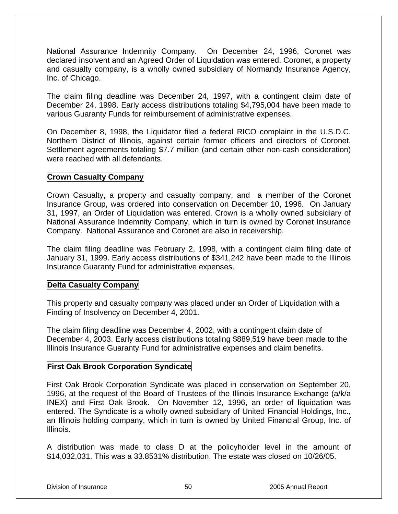National Assurance Indemnity Company. On December 24, 1996, Coronet was declared insolvent and an Agreed Order of Liquidation was entered. Coronet, a property and casualty company, is a wholly owned subsidiary of Normandy Insurance Agency, Inc. of Chicago.

The claim filing deadline was December 24, 1997, with a contingent claim date of December 24, 1998. Early access distributions totaling \$4,795,004 have been made to various Guaranty Funds for reimbursement of administrative expenses.

On December 8, 1998, the Liquidator filed a federal RICO complaint in the U.S.D.C. Northern District of Illinois, against certain former officers and directors of Coronet. Settlement agreements totaling \$7.7 million (and certain other non-cash consideration) were reached with all defendants.

# **Crown Casualty Company**

Crown Casualty, a property and casualty company, and a member of the Coronet Insurance Group, was ordered into conservation on December 10, 1996. On January 31, 1997, an Order of Liquidation was entered. Crown is a wholly owned subsidiary of National Assurance Indemnity Company, which in turn is owned by Coronet Insurance Company. National Assurance and Coronet are also in receivership.

The claim filing deadline was February 2, 1998, with a contingent claim filing date of January 31, 1999. Early access distributions of \$341,242 have been made to the Illinois Insurance Guaranty Fund for administrative expenses.

# **Delta Casualty Company**

This property and casualty company was placed under an Order of Liquidation with a Finding of Insolvency on December 4, 2001.

The claim filing deadline was December 4, 2002, with a contingent claim date of December 4, 2003. Early access distributions totaling \$889,519 have been made to the Illinois Insurance Guaranty Fund for administrative expenses and claim benefits.

# **First Oak Brook Corporation Syndicate**

First Oak Brook Corporation Syndicate was placed in conservation on September 20, 1996, at the request of the Board of Trustees of the Illinois Insurance Exchange (a/k/a INEX) and First Oak Brook. On November 12, 1996, an order of liquidation was entered. The Syndicate is a wholly owned subsidiary of United Financial Holdings, Inc., an Illinois holding company, which in turn is owned by United Financial Group, Inc. of Illinois.

A distribution was made to class D at the policyholder level in the amount of \$14,032,031. This was a 33.8531% distribution. The estate was closed on 10/26/05.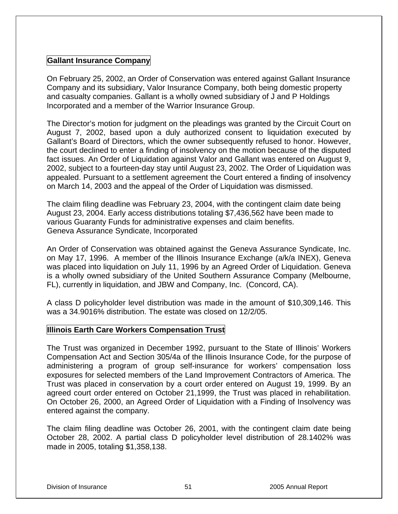# **Gallant Insurance Company**

On February 25, 2002, an Order of Conservation was entered against Gallant Insurance Company and its subsidiary, Valor Insurance Company, both being domestic property and casualty companies. Gallant is a wholly owned subsidiary of J and P Holdings Incorporated and a member of the Warrior Insurance Group.

The Director's motion for judgment on the pleadings was granted by the Circuit Court on August 7, 2002, based upon a duly authorized consent to liquidation executed by Gallant's Board of Directors, which the owner subsequently refused to honor. However, the court declined to enter a finding of insolvency on the motion because of the disputed fact issues. An Order of Liquidation against Valor and Gallant was entered on August 9, 2002, subject to a fourteen-day stay until August 23, 2002. The Order of Liquidation was appealed. Pursuant to a settlement agreement the Court entered a finding of insolvency on March 14, 2003 and the appeal of the Order of Liquidation was dismissed.

The claim filing deadline was February 23, 2004, with the contingent claim date being August 23, 2004. Early access distributions totaling \$7,436,562 have been made to various Guaranty Funds for administrative expenses and claim benefits. Geneva Assurance Syndicate, Incorporated

An Order of Conservation was obtained against the Geneva Assurance Syndicate, Inc. on May 17, 1996. A member of the Illinois Insurance Exchange (a/k/a INEX), Geneva was placed into liquidation on July 11, 1996 by an Agreed Order of Liquidation. Geneva is a wholly owned subsidiary of the United Southern Assurance Company (Melbourne, FL), currently in liquidation, and JBW and Company, Inc. (Concord, CA).

A class D policyholder level distribution was made in the amount of \$10,309,146. This was a 34.9016% distribution. The estate was closed on 12/2/05.

# **Illinois Earth Care Workers Compensation Trust**

The Trust was organized in December 1992, pursuant to the State of Illinois' Workers Compensation Act and Section 305/4a of the Illinois Insurance Code, for the purpose of administering a program of group self-insurance for workers' compensation loss exposures for selected members of the Land Improvement Contractors of America. The Trust was placed in conservation by a court order entered on August 19, 1999. By an agreed court order entered on October 21,1999, the Trust was placed in rehabilitation. On October 26, 2000, an Agreed Order of Liquidation with a Finding of Insolvency was entered against the company.

The claim filing deadline was October 26, 2001, with the contingent claim date being October 28, 2002. A partial class D policyholder level distribution of 28.1402% was made in 2005, totaling \$1,358,138.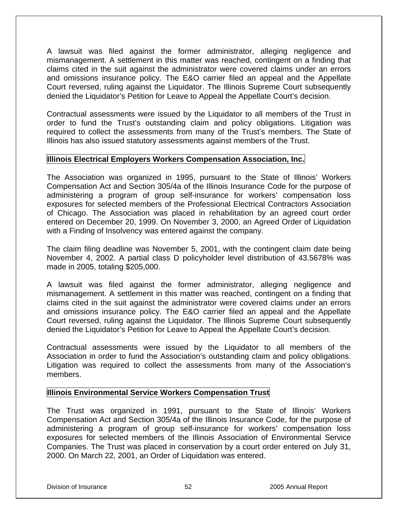A lawsuit was filed against the former administrator, alleging negligence and mismanagement. A settlement in this matter was reached, contingent on a finding that claims cited in the suit against the administrator were covered claims under an errors and omissions insurance policy. The E&O carrier filed an appeal and the Appellate Court reversed, ruling against the Liquidator. The Illinois Supreme Court subsequently denied the Liquidator's Petition for Leave to Appeal the Appellate Court's decision.

Contractual assessments were issued by the Liquidator to all members of the Trust in order to fund the Trust's outstanding claim and policy obligations. Litigation was required to collect the assessments from many of the Trust's members. The State of Illinois has also issued statutory assessments against members of the Trust.

# **Illinois Electrical Employers Workers Compensation Association, Inc.**

The Association was organized in 1995, pursuant to the State of Illinois' Workers Compensation Act and Section 305/4a of the Illinois Insurance Code for the purpose of administering a program of group self-insurance for workers' compensation loss exposures for selected members of the Professional Electrical Contractors Association of Chicago. The Association was placed in rehabilitation by an agreed court order entered on December 20, 1999. On November 3, 2000, an Agreed Order of Liquidation with a Finding of Insolvency was entered against the company.

The claim filing deadline was November 5, 2001, with the contingent claim date being November 4, 2002. A partial class D policyholder level distribution of 43.5678% was made in 2005, totaling \$205,000.

A lawsuit was filed against the former administrator, alleging negligence and mismanagement. A settlement in this matter was reached, contingent on a finding that claims cited in the suit against the administrator were covered claims under an errors and omissions insurance policy. The E&O carrier filed an appeal and the Appellate Court reversed, ruling against the Liquidator. The Illinois Supreme Court subsequently denied the Liquidator's Petition for Leave to Appeal the Appellate Court's decision.

Contractual assessments were issued by the Liquidator to all members of the Association in order to fund the Association's outstanding claim and policy obligations. Litigation was required to collect the assessments from many of the Association's members.

# **Illinois Environmental Service Workers Compensation Trust**

The Trust was organized in 1991, pursuant to the State of Illinois' Workers Compensation Act and Section 305/4a of the Illinois Insurance Code, for the purpose of administering a program of group self-insurance for workers' compensation loss exposures for selected members of the Illinois Association of Environmental Service Companies. The Trust was placed in conservation by a court order entered on July 31, 2000. On March 22, 2001, an Order of Liquidation was entered.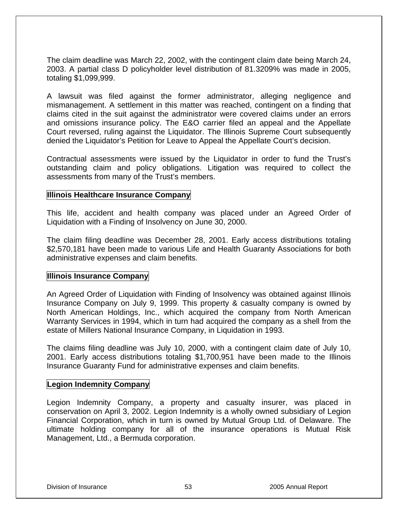The claim deadline was March 22, 2002, with the contingent claim date being March 24, 2003. A partial class D policyholder level distribution of 81.3209% was made in 2005, totaling \$1,099,999.

A lawsuit was filed against the former administrator, alleging negligence and mismanagement. A settlement in this matter was reached, contingent on a finding that claims cited in the suit against the administrator were covered claims under an errors and omissions insurance policy. The E&O carrier filed an appeal and the Appellate Court reversed, ruling against the Liquidator. The Illinois Supreme Court subsequently denied the Liquidator's Petition for Leave to Appeal the Appellate Court's decision.

Contractual assessments were issued by the Liquidator in order to fund the Trust's outstanding claim and policy obligations. Litigation was required to collect the assessments from many of the Trust's members.

### **Illinois Healthcare Insurance Company**

This life, accident and health company was placed under an Agreed Order of Liquidation with a Finding of Insolvency on June 30, 2000.

The claim filing deadline was December 28, 2001. Early access distributions totaling \$2,570,181 have been made to various Life and Health Guaranty Associations for both administrative expenses and claim benefits.

### **Illinois Insurance Company**

An Agreed Order of Liquidation with Finding of Insolvency was obtained against Illinois Insurance Company on July 9, 1999. This property & casualty company is owned by North American Holdings, Inc., which acquired the company from North American Warranty Services in 1994, which in turn had acquired the company as a shell from the estate of Millers National Insurance Company, in Liquidation in 1993.

The claims filing deadline was July 10, 2000, with a contingent claim date of July 10, 2001. Early access distributions totaling \$1,700,951 have been made to the Illinois Insurance Guaranty Fund for administrative expenses and claim benefits.

### **Legion Indemnity Company**

Legion Indemnity Company, a property and casualty insurer, was placed in conservation on April 3, 2002. Legion Indemnity is a wholly owned subsidiary of Legion Financial Corporation, which in turn is owned by Mutual Group Ltd. of Delaware. The ultimate holding company for all of the insurance operations is Mutual Risk Management, Ltd., a Bermuda corporation.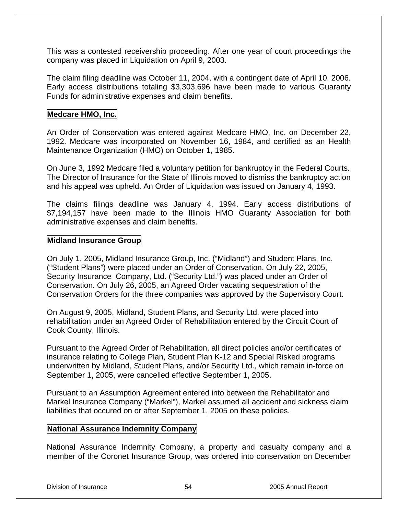This was a contested receivership proceeding. After one year of court proceedings the company was placed in Liquidation on April 9, 2003.

The claim filing deadline was October 11, 2004, with a contingent date of April 10, 2006. Early access distributions totaling \$3,303,696 have been made to various Guaranty Funds for administrative expenses and claim benefits.

### **Medcare HMO, Inc.**

An Order of Conservation was entered against Medcare HMO, Inc. on December 22, 1992. Medcare was incorporated on November 16, 1984, and certified as an Health Maintenance Organization (HMO) on October 1, 1985.

On June 3, 1992 Medcare filed a voluntary petition for bankruptcy in the Federal Courts. The Director of Insurance for the State of Illinois moved to dismiss the bankruptcy action and his appeal was upheld. An Order of Liquidation was issued on January 4, 1993.

The claims filings deadline was January 4, 1994. Early access distributions of \$7,194,157 have been made to the Illinois HMO Guaranty Association for both administrative expenses and claim benefits.

## **Midland Insurance Group**

On July 1, 2005, Midland Insurance Group, Inc. ("Midland") and Student Plans, Inc. ("Student Plans") were placed under an Order of Conservation. On July 22, 2005, Security Insurance Company, Ltd. ("Security Ltd.") was placed under an Order of Conservation. On July 26, 2005, an Agreed Order vacating sequestration of the Conservation Orders for the three companies was approved by the Supervisory Court.

On August 9, 2005, Midland, Student Plans, and Security Ltd. were placed into rehabilitation under an Agreed Order of Rehabilitation entered by the Circuit Court of Cook County, Illinois.

Pursuant to the Agreed Order of Rehabilitation, all direct policies and/or certificates of insurance relating to College Plan, Student Plan K-12 and Special Risked programs underwritten by Midland, Student Plans, and/or Security Ltd., which remain in-force on September 1, 2005, were cancelled effective September 1, 2005.

Pursuant to an Assumption Agreement entered into between the Rehabilitator and Markel Insurance Company ("Markel"), Markel assumed all accident and sickness claim liabilities that occured on or after September 1, 2005 on these policies.

### **National Assurance Indemnity Company**

National Assurance Indemnity Company, a property and casualty company and a member of the Coronet Insurance Group, was ordered into conservation on December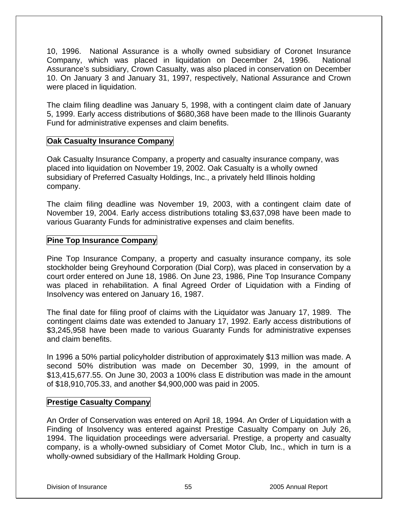10, 1996. National Assurance is a wholly owned subsidiary of Coronet Insurance Company, which was placed in liquidation on December 24, 1996. National Assurance's subsidiary, Crown Casualty, was also placed in conservation on December 10. On January 3 and January 31, 1997, respectively, National Assurance and Crown were placed in liquidation.

The claim filing deadline was January 5, 1998, with a contingent claim date of January 5, 1999. Early access distributions of \$680,368 have been made to the Illinois Guaranty Fund for administrative expenses and claim benefits.

# **Oak Casualty Insurance Company**

Oak Casualty Insurance Company, a property and casualty insurance company, was placed into liquidation on November 19, 2002. Oak Casualty is a wholly owned subsidiary of Preferred Casualty Holdings, Inc., a privately held Illinois holding company.

The claim filing deadline was November 19, 2003, with a contingent claim date of November 19, 2004. Early access distributions totaling \$3,637,098 have been made to various Guaranty Funds for administrative expenses and claim benefits.

# **Pine Top Insurance Company**

Pine Top Insurance Company, a property and casualty insurance company, its sole stockholder being Greyhound Corporation (Dial Corp), was placed in conservation by a court order entered on June 18, 1986. On June 23, 1986, Pine Top Insurance Company was placed in rehabilitation. A final Agreed Order of Liquidation with a Finding of Insolvency was entered on January 16, 1987.

The final date for filing proof of claims with the Liquidator was January 17, 1989. The contingent claims date was extended to January 17, 1992. Early access distributions of \$3,245,958 have been made to various Guaranty Funds for administrative expenses and claim benefits.

In 1996 a 50% partial policyholder distribution of approximately \$13 million was made. A second 50% distribution was made on December 30, 1999, in the amount of \$13,415,677.55. On June 30, 2003 a 100% class E distribution was made in the amount of \$18,910,705.33, and another \$4,900,000 was paid in 2005.

# **Prestige Casualty Company**

An Order of Conservation was entered on April 18, 1994. An Order of Liquidation with a Finding of Insolvency was entered against Prestige Casualty Company on July 26, 1994. The liquidation proceedings were adversarial. Prestige, a property and casualty company, is a wholly-owned subsidiary of Comet Motor Club, Inc., which in turn is a wholly-owned subsidiary of the Hallmark Holding Group.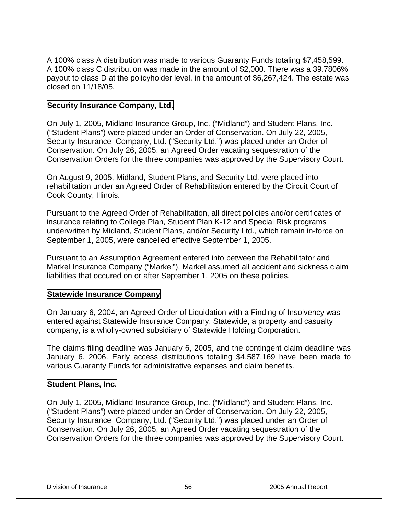A 100% class A distribution was made to various Guaranty Funds totaling \$7,458,599. A 100% class C distribution was made in the amount of \$2,000. There was a 39.7806% payout to class D at the policyholder level, in the amount of \$6,267,424. The estate was closed on 11/18/05.

# **Security Insurance Company, Ltd.**

On July 1, 2005, Midland Insurance Group, Inc. ("Midland") and Student Plans, Inc. ("Student Plans") were placed under an Order of Conservation. On July 22, 2005, Security Insurance Company, Ltd. ("Security Ltd.") was placed under an Order of Conservation. On July 26, 2005, an Agreed Order vacating sequestration of the Conservation Orders for the three companies was approved by the Supervisory Court.

On August 9, 2005, Midland, Student Plans, and Security Ltd. were placed into rehabilitation under an Agreed Order of Rehabilitation entered by the Circuit Court of Cook County, Illinois.

Pursuant to the Agreed Order of Rehabilitation, all direct policies and/or certificates of insurance relating to College Plan, Student Plan K-12 and Special Risk programs underwritten by Midland, Student Plans, and/or Security Ltd., which remain in-force on September 1, 2005, were cancelled effective September 1, 2005.

Pursuant to an Assumption Agreement entered into between the Rehabilitator and Markel Insurance Company ("Markel"), Markel assumed all accident and sickness claim liabilities that occured on or after September 1, 2005 on these policies.

# **Statewide Insurance Company**

On January 6, 2004, an Agreed Order of Liquidation with a Finding of Insolvency was entered against Statewide Insurance Company. Statewide, a property and casualty company, is a wholly-owned subsidiary of Statewide Holding Corporation.

The claims filing deadline was January 6, 2005, and the contingent claim deadline was January 6, 2006. Early access distributions totaling \$4,587,169 have been made to various Guaranty Funds for administrative expenses and claim benefits.

### **Student Plans, Inc.**

On July 1, 2005, Midland Insurance Group, Inc. ("Midland") and Student Plans, Inc. ("Student Plans") were placed under an Order of Conservation. On July 22, 2005, Security Insurance Company, Ltd. ("Security Ltd.") was placed under an Order of Conservation. On July 26, 2005, an Agreed Order vacating sequestration of the Conservation Orders for the three companies was approved by the Supervisory Court.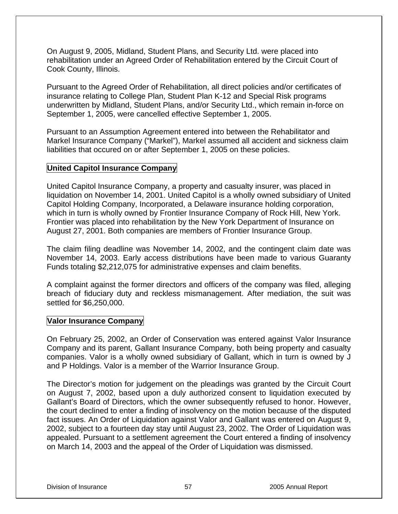On August 9, 2005, Midland, Student Plans, and Security Ltd. were placed into rehabilitation under an Agreed Order of Rehabilitation entered by the Circuit Court of Cook County, Illinois.

Pursuant to the Agreed Order of Rehabilitation, all direct policies and/or certificates of insurance relating to College Plan, Student Plan K-12 and Special Risk programs underwritten by Midland, Student Plans, and/or Security Ltd., which remain in-force on September 1, 2005, were cancelled effective September 1, 2005.

Pursuant to an Assumption Agreement entered into between the Rehabilitator and Markel Insurance Company ("Markel"), Markel assumed all accident and sickness claim liabilities that occured on or after September 1, 2005 on these policies.

# **United Capitol Insurance Company**

United Capitol Insurance Company, a property and casualty insurer, was placed in liquidation on November 14, 2001. United Capitol is a wholly owned subsidiary of United Capitol Holding Company, Incorporated, a Delaware insurance holding corporation, which in turn is wholly owned by Frontier Insurance Company of Rock Hill, New York. Frontier was placed into rehabilitation by the New York Department of Insurance on August 27, 2001. Both companies are members of Frontier Insurance Group.

The claim filing deadline was November 14, 2002, and the contingent claim date was November 14, 2003. Early access distributions have been made to various Guaranty Funds totaling \$2,212,075 for administrative expenses and claim benefits.

A complaint against the former directors and officers of the company was filed, alleging breach of fiduciary duty and reckless mismanagement. After mediation, the suit was settled for \$6,250,000.

# **Valor Insurance Company**

On February 25, 2002, an Order of Conservation was entered against Valor Insurance Company and its parent, Gallant Insurance Company, both being property and casualty companies. Valor is a wholly owned subsidiary of Gallant, which in turn is owned by J and P Holdings. Valor is a member of the Warrior Insurance Group.

The Director's motion for judgement on the pleadings was granted by the Circuit Court on August 7, 2002, based upon a duly authorized consent to liquidation executed by Gallant's Board of Directors, which the owner subsequently refused to honor. However, the court declined to enter a finding of insolvency on the motion because of the disputed fact issues. An Order of Liquidation against Valor and Gallant was entered on August 9, 2002, subject to a fourteen day stay until August 23, 2002. The Order of Liquidation was appealed. Pursuant to a settlement agreement the Court entered a finding of insolvency on March 14, 2003 and the appeal of the Order of Liquidation was dismissed.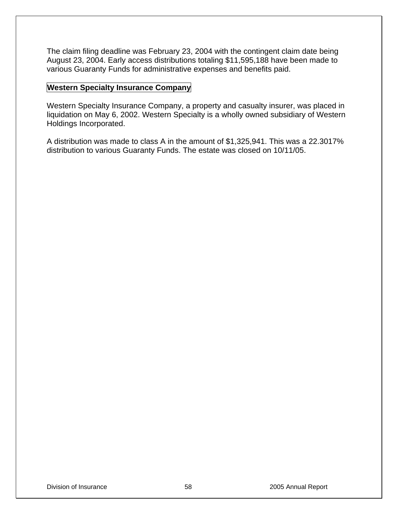The claim filing deadline was February 23, 2004 with the contingent claim date being August 23, 2004. Early access distributions totaling \$11,595,188 have been made to various Guaranty Funds for administrative expenses and benefits paid.

## **Western Specialty Insurance Company**

Western Specialty Insurance Company, a property and casualty insurer, was placed in liquidation on May 6, 2002. Western Specialty is a wholly owned subsidiary of Western Holdings Incorporated.

A distribution was made to class A in the amount of \$1,325,941. This was a 22.3017% distribution to various Guaranty Funds. The estate was closed on 10/11/05.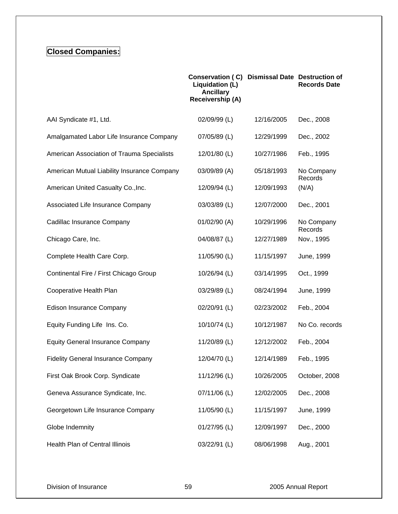# **Closed Companies:**

|                                             | Conservation (C) Dismissal Date Destruction of<br>Liquidation (L)<br><b>Ancillary</b><br>Receivership (A) |            | <b>Records Date</b>   |
|---------------------------------------------|-----------------------------------------------------------------------------------------------------------|------------|-----------------------|
| AAI Syndicate #1, Ltd.                      | 02/09/99 (L)                                                                                              | 12/16/2005 | Dec., 2008            |
| Amalgamated Labor Life Insurance Company    | 07/05/89 (L)                                                                                              | 12/29/1999 | Dec., 2002            |
| American Association of Trauma Specialists  | 12/01/80 (L)                                                                                              | 10/27/1986 | Feb., 1995            |
| American Mutual Liability Insurance Company | 03/09/89 (A)                                                                                              | 05/18/1993 | No Company<br>Records |
| American United Casualty Co., Inc.          | 12/09/94 (L)                                                                                              | 12/09/1993 | (N/A)                 |
| Associated Life Insurance Company           | 03/03/89 (L)                                                                                              | 12/07/2000 | Dec., 2001            |
| Cadillac Insurance Company                  | 01/02/90 (A)                                                                                              | 10/29/1996 | No Company<br>Records |
| Chicago Care, Inc.                          | 04/08/87 (L)                                                                                              | 12/27/1989 | Nov., 1995            |
| Complete Health Care Corp.                  | 11/05/90 (L)                                                                                              | 11/15/1997 | June, 1999            |
| Continental Fire / First Chicago Group      | 10/26/94 (L)                                                                                              | 03/14/1995 | Oct., 1999            |
| Cooperative Health Plan                     | 03/29/89 (L)                                                                                              | 08/24/1994 | June, 1999            |
| <b>Edison Insurance Company</b>             | 02/20/91 (L)                                                                                              | 02/23/2002 | Feb., 2004            |
| Equity Funding Life Ins. Co.                | 10/10/74 (L)                                                                                              | 10/12/1987 | No Co. records        |
| <b>Equity General Insurance Company</b>     | 11/20/89 (L)                                                                                              | 12/12/2002 | Feb., 2004            |
| <b>Fidelity General Insurance Company</b>   | 12/04/70 (L)                                                                                              | 12/14/1989 | Feb., 1995            |
| First Oak Brook Corp. Syndicate             | 11/12/96 (L)                                                                                              | 10/26/2005 | October, 2008         |
| Geneva Assurance Syndicate, Inc.            | 07/11/06 (L)                                                                                              | 12/02/2005 | Dec., 2008            |
| Georgetown Life Insurance Company           | 11/05/90 (L)                                                                                              | 11/15/1997 | June, 1999            |
| Globe Indemnity                             | 01/27/95 (L)                                                                                              | 12/09/1997 | Dec., 2000            |
| Health Plan of Central Illinois             | 03/22/91 (L)                                                                                              | 08/06/1998 | Aug., 2001            |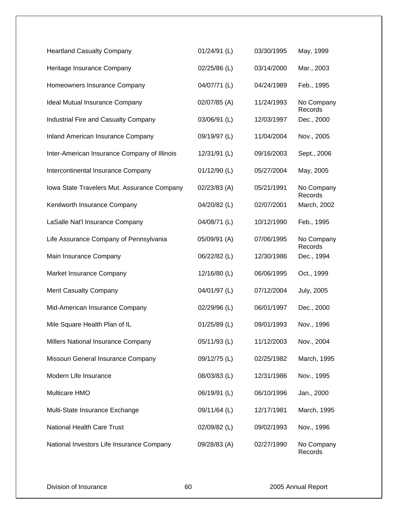| <b>Heartland Casualty Company</b>            | 01/24/91 (L) | 03/30/1995 | May, 1999             |
|----------------------------------------------|--------------|------------|-----------------------|
| Heritage Insurance Company                   | 02/25/86 (L) | 03/14/2000 | Mar., 2003            |
| Homeowners Insurance Company                 | 04/07/71 (L) | 04/24/1989 | Feb., 1995            |
| Ideal Mutual Insurance Company               | 02/07/85 (A) | 11/24/1993 | No Company<br>Records |
| Industrial Fire and Casualty Company         | 03/06/91 (L) | 12/03/1997 | Dec., 2000            |
| Inland American Insurance Company            | 09/19/97 (L) | 11/04/2004 | Nov., 2005            |
| Inter-American Insurance Company of Illinois | 12/31/91 (L) | 09/16/2003 | Sept., 2006           |
| Intercontinental Insurance Company           | 01/12/90 (L) | 05/27/2004 | May, 2005             |
| Iowa State Travelers Mut. Assurance Company  | 02/23/83 (A) | 05/21/1991 | No Company<br>Records |
| Kenilworth Insurance Company                 | 04/20/82 (L) | 02/07/2001 | March, 2002           |
| LaSalle Nat'l Insurance Company              | 04/08/71 (L) | 10/12/1990 | Feb., 1995            |
| Life Assurance Company of Pennsylvania       | 05/09/91 (A) | 07/06/1995 | No Company<br>Records |
| Main Insurance Company                       | 06/22/82 (L) | 12/30/1986 | Dec., 1994            |
| Market Insurance Company                     | 12/16/80 (L) | 06/06/1995 | Oct., 1999            |
| <b>Merit Casualty Company</b>                | 04/01/97 (L) | 07/12/2004 | <b>July, 2005</b>     |
| Mid-American Insurance Company               | 02/29/96 (L) | 06/01/1997 | Dec., 2000            |
| Mile Square Health Plan of IL                | 01/25/89 (L) | 09/01/1993 | Nov., 1996            |
| Millers National Insurance Company           | 05/11/93 (L) | 11/12/2003 | Nov., 2004            |
| Missouri General Insurance Company           | 09/12/75 (L) | 02/25/1982 | March, 1995           |
| Modern Life Insurance                        | 08/03/83 (L) | 12/31/1986 | Nov., 1995            |
| Multicare HMO                                | 06/19/91 (L) | 06/10/1996 | Jan., 2000            |
| Multi-State Insurance Exchange               | 09/11/64 (L) | 12/17/1981 | March, 1995           |
| <b>National Health Care Trust</b>            | 02/09/82 (L) | 09/02/1993 | Nov., 1996            |
| National Investors Life Insurance Company    | 09/28/83 (A) | 02/27/1990 | No Company<br>Records |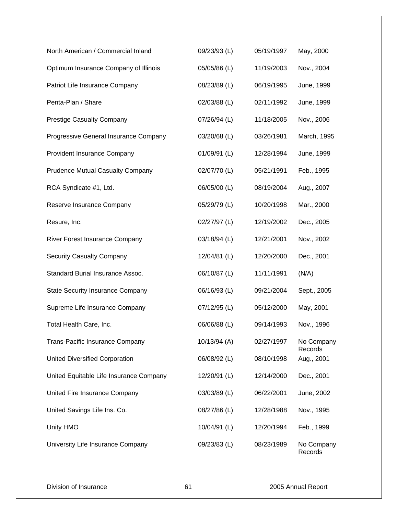| North American / Commercial Inland      | 09/23/93 (L) | 05/19/1997 | May, 2000             |
|-----------------------------------------|--------------|------------|-----------------------|
| Optimum Insurance Company of Illinois   | 05/05/86 (L) | 11/19/2003 | Nov., 2004            |
| Patriot Life Insurance Company          | 08/23/89 (L) | 06/19/1995 | June, 1999            |
| Penta-Plan / Share                      | 02/03/88 (L) | 02/11/1992 | June, 1999            |
| <b>Prestige Casualty Company</b>        | 07/26/94 (L) | 11/18/2005 | Nov., 2006            |
| Progressive General Insurance Company   | 03/20/68 (L) | 03/26/1981 | March, 1995           |
| Provident Insurance Company             | 01/09/91 (L) | 12/28/1994 | June, 1999            |
| <b>Prudence Mutual Casualty Company</b> | 02/07/70 (L) | 05/21/1991 | Feb., 1995            |
| RCA Syndicate #1, Ltd.                  | 06/05/00 (L) | 08/19/2004 | Aug., 2007            |
| Reserve Insurance Company               | 05/29/79 (L) | 10/20/1998 | Mar., 2000            |
| Resure, Inc.                            | 02/27/97 (L) | 12/19/2002 | Dec., 2005            |
| River Forest Insurance Company          | 03/18/94 (L) | 12/21/2001 | Nov., 2002            |
| <b>Security Casualty Company</b>        | 12/04/81 (L) | 12/20/2000 | Dec., 2001            |
| Standard Burial Insurance Assoc.        | 06/10/87 (L) | 11/11/1991 | (N/A)                 |
| <b>State Security Insurance Company</b> | 06/16/93 (L) | 09/21/2004 | Sept., 2005           |
| Supreme Life Insurance Company          | 07/12/95 (L) | 05/12/2000 | May, 2001             |
| Total Health Care, Inc.                 | 06/06/88 (L) | 09/14/1993 | Nov., 1996            |
| <b>Trans-Pacific Insurance Company</b>  | 10/13/94 (A) | 02/27/1997 | No Company<br>Records |
| <b>United Diversified Corporation</b>   | 06/08/92 (L) | 08/10/1998 | Aug., 2001            |
| United Equitable Life Insurance Company | 12/20/91 (L) | 12/14/2000 | Dec., 2001            |
| United Fire Insurance Company           | 03/03/89 (L) | 06/22/2001 | June, 2002            |
| United Savings Life Ins. Co.            | 08/27/86 (L) | 12/28/1988 | Nov., 1995            |
| Unity HMO                               | 10/04/91 (L) | 12/20/1994 | Feb., 1999            |
| University Life Insurance Company       | 09/23/83 (L) | 08/23/1989 | No Company<br>Records |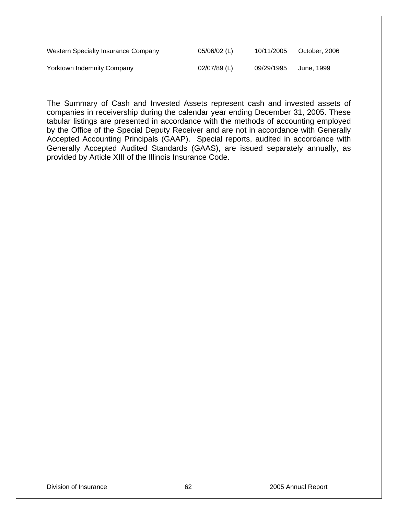| Western Specialty Insurance Company | 05/06/02 (L) | 10/11/2005 | October, 2006 |
|-------------------------------------|--------------|------------|---------------|
| <b>Yorktown Indemnity Company</b>   | 02/07/89 (L) | 09/29/1995 | June, 1999    |

The Summary of Cash and Invested Assets represent cash and invested assets of companies in receivership during the calendar year ending December 31, 2005. These tabular listings are presented in accordance with the methods of accounting employed by the Office of the Special Deputy Receiver and are not in accordance with Generally Accepted Accounting Principals (GAAP). Special reports, audited in accordance with Generally Accepted Audited Standards (GAAS), are issued separately annually, as provided by Article XIII of the Illinois Insurance Code.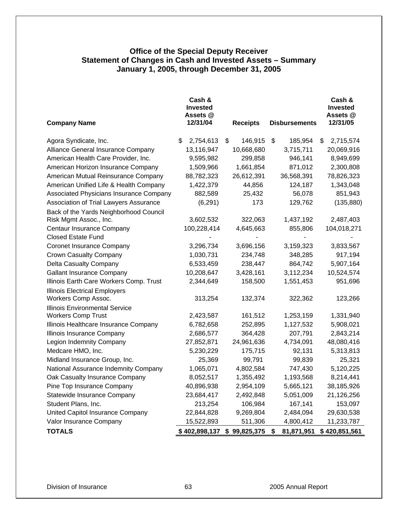## **Office of the Special Deputy Receiver Statement of Changes in Cash and Invested Assets – Summary January 1, 2005, through December 31, 2005**

|                                                                    | Cash &<br><b>Invested</b><br>Assets @ |                  |                        | Cash &<br><b>Invested</b><br>Assets @ |
|--------------------------------------------------------------------|---------------------------------------|------------------|------------------------|---------------------------------------|
| <b>Company Name</b>                                                | 12/31/04                              | <b>Receipts</b>  | <b>Disbursements</b>   | 12/31/05                              |
| Agora Syndicate, Inc.                                              | \$<br>2,754,613                       | \$<br>146,915    | \$<br>185,954          | \$<br>2,715,574                       |
| Alliance General Insurance Company                                 | 13,116,947                            | 10,668,680       | 3,715,711              | 20,069,916                            |
| American Health Care Provider, Inc.                                | 9,595,982                             | 299,858          | 946,141                | 8,949,699                             |
| American Horizon Insurance Company                                 | 1,509,966                             | 1,661,854        | 871,012                | 2,300,808                             |
| American Mutual Reinsurance Company                                | 88,782,323                            | 26,612,391       | 36,568,391             | 78,826,323                            |
| American Unified Life & Health Company                             | 1,422,379                             | 44,856           | 124,187                | 1,343,048                             |
| Associated Physicians Insurance Company                            | 882,589                               | 25,432           | 56,078                 | 851,943                               |
| Association of Trial Lawyers Assurance                             | (6, 291)                              | 173              | 129,762                | (135, 880)                            |
| Back of the Yards Neighborhood Council                             |                                       |                  |                        |                                       |
| Risk Mgmt Assoc., Inc.                                             | 3,602,532                             | 322,063          | 1,437,192              | 2,487,403                             |
| Centaur Insurance Company                                          | 100,228,414                           | 4,645,663        | 855,806                | 104,018,271                           |
| <b>Closed Estate Fund</b>                                          |                                       |                  |                        |                                       |
| <b>Coronet Insurance Company</b>                                   | 3,296,734                             | 3,696,156        | 3,159,323              | 3,833,567                             |
| Crown Casualty Company                                             | 1,030,731                             | 234,748          | 348,285                | 917,194                               |
| Delta Casualty Company                                             | 6,533,459                             | 238,447          | 864,742                | 5,907,164                             |
| <b>Gallant Insurance Company</b>                                   | 10,208,647                            | 3,428,161        | 3,112,234              | 10,524,574                            |
| Illinois Earth Care Workers Comp. Trust                            | 2,344,649                             | 158,500          | 1,551,453              | 951,696                               |
| <b>Illinois Electrical Employers</b>                               |                                       |                  |                        |                                       |
| Workers Comp Assoc.                                                | 313,254                               | 132,374          | 322,362                | 123,266                               |
| <b>Illinois Environmental Service</b>                              | 2,423,587                             | 161,512          |                        |                                       |
| <b>Workers Comp Trust</b><br>Illinois Healthcare Insurance Company |                                       | 252,895          | 1,253,159<br>1,127,532 | 1,331,940<br>5,908,021                |
|                                                                    | 6,782,658                             |                  |                        |                                       |
| Illinois Insurance Company                                         | 2,686,577                             | 364,428          | 207,791                | 2,843,214                             |
| Legion Indemnity Company                                           | 27,852,871                            | 24,961,636       | 4,734,091              | 48,080,416                            |
| Medcare HMO, Inc.                                                  | 5,230,229                             | 175,715          | 92,131                 | 5,313,813                             |
| Midland Insurance Group, Inc.                                      | 25,369                                | 99,791           | 99,839                 | 25,321                                |
| National Assurance Indemnity Company                               | 1,065,071                             | 4,802,584        | 747,430                | 5,120,225                             |
| Oak Casualty Insurance Company                                     | 8,052,517                             | 1,355,492        | 1,193,568              | 8,214,441                             |
| Pine Top Insurance Company                                         | 40,896,938                            | 2,954,109        | 5,665,121              | 38,185,926                            |
| Statewide Insurance Company                                        | 23,684,417                            | 2,492,848        | 5,051,009              | 21,126,256                            |
| Student Plans, Inc.                                                | 213,254                               | 106,984          | 167,141                | 153,097                               |
| United Capitol Insurance Company                                   | 22,844,828                            | 9,269,804        | 2,484,094              | 29,630,538                            |
| Valor Insurance Company                                            | 15,522,893                            | 511,306          | 4,800,412              | 11,233,787                            |
| <b>TOTALS</b>                                                      | \$402,898,137                         | \$<br>99,825,375 | \$<br>81,871,951       | \$420,851,561                         |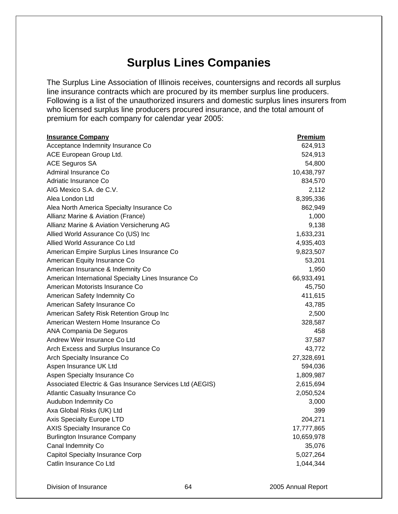# **Surplus Lines Companies**

The Surplus Line Association of Illinois receives, countersigns and records all surplus line insurance contracts which are procured by its member surplus line producers. Following is a list of the unauthorized insurers and domestic surplus lines insurers from who licensed surplus line producers procured insurance, and the total amount of premium for each company for calendar year 2005:

| <b>Insurance Company</b>                                 | Premium    |
|----------------------------------------------------------|------------|
| Acceptance Indemnity Insurance Co                        | 624,913    |
| ACE European Group Ltd.                                  | 524,913    |
| <b>ACE Seguros SA</b>                                    | 54,800     |
| Admiral Insurance Co                                     | 10,438,797 |
| Adriatic Insurance Co                                    | 834,570    |
| AIG Mexico S.A. de C.V.                                  | 2,112      |
| Alea London Ltd                                          | 8,395,336  |
| Alea North America Specialty Insurance Co                | 862,949    |
| Allianz Marine & Aviation (France)                       | 1,000      |
| Allianz Marine & Aviation Versicherung AG                | 9,138      |
| Allied World Assurance Co (US) Inc                       | 1,633,231  |
| Allied World Assurance Co Ltd                            | 4,935,403  |
| American Empire Surplus Lines Insurance Co               | 9,823,507  |
| American Equity Insurance Co                             | 53,201     |
| American Insurance & Indemnity Co                        | 1,950      |
| American International Specialty Lines Insurance Co      | 66,933,491 |
| American Motorists Insurance Co                          | 45,750     |
| American Safety Indemnity Co                             | 411,615    |
| American Safety Insurance Co                             | 43,785     |
| American Safety Risk Retention Group Inc                 | 2,500      |
| American Western Home Insurance Co                       | 328,587    |
| ANA Compania De Seguros                                  | 458        |
| Andrew Weir Insurance Co Ltd                             | 37,587     |
| Arch Excess and Surplus Insurance Co                     | 43,772     |
| Arch Specialty Insurance Co                              | 27,328,691 |
| Aspen Insurance UK Ltd                                   | 594,036    |
| Aspen Specialty Insurance Co                             | 1,809,987  |
| Associated Electric & Gas Insurance Services Ltd (AEGIS) | 2,615,694  |
| Atlantic Casualty Insurance Co                           | 2,050,524  |
| Audubon Indemnity Co                                     | 3,000      |
| Axa Global Risks (UK) Ltd                                | 399        |
| Axis Specialty Europe LTD                                | 204,271    |
| <b>AXIS Specialty Insurance Co</b>                       | 17,777,865 |
| <b>Burlington Insurance Company</b>                      | 10,659,978 |
| Canal Indemnity Co                                       | 35,076     |
| Capitol Specialty Insurance Corp                         | 5,027,264  |
| Catlin Insurance Co Ltd                                  | 1,044,344  |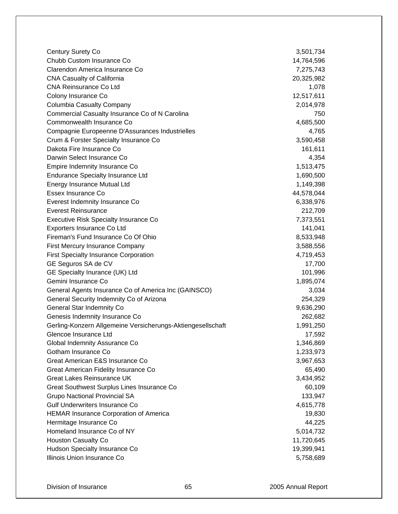| <b>Century Surety Co</b>                                    | 3,501,734  |
|-------------------------------------------------------------|------------|
| Chubb Custom Insurance Co                                   | 14,764,596 |
| Clarendon America Insurance Co                              | 7,275,743  |
| <b>CNA Casualty of California</b>                           | 20,325,982 |
| <b>CNA Reinsurance Co Ltd</b>                               | 1,078      |
| Colony Insurance Co                                         | 12,517,611 |
| Columbia Casualty Company                                   | 2,014,978  |
| Commercial Casualty Insurance Co of N Carolina              | 750        |
| Commonwealth Insurance Co                                   | 4,685,500  |
| Compagnie Europeenne D'Assurances Industrielles             | 4,765      |
| Crum & Forster Specialty Insurance Co                       | 3,590,458  |
| Dakota Fire Insurance Co                                    | 161,611    |
| Darwin Select Insurance Co                                  | 4,354      |
| Empire Indemnity Insurance Co                               | 1,513,475  |
| <b>Endurance Specialty Insurance Ltd</b>                    | 1,690,500  |
| Energy Insurance Mutual Ltd                                 | 1,149,398  |
| Essex Insurance Co                                          | 44,578,044 |
| Everest Indemnity Insurance Co                              | 6,338,976  |
| <b>Everest Reinsurance</b>                                  | 212,709    |
| Executive Risk Specialty Insurance Co                       | 7,373,551  |
| Exporters Insurance Co Ltd                                  | 141,041    |
| Fireman's Fund Insurance Co Of Ohio                         | 8,533,948  |
| First Mercury Insurance Company                             | 3,588,556  |
| <b>First Specialty Insurance Corporation</b>                | 4,719,453  |
| GE Seguros SA de CV                                         | 17,700     |
| GE Specialty Inurance (UK) Ltd                              | 101,996    |
| Gemini Insurance Co                                         | 1,895,074  |
| General Agents Insurance Co of America Inc (GAINSCO)        | 3,034      |
| General Security Indemnity Co of Arizona                    | 254,329    |
| <b>General Star Indemnity Co</b>                            | 9,636,290  |
| Genesis Indemnity Insurance Co                              | 262,682    |
| Gerling-Konzern Allgemeine Versicherungs-Aktiengesellschaft | 1,991,250  |
| Glencoe Insurance Ltd                                       | 17,592     |
| Global Indemnity Assurance Co                               | 1,346,869  |
| Gotham Insurance Co                                         | 1,233,973  |
| Great American E&S Insurance Co                             | 3,967,653  |
| Great American Fidelity Insurance Co                        | 65,490     |
| <b>Great Lakes Reinsurance UK</b>                           | 3,434,952  |
| Great Southwest Surplus Lines Insurance Co                  | 60,109     |
| <b>Grupo Nactional Provincial SA</b>                        | 133,947    |
| Gulf Underwriters Insurance Co                              | 4,615,778  |
| <b>HEMAR Insurance Corporation of America</b>               | 19,830     |
| Hermitage Insurance Co                                      | 44,225     |
| Homeland Insurance Co of NY                                 | 5,014,732  |
| <b>Houston Casualty Co</b>                                  | 11,720,645 |
| Hudson Specialty Insurance Co                               | 19,399,941 |
| Illinois Union Insurance Co                                 | 5,758,689  |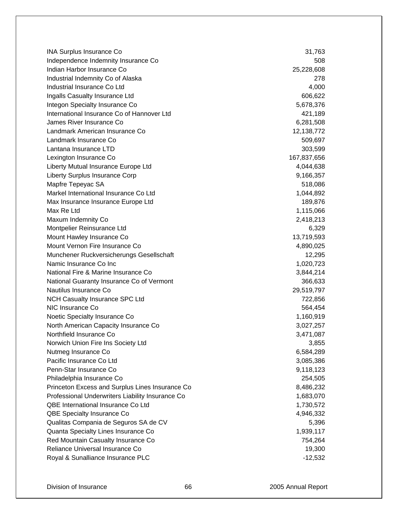INA Surplus Insurance Co 31,763 Independence Indemnity Insurance Co 508 Indian Harbor Insurance Co 25,228,608 Industrial Indemnity Co of Alaska 278 Industrial Insurance Co Ltd 4,000 Ingalls Casualty Insurance Ltd 606,622 Integon Specialty Insurance Co 5,678,376 International Insurance Co of Hannover Ltd 421,189 James River Insurance Co 6,281,508 Landmark American Insurance Co 12,138,772 Landmark Insurance Co 509,697 Lantana Insurance LTD 303,599 Lexington Insurance Co 167,837,656 Liberty Mutual Insurance Europe Ltd 4,044,638 Liberty Surplus Insurance Corp 6. 2012 12:30 12:30 12:30 13:30 14:30 15:357 Mapfre Tepeyac SA 618,086 Markel International Insurance Co Ltd 1,044,892 Max Insurance Insurance Europe Ltd 189,876 Max Re Ltd 1,115,066 Maxum Indemnity Co 2,418,213 Montpelier Reinsurance Ltd 6,329 Mount Hawley Insurance Co 13,719,593 Mount Vernon Fire Insurance Co 4,890,025 Munchener Ruckversicherungs Gesellschaft 12,295 Namic Insurance Co Inc 1,020,723 National Fire & Marine Insurance Co 3,844,214 National Guaranty Insurance Co of Vermont 366,633 Nautilus Insurance Co 29,519,797 NCH Casualty Insurance SPC Ltd **722,856** NIC Insurance Co 564,454 Noetic Specialty Insurance Co 1,160,919 North American Capacity Insurance Co 3,027,257 Northfield Insurance Co 3,471,087 Norwich Union Fire Ins Society Ltd 3,855 Nutmeg Insurance Co 6,584,289 Pacific Insurance Co Ltd 3,085,386 Penn-Star Insurance Co 9,118,123 Philadelphia Insurance Co 254,505 Princeton Excess and Surplus Lines Insurance Co 8,486,232 Professional Underwriters Liability Insurance Co 1,683,070 QBE International Insurance Co Ltd 1,730,572 QBE Specialty Insurance Co **4,946,332** and 4,946,332 Qualitas Compania de Seguros SA de CV 600 de Companiones de São 5,396 Quanta Specialty Lines Insurance Co 1,939,117 Red Mountain Casualty Insurance Co 754,264 Reliance Universal Insurance Co 19, 200 and 20, 200 and 20, 200 and 20, 200 and 20, 200 and 20, 200 and 20, 200 and 20, 200 and 20, 200 and 20, 200 and 20, 200 and 20, 200 and 20, 200 and 20, 200 and 20, 200 and 20, 200 an Royal & Sunalliance Insurance PLC -12,532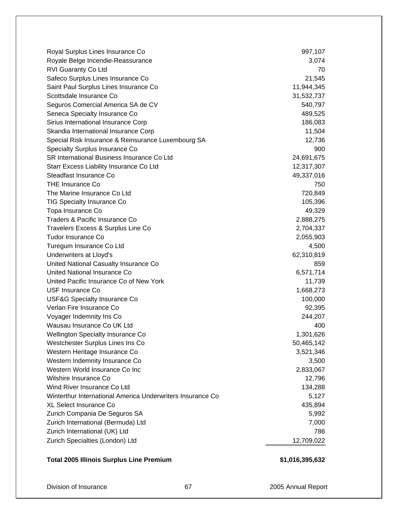| Royal Surplus Lines Insurance Co                           | 997,107    |
|------------------------------------------------------------|------------|
| Royale Belge Incendie-Reassurance                          | 3,074      |
| RVI Guaranty Co Ltd                                        | 70         |
| Safeco Surplus Lines Insurance Co                          | 21,545     |
| Saint Paul Surplus Lines Insurance Co                      | 11,944,345 |
| Scottsdale Insurance Co                                    | 31,532,737 |
| Seguros Comercial America SA de CV                         | 540,797    |
| Seneca Specialty Insurance Co                              | 489,525    |
| Sirius International Insurance Corp                        | 186,083    |
| Skandia International Insurance Corp                       | 11,504     |
| Special Risk Insurance & Reinsurance Luxembourg SA         | 12,736     |
| <b>Specialty Surplus Insurance Co</b>                      | 900        |
| SR International Business Insurance Co Ltd                 | 24,691,675 |
| Starr Excess Liability Insurance Co Ltd                    | 12,317,307 |
| Steadfast Insurance Co                                     | 49,337,016 |
| <b>THE Insurance Co</b>                                    | 750        |
| The Marine Insurance Co Ltd                                | 720,849    |
| TIG Specialty Insurance Co                                 | 105,396    |
| Topa Insurance Co                                          | 49,329     |
| Traders & Pacific Insurance Co                             | 2,888,275  |
| Travelers Excess & Surplus Line Co                         | 2,704,337  |
| <b>Tudor Insurance Co</b>                                  | 2,055,903  |
| Turegum Insurance Co Ltd                                   | 4,500      |
| Underwriters at Lloyd's                                    | 62,310,819 |
| United National Casualty Insurance Co                      | 859        |
| United National Insurance Co                               | 6,571,714  |
| United Pacific Insurance Co of New York                    | 11,739     |
| USF Insurance Co                                           | 1,668,273  |
| <b>USF&amp;G Specialty Insurance Co</b>                    | 100,000    |
| Verlan Fire Insurance Co                                   | 92,395     |
| Voyager Indemnity Ins Co                                   | 244,207    |
| Wausau Insurance Co UK Ltd                                 | 400        |
| Wellington Specialty Insurance Co                          | 1,301,626  |
| Westchester Surplus Lines Ins Co                           | 50,465,142 |
| Western Heritage Insurance Co                              | 3,521,346  |
| Western Indemnity Insurance Co                             | 3,500      |
| Western World Insurance Co Inc                             | 2,833,067  |
| Wilshire Insurance Co                                      | 12,796     |
| Wind River Insurance Co Ltd                                | 134,288    |
| Winterthur International America Underwriters Insurance Co | 5,127      |
| XL Select Insurance Co                                     | 435,894    |
| Zurich Compania De Seguros SA                              | 5,992      |
| Zurich International (Bermuda) Ltd                         | 7,000      |
| Zurich International (UK) Ltd                              | 786        |
| Zurich Specialties (London) Ltd                            | 12,709,022 |
|                                                            |            |

# **Total 2005 Illinois Surplus Line Premium \$1,016,395,632**

Division of Insurance 67 2005 Annual Report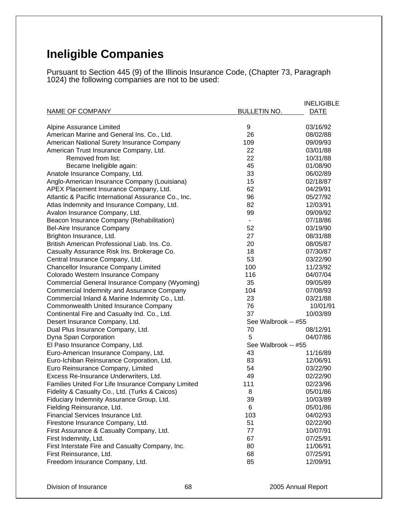# **Ineligible Companies**

Pursuant to Section 445 (9) of the Illinois Insurance Code, (Chapter 73, Paragraph 1024) the following companies are not to be used:

| <b>NAME OF COMPANY</b>                                                   | <b>BULLETIN NO.</b> | <b>INELIGIBLE</b><br><b>DATE</b> |
|--------------------------------------------------------------------------|---------------------|----------------------------------|
| Alpine Assurance Limited                                                 | 9                   | 03/16/92                         |
| American Marine and General Ins. Co., Ltd.                               | 26                  | 08/02/88                         |
| American National Surety Insurance Company                               | 109                 | 09/09/93                         |
| American Trust Insurance Company, Ltd.                                   | 22                  | 03/01/88                         |
| Removed from list:                                                       | 22                  | 10/31/88                         |
| Became Ineligible again:                                                 | 45                  | 01/08/90                         |
|                                                                          | 33                  | 06/02/89                         |
| Anatole Insurance Company, Ltd.                                          | 15                  | 02/18/87                         |
| Anglo-American Insurance Company (Louisiana)                             | 62                  | 04/29/91                         |
| APEX Placement Insurance Company, Ltd.                                   | 96                  | 05/27/92                         |
| Atlantic & Pacific International Assurance Co., Inc.                     | 82                  | 12/03/91                         |
| Atlas Indemnity and Insurance Company, Ltd.                              | 99                  | 09/09/92                         |
| Avalon Insurance Company, Ltd.                                           |                     | 07/18/86                         |
| Beacon Insurance Company (Rehabilitation)                                | 52                  |                                  |
| Bel-Aire Insurance Company                                               |                     | 03/19/90                         |
| Brighton Insurance, Ltd.<br>British American Professional Liab. Ins. Co. | 27<br>20            | 08/31/88<br>08/05/87             |
|                                                                          | 18                  |                                  |
| Casualty Assurance Risk Ins. Brokerage Co.                               |                     | 07/30/87                         |
| Central Insurance Company, Ltd.                                          | 53                  | 03/22/90                         |
| <b>Chancellor Insurance Company Limited</b>                              | 100                 | 11/23/92                         |
| Colorado Western Insurance Company                                       | 116                 | 04/07/04                         |
| Commercial General Insurance Company (Wyoming)                           | 35                  | 09/05/89                         |
| Commercial Indemnity and Assurance Company                               | 104                 | 07/08/93                         |
| Commercial Inland & Marine Indemnity Co., Ltd.                           | 23                  | 03/21/88                         |
| Commonwealth United Insurance Company                                    | 76                  | 10/01/91                         |
| Continental Fire and Casualty Ind. Co., Ltd.                             | 37                  | 10/03/89                         |
| Desert Insurance Company, Ltd.                                           | See Walbrook -- #55 |                                  |
| Dual Plus Insurance Company, Ltd.                                        | 70                  | 08/12/91                         |
| Dyna Span Corporation                                                    | 5                   | 04/07/86                         |
| El Paso Insurance Company, Ltd.                                          | See Walbrook -- #55 |                                  |
| Euro-American Insurance Company, Ltd.                                    | 43                  | 11/16/89                         |
| Euro-Ichiban Reinsurance Corporation, Ltd.                               | 83                  | 12/06/91                         |
| Euro Reinsurance Company, Limited                                        | 54                  | 03/22/90                         |
| Excess Re-Insurance Underwriters, Ltd.                                   | 49                  | 02/22/90                         |
| Families United For Life Insurance Company Limited                       | 111                 | 02/23/96                         |
| Fidelity & Casualty Co., Ltd. (Turks & Caicos)                           | 8                   | 05/01/86                         |
| Fiduciary Indemnity Assurance Group, Ltd.                                | 39                  | 10/03/89                         |
| Fielding Reinsurance, Ltd.                                               | 6                   | 05/01/86                         |
| Financial Services Insurance Ltd.                                        | 103                 | 04/02/93                         |
| Firestone Insurance Company, Ltd.                                        | 51                  | 02/22/90                         |
| First Assurance & Casualty Company, Ltd.                                 | 77                  | 10/07/91                         |
| First Indemnity, Ltd.                                                    | 67                  | 07/25/91                         |
| First Interstate Fire and Casualty Company, Inc.                         | 80                  | 11/06/91                         |
| First Reinsurance, Ltd.                                                  | 68                  | 07/25/91                         |
| Freedom Insurance Company, Ltd.                                          | 85                  | 12/09/91                         |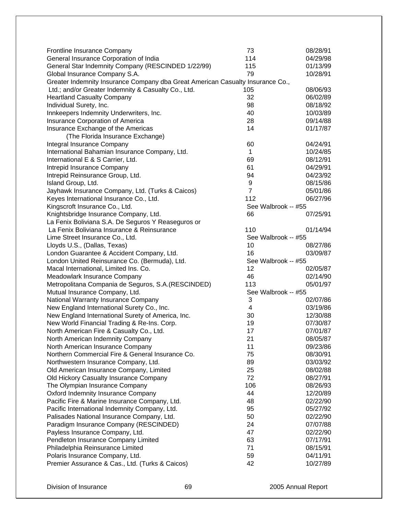| Frontline Insurance Company                                                    | 73                  | 08/28/91 |
|--------------------------------------------------------------------------------|---------------------|----------|
| General Insurance Corporation of India                                         | 114                 | 04/29/98 |
| General Star Indemnity Company (RESCINDED 1/22/99)                             | 115                 | 01/13/99 |
| Global Insurance Company S.A.                                                  | 79                  | 10/28/91 |
| Greater Indemnity Insurance Company dba Great American Casualty Insurance Co., |                     |          |
| Ltd.; and/or Greater Indemnity & Casualty Co., Ltd.                            | 105                 | 08/06/93 |
| <b>Heartland Casualty Company</b>                                              | 32                  | 06/02/89 |
| Individual Surety, Inc.                                                        | 98                  | 08/18/92 |
| Innkeepers Indemnity Underwriters, Inc.                                        | 40                  | 10/03/89 |
| Insurance Corporation of America                                               | 28                  | 09/14/88 |
| Insurance Exchange of the Americas                                             | 14                  | 01/17/87 |
| (The Florida Insurance Exchange)                                               |                     |          |
|                                                                                | 60                  | 04/24/91 |
| Integral Insurance Company<br>International Bahamian Insurance Company, Ltd.   | $\mathbf{1}$        | 10/24/85 |
|                                                                                | 69                  | 08/12/91 |
| International E & S Carrier, Ltd.                                              |                     |          |
| Intrepid Insurance Company                                                     | 61                  | 04/29/91 |
| Intrepid Reinsurance Group, Ltd.                                               | 94                  | 04/23/92 |
| Island Group, Ltd.                                                             | 9                   | 08/15/86 |
| Jayhawk Insurance Company, Ltd. (Turks & Caicos)                               | $\overline{7}$      | 05/01/86 |
| Keyes International Insurance Co., Ltd.                                        | 112                 | 06/27/96 |
| Kingscroft Insurance Co., Ltd.                                                 | See Walbrook -- #55 |          |
| Knightsbridge Insurance Company, Ltd.                                          | 66                  | 07/25/91 |
| La Fenix Boliviana S.A. De Seguros Y Reaseguros or                             |                     |          |
| La Fenix Boliviana Insurance & Reinsurance                                     | 110                 | 01/14/94 |
| Lime Street Insurance Co., Ltd.                                                | See Walbrook -- #55 |          |
| Lloyds U.S., (Dallas, Texas)                                                   | 10                  | 08/27/86 |
| London Guarantee & Accident Company, Ltd.                                      | 16                  | 03/09/87 |
| London United Reinsurance Co. (Bermuda), Ltd.                                  | See Walbrook -- #55 |          |
| Macal International, Limited Ins. Co.                                          | 12                  | 02/05/87 |
| Meadowlark Insurance Company                                                   | 46                  | 02/14/90 |
| Metropolitana Compania de Seguros, S.A. (RESCINDED)                            | 113                 | 05/01/97 |
| Mutual Insurance Company, Ltd.                                                 | See Walbrook -- #55 |          |
| National Warranty Insurance Company                                            | 3                   | 02/07/86 |
| New England International Surety Co., Inc.                                     | 4                   | 03/19/86 |
| New England International Surety of America, Inc.                              | 30                  | 12/30/88 |
| New World Financial Trading & Re-Ins. Corp.                                    | 19                  | 07/30/87 |
| North American Fire & Casualty Co., Ltd.                                       | 17                  | 07/01/87 |
| North American Indemnity Company                                               | 21                  | 08/05/87 |
| North American Insurance Company                                               | 11                  | 09/23/86 |
| Northern Commercial Fire & General Insurance Co.                               | 75                  | 08/30/91 |
| Northwestern Insurance Company, Ltd.                                           | 89                  | 03/03/92 |
| Old American Insurance Company, Limited                                        | 25                  | 08/02/88 |
| Old Hickory Casualty Insurance Company                                         | 72                  | 08/27/91 |
| The Olympian Insurance Company                                                 | 106                 | 08/26/93 |
| <b>Oxford Indemnity Insurance Company</b>                                      | 44                  | 12/20/89 |
| Pacific Fire & Marine Insurance Company, Ltd.                                  | 48                  | 02/22/90 |
| Pacific International Indemnity Company, Ltd.                                  | 95                  | 05/27/92 |
| Palisades National Insurance Company, Ltd.                                     | 50                  | 02/22/90 |
| Paradigm Insurance Company (RESCINDED)                                         | 24                  | 07/07/88 |
| Payless Insurance Company, Ltd.                                                | 47                  | 02/22/90 |
| Pendleton Insurance Company Limited                                            | 63                  | 07/17/91 |
| Philadelphia Reinsurance Limited                                               | 71                  | 08/15/91 |
| Polaris Insurance Company, Ltd.                                                | 59                  | 04/11/91 |
| Premier Assurance & Cas., Ltd. (Turks & Caicos)                                | 42                  | 10/27/89 |
|                                                                                |                     |          |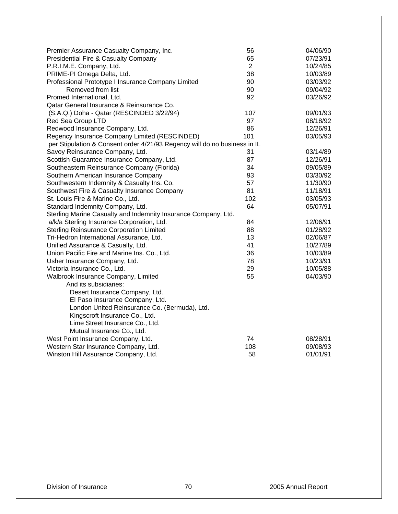| Premier Assurance Casualty Company, Inc.                                  | 56             | 04/06/90 |
|---------------------------------------------------------------------------|----------------|----------|
| Presidential Fire & Casualty Company                                      | 65             | 07/23/91 |
| P.R.I.M.E. Company, Ltd.                                                  | $\overline{2}$ | 10/24/85 |
| PRIME-PI Omega Delta, Ltd.                                                | 38             | 10/03/89 |
| Professional Prototype I Insurance Company Limited                        | 90             | 03/03/92 |
| Removed from list                                                         | 90             | 09/04/92 |
| Promed International, Ltd.                                                | 92             | 03/26/92 |
| Qatar General Insurance & Reinsurance Co.                                 |                |          |
| (S.A.Q.) Doha - Qatar (RESCINDED 3/22/94)                                 | 107            | 09/01/93 |
| Red Sea Group LTD                                                         | 97             | 08/18/92 |
| Redwood Insurance Company, Ltd.                                           | 86             | 12/26/91 |
| Regency Insurance Company Limited (RESCINDED)                             | 101            | 03/05/93 |
| per Stipulation & Consent order 4/21/93 Regency will do no business in IL |                |          |
| Savoy Reinsurance Company, Ltd.                                           | 31             | 03/14/89 |
| Scottish Guarantee Insurance Company, Ltd.                                | 87             | 12/26/91 |
| Southeastern Reinsurance Company (Florida)                                | 34             | 09/05/89 |
| Southern American Insurance Company                                       | 93             | 03/30/92 |
| Southwestern Indemnity & Casualty Ins. Co.                                | 57             | 11/30/90 |
| Southwest Fire & Casualty Insurance Company                               | 81             | 11/18/91 |
| St. Louis Fire & Marine Co., Ltd.                                         | 102            | 03/05/93 |
| Standard Indemnity Company, Ltd.                                          | 64             | 05/07/91 |
| Sterling Marine Casualty and Indemnity Insurance Company, Ltd.            |                |          |
| a/k/a Sterling Insurance Corporation, Ltd.                                | 84             | 12/06/91 |
| <b>Sterling Reinsurance Corporation Limited</b>                           | 88             | 01/28/92 |
| Tri-Hedron International Assurance, Ltd.                                  | 13             | 02/06/87 |
| Unified Assurance & Casualty, Ltd.                                        | 41             | 10/27/89 |
| Union Pacific Fire and Marine Ins. Co., Ltd.                              | 36             | 10/03/89 |
| Usher Insurance Company, Ltd.                                             | 78             | 10/23/91 |
| Victoria Insurance Co., Ltd.                                              | 29             | 10/05/88 |
| Walbrook Insurance Company, Limited                                       | 55             | 04/03/90 |
| And its subsidiaries:                                                     |                |          |
| Desert Insurance Company, Ltd.                                            |                |          |
| El Paso Insurance Company, Ltd.                                           |                |          |
| London United Reinsurance Co. (Bermuda), Ltd.                             |                |          |
| Kingscroft Insurance Co., Ltd.                                            |                |          |
| Lime Street Insurance Co., Ltd.                                           |                |          |
| Mutual Insurance Co., Ltd.                                                |                |          |
| West Point Insurance Company, Ltd.                                        | 74             | 08/28/91 |
| Western Star Insurance Company, Ltd.                                      | 108            | 09/08/93 |
| Winston Hill Assurance Company, Ltd.                                      | 58             | 01/01/91 |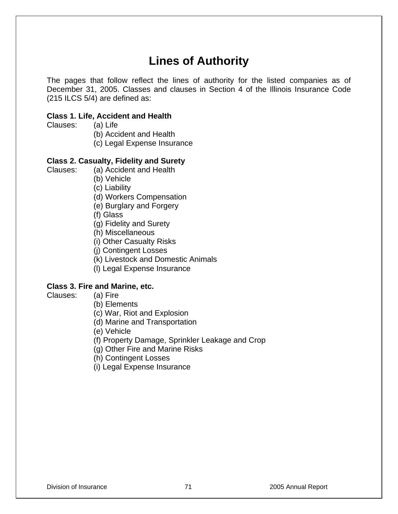# **Lines of Authority**

The pages that follow reflect the lines of authority for the listed companies as of December 31, 2005. Classes and clauses in Section 4 of the Illinois Insurance Code (215 ILCS 5/4) are defined as:

### **Class 1. Life, Accident and Health**

Clauses: (a) Life

- (b) Accident and Health
- (c) Legal Expense Insurance

## **Class 2. Casualty, Fidelity and Surety**

- Clauses: (a) Accident and Health
	- (b) Vehicle
	- (c) Liability
	- (d) Workers Compensation
	- (e) Burglary and Forgery
	- (f) Glass
	- (g) Fidelity and Surety
	- (h) Miscellaneous
	- (i) Other Casualty Risks
	- (j) Contingent Losses
	- (k) Livestock and Domestic Animals
	- (l) Legal Expense Insurance

# **Class 3. Fire and Marine, etc.**

- Clauses: (a) Fire
	- (b) Elements
	- (c) War, Riot and Explosion
	- (d) Marine and Transportation
	- (e) Vehicle
	- (f) Property Damage, Sprinkler Leakage and Crop
	- (g) Other Fire and Marine Risks
	- (h) Contingent Losses
	- (i) Legal Expense Insurance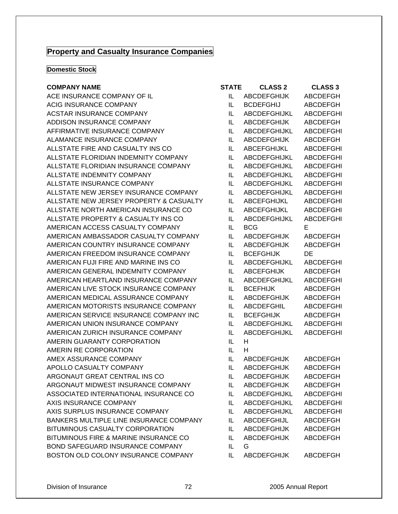# **Property and Casualty Insurance Companies**

#### **Domestic Stock**

#### **COMPANY NAME**

ACE INSURANCE COMPANY OF IL ACIG INSURANCE COMPANY ACSTAR INSURANCE COMPANY ADDISON INSURANCE COMPANY AFFIRMATIVE INSURANCE COMPANY ALAMANCE INSURANCE COMPANY ALLSTATE FIRE AND CASUALTY INS CO ALLSTATE FLORIDIAN INDEMNITY COMPANY ALLSTATE FLORIDIAN INSURANCE COMPANY ALLSTATE INDEMNITY COMPANY ALLSTATE INSURANCE COMPANY ALLSTATE NEW JERSEY INSURANCE COMPANY ALLSTATE NEW JERSEY PROPERTY & CASUALTY ALLSTATE NORTH AMERICAN INSURANCE CO ALLSTATE PROPERTY & CASUALTY INS CO AMERICAN ACCESS CASUALTY COMPANY AMERICAN AMBASSADOR CASUALTY COMPANY AMERICAN COUNTRY INSURANCE COMPANY AMERICAN FREEDOM INSURANCE COMPANY AMERICAN FUJI FIRE AND MARINE INS CO AMERICAN GENERAL INDEMNITY COMPANY AMERICAN HEARTLAND INSURANCE COMPANY AMERICAN LIVE STOCK INSURANCE COMPANY AMERICAN MEDICAL ASSURANCE COMPANY AMERICAN MOTORISTS INSURANCE COMPANY AMERICAN SERVICE INSURANCE COMPANY INC AMERICAN UNION INSURANCE COMPANY AMERICAN ZURICH INSURANCE COMPANY AMERIN GUARANTY CORPORATION AMERIN RE CORPORATION AMEX ASSURANCE COMPANY APOLLO CASUALTY COMPANY ARGONAUT GREAT CENTRAL INS CO ARGONAUT MIDWEST INSURANCE COMPANY ASSOCIATED INTERNATIONAL INSURANCE CO AXIS INSURANCE COMPANY AXIS SURPLUS INSURANCE COMPANY BANKERS MULTIPLE LINE INSURANCE COMPANY BITUMINOUS CASUALTY CORPORATION BITUMINOUS FIRE & MARINE INSURANCE CO BOND SAFEGUARD INSURANCE COMPANY BOSTON OLD COLONY INSURANCE COMPANY IL ABCDEFGHIJK ABCDEFGH

| STATE | <b>CLASS 2</b>      | <b>CLASS 3</b>   |
|-------|---------------------|------------------|
| IL    | <b>ABCDEFGHIJK</b>  | ABCDEFGH         |
| IL    | <b>BCDEFGHIJ</b>    | ABCDEFGH         |
| IL    | <b>ABCDEFGHIJKL</b> | <b>ABCDEFGHI</b> |
| IL    | <b>ABCDEFGHIJK</b>  | ABCDEFGH         |
| IL    | <b>ABCDEFGHIJKL</b> | <b>ABCDEFGHI</b> |
| IL    | <b>ABCDEFGHIJK</b>  | ABCDEFGH         |
| IL    | <b>ABCEFGHIJKL</b>  | <b>ABCDEFGHI</b> |
| IL    | <b>ABCDEFGHIJKL</b> | <b>ABCDEFGHI</b> |
| IL    | <b>ABCDEFGHIJKL</b> | <b>ABCDEFGHI</b> |
| IL    | <b>ABCDEFGHIJKL</b> | <b>ABCDEFGHI</b> |
| IL    | <b>ABCDEFGHIJKL</b> | <b>ABCDEFGHI</b> |
| IL    | <b>ABCDEFGHIJKL</b> | <b>ABCDEFGHI</b> |
| IL    | <b>ABCEFGHIJKL</b>  | <b>ABCDEFGHI</b> |
| IL    | <b>ABCEFGHIJKL</b>  | <b>ABCDEFGHI</b> |
| IL    | <b>ABCDEFGHIJKL</b> | <b>ABCDEFGHI</b> |
| IL    | <b>BCG</b>          | Е                |
| IL    | <b>ABCDEFGHIJK</b>  | ABCDEFGH         |
| IL    | <b>ABCDEFGHIJK</b>  | <b>ABCDEFGH</b>  |
| IL    | <b>BCEFGHIJK</b>    | DE               |
| IL    | <b>ABCDEFGHIJKL</b> | <b>ABCDEFGHI</b> |
| IL    | <b>ABCEFGHIJK</b>   | ABCDEFGH         |
| IL    | <b>ABCDEFGHIJKL</b> | <b>ABCDEFGHI</b> |
| IL    | <b>BCEFHIJK</b>     | ABCDEFGH         |
| IL    | <b>ABCDEFGHIJK</b>  | ABCDEFGH         |
| IL    | <b>ABCDEFGHIL</b>   | <b>ABCDEFGHI</b> |
| IL    | <b>BCEFGHIJK</b>    | ABCDEFGH         |
| IL    | <b>ABCDEFGHIJKL</b> | <b>ABCDEFGHI</b> |
| IL    | <b>ABCDEFGHIJKL</b> | <b>ABCDEFGHI</b> |
| IL    | н                   |                  |
| IL    | н                   |                  |
| IL    | <b>ABCDEFGHIJK</b>  | <b>ABCDEFGH</b>  |
| IL    | <b>ABCDEFGHIJK</b>  | <b>ABCDEFGH</b>  |
| IL    | <b>ABCDEFGHIJK</b>  | <b>ABCDEFGH</b>  |
| IL    | <b>ABCDEFGHIJK</b>  | <b>ABCDEFGH</b>  |
| IL    | <b>ABCDEFGHIJKL</b> | <b>ABCDEFGHI</b> |
| IL    | ABCDEFGHIJKL        | <b>ABCDEFGHI</b> |
| IL    | ABCDEFGHIJKL        | <b>ABCDEFGHI</b> |
| IL    | ABCDEFGHIJL         | <b>ABCDEFGH</b>  |
| IL    | <b>ABCDEFGHIJK</b>  | <b>ABCDEFGH</b>  |
| IL    | <b>ABCDEFGHIJK</b>  | <b>ABCDEFGH</b>  |
| IL    | G                   |                  |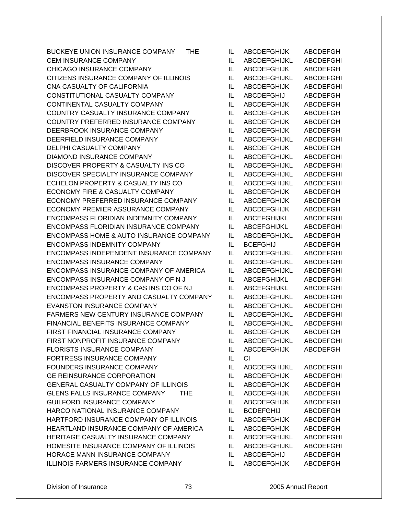BUCKEYE UNION INSURANCE COMPANY THE IL ABCDEFGHIJK ABCDEFGH CEM INSURANCE COMPANY **ILLY ABCDEFGHIJKL** ABCDEFGHI CHICAGO INSURANCE COMPANY IL ABCDEFGHIJK ABCDEFGH CITIZENS INSURANCE COMPANY OF ILLINOIS IL ABCDEFGHIJKL ABCDEFGHI CNA CASUALTY OF CALIFORNIA ILLET ABCDEFGHIJK ABCDEFGHI CONSTITUTIONAL CASUALTY COMPANY IL ABCDEFGHIJ ABCDEFGH CONTINENTAL CASUALTY COMPANY IL ABCDEFGHIJK ABCDEFGH COUNTRY CASUALTY INSURANCE COMPANY IL ABCDEFGHIJK ABCDEFGH COUNTRY PREFERRED INSURANCE COMPANY IL ABCDEFGHIJK ABCDEFGH DEERBROOK INSURANCE COMPANY IL ABCDEFGHIJK ABCDEFGH DEERFIELD INSURANCE COMPANY IL ABCDEFGHIJKL ABCDEFGHI DELPHI CASUALTY COMPANY **ILLET ABCDEFGHIJK ABCDEFGH** DIAMOND INSURANCE COMPANY IL ABCDEFGHIJKL ABCDEFGHI DISCOVER PROPERTY & CASUALTY INS CO IL ABCDEFGHIJKL ABCDEFGHI DISCOVER SPECIALTY INSURANCE COMPANY IL ABCDEFGHIJKL ABCDEFGHI ECHELON PROPERTY & CASUALTY INS CO IL ABCDEFGHIJKL ABCDEFGHI ECONOMY FIRE & CASUALTY COMPANY IL ABCDEFGHIJK ABCDEFGH ECONOMY PREFERRED INSURANCE COMPANY IL ABCDEFGHIJK ABCDEFGH ECONOMY PREMIER ASSURANCE COMPANY IL ABCDEFGHIJK ABCDEFGH ENCOMPASS FLORIDIAN INDEMNITY COMPANY IL ABCEFGHIJKL ABCDEFGHI ENCOMPASS FLORIDIAN INSURANCE COMPANY IL ABCEFGHIJKL ABCDEFGHI ENCOMPASS HOME & AUTO INSURANCE COMPANY IL ABCDEFGHIJKL ABCDEFGH ENCOMPASS INDEMNITY COMPANY IL BCEFGHIJ ABCDEFGH ENCOMPASS INDEPENDENT INSURANCE COMPANY IL ABCDEFGHIJKL ABCDEFGHI ENCOMPASS INSURANCE COMPANY IL ABCDEFGHIJKL ABCDEFGHI ENCOMPASS INSURANCE COMPANY OF AMERICA IL ABCDEFGHIJKL ABCDEFGHI ENCOMPASS INSURANCE COMPANY OF N J LABCEFGHIJKL ABCDEFGHI ENCOMPASS PROPERTY & CAS INS CO OF NJ IL ABCEFGHIJKL ABCDEFGHI ENCOMPASS PROPERTY AND CASUALTY COMPANY IL ABCDEFGHIJKL ABCDEFGHI EVANSTON INSURANCE COMPANY IL ABCDEFGHIJKL ABCDEFGHI FARMERS NEW CENTURY INSURANCE COMPANY IL ABCDEFGHIJKL ABCDEFGHI FINANCIAL BENEFITS INSURANCE COMPANY IL ABCDEFGHIJKL ABCDEFGHI FIRST FINANCIAL INSURANCE COMPANY IL ABCDEFGHIJK ABCDEFGH FIRST NONPROFIT INSURANCE COMPANY IL ABCDEFGHIJKL ABCDEFGHI FLORISTS INSURANCE COMPANY **ILLY ABCDEFGHIJK ABCDEFGH** FORTRESS INSURANCE COMPANY IL CI FOUNDERS INSURANCE COMPANY IL ABCDEFGHIJKL ABCDEFGHI GE REINSURANCE CORPORATION ILLETTING ABCDEFGHIJK ABCDEFGHI GENERAL CASUALTY COMPANY OF ILLINOIS IL ABCDEFGHIJK ABCDEFGH GLENS FALLS INSURANCE COMPANY THE IL ABCDEFGHIJK ABCDEFGH GUILFORD INSURANCE COMPANY **IL** ABCDEFGHIJK ABCDEFGH HARCO NATIONAL INSURANCE COMPANY IL BCDEFGHIJ ABCDEFGH HARTFORD INSURANCE COMPANY OF ILLINOIS IL ABCDEFGHIJK ABCDEFGH HEARTLAND INSURANCE COMPANY OF AMERICA IL ABCDEFGHIJK ABCDEFGH HERITAGE CASUALTY INSURANCE COMPANY IL ABCDEFGHIJKL ABCDEFGHI HOMESITE INSURANCE COMPANY OF ILLINOIS IL ABCDEFGHIJKL ABCDEFGHI HORACE MANN INSURANCE COMPANY IL ABCDEFGHIJ ABCDEFGH ILLINOIS FARMERS INSURANCE COMPANY IL ABCDEFGHIJK ABCDEFGH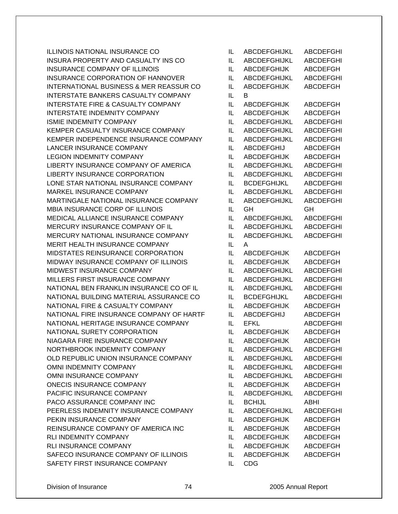ILLINOIS NATIONAL INSURANCE CO IL ABCDEFGHIJKL ABCDEFGHI INSURA PROPERTY AND CASUALTY INS CO IL ABCDEFGHIJKL ABCDEFGHI INSURANCE COMPANY OF ILLINOIS ILLETTING ILLETTING ABCDEFGHIJK ABCDEFGH INSURANCE CORPORATION OF HANNOVER IL ABCDEFGHIJKL ABCDEFGHI INTERNATIONAL BUSINESS & MER REASSUR CO IL ABCDEFGHIJK ABCDEFGH INTERSTATE BANKERS CASUALTY COMPANY IL B INTERSTATE FIRE & CASUALTY COMPANY IL ABCDEFGHIJK ABCDEFGH INTERSTATE INDEMNITY COMPANY IL ABCDEFGHIJK ABCDEFGH ISMIE INDEMNITY COMPANY **ILLY ABCDEFGHIJKL ABCDEFGHI** KEMPER CASUALTY INSURANCE COMPANY IL ABCDEFGHIJKL ABCDEFGHI KEMPER INDEPENDENCE INSURANCE COMPANY IL ABCDEFGHIJKL ABCDEFGHI LANCER INSURANCE COMPANY **ILLY ABCDEFGHIJ** ABCDEFGH LEGION INDEMNITY COMPANY **IL ABCDEFGHIJK ABCDEFGH** LIBERTY INSURANCE COMPANY OF AMERICA IL ABCDEFGHIJKL ABCDEFGHI LIBERTY INSURANCE CORPORATION IL ABCDEFGHIJKL ABCDEFGHI LONE STAR NATIONAL INSURANCE COMPANY IL BCDEFGHIJKL ABCDEFGHI MARKEL INSURANCE COMPANY IL ABCDEFGHIJKL ABCDEFGHI MARTINGALE NATIONAL INSURANCE COMPANY IL ABCDEFGHIJKL ABCDEFGHI MBIA INSURANCE CORP OF ILLINOIS IL GH GH MEDICAL ALLIANCE INSURANCE COMPANY IL ABCDEFGHIJKL ABCDEFGHI MERCURY INSURANCE COMPANY OF IL ILLETTING ABCDEFGHIJKLE ABCDEFGHI MERCURY NATIONAL INSURANCE COMPANY IL ABCDEFGHIJKL ABCDEFGHI MERIT HEALTH INSURANCE COMPANY IL A MIDSTATES REINSURANCE CORPORATION IL ABCDEFGHIJK ABCDEFGH MIDWAY INSURANCE COMPANY OF ILLINOIS IL ABCDEFGHIJK ABCDEFGH MIDWEST INSURANCE COMPANY IL ABCDEFGHIJKL ABCDEFGHI MILLERS FIRST INSURANCE COMPANY ILL ABCDEFGHIJKL ABCDEFGHI NATIONAL BEN FRANKLIN INSURANCE CO OF IL IL ABCDEFGHIJKL ABCDEFGHI NATIONAL BUILDING MATERIAL ASSURANCE CO IL BCDEFGHIJKL ABCDEFGHI NATIONAL FIRE & CASUALTY COMPANY IL ABCDEFGHIJK ABCDEFGH NATIONAL FIRE INSURANCE COMPANY OF HARTF IL ABCDEFGHIJ ABCDEFGH NATIONAL HERITAGE INSURANCE COMPANY IL EFKL ABCDEFGHI NATIONAL SURETY CORPORATION IL ABCDEFGHIJK ABCDEFGH NIAGARA FIRE INSURANCE COMPANY IL ABCDEFGHIJK ABCDEFGH NORTHBROOK INDEMNITY COMPANY IL ABCDEFGHIJKL ABCDEFGHI OLD REPUBLIC UNION INSURANCE COMPANY IL ABCDEFGHIJKL ABCDEFGHI OMNI INDEMNITY COMPANY **ILLY ABCDEFGHIJKL ABCDEFGHI** OMNI INSURANCE COMPANY IL ABCDEFGHIJKL ABCDEFGHI ONECIS INSURANCE COMPANY **ILLY ABCDEFGHIJK ABCDEFGH** PACIFIC INSURANCE COMPANY IL ABCDEFGHIJKL ABCDEFGHI PACO ASSURANCE COMPANY INC IL BCHIJL BOLITIC ABHI PEERLESS INDEMNITY INSURANCE COMPANY IL ABCDEFGHIJKL ABCDEFGHI PEKIN INSURANCE COMPANY IL ABCDEFGHIJK ABCDEFGH REINSURANCE COMPANY OF AMERICA INC IL ABCDEFGHIJK ABCDEFGH RLI INDEMNITY COMPANY **IL ABCDEFGHIJK** ABCDEFGH RLI INSURANCE COMPANY **ILLY ABCDEFGHIJK ABCDEFGH** SAFECO INSURANCE COMPANY OF ILLINOIS IL ABCDEFGHIJK ABCDEFGH SAFETY FIRST INSURANCE COMPANY IL CDG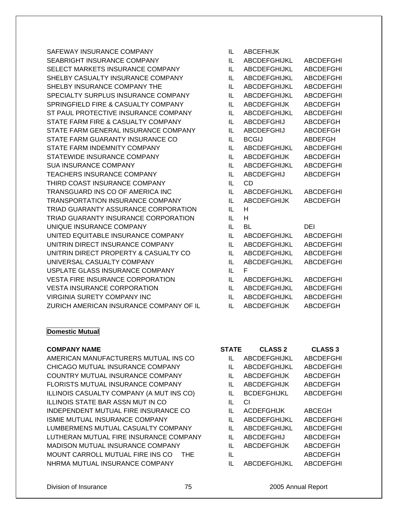SAFEWAY INSURANCE COMPANY SEABRIGHT INSURANCE COMPANY SELECT MARKETS INSURANCE COMPANY SHELBY CASUALTY INSURANCE COMPANY SHELBY INSURANCE COMPANY THE SPECIALTY SURPLUS INSURANCE COMPANY SPRINGFIELD FIRE & CASUALTY COMPANY ST PAUL PROTECTIVE INSURANCE COMPANY STATE FARM FIRE & CASUALTY COMPANY STATE FARM GENERAL INSURANCE COMPANY STATE FARM GUARANTY INSURANCE CO STATE FARM INDEMNITY COMPANY STATEWIDE INSURANCE COMPANY SUA INSURANCE COMPANY TEACHERS INSURANCE COMPANY THIRD COAST INSURANCE COMPANY TRANSGUARD INS CO OF AMERICA INC TRANSPORTATION INSURANCE COMPANY TRIAD GUARANTY ASSURANCE CORPORATION TRIAD GUARANTY INSURANCE CORPORATION UNIQUE INSURANCE COMPANY UNITED EQUITABLE INSURANCE COMPANY UNITRIN DIRECT INSURANCE COMPANY UNITRIN DIRECT PROPERTY & CASUALTY CO UNIVERSAL CASUALTY COMPANY USPLATE GLASS INSURANCE COMPANY VESTA FIRE INSURANCE CORPORATION VESTA INSURANCE CORPORATION VIRGINIA SURETY COMPANY INC ZURICH AMERICAN INSURANCE COMPANY OF IL

## **Domestic Mutual**

#### **COMPANY NAME**

AMERICAN MANUFACTURERS MUTUAL INS CO CHICAGO MUTUAL INSURANCE COMPANY COUNTRY MUTUAL INSURANCE COMPANY FLORISTS MUTUAL INSURANCE COMPANY ILLINOIS CASUALTY COMPANY (A MUT INS CO) ILLINOIS STATE BAR ASSN MUT IN CO INDEPENDENT MUTUAL FIRE INSURANCE CO ISMIE MUTUAL INSURANCE COMPANY LUMBERMENS MUTUAL CASUALTY COMPANY LUTHERAN MUTUAL FIRE INSURANCE COMPANY MADISON MUTUAL INSURANCE COMPANY MOUNT CARROLL MUTUAL FIRE INS CO THE NHRMA MUTUAL INSURANCE COMPANY

| IL | <b>ABCEFHIJK</b>    |                  |
|----|---------------------|------------------|
| IL | ABCDEFGHIJKL        | <b>ABCDEFGHI</b> |
| IL | <b>ABCDEFGHIJKL</b> | <b>ABCDEFGHI</b> |
| IL | <b>ABCDEFGHIJKL</b> | ABCDEFGHI        |
| IL | <b>ABCDEFGHIJKL</b> | <b>ABCDEFGHI</b> |
| IL | <b>ABCDEFGHIJKL</b> | <b>ABCDEFGHI</b> |
| IL | <b>ABCDEFGHIJK</b>  | <b>ABCDEFGH</b>  |
| IL | <b>ABCDEFGHIJKL</b> | <b>ABCDEFGHI</b> |
| IL | <b>ABCDEFGHIJ</b>   | <b>ABCDEFGH</b>  |
| IL | <b>ABCDEFGHIJ</b>   | <b>ABCDEFGH</b>  |
| IL | <b>BCGIJ</b>        | <b>ABDEFGH</b>   |
| IL | <b>ABCDEFGHIJKL</b> | <b>ABCDEFGHI</b> |
| IL | <b>ABCDEFGHIJK</b>  | <b>ABCDEFGH</b>  |
| IL | <b>ABCDEFGHIJKL</b> | <b>ABCDEFGHI</b> |
| IL | <b>ABCDEFGHIJ</b>   | <b>ABCDEFGH</b>  |
| IL | CD                  |                  |
| IL | <b>ABCDEFGHIJKL</b> | <b>ABCDEFGHI</b> |
| IL | <b>ABCDEFGHIJK</b>  | <b>ABCDEFGH</b>  |
| IL | н                   |                  |
| IL | н                   |                  |
| IL | BL                  | DEI              |
| IL | ABCDEFGHIJKL        | <b>ABCDEFGHI</b> |
| IL | <b>ABCDEFGHIJKL</b> | <b>ABCDEFGHI</b> |
| IL | <b>ABCDEFGHIJKL</b> | <b>ABCDEFGHI</b> |
| IL | <b>ABCDEFGHIJKL</b> | <b>ABCDEFGHI</b> |
| IL | F                   |                  |
| IL | <b>ABCDEFGHIJKL</b> | <b>ABCDEFGHI</b> |
| IL | <b>ABCDEFGHIJKL</b> | <b>ABCDEFGHI</b> |
| IL | ABCDEFGHIJKL        | <b>ABCDEFGHI</b> |
| IL | <b>ABCDEFGHIJK</b>  | <b>ABCDEFGH</b>  |

| STATE | <b>CLASS 2</b>      | <b>CLASS 3</b>  |
|-------|---------------------|-----------------|
| Ш.    | ABCDEFGHIJKL        | ABCDEFGHI       |
| Ш.    | <b>ABCDEFGHIJKL</b> | ABCDEFGHI       |
| Ш.    | <b>ABCDEFGHIJK</b>  | ABCDEFGH        |
| IL    | <b>ABCDEFGHIJK</b>  | ABCDEFGH        |
| Ш.    | <b>BCDEFGHIJKL</b>  | ABCDEFGHI       |
| Н.    | СI                  |                 |
| Ш.    | <b>ACDEFGHIJK</b>   | ABCEGH          |
| Ш.    | <b>ABCDEFGHIJKL</b> | ABCDEFGHI       |
| IL    | <b>ABCDEFGHIJKL</b> | ABCDEFGHI       |
| Ш.    | ABCDEFGHIJ          | ABCDEFGH        |
| Ш.    | <b>ABCDEFGHIJK</b>  | ABCDEFGH        |
| IL    |                     | <b>ABCDEFGH</b> |
|       | ABCDEFGHIJKL        | ABCDEFGHI       |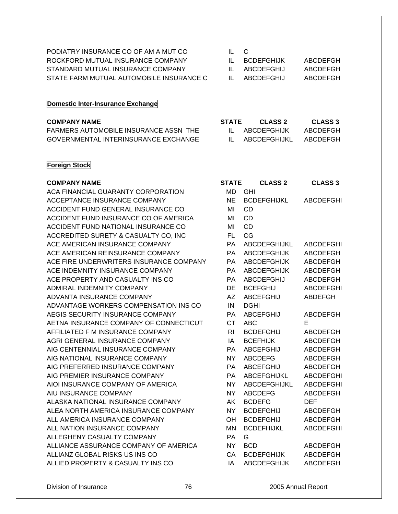| PODIATRY INSURANCE CO OF AM A MUT CO     | IL C         |            |          |
|------------------------------------------|--------------|------------|----------|
| ROCKFORD MUTUAL INSURANCE COMPANY        | $\mathbf{H}$ | BCDEFGHLIK | ABCDEEGH |
| STANDARD MUTUAL INSURANCE COMPANY        | $\mathbf{H}$ | ABCDEEGHIJ | ABCDEEGH |
| STATE FARM MUTUAL AUTOMOBILE INSURANCE C |              | ABCDEFGHIJ | ABCDEEGH |

#### **Domestic Inter-Insurance Exchange**

| <b>COMPANY NAME</b>                   | <b>STATE</b> | CLASS 2      | <b>CLASS 3</b> |
|---------------------------------------|--------------|--------------|----------------|
| FARMERS AUTOMOBILE INSURANCE ASSN THE |              | ABCDFFGHLIK  | ABCDEFGH       |
| GOVERNMENTAL INTERINSURANCE EXCHANGE  |              | ABCDEFGHIJKL | ABCDEFGH       |

#### **Foreign Stock**

#### **COMPANY NAME**

ACA FINANCIAL GUARANTY CORPORATION ACCEPTANCE INSURANCE COMPANY ACCIDENT FUND GENERAL INSURANCE CO ACCIDENT FUND INSURANCE CO OF AMERICA ACCIDENT FUND NATIONAL INSURANCE CO ACCREDITED SURETY & CASUALTY CO, INC ACE AMERICAN INSURANCE COMPANY ACE AMERICAN REINSURANCE COMPANY ACE FIRE UNDERWRITERS INSURANCE COMPANY ACE INDEMNITY INSURANCE COMPANY ACE PROPERTY AND CASUALTY INS CO ADMIRAL INDEMNITY COMPANY ADVANTA INSURANCE COMPANY ADVANTAGE WORKERS COMPENSATION INS CO AEGIS SECURITY INSURANCE COMPANY AETNA INSURANCE COMPANY OF CONNECTICUT AFFILIATED F M INSURANCE COMPANY AGRI GENERAL INSURANCE COMPANY AIG CENTENNIAL INSURANCE COMPANY AIG NATIONAL INSURANCE COMPANY AIG PREFERRED INSURANCE COMPANY AIG PREMIER INSURANCE COMPANY AIOI INSURANCE COMPANY OF AMERICA AIU INSURANCE COMPANY ALASKA NATIONAL INSURANCE COMPANY ALEA NORTH AMERICA INSURANCE COMPANY ALL AMERICA INSURANCE COMPANY ALL NATION INSURANCE COMPANY ALLEGHENY CASUALTY COMPANY ALLIANCE ASSURANCE COMPANY OF AMERICA ALLIANZ GLOBAL RISKS US INS CO ALLIED PROPERTY & CASUALTY INS CO ALLIED IA ABCDEFGHIJK ABCDEFGH

| <b>STATE</b> | <b>CLASS 2</b>      | <b>CLASS 3</b>   |
|--------------|---------------------|------------------|
| MD           | GHI                 |                  |
| NE           | <b>BCDEFGHIJKL</b>  | <b>ABCDEFGHI</b> |
| MI           | CD                  |                  |
| MI           | <b>CD</b>           |                  |
| MI           | <b>CD</b>           |                  |
| <b>FL</b>    | CG                  |                  |
| <b>PA</b>    | <b>ABCDEFGHIJKL</b> | <b>ABCDEFGHI</b> |
| <b>PA</b>    | <b>ABCDEFGHIJK</b>  | <b>ABCDEFGH</b>  |
| PA           | ABCDEFGHIJK         | <b>ABCDEFGH</b>  |
| PA           | <b>ABCDEFGHIJK</b>  | <b>ABCDEFGH</b>  |
| PA.          | <b>ABCDEFGHIJ</b>   | ABCDEFGH         |
| DE           | <b>BCEFGHIJ</b>     | <b>ABCDEFGHI</b> |
| AZ           | ABCEFGHIJ           | <b>ABDEFGH</b>   |
| IN           | <b>DGHI</b>         |                  |
| PA           | <b>ABCEFGHIJ</b>    | ABCDEFGH         |
| <b>CT</b>    | ABC                 | F.               |
| RI           | <b>BCDEFGHIJ</b>    | <b>ABCDEFGH</b>  |
| IA           | <b>BCEFHIJK</b>     | <b>ABCDEFGH</b>  |
| <b>PA</b>    | ABCEFGHIJ           | ABCDEFGH         |
| NY.          | <b>ABCDEFG</b>      | ABCDEFGH         |
| <b>PA</b>    | <b>ABCEFGHIJ</b>    | <b>ABCDEFGH</b>  |
| <b>PA</b>    | <b>ABCEFGHIJKL</b>  | <b>ABCDEFGHI</b> |
| <b>NY</b>    | ABCDEFGHIJKL        | <b>ABCDEFGHI</b> |
| NY.          | <b>ABCDEFG</b>      | <b>ABCDEFGH</b>  |
| AK           | <b>BCDEFG</b>       | <b>DEF</b>       |
| NY.          | <b>BCDEFGHIJ</b>    | <b>ABCDEFGH</b>  |
| OН           | <b>BCDEFGHIJ</b>    | <b>ABCDEFGH</b>  |
| MΝ           | <b>BCDEFHIJKL</b>   | <b>ABCDEFGHI</b> |
| <b>PA</b>    | G.                  |                  |
| NY.          | <b>BCD</b>          | <b>ABCDEFGH</b>  |
| CA           | <b>BCDEFGHIJK</b>   | <b>ABCDEFGH</b>  |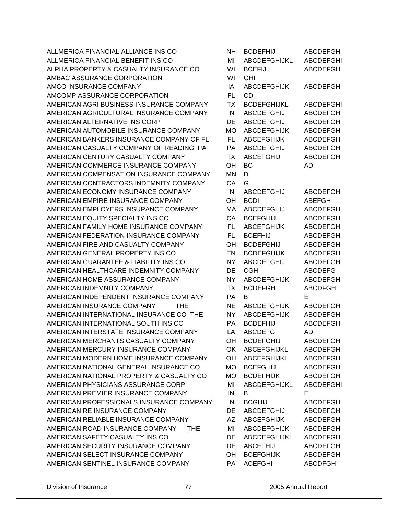ALLMERICA FINANCIAL ALLIANCE INS CO ALLMERICA FINANCIAL BENEFIT INS CO ALPHA PROPERTY & CASUALTY INSURANCE CO AMBAC ASSURANCE CORPORATION AMCO INSURANCE COMPANY AMCOMP ASSURANCE CORPORATION AMERICAN AGRI BUSINESS INSURANCE COMPANY AMERICAN AGRICULTURAL INSURANCE COMPANY AMERICAN ALTERNATIVE INS CORP AMERICAN AUTOMOBILE INSURANCE COMPANY AMERICAN BANKERS INSURANCE COMPANY OF FL AMERICAN CASUALTY COMPANY OF READING PA AMERICAN CENTURY CASUALTY COMPANY AMERICAN COMMERCE INSURANCE COMPANY AMERICAN COMPENSATION INSURANCE COMPANY AMERICAN CONTRACTORS INDEMNITY COMPANY AMERICAN ECONOMY INSURANCE COMPANY AMERICAN EMPIRE INSURANCE COMPANY AMERICAN EMPLOYERS INSURANCE COMPANY AMERICAN EQUITY SPECIALTY INS CO AMERICAN FAMILY HOME INSURANCE COMPANY AMERICAN FEDERATION INSURANCE COMPANY AMERICAN FIRE AND CASUALTY COMPANY AMERICAN GENERAL PROPERTY INS CO AMERICAN GUARANTEE & LIABILITY INS CO AMERICAN HEALTHCARE INDEMNITY COMPANY AMERICAN HOME ASSURANCE COMPANY AMERICAN INDEMNITY COMPANY AMERICAN INDEPENDENT INSURANCE COMPANY AMERICAN INSURANCE COMPANY THE AMERICAN INTERNATIONAL INSURANCE CO THE AMERICAN INTERNATIONAL SOUTH INS CO AMERICAN INTERSTATE INSURANCE COMPANY AMERICAN MERCHANTS CASUALTY COMPANY AMERICAN MERCURY INSURANCE COMPANY AMERICAN MODERN HOME INSURANCE COMPANY AMERICAN NATIONAL GENERAL INSURANCE CO AMERICAN NATIONAL PROPERTY & CASUALTY CO AMERICAN PHYSICIANS ASSURANCE CORP AMERICAN PREMIER INSURANCE COMPANY AMERICAN PROFESSIONALS INSURANCE COMPANY AMERICAN RE INSURANCE COMPANY AMERICAN RELIABLE INSURANCE COMPANY AMERICAN ROAD INSURANCE COMPANY THE AMERICAN SAFETY CASUALTY INS CO AMERICAN SECURITY INSURANCE COMPANY AMERICAN SELECT INSURANCE COMPANY AMERICAN SENTINEL INSURANCE COMPANY

| NΗ        | <b>BCDEFHIJ</b>     | <b>ABCDEFGH</b>  |
|-----------|---------------------|------------------|
| MI        | <b>ABCDEFGHIJKL</b> | <b>ABCDEFGHI</b> |
| WI        | <b>BCEFIJ</b>       | <b>ABCDEFGH</b>  |
| WI        | <b>GHI</b>          |                  |
| IA        | <b>ABCDEFGHIJK</b>  | <b>ABCDEFGH</b>  |
| <b>FL</b> | <b>CD</b>           |                  |
| <b>TX</b> | <b>BCDEFGHIJKL</b>  | <b>ABCDEFGHI</b> |
| IN        | <b>ABCDEFGHIJ</b>   | <b>ABCDEFGH</b>  |
| DE        | ABCDEFGHIJ          | <b>ABCDEFGH</b>  |
| <b>MO</b> | <b>ABCDEFGHIJK</b>  | <b>ABCDEFGH</b>  |
| FL.       |                     | <b>ABCDEFGH</b>  |
|           | <b>ABCEFGHIJK</b>   |                  |
| PA        | ABCDEFGHIJ          | <b>ABCDEFGH</b>  |
| ТX        | <b>ABCEFGHIJ</b>    | <b>ABCDEFGH</b>  |
| OH        | BC                  | AD               |
| <b>MN</b> | D                   |                  |
| CA        | G                   |                  |
| IN        | <b>ABCDEFGHIJ</b>   | <b>ABCDEFGH</b>  |
| OH        | <b>BCDI</b>         | <b>ABEFGH</b>    |
| MA        | <b>ABCDEFGHIJ</b>   | <b>ABCDEFGH</b>  |
| CA        | <b>BCEFGHIJ</b>     | <b>ABCDEFGH</b>  |
| <b>FL</b> | <b>ABCEFGHIJK</b>   | <b>ABCDEFGH</b>  |
| FL.       | <b>BCEFHIJ</b>      | <b>ABCDEFGH</b>  |
| ОH        | <b>BCDEFGHIJ</b>    | <b>ABCDEFGH</b>  |
| <b>TN</b> | <b>BCDEFGHIJK</b>   | <b>ABCDEFGH</b>  |
| <b>NY</b> | <b>ABCDEFGHIJ</b>   | <b>ABCDEFGH</b>  |
| DE        | <b>CGHI</b>         | <b>ABCDEFG</b>   |
| <b>NY</b> | <b>ABCDEFGHIJK</b>  | <b>ABCDEFGH</b>  |
| <b>TX</b> | <b>BCDEFGH</b>      | <b>ABCDFGH</b>   |
| <b>PA</b> | В                   | E                |
|           |                     |                  |
| <b>NE</b> | <b>ABCDEFGHIJK</b>  | <b>ABCDEFGH</b>  |
| <b>NY</b> | <b>ABCDEFGHIJK</b>  | <b>ABCDEFGH</b>  |
| PA        | <b>BCDEFHIJ</b>     | <b>ABCDEFGH</b>  |
| LA        | <b>ABCDEFG</b>      | AD               |
| OΗ        | BCDEFGHIJ           | <b>ABCDEFGH</b>  |
| OK        | <b>ABCEFGHIJKL</b>  | <b>ABCDEFGHI</b> |
| <b>OH</b> | <b>ABCEFGHIJKL</b>  | <b>ABCDEFGH</b>  |
| <b>MO</b> | <b>BCEFGHIJ</b>     | <b>ABCDEFGH</b>  |
| <b>MO</b> | <b>BCDEFHIJK</b>    | ABCDEFGH         |
| MI        | ABCDEFGHIJKL        | <b>ABCDEFGHI</b> |
| IN        | В                   | E                |
| IN        | <b>BCGHIJ</b>       | <b>ABCDEFGH</b>  |
| DE        | <b>ABCDEFGHIJ</b>   | <b>ABCDEFGH</b>  |
| AZ        | <b>ABCEFGHIJK</b>   | <b>ABCDEFGH</b>  |
| MI        | <b>ABCDEFGHIJK</b>  | <b>ABCDEFGH</b>  |
| DE        | ABCDEFGHIJKL        | <b>ABCDEFGHI</b> |
| DE        | <b>ABCEFHIJ</b>     | <b>ABCDEFGH</b>  |
| OH        | <b>BCEFGHIJK</b>    | ABCDEFGH         |
| PA        | <b>ACEFGHI</b>      | <b>ABCDFGH</b>   |
|           |                     |                  |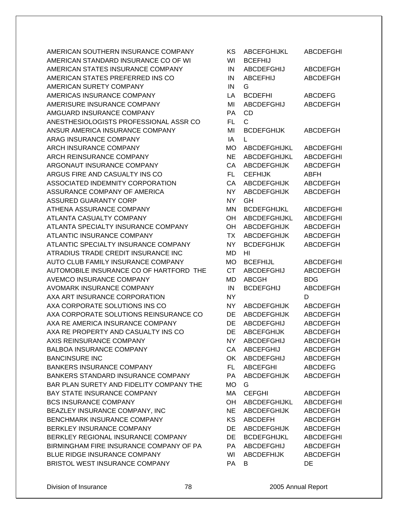AMERICAN SOUTHERN INSURANCE COMPANY AMERICAN STANDARD INSURANCE CO OF WI AMERICAN STATES INSURANCE COMPANY AMERICAN STATES PREFERRED INS CO AMERICAN SURETY COMPANY AMERICAS INSURANCE COMPANY AMERISURE INSURANCE COMPANY AMGUARD INSURANCE COMPANY ANESTHESIOLOGISTS PROFESSIONAL ASSR CO ANSUR AMERICA INSURANCE COMPANY ARAG INSURANCE COMPANY ARCH INSURANCE COMPANY ARCH REINSURANCE COMPANY ARGONAUT INSURANCE COMPANY ARGUS FIRE AND CASUALTY INS CO ASSOCIATED INDEMNITY CORPORATION ASSURANCE COMPANY OF AMERICA ASSURED GUARANTY CORP ATHENA ASSURANCE COMPANY ATLANTA CASUALTY COMPANY ATLANTA SPECIALTY INSURANCE COMPANY ATLANTIC INSURANCE COMPANY ATLANTIC SPECIALTY INSURANCE COMPANY ATRADIUS TRADE CREDIT INSURANCE INC AUTO CLUB FAMILY INSURANCE COMPANY AUTOMOBILE INSURANCE CO OF HARTFORD THE AVEMCO INSURANCE COMPANY AVOMARK INSURANCE COMPANY AXA ART INSURANCE CORPORATION AXA CORPORATE SOLUTIONS INS CO AXA CORPORATE SOLUTIONS REINSURANCE CO AXA RE AMERICA INSURANCE COMPANY AXA RE PROPERTY AND CASUALTY INS CO AXIS REINSURANCE COMPANY BALBOA INSURANCE COMPANY BANCINSURE INC. BANKERS INSURANCE COMPANY BANKERS STANDARD INSURANCE COMPANY BAR PLAN SURETY AND FIDELITY COMPANY THE BAY STATE INSURANCE COMPANY BCS INSURANCE COMPANY BEAZLEY INSURANCE COMPANY, INC BENCHMARK INSURANCE COMPANY BERKLEY INSURANCE COMPANY BERKLEY REGIONAL INSURANCE COMPANY BIRMINGHAM FIRE INSURANCE COMPANY OF PA BLUE RIDGE INSURANCE COMPANY BRISTOL WEST INSURANCE COMPANY

| ΚS        | ABCEFGHIJKL         | <b>ABCDEFGHI</b> |
|-----------|---------------------|------------------|
| WI        | <b>BCEFHIJ</b>      |                  |
| IN        | ABCDEFGHIJ          | <b>ABCDEFGH</b>  |
| IN        | <b>ABCEFHIJ</b>     | ABCDEFGH         |
| IN        | G                   |                  |
| LA        | <b>BCDEFHI</b>      | <b>ABCDEFG</b>   |
| MI        | <b>ABCDEFGHIJ</b>   | <b>ABCDEFGH</b>  |
| PA        | <b>CD</b>           |                  |
| FL        | C.                  |                  |
| MI        | <b>BCDEFGHIJK</b>   | <b>ABCDEFGH</b>  |
| IA        | L                   |                  |
| МO        | <b>ABCDEFGHIJKL</b> | <b>ABCDEFGHI</b> |
| <b>NE</b> | <b>ABCDEFGHIJKL</b> | <b>ABCDEFGHI</b> |
| CA        | <b>ABCDEFGHIJK</b>  | <b>ABCDEFGH</b>  |
| FL.       | <b>CEFHIJK</b>      | ABFH             |
| CA        | <b>ABCDEFGHIJK</b>  | <b>ABCDEFGH</b>  |
| <b>NY</b> | <b>ABCDEFGHIJK</b>  | <b>ABCDEFGH</b>  |
| <b>NY</b> | GH                  |                  |
|           |                     |                  |
| MN        | <b>BCDEFGHIJKL</b>  | <b>ABCDEFGHI</b> |
| OH        | <b>ABCDEFGHIJKL</b> | <b>ABCDEFGHI</b> |
| OH        | <b>ABCDEFGHIJK</b>  | <b>ABCDEFGH</b>  |
| <b>TX</b> | <b>ABCDEFGHIJK</b>  | <b>ABCDEFGH</b>  |
| NΥ        | <b>BCDEFGHIJK</b>   | <b>ABCDEFGH</b>  |
| MD        | HI                  |                  |
| <b>MO</b> | <b>BCEFHIJL</b>     | <b>ABCDEFGHI</b> |
| <b>CT</b> | <b>ABCDEFGHIJ</b>   | <b>ABCDEFGH</b>  |
| MD        | ABCGH               | BDG              |
| IN        | <b>BCDEFGHIJ</b>    | <b>ABCDEFGH</b>  |
| NΥ        |                     | D                |
| ΝY        | <b>ABCDEFGHIJK</b>  | <b>ABCDEFGH</b>  |
| DE        | <b>ABCDEFGHIJK</b>  | <b>ABCDEFGH</b>  |
| DE        | <b>ABCDEFGHIJ</b>   | <b>ABCDEFGH</b>  |
| DE        | <b>ABCEFGHIJK</b>   | <b>ABCDEFGH</b>  |
| NY        | <b>ABCDEFGHIJ</b>   | <b>ABCDEFGH</b>  |
| CA        | <b>ABCEFGHIJ</b>    | <b>ABCDEFGH</b>  |
| OK        | <b>ABCDEFGHIJ</b>   | <b>ABCDEFGH</b>  |
| FL.       | <b>ABCEFGHI</b>     | <b>ABCDEFG</b>   |
| PA        | <b>ABCDEFGHIJK</b>  | <b>ABCDEFGH</b>  |
| МO        | G                   |                  |
| MA        | <b>CEFGHI</b>       | <b>ABCDEFGH</b>  |
| OH        | ABCDEFGHIJKL        | <b>ABCDEFGHI</b> |
| <b>NE</b> | <b>ABCDEFGHIJK</b>  | <b>ABCDEFGH</b>  |
| <b>KS</b> | <b>ABCDEFH</b>      | ABCDEFGH         |
| DE        | <b>ABCDEFGHIJK</b>  | <b>ABCDEFGH</b>  |
| DE        | <b>BCDEFGHIJKL</b>  | <b>ABCDEFGHI</b> |
| PA        | <b>ABCDEFGHIJ</b>   | ABCDEFGH         |
| WI        | <b>ABCDEFHIJK</b>   | <b>ABCDEFGH</b>  |
| PA        | В                   | DE               |
|           |                     |                  |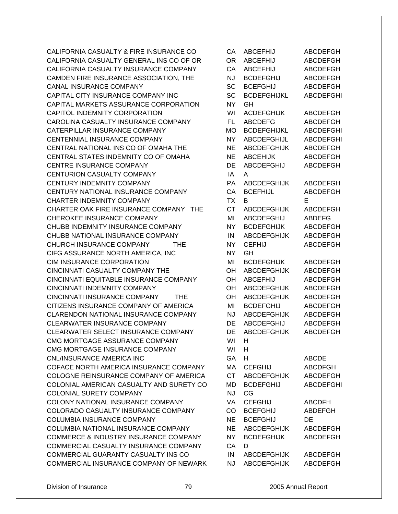CALIFORNIA CASUALTY & FIRE INSURANCE CO CALIFORNIA CASUALTY GENERAL INS CO OF OR CALIFORNIA CASUALTY INSURANCE COMPANY CAMDEN FIRE INSURANCE ASSOCIATION, THE CANAL INSURANCE COMPANY CAPITAL CITY INSURANCE COMPANY INC CAPITAL MARKETS ASSURANCE CORPORATION CAPITOL INDEMNITY CORPORATION CAROLINA CASUALTY INSURANCE COMPANY CATERPILLAR INSURANCE COMPANY CENTENNIAL INSURANCE COMPANY CENTRAL NATIONAL INS CO OF OMAHA THE CENTRAL STATES INDEMNITY CO OF OMAHA CENTRE INSURANCE COMPANY **CENTURION CASUALTY COMPANY** CENTURY INDEMNITY COMPANY CENTURY NATIONAL INSURANCE COMPANY CHARTER INDEMNITY COMPANY CHARTER OAK FIRE INSURANCE COMPANY THE CHEROKEE INSURANCE COMPANY CHUBB INDEMNITY INSURANCE COMPANY CHUBB NATIONAL INSURANCE COMPANY CHURCH INSURANCE COMPANY THE CIFG ASSURANCE NORTH AMERICA, INC. CIM INSURANCE CORPORATION CINCINNATI CASUALTY COMPANY THE CINCINNATI EQUITABLE INSURANCE COMPANY CINCINNATI INDEMNITY COMPANY CINCINNATI INSURANCE COMPANY THE CITIZENS INSURANCE COMPANY OF AMERICA CLARENDON NATIONAL INSURANCE COMPANY CLEARWATER INSURANCE COMPANY CLEARWATER SELECT INSURANCE COMPANY CMG MORTGAGE ASSURANCE COMPANY CMG MORTGAGE INSURANCE COMPANY CNL/INSURANCE AMERICA INC COFACE NORTH AMERICA INSURANCE COMPANY COLOGNE REINSURANCE COMPANY OF AMERICA COLONIAL AMERICAN CASUALTY AND SURETY CO COLONIAL SURETY COMPANY COLONY NATIONAL INSURANCE COMPANY COLORADO CASUALTY INSURANCE COMPANY COLUMBIA INSURANCE COMPANY COLUMBIA NATIONAL INSURANCE COMPANY COMMERCE & INDUSTRY INSURANCE COMPANY COMMERCIAL CASUALTY INSURANCE COMPANY COMMERCIAL GUARANTY CASUALTY INS CO COMMERCIAL INSURANCE COMPANY OF NEWARK

| CA        | <b>ABCEFHIJ</b>    | <b>ABCDEFGH</b>                  |
|-----------|--------------------|----------------------------------|
| <b>OR</b> | <b>ABCEFHIJ</b>    | <b>ABCDEFGH</b>                  |
| CA        | <b>ABCEFHIJ</b>    | <b>ABCDEFGH</b>                  |
| <b>NJ</b> | <b>BCDEFGHIJ</b>   | <b>ABCDEFGH</b>                  |
| <b>SC</b> | <b>BCEFGHIJ</b>    | <b>ABCDEFGH</b>                  |
| <b>SC</b> | <b>BCDEFGHIJKL</b> | <b>ABCDEFGHI</b>                 |
| <b>NY</b> | GH                 |                                  |
| WI        | <b>ACDEFGHIJK</b>  | <b>ABCDEFGH</b>                  |
| <b>FL</b> | <b>ABCDEFG</b>     | <b>ABCDEFGH</b>                  |
| <b>MO</b> | <b>BCDEFGHIJKL</b> | <b>ABCDEFGHI</b>                 |
| <b>NY</b> | <b>ABCDEFGHIJL</b> | <b>ABCDEFGHI</b>                 |
| <b>NE</b> | <b>ABCDEFGHIJK</b> | <b>ABCDEFGH</b>                  |
| <b>NE</b> | <b>ABCEHIJK</b>    | <b>ABCDEFGH</b>                  |
| DE        | <b>ABCDEFGHIJ</b>  | <b>ABCDEFGH</b>                  |
| IA        | A                  |                                  |
| PA        | <b>ABCDEFGHIJK</b> | <b>ABCDEFGH</b>                  |
| CA        | <b>BCEFHIJL</b>    | <b>ABCDEFGH</b>                  |
| <b>TX</b> | B                  | Е                                |
| <b>CT</b> | <b>ABCDEFGHIJK</b> |                                  |
| MI        | <b>ABCDEFGHIJ</b>  | <b>ABCDEFGH</b><br><b>ABDEFG</b> |
| <b>NY</b> |                    |                                  |
|           | <b>BCDEFGHIJK</b>  | <b>ABCDEFGH</b>                  |
| IN        | <b>ABCDEFGHIJK</b> | <b>ABCDEFGH</b>                  |
| <b>NY</b> | <b>CEFHIJ</b>      | <b>ABCDEFGH</b>                  |
| <b>NY</b> | GH                 |                                  |
| MI        | <b>BCDEFGHIJK</b>  | <b>ABCDEFGH</b>                  |
| OH        | <b>ABCDEFGHIJK</b> | <b>ABCDEFGH</b>                  |
| OH        | <b>ABCEFHIJ</b>    | <b>ABCDEFGH</b>                  |
| OH        | <b>ABCDEFGHIJK</b> | <b>ABCDEFGH</b>                  |
| OH        | <b>ABCDEFGHIJK</b> | <b>ABCDEFGH</b>                  |
| MI        | <b>BCDEFGHIJ</b>   | <b>ABCDEFGH</b>                  |
| <b>NJ</b> | <b>ABCDEFGHIJK</b> | <b>ABCDEFGH</b>                  |
| DE        | <b>ABCDEFGHIJ</b>  | <b>ABCDEFGH</b>                  |
| DE        | <b>ABCDEFGHIJK</b> | <b>ABCDEFGH</b>                  |
| WI        | H.                 |                                  |
| WI        | н                  |                                  |
| GA        | H                  | <b>ABCDE</b>                     |
| МA        | <b>CEFGHIJ</b>     | <b>ABCDFGH</b>                   |
| <b>CT</b> | <b>ABCDEFGHIJK</b> | <b>ABCDEFGH</b>                  |
| MD        | <b>BCDEFGHIJ</b>   | <b>ABCDEFGHI</b>                 |
| <b>NJ</b> | CG                 |                                  |
| VA        | <b>CEFGHIJ</b>     | <b>ABCDFH</b>                    |
| CO        | <b>BCEFGHIJ</b>    | <b>ABDEFGH</b>                   |
| <b>NE</b> | <b>BCEFGHIJ</b>    | DE                               |
| NE        | ABCDEFGHIJK        | <b>ABCDEFGH</b>                  |
| NY.       | <b>BCDEFGHIJK</b>  | <b>ABCDEFGH</b>                  |
| CA        | D                  |                                  |
| IN.       | <b>ABCDEFGHIJK</b> | <b>ABCDEFGH</b>                  |
| NJ        | <b>ABCDEFGHIJK</b> | <b>ABCDEFGH</b>                  |
|           |                    |                                  |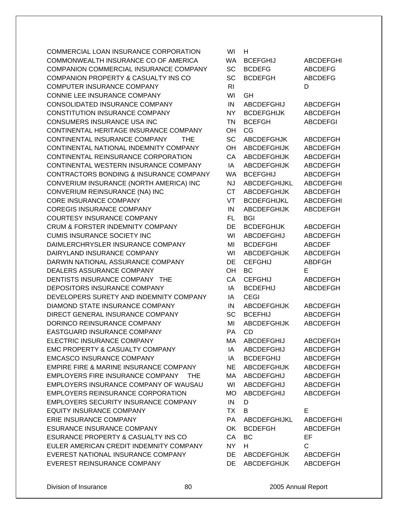COMMERCIAL LOAN INSURANCE CORPORATION COMMONWEALTH INSURANCE CO OF AMERICA COMPANION COMMERCIAL INSURANCE COMPANY COMPANION PROPERTY & CASUALTY INS CO COMPUTER INSURANCE COMPANY CONNIE LEE INSURANCE COMPANY CONSOLIDATED INSURANCE COMPANY CONSTITUTION INSURANCE COMPANY CONSUMERS INSURANCE USA INC CONTINENTAL HERITAGE INSURANCE COMPANY CONTINENTAL INSURANCE COMPANY THE CONTINENTAL NATIONAL INDEMNITY COMPANY CONTINENTAL REINSURANCE CORPORATION CONTINENTAL WESTERN INSURANCE COMPANY CONTRACTORS BONDING & INSURANCE COMPANY CONVERIUM INSURANCE (NORTH AMERICA) INC CONVERIUM REINSURANCE (NA) INC CORE INSURANCE COMPANY COREGIS INSURANCE COMPANY COURTESY INSURANCE COMPANY CRUM & FORSTER INDEMNITY COMPANY CUMIS INSURANCE SOCIETY INC DAIMLERCHRYSLER INSURANCE COMPANY DAIRYLAND INSURANCE COMPANY DARWIN NATIONAL ASSURANCE COMPANY DEALERS ASSURANCE COMPANY DENTISTS INSURANCE COMPANY THE DEPOSITORS INSURANCE COMPANY DEVELOPERS SURETY AND INDEMNITY COMPANY DIAMOND STATE INSURANCE COMPANY DIRECT GENERAL INSURANCE COMPANY DORINCO REINSURANCE COMPANY EASTGUARD INSURANCE COMPANY ELECTRIC INSURANCE COMPANY EMC PROPERTY & CASUALTY COMPANY EMCASCO INSURANCE COMPANY EMPIRE FIRE & MARINE INSURANCE COMPANY EMPLOYERS FIRE INSURANCE COMPANY THE EMPLOYERS INSURANCE COMPANY OF WAUSAU EMPLOYERS REINSURANCE CORPORATION **EMPLOYERS SECURITY INSURANCE COMPANY** EQUITY INSURANCE COMPANY ERIE INSURANCE COMPANY ESURANCE INSURANCE COMPANY ESURANCE PROPERTY & CASUALTY INS CO EULER AMERICAN CREDIT INDEMNITY COMPANY EVEREST NATIONAL INSURANCE COMPANY EVEREST REINSURANCE COMPANY

| wı             | н                                        |                                    |
|----------------|------------------------------------------|------------------------------------|
| <b>WA</b>      | <b>BCEFGHIJ</b>                          | <b>ABCDEFGHI</b>                   |
| SC             | <b>BCDEFG</b>                            | <b>ABCDEFG</b>                     |
| SC             | <b>BCDEFGH</b>                           | <b>ABCDEFG</b>                     |
| R <sub>l</sub> |                                          | D                                  |
| WI             | GH                                       |                                    |
|                |                                          |                                    |
| IN             | <b>ABCDEFGHIJ</b>                        | <b>ABCDEFGH</b>                    |
| NY.            | <b>BCDEFGHIJK</b>                        | <b>ABCDEFGH</b>                    |
| <b>TN</b>      | <b>BCEFGH</b>                            | <b>ABCDEFGI</b>                    |
| OH             | CG                                       |                                    |
| <b>SC</b>      | <b>ABCDEFGHJK</b>                        | <b>ABCDEFGH</b>                    |
| OH             | <b>ABCDEFGHIJK</b>                       | <b>ABCDEFGH</b>                    |
| CA             | <b>ABCDEFGHIJK</b>                       | <b>ABCDEFGH</b>                    |
| IA             | <b>ABCDEFGHIJK</b>                       | ABCDEFGH                           |
| <b>WA</b>      | <b>BCEFGHIJ</b>                          | ABCDEFGH                           |
| NJ             | <b>ABCDEFGHIJKL</b>                      | <b>ABCDEFGHI</b>                   |
| <b>CT</b>      | <b>ABCDEFGHIJK</b>                       | ABCDEFGH                           |
|                |                                          |                                    |
| VT             | <b>BCDEFGHIJKL</b>                       | <b>ABCDEFGHI</b>                   |
| IN             | <b>ABCDEFGHIJK</b>                       | <b>ABCDEFGH</b>                    |
| FL             | BGI                                      |                                    |
| DE             | <b>BCDEFGHIJK</b>                        | <b>ABCDEFGH</b>                    |
| WI             | ABCDEFGHIJ                               | <b>ABCDEFGH</b>                    |
| MI             | <b>BCDEFGHI</b>                          | <b>ABCDEF</b>                      |
| WI             | <b>ABCDEFGHIJK</b>                       | <b>ABCDEFGH</b>                    |
| DE             | <b>CEFGHIJ</b>                           | <b>ABDFGH</b>                      |
| OH             | <b>BC</b>                                | Е                                  |
|                |                                          |                                    |
|                |                                          |                                    |
| CA             | <b>CEFGHIJ</b>                           | <b>ABCDEFGH</b>                    |
| IA             | <b>BCDEFHIJ</b>                          | <b>ABCDEFGH</b>                    |
| IA             | <b>CEGI</b>                              |                                    |
| IN             | <b>ABCDEFGHIJK</b>                       | ABCDEFGH                           |
| SC             | <b>BCEFHIJ</b>                           | ABCDEFGH                           |
| MI             | <b>ABCDEFGHIJK</b>                       | <b>ABCDEFGH</b>                    |
| PA             | CD                                       |                                    |
| MA             | ABCDEFGHIJ                               | ABCDEFGH                           |
| IA             | ABCDEFGHIJ                               | ABCDEFGH                           |
| IA             | <b>BCDEFGHIJ</b>                         | <b>ABCDEFGH</b>                    |
| <b>NE</b>      | <b>ABCDEFGHIJK</b>                       | <b>ABCDEFGH</b>                    |
| МA             | <b>ABCDEFGHIJ</b>                        | <b>ABCDEFGH</b>                    |
| WI             | ABCDEFGHIJ                               |                                    |
|                |                                          | <b>ABCDEFGH</b>                    |
| МO             | <b>ABCDEFGHIJ</b>                        | <b>ABCDEFGH</b>                    |
| IN             | D                                        |                                    |
| <b>TX</b>      | B                                        | Е                                  |
| PA             | <b>ABCDEFGHIJKL</b>                      | <b>ABCDEFGHI</b>                   |
| OK             | <b>BCDEFGH</b>                           | <b>ABCDEFGH</b>                    |
| CA             | <b>BC</b>                                | EF                                 |
| <b>NY</b>      | н                                        | C                                  |
| DE<br>DE       | <b>ABCDEFGHIJK</b><br><b>ABCDEFGHIJK</b> | <b>ABCDEFGH</b><br><b>ABCDEFGH</b> |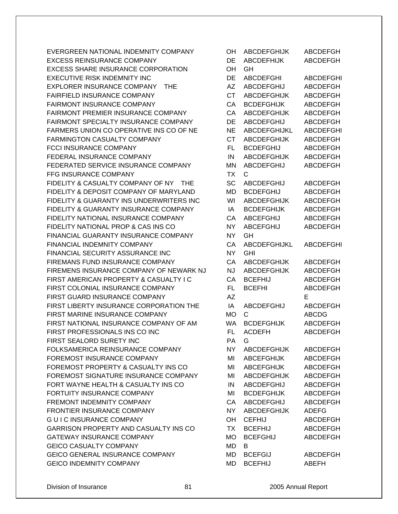EVERGREEN NATIONAL INDEMNITY COMPANY EXCESS REINSURANCE COMPANY EXCESS SHARE INSURANCE CORPORATION EXECUTIVE RISK INDEMNITY INC EXPLORER INSURANCE COMPANY THE FAIRFIELD INSURANCE COMPANY FAIRMONT INSURANCE COMPANY FAIRMONT PREMIER INSURANCE COMPANY FAIRMONT SPECIALTY INSURANCE COMPANY FARMERS UNION CO OPERATIVE INS CO OF NE FARMINGTON CASUALTY COMPANY FCCI INSURANCE COMPANY FEDERAL INSURANCE COMPANY FEDERATED SERVICE INSURANCE COMPANY **FFG INSURANCE COMPANY** FIDELITY & CASUALTY COMPANY OF NY THE FIDELITY & DEPOSIT COMPANY OF MARYLAND FIDELITY & GUARANTY INS UNDERWRITERS INC FIDELITY & GUARANTY INSURANCE COMPANY FIDELITY NATIONAL INSURANCE COMPANY FIDELITY NATIONAL PROP & CAS INS CO FINANCIAL GUARANTY INSURANCE COMPANY FINANCIAL INDEMNITY COMPANY FINANCIAL SECURITY ASSURANCE INC FIREMANS FUND INSURANCE COMPANY FIREMENS INSURANCE COMPANY OF NEWARK NJ FIRST AMERICAN PROPERTY & CASUALTY I C FIRST COLONIAL INSURANCE COMPANY FIRST GUARD INSURANCE COMPANY FIRST LIBERTY INSURANCE CORPORATION THE FIRST MARINE INSURANCE COMPANY FIRST NATIONAL INSURANCE COMPANY OF AM FIRST PROFESSIONALS INS CO INC FIRST SEALORD SURETY INC FOLKSAMERICA REINSURANCE COMPANY FOREMOST INSURANCE COMPANY FOREMOST PROPERTY & CASUALTY INS CO FOREMOST SIGNATURE INSURANCE COMPANY FORT WAYNE HEALTH & CASUALTY INS CO FORTUITY INSURANCE COMPANY FREMONT INDEMNITY COMPANY FRONTIER INSURANCE COMPANY G U I C INSURANCE COMPANY GARRISON PROPERTY AND CASUALTY INS CO GATEWAY INSURANCE COMPANY **GEICO CASUALTY COMPANY** GEICO GENERAL INSURANCE COMPANY GEICO INDEMNITY COMPANY

| OH        | <b>ABCDEFGHIJK</b> | <b>ABCDEFGH</b>  |
|-----------|--------------------|------------------|
| DE        | <b>ABCDEFHIJK</b>  | <b>ABCDEFGH</b>  |
| OH        | GH.                |                  |
| DE        | <b>ABCDEFGHI</b>   | <b>ABCDEFGHI</b> |
| <b>AZ</b> | <b>ABCDEFGHIJ</b>  | <b>ABCDEFGH</b>  |
| <b>CT</b> | <b>ABCDEFGHIJK</b> | <b>ABCDEFGH</b>  |
| CA        | <b>BCDEFGHIJK</b>  | <b>ABCDEFGH</b>  |
| CA        | <b>ABCDEFGHIJK</b> | <b>ABCDEFGH</b>  |
| DE        | <b>ABCDEFGHIJ</b>  | <b>ABCDEFGH</b>  |
| <b>NE</b> | ABCDEFGHIJKL       | <b>ABCDEFGHI</b> |
| <b>CT</b> | <b>ABCDEFGHIJK</b> | <b>ABCDEFGH</b>  |
| <b>FL</b> | <b>BCDEFGHIJ</b>   | <b>ABCDEFGH</b>  |
| IN        | <b>ABCDEFGHIJK</b> | <b>ABCDEFGH</b>  |
| MN        | <b>ABCDEFGHIJ</b>  | <b>ABCDEFGH</b>  |
| <b>TX</b> | С                  |                  |
|           |                    |                  |
| SC        | <b>ABCDEFGHIJ</b>  | <b>ABCDEFGH</b>  |
| MD        | <b>BCDEFGHIJ</b>   | <b>ABCDEFGH</b>  |
| WI        | <b>ABCDEFGHIJK</b> | <b>ABCDEFGH</b>  |
| IA        | <b>BCDEFGHIJK</b>  | <b>ABCDEFGH</b>  |
| CA        | <b>ABCEFGHIJ</b>   | <b>ABCDEFGH</b>  |
| <b>NY</b> | <b>ABCEFGHIJ</b>   | <b>ABCDEFGH</b>  |
| <b>NY</b> | GH                 |                  |
| CA        | ABCDEFGHIJKL       | <b>ABCDEFGHI</b> |
| <b>NY</b> | <b>GHI</b>         |                  |
| CA        | <b>ABCDEFGHIJK</b> | <b>ABCDEFGH</b>  |
| <b>NJ</b> | <b>ABCDEFGHIJK</b> | <b>ABCDEFGH</b>  |
| CA        | <b>BCEFHIJ</b>     | <b>ABCDEFGH</b>  |
| <b>FL</b> | <b>BCEFHI</b>      | <b>ABCDEFGH</b>  |
| <b>AZ</b> |                    | E                |
| IA        | <b>ABCDEFGHIJ</b>  | <b>ABCDEFGH</b>  |
| <b>MO</b> | C                  | <b>ABCDG</b>     |
| <b>WA</b> | <b>BCDEFGHIJK</b>  | <b>ABCDEFGH</b>  |
| <b>FL</b> | <b>ACDEFH</b>      | <b>ABCDEFGH</b>  |
| РA        | G                  |                  |
| <b>NY</b> | ABCDEFGHIJK        | <b>ABCDEFGH</b>  |
| MI        | <b>ABCEFGHIJK</b>  | <b>ABCDEFGH</b>  |
| MI        | <b>ABCEFGHIJK</b>  | <b>ABCDEFGH</b>  |
| MI        | <b>ABCDEFGHIJK</b> | <b>ABCDEFGH</b>  |
| IN        | <b>ABCDEFGHIJ</b>  | <b>ABCDEFGH</b>  |
| MI        | <b>BCDEFGHIJK</b>  | <b>ABCDEFGH</b>  |
| CA        | ABCDEFGHIJ         | <b>ABCDEFGH</b>  |
| <b>NY</b> | <b>ABCDEFGHIJK</b> | <b>ADEFG</b>     |
| OH        | <b>CEFHIJ</b>      | <b>ABCDEFGH</b>  |
|           |                    |                  |
| <b>TX</b> | <b>BCEFHIJ</b>     | <b>ABCDEFGH</b>  |
| МO        | <b>BCEFGHIJ</b>    | <b>ABCDEFGH</b>  |
| MD        | B                  |                  |
| MD        | <b>BCEFGIJ</b>     | <b>ABCDEFGH</b>  |
| MD        | <b>BCEFHIJ</b>     | ABEFH            |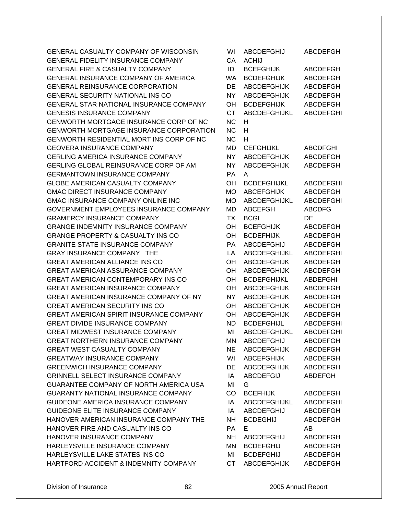GENERAL CASUALTY COMPANY OF WISCONSIN GENERAL FIDELITY INSURANCE COMPANY GENERAL FIRE & CASUALTY COMPANY GENERAL INSURANCE COMPANY OF AMERICA GENERAL REINSURANCE CORPORATION GENERAL SECURITY NATIONAL INS CO GENERAL STAR NATIONAL INSURANCE COMPANY GENESIS INSURANCE COMPANY GENWORTH MORTGAGE INSURANCE CORP OF NC GENWORTH MORTGAGE INSURANCE CORPORATION GENWORTH RESIDENTIAL MORT INS CORP OF NC GEOVERA INSURANCE COMPANY GERLING AMERICA INSURANCE COMPANY GERLING GLOBAL REINSURANCE CORP OF AM **GERMANTOWN INSURANCE COMPANY** GLOBE AMERICAN CASUALTY COMPANY GMAC DIRECT INSURANCE COMPANY GMAC INSURANCE COMPANY ONLINE INC GOVERNMENT EMPLOYEES INSURANCE COMPANY **GRAMERCY INSURANCE COMPANY** GRANGE INDEMNITY INSURANCE COMPANY GRANGE PROPERTY & CASUALTY INS CO GRANITE STATE INSURANCE COMPANY GRAY INSURANCE COMPANY THE GREAT AMERICAN ALLIANCE INS CO GREAT AMERICAN ASSURANCE COMPANY GREAT AMERICAN CONTEMPORARY INS CO GREAT AMERICAN INSURANCE COMPANY GREAT AMERICAN INSURANCE COMPANY OF NY GREAT AMERICAN SECURITY INS CO GREAT AMERICAN SPIRIT INSURANCE COMPANY GREAT DIVIDE INSURANCE COMPANY GREAT MIDWEST INSURANCE COMPANY GREAT NORTHERN INSURANCE COMPANY GREAT WEST CASUALTY COMPANY GREATWAY INSURANCE COMPANY GREENWICH INSURANCE COMPANY GRINNELL SELECT INSURANCE COMPANY GUARANTEE COMPANY OF NORTH AMERICA USA GUARANTY NATIONAL INSURANCE COMPANY GUIDEONE AMERICA INSURANCE COMPANY GUIDEONE ELITE INSURANCE COMPANY HANOVER AMERICAN INSURANCE COMPANY THE HANOVER FIRE AND CASUALTY INS CO HANOVER INSURANCE COMPANY HARLEYSVILLE INSURANCE COMPANY HARLEYSVILLE LAKE STATES INS CO HARTFORD ACCIDENT & INDEMNITY COMPANY

| WI        | ABCDEFGHIJ          | <b>ABCDEFGH</b>  |
|-----------|---------------------|------------------|
| CA        | <b>ACHIJ</b>        |                  |
| ID        | <b>BCEFGHIJK</b>    | ABCDEFGH         |
| WA        | <b>BCDEFGHIJK</b>   | <b>ABCDEFGH</b>  |
| DE        | <b>ABCDEFGHIJK</b>  | <b>ABCDEFGH</b>  |
| <b>NY</b> | <b>ABCDEFGHIJK</b>  | <b>ABCDEFGH</b>  |
| OH        | <b>BCDEFGHIJK</b>   | <b>ABCDEFGH</b>  |
| <b>CT</b> | ABCDEFGHIJKL        | <b>ABCDEFGHI</b> |
| <b>NC</b> | н                   |                  |
| <b>NC</b> | н                   |                  |
| <b>NC</b> | н                   |                  |
| MD        | <b>CEFGHIJKL</b>    | ABCDFGHI         |
| NΥ        | <b>ABCDEFGHIJK</b>  | <b>ABCDEFGH</b>  |
| <b>NY</b> | <b>ABCDEFGHIJK</b>  | <b>ABCDEFGH</b>  |
| <b>PA</b> | A                   |                  |
| OН        | <b>BCDEFGHIJKL</b>  | ABCDEFGHI        |
| МO        | <b>ABCEFGHIJK</b>   | ABCDEFGH         |
| <b>MO</b> | <b>ABCDEFGHIJKL</b> | <b>ABCDEFGHI</b> |
| <b>MD</b> | <b>ABCEFGH</b>      | <b>ABCDFG</b>    |
| ТX        | <b>BCGI</b>         | DE               |
| OH        | <b>BCEFGHIJK</b>    | <b>ABCDEFGH</b>  |
| OH        | <b>BCDEFHIJK</b>    | <b>ABCDEFGH</b>  |
| <b>PA</b> | ABCDEFGHIJ          | <b>ABCDEFGH</b>  |
| LA        | <b>ABCDEFGHIJKL</b> | <b>ABCDEFGHI</b> |
| OН        | <b>ABCDEFGHIJK</b>  | <b>ABCDEFGH</b>  |
| OH        | <b>ABCDEFGHIJK</b>  | <b>ABCDEFGH</b>  |
| OH        | <b>BCDEFGHIJKL</b>  | ABDEFGHI         |
| OН        | <b>ABCDEFGHIJK</b>  | <b>ABCDEFGH</b>  |
| <b>NY</b> | <b>ABCDEFGHIJK</b>  | <b>ABCDEFGH</b>  |
| OH        | <b>ABCDEFGHIJK</b>  | <b>ABCDEFGH</b>  |
| OH        | <b>ABCDEFGHIJK</b>  | <b>ABCDEFGH</b>  |
| ND        | <b>BCDEFGHIJL</b>   | <b>ABCDEFGHI</b> |
| MI        | ABCDEFGHIJKL        | ABCDEFGHI        |
| ΜN        | ABCDEFGHIJ          | <b>ABCDEFGH</b>  |
| <b>NE</b> | <b>ABCDEFGHIJK</b>  | <b>ABCDEFGH</b>  |
| WI        | <b>ABCEFGHIJK</b>   | <b>ABCDEFGH</b>  |
| DE        | ABCDEFGHIJK         | <b>ABCDEFGH</b>  |
| IA        | <b>ABCDEFGIJ</b>    | <b>ABDEFGH</b>   |
| MI        | G                   |                  |
| CO        | <b>BCEFHIJK</b>     | <b>ABCDEFGH</b>  |
| IA        | ABCDEFGHIJKL        | ABCDEFGHI        |
| IA        | ABCDEFGHIJ          | ABCDEFGH         |
| <b>NH</b> | <b>BCDEGHIJ</b>     | <b>ABCDEFGH</b>  |
| <b>PA</b> | E.                  | AB.              |
| NH .      | ABCDEFGHIJ          | <b>ABCDEFGH</b>  |
| <b>MN</b> | <b>BCDEFGHIJ</b>    | ABCDEFGH         |
| MI        | <b>BCDEFGHIJ</b>    | ABCDEFGH         |
| CT        | <b>ARCDEFGHLIK</b>  | <b>ARCDEFGH</b>  |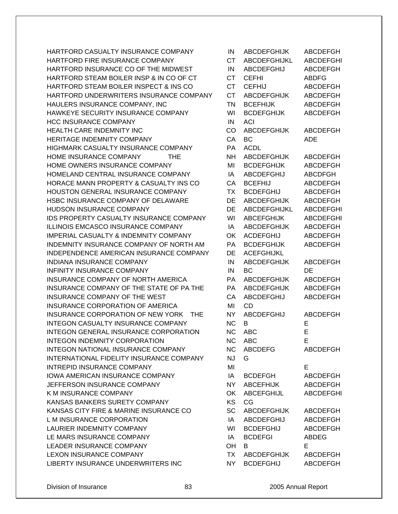HARTFORD CASUALTY INSURANCE COMPANY HARTFORD FIRE INSURANCE COMPANY HARTFORD INSURANCE CO OF THE MIDWEST HARTFORD STEAM BOILER INSP & IN CO OF CT HARTFORD STEAM BOILER INSPECT & INS CO HARTFORD UNDERWRITERS INSURANCE COMPANY HAULERS INSURANCE COMPANY, INC HAWKEYE SECURITY INSURANCE COMPANY **HCC INSURANCE COMPANY** HEALTH CARE INDEMNITY INC HERITAGE INDEMNITY COMPANY HIGHMARK CASUALTY INSURANCE COMPANY HOME INSURANCE COMPANY THE HOME OWNERS INSURANCE COMPANY HOMELAND CENTRAL INSURANCE COMPANY HORACE MANN PROPERTY & CASUALTY INS CO HOUSTON GENERAL INSURANCE COMPANY HSBC INSURANCE COMPANY OF DELAWARE HUDSON INSURANCE COMPANY IDS PROPERTY CASUALTY INSURANCE COMPANY **ILLINOIS EMCASCO INSURANCE COMPANY** IMPERIAL CASUALTY & INDEMNITY COMPANY INDEMNITY INSURANCE COMPANY OF NORTH AM INDEPENDENCE AMERICAN INSURANCE COMPANY INDIANA INSURANCE COMPANY INFINITY INSURANCE COMPANY INSURANCE COMPANY OF NORTH AMERICA INSURANCE COMPANY OF THE STATE OF PA THE INSURANCE COMPANY OF THE WEST INSURANCE CORPORATION OF AMERICA INSURANCE CORPORATION OF NEW YORK THE INTEGON CASUALTY INSURANCE COMPANY INTEGON GENERAL INSURANCE CORPORATION INTEGON INDEMNITY CORPORATION INTEGON NATIONAL INSURANCE COMPANY INTERNATIONAL FIDELITY INSURANCE COMPANY INTREPID INSURANCE COMPANY **IOWA AMERICAN INSURANCE COMPANY** JEFFERSON INSURANCE COMPANY K M INSURANCE COMPANY KANSAS BANKERS SURETY COMPANY KANSAS CITY FIRE & MARINE INSURANCE CO L M INSURANCE CORPORATION LAURIER INDEMNITY COMPANY LE MARS INSURANCE COMPANY LEADER INSURANCE COMPANY LEXON INSURANCE COMPANY LIBERTY INSURANCE UNDERWRITERS INC

| IN        | <b>ABCDEFGHIJK</b>  | ABCDEFGH         |
|-----------|---------------------|------------------|
| <b>CT</b> | <b>ABCDEFGHIJKL</b> | <b>ABCDEFGHI</b> |
| IN        | <b>ABCDEFGHIJ</b>   | ABCDEFGH         |
| <b>CT</b> | <b>CEFHI</b>        | <b>ABDFG</b>     |
| <b>CT</b> | <b>CEFHIJ</b>       | <b>ABCDEFGH</b>  |
| <b>CT</b> | ABCDEFGHIJK         | <b>ABCDEFGH</b>  |
| <b>TN</b> | <b>BCEFHIJK</b>     | ABCDEFGH         |
| WI        | <b>BCDEFGHIJK</b>   | <b>ABCDEFGH</b>  |
| IN        | ACI                 |                  |
| CO        | <b>ABCDEFGHIJK</b>  | <b>ABCDEFGH</b>  |
| CA        | <b>BC</b>           | ADE              |
| PA        | ACDL                |                  |
| NΗ        | <b>ABCDEFGHIJK</b>  | <b>ABCDEFGH</b>  |
| MI        | <b>BCDEFGHIJK</b>   | <b>ABCDEFGH</b>  |
| IA        | <b>ABCDEFGHIJ</b>   | <b>ABCDFGH</b>   |
| CA        | <b>BCEFHIJ</b>      | <b>ABCDEFGH</b>  |
| ТX        | <b>BCDEFGHIJ</b>    | <b>ABCDEFGH</b>  |
| DE        | <b>ABCDEFGHIJK</b>  | <b>ABCDEFGH</b>  |
| DE        | <b>ABCDEFGHIJKL</b> | <b>ABCDEFGHI</b> |
| WI        | <b>ABCEFGHIJK</b>   | <b>ABCDEFGHI</b> |
| IA        | <b>ABCDEFGHIJK</b>  | <b>ABCDEFGH</b>  |
| OK        | <b>ACDEFGHIJ</b>    | <b>ABCDEFGH</b>  |
| PA        | <b>BCDEFGHIJK</b>   | <b>ABCDEFGH</b>  |
| DE        | <b>ACEFGHIJKL</b>   |                  |
| IN        | <b>ABCDEFGHIJK</b>  | <b>ABCDEFGH</b>  |
| IN        | ВC                  | DE               |
| PA        | <b>ABCDEFGHIJK</b>  | <b>ABCDEFGH</b>  |
| PA        | <b>ABCDEFGHIJK</b>  | <b>ABCDEFGH</b>  |
| CA        | <b>ABCDEFGHIJ</b>   | <b>ABCDEFGH</b>  |
| MI        | CD                  |                  |
| <b>NY</b> | <b>ABCDEFGHIJ</b>   | <b>ABCDEFGH</b>  |
| ΝC        | В                   | E                |
| <b>NC</b> | ABC                 | E                |
| ΝC        | ABC                 | E                |
| NC.       | ABCDEFG             | <b>ABCDEFGH</b>  |
| <b>NJ</b> | G                   |                  |
| MI        |                     | E                |
| IA        | <b>BCDEFGH</b>      | <b>ABCDEFGH</b>  |
| NY.       | ABCEFHIJK           | <b>ABCDEFGH</b>  |
| ОK        | ABCEFGHIJL          | <b>ABCDEFGHI</b> |
| <b>KS</b> | CG                  |                  |
| SC        | ABCDEFGHIJK         | ABCDEFGH         |
| IA        | <b>ABCDEFGHIJ</b>   | <b>ABCDEFGH</b>  |
| WI        | <b>BCDEFGHIJ</b>    | <b>ABCDEFGH</b>  |
| IA        | <b>BCDEFGI</b>      | ABDEG            |
| OH        | B                   | Е                |
|           | TX ABCDEFGHIJK      | <b>ABCDEFGH</b>  |
| NY I      | <b>BCDEFGHIJ</b>    | <b>ABCDEFGH</b>  |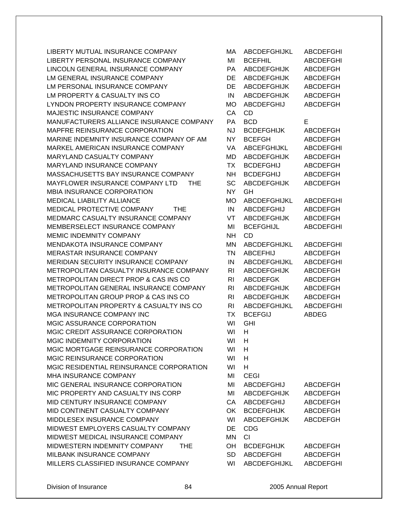LIBERTY MUTUAL INSURANCE COMPANY LIBERTY PERSONAL INSURANCE COMPANY LINCOLN GENERAL INSURANCE COMPANY LM GENERAL INSURANCE COMPANY LM PERSONAL INSURANCE COMPANY LM PROPERTY & CASUALTY INS CO LYNDON PROPERTY INSURANCE COMPANY MAJESTIC INSURANCE COMPANY MANUFACTURERS ALLIANCE INSURANCE COMPANY MAPFRE REINSURANCE CORPORATION MARINE INDEMNITY INSURANCE COMPANY OF AM MARKEL AMERICAN INSURANCE COMPANY MARYLAND CASUALTY COMPANY MARYLAND INSURANCE COMPANY MASSACHUSETTS BAY INSURANCE COMPANY MAYFLOWER INSURANCE COMPANY LTD THE MBIA INSURANCE CORPORATION MEDICAL LIABILITY ALLIANCE MEDICAL PROTECTIVE COMPANY THE MEDMARC CASUALTY INSURANCE COMPANY MEMBERSELECT INSURANCE COMPANY MEMIC INDEMNITY COMPANY MENDAKOTA INSURANCE COMPANY MERASTAR INSURANCE COMPANY MERIDIAN SECURITY INSURANCE COMPANY METROPOLITAN CASUALTY INSURANCE COMPANY METROPOLITAN DIRECT PROP & CAS INS CO METROPOLITAN GENERAL INSURANCE COMPANY METROPOLITAN GROUP PROP & CAS INS CO METROPOLITAN PROPERTY & CASUALTY INS CO MGA INSURANCE COMPANY INC MGIC ASSURANCE CORPORATION MGIC CREDIT ASSURANCE CORPORATION MGIC INDEMNITY CORPORATION MGIC MORTGAGE REINSURANCE CORPORATION MGIC REINSURANCE CORPORATION MGIC RESIDENTIAL REINSURANCE CORPORATION MHA INSURANCE COMPANY MIC GENERAL INSURANCE CORPORATION MIC PROPERTY AND CASUALTY INS CORP MID CENTURY INSURANCE COMPANY MID CONTINENT CASUALTY COMPANY MIDDLESEX INSURANCE COMPANY MIDWEST EMPLOYERS CASUALTY COMPANY MIDWEST MEDICAL INSURANCE COMPANY MIDWESTERN INDEMNITY COMPANY THE MILBANK INSURANCE COMPANY MILLERS CLASSIFIED INSURANCE COMPANY

| МA             | ABCDEFGHIJKL        | ABCDEFGHI        |
|----------------|---------------------|------------------|
| MI             | <b>BCEFHIL</b>      | <b>ABCDEFGHI</b> |
| PA             | <b>ABCDEFGHIJK</b>  | <b>ABCDEFGH</b>  |
| DE             | <b>ABCDEFGHIJK</b>  | <b>ABCDEFGH</b>  |
| DE             | <b>ABCDEFGHIJK</b>  | <b>ABCDEFGH</b>  |
| IN             | <b>ABCDEFGHIJK</b>  | <b>ABCDEFGH</b>  |
| <b>MO</b>      | <b>ABCDEFGHIJ</b>   | <b>ABCDEFGH</b>  |
| CA             | CD                  |                  |
| <b>PA</b>      | <b>BCD</b>          | Ε                |
| <b>NJ</b>      | <b>BCDEFGHIJK</b>   | <b>ABCDEFGH</b>  |
| <b>NY</b>      | <b>BCEFGH</b>       | <b>ABCDEFGH</b>  |
| VA             | <b>ABCEFGHIJKL</b>  | <b>ABCDEFGHI</b> |
| MD             | <b>ABCDEFGHIJK</b>  | <b>ABCDEFGH</b>  |
| <b>TX</b>      | <b>BCDEFGHIJ</b>    | <b>ABCDEFGH</b>  |
| NΗ             | <b>BCDEFGHIJ</b>    | <b>ABCDEFGH</b>  |
| SC             | <b>ABCDEFGHIJK</b>  | <b>ABCDEFGH</b>  |
| <b>NY</b>      | GH                  |                  |
| <b>MO</b>      | ABCDEFGHIJKL        | <b>ABCDEFGHI</b> |
| IN             | <b>ABCDEFGHIJ</b>   | <b>ABCDEFGH</b>  |
| VT             | ABCDEFGHIJK         | <b>ABCDEFGH</b>  |
| MI             | <b>BCEFGHIJL</b>    | <b>ABCDEFGHI</b> |
| <b>NH</b>      |                     |                  |
|                | CD                  |                  |
| MN             | <b>ABCDEFGHIJKL</b> | <b>ABCDEFGHI</b> |
| <b>TN</b>      | <b>ABCEFHIJ</b>     | <b>ABCDEFGH</b>  |
| IN             | <b>ABCDEFGHIJKL</b> | <b>ABCDEFGHI</b> |
| RI             | <b>ABCDEFGHIJK</b>  | <b>ABCDEFGH</b>  |
| RI             | <b>ABCDEFGK</b>     | <b>ABCDEFGH</b>  |
| RI             | <b>ABCDEFGHIJK</b>  | <b>ABCDEFGH</b>  |
| R <sub>l</sub> | <b>ABCDEFGHIJK</b>  | <b>ABCDEFGH</b>  |
| RI             | <b>ABCDEFGHIJKL</b> | <b>ABCDEFGHI</b> |
| ТX             | <b>BCEFGIJ</b>      | <b>ABDEG</b>     |
| WI             | GHI                 |                  |
| WI             | н                   |                  |
| WI             | H.                  |                  |
| WI             | н                   |                  |
| WI             | н                   |                  |
| WI             | н                   |                  |
| MI             | <b>CEGI</b>         |                  |
| MI             | ABCDEFGHIJ          | <b>ABCDEFGH</b>  |
| MI             | <b>ABCDEFGHIJK</b>  | <b>ABCDEFGH</b>  |
| CA             | <b>ABCDEFGHIJ</b>   | <b>ABCDEFGH</b>  |
| OK             | <b>BCDEFGHIJK</b>   | <b>ABCDEFGH</b>  |
| WI             | <b>ABCDEFGHIJK</b>  | <b>ABCDEFGH</b>  |
| DE             | <b>CDG</b>          |                  |
| MN             | CI                  |                  |
| OH             | <b>BCDEFGHIJK</b>   | <b>ABCDEFGH</b>  |
| SD             | <b>ABCDEFGHI</b>    | <b>ABCDEFGH</b>  |
| WI             | ABCDEFGHIJKL        | <b>ABCDEFGHI</b> |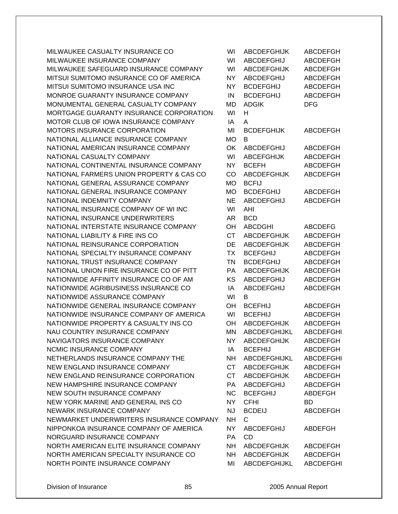MILWAUKEE CASUALTY INSURANCE CO MILWAUKEE INSURANCE COMPANY MILWAUKEE SAFEGUARD INSURANCE COMPANY MITSUI SUMITOMO INSURANCE CO OF AMERICA MITSUI SUMITOMO INSURANCE USA INC MONROE GUARANTY INSURANCE COMPANY MONUMENTAL GENERAL CASUALTY COMPANY MORTGAGE GUARANTY INSURANCE CORPORATION MOTOR CLUB OF IOWA INSURANCE COMPANY MOTORS INSURANCE CORPORATION NATIONAL ALLIANCE INSURANCE COMPANY NATIONAL AMERICAN INSURANCE COMPANY NATIONAL CASUALTY COMPANY NATIONAL CONTINENTAL INSURANCE COMPANY NATIONAL FARMERS UNION PROPERTY & CAS CO NATIONAL GENERAL ASSURANCE COMPANY NATIONAL GENERAL INSURANCE COMPANY NATIONAL INDEMNITY COMPANY NATIONAL INSURANCE COMPANY OF WI INC NATIONAL INSURANCE UNDERWRITERS NATIONAL INTERSTATE INSURANCE COMPANY NATIONAL LIABILITY & FIRE INS CO NATIONAL REINSURANCE CORPORATION NATIONAL SPECIALTY INSURANCE COMPANY NATIONAL TRUST INSURANCE COMPANY NATIONAL UNION FIRE INSURANCE CO OF PITT NATIONWIDE AFFINITY INSURANCE CO OF AM NATIONWIDE AGRIBUSINESS INSURANCE CO NATIONWIDE ASSURANCE COMPANY NATIONWIDE GENERAL INSURANCE COMPANY NATIONWIDE INSURANCE COMPANY OF AMERICA NATIONWIDE PROPERTY & CASUALTY INS CO NAU COUNTRY INSURANCE COMPANY NAVIGATORS INSURANCE COMPANY NCMIC INSURANCE COMPANY NETHERLANDS INSURANCE COMPANY THE NEW ENGLAND INSURANCE COMPANY NEW ENGLAND REINSURANCE CORPORATION NEW HAMPSHIRE INSURANCE COMPANY NEW SOUTH INSURANCE COMPANY NEW YORK MARINE AND GENERAL INS CO NEWARK INSURANCE COMPANY NEWMARKET UNDERWRITERS INSURANCE COMPANY NIPPONKOA INSURANCE COMPANY OF AMERICA NORGUARD INSURANCE COMPANY NORTH AMERICAN ELITE INSURANCE COMPANY NORTH AMERICAN SPECIALTY INSURANCE CO NORTH POINTE INSURANCE COMPANY

| WI        | <b>ABCDEFGHIJK</b>           | ABCDEFGH         |
|-----------|------------------------------|------------------|
| WI        | <b>ABCDEFGHIJ</b>            | <b>ABCDEFGH</b>  |
| WI        | <b>ABCDEFGHIJK</b>           | <b>ABCDEFGH</b>  |
| NΥ        | ABCDEFGHIJ                   | <b>ABCDEFGH</b>  |
| NΥ        | <b>BCDEFGHIJ</b>             | <b>ABCDEFGH</b>  |
| IN        | <b>BCDEFGHIJ</b>             | <b>ABCDEFGH</b>  |
| MD        | <b>ADGIK</b>                 | <b>DFG</b>       |
| WI        | н                            |                  |
| IA        | A                            |                  |
| MI        | <b>BCDEFGHIJK</b>            | ABCDEFGH         |
| MО        | в                            |                  |
| OK        | <b>ABCDEFGHIJ</b>            | <b>ABCDEFGH</b>  |
| WI        | <b>ABCEFGHIJK</b>            | ABCDEFGH         |
| <b>NY</b> | <b>BCEFH</b>                 | <b>ABCDEFGH</b>  |
| CO        | <b>ABCDEFGHIJK</b>           | <b>ABCDEFGH</b>  |
| МO        | <b>BCFIJ</b>                 |                  |
| МO        | <b>BCDEFGHIJ</b>             | <b>ABCDEFGH</b>  |
| NE        | ABCDEFGHIJ                   | <b>ABCDEFGH</b>  |
| WI        | AHI                          |                  |
|           |                              |                  |
| AR<br>OН  | <b>BCD</b><br><b>ABCDGHI</b> | <b>ABCDEFG</b>   |
| <b>CT</b> | <b>ABCDEFGHIJK</b>           | <b>ABCDEFGH</b>  |
|           |                              |                  |
| DE        | <b>ABCDEFGHIJK</b>           | <b>ABCDEFGH</b>  |
| <b>TX</b> | <b>BCEFGHIJ</b>              | <b>ABCDEFGH</b>  |
| <b>TN</b> | <b>BCDEFGHIJ</b>             | <b>ABCDEFGH</b>  |
| PA        | <b>ABCDEFGHIJK</b>           | <b>ABCDEFGH</b>  |
| KS        | ABCDEFGHIJ                   | <b>ABCDEFGH</b>  |
| IA        | <b>ABCDEFGHIJ</b>            | <b>ABCDEFGH</b>  |
| WI        | B                            |                  |
| OH        | <b>BCEFHIJ</b>               | <b>ABCDEFGH</b>  |
| WI        | <b>BCEFHIJ</b>               | <b>ABCDEFGH</b>  |
| OН        | <b>ABCDEFGHIJK</b>           | <b>ABCDEFGH</b>  |
| MN        | ABCDEFGHIJKL                 | <b>ABCDEFGHI</b> |
| NY N      | ABCDEFGHIJK                  | <b>ABCDEFGH</b>  |
| IA        | <b>BCEFHIJ</b>               | <b>ABCDEFGH</b>  |
| NH.       | ABCDEFGHIJKL                 | <b>ABCDEFGHI</b> |
| CT        | <b>ABCDEFGHIJK</b>           | ABCDEFGH         |
| <b>CT</b> | ABCDEFGHIJK                  | <b>ABCDEFGH</b>  |
|           | PA ABCDEFGHIJ                | ABCDEFGH         |
|           | NC BCEFGHIJ                  | <b>ABDEFGH</b>   |
| <b>NY</b> | CFHI                         | BD.              |
| <b>NJ</b> | <b>BCDEIJ</b>                | <b>ABCDEFGH</b>  |
| <b>NH</b> | $\mathsf{C}$                 |                  |
| NY I      | ABCDEFGHIJ                   | ABDEFGH          |
| PA        | <b>CD</b>                    |                  |
| <b>NH</b> | <b>ABCDEFGHIJK</b>           | ABCDEFGH         |
|           | NH ABCDEFGHIJK               | ABCDEFGH         |
| MI        | ABCDEFGHIJKL                 | <b>ABCDEFGHI</b> |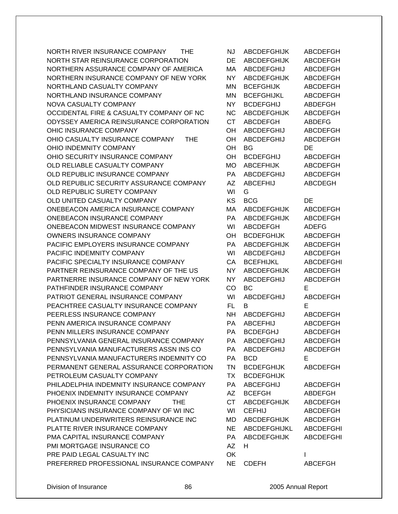NORTH RIVER INSURANCE COMPANY THE NJ ABCDEFGHIJK ABCDEFGH NORTH STAR REINSURANCE CORPORATION DE ABCDEFGHIJK ABCDEFGH NORTHERN ASSURANCE COMPANY OF AMERICA MA ABCDEFGHIJ ABCDEFGH NORTHERN INSURANCE COMPANY OF NEW YORK NY ABCDEFGHIJK ABCDEFGH NORTHLAND CASUALTY COMPANY **MORTHLAND CASUALTY** COMPANY NORTHLAND INSURANCE COMPANY MN BCEFGHIJKL ABCDEFGH NOVA CASUALTY COMPANY NARRY NEW NY BCDEFGHIJ ABDEFGH OCCIDENTAL FIRE & CASUALTY COMPANY OF NC NC ABCDEFGHIJK ABCDEFGH ODYSSEY AMERICA REINSURANCE CORPORATION CT ABCDEFGH ABDEFG OHIC INSURANCE COMPANY **OH ABCDEFGHIJ** ABCDEFGH OHIO CASUALTY INSURANCE COMPANY THE OH ABCDEFGHIJ ABCDEFGH OHIO INDEMNITY COMPANY **OHIO INDEMNITY COMPANY OHIO IN** OH BG DE OHIO SECURITY INSURANCE COMPANY **OH BCDEFGHIJ** ABCDEFGH OLD RELIABLE CASUALTY COMPANY **MO** ABCEFHIJK ABCDEFGH OLD REPUBLIC INSURANCE COMPANY **PA ABCDEFGHIJ** ABCDEFGH OLD REPUBLIC SECURITY ASSURANCE COMPANY AZ ABCEFHIJ ABCDEGH OLD REPUBLIC SURETY COMPANY WI G OLD UNITED CASUALTY COMPANY GALLERY AND MANY A REGARD METALLY AND METALLY COMPANY ONEBEACON AMERICA INSURANCE COMPANY MA ABCDEFGHIJK ABCDEFGH ONEBEACON INSURANCE COMPANY **PA ABCDEFGHIJK ABCDEFGH** ONEBEACON MIDWEST INSURANCE COMPANY WI ABCDEFGH ADEFG OWNERS INSURANCE COMPANY **OH BEDEFGHIJK ABCDEFGH** PACIFIC EMPLOYERS INSURANCE COMPANY **PA ABCDEFGHIJK ABCDEFGH** PACIFIC INDEMNITY COMPANY WILL NOT THE WILL ABCDEFGHIJ ABCDEFGH PACIFIC SPECIALTY INSURANCE COMPANY CA BCEFHIJKL ABCDEFGHI PARTNER REINSURANCE COMPANY OF THE US NY ABCDEFGHIJK ABCDEFGH PARTNERRE INSURANCE COMPANY OF NEW YORK NY ABCDEFGHIJ ABCDEFGH PATHFINDER INSURANCE COMPANY CO BC E PATRIOT GENERAL INSURANCE COMPANY WI ABCDEFGHIJ ABCDEFGH PEACHTREE CASUALTY INSURANCE COMPANY FL B E PEERLESS INSURANCE COMPANY NH ABCDEFGHIJ ABCDEFGH PENN AMERICA INSURANCE COMPANY **PA ABCEFHIJ ABCDEFGH** PENN MILLERS INSURANCE COMPANY **PA BCDEFGHJ** ABCDEFGH PENNSYLVANIA GENERAL INSURANCE COMPANY PA ABCDEFGHIJ ABCDEFGH PENNSYLVANIA MANUFACTURERS ASSN INS CO PA ABCDEFGHIJ ABCDEFGH PENNSYLVANIA MANUFACTURERS INDEMNITY CO PA BCD E PERMANENT GENERAL ASSURANCE CORPORATION TN BCDEFGHIJK ABCDEFGH PETROLEUM CASUALTY COMPANY TAN TX BCDEFGHIJK PHILADELPHIA INDEMNITY INSURANCE COMPANY PA ABCEFGHIJ ABCDEFGH PHOENIX INDEMNITY INSURANCE COMPANY AZ BCEFGH ABDEFGH PHOENIX INSURANCE COMPANY THE CT ABCDEFGHIJK ABCDEFGH PHYSICIANS INSURANCE COMPANY OF WI INC WI CEFHIJ ABCDEFGH PLATINUM UNDERWRITERS REINSURANCE INC MD ABCDEFGHIJK ABCDEFGH PLATTE RIVER INSURANCE COMPANY NE ABCDEFGHIJKL ABCDEFGHI PMA CAPITAL INSURANCE COMPANY **PA ABCDEFGHIJK** ABCDEFGHI PMI MORTGAGE INSURANCE CO AZ H PRE PAID LEGAL CASUALTY INC **Internal CONFIDENT** OK **I** PREFERRED PROFESSIONAL INSURANCE COMPANY NE CDEFH ABCEFGH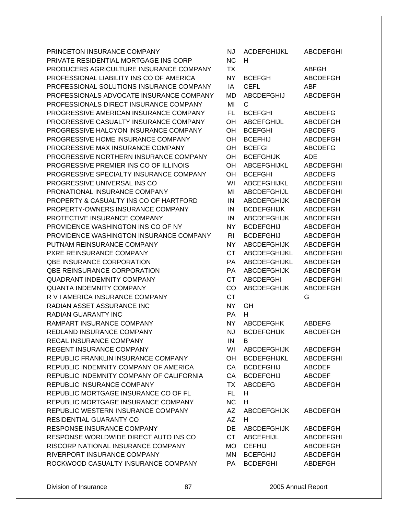| PRINCETON INSURANCE COMPANY              | <b>NJ</b> | <b>ACDEFGHIJKL</b> | <b>ABCDEFGHI</b> |
|------------------------------------------|-----------|--------------------|------------------|
| PRIVATE RESIDENTIAL MORTGAGE INS CORP    | <b>NC</b> | H                  |                  |
| PRODUCERS AGRICULTURE INSURANCE COMPANY  | TX        |                    | <b>ABFGH</b>     |
| PROFESSIONAL LIABILITY INS CO OF AMERICA | NY.       | <b>BCEFGH</b>      | <b>ABCDEFGH</b>  |
| PROFESSIONAL SOLUTIONS INSURANCE COMPANY | IA        | <b>CEFL</b>        | <b>ABF</b>       |
| PROFESSIONALS ADVOCATE INSURANCE COMPANY | <b>MD</b> | <b>ABCDEFGHIJ</b>  | <b>ABCDEFGH</b>  |
| PROFESSIONALS DIRECT INSURANCE COMPANY   | MI        | С                  |                  |
| PROGRESSIVE AMERICAN INSURANCE COMPANY   | FL.       | <b>BCEFGHI</b>     | <b>ABCDEFG</b>   |
| PROGRESSIVE CASUALTY INSURANCE COMPANY   | OН        | <b>ABCEFGHIJL</b>  | <b>ABCDEFGH</b>  |
| PROGRESSIVE HALCYON INSURANCE COMPANY    | OH        | <b>BCEFGHI</b>     | <b>ABCDEFG</b>   |
| PROGRESSIVE HOME INSURANCE COMPANY       | OH        | <b>BCEFHIJ</b>     | <b>ABCDEFGH</b>  |
| PROGRESSIVE MAX INSURANCE COMPANY        | OH        | <b>BCEFGI</b>      | <b>ABCDEFG</b>   |
| PROGRESSIVE NORTHERN INSURANCE COMPANY   | OН        | <b>BCEFGHIJK</b>   | <b>ADE</b>       |
| PROGRESSIVE PREMIER INS CO OF ILLINOIS   | OH        | ABCEFGHIJKL        | <b>ABCDEFGHI</b> |
| PROGRESSIVE SPECIALTY INSURANCE COMPANY  | OH        | <b>BCEFGHI</b>     | <b>ABCDEFG</b>   |
| PROGRESSIVE UNIVERSAL INS CO             | WI        | <b>ABCEFGHIJKL</b> | <b>ABCDEFGHI</b> |
| PRONATIONAL INSURANCE COMPANY            | MI        | ABCDEFGHIJL        | <b>ABCDEFGHI</b> |
| PROPERTY & CASUALTY INS CO OF HARTFORD   | IN        | <b>ABCDEFGHIJK</b> | ABCDEFGH         |
| PROPERTY-OWNERS INSURANCE COMPANY        | IN        | <b>BCDEFGHIJK</b>  | <b>ABCDEFGH</b>  |
| PROTECTIVE INSURANCE COMPANY             | IN        | <b>ABCDEFGHIJK</b> | <b>ABCDEFGH</b>  |
| PROVIDENCE WASHINGTON INS CO OF NY       | NY.       | <b>BCDEFGHIJ</b>   | <b>ABCDEFGH</b>  |
| PROVIDENCE WASHINGTON INSURANCE COMPANY  | RI        | <b>BCDEFGHIJ</b>   | <b>ABCDEFGH</b>  |
| PUTNAM REINSURANCE COMPANY               | <b>NY</b> | <b>ABCDEFGHIJK</b> | <b>ABCDEFGH</b>  |
| PXRE REINSURANCE COMPANY                 | <b>CT</b> | ABCDEFGHIJKL       | <b>ABCDEFGHI</b> |
| <b>QBE INSURANCE CORPORATION</b>         | PA        | ABCDEFGHIJKL       | ABCDEFGH         |
| QBE REINSURANCE CORPORATION              | PA        | <b>ABCDEFGHIJK</b> | <b>ABCDEFGH</b>  |
| <b>QUADRANT INDEMNITY COMPANY</b>        | <b>CT</b> | <b>ABCDEFGHI</b>   | <b>ABCDEFGHI</b> |
| <b>QUANTA INDEMNITY COMPANY</b>          | CO        | <b>ABCDEFGHIJK</b> | <b>ABCDEFGH</b>  |
| R V I AMERICA INSURANCE COMPANY          | <b>CT</b> |                    | G                |
| RADIAN ASSET ASSURANCE INC               | <b>NY</b> | GH                 |                  |
| <b>RADIAN GUARANTY INC</b>               | <b>PA</b> | н                  |                  |
| RAMPART INSURANCE COMPANY                | <b>NY</b> | <b>ABCDEFGHK</b>   | ABDEFG           |
| REDLAND INSURANCE COMPANY                | <b>NJ</b> | <b>BCDEFGHIJK</b>  | <b>ABCDEFGH</b>  |
| REGAL INSURANCE COMPANY                  | IN        | в                  |                  |
| <b>REGENT INSURANCE COMPANY</b>          | WI        | <b>ABCDEFGHIJK</b> | ABCDEFGH         |
| REPUBLIC FRANKLIN INSURANCE COMPANY      | OH        | <b>BCDEFGHIJKL</b> | <b>ABCDEFGHI</b> |
| REPUBLIC INDEMNITY COMPANY OF AMERICA    | CA        | <b>BCDEFGHIJ</b>   | <b>ABCDEF</b>    |
| REPUBLIC INDEMNITY COMPANY OF CALIFORNIA | CA        | <b>BCDEFGHIJ</b>   | <b>ABCDEF</b>    |
| REPUBLIC INSURANCE COMPANY               | <b>TX</b> | <b>ABCDEFG</b>     | ABCDEFGH         |
| REPUBLIC MORTGAGE INSURANCE CO OF FL     | FL.       | H                  |                  |
| REPUBLIC MORTGAGE INSURANCE COMPANY      | <b>NC</b> | Н                  |                  |
| REPUBLIC WESTERN INSURANCE COMPANY       | AZ        | <b>ABCDEFGHIJK</b> | ABCDEFGH         |
| <b>RESIDENTIAL GUARANTY CO</b>           | AZ        | н                  |                  |
| RESPONSE INSURANCE COMPANY               | <b>DE</b> | <b>ABCDEFGHIJK</b> | <b>ABCDEFGH</b>  |
| RESPONSE WORLDWIDE DIRECT AUTO INS CO    | <b>CT</b> | <b>ABCEFHIJL</b>   | <b>ABCDEFGHI</b> |
| RISCORP NATIONAL INSURANCE COMPANY       | <b>MO</b> | <b>CEFHIJ</b>      | ABCDEFGH         |
| RIVERPORT INSURANCE COMPANY              | MN        | <b>BCEFGHIJ</b>    | ABCDEFGH         |
| ROCKWOOD CASUALTY INSURANCE COMPANY      | <b>PA</b> | <b>BCDEFGHI</b>    | <b>ABDEFGH</b>   |
|                                          |           |                    |                  |

| NJ             | <b>ACDEFGHIJKL</b>  | <b>ABCDEFGHI</b> |
|----------------|---------------------|------------------|
| ΝC             | н                   |                  |
| TX             |                     | <b>ABFGH</b>     |
| NΥ             | <b>BCEFGH</b>       | <b>ABCDEFGH</b>  |
| IA             | <b>CEFL</b>         | ABF              |
| МD             | <b>ABCDEFGHIJ</b>   | <b>ABCDEFGH</b>  |
| MI             | С                   |                  |
| FL             | <b>BCEFGHI</b>      | <b>ABCDEFG</b>   |
| OН             | ABCEFGHIJL          | <b>ABCDEFGH</b>  |
| OН             | <b>BCEFGHI</b>      | <b>ABCDEFG</b>   |
| OН             | <b>BCEFHIJ</b>      | <b>ABCDEFGH</b>  |
| OН             | <b>BCEFGI</b>       | <b>ABCDEFG</b>   |
| OН             | <b>BCEFGHIJK</b>    | <b>ADE</b>       |
| OН             | <b>ABCEFGHIJKL</b>  | <b>ABCDEFGHI</b> |
| OН             | <b>BCEFGHI</b>      | <b>ABCDEFG</b>   |
| WI             | <b>ABCEFGHIJKL</b>  | <b>ABCDEFGHI</b> |
| MI             | <b>ABCDEFGHIJL</b>  | <b>ABCDEFGHI</b> |
| IN             | <b>ABCDEFGHIJK</b>  | <b>ABCDEFGH</b>  |
| IN             | <b>BCDEFGHIJK</b>   | <b>ABCDEFGH</b>  |
| IN             | <b>ABCDEFGHIJK</b>  | <b>ABCDEFGH</b>  |
| NY             | <b>BCDEFGHIJ</b>    | <b>ABCDEFGH</b>  |
| R <sub>l</sub> | <b>BCDEFGHIJ</b>    | <b>ABCDEFGH</b>  |
| NY             | <b>ABCDEFGHIJK</b>  | <b>ABCDEFGH</b>  |
| СT             | ABCDEFGHIJKL        | <b>ABCDEFGHI</b> |
| PA             | <b>ABCDEFGHIJKL</b> | <b>ABCDEFGH</b>  |
| PA             | <b>ABCDEFGHIJK</b>  | <b>ABCDEFGH</b>  |
| СT             | <b>ABCDEFGHI</b>    | <b>ABCDEFGHI</b> |
| CO             | <b>ABCDEFGHIJK</b>  | <b>ABCDEFGH</b>  |
| СT             |                     | G                |
| NΥ             | GH                  |                  |
| РA             | н                   |                  |
| NΥ             | <b>ABCDEFGHK</b>    | <b>ABDEFG</b>    |
| <b>NJ</b>      | <b>BCDEFGHIJK</b>   | <b>ABCDEFGH</b>  |
| IN             | В                   |                  |
| WI             | <b>ABCDEFGHIJK</b>  | ABCDEFGH         |
| OН             | <b>BCDEFGHIJKL</b>  | <b>ABCDEFGHI</b> |
| СA             | <b>BCDEFGHIJ</b>    | <b>ABCDEF</b>    |
| CA             | <b>BCDEFGHIJ</b>    | <b>ABCDEF</b>    |
| <b>TX</b>      | <b>ABCDEFG</b>      | <b>ABCDEFGH</b>  |
| FL.            | H                   |                  |
| <b>NC</b>      | н                   |                  |
| AZ             | <b>ABCDEFGHIJK</b>  | <b>ABCDEFGH</b>  |
| AΖ             | н                   |                  |
| DE             | <b>ABCDEFGHIJK</b>  | <b>ABCDEFGH</b>  |
| СT             | <b>ABCEFHIJL</b>    | <b>ABCDEFGHI</b> |
|                | MO CEFHIJ           | ABCDEFGH         |
| MN             | <b>BCEFGHIJ</b>     | <b>ABCDEFGH</b>  |
| PA             | <b>BCDEFGHI</b>     | <b>ABDEFGH</b>   |
|                |                     |                  |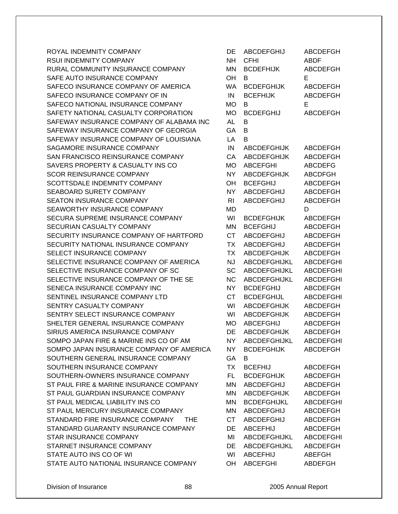ROYAL INDEMNITY COMPANY RSUI INDEMNITY COMPANY RURAL COMMUNITY INSURANCE COMPANY SAFE AUTO INSURANCE COMPANY SAFECO INSURANCE COMPANY OF AMERICA SAFECO INSURANCE COMPANY OF IN SAFECO NATIONAL INSURANCE COMPANY SAFETY NATIONAL CASUALTY CORPORATION SAFEWAY INSURANCE COMPANY OF ALABAMA INC SAFEWAY INSURANCE COMPANY OF GEORGIA SAFEWAY INSURANCE COMPANY OF LOUISIANA SAGAMORE INSURANCE COMPANY SAN FRANCISCO REINSURANCE COMPANY SAVERS PROPERTY & CASUALTY INS CO SCOR REINSURANCE COMPANY SCOTTSDALE INDEMNITY COMPANY SEABOARD SURETY COMPANY SEATON INSURANCE COMPANY SEAWORTHY INSURANCE COMPANY SECURA SUPREME INSURANCE COMPANY SECURIAN CASUALTY COMPANY SECURITY INSURANCE COMPANY OF HARTFORD SECURITY NATIONAL INSURANCE COMPANY SELECT INSURANCE COMPANY SELECTIVE INSURANCE COMPANY OF AMERICA SELECTIVE INSURANCE COMPANY OF SC SELECTIVE INSURANCE COMPANY OF THE SE SENECA INSURANCE COMPANY INC SENTINEL INSURANCE COMPANY LTD SENTRY CASUALTY COMPANY SENTRY SELECT INSURANCE COMPANY SHELTER GENERAL INSURANCE COMPANY SIRIUS AMERICA INSURANCE COMPANY SOMPO JAPAN FIRE & MARINE INS CO OF AM SOMPO JAPAN INSURANCE COMPANY OF AMERICA SOUTHERN GENERAL INSURANCE COMPANY SOUTHERN INSURANCE COMPANY SOUTHERN-OWNERS INSURANCE COMPANY ST PAUL FIRE & MARINE INSURANCE COMPANY ST PAUL GUARDIAN INSURANCE COMPANY ST PAUL MEDICAL LIABILITY INS CO ST PAUL MERCURY INSURANCE COMPANY STANDARD FIRE INSURANCE COMPANY THE STANDARD GUARANTY INSURANCE COMPANY STAR INSURANCE COMPANY STARNET INSURANCE COMPANY STATE AUTO INS CO OF WI STATE AUTO NATIONAL INSURANCE COMPANY

| DE             | <b>ABCDEFGHIJ</b>   | <b>ABCDEFGH</b>  |
|----------------|---------------------|------------------|
| <b>NH</b>      | CFHI                | ABDF             |
| ΜN             | <b>BCDEFHIJK</b>    | <b>ABCDEFGH</b>  |
| OH             | в                   | Е                |
| <b>WA</b>      | <b>BCDEFGHIJK</b>   | <b>ABCDEFGH</b>  |
| IN             | <b>BCEFHIJK</b>     | ABCDEFGH         |
| <b>MO</b>      | в                   | E                |
| <b>MO</b>      | <b>BCDEFGHIJ</b>    | <b>ABCDEFGH</b>  |
| <b>AL</b>      | B                   |                  |
| GA             | в                   |                  |
| LA             | в                   |                  |
| IN             | <b>ABCDEFGHIJK</b>  | <b>ABCDEFGH</b>  |
| CA             | <b>ABCDEFGHIJK</b>  | <b>ABCDEFGH</b>  |
| MO             | <b>ABCEFGHI</b>     | <b>ABCDEFG</b>   |
| <b>NY</b>      | <b>ABCDEFGHIJK</b>  | <b>ABCDFGH</b>   |
| OH             | <b>BCEFGHIJ</b>     | <b>ABCDEFGH</b>  |
| NY.            | <b>ABCDEFGHIJ</b>   | <b>ABCDEFGH</b>  |
| R <sub>l</sub> | <b>ABCDEFGHIJ</b>   | <b>ABCDEFGH</b>  |
| MD             |                     | D                |
| WI             |                     |                  |
|                | <b>BCDEFGHIJK</b>   | <b>ABCDEFGH</b>  |
| ΜN             | <b>BCEFGHIJ</b>     | <b>ABCDEFGH</b>  |
| <b>CT</b>      | <b>ABCDEFGHIJ</b>   | <b>ABCDEFGH</b>  |
| <b>TX</b>      | <b>ABCDEFGHIJ</b>   | <b>ABCDEFGH</b>  |
| <b>TX</b>      | <b>ABCDEFGHIJK</b>  | <b>ABCDEFGH</b>  |
| <b>NJ</b>      | <b>ABCDEFGHIJKL</b> | <b>ABCDEFGHI</b> |
| SC             | ABCDEFGHIJKL        | <b>ABCDEFGHI</b> |
| <b>NC</b>      | ABCDEFGHIJKL        | <b>ABCDEFGHI</b> |
| <b>NY</b>      | <b>BCDEFGHIJ</b>    | ABCDEFGH         |
| <b>CT</b>      | <b>BCDEFGHIJL</b>   | <b>ABCDEFGHI</b> |
| WI             | ABCDEFGHIJK         | <b>ABCDEFGH</b>  |
| WI             | <b>ABCDEFGHIJK</b>  | <b>ABCDEFGH</b>  |
| <b>MO</b>      | <b>ABCEFGHIJ</b>    | ABCDEFGH         |
| DE             | <b>ABCDEFGHIJK</b>  | <b>ABCDEFGH</b>  |
| <b>NY</b>      | ABCDEFGHIJKL        | <b>ABCDEFGHI</b> |
| NY             | <b>BCDEFGHIJK</b>   | <b>ABCDEFGH</b>  |
| GA             | B                   |                  |
| <b>TX</b>      | <b>BCEFHIJ</b>      | <b>ABCDEFGH</b>  |
| FL.            | <b>BCDEFGHIJK</b>   | <b>ABCDEFGH</b>  |
| <b>MN</b>      | <b>ABCDEFGHIJ</b>   | <b>ABCDEFGH</b>  |
| <b>MN</b>      | <b>ABCDEFGHIJK</b>  | <b>ABCDEFGH</b>  |
| MN             | <b>BCDEFGHIJKL</b>  | <b>ABCDEFGHI</b> |
| MN             | <b>ABCDEFGHIJ</b>   | <b>ABCDEFGH</b>  |
| <b>CT</b>      | <b>ABCDEFGHIJ</b>   | <b>ABCDEFGH</b>  |
| DE             | <b>ABCEFHIJ</b>     | <b>ABCDEFGH</b>  |
| MI             | ABCDEFGHIJKL        | <b>ABCDEFGHI</b> |
| DE             | ABCDEFGHIJKL        | <b>ABCDEFGH</b>  |
| WI             | <b>ABCEFHIJ</b>     | <b>ABEFGH</b>    |
| OH             | <b>ABCEFGHI</b>     | ABDEFGH          |
|                |                     |                  |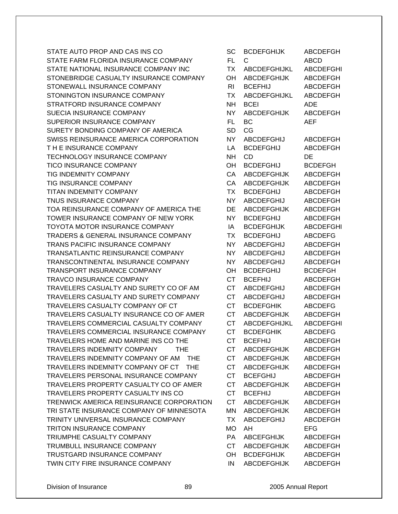STATE AUTO PROP AND CAS INS CO STATE FARM FLORIDA INSURANCE COMPANY STATE NATIONAL INSURANCE COMPANY INC STONEBRIDGE CASUALTY INSURANCE COMPANY STONEWALL INSURANCE COMPANY STONINGTON INSURANCE COMPANY STRATFORD INSURANCE COMPANY SUECIA INSURANCE COMPANY SUPERIOR INSURANCE COMPANY SURETY BONDING COMPANY OF AMERICA SWISS REINSURANCE AMERICA CORPORATION T H E INSURANCE COMPANY TECHNOLOGY INSURANCE COMPANY TICO INSURANCE COMPANY TIG INDEMNITY COMPANY TIG INSURANCE COMPANY TITAN INDEMNITY COMPANY TNUS INSURANCE COMPANY TOA REINSURANCE COMPANY OF AMERICA THE TOWER INSURANCE COMPANY OF NEW YORK TOYOTA MOTOR INSURANCE COMPANY TRADERS & GENERAL INSURANCE COMPANY TRANS PACIFIC INSURANCE COMPANY TRANSATLANTIC REINSURANCE COMPANY TRANSCONTINENTAL INSURANCE COMPANY TRANSPORT INSURANCE COMPANY TRAVCO INSURANCE COMPANY TRAVELERS CASUALTY AND SURETY CO OF AM TRAVELERS CASUALTY AND SURETY COMPANY TRAVELERS CASUALTY COMPANY OF CT TRAVELERS CASUALTY INSURANCE CO OF AMER TRAVELERS COMMERCIAL CASUALTY COMPANY TRAVELERS COMMERCIAL INSURANCE COMPANY TRAVELERS HOME AND MARINE INS CO THE TRAVELERS INDEMNITY COMPANY THE TRAVELERS INDEMNITY COMPANY OF AM THE TRAVELERS INDEMNITY COMPANY OF CT THE TRAVELERS PERSONAL INSURANCE COMPANY TRAVELERS PROPERTY CASUALTY CO OF AMER TRAVELERS PROPERTY CASUALTY INS CO TRENWICK AMERICA REINSURANCE CORPORATION TRI STATE INSURANCE COMPANY OF MINNESOTA TRINITY UNIVERSAL INSURANCE COMPANY TRITON INSURANCE COMPANY TRIUMPHE CASUALTY COMPANY TRUMBULL INSURANCE COMPANY TRUSTGARD INSURANCE COMPANY TWIN CITY FIRE INSURANCE COMPANY

| SC             | <b>BCDEFGHIJK</b>   | <b>ABCDEFGH</b>  |
|----------------|---------------------|------------------|
| FL.            | С                   | <b>ABCD</b>      |
| <b>TX</b>      | <b>ABCDEFGHIJKL</b> | <b>ABCDEFGHI</b> |
| OН             | <b>ABCDEFGHIJK</b>  | <b>ABCDEFGH</b>  |
| R <sub>1</sub> | <b>BCEFHIJ</b>      | <b>ABCDEFGH</b>  |
| <b>TX</b>      | ABCDEFGHIJKL        | <b>ABCDEFGH</b>  |
| <b>NH</b>      | <b>BCEI</b>         | ADE              |
| <b>NY</b>      | <b>ABCDEFGHIJK</b>  | <b>ABCDEFGH</b>  |
| <b>FL</b>      | BC                  | <b>AEF</b>       |
| <b>SD</b>      | CG                  |                  |
| NY.            | <b>ABCDEFGHIJ</b>   | <b>ABCDEFGH</b>  |
| LA             | <b>BCDEFGHIJ</b>    | <b>ABCDEFGH</b>  |
| NΗ             | <b>CD</b>           | DE               |
| OH             | <b>BCDEFGHIJ</b>    | <b>BCDEFGH</b>   |
| CA             | <b>ABCDEFGHIJK</b>  | <b>ABCDEFGH</b>  |
| CA             | <b>ABCDEFGHIJK</b>  | <b>ABCDEFGH</b>  |
| <b>TX</b>      | <b>BCDEFGHIJ</b>    | <b>ABCDEFGH</b>  |
| NY.            | <b>ABCDEFGHIJ</b>   | ABCDEFGH         |
| DE             | <b>ABCDEFGHIJK</b>  | <b>ABCDEFGH</b>  |
| <b>NY</b>      | <b>BCDEFGHIJ</b>    | <b>ABCDEFGH</b>  |
| IA             | <b>BCDEFGHIJK</b>   | <b>ABCDEFGHI</b> |
| <b>TX</b>      | <b>BCDEFGHIJ</b>    | <b>ABCDEFG</b>   |
| <b>NY</b>      | <b>ABCDEFGHIJ</b>   | ABCDEFGH         |
| NΥ             | <b>ABCDEFGHIJ</b>   | <b>ABCDEFGH</b>  |
| ΝY             | <b>ABCDEFGHIJ</b>   | <b>ABCDEFGH</b>  |
| OH             | <b>BCDEFGHIJ</b>    | <b>BCDEFGH</b>   |
| <b>CT</b>      | <b>BCEFHIJ</b>      | <b>ABCDEFGH</b>  |
| <b>CT</b>      | ABCDEFGHIJ          | <b>ABCDEFGH</b>  |
| <b>CT</b>      | <b>ABCDEFGHIJ</b>   | <b>ABCDEFGH</b>  |
| <b>CT</b>      | <b>BCDEFGHIK</b>    | <b>ABCDEFG</b>   |
| <b>CT</b>      | <b>ABCDEFGHIJK</b>  | <b>ABCDEFGH</b>  |
| СT             | <b>ABCDEFGHIJKL</b> | <b>ABCDEFGHI</b> |
| <b>CT</b>      | <b>BCDEFGHIK</b>    | <b>ABCDEFG</b>   |
| СT             | <b>BCEFHIJ</b>      | <b>ABCDEFGH</b>  |
| <b>CT</b>      | <b>ABCDEFGHIJK</b>  | <b>ABCDEFGH</b>  |
| <b>CT</b>      | <b>ABCDEFGHIJK</b>  | <b>ABCDEFGH</b>  |
| <b>CT</b>      | <b>ABCDEFGHIJK</b>  | <b>ABCDEFGH</b>  |
| <b>CT</b>      | <b>BCEFGHIJ</b>     | ABCDEFGH         |
| <b>CT</b>      | <b>ABCDEFGHIJK</b>  | ABCDEFGH         |
| <b>CT</b>      | <b>BCEFHIJ</b>      | ABCDEFGH         |
| <b>CT</b>      | <b>ABCDEFGHIJK</b>  | <b>ABCDEFGH</b>  |
| MN             | <b>ABCDEFGHIJK</b>  | <b>ABCDEFGH</b>  |
| <b>TX</b>      | <b>ABCDEFGHIJ</b>   | <b>ABCDEFGH</b>  |
| МO             | AH                  | <b>EFG</b>       |
| PA             | <b>ABCEFGHIJK</b>   | <b>ABCDEFGH</b>  |
| <b>CT</b>      | <b>ABCDEFGHIJK</b>  | <b>ABCDEFGH</b>  |
| OH             | <b>BCDEFGHIJK</b>   | <b>ABCDEFGH</b>  |
| IN             | <b>ABCDEFGHIJK</b>  | <b>ABCDEFGH</b>  |
|                |                     |                  |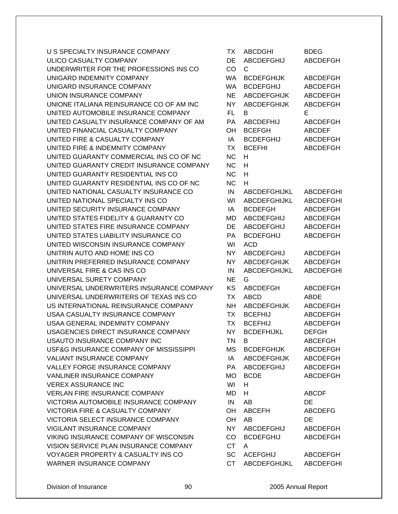U S SPECIALTY INSURANCE COMPANY ULICO CASUALTY COMPANY UNDERWRITER FOR THE PROFESSIONS INS CO. UNIGARD INDEMNITY COMPANY UNIGARD INSURANCE COMPANY UNION INSURANCE COMPANY UNIONE ITALIANA REINSURANCE CO OF AM INC UNITED AUTOMOBILE INSURANCE COMPANY UNITED CASUALTY INSURANCE COMPANY OF AM UNITED FINANCIAL CASUALTY COMPANY UNITED FIRE & CASUALTY COMPANY UNITED FIRE & INDEMNITY COMPANY UNITED GUARANTY COMMERCIAL INS CO OF NC UNITED GUARANTY CREDIT INSURANCE COMPANY UNITED GUARANTY RESIDENTIAL INS CO UNITED GUARANTY RESIDENTIAL INS CO OF NC UNITED NATIONAL CASUALTY INSURANCE CO UNITED NATIONAL SPECIALTY INS CO UNITED SECURITY INSURANCE COMPANY UNITED STATES FIDELITY & GUARANTY CO UNITED STATES FIRE INSURANCE COMPANY UNITED STATES LIABILITY INSURANCE CO UNITED WISCONSIN INSURANCE COMPANY UNITRIN AUTO AND HOME INS CO UNITRIN PREFERRED INSURANCE COMPANY UNIVERSAL FIRE & CAS INS CO UNIVERSAL SURETY COMPANY UNIVERSAL UNDERWRITERS INSURANCE COMPANY UNIVERSAL UNDERWRITERS OF TEXAS INS CO US INTERNATIONAL REINSURANCE COMPANY USAA CASUALTY INSURANCE COMPANY USAA GENERAL INDEMNITY COMPANY USAGENCIES DIRECT INSURANCE COMPANY USAUTO INSURANCE COMPANY INC USF&G INSURANCE COMPANY OF MISSISSIPPI VALIANT INSURANCE COMPANY VALLEY FORGE INSURANCE COMPANY VANLINER INSURANCE COMPANY **VEREX ASSURANCE INC** VERLAN FIRE INSURANCE COMPANY VICTORIA AUTOMOBILE INSURANCE COMPANY VICTORIA FIRE & CASUALTY COMPANY VICTORIA SELECT INSURANCE COMPANY VIGILANT INSURANCE COMPANY VIKING INSURANCE COMPANY OF WISCONSIN VISION SERVICE PLAN INSURANCE COMPANY VOYAGER PROPERTY & CASUALTY INS CO WARNER INSURANCE COMPANY

| ТX        | ABCDGHI            | <b>BDEG</b>      |
|-----------|--------------------|------------------|
| DE        | <b>ABCDEFGHIJ</b>  | <b>ABCDEFGH</b>  |
| CO        | С                  |                  |
| <b>WA</b> | <b>BCDEFGHIJK</b>  | <b>ABCDEFGH</b>  |
| <b>WA</b> | <b>BCDEFGHIJ</b>   | <b>ABCDEFGH</b>  |
| <b>NE</b> | <b>ABCDEFGHIJK</b> | <b>ABCDEFGH</b>  |
| <b>NY</b> | <b>ABCDEFGHIJK</b> | <b>ABCDEFGH</b>  |
| FL.       | B                  | E                |
| PA        | <b>ABCDEFHIJ</b>   | <b>ABCDEFGH</b>  |
| OH        | <b>BCEFGH</b>      | <b>ABCDEF</b>    |
| IA        | <b>BCDEFGHIJ</b>   | <b>ABCDEFGH</b>  |
| <b>TX</b> | <b>BCEFHI</b>      | <b>ABCDEFGH</b>  |
| <b>NC</b> | н                  |                  |
| <b>NC</b> | н                  |                  |
| <b>NC</b> | н                  |                  |
| <b>NC</b> | H                  |                  |
| IN.       | ABCDEFGHIJKL       | <b>ABCDEFGHI</b> |
| WI        | ABCDEFGHIJKL       | <b>ABCDEFGHI</b> |
| IA        | <b>BCDEFGH</b>     | <b>ABCDEFGH</b>  |
| MD        | <b>ABCDEFGHIJ</b>  |                  |
|           |                    | <b>ABCDEFGH</b>  |
| DE        | <b>ABCDEFGHIJ</b>  | <b>ABCDEFGH</b>  |
| PA        | <b>BCDEFGHIJ</b>   | <b>ABCDEFGH</b>  |
| WI        | <b>ACD</b>         |                  |
| <b>NY</b> | <b>ABCDEFGHIJ</b>  | <b>ABCDEFGH</b>  |
| NΥ        | <b>ABCDEFGHIJK</b> | <b>ABCDEFGH</b>  |
| IN        | ABCDEFGHIJKL       | <b>ABCDEFGHI</b> |
| <b>NE</b> | G                  |                  |
| KS        | <b>ABCDEFGH</b>    | <b>ABCDEFGH</b>  |
| <b>TX</b> | <b>ABCD</b>        | <b>ABDE</b>      |
| <b>NH</b> | <b>ABCDEFGHIJK</b> | <b>ABCDEFGH</b>  |
| <b>TX</b> | <b>BCEFHIJ</b>     | <b>ABCDEFGH</b>  |
| <b>TX</b> | <b>BCEFHIJ</b>     | <b>ABCDEFGH</b>  |
| NY        | <b>BCDEFHIJKL</b>  | <b>DEFGH</b>     |
| ΤN        | в                  | <b>ABCEFGH</b>   |
| MS        | <b>BCDEFGHIJK</b>  | <b>ABCDEFGH</b>  |
| IA        | <b>ABCDEFGHIJK</b> | <b>ABCDEFGH</b>  |
| PA        | ABCDEFGHIJ         | <b>ABCDEFGH</b>  |
| MO        | <b>BCDE</b>        | <b>ABCDEFGH</b>  |
| WI        | H.                 |                  |
| MD        | н                  | <b>ABCDF</b>     |
| IN        | AB                 | DE               |
| OH        | <b>ABCEFH</b>      | <b>ABCDEFG</b>   |
| OH        | AB                 | DE               |
| NY I      | <b>ABCDEFGHIJ</b>  | <b>ABCDEFGH</b>  |
| CO        | <b>BCDEFGHIJ</b>   | <b>ABCDEFGH</b>  |
| <b>CT</b> | A                  |                  |
| SC        | <b>ACEFGHIJ</b>    | <b>ABCDEFGH</b>  |
| <b>CT</b> | ABCDEFGHIJKL       | ABCDEFGHI        |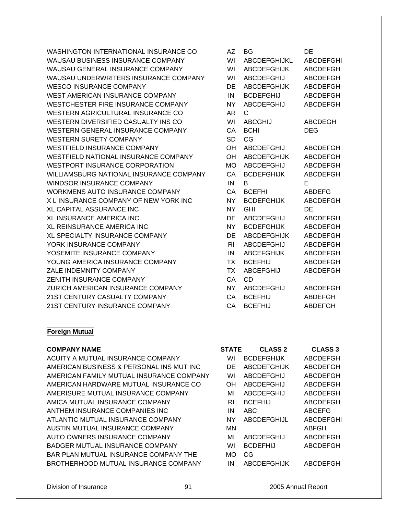WASHINGTON INTERNATIONAL INSURANCE CO AZ BG DE WAUSAU BUSINESS INSURANCE COMPANY WI ABCDEFGHIJKL ABCDEFGHI WAUSAU GENERAL INSURANCE COMPANY WI ABCDEFGHIJK ABCDEFGH WAUSAU UNDERWRITERS INSURANCE COMPANY WI ABCDEFGHIJ ABCDEFGH WESCO INSURANCE COMPANY DE ABCDEFGHIJK ABCDEFGH WEST AMERICAN INSURANCE COMPANY IN BCDEFGHIJ ABCDEFGH WESTCHESTER FIRE INSURANCE COMPANY NY ABCDEFGHIJ ABCDEFGH WESTERN AGRICULTURAL INSURANCE CO AR C WESTERN DIVERSIFIED CASUALTY INS CO WI ABCGHIJ ABCDEGH WESTERN GENERAL INSURANCE COMPANY CA BCHI DEG WESTERN SURETY COMPANY SD CG WESTFIELD INSURANCE COMPANY **OH ABCDEFGHIJ** ABCDEFGH WESTFIELD NATIONAL INSURANCE COMPANY OH ABCDEFGHIJK ABCDEFGH WESTPORT INSURANCE CORPORATION 6 MO ABCDEFGHIJ ABCDEFGH WILLIAMSBURG NATIONAL INSURANCE COMPANY CA BCDEFGHIJK ABCDEFGH WINDSOR INSURANCE COMPANY **IN B** WORKMENS AUTO INSURANCE COMPANY  $\overline{C}$  CA BCEFHI

ABDEFG X L INSURANCE COMPANY OF NEW YORK INC NY BCDEFGHIJK ABCDEFGH XL CAPITAL ASSURANCE INC NATIONAL CONTROL OF THE RESERVE THE RESERVE THE RESERVE THE RESERVE THE RESERVE THE R XL INSURANCE AMERICA INC **Example 20 Service Contract Contract Contract Contract Contract Contract Contract Contract Contract Contract ABCDEFGH** XL REINSURANCE AMERICA INC NE ANN INY BODEFGHIJK ABCDEFGH XL SPECIALTY INSURANCE COMPANY DE ABCDEFGHIJK ABCDEFGH YORK INSURANCE COMPANY THE RI ABCDEFGHIJ ABCDEFGH YOSEMITE INSURANCE COMPANY IN ABCEFGHIJK ABCDEFGH YOUNG AMERICA INSURANCE COMPANY **TX BCEFHIJ ABCDEFGH** ZALE INDEMNITY COMPANY TX ABCEFGHIJ ABCDEFGH ZENITH INSURANCE COMPANY CA CD ZURICH AMERICAN INSURANCE COMPANY NY ABCDEFGHIJ ABCDEFGH 21ST CENTURY CASUALTY COMPANY CA BCEFHIJ ABDEFGH 21ST CENTURY INSURANCE COMPANY CA BCEFHIJ ABDEFGH

## **Foreign Mutual**

#### **COMPANY NAME**

ACUITY A MUTUAL INSURANCE COMPANY AMERICAN BUSINESS & PERSONAL INS MUT INC AMERICAN FAMILY MUTUAL INSURANCE COMPANY AMERICAN HARDWARE MUTUAL INSURANCE CO AMERISURE MUTUAL INSURANCE COMPANY AMICA MUTUAL INSURANCE COMPANY ANTHEM INSURANCE COMPANIES INC ATLANTIC MUTUAL INSURANCE COMPANY AUSTIN MUTUAL INSURANCE COMPANY AUTO OWNERS INSURANCE COMPANY BADGER MUTUAL INSURANCE COMPANY BAR PLAN MUTUAL INSURANCE COMPANY THE BROTHERHOOD MUTUAL INSURANCE COMPANY

| STATE | <b>CLASS 2</b>     | <b>CLASS 3</b>   |
|-------|--------------------|------------------|
| WI    | <b>BCDEFGHIJK</b>  | <b>ABCDEFGH</b>  |
| DE    | <b>ABCDEFGHIJK</b> | ABCDEFGH         |
| WI    | <b>ABCDEFGHIJ</b>  | ABCDEFGH         |
| OН    | <b>ABCDEFGHIJ</b>  | ABCDEFGH         |
| MI    | <b>ABCDEFGHIJ</b>  | ABCDEFGH         |
| RI    | <b>BCEFHIJ</b>     | <b>ABCDEFGH</b>  |
| ΙN    | ABC                | <b>ABCEFG</b>    |
| NΥ    | <b>ABCDEFGHIJL</b> | <b>ABCDEFGHI</b> |
| ΜN    |                    | ABFGH            |
| МΙ    | <b>ABCDEFGHIJ</b>  | ABCDEFGH         |
| WI    | <b>BCDEFHIJ</b>    | ABCDEFGH         |
| MO    | CG                 |                  |
| ΙN    | <b>ABCDEFGHIJK</b> | ABCDEFGH         |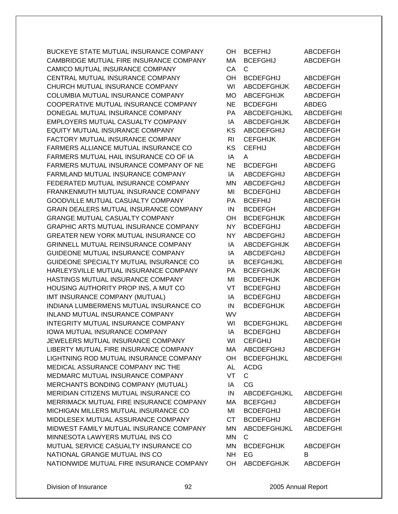BUCKEYE STATE MUTUAL INSURANCE COMPANY CAMBRIDGE MUTUAL FIRE INSURANCE COMPANY CAMICO MUTUAL INSURANCE COMPANY CENTRAL MUTUAL INSURANCE COMPANY CHURCH MUTUAL INSURANCE COMPANY COLUMBIA MUTUAL INSURANCE COMPANY COOPERATIVE MUTUAL INSURANCE COMPANY DONEGAL MUTUAL INSURANCE COMPANY EMPLOYERS MUTUAL CASUALTY COMPANY EQUITY MUTUAL INSURANCE COMPANY FACTORY MUTUAL INSURANCE COMPANY FARMERS ALLIANCE MUTUAL INSURANCE CO FARMERS MUTUAL HAIL INSURANCE CO OF IA FARMERS MUTUAL INSURANCE COMPANY OF NE FARMLAND MUTUAL INSURANCE COMPANY FEDERATED MUTUAL INSURANCE COMPANY FRANKENMUTH MUTUAL INSURANCE COMPANY GOODVILLE MUTUAL CASUALTY COMPANY GRAIN DEALERS MUTUAL INSURANCE COMPANY GRANGE MUTUAL CASUALTY COMPANY GRAPHIC ARTS MUTUAL INSURANCE COMPANY GREATER NEW YORK MUTUAL INSURANCE CO GRINNELL MUTUAL REINSURANCE COMPANY GUIDEONE MUTUAL INSURANCE COMPANY GUIDEONE SPECIALTY MUTUAL INSURANCE CO HARLEYSVILLE MUTUAL INSURANCE COMPANY HASTINGS MUTUAL INSURANCE COMPANY HOUSING AUTHORITY PROP INS, A MUT CO IMT INSURANCE COMPANY (MUTUAL) INDIANA LUMBERMENS MUTUAL INSURANCE CO INLAND MUTUAL INSURANCE COMPANY INTEGRITY MUTUAL INSURANCE COMPANY IOWA MUTUAL INSURANCE COMPANY JEWELERS MUTUAL INSURANCE COMPANY LIBERTY MUTUAL FIRE INSURANCE COMPANY LIGHTNING ROD MUTUAL INSURANCE COMPANY MEDICAL ASSURANCE COMPANY INC THE MEDMARC MUTUAL INSURANCE COMPANY MERCHANTS BONDING COMPANY (MUTUAL) MERIDIAN CITIZENS MUTUAL INSURANCE CO MERRIMACK MUTUAL FIRE INSURANCE COMPANY MICHIGAN MILLERS MUTUAL INSURANCE CO MIDDLESEX MUTUAL ASSURANCE COMPANY MIDWEST FAMILY MUTUAL INSURANCE COMPANY MINNESOTA LAWYERS MUTUAL INS CO MUTUAL SERVICE CASUALTY INSURANCE CO NATIONAL GRANGE MUTUAL INS CO NATIONWIDE MUTUAL FIRE INSURANCE COMPANY

| OН        | <b>BCEFHIJ</b>      | <b>ABCDEFGH</b>  |
|-----------|---------------------|------------------|
| MA        | <b>BCEFGHIJ</b>     | <b>ABCDEFGH</b>  |
| CA        | C.                  |                  |
| OH        | <b>BCDEFGHIJ</b>    | ABCDEFGH         |
| WI        | <b>ABCDEFGHIJK</b>  | <b>ABCDEFGH</b>  |
| <b>MO</b> | <b>ABCEFGHIJK</b>   | <b>ABCDEFGH</b>  |
| <b>NE</b> | <b>BCDEFGHI</b>     | ABDEG            |
| <b>PA</b> | <b>ABCDEFGHIJKL</b> | <b>ABCDEFGHI</b> |
| IA        | <b>ABCDEFGHIJK</b>  | <b>ABCDEFGH</b>  |
| <b>KS</b> | ABCDEFGHIJ          | ABCDEFGH         |
| RI        | <b>CEFGHIJK</b>     | <b>ABCDEFGH</b>  |
| KS        | <b>CEFHIJ</b>       | <b>ABCDEFGH</b>  |
| IA        | A                   | <b>ABCDEFGH</b>  |
| <b>NE</b> | <b>BCDEFGHI</b>     | <b>ABCDEFG</b>   |
| IA        | ABCDEFGHIJ          | <b>ABCDEFGH</b>  |
| <b>MN</b> | ABCDEFGHIJ          | <b>ABCDEFGH</b>  |
| MI        | <b>BCDEFGHIJ</b>    | <b>ABCDEFGH</b>  |
| PA        | <b>BCEFHIJ</b>      | <b>ABCDEFGH</b>  |
| IN        | <b>BCDEFGH</b>      | <b>ABCDEFGH</b>  |
| OH        | <b>BCDEFGHIJK</b>   | <b>ABCDEFGH</b>  |
| <b>NY</b> | <b>BCDEFGHIJ</b>    | <b>ABCDEFGH</b>  |
| <b>NY</b> | <b>ABCDEFGHIJ</b>   | <b>ABCDEFGH</b>  |
| IA        | <b>ABCDEFGHIJK</b>  | <b>ABCDEFGH</b>  |
| ΙA        | <b>ABCDEFGHIJ</b>   | <b>ABCDEFGH</b>  |
| IA        | <b>BCEFGHIJKL</b>   | ABCDEFGHI        |
| PA        | <b>BCEFGHIJK</b>    | ABCDEFGH         |
| MI        | <b>BCDEFHIJK</b>    | <b>ABCDEFGH</b>  |
| VT        | <b>BCDEFGHIJ</b>    | <b>ABCDEFGH</b>  |
| IA        | <b>BCDEFGHIJ</b>    | <b>ABCDEFGH</b>  |
| IN        | <b>BCDEFGHIJK</b>   | <b>ABCDEFGH</b>  |
| WV        |                     | ABCDEFGH         |
| WI        | <b>BCDEFGHIJKL</b>  | <b>ABCDEFGHI</b> |
| IA        | <b>BCDEFGHIJ</b>    | <b>ABCDEFGH</b>  |
| WI        | <b>CEFGHIJ</b>      | <b>ABCDEFGH</b>  |
| MA        | <b>ABCDEFGHIJ</b>   | ABCDEFGH         |
| OH        | <b>BCDEFGHIJKL</b>  | <b>ABCDEFGHI</b> |
| <b>AL</b> | <b>ACDG</b>         |                  |
| VT        | $\mathsf{C}$        |                  |
| IA        | CG                  |                  |
| IN        | ABCDEFGHIJKL        | ABCDEFGHI        |
| MA        | <b>BCEFGHIJ</b>     | <b>ABCDEFGH</b>  |
| MI        | <b>BCDEFGHIJ</b>    | <b>ABCDEFGH</b>  |
| <b>CT</b> | <b>BCDEFGHIJ</b>    | ABCDEFGH         |
| MN        | ABCDEFGHIJKL        | <b>ABCDEFGHI</b> |
| <b>MN</b> | C.                  |                  |
| MN        | <b>BCDEFGHIJK</b>   | <b>ABCDEFGH</b>  |
| <b>NH</b> | EG                  | В                |
|           | OH ABCDEFGHIJK      | ABCDEFGH         |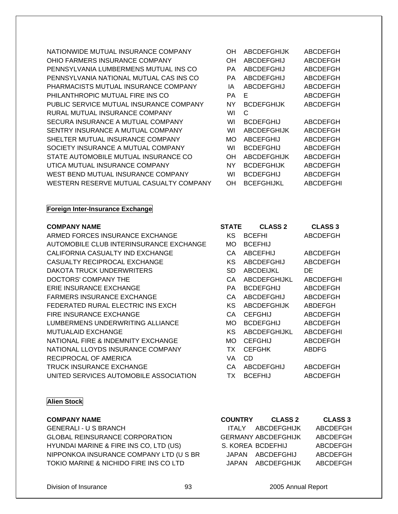NATIONWIDE MUTUAL INSURANCE COMPANY OH ABCDEFGHIJK OHIO FARMERS INSURANCE COMPANY PENNSYLVANIA LUMBERMENS MUTUAL INS CO PENNSYLVANIA NATIONAL MUTUAL CAS INS CO PHARMACISTS MUTUAL INSURANCE COMPANY PHILANTHROPIC MUTUAL FIRE INS CO PUBLIC SERVICE MUTUAL INSURANCE COMPANY RURAL MUTUAL INSURANCE COMPANY SECURA INSURANCE A MUTUAL COMPANY SENTRY INSURANCE A MUTUAL COMPANY SHELTER MUTUAL INSURANCE COMPANY SOCIETY INSURANCE A MUTUAL COMPANY STATE AUTOMOBILE MUTUAL INSURANCE CO UTICA MUTUAL INSURANCE COMPANY WEST BEND MUTUAL INSURANCE COMPANY WESTERN RESERVE MUTUAL CASUALTY COMPANY

#### **Foreign Inter-Insurance Exchange**

#### **COMPANY NAME**

ARMED FORCES INSURANCE EXCHANGE AUTOMOBILE CLUB INTERINSURANCE EXCHANGE CALIFORNIA CASUALTY IND EXCHANGE CASUALTY RECIPROCAL EXCHANGE DAKOTA TRUCK UNDERWRITERS DOCTORS' COMPANY THE ERIE INSURANCE EXCHANGE FARMERS INSURANCE EXCHANGE FEDERATED RURAL ELECTRIC INS EXCH FIRE INSURANCE EXCHANGE LUMBERMENS UNDERWRITING ALLIANCE MUTUALAID EXCHANGE NATIONAL FIRE & INDEMNITY EXCHANGE NATIONAL LLOYDS INSURANCE COMPANY RECIPROCAL OF AMERICA TRUCK INSURANCE EXCHANGE UNITED SERVICES AUTOMOBILE ASSOCIATION TX BCEFHIJ

### **Alien Stock**

| <b>COMPANY NAME</b>                     |        | COUNTRY CLASS 2            | CLASS 3  |
|-----------------------------------------|--------|----------------------------|----------|
| <b>GENERALI - U S BRANCH</b>            | ITAI Y | ABCDEFGHIJK                | ABCDEFGH |
| <b>GLOBAL REINSURANCE CORPORATION</b>   |        | <b>GERMANY ABCDEFGHIJK</b> | ABCDEFGH |
| HYUNDAI MARINE & FIRE INS CO, LTD (US)  |        | S. KOREA BCDEFHIJ          | ABCDEFGH |
| NIPPONKOA INSURANCE COMPANY LTD (U S BR |        | JAPAN ABCDEFGHIJ           | ABCDEFGH |
| TOKIO MARINE & NICHIDO FIRE INS CO LTD  |        | JAPAN ABCDEFGHIJK          | ABCDEFGH |

| OН | ABCDEFGHIJK        | ABCDEFGH        |
|----|--------------------|-----------------|
| OΗ | <b>ABCDEFGHIJ</b>  | <b>ABCDEFGH</b> |
| РA | <b>ABCDEFGHIJ</b>  | <b>ABCDEFGH</b> |
| PА | ABCDEFGHIJ         | ABCDEFGH        |
| ΙA | <b>ABCDEFGHIJ</b>  | <b>ABCDEFGH</b> |
| РA | E                  | ABCDEFGH        |
| NY | <b>BCDEFGHIJK</b>  | <b>ABCDEFGH</b> |
| WI | C                  |                 |
| WI | BCDEFGHIJ          | ABCDEFGH        |
| WI | <b>ABCDEFGHIJK</b> | ABCDEFGH        |
| MΟ | ABCEFGHIJ          | ABCDEFGH        |
| WI | BCDEFGHIJ          | ABCDEFGH        |
| OΗ | <b>ABCDEFGHIJK</b> | ABCDEFGH        |
| NΥ | <b>BCDEFGHIJK</b>  | ABCDEFGH        |
| WI | BCDEFGHIJ          | ABCDEFGH        |
| OΗ | <b>BCEFGHIJKL</b>  | ABCDEFGHI       |

| STATE | <b>CLASS 2</b>      | <b>CLASS 3</b>   |
|-------|---------------------|------------------|
| κs    | <b>BCEFHI</b>       | ABCDEFGH         |
| МO    | <b>BCEFHIJ</b>      |                  |
| СA    | <b>ABCEFHIJ</b>     | ABCDEFGH         |
| κs    | <b>ABCDEFGHIJ</b>   | ABCDEFGH         |
| SD    | ABCDEIJKL           | DE               |
| СA    | <b>ABCDEFGHIJKL</b> | <b>ABCDEFGHI</b> |
| PА    | BCDEFGHIJ           | ABCDEFGH         |
| CА    | <b>ABCDEFGHIJ</b>   | ABCDEFGH         |
| ΚS    | <b>ABCDEFGHIJK</b>  | ABDEFGH          |
| CA    | CEFGHIJ             | ABCDEFGH         |
| MΟ    | <b>BCDEFGHIJ</b>    | <b>ABCDEFGH</b>  |
| ΚS    | <b>ABCDEFGHIJKL</b> | ABCDEFGHI        |
| MΟ    | CEFGHIJ             | ABCDEFGH         |
| TX    | CEFGHK              | ABDFG            |
| VA    | CD                  |                  |
| СA    | ABCDEFGHIJ          | <b>ABCDEFGH</b>  |
| тх    | RCFFHI.I            | ARCDEFGH         |

| <b>COMPANY NAME</b>                     | <b>COUNTRY</b> | <b>CLASS 2</b>             | <b>CLASS 3</b> |
|-----------------------------------------|----------------|----------------------------|----------------|
| <b>GENERALI - U S BRANCH</b>            | <b>ITALY</b>   | ABCDEFGHIJK                | ABCDEFGH       |
| <b>GLOBAL REINSURANCE CORPORATION</b>   |                | <b>GERMANY ABCDEFGHIJK</b> | ABCDEFGH       |
| HYUNDAI MARINE & FIRE INS CO, LTD (US)  |                | S. KOREA BCDEFHIJ          | ABCDEFGH       |
| NIPPONKOA INSURANCE COMPANY LTD (U S BR |                | JAPAN ABCDEFGHIJ           | ABCDEFGH       |
| TOKIO MARINE & NICHIDO FIRE INS CO LTD  |                | JAPAN ABCDEFGHIJK          | ABCDEFGH       |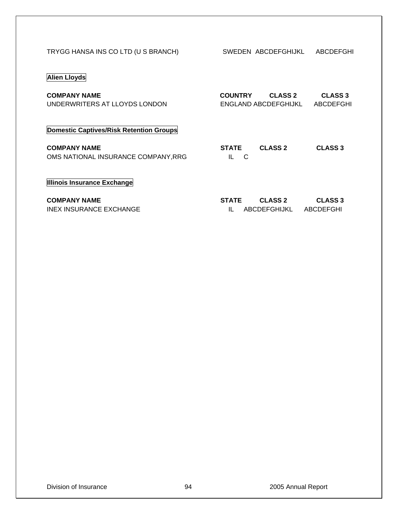| TRYGG HANSA INS CO LTD (U S BRANCH) |  |
|-------------------------------------|--|
|-------------------------------------|--|

SWEDEN ABCDEFGHIJKL ABCDEFGHI

## **Alien Lloyds**

| <b>COMPANY NAME</b>           | <b>COUNTRY</b>       | <b>CLASS 2</b> | <b>CLASS 3</b> |
|-------------------------------|----------------------|----------------|----------------|
| UNDERWRITERS AT LLOYDS LONDON | ENGLAND ABCDEFGHIJKL |                | ABCDEFGHI      |

## **Domestic Captives/Risk Retention Groups**

**COMPANY NAME** OMS NATIONAL INSURANCE COMPANY, RRG

| <b>STATE</b> | <b>CLASS 2</b> | <b>CLASS 3</b> |
|--------------|----------------|----------------|
|              |                |                |

## **Illinois Insurance Exchange**

| <b>COMPANY NAME</b>     | <b>STATE</b> | <b>CLASS 2</b>         | <b>CLASS 3</b> |
|-------------------------|--------------|------------------------|----------------|
| INEX INSURANCE EXCHANGE |              | ABCDEFGHIJKL ABCDEFGHI |                |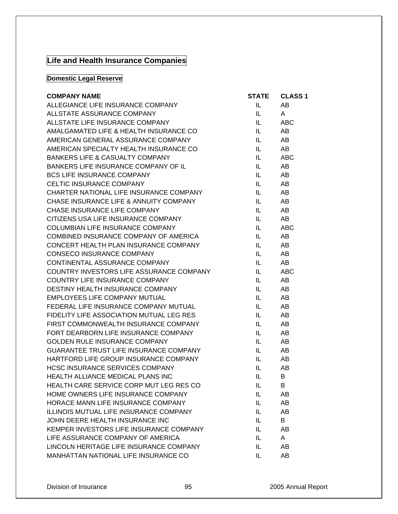# **Life and Health Insurance Companies**

## **Domestic Legal Reserve**

| <b>COMPANY NAME</b>                           | <b>STATE</b> | <b>CLASS 1</b> |
|-----------------------------------------------|--------------|----------------|
| ALLEGIANCE LIFE INSURANCE COMPANY             | IL.          | AB             |
| ALLSTATE ASSURANCE COMPANY                    | IL.          | A              |
| ALLSTATE LIFE INSURANCE COMPANY               | IL -         | ABC            |
| AMALGAMATED LIFE & HEALTH INSURANCE CO        | IL.          | AB             |
| AMERICAN GENERAL ASSURANCE COMPANY            | IL.          | AB             |
| AMERICAN SPECIALTY HEALTH INSURANCE CO        | IL.          | AB             |
| <b>BANKERS LIFE &amp; CASUALTY COMPANY</b>    | IL.          | <b>ABC</b>     |
| BANKERS LIFE INSURANCE COMPANY OF IL          | IL.          | AB             |
| <b>BCS LIFE INSURANCE COMPANY</b>             | IL.          | AB             |
| CELTIC INSURANCE COMPANY                      | IL.          | AB             |
| CHARTER NATIONAL LIFE INSURANCE COMPANY       | IL I         | AB             |
| CHASE INSURANCE LIFE & ANNUITY COMPANY        | IL.          | AB             |
| CHASE INSURANCE LIFE COMPANY                  | IL.          | AB             |
| CITIZENS USA LIFE INSURANCE COMPANY           | IL.          | AB             |
| COLUMBIAN LIFE INSURANCE COMPANY              | IL.          | <b>ABC</b>     |
| COMBINED INSURANCE COMPANY OF AMERICA         | IL.          | AB             |
| CONCERT HEALTH PLAN INSURANCE COMPANY         | IL.          | AB             |
| <b>CONSECO INSURANCE COMPANY</b>              | IL.          | AB             |
| CONTINENTAL ASSURANCE COMPANY                 | IL -         | AB             |
| COUNTRY INVESTORS LIFE ASSURANCE COMPANY      | IL.          | <b>ABC</b>     |
| COUNTRY LIFE INSURANCE COMPANY                | IL.          | AB             |
| DESTINY HEALTH INSURANCE COMPANY              | IL.          | AB             |
| EMPLOYEES LIFE COMPANY MUTUAL                 | IL.          | AB             |
| FEDERAL LIFE INSURANCE COMPANY MUTUAL         | IL.          | AB             |
| FIDELITY LIFE ASSOCIATION MUTUAL LEG RES      | IL.          | AB             |
| FIRST COMMONWEALTH INSURANCE COMPANY          | IL.          | AB             |
| FORT DEARBORN LIFE INSURANCE COMPANY          | IL –         | AB             |
| GOLDEN RULE INSURANCE COMPANY                 | IL.          | AB             |
| <b>GUARANTEE TRUST LIFE INSURANCE COMPANY</b> | IL.          | AB             |
| HARTFORD LIFE GROUP INSURANCE COMPANY         | IL.          | AB             |
| <b>HCSC INSURANCE SERVICES COMPANY</b>        | IL -         | AB             |
| HEALTH ALLIANCE MEDICAL PLANS INC             | IL.          | B              |
| HEALTH CARE SERVICE CORP MUT LEG RES CO       | IL -         | B              |
| HOME OWNERS LIFE INSURANCE COMPANY            | IL           | AB             |
| HORACE MANN LIFE INSURANCE COMPANY            | IL.          | AB             |
| <b>ILLINOIS MUTUAL LIFE INSURANCE COMPANY</b> | IL           | AB             |
| JOHN DEERE HEALTH INSURANCE INC               | IL.          | B              |
| KEMPER INVESTORS LIFE INSURANCE COMPANY       | IL           | AB             |
| LIFE ASSURANCE COMPANY OF AMERICA             | IL.          | A              |
| LINCOLN HERITAGE LIFE INSURANCE COMPANY       | IL           | AB             |
| MANHATTAN NATIONAL LIFE INSURANCE CO          | IL.          | AB             |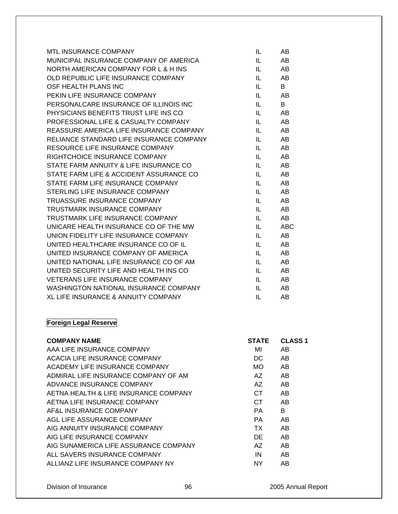| <b>MTL INSURANCE COMPANY</b>             | IL  | AB         |
|------------------------------------------|-----|------------|
| MUNICIPAL INSURANCE COMPANY OF AMERICA   | IL. | AB         |
| NORTH AMERICAN COMPANY FOR L & H INS     | IL  | AB         |
| OLD REPUBLIC LIFE INSURANCE COMPANY      | IL  | AB         |
| OSF HEALTH PLANS INC                     | IL  | B          |
| PEKIN LIFE INSURANCE COMPANY             | IL  | AB         |
| PERSONALCARE INSURANCE OF ILLINOIS INC   | IL  | B          |
| PHYSICIANS BENEFITS TRUST LIFE INS CO    | IL  | AB         |
| PROFESSIONAL LIFE & CASUALTY COMPANY     | IL  | AB         |
| REASSURE AMERICA LIFE INSURANCE COMPANY  | IL  | AB         |
| RELIANCE STANDARD LIFE INSURANCE COMPANY | IL  | AB         |
| RESOURCE LIFE INSURANCE COMPANY          | IL  | AB         |
| RIGHTCHOICE INSURANCE COMPANY            | IL  | AB         |
| STATE FARM ANNUITY & LIFE INSURANCE CO   | IL  | AB         |
| STATE FARM LIFE & ACCIDENT ASSURANCE CO  | IL. | AB         |
| STATE FARM LIFE INSURANCE COMPANY        | IL. | AB         |
| STERLING LIFE INSURANCE COMPANY          | IL. | AB         |
| TRUASSURE INSURANCE COMPANY              | IL  | AB         |
| TRUSTMARK INSURANCE COMPANY              | IL  | AB         |
| TRUSTMARK LIFE INSURANCE COMPANY         | IL. | AB         |
| UNICARE HEALTH INSURANCE CO OF THE MW    | IL  | <b>ABC</b> |
| UNION FIDELITY LIFE INSURANCE COMPANY    | IL  | AB         |
| UNITED HEALTHCARE INSURANCE CO OF IL     | IL  | AB         |
| UNITED INSURANCE COMPANY OF AMERICA      | IL  | AB         |
| UNITED NATIONAL LIFE INSURANCE CO OF AM  | IL  | AB         |
| UNITED SECURITY LIFE AND HEALTH INS CO   | IL  | AB         |
| <b>VETERANS LIFE INSURANCE COMPANY</b>   | IL  | AB         |
| WASHINGTON NATIONAL INSURANCE COMPANY    | IL  | AB         |
| XL LIFE INSURANCE & ANNUITY COMPANY      | IL  | AB         |

## **Foreign Legal Reserve**

| <b>COMPANY NAME</b>                   | <b>STATE</b> | <b>CLASS 1</b> |
|---------------------------------------|--------------|----------------|
| AAA LIFE INSURANCE COMPANY            | MI           | AB             |
| ACACIA LIFE INSURANCE COMPANY         | DC.          | AB.            |
| ACADEMY LIFE INSURANCE COMPANY        | MO.          | AB.            |
| ADMIRAL LIFE INSURANCE COMPANY OF AM  | AZ.          | AB             |
| ADVANCE INSURANCE COMPANY             | AZ.          | AB.            |
| AETNA HEALTH & LIFE INSURANCE COMPANY | CT.          | AB             |
| AETNA LIFE INSURANCE COMPANY          | CT.          | AB.            |
| AF&L INSURANCE COMPANY                | PA.          | B              |
| AGL LIFE ASSURANCE COMPANY            | PA           | AB             |
| AIG ANNUITY INSURANCE COMPANY         | TX.          | AB             |
| AIG LIFE INSURANCE COMPANY            | DE.          | AB.            |
| AIG SUNAMERICA LIFE ASSURANCE COMPANY | AZ.          | AB             |
| ALL SAVERS INSURANCE COMPANY          | IN           | AB.            |
| ALLIANZ LIFE INSURANCE COMPANY NY     | NY.          | AB             |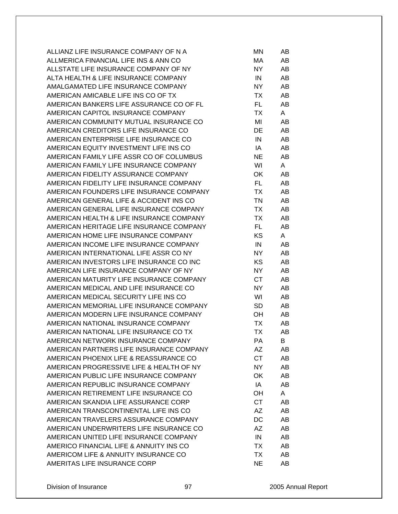| ALLIANZ LIFE INSURANCE COMPANY OF N A    | ΜN        | AB |
|------------------------------------------|-----------|----|
| ALLMERICA FINANCIAL LIFE INS & ANN CO    | МA        | AB |
| ALLSTATE LIFE INSURANCE COMPANY OF NY    | NY.       | AB |
| ALTA HEALTH & LIFE INSURANCE COMPANY     | IN        | AB |
| AMALGAMATED LIFE INSURANCE COMPANY       | NY.       | AB |
| AMERICAN AMICABLE LIFE INS CO OF TX      | TX        | AB |
| AMERICAN BANKERS LIFE ASSURANCE CO OF FL | FL.       | AB |
| AMERICAN CAPITOL INSURANCE COMPANY       | ТX        | A  |
|                                          |           |    |
| AMERICAN COMMUNITY MUTUAL INSURANCE CO   | MI        | AB |
| AMERICAN CREDITORS LIFE INSURANCE CO     | DE        | AB |
| AMERICAN ENTERPRISE LIFE INSURANCE CO    | IN        | AB |
| AMERICAN EQUITY INVESTMENT LIFE INS CO   | IA        | AB |
| AMERICAN FAMILY LIFE ASSR CO OF COLUMBUS | <b>NE</b> | AB |
| AMERICAN FAMILY LIFE INSURANCE COMPANY   | WI        | A  |
| AMERICAN FIDELITY ASSURANCE COMPANY      | OK        | AB |
| AMERICAN FIDELITY LIFE INSURANCE COMPANY | FL.       | AB |
| AMERICAN FOUNDERS LIFE INSURANCE COMPANY | TX        | AB |
| AMERICAN GENERAL LIFE & ACCIDENT INS CO  | TN        | AB |
| AMERICAN GENERAL LIFE INSURANCE COMPANY  | TX        | AB |
| AMERICAN HEALTH & LIFE INSURANCE COMPANY | ТX        | AB |
| AMERICAN HERITAGE LIFE INSURANCE COMPANY | FL.       | AB |
| AMERICAN HOME LIFE INSURANCE COMPANY     | KS        | A  |
| AMERICAN INCOME LIFE INSURANCE COMPANY   | IN        | AB |
| AMERICAN INTERNATIONAL LIFE ASSR CO NY   | NY.       | AB |
| AMERICAN INVESTORS LIFE INSURANCE CO INC | <b>KS</b> | AB |
| AMERICAN LIFE INSURANCE COMPANY OF NY    | NY        | AB |
| AMERICAN MATURITY LIFE INSURANCE COMPANY | CT        | AB |
| AMERICAN MEDICAL AND LIFE INSURANCE CO   | NY.       | AB |
| AMERICAN MEDICAL SECURITY LIFE INS CO    | WI        | AB |
| AMERICAN MEMORIAL LIFE INSURANCE COMPANY | <b>SD</b> | AB |
|                                          |           |    |
| AMERICAN MODERN LIFE INSURANCE COMPANY   | OH        | AB |
| AMERICAN NATIONAL INSURANCE COMPANY      | ТX        | AB |
| AMERICAN NATIONAL LIFE INSURANCE CO TX   | <b>TX</b> | AB |
| AMERICAN NETWORK INSURANCE COMPANY       | РA        | В  |
| AMERICAN PARTNERS LIFE INSURANCE COMPANY | AΖ        | AB |
| AMERICAN PHOENIX LIFE & REASSURANCE CO   | <b>CT</b> | AB |
| AMERICAN PROGRESSIVE LIFE & HEALTH OF NY | <b>NY</b> | AB |
| AMERICAN PUBLIC LIFE INSURANCE COMPANY   | OK        | AB |
| AMERICAN REPUBLIC INSURANCE COMPANY      | IA        | AB |
| AMERICAN RETIREMENT LIFE INSURANCE CO    | OH        | A  |
| AMERICAN SKANDIA LIFE ASSURANCE CORP     | <b>CT</b> | AB |
| AMERICAN TRANSCONTINENTAL LIFE INS CO    | AΖ        | AB |
| AMERICAN TRAVELERS ASSURANCE COMPANY     | DC        | AB |
| AMERICAN UNDERWRITERS LIFE INSURANCE CO  | AΖ        | AB |
| AMERICAN UNITED LIFE INSURANCE COMPANY   | IN        | AB |
| AMERICO FINANCIAL LIFE & ANNUITY INS CO  | ТX        | AB |
| AMERICOM LIFE & ANNUITY INSURANCE CO     | ТX        | AB |
| AMERITAS LIFE INSURANCE CORP             | <b>NE</b> | AB |
|                                          |           |    |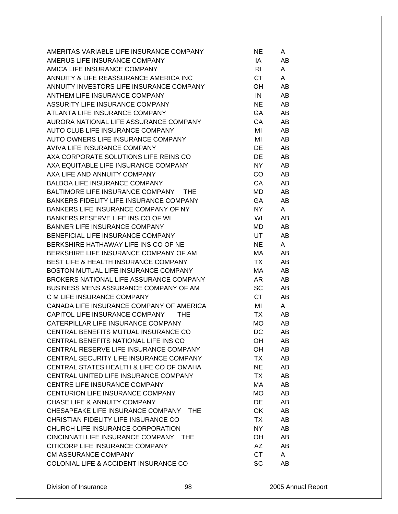| AMERITAS VARIABLE LIFE INSURANCE COMPANY        | NE        | A  |
|-------------------------------------------------|-----------|----|
| AMERUS LIFE INSURANCE COMPANY                   | IA        | AB |
| AMICA LIFE INSURANCE COMPANY                    | RI        | A  |
| ANNUITY & LIFE REASSURANCE AMERICA INC          | <b>CT</b> | A  |
| ANNUITY INVESTORS LIFE INSURANCE COMPANY        | OH        | AB |
| ANTHEM LIFE INSURANCE COMPANY                   | IN        | AB |
| ASSURITY LIFE INSURANCE COMPANY                 | <b>NE</b> | AB |
| ATLANTA LIFE INSURANCE COMPANY                  | GA        | AB |
| AURORA NATIONAL LIFE ASSURANCE COMPANY          | CA        | AB |
| AUTO CLUB LIFE INSURANCE COMPANY                | MI        | AB |
| AUTO OWNERS LIFE INSURANCE COMPANY              | MI        | AB |
| AVIVA LIFE INSURANCE COMPANY                    | DE        | AB |
| AXA CORPORATE SOLUTIONS LIFE REINS CO           | <b>DE</b> | AB |
| AXA EQUITABLE LIFE INSURANCE COMPANY            | NY        | AB |
| AXA LIFE AND ANNUITY COMPANY                    | CO        | AB |
| <b>BALBOA LIFE INSURANCE COMPANY</b>            | CA        | AB |
| BALTIMORE LIFE INSURANCE COMPANY THE            | MD        | AB |
| BANKERS FIDELITY LIFE INSURANCE COMPANY         | GA        | AB |
| BANKERS LIFE INSURANCE COMPANY OF NY            | NY        | A  |
| BANKERS RESERVE LIFE INS CO OF WI               | WI        | AB |
| <b>BANNER LIFE INSURANCE COMPANY</b>            | MD        | AB |
| BENEFICIAL LIFE INSURANCE COMPANY               | UT        | AB |
| BERKSHIRE HATHAWAY LIFE INS CO OF NE            | <b>NE</b> | A  |
| BERKSHIRE LIFE INSURANCE COMPANY OF AM          | МA        | AB |
| BEST LIFE & HEALTH INSURANCE COMPANY            | TX        | AB |
| BOSTON MUTUAL LIFE INSURANCE COMPANY            | МA        | AB |
| BROKERS NATIONAL LIFE ASSURANCE COMPANY         | AR        | AB |
| BUSINESS MENS ASSURANCE COMPANY OF AM           | SC        | AB |
| C M LIFE INSURANCE COMPANY                      | <b>CT</b> | AB |
| CANADA LIFE INSURANCE COMPANY OF AMERICA        | MI        | A  |
| CAPITOL LIFE INSURANCE COMPANY THE              | TX        | AB |
| CATERPILLAR LIFE INSURANCE COMPANY              | <b>MO</b> | AB |
| CENTRAL BENEFITS MUTUAL INSURANCE CO            | DC        | AB |
| CENTRAL BENEFITS NATIONAL LIFE INS CO           | OH        | AB |
| CENTRAL RESERVE LIFE INSURANCE COMPANY          | OH        | AB |
| CENTRAL SECURITY LIFE INSURANCE COMPANY         | TX        | AB |
| CENTRAL STATES HEALTH & LIFE CO OF OMAHA        | <b>NE</b> | AB |
| CENTRAL UNITED LIFE INSURANCE COMPANY           | <b>TX</b> | AB |
| CENTRE LIFE INSURANCE COMPANY                   | МA        | AB |
| CENTURION LIFE INSURANCE COMPANY                | <b>MO</b> | AB |
| <b>CHASE LIFE &amp; ANNUITY COMPANY</b>         | <b>DE</b> | AB |
| CHESAPEAKE LIFE INSURANCE COMPANY<br>THE.       | OK        | AB |
| CHRISTIAN FIDELITY LIFE INSURANCE CO            | TX        | AB |
| CHURCH LIFE INSURANCE CORPORATION               | NY        | AB |
| CINCINNATI LIFE INSURANCE COMPANY<br><b>THE</b> | OH        | AB |
| CITICORP LIFE INSURANCE COMPANY                 | AZ        | AB |
| CM ASSURANCE COMPANY                            | <b>CT</b> | A  |
| COLONIAL LIFE & ACCIDENT INSURANCE CO           | SC        | AB |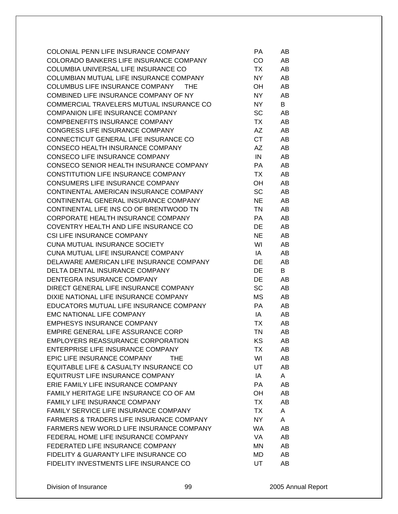| COLONIAL PENN LIFE INSURANCE COMPANY                | PA        | AB |
|-----------------------------------------------------|-----------|----|
| COLORADO BANKERS LIFE INSURANCE COMPANY             | CO        | AB |
| COLUMBIA UNIVERSAL LIFE INSURANCE CO                | TX        | AB |
| COLUMBIAN MUTUAL LIFE INSURANCE COMPANY             | NY.       | AB |
| COLUMBUS LIFE INSURANCE COMPANY<br>THE              | OH.       | AB |
| COMBINED LIFE INSURANCE COMPANY OF NY               | NY        | AB |
| COMMERCIAL TRAVELERS MUTUAL INSURANCE CO            | NY.       | B  |
| <b>COMPANION LIFE INSURANCE COMPANY</b>             | <b>SC</b> | AB |
| <b>COMPBENEFITS INSURANCE COMPANY</b>               | TX        | AB |
| CONGRESS LIFE INSURANCE COMPANY                     | AZ        | AB |
| CONNECTICUT GENERAL LIFE INSURANCE CO               | <b>CT</b> | AB |
| CONSECO HEALTH INSURANCE COMPANY                    | AZ        | AB |
| CONSECO LIFE INSURANCE COMPANY                      | IN        | AB |
| CONSECO SENIOR HEALTH INSURANCE COMPANY             | PA.       | AB |
| CONSTITUTION LIFE INSURANCE COMPANY                 | TX        | AB |
| CONSUMERS LIFE INSURANCE COMPANY                    | OH        | AB |
| CONTINENTAL AMERICAN INSURANCE COMPANY              | <b>SC</b> | AB |
| CONTINENTAL GENERAL INSURANCE COMPANY               | <b>NE</b> | AB |
| CONTINENTAL LIFE INS CO OF BRENTWOOD TN             | TN        | AB |
| CORPORATE HEALTH INSURANCE COMPANY                  | PA.       | AB |
| COVENTRY HEALTH AND LIFE INSURANCE CO               | DE        | AB |
| <b>CSI LIFE INSURANCE COMPANY</b>                   | <b>NE</b> | AB |
| <b>CUNA MUTUAL INSURANCE SOCIETY</b>                | WI        | AB |
| CUNA MUTUAL LIFE INSURANCE COMPANY                  | IA        | AB |
| DELAWARE AMERICAN LIFE INSURANCE COMPANY            | DE        | AB |
| DELTA DENTAL INSURANCE COMPANY                      | DE        | B  |
| DENTEGRA INSURANCE COMPANY                          | DE        | AB |
| DIRECT GENERAL LIFE INSURANCE COMPANY               | <b>SC</b> | AB |
| DIXIE NATIONAL LIFE INSURANCE COMPANY               | МS        | AB |
| EDUCATORS MUTUAL LIFE INSURANCE COMPANY             | PA.       | AB |
| <b>EMC NATIONAL LIFE COMPANY</b>                    | IA        | AB |
| <b>EMPHESYS INSURANCE COMPANY</b>                   | TX        | AB |
| EMPIRE GENERAL LIFE ASSURANCE CORP                  | TN        | AB |
| <b>EMPLOYERS REASSURANCE CORPORATION</b>            | ΚS        | AB |
| ENTERPRISE LIFE INSURANCE COMPANY                   | TX        | AB |
| EPIC LIFE INSURANCE COMPANY<br>THE.                 | WI        | AB |
| EQUITABLE LIFE & CASUALTY INSURANCE CO              | UT        | AB |
| EQUITRUST LIFE INSURANCE COMPANY                    |           | A  |
| ERIE FAMILY LIFE INSURANCE COMPANY                  | IA        |    |
| FAMILY HERITAGE LIFE INSURANCE CO OF AM             | PA        | AB |
| FAMILY LIFE INSURANCE COMPANY                       | OH        | AB |
| FAMILY SERVICE LIFE INSURANCE COMPANY               | TX        | AB |
| <b>FARMERS &amp; TRADERS LIFE INSURANCE COMPANY</b> | TX        | A  |
|                                                     | NY.       | A  |
| FARMERS NEW WORLD LIFE INSURANCE COMPANY            | <b>WA</b> | AB |
| FEDERAL HOME LIFE INSURANCE COMPANY                 | VA        | AB |
| FEDERATED LIFE INSURANCE COMPANY                    | ΜN        | AB |
| FIDELITY & GUARANTY LIFE INSURANCE CO               | MD        | AB |
| FIDELITY INVESTMENTS LIFE INSURANCE CO              | <b>UT</b> | AB |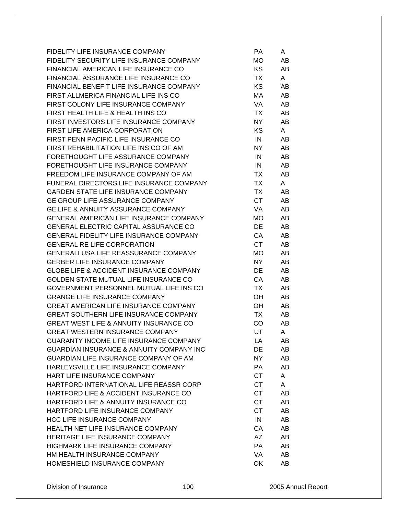| FIDELITY LIFE INSURANCE COMPANY                      | PA        | A  |
|------------------------------------------------------|-----------|----|
| FIDELITY SECURITY LIFE INSURANCE COMPANY             | MO        | AB |
| FINANCIAL AMERICAN LIFE INSURANCE CO                 | KS.       | AB |
| FINANCIAL ASSURANCE LIFE INSURANCE CO                | TX        | A  |
| FINANCIAL BENEFIT LIFE INSURANCE COMPANY             | <b>KS</b> | AB |
| FIRST ALLMERICA FINANCIAL LIFE INS CO                | МA        | AB |
| FIRST COLONY LIFE INSURANCE COMPANY                  | VA        | AB |
| FIRST HEALTH LIFE & HEALTH INS CO                    | TX        | AB |
| FIRST INVESTORS LIFE INSURANCE COMPANY               | NY.       | AB |
| FIRST LIFE AMERICA CORPORATION                       | <b>KS</b> | A  |
| FIRST PENN PACIFIC LIFE INSURANCE CO                 | IN        | AB |
| FIRST REHABILITATION LIFE INS CO OF AM               | NY.       | AB |
| FORETHOUGHT LIFE ASSURANCE COMPANY                   | IN        | AB |
| FORETHOUGHT LIFE INSURANCE COMPANY                   | IN        | AB |
| FREEDOM LIFE INSURANCE COMPANY OF AM                 | TX        | AB |
| FUNERAL DIRECTORS LIFE INSURANCE COMPANY             | TX        | A  |
| <b>GARDEN STATE LIFE INSURANCE COMPANY</b>           | TX        | AB |
| GE GROUP LIFE ASSURANCE COMPANY                      | <b>CT</b> | AB |
| <b>GE LIFE &amp; ANNUITY ASSURANCE COMPANY</b>       | VA        | AB |
| <b>GENERAL AMERICAN LIFE INSURANCE COMPANY</b>       | MO.       | AB |
| <b>GENERAL ELECTRIC CAPITAL ASSURANCE CO</b>         | DE        | AB |
| <b>GENERAL FIDELITY LIFE INSURANCE COMPANY</b>       | CA        | AB |
| <b>GENERAL RE LIFE CORPORATION</b>                   | <b>CT</b> | AB |
| <b>GENERALI USA LIFE REASSURANCE COMPANY</b>         | MO        | AB |
| <b>GERBER LIFE INSURANCE COMPANY</b>                 | NY.       | AB |
| <b>GLOBE LIFE &amp; ACCIDENT INSURANCE COMPANY</b>   | DE        | AB |
| GOLDEN STATE MUTUAL LIFE INSURANCE CO                | CA        | AB |
| GOVERNMENT PERSONNEL MUTUAL LIFE INS CO              | TX        | AB |
| <b>GRANGE LIFE INSURANCE COMPANY</b>                 | OH        | AB |
| <b>GREAT AMERICAN LIFE INSURANCE COMPANY</b>         | OH        | AB |
| <b>GREAT SOUTHERN LIFE INSURANCE COMPANY</b>         | TX        | AB |
| <b>GREAT WEST LIFE &amp; ANNUITY INSURANCE CO</b>    | CO        | AB |
| <b>GREAT WESTERN INSURANCE COMPANY</b>               | UT        | A  |
| <b>GUARANTY INCOME LIFE INSURANCE COMPANY</b>        | LA        | AB |
| <b>GUARDIAN INSURANCE &amp; ANNUITY COMPANY INC.</b> | DE        | AB |
| GUARDIAN LIFE INSURANCE COMPANY OF AM                | NY.       | AB |
| HARLEYSVILLE LIFE INSURANCE COMPANY                  | PA        | AB |
| HART LIFE INSURANCE COMPANY                          | <b>CT</b> | A  |
| HARTFORD INTERNATIONAL LIFE REASSR CORP              | <b>CT</b> | A  |
| HARTFORD LIFE & ACCIDENT INSURANCE CO                | <b>CT</b> | AB |
| HARTFORD LIFE & ANNUITY INSURANCE CO                 | <b>CT</b> | AB |
| HARTFORD LIFE INSURANCE COMPANY                      | <b>CT</b> | AB |
| <b>HCC LIFE INSURANCE COMPANY</b>                    | IN        | AB |
| HEALTH NET LIFE INSURANCE COMPANY                    | CA        | AB |
| HERITAGE LIFE INSURANCE COMPANY                      | AΖ        | AB |
| <b>HIGHMARK LIFE INSURANCE COMPANY</b>               | <b>PA</b> | AB |
| HM HEALTH INSURANCE COMPANY                          | VA        | AB |
| HOMESHIELD INSURANCE COMPANY                         | OK        | AB |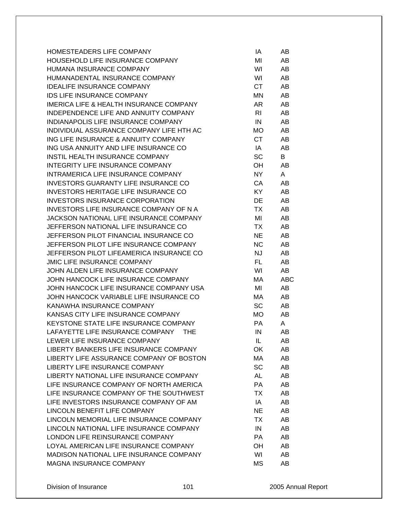| HOMESTEADERS LIFE COMPANY                          | IA        | AB  |
|----------------------------------------------------|-----------|-----|
| HOUSEHOLD LIFE INSURANCE COMPANY                   | MI        | AB  |
| HUMANA INSURANCE COMPANY                           | WI        | AB  |
| HUMANADENTAL INSURANCE COMPANY                     | WI        | AB  |
| <b>IDEALIFE INSURANCE COMPANY</b>                  | <b>CT</b> | AB  |
| IDS LIFE INSURANCE COMPANY                         | <b>MN</b> | AB  |
| <b>IMERICA LIFE &amp; HEALTH INSURANCE COMPANY</b> | AR        | AB  |
| INDEPENDENCE LIFE AND ANNUITY COMPANY              | RI        | AB  |
| INDIANAPOLIS LIFE INSURANCE COMPANY                | IN        | AB  |
| INDIVIDUAL ASSURANCE COMPANY LIFE HTH AC           | MO        | AB  |
| ING LIFE INSURANCE & ANNUITY COMPANY               | <b>CT</b> | AB  |
| ING USA ANNUITY AND LIFE INSURANCE CO              | IA        | AB  |
| INSTIL HEALTH INSURANCE COMPANY                    | SC        | B   |
| INTEGRITY LIFE INSURANCE COMPANY                   | OH        | AB  |
| INTRAMERICA LIFE INSURANCE COMPANY                 | <b>NY</b> | A   |
| <b>INVESTORS GUARANTY LIFE INSURANCE CO</b>        | CA        | AB  |
| INVESTORS HERITAGE LIFE INSURANCE CO               | KY        | AB  |
| <b>INVESTORS INSURANCE CORPORATION</b>             | DE        | AB  |
| INVESTORS LIFE INSURANCE COMPANY OF N A            | <b>TX</b> | AB  |
| JACKSON NATIONAL LIFE INSURANCE COMPANY            | MI        | AB  |
| JEFFERSON NATIONAL LIFE INSURANCE CO               | TX        | AB  |
| JEFFERSON PILOT FINANCIAL INSURANCE CO             | <b>NE</b> | AB  |
| JEFFERSON PILOT LIFE INSURANCE COMPANY             | <b>NC</b> | AB  |
| JEFFERSON PILOT LIFEAMERICA INSURANCE CO           | <b>NJ</b> | AB  |
| <b>JMIC LIFE INSURANCE COMPANY</b>                 | FL        | AB  |
| JOHN ALDEN LIFE INSURANCE COMPANY                  | WI        | AB  |
| JOHN HANCOCK LIFE INSURANCE COMPANY                | МA        | ABC |
| JOHN HANCOCK LIFE INSURANCE COMPANY USA            | MI        | AB  |
| JOHN HANCOCK VARIABLE LIFE INSURANCE CO            | МA        | AB  |
| KANAWHA INSURANCE COMPANY                          | <b>SC</b> | AB  |
| KANSAS CITY LIFE INSURANCE COMPANY                 | MO.       | AB  |
| KEYSTONE STATE LIFE INSURANCE COMPANY              | <b>PA</b> | A   |
| LAFAYETTE LIFE INSURANCE COMPANY<br><b>THE</b>     | IN        | AB  |
| LEWER LIFE INSURANCE COMPANY                       | IL        | AB  |
| LIBERTY BANKERS LIFE INSURANCE COMPANY             | OK        | AB  |
| LIBERTY LIFE ASSURANCE COMPANY OF BOSTON           | MA        | AB  |
| LIBERTY LIFE INSURANCE COMPANY                     | SC        | AB  |
| LIBERTY NATIONAL LIFE INSURANCE COMPANY            | <b>AL</b> | AB  |
| LIFE INSURANCE COMPANY OF NORTH AMERICA            | PA        | AB  |
| LIFE INSURANCE COMPANY OF THE SOUTHWEST            | ТX        | AB  |
| LIFE INVESTORS INSURANCE COMPANY OF AM             | IA        | AB  |
| LINCOLN BENEFIT LIFE COMPANY                       | <b>NE</b> | AB  |
| LINCOLN MEMORIAL LIFE INSURANCE COMPANY            | TX        | AB  |
| LINCOLN NATIONAL LIFE INSURANCE COMPANY            | IN        | AB  |
| LONDON LIFE REINSURANCE COMPANY                    | <b>PA</b> | AB  |
| LOYAL AMERICAN LIFE INSURANCE COMPANY              | OH        | AB  |
| MADISON NATIONAL LIFE INSURANCE COMPANY            | WI        | AB  |
| <b>MAGNA INSURANCE COMPANY</b>                     | <b>MS</b> | AB  |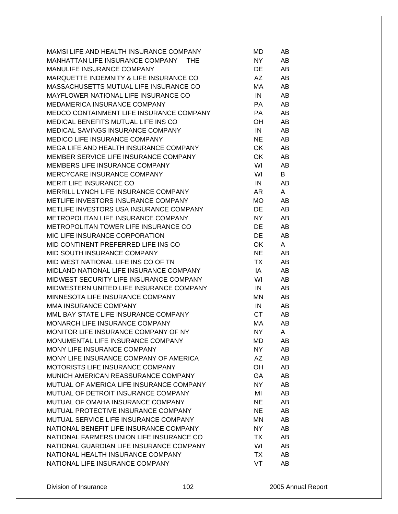| MAMSI LIFE AND HEALTH INSURANCE COMPANY    | MD        | AB |
|--------------------------------------------|-----------|----|
| MANHATTAN LIFE INSURANCE COMPANY THE       | NY        | AB |
| MANULIFE INSURANCE COMPANY                 | DE        | AB |
| MARQUETTE INDEMNITY & LIFE INSURANCE CO    | AZ        | AB |
| MASSACHUSETTS MUTUAL LIFE INSURANCE CO     | МA        | AB |
| MAYFLOWER NATIONAL LIFE INSURANCE CO       | IN        | AB |
| MEDAMERICA INSURANCE COMPANY               | PA        | AB |
| MEDCO CONTAINMENT LIFE INSURANCE COMPANY   | PA.       | AB |
| <b>MEDICAL BENEFITS MUTUAL LIFE INS CO</b> | OH        | AB |
| MEDICAL SAVINGS INSURANCE COMPANY          | IN        | AB |
| <b>MEDICO LIFE INSURANCE COMPANY</b>       | <b>NE</b> | AB |
| MEGA LIFE AND HEALTH INSURANCE COMPANY     | OK        | AB |
| MEMBER SERVICE LIFE INSURANCE COMPANY      | OK        | AB |
| MEMBERS LIFE INSURANCE COMPANY             | WI        | AB |
| MERCYCARE INSURANCE COMPANY                | WI        | B  |
| <b>MERIT LIFE INSURANCE CO</b>             | IN        | AB |
| MERRILL LYNCH LIFE INSURANCE COMPANY       | AR        | A  |
| METLIFE INVESTORS INSURANCE COMPANY        | MO        | AB |
| METLIFE INVESTORS USA INSURANCE COMPANY    | DE        | AB |
| METROPOLITAN LIFE INSURANCE COMPANY        | NY        | AB |
| METROPOLITAN TOWER LIFE INSURANCE CO       | DE        | AB |
| MIC LIFE INSURANCE CORPORATION             | DE        | AB |
| MID CONTINENT PREFERRED LIFE INS CO        | OK        | A  |
| MID SOUTH INSURANCE COMPANY                | <b>NE</b> | AB |
| MID WEST NATIONAL LIFE INS CO OF TN        | TX        | AB |
| MIDLAND NATIONAL LIFE INSURANCE COMPANY    | IA        | AB |
| MIDWEST SECURITY LIFE INSURANCE COMPANY    | WI        | AB |
| MIDWESTERN UNITED LIFE INSURANCE COMPANY   | IN        | AB |
| MINNESOTA LIFE INSURANCE COMPANY           | ΜN        | AB |
| MMA INSURANCE COMPANY                      | IN        | AB |
| MML BAY STATE LIFE INSURANCE COMPANY       | <b>CT</b> | AB |
| MONARCH LIFE INSURANCE COMPANY             | МA        | AB |
| MONITOR LIFE INSURANCE COMPANY OF NY       | NY        | A  |
| MONUMENTAL LIFE INSURANCE COMPANY          | MD        | AB |
| MONY LIFE INSURANCE COMPANY                | NY.       | AB |
| MONY LIFE INSURANCE COMPANY OF AMERICA     | AΖ        | AB |
| MOTORISTS LIFE INSURANCE COMPANY           | OН        | AB |
| MUNICH AMERICAN REASSURANCE COMPANY        | GA        | AB |
| MUTUAL OF AMERICA LIFE INSURANCE COMPANY   | NY        | AB |
| MUTUAL OF DETROIT INSURANCE COMPANY        | MI        | AB |
| MUTUAL OF OMAHA INSURANCE COMPANY          | NE.       | AB |
| MUTUAL PROTECTIVE INSURANCE COMPANY        | NE.       | AB |
| MUTUAL SERVICE LIFE INSURANCE COMPANY      | ΜN        | AB |
| NATIONAL BENEFIT LIFE INSURANCE COMPANY    | NY.       | AB |
| NATIONAL FARMERS UNION LIFE INSURANCE CO   | TX        | AB |
| NATIONAL GUARDIAN LIFE INSURANCE COMPANY   | WI        | AB |
| NATIONAL HEALTH INSURANCE COMPANY          | TX        | AB |
| NATIONAL LIFE INSURANCE COMPANY            | VT        | AB |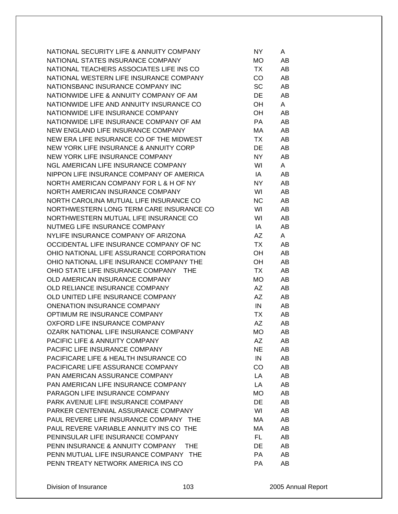| NATIONAL SECURITY LIFE & ANNUITY COMPANY        | NY. | A  |
|-------------------------------------------------|-----|----|
| NATIONAL STATES INSURANCE COMPANY               | MO  | AB |
| NATIONAL TEACHERS ASSOCIATES LIFE INS CO        | TX  | AB |
| NATIONAL WESTERN LIFE INSURANCE COMPANY         | CO  | AB |
| NATIONSBANC INSURANCE COMPANY INC               | SC  | AB |
| NATIONWIDE LIFE & ANNUITY COMPANY OF AM         | DE  | AB |
| NATIONWIDE LIFE AND ANNUITY INSURANCE CO        | OH  | A  |
| NATIONWIDE LIFE INSURANCE COMPANY               | OH  | AB |
| NATIONWIDE LIFE INSURANCE COMPANY OF AM         | PA  | AB |
| NEW ENGLAND LIFE INSURANCE COMPANY              | МA  | AB |
| NEW ERA LIFE INSURANCE CO OF THE MIDWEST        | TX. | AB |
| NEW YORK LIFE INSURANCE & ANNUITY CORP          | DE  | AB |
| NEW YORK LIFE INSURANCE COMPANY                 | NY. | AB |
| NGL AMERICAN LIFE INSURANCE COMPANY             | WI  | A  |
| NIPPON LIFE INSURANCE COMPANY OF AMERICA        | IA  | AB |
| NORTH AMERICAN COMPANY FOR L & H OF NY          | NY. | AB |
| NORTH AMERICAN INSURANCE COMPANY                | WI  | AB |
| NORTH CAROLINA MUTUAL LIFE INSURANCE CO         | NC  | AB |
|                                                 |     |    |
| NORTHWESTERN LONG TERM CARE INSURANCE CO        | WI  | AB |
| NORTHWESTERN MUTUAL LIFE INSURANCE CO           | WI  | AB |
| NUTMEG LIFE INSURANCE COMPANY                   | IA  | AB |
| NYLIFE INSURANCE COMPANY OF ARIZONA             | AZ  | A  |
| OCCIDENTAL LIFE INSURANCE COMPANY OF NC         | TX  | AB |
| OHIO NATIONAL LIFE ASSURANCE CORPORATION        | OH  | AB |
| OHIO NATIONAL LIFE INSURANCE COMPANY THE        | OH  | AB |
| OHIO STATE LIFE INSURANCE COMPANY<br><b>THE</b> | TX  | AB |
| OLD AMERICAN INSURANCE COMPANY                  | MO  | AB |
| OLD RELIANCE INSURANCE COMPANY                  | AZ  | AB |
| OLD UNITED LIFE INSURANCE COMPANY               | AZ  | AB |
| <b>ONENATION INSURANCE COMPANY</b>              | IN  | AB |
| OPTIMUM RE INSURANCE COMPANY                    | TX  | AB |
| OXFORD LIFE INSURANCE COMPANY                   | AΖ  | AB |
| OZARK NATIONAL LIFE INSURANCE COMPANY           | MO  | AB |
| PACIFIC LIFE & ANNUITY COMPANY                  | AΖ  | AB |
| PACIFIC LIFE INSURANCE COMPANY                  | NE. | AB |
| PACIFICARE LIFE & HEALTH INSURANCE CO           | IN  | AB |
| PACIFICARE LIFE ASSURANCE COMPANY               | CO  | AB |
| PAN AMERICAN ASSURANCE COMPANY                  | LA  | AB |
| PAN AMERICAN LIFE INSURANCE COMPANY             | LA  | AB |
| PARAGON LIFE INSURANCE COMPANY                  | МO  | AB |
| PARK AVENUE LIFE INSURANCE COMPANY              | DE  | AB |
| PARKER CENTENNIAL ASSURANCE COMPANY             | WI  | AB |
| PAUL REVERE LIFE INSURANCE COMPANY THE          | МA  | AB |
| PAUL REVERE VARIABLE ANNUITY INS CO THE         | МA  | AB |
| PENINSULAR LIFE INSURANCE COMPANY               | FL. | AB |
| PENN INSURANCE & ANNUITY COMPANY<br>THE.        | DE  | AB |
| PENN MUTUAL LIFE INSURANCE COMPANY THE          | PA  | AB |
| PENN TREATY NETWORK AMERICA INS CO              | PA  | AB |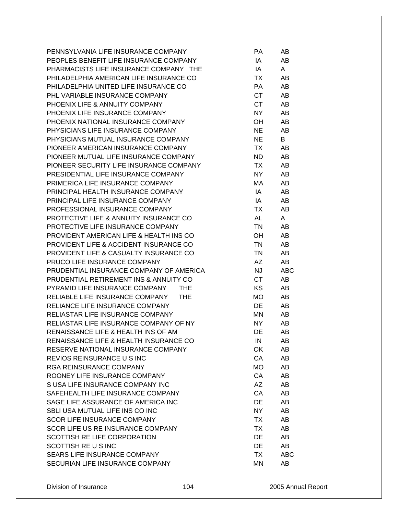| PENNSYLVANIA LIFE INSURANCE COMPANY          | РA        | AB         |
|----------------------------------------------|-----------|------------|
| PEOPLES BENEFIT LIFE INSURANCE COMPANY       | IA        | AB         |
| PHARMACISTS LIFE INSURANCE COMPANY THE       | IA        | A          |
| PHILADELPHIA AMERICAN LIFE INSURANCE CO      | TX        | AB         |
| PHILADELPHIA UNITED LIFE INSURANCE CO        | <b>PA</b> | AB         |
| PHL VARIABLE INSURANCE COMPANY               | <b>CT</b> | AB         |
| PHOENIX LIFE & ANNUITY COMPANY               | <b>CT</b> | AB         |
| PHOENIX LIFE INSURANCE COMPANY               | <b>NY</b> | AB         |
| PHOENIX NATIONAL INSURANCE COMPANY           | OH        | AB         |
| PHYSICIANS LIFE INSURANCE COMPANY            | <b>NE</b> | AB         |
| PHYSICIANS MUTUAL INSURANCE COMPANY          | <b>NE</b> | B          |
| PIONEER AMERICAN INSURANCE COMPANY           | TX        | AB         |
| PIONEER MUTUAL LIFE INSURANCE COMPANY        | <b>ND</b> | AB         |
| PIONEER SECURITY LIFE INSURANCE COMPANY      | TX        | AB         |
| PRESIDENTIAL LIFE INSURANCE COMPANY          | NY        | AB         |
| PRIMERICA LIFE INSURANCE COMPANY             | МA        | AB         |
| PRINCIPAL HEALTH INSURANCE COMPANY           | IA        | AB         |
| PRINCIPAL LIFE INSURANCE COMPANY             | IA        | AB         |
| PROFESSIONAL INSURANCE COMPANY               | ТX        | AB         |
| PROTECTIVE LIFE & ANNUITY INSURANCE CO       | <b>AL</b> | A          |
| PROTECTIVE LIFE INSURANCE COMPANY            | <b>TN</b> | AB         |
| PROVIDENT AMERICAN LIFE & HEALTH INS CO      | OН        | AB         |
| PROVIDENT LIFE & ACCIDENT INSURANCE CO       | <b>TN</b> | AB         |
| PROVIDENT LIFE & CASUALTY INSURANCE CO       | <b>TN</b> | AB         |
| PRUCO LIFE INSURANCE COMPANY                 | AZ        | AB         |
| PRUDENTIAL INSURANCE COMPANY OF AMERICA      | <b>NJ</b> | <b>ABC</b> |
| PRUDENTIAL RETIREMENT INS & ANNUITY CO       | <b>CT</b> | AB         |
| PYRAMID LIFE INSURANCE COMPANY<br><b>THE</b> | KS        | AB         |
| RELIABLE LIFE INSURANCE COMPANY<br>THE       | <b>MO</b> | AB         |
| RELIANCE LIFE INSURANCE COMPANY              | DE        | AB         |
| RELIASTAR LIFE INSURANCE COMPANY             | MN        | AB         |
| RELIASTAR LIFE INSURANCE COMPANY OF NY       | <b>NY</b> | AB         |
| RENAISSANCE LIFE & HEALTH INS OF AM          | DE        | AB         |
| RENAISSANCE LIFE & HEALTH INSURANCE CO       | IN        | AB         |
| RESERVE NATIONAL INSURANCE COMPANY           | OK        | AB         |
| REVIOS REINSURANCE U S INC                   | CA        | AB         |
| <b>RGA REINSURANCE COMPANY</b>               | MO        | AB         |
| ROONEY LIFE INSURANCE COMPANY                | CA        | AB         |
| S USA LIFE INSURANCE COMPANY INC             | AZ        | AB         |
| SAFEHEALTH LIFE INSURANCE COMPANY            | CA        | AB         |
| SAGE LIFE ASSURANCE OF AMERICA INC           | DE        | AB         |
| SBLI USA MUTUAL LIFE INS CO INC              | NY        | AB         |
| <b>SCOR LIFE INSURANCE COMPANY</b>           | TX        | AB         |
| SCOR LIFE US RE INSURANCE COMPANY            | <b>TX</b> | AB         |
| SCOTTISH RE LIFE CORPORATION                 | <b>DE</b> | AB         |
| SCOTTISH RE U S INC                          | <b>DE</b> | AB         |
| SEARS LIFE INSURANCE COMPANY                 | TX        | ABC        |
| SECURIAN LIFE INSURANCE COMPANY              | MN        | AB         |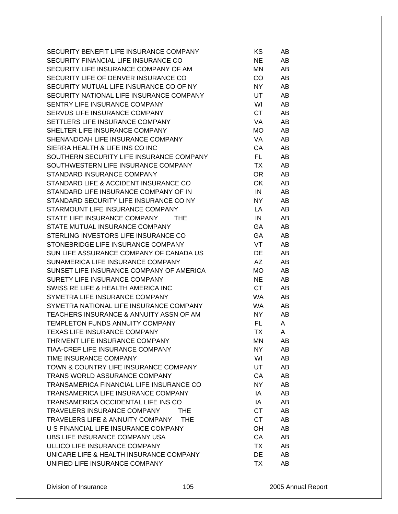| SECURITY BENEFIT LIFE INSURANCE COMPANY        | ΚS        | AB  |
|------------------------------------------------|-----------|-----|
| SECURITY FINANCIAL LIFE INSURANCE CO           | <b>NE</b> | AB  |
| SECURITY LIFE INSURANCE COMPANY OF AM          | ΜN        | AB  |
| SECURITY LIFE OF DENVER INSURANCE CO           | CO        | AB  |
| SECURITY MUTUAL LIFE INSURANCE CO OF NY        | NY.       | AB  |
| SECURITY NATIONAL LIFE INSURANCE COMPANY       | UT        | AB  |
| SENTRY LIFE INSURANCE COMPANY                  | WI        | AB. |
| SERVUS LIFE INSURANCE COMPANY                  | CT        | AB  |
| SETTLERS LIFE INSURANCE COMPANY                | VA.       | AB  |
| SHELTER LIFE INSURANCE COMPANY                 | MO.       | AB  |
| SHENANDOAH LIFE INSURANCE COMPANY              | VA        | AB  |
| SIERRA HEALTH & LIFE INS CO INC                | CA        | AB  |
| SOUTHERN SECURITY LIFE INSURANCE COMPANY       | FL.       | AB  |
| SOUTHWESTERN LIFE INSURANCE COMPANY            | TX        | AB  |
| STANDARD INSURANCE COMPANY                     | OR.       | AB  |
| STANDARD LIFE & ACCIDENT INSURANCE CO          | OK.       | AB  |
| STANDARD LIFE INSURANCE COMPANY OF IN          | IN        | AB  |
| STANDARD SECURITY LIFE INSURANCE CO NY         | NY.       | AB  |
| STARMOUNT LIFE INSURANCE COMPANY               | LA.       | AB  |
| STATE LIFE INSURANCE COMPANY<br><b>THE</b>     | IN        | AB  |
|                                                |           |     |
| STATE MUTUAL INSURANCE COMPANY                 | GA        | AB  |
| STERLING INVESTORS LIFE INSURANCE CO           | <b>GA</b> | AB  |
| STONEBRIDGE LIFE INSURANCE COMPANY             | VT        | AB. |
| SUN LIFE ASSURANCE COMPANY OF CANADA US        | <b>DE</b> | AB  |
| SUNAMERICA LIFE INSURANCE COMPANY              | AZ.       | AB  |
| SUNSET LIFE INSURANCE COMPANY OF AMERICA       | MO.       | AB  |
| SURETY LIFE INSURANCE COMPANY                  | <b>NE</b> | AB  |
| SWISS RE LIFE & HEALTH AMERICA INC             | CT.       | AB  |
| SYMETRA LIFE INSURANCE COMPANY                 | WA.       | AB  |
| SYMETRA NATIONAL LIFE INSURANCE COMPANY        | WA.       | AB  |
| TEACHERS INSURANCE & ANNUITY ASSN OF AM        | NY.       | AB  |
| <b>TEMPLETON FUNDS ANNUITY COMPANY</b>         | FL.       | A   |
| TEXAS LIFE INSURANCE COMPANY                   | ТX        | A   |
| THRIVENT LIFE INSURANCE COMPANY                | ΜN        | AB  |
| TIAA-CREF LIFE INSURANCE COMPANY               | NY.       | AB  |
| TIME INSURANCE COMPANY                         | WI        | AB  |
| TOWN & COUNTRY LIFE INSURANCE COMPANY          | <b>UT</b> | AB  |
| TRANS WORLD ASSURANCE COMPANY                  | CA        | AB  |
| TRANSAMERICA FINANCIAL LIFE INSURANCE CO       | NY.       | AB  |
| TRANSAMERICA LIFE INSURANCE COMPANY            | IA        | AB  |
| TRANSAMERICA OCCIDENTAL LIFE INS CO            | IA        | AB  |
| TRAVELERS INSURANCE COMPANY<br><b>THE</b>      | <b>CT</b> | AB  |
| TRAVELERS LIFE & ANNUITY COMPANY<br><b>THE</b> | <b>CT</b> | AB  |
| U S FINANCIAL LIFE INSURANCE COMPANY           | OH        | AB  |
| UBS LIFE INSURANCE COMPANY USA                 | CA        | AB  |
| ULLICO LIFE INSURANCE COMPANY                  | <b>TX</b> | AB  |
| UNICARE LIFE & HEALTH INSURANCE COMPANY        | DE        | AB  |
| UNIFIED LIFE INSURANCE COMPANY                 | TX        | AB  |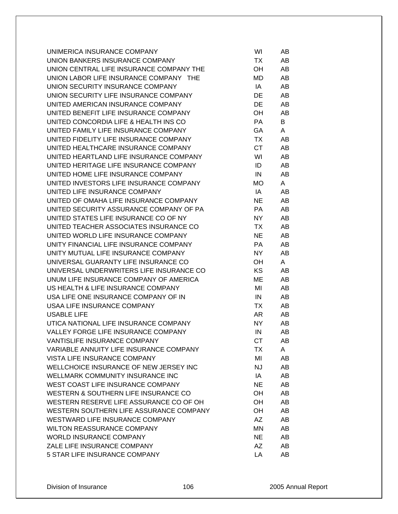| UNIMERICA INSURANCE COMPANY              | WI        | AB |
|------------------------------------------|-----------|----|
| UNION BANKERS INSURANCE COMPANY          | TX        | AB |
| UNION CENTRAL LIFE INSURANCE COMPANY THE | OH        | AB |
| UNION LABOR LIFE INSURANCE COMPANY THE   | MD        | AB |
| UNION SECURITY INSURANCE COMPANY         | IA        | AB |
| UNION SECURITY LIFE INSURANCE COMPANY    | DE        | AB |
| UNITED AMERICAN INSURANCE COMPANY        | DE        | AB |
| UNITED BENEFIT LIFE INSURANCE COMPANY    | ОH        | AB |
| UNITED CONCORDIA LIFE & HEALTH INS CO    | PA        | B  |
| UNITED FAMILY LIFE INSURANCE COMPANY     | GA        | A  |
| UNITED FIDELITY LIFE INSURANCE COMPANY   | TX        | AB |
| UNITED HEALTHCARE INSURANCE COMPANY      | CT.       | AB |
| UNITED HEARTLAND LIFE INSURANCE COMPANY  | WI        | AB |
| UNITED HERITAGE LIFE INSURANCE COMPANY   | ID        | AB |
| UNITED HOME LIFE INSURANCE COMPANY       | IN        | AB |
| UNITED INVESTORS LIFE INSURANCE COMPANY  | MO.       | A  |
| UNITED LIFE INSURANCE COMPANY            | IA        | AB |
| UNITED OF OMAHA LIFE INSURANCE COMPANY   | NE.       | AB |
| UNITED SECURITY ASSURANCE COMPANY OF PA  | PA.       | AB |
| UNITED STATES LIFE INSURANCE CO OF NY    | NY.       | AB |
| UNITED TEACHER ASSOCIATES INSURANCE CO   | TX        | AB |
| UNITED WORLD LIFE INSURANCE COMPANY      | <b>NE</b> | AB |
| UNITY FINANCIAL LIFE INSURANCE COMPANY   | PA        | AB |
| UNITY MUTUAL LIFE INSURANCE COMPANY      | NY.       | AB |
| UNIVERSAL GUARANTY LIFE INSURANCE CO     | ОH        | A  |
| UNIVERSAL UNDERWRITERS LIFE INSURANCE CO | KS.       | AB |
| UNUM LIFE INSURANCE COMPANY OF AMERICA   | МE        | AB |
| US HEALTH & LIFE INSURANCE COMPANY       | MI        | AB |
| USA LIFE ONE INSURANCE COMPANY OF IN     | IN        | AB |
| USAA LIFE INSURANCE COMPANY              | TX        | AB |
| <b>USABLE LIFE</b>                       | AR        | AB |
| UTICA NATIONAL LIFE INSURANCE COMPANY    | NY.       | AB |
| VALLEY FORGE LIFE INSURANCE COMPANY      | IN        | AB |
| VANTISLIFE INSURANCE COMPANY             | <b>CT</b> | AB |
| VARIABLE ANNUITY LIFE INSURANCE COMPANY  | TX        | A  |
| VISTA LIFE INSURANCE COMPANY             | MI        | AB |
| WELLCHOICE INSURANCE OF NEW JERSEY INC   | NJ        | AB |
| WELLMARK COMMUNITY INSURANCE INC         | IA        | AB |
| WEST COAST LIFE INSURANCE COMPANY        | NE.       | AB |
| WESTERN & SOUTHERN LIFE INSURANCE CO     | OН        | AB |
| WESTERN RESERVE LIFE ASSURANCE CO OF OH  | OН        | AB |
| WESTERN SOUTHERN LIFE ASSURANCE COMPANY  | ОH        | AB |
| WESTWARD LIFE INSURANCE COMPANY          | AZ        | AB |
| <b>WILTON REASSURANCE COMPANY</b>        | ΜN        | AB |
| <b>WORLD INSURANCE COMPANY</b>           | <b>NE</b> | AB |
| ZALE LIFE INSURANCE COMPANY              | AZ        | AB |
| 5 STAR LIFE INSURANCE COMPANY            | LA        | AB |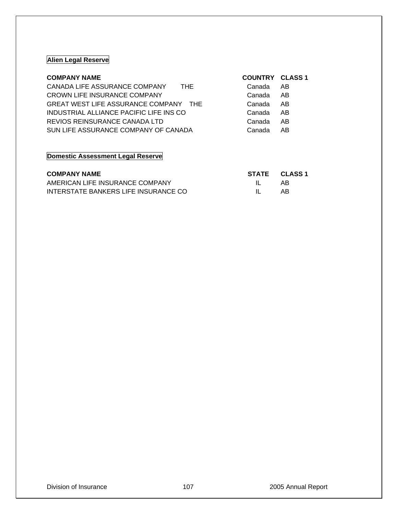## **Alien Legal Reserve**

| CANADA LIFE ASSURANCE COMPANY<br><b>THE</b><br>Canada<br>AB.<br>CROWN LIFE INSURANCE COMPANY<br>Canada<br>AB<br>GREAT WEST LIFE ASSURANCE COMPANY THE<br>AB<br>Canada<br>INDUSTRIAL ALLIANCE PACIFIC LIFE INS CO<br>AB<br>Canada<br>REVIOS REINSURANCE CANADA LTD<br>AB<br>Canada<br>SUN LIFE ASSURANCE COMPANY OF CANADA<br>AB<br>Canada | <b>COMPANY NAME</b> | <b>COUNTRY CLASS 1</b> |  |
|-------------------------------------------------------------------------------------------------------------------------------------------------------------------------------------------------------------------------------------------------------------------------------------------------------------------------------------------|---------------------|------------------------|--|
|                                                                                                                                                                                                                                                                                                                                           |                     |                        |  |
|                                                                                                                                                                                                                                                                                                                                           |                     |                        |  |
|                                                                                                                                                                                                                                                                                                                                           |                     |                        |  |
|                                                                                                                                                                                                                                                                                                                                           |                     |                        |  |
|                                                                                                                                                                                                                                                                                                                                           |                     |                        |  |
|                                                                                                                                                                                                                                                                                                                                           |                     |                        |  |

## **Domestic Assessment Legal Reserve**

| <b>COMPANY NAME</b>                  |              | STATE CLASS 1 |
|--------------------------------------|--------------|---------------|
| AMERICAN LIFE INSURANCE COMPANY      | $\mathbf{H}$ | AR            |
| INTERSTATE BANKERS LIFE INSURANCE CO | $\mathbf{H}$ | AB            |

## Division of Insurance 107 107 107 2005 Annual Report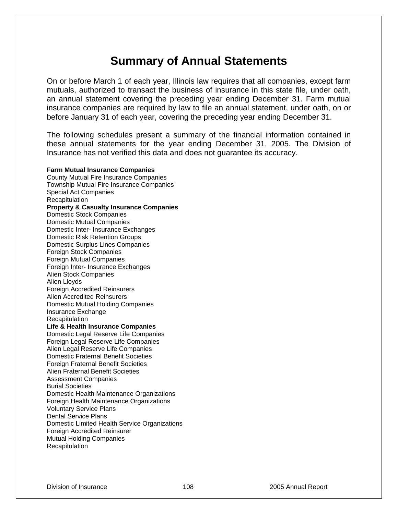# **Summary of Annual Statements**

On or before March 1 of each year, Illinois law requires that all companies, except farm mutuals, authorized to transact the business of insurance in this state file, under oath, an annual statement covering the preceding year ending December 31. Farm mutual insurance companies are required by law to file an annual statement, under oath, on or before January 31 of each year, covering the preceding year ending December 31.

The following schedules present a summary of the financial information contained in these annual statements for the year ending December 31, 2005. The Division of Insurance has not verified this data and does not guarantee its accuracy.

**Farm Mutual Insurance Companies** County Mutual Fire Insurance Companies Township Mutual Fire Insurance Companies Special Act Companies **Recapitulation Property & Casualty Insurance Companies** Domestic Stock Companies Domestic Mutual Companies Domestic Inter- Insurance Exchanges Domestic Risk Retention Groups Domestic Surplus Lines Companies Foreign Stock Companies Foreign Mutual Companies Foreign Inter- Insurance Exchanges Alien Stock Companies Alien Lloyds Foreign Accredited Reinsurers Alien Accredited Reinsurers Domestic Mutual Holding Companies Insurance Exchange **Recapitulation Life & Health Insurance Companies** Domestic Legal Reserve Life Companies Foreign Legal Reserve Life Companies Alien Legal Reserve Life Companies Domestic Fraternal Benefit Societies Foreign Fraternal Benefit Societies Alien Fraternal Benefit Societies Assessment Companies Burial Societies Domestic Health Maintenance Organizations Foreign Health Maintenance Organizations Voluntary Service Plans Dental Service Plans Domestic Limited Health Service Organizations Foreign Accredited Reinsurer Mutual Holding Companies **Recapitulation**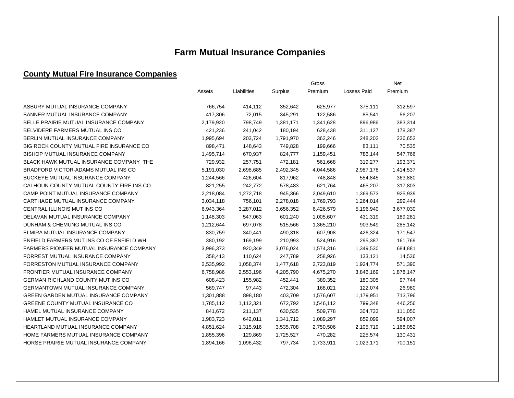# **Farm Mutual Insurance Companies**

## **County Mutual Fire Insurance Companies**

|                                                 |           | Gross       |           |           |                    | <b>Net</b> |
|-------------------------------------------------|-----------|-------------|-----------|-----------|--------------------|------------|
|                                                 | Assets    | Liabilities | Surplus   | Premium   | <b>Losses Paid</b> | Premium    |
|                                                 |           |             |           |           |                    |            |
| ASBURY MUTUAL INSURANCE COMPANY                 | 766,754   | 414,112     | 352,642   | 625,977   | 375,111            | 312,597    |
| <b>BANNER MUTUAL INSURANCE COMPANY</b>          | 417,306   | 72,015      | 345,291   | 122,586   | 85,541             | 56,207     |
| BELLE PRAIRIE MUTUAL INSURANCE COMPANY          | 2,179,920 | 798,749     | 1,381,171 | 1,341,628 | 896,986            | 383,314    |
| BELVIDERE FARMERS MUTUAL INS CO                 | 421,236   | 241,042     | 180,194   | 628,438   | 311,127            | 178,387    |
| BERLIN MUTUAL INSURANCE COMPANY                 | 1,995,694 | 203,724     | 1,791,970 | 362,246   | 248,202            | 236,652    |
| BIG ROCK COUNTY MUTUAL FIRE INSURANCE CO        | 898,471   | 148,643     | 749,828   | 199,666   | 83,111             | 70,535     |
| <b>BISHOP MUTUAL INSURANCE COMPANY</b>          | 1,495,714 | 670,937     | 824,777   | 1,159,451 | 786,144            | 547,766    |
| BLACK HAWK MUTUAL INSURANCE COMPANY THE         | 729,932   | 257,751     | 472,181   | 561,668   | 319,277            | 193,371    |
| BRADFORD VICTOR-ADAMS MUTUAL INS CO             | 5,191,030 | 2,698,685   | 2,492,345 | 4,044,586 | 2,987,178          | 1,414,537  |
| BUCKEYE MUTUAL INSURANCE COMPANY                | 1,244,566 | 426,604     | 817,962   | 748,848   | 554,845            | 363,880    |
| CALHOUN COUNTY MUTUAL COUNTY FIRE INS CO        | 821,255   | 242,772     | 578,483   | 621,764   | 465,207            | 317,803    |
| CAMP POINT MUTUAL INSURANCE COMPANY             | 2,218,084 | 1,272,718   | 945,366   | 2,049,610 | 1,369,573          | 925,939    |
| CARTHAGE MUTUAL INSURANCE COMPANY               | 3,034,118 | 756,101     | 2,278,018 | 1,769,793 | 1,264,014          | 299,444    |
| CENTRAL ILLINOIS MUT INS CO                     | 6,943,364 | 3,287,012   | 3,656,352 | 6,426,579 | 5,196,940          | 3,677,030  |
| DELAVAN MUTUAL INSURANCE COMPANY                | 1,148,303 | 547,063     | 601,240   | 1,005,607 | 431,319            | 189,281    |
| DUNHAM & CHEMUNG MUTUAL INS CO                  | 1,212,644 | 697,078     | 515,566   | 1,365,210 | 903,549            | 285,142    |
| ELMIRA MUTUAL INSURANCE COMPANY                 | 830,759   | 340,441     | 490,318   | 607,908   | 426,324            | 171,547    |
| ENFIELD FARMERS MUT INS CO OF ENFIELD WH        | 380,192   | 169,199     | 210,993   | 524,916   | 295,387            | 161,769    |
| <b>FARMERS PIONEER MUTUAL INSURANCE COMPANY</b> | 3,996,373 | 920,349     | 3,076,024 | 1,574,316 | 1,349,530          | 684,881    |
| FORREST MUTUAL INSURANCE COMPANY                | 358,413   | 110,624     | 247,789   | 258,926   | 133,121            | 14,536     |
| FORRESTON MUTUAL INSURANCE COMPANY              | 2,535,992 | 1,058,374   | 1,477,618 | 2,723,819 | 1,924,774          | 571,390    |
| FRONTIER MUTUAL INSURANCE COMPANY               | 6,758,986 | 2,553,196   | 4,205,790 | 4,675,270 | 3,846,169          | 1,878,147  |
| GERMAN RICHLAND COUNTY MUT INS CO               | 608,423   | 155,982     | 452,441   | 389,352   | 180,305            | 97,744     |
| <b>GERMANTOWN MUTUAL INSURANCE COMPANY</b>      | 569,747   | 97,443      | 472,304   | 168,021   | 122,074            | 26,980     |
| <b>GREEN GARDEN MUTUAL INSURANCE COMPANY</b>    | 1,301,888 | 898,180     | 403,709   | 1,576,607 | 1,179,951          | 713,796    |
| GREENE COUNTY MUTUAL INSURANCE CO               | 1,785,112 | 1,112,321   | 672,792   | 1,546,112 | 799,348            | 446,256    |
| HAMEL MUTUAL INSURANCE COMPANY                  | 841,672   | 211,137     | 630,535   | 509,778   | 304,733            | 111,050    |
| HAMLET MUTUAL INSURANCE COMPANY                 | 1,983,723 | 642,011     | 1,341,712 | 1,089,297 | 859,099            | 594,007    |
| <b>HEARTLAND MUTUAL INSURANCE COMPANY</b>       | 4,851,624 | 1,315,916   | 3,535,708 | 2,750,506 | 2,105,719          | 1,168,052  |
| HOME FARMERS MUTUAL INSURANCE COMPANY           | 1,855,396 | 129,869     | 1,725,527 | 470,282   | 225,574            | 130,431    |
| HORSE PRAIRIE MUTUAL INSURANCE COMPANY          | 1,894,166 | 1,096,432   | 797,734   | 1,733,911 | 1,023,171          | 700,151    |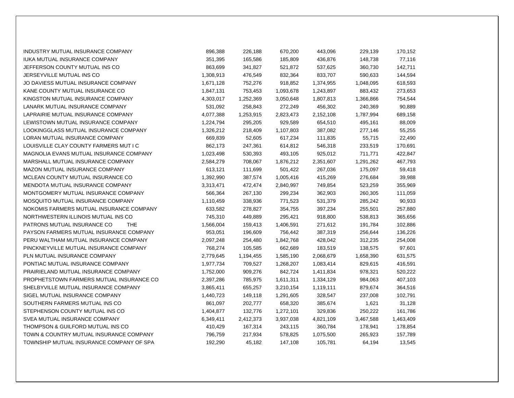| INDUSTRY MUTUAL INSURANCE COMPANY         | 896,388   | 226,188   | 670,200   | 443,096   | 229,139   | 170,152   |
|-------------------------------------------|-----------|-----------|-----------|-----------|-----------|-----------|
| <b>IUKA MUTUAL INSURANCE COMPANY</b>      | 351,395   | 165,586   | 185,809   | 436,876   | 148,738   | 77,116    |
| JEFFERSON COUNTY MUTUAL INS CO            | 863,699   | 341,827   | 521,872   | 537,625   | 360,730   | 142,711   |
| JERSEYVILLE MUTUAL INS CO                 | 1,308,913 | 476,549   | 832,364   | 833,707   | 590,633   | 144,594   |
| JO DAVIESS MUTUAL INSURANCE COMPANY       | 1,671,128 | 752,276   | 918,852   | 1,374,955 | 1,048,095 | 618,593   |
| KANE COUNTY MUTUAL INSURANCE CO           | 1,847,131 | 753,453   | 1,093,678 | 1,243,897 | 883,432   | 273,653   |
| KINGSTON MUTUAL INSURANCE COMPANY         | 4,303,017 | 1,252,369 | 3,050,648 | 1,807,813 | 1,366,866 | 754,544   |
| LANARK MUTUAL INSURANCE COMPANY           | 531,092   | 258,843   | 272,249   | 456,302   | 240,369   | 90,889    |
| LAPRAIRIE MUTUAL INSURANCE COMPANY        | 4,077,388 | 1,253,915 | 2,823,473 | 2,152,108 | 1,787,994 | 689,158   |
| LEWISTOWN MUTUAL INSURANCE COMPANY        | 1,224,794 | 295,205   | 929,589   | 654,510   | 495,161   | 88,009    |
| LOOKINGGLASS MUTUAL INSURANCE COMPANY     | 1,326,212 | 218,409   | 1,107,803 | 387,082   | 277,146   | 55,255    |
| LORAN MUTUAL INSURANCE COMPANY            | 669,839   | 52,605    | 617,234   | 111,835   | 55,715    | 22,490    |
| LOUISVILLE CLAY COUNTY FARMERS MUT I C    | 862,173   | 247,361   | 614,812   | 546,318   | 233,519   | 170,691   |
| MAGNOLIA EVANS MUTUAL INSURANCE COMPANY   | 1,023,498 | 530,393   | 493,105   | 925,012   | 711,771   | 422,847   |
| MARSHALL MUTUAL INSURANCE COMPANY         | 2,584,279 | 708,067   | 1,876,212 | 2,351,607 | 1,291,262 | 467,793   |
| MAZON MUTUAL INSURANCE COMPANY            | 613,121   | 111,699   | 501,422   | 267,036   | 175,097   | 59,418    |
| MCLEAN COUNTY MUTUAL INSURANCE CO         | 1,392,990 | 387,574   | 1,005,416 | 415,269   | 276,684   | 39,988    |
| MENDOTA MUTUAL INSURANCE COMPANY          | 3,313,471 | 472,474   | 2,840,997 | 749,854   | 523,259   | 355,969   |
| MONTGOMERY MUTUAL INSURANCE COMPANY       | 566,364   | 267,130   | 299,234   | 362,903   | 260,305   | 111,059   |
| MOSQUITO MUTUAL INSURANCE COMPANY         | 1,110,459 | 338,936   | 771,523   | 531,379   | 285,242   | 90,933    |
| NOKOMIS FARMERS MUTUAL INSURANCE COMPANY  | 633,582   | 278,827   | 354,755   | 397,234   | 255,501   | 257,880   |
| NORTHWESTERN ILLINOIS MUTUAL INS CO       | 745,310   | 449,889   | 295,421   | 918,800   | 538,813   | 365,656   |
| PATRONS MUTUAL INSURANCE CO<br><b>THE</b> | 1,566,004 | 159,413   | 1,406,591 | 271,612   | 191,784   | 102,886   |
| PAYSON FARMERS MUTUAL INSURANCE COMPANY   | 953,051   | 196,609   | 756,442   | 387,319   | 256,644   | 136,226   |
| PERU WALTHAM MUTUAL INSURANCE COMPANY     | 2,097,248 | 254,480   | 1,842,768 | 428,042   | 312,235   | 254,008   |
| PINCKNEYVILLE MUTUAL INSURANCE COMPANY    | 768,274   | 105,585   | 662,689   | 183,519   | 138,575   | 97,601    |
| PLN MUTUAL INSURANCE COMPANY              | 2,779,645 | 1,194,455 | 1,585,190 | 2,068,679 | 1,658,390 | 631,575   |
| PONTIAC MUTUAL INSURANCE COMPANY          | 1,977,734 | 709,527   | 1,268,207 | 1,083,414 | 829,615   | 416,591   |
| PRAIRIELAND MUTUAL INSURANCE COMPANY      | 1,752,000 | 909,276   | 842,724   | 1,411,834 | 978,321   | 520,222   |
| PROPHETSTOWN FARMERS MUTUAL INSURANCE CO  | 2,397,286 | 785,975   | 1,611,311 | 1,334,129 | 984,063   | 407,103   |
| SHELBYVILLE MUTUAL INSURANCE COMPANY      | 3,865,411 | 655,257   | 3,210,154 | 1,119,111 | 879,674   | 364,516   |
| SIGEL MUTUAL INSURANCE COMPANY            | 1,440,723 | 149,118   | 1,291,605 | 328,547   | 237,008   | 102,791   |
| SOUTHERN FARMERS MUTUAL INS CO            | 861,097   | 202,777   | 658,320   | 385,674   | 1,621     | 31,128    |
| STEPHENSON COUNTY MUTUAL INS CO           | 1,404,877 | 132,776   | 1,272,101 | 329,836   | 250,222   | 161,786   |
| SVEA MUTUAL INSURANCE COMPANY             | 6,349,411 | 2,412,373 | 3,937,038 | 4,821,109 | 3,467,588 | 1,463,409 |
| THOMPSON & GUILFORD MUTUAL INS CO         | 410,429   | 167,314   | 243,115   | 360,784   | 178,941   | 178,854   |
| TOWN & COUNTRY MUTUAL INSURANCE COMPANY   | 796,759   | 217,934   | 578,825   | 1,075,500 | 265,923   | 157,789   |
| TOWNSHIP MUTUAL INSURANCE COMPANY OF SPA  | 192,290   | 45,182    | 147,108   | 105,781   | 64,194    | 13,545    |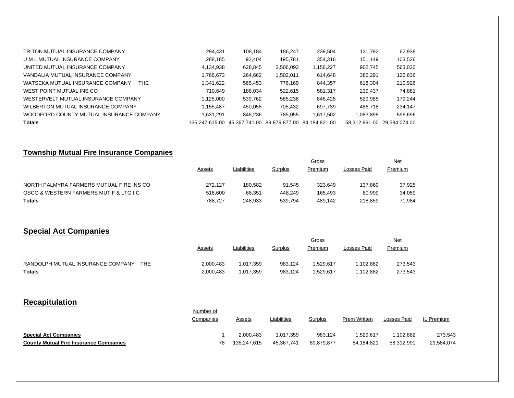| TRITON MUTUAL INSURANCE COMPANY          | 294,431        | 108.184                                   | 186.247   | 239,504   | 131,792       | 62,938        |
|------------------------------------------|----------------|-------------------------------------------|-----------|-----------|---------------|---------------|
| U M L MUTUAL INSURANCE COMPANY           | 288.185        | 92.404                                    | 195.781   | 354.316   | 151.149       | 103,526       |
| UNITED MUTUAL INSURANCE COMPANY          | 4,134,938      | 628.845                                   | 3,506,093 | 1.156.227 | 902.745       | 563,030       |
| VANDALIA MUTUAL INSURANCE COMPANY        | 766,673. ا     | 264,662                                   | 1,502,011 | 614.648   | 385.291       | 126,636       |
| WATSEKA MUTUAL INSURANCE COMPANY<br>THE. | 1,341,622      | 565,453                                   | 776.169   | 844.357   | 618.304       | 210,926       |
| WEST POINT MUTUAL INS CO                 | 710.649        | 188.034                                   | 522.615   | 581.317   | 239,437       | 74.881        |
| WESTERVELT MUTUAL INSURANCE COMPANY      | 1,125,000      | 539,762                                   | 585,238   | 846.425   | 529,985       | 179,244       |
| WILBERTON MUTUAL INSURANCE COMPANY       | 1,155,487      | 450,055                                   | 705,432   | 697.739   | 486.718       | 234,147       |
| WOODFORD COUNTY MUTUAL INSURANCE COMPANY | 1.631.291      | 846.236                                   | 785.055   | 1.617.502 | 1.083.898     | 596,696       |
| <b>Totals</b>                            | 135.247.615.00 | 45,367,741.00 89,879,877.00 84,184,821.00 |           |           | 58.312.991.00 | 29.584.074.00 |

## **Township Mutual Fire Insurance Companies**

|                                          |         |             |         |         | <u>Net</u>  |         |
|------------------------------------------|---------|-------------|---------|---------|-------------|---------|
|                                          | Assets  | Liabilities | Surplus | Premium | Losses Paid | Premium |
| NORTH PALMYRA FARMERS MUTUAL FIRE INS CO | 272.127 | 180.582     | 91.545  | 323.649 | 137.860     | 37,925  |
| OSCO & WESTERN FARMERS MUT F & LTG I C   | 516,600 | 68,351      | 448.249 | 165.493 | 80.999      | 34,059  |
| <b>Totals</b>                            | 788.727 | 248.933     | 539.794 | 489.142 | 218.859     | 71,984  |

## **Special Act Companies**

|                                          | <u>Assets</u> | Liabilities | Surplus | Gross<br>Premium | Losses Paid | <u>Net</u><br>Premium |
|------------------------------------------|---------------|-------------|---------|------------------|-------------|-----------------------|
| RANDOLPH MUTUAL INSURANCE COMPANY<br>THF | 2,000,483     | 1.017.359   | 983.124 | .529.617         | .102.882    | 273,543               |
| Totals                                   | 2,000,483     | .017,359    | 983,124 | .529,617         | .102.882    | 273.543               |

## **Recapitulation**

|                                               | Number of |               |             |            | Prem Written | Losses Paid | IL Premium |
|-----------------------------------------------|-----------|---------------|-------------|------------|--------------|-------------|------------|
|                                               | Companies | <b>Assets</b> | Liabilities | Surplus    |              |             |            |
| <b>Special Act Companies</b>                  |           | 2.000.483     | 1,017,359   | 983.124    | 1.529.617    | 1,102,882   | 273,543    |
| <b>County Mutual Fire Insurance Companies</b> | 78        | 135.247.615   | 45.367.741  | 89,879,877 | 84.184.821   | 58,312,991  | 29,584,074 |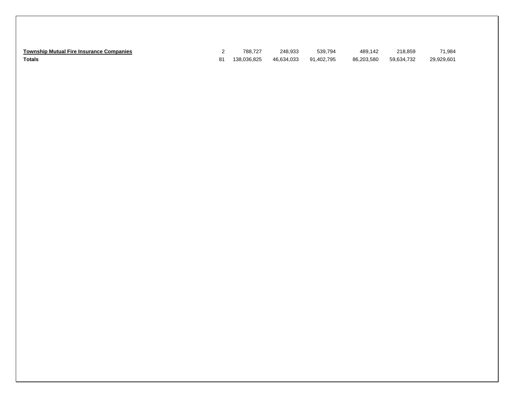| <b>Township Mutual Fire Insurance Companies</b> |    | 788.727     | 248.933    | 539.794    | 489.142    | 218,859    | 71.984     |
|-------------------------------------------------|----|-------------|------------|------------|------------|------------|------------|
| Totals                                          | 81 | 138.036.825 | 46.634.033 | 91.402.795 | 86.203.580 | 59.634.732 | 29,929,601 |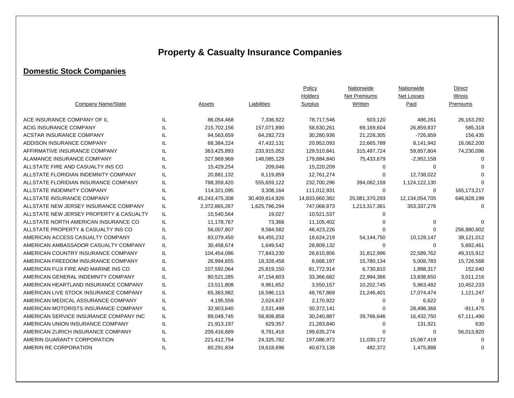# **Property & Casualty Insurance Companies**

## **Domestic Stock Companies**

|                                         |     |                |                | Policy         | Nationwide     | Nationwide        | <b>Direct</b> |
|-----------------------------------------|-----|----------------|----------------|----------------|----------------|-------------------|---------------|
|                                         |     |                |                | Holders        | Net Premiums   | <b>Net Losses</b> | Illinois      |
| Company Name/State                      |     | Assets         | Liabilities    | Surplus        | Written        | Paid              | Premiums      |
| ACE INSURANCE COMPANY OF IL             | IL  | 86,054,468     | 7,336,922      | 78,717,546     | 503,120        | 486,261           | 26,163,292    |
| ACIG INSURANCE COMPANY                  | IL  | 215,702,156    | 157,071,890    | 58,630,261     | 69,169,604     | 26,859,837        | 585,318       |
| <b>ACSTAR INSURANCE COMPANY</b>         | IL  | 94,563,659     | 64,282,723     | 30,280,936     | 21,228,305     | -726,859          | 156,435       |
| ADDISON INSURANCE COMPANY               | IL  | 68,384,224     | 47,432,131     | 20,952,093     | 22,665,789     | 8,141,942         | 16,062,200    |
| AFFIRMATIVE INSURANCE COMPANY           | IL  | 363,425,893    | 233,915,052    | 129,510,841    | 315,497,724    | 59,657,804        | 74,230,096    |
| ALAMANCE INSURANCE COMPANY              | IL  | 327,969,969    | 148,085,129    | 179,884,840    | 75,433,679     | $-2,952,158$      | $\Omega$      |
| ALLSTATE FIRE AND CASUALTY INS CO       | IL  | 15,429,254     | 209,046        | 15,220,209     | 0              | $\Omega$          | ∩             |
| ALLSTATE FLORIDIAN INDEMNITY COMPANY    | IL  | 20,881,132     | 8,119,859      | 12,761,274     | 0              | 12,738,022        | $\Omega$      |
| ALLSTATE FLORIDIAN INSURANCE COMPANY    | IL  | 788,359,420    | 555,659,122    | 232,700,296    | 394,062,159    | 1,124,122,130     | $\Omega$      |
| ALLSTATE INDEMNITY COMPANY              | IL  | 114,321,095    | 3,308,164      | 111,012,931    | 0              | 0                 | 165, 173, 217 |
| ALLSTATE INSURANCE COMPANY              | IL  | 45,243,475,308 | 30,409,814,926 | 14,833,660,382 | 25,081,370,293 | 12,134,054,705    | 646,828,199   |
| ALLSTATE NEW JERSEY INSURANCE COMPANY   | IL  | 2,372,865,267  | 1,625,796,294  | 747,068,973    | 1,213,317,361  | 353,337,276       | 0             |
| ALLSTATE NEW JERSEY PROPERTY & CASUALTY | IL  | 10,540,564     | 19,027         | 10,521,537     | 0              |                   |               |
| ALLSTATE NORTH AMERICAN INSURANCE CO    | IL  | 11,178,767     | 73,366         | 11,105,402     | 0              | 0                 |               |
| ALLSTATE PROPERTY & CASUALTY INS CO     | IL  | 56,007,807     | 9,584,582      | 46,423,226     | 0              | $\Omega$          | 256,880,602   |
| AMERICAN ACCESS CASUALTY COMPANY        | IL  | 83,079,450     | 64,455,232     | 18,624,219     | 54,144,750     | 10,128,147        | 39,121,012    |
| AMERICAN AMBASSADOR CASUALTY COMPANY    | IL  | 30,458,674     | 1,649,542      | 28,809,132     | 0              | 0                 | 5,692,461     |
| AMERICAN COUNTRY INSURANCE COMPANY      | IL  | 104,454,086    | 77,843,230     | 26,610,856     | 31,812,996     | 22,589,762        | 49,315,912    |
| AMERICAN FREEDOM INSURANCE COMPANY      | IL  | 26,994,655     | 18,328,458     | 8,666,197      | 15,780,134     | 5,008,783         | 15,726,568    |
| AMERICAN FUJI FIRE AND MARINE INS CO    | IL  | 107,592,064    | 25,819,150     | 81,772,914     | 6,730,810      | 1,898,317         | 152,640       |
| AMERICAN GENERAL INDEMNITY COMPANY      | IL  | 80,521,285     | 47,154,603     | 33,366,682     | 22,994,366     | 13,838,650        | 3,011,216     |
| AMERICAN HEARTLAND INSURANCE COMPANY    | IL  | 13,511,808     | 9,961,652      | 3,550,157      | 10,202,745     | 5,963,482         | 10,452,233    |
| AMERICAN LIVE STOCK INSURANCE COMPANY   | IL  | 65,363,982     | 16,596,113     | 48,767,869     | 21,246,401     | 17,074,474        | 1,121,247     |
| AMERICAN MEDICAL ASSURANCE COMPANY      | IL  | 4,195,559      | 2,024,637      | 2,170,922      | $\Omega$       | 6,622             | $\Omega$      |
| AMERICAN MOTORISTS INSURANCE COMPANY    | IL  | 32,903,640     | 2,531,499      | 30,372,141     | 0              | 28,498,368        | $-911,475$    |
| AMERICAN SERVICE INSURANCE COMPANY INC  | IL  | 89,049,745     | 58,808,858     | 30,240,887     | 39,766,646     | 16,432,750        | 67,111,490    |
| AMERICAN UNION INSURANCE COMPANY        | IL  | 21,913,197     | 629,357        | 21,283,840     | 0              | 131,921           | 630           |
| AMERICAN ZURICH INSURANCE COMPANY       | IL. | 209,416,689    | 9,781,416      | 199,635,274    | 0              | 0                 | 56,013,820    |
| AMERIN GUARANTY CORPORATION             | IL  | 221,412,754    | 24,325,782     | 197,086,972    | 11,030,172     | 15,067,419        | 0             |
| AMERIN RE CORPORATION                   | IL  | 60,291,834     | 19,618,696     | 40,673,138     | 482,372        | 1,475,888         | 0             |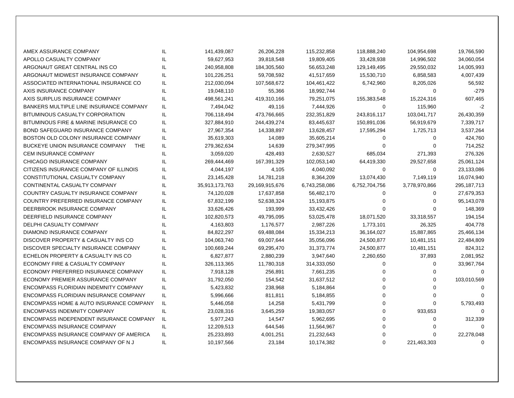| AMEX ASSURANCE COMPANY                        | IL  | 141,439,087    | 26,206,228     | 115,232,858   | 118,888,240   | 104,954,698   | 19,766,590    |
|-----------------------------------------------|-----|----------------|----------------|---------------|---------------|---------------|---------------|
| APOLLO CASUALTY COMPANY                       | IL  | 59,627,953     | 39,818,548     | 19,809,405    | 33,428,938    | 14,996,502    | 34,060,054    |
| ARGONAUT GREAT CENTRAL INS CO                 | IL  | 240,958,808    | 184,305,560    | 56,653,248    | 129,149,495   | 29,550,032    | 14,005,993    |
| ARGONAUT MIDWEST INSURANCE COMPANY            | IL  | 101,226,251    | 59,708,592     | 41,517,659    | 15,530,710    | 6,858,583     | 4,007,439     |
| ASSOCIATED INTERNATIONAL INSURANCE CO         | IL  | 212,030,094    | 107,568,672    | 104,461,422   | 6,742,960     | 8,205,026     | 56,592        |
| AXIS INSURANCE COMPANY                        | IL  | 19,048,110     | 55,366         | 18,992,744    | 0             | 0             | $-279$        |
| AXIS SURPLUS INSURANCE COMPANY                | IL  | 498,561,241    | 419,310,166    | 79,251,075    | 155,383,548   | 15,224,316    | 607,465       |
| BANKERS MULTIPLE LINE INSURANCE COMPANY       | IL  | 7,494,042      | 49,116         | 7,444,926     | 0             | 115,960       | $-2$          |
| BITUMINOUS CASUALTY CORPORATION               | IL  | 706,118,494    | 473,766,665    | 232,351,829   | 243,816,117   | 103,041,717   | 26,430,359    |
| BITUMINOUS FIRE & MARINE INSURANCE CO         | IL  | 327,884,910    | 244,439,274    | 83,445,637    | 150,891,036   | 56,919,679    | 7,339,717     |
| <b>BOND SAFEGUARD INSURANCE COMPANY</b>       | IL  | 27,967,354     | 14,338,897     | 13,628,457    | 17,595,294    | 1,725,713     | 3,537,264     |
| BOSTON OLD COLONY INSURANCE COMPANY           | IL  | 35,619,303     | 14,089         | 35,605,214    | 0             | $\mathbf 0$   | 424,760       |
| BUCKEYE UNION INSURANCE COMPANY<br><b>THE</b> | IL. | 279,362,634    | 14,639         | 279,347,995   | 0             | 0             | 714,252       |
| CEM INSURANCE COMPANY                         | IL  | 3,059,020      | 428,493        | 2,630,527     | 685,034       | 271,393       | 276,326       |
| CHICAGO INSURANCE COMPANY                     | IL  | 269,444,469    | 167,391,329    | 102,053,140   | 64,419,330    | 29,527,658    | 25,061,124    |
| CITIZENS INSURANCE COMPANY OF ILLINOIS        | IL  | 4,044,197      | 4,105          | 4,040,092     | 0             | 0             | 23,133,086    |
| CONSTITUTIONAL CASUALTY COMPANY               | IL  | 23,145,428     | 14,781,218     | 8,364,209     | 13,074,430    | 7,149,119     | 16,074,940    |
| CONTINENTAL CASUALTY COMPANY                  | IL. | 35,913,173,763 | 29,169,915,676 | 6,743,258,086 | 6,752,704,756 | 3,778,970,866 | 295, 187, 713 |
| COUNTRY CASUALTY INSURANCE COMPANY            | IL  | 74,120,028     | 17,637,858     | 56,482,170    | 0             | 0             | 27,679,353    |
| COUNTRY PREFERRED INSURANCE COMPANY           | IL  | 67,832,199     | 52,638,324     | 15,193,875    | 0             | $\Omega$      | 95,143,078    |
| DEERBROOK INSURANCE COMPANY                   | IL  | 33,626,426     | 193,999        | 33,432,426    | 0             | 0             | 148,369       |
| DEERFIELD INSURANCE COMPANY                   | IL  | 102,820,573    | 49,795,095     | 53,025,478    | 18,071,520    | 33,318,557    | 194,154       |
| <b>DELPHI CASUALTY COMPANY</b>                | IL  | 4,163,803      | 1,176,577      | 2,987,226     | 1,773,101     | 26,325        | 404,778       |
| DIAMOND INSURANCE COMPANY                     | IL  | 84,822,297     | 69,488,084     | 15,334,213    | 36,164,027    | 15,887,865    | 25,466,134    |
| DISCOVER PROPERTY & CASUALTY INS CO           | IL  | 104,063,740    | 69,007,644     | 35,056,096    | 24,500,877    | 10,481,151    | 22,484,809    |
| DISCOVER SPECIALTY INSURANCE COMPANY          | IL. | 100,669,244    | 69,295,470     | 31,373,774    | 24,500,877    | 10,481,151    | 824,312       |
| ECHELON PROPERTY & CASUALTY INS CO            | IL  | 6,827,877      | 2,880,239      | 3,947,640     | 2,260,650     | 37,893        | 2,081,952     |
| ECONOMY FIRE & CASUALTY COMPANY               | IL  | 326,113,365    | 11,780,318     | 314,333,050   | 0             | 0             | 33,967,764    |
| ECONOMY PREFERRED INSURANCE COMPANY           | IL  | 7,918,128      | 256,891        | 7,661,235     | 0             | 0             | 0             |
| ECONOMY PREMIER ASSURANCE COMPANY             | IL  | 31,792,050     | 154,542        | 31,637,512    | 0             | 0             | 103,010,569   |
| ENCOMPASS FLORIDIAN INDEMNITY COMPANY         | IL  | 5,423,832      | 238,968        | 5,184,864     | 0             | $\Omega$      | $\Omega$      |
| ENCOMPASS FLORIDIAN INSURANCE COMPANY         | IL. | 5,996,666      | 811,811        | 5,184,855     | 0             | 0             | $\Omega$      |
| ENCOMPASS HOME & AUTO INSURANCE COMPANY       | IL  | 5,446,058      | 14,258         | 5,431,799     | 0             | 0             | 5,793,493     |
| <b>ENCOMPASS INDEMNITY COMPANY</b>            | IL. | 23,028,316     | 3,645,259      | 19,383,057    | 0             | 933,653       | $\Omega$      |
| ENCOMPASS INDEPENDENT INSURANCE COMPANY       | IL. | 5,977,243      | 14,547         | 5,962,695     | 0             | 0             | 312,339       |
| <b>ENCOMPASS INSURANCE COMPANY</b>            | IL. | 12,209,513     | 644,546        | 11,564,967    | 0             | $\Omega$      | $\Omega$      |
| ENCOMPASS INSURANCE COMPANY OF AMERICA        | IL. | 25,233,893     | 4,001,251      | 21,232,643    | 0             | $\Omega$      | 22,278,048    |
| ENCOMPASS INSURANCE COMPANY OF NJ             | IL  | 10,197,566     | 23,184         | 10,174,382    | $\Omega$      | 221,463,303   | 0             |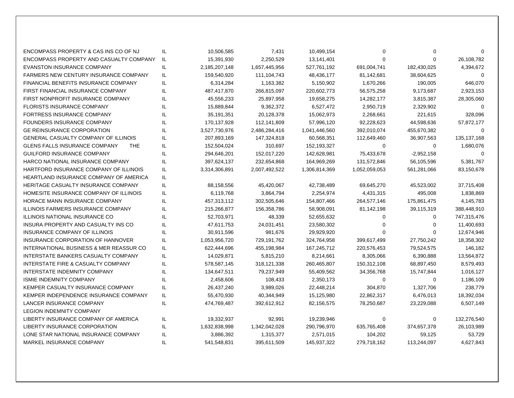| ENCOMPASS PROPERTY & CAS INS CO OF NJ              | IL  | 10,506,585    | 7,431         | 10,499,154    | 0             | 0            | $\Omega$      |
|----------------------------------------------------|-----|---------------|---------------|---------------|---------------|--------------|---------------|
| ENCOMPASS PROPERTY AND CASUALTY COMPANY            | IL. | 15,391,930    | 2,250,529     | 13,141,401    | 0             | 0            | 26,108,782    |
| <b>EVANSTON INSURANCE COMPANY</b>                  | IL. | 2,185,207,148 | 1,657,445,956 | 527,761,192   | 691,004,741   | 182,430,025  | 4,394,672     |
| <b>FARMERS NEW CENTURY INSURANCE COMPANY</b>       | IL  | 159,540,920   | 111,104,743   | 48,436,177    | 81,142,681    | 38,604,625   | $\Omega$      |
| <b>FINANCIAL BENEFITS INSURANCE COMPANY</b>        | IL  | 6,314,284     | 1,163,382     | 5,150,902     | 1,670,266     | 190,005      | 646,070       |
| FIRST FINANCIAL INSURANCE COMPANY                  | IL  | 487,417,870   | 266,815,097   | 220,602,773   | 56,575,258    | 9,173,687    | 2,923,153     |
| FIRST NONPROFIT INSURANCE COMPANY                  | IL  | 45,556,233    | 25,897,958    | 19,658,275    | 14,282,177    | 3,815,387    | 28,305,060    |
| <b>FLORISTS INSURANCE COMPANY</b>                  | IL  | 15,889,844    | 9,362,372     | 6,527,472     | 2,950,719     | 2,329,902    | $\mathbf 0$   |
| <b>FORTRESS INSURANCE COMPANY</b>                  | IL  | 35, 191, 351  | 20,128,378    | 15,062,973    | 2,268,661     | 221,615      | 328,096       |
| <b>FOUNDERS INSURANCE COMPANY</b>                  | IL  | 170,137,928   | 112,141,809   | 57,996,120    | 92,228,623    | 44,598,636   | 57,872,177    |
| <b>GE REINSURANCE CORPORATION</b>                  | IL  | 3,527,730,976 | 2,486,284,416 | 1,041,446,560 | 392,010,074   | 455,670,382  | $\mathbf 0$   |
| <b>GENERAL CASUALTY COMPANY OF ILLINOIS</b>        | IL  | 207,893,169   | 147,324,818   | 60,568,351    | 112,649,460   | 36,907,563   | 135, 137, 168 |
| <b>GLENS FALLS INSURANCE COMPANY</b><br>THE        | IL  | 152,504,024   | 310,697       | 152,193,327   | 0             | 0            | 1,680,076     |
| <b>GUILFORD INSURANCE COMPANY</b>                  | IL  | 294,646,201   | 152,017,220   | 142,628,981   | 75,433,678    | $-2,952,158$ | $\Omega$      |
| HARCO NATIONAL INSURANCE COMPANY                   | IL  | 397,624,137   | 232,654,868   | 164,969,269   | 131,572,846   | 56,105,596   | 5,381,767     |
| HARTFORD INSURANCE COMPANY OF ILLINOIS             | IL  | 3,314,306,891 | 2,007,492,522 | 1,306,814,369 | 1,052,059,053 | 561,281,066  | 83,150,678    |
| HEARTLAND INSURANCE COMPANY OF AMERICA             | IL  |               |               |               |               |              |               |
| <b>HERITAGE CASUALTY INSURANCE COMPANY</b>         | IL  | 88,158,556    | 45,420,067    | 42,738,489    | 69,645,270    | 45,523,002   | 37,715,408    |
| HOMESITE INSURANCE COMPANY OF ILLINOIS             | IL  | 6,119,768     | 3,864,794     | 2,254,974     | 4,431,315     | 495,008      | 1,838,869     |
| HORACE MANN INSURANCE COMPANY                      | IL  | 457,313,112   | 302,505,646   | 154,807,466   | 264,577,146   | 175,861,475  | 4,145,783     |
| <b>ILLINOIS FARMERS INSURANCE COMPANY</b>          | IL  | 215,266,877   | 156,358,786   | 58,908,091    | 81,142,198    | 39,115,319   | 388,448,910   |
| <b>ILLINOIS NATIONAL INSURANCE CO</b>              | IL  | 52,703,971    | 48,339        | 52,655,632    | 0             | $\Omega$     | 747,315,476   |
| INSURA PROPERTY AND CASUALTY INS CO                | IL  | 47,611,753    | 24,031,451    | 23,580,302    | 0             | $\Omega$     | 11,400,693    |
| <b>INSURANCE COMPANY OF ILLINOIS</b>               | IL  | 30,911,596    | 981,676       | 29,929,920    | 0             | $\Omega$     | 12,674,946    |
| INSURANCE CORPORATION OF HANNOVER                  | IL  | 1,053,956,720 | 729,191,762   | 324,764,958   | 399,617,499   | 27,750,242   | 18,358,302    |
| <b>INTERNATIONAL BUSINESS &amp; MER REASSUR CO</b> | IL  | 622,444,696   | 455,198,984   | 167,245,712   | 220,576,453   | 79,524,575   | 146,182       |
| INTERSTATE BANKERS CASUALTY COMPANY                | IL  | 14,029,871    | 5,815,210     | 8,214,661     | 8,305,066     | 6,390,888    | 13,564,872    |
| INTERSTATE FIRE & CASUALTY COMPANY                 | IL  | 578,587,145   | 318,121,338   | 260,465,807   | 150,312,108   | 68,897,450   | 8,579,493     |
| INTERSTATE INDEMNITY COMPANY                       | IL  | 134,647,511   | 79,237,949    | 55,409,562    | 34,356,768    | 15,747,844   | 1,016,127     |
| <b>ISMIE INDEMNITY COMPANY</b>                     | IL  | 2,458,606     | 108,433       | 2,350,173     | 0             | 0            | 1,186,109     |
| KEMPER CASUALTY INSURANCE COMPANY                  | IL  | 26,437,240    | 3,989,026     | 22,448,214    | 304,870       | 1,327,706    | 238,779       |
| KEMPER INDEPENDENCE INSURANCE COMPANY              | IL  | 55,470,930    | 40,344,949    | 15,125,980    | 22,862,317    | 6,476,013    | 18,392,034    |
| <b>LANCER INSURANCE COMPANY</b>                    | IL  | 474,769,487   | 392,612,912   | 82,156,575    | 78,250,687    | 23,229,088   | 6,507,149     |
| <b>LEGION INDEMNITY COMPANY</b>                    |     |               |               |               |               |              |               |
| LIBERTY INSURANCE COMPANY OF AMERICA               | IL  | 19,332,937    | 92,991        | 19,239,946    | 0             | 0            | 132,276,540   |
| LIBERTY INSURANCE CORPORATION                      | IL  | 1,632,838,998 | 1,342,042,028 | 290,796,970   | 635,765,408   | 374,657,378  | 26,103,989    |
| LONE STAR NATIONAL INSURANCE COMPANY               | IL  | 3,886,392     | 1,315,377     | 2,571,015     | 104,202       | 59,125       | 53,729        |
| MARKEL INSURANCE COMPANY                           | IL  | 541,548,831   | 395,611,509   | 145,937,322   | 279,718,162   | 113,244,097  | 4,627,843     |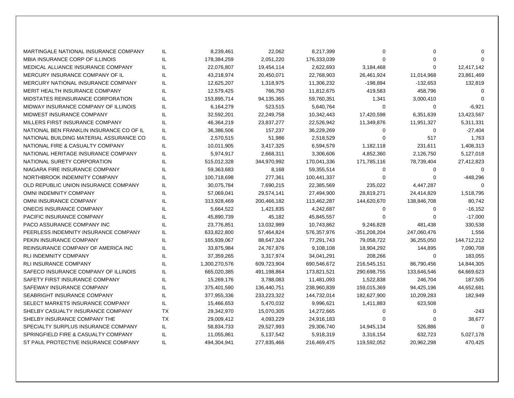| MARTINGALE NATIONAL INSURANCE COMPANY     | IL.       | 8,239,461     | 22,062      | 8,217,399   | 0            | 0           | $\Omega$    |
|-------------------------------------------|-----------|---------------|-------------|-------------|--------------|-------------|-------------|
| <b>MBIA INSURANCE CORP OF ILLINOIS</b>    | IL        | 178,384,259   | 2,051,220   | 176,333,039 | $\Omega$     | 0           | $\Omega$    |
| MEDICAL ALLIANCE INSURANCE COMPANY        | IL        | 22,076,807    | 19,454,114  | 2,622,693   | 3,184,468    | 0           | 12,417,142  |
| MERCURY INSURANCE COMPANY OF IL           | IL        | 43,218,974    | 20,450,071  | 22,768,903  | 26,461,924   | 11,014,968  | 23,861,469  |
| <b>MERCURY NATIONAL INSURANCE COMPANY</b> | IL        | 12,625,207    | 1,318,975   | 11,306,232  | $-198,894$   | $-132,653$  | 132,819     |
| MERIT HEALTH INSURANCE COMPANY            | IL        | 12,579,425    | 766,750     | 11,812,675  | 419,583      | 458,796     | $\Omega$    |
| MIDSTATES REINSURANCE CORPORATION         | IL        | 153,895,714   | 94,135,365  | 59,760,351  | 1,341        | 3,000,410   | $\Omega$    |
| MIDWAY INSURANCE COMPANY OF ILLINOIS      | IL        | 6,164,279     | 523,515     | 5,640,764   | $\Omega$     | 0           | $-6,921$    |
| MIDWEST INSURANCE COMPANY                 | IL        | 32,592,201    | 22,249,758  | 10,342,443  | 17,420,598   | 6,351,639   | 13,423,567  |
| MILLERS FIRST INSURANCE COMPANY           | IL        | 46,364,219    | 23,837,277  | 22,526,942  | 11,349,876   | 11,951,327  | 5,311,331   |
| NATIONAL BEN FRANKLIN INSURANCE CO OF IL  | IL.       | 36,386,506    | 157,237     | 36,229,269  | 0            | 0           | $-27,404$   |
| NATIONAL BUILDING MATERIAL ASSURANCE CO   | IL.       | 2,570,515     | 51,986      | 2,518,529   | 0            | 517         | 1,763       |
| NATIONAL FIRE & CASUALTY COMPANY          | IL        | 10,011,905    | 3,417,325   | 6,594,579   | 1,182,118    | 231,611     | 1,408,313   |
| NATIONAL HERITAGE INSURANCE COMPANY       | IL        | 5,974,917     | 2,668,311   | 3,306,606   | 4,852,360    | 2,126,750   | 5,127,018   |
| NATIONAL SURETY CORPORATION               | IL        | 515,012,328   | 344,970,992 | 170,041,336 | 171,785,116  | 78,739,404  | 27,412,823  |
| NIAGARA FIRE INSURANCE COMPANY            | IL        | 59,363,683    | 8,168       | 59,355,514  | 0            | 0           | $\Omega$    |
| NORTHBROOK INDEMNITY COMPANY              | IL        | 100,718,698   | 277,361     | 100,441,337 | 0            | 0           | -448,296    |
| OLD REPUBLIC UNION INSURANCE COMPANY      | IL        | 30,075,784    | 7,690,215   | 22,385,569  | 235,022      | 4,447,287   | $\Omega$    |
| <b>OMNI INDEMNITY COMPANY</b>             | IL        | 57,069,041    | 29,574,141  | 27,494,900  | 28,819,271   | 24,414,829  | 1,518,795   |
| OMNI INSURANCE COMPANY                    | IL        | 313,928,469   | 200,466,182 | 113,462,287 | 144,620,670  | 138,846,708 | 80,742      |
| <b>ONECIS INSURANCE COMPANY</b>           | IL        | 5,664,522     | 1,421,835   | 4,242,687   | 0            | 0           | -16,152     |
| PACIFIC INSURANCE COMPANY                 | IL        | 45,890,739    | 45,182      | 45,845,557  | 0            | $\Omega$    | $-17,000$   |
| PACO ASSURANCE COMPANY INC                | IL        | 23,776,851    | 13,032,989  | 10,743,862  | 9,246,828    | 481,438     | 330,538     |
| PEERLESS INDEMNITY INSURANCE COMPANY      | IL        | 633,822,800   | 57,464,824  | 576,357,976 | -351,208,204 | 247,060,476 | 1,556       |
| PEKIN INSURANCE COMPANY                   | IL        | 165,939,067   | 88,647,324  | 77,291,743  | 79,058,722   | 36,255,050  | 144,712,212 |
| REINSURANCE COMPANY OF AMERICA INC        | IL        | 33,875,984    | 24,767,876  | 9,108,108   | 18,904,292   | 144,895     | 7,090,708   |
| <b>RLI INDEMNITY COMPANY</b>              | IL        | 37,359,265    | 3,317,974   | 34,041,291  | 208,266      | $\mathbf 0$ | 183,055     |
| <b>RLI INSURANCE COMPANY</b>              | IL        | 1,300,270,576 | 609,723,904 | 690,546,672 | 216,545,151  | 86,790,456  | 14,844,305  |
| SAFECO INSURANCE COMPANY OF ILLINOIS      | IL        | 665,020,385   | 491,198,864 | 173,821,521 | 290,698,755  | 133,646,546 | 64,669,623  |
| SAFETY FIRST INSURANCE COMPANY            | IL        | 15,269,176    | 3,788,083   | 11,481,093  | 1,522,838    | 246,704     | 187,505     |
| SAFEWAY INSURANCE COMPANY                 | IL        | 375,401,590   | 136,440,751 | 238,960,839 | 159,015,369  | 94,425,196  | 44,652,681  |
| SEABRIGHT INSURANCE COMPANY               | IL        | 377,955,336   | 233,223,322 | 144,732,014 | 182,627,900  | 10,209,283  | 182,949     |
| SELECT MARKETS INSURANCE COMPANY          | IL        | 15,466,653    | 5,470,032   | 9,996,621   | 1,411,883    | 623,508     |             |
| SHELBY CASUALTY INSURANCE COMPANY         | <b>TX</b> | 29,342,970    | 15,070,305  | 14,272,665  | 0            | 0           | $-243$      |
| SHELBY INSURANCE COMPANY THE              | <b>TX</b> | 29,009,412    | 4,093,229   | 24,916,183  | $\Omega$     | 0           | 38,677      |
| SPECIALTY SURPLUS INSURANCE COMPANY       | IL.       | 58,834,733    | 29,527,993  | 29,306,740  | 14,945,134   | 526,886     | $\Omega$    |
| SPRINGFIELD FIRE & CASUALTY COMPANY       | IL        | 11,055,861    | 5,137,542   | 5,918,319   | 3,316,154    | 632,723     | 5,027,178   |
| ST PAUL PROTECTIVE INSURANCE COMPANY      | IL        | 494,304,941   | 277,835,466 | 216,469,475 | 119,592,052  | 20,962,298  | 470,425     |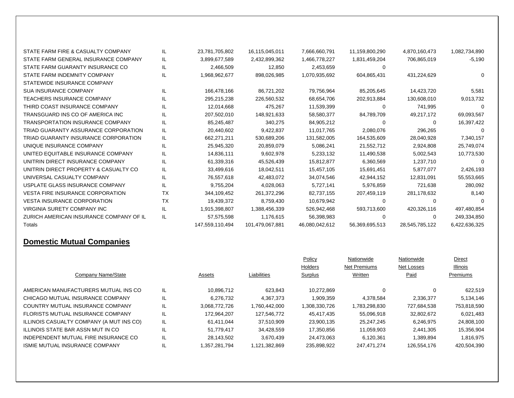| STATE FARM FIRE & CASUALTY COMPANY      | IL        | 23,781,705,802  | 16,115,045,011  | 7,666,660,791  | 11,159,800,290 | 4,870,160,473  | 1,082,734,890 |
|-----------------------------------------|-----------|-----------------|-----------------|----------------|----------------|----------------|---------------|
| STATE FARM GENERAL INSURANCE COMPANY    | IL.       | 3,899,677,589   | 2,432,899,362   | 1,466,778,227  | 1,831,459,204  | 706,865,019    | $-5,190$      |
| STATE FARM GUARANTY INSURANCE CO        | IL        | 2,466,509       | 12,850          | 2,453,659      | 0              |                |               |
| STATE FARM INDEMNITY COMPANY            | IL        | 1,968,962,677   | 898,026,985     | 1,070,935,692  | 604,865,431    | 431,224,629    |               |
| STATEWIDE INSURANCE COMPANY             |           |                 |                 |                |                |                |               |
| <b>SUA INSURANCE COMPANY</b>            | IL        | 166,478,166     | 86,721,202      | 79,756,964     | 85,205,645     | 14,423,720     | 5,581         |
| <b>TEACHERS INSURANCE COMPANY</b>       | IL        | 295,215,238     | 226,560,532     | 68,654,706     | 202,913,884    | 130,608,010    | 9,013,732     |
| THIRD COAST INSURANCE COMPANY           | IL        | 12,014,668      | 475,267         | 11,539,399     | $\Omega$       | 741,995        | $\Omega$      |
| TRANSGUARD INS CO OF AMERICA INC        | IL        | 207,502,010     | 148,921,633     | 58,580,377     | 84,789,709     | 49,217,172     | 69,093,567    |
| <b>TRANSPORTATION INSURANCE COMPANY</b> | IL        | 85,245,487      | 340.275         | 84,905,212     | O              | $\Omega$       | 16,397,422    |
| TRIAD GUARANTY ASSURANCE CORPORATION    | IL        | 20,440,602      | 9,422,837       | 11,017,765     | 2,080,076      | 296,265        |               |
| TRIAD GUARANTY INSURANCE CORPORATION    | IL.       | 662,271,211     | 530,689,206     | 131,582,005    | 164,535,609    | 28,040,928     | 7,340,157     |
| UNIQUE INSURANCE COMPANY                | IL        | 25,945,320      | 20,859,079      | 5,086,241      | 21,552,712     | 2,924,808      | 25,749,074    |
| UNITED EQUITABLE INSURANCE COMPANY      | IL        | 14,836,111      | 9,602,978       | 5,233,132      | 11,490,538     | 5,002,543      | 10,773,530    |
| UNITRIN DIRECT INSURANCE COMPANY        | IL        | 61,339,316      | 45,526,439      | 15,812,877     | 6,360,569      | 1,237,710      |               |
| UNITRIN DIRECT PROPERTY & CASUALTY CO   | IL.       | 33,499,616      | 18,042,511      | 15,457,105     | 15,691,451     | 5,877,077      | 2,426,193     |
| UNIVERSAL CASUALTY COMPANY              | IL        | 76,557,618      | 42,483,072      | 34,074,546     | 42,944,152     | 12,831,091     | 55,553,665    |
| USPLATE GLASS INSURANCE COMPANY         | IL        | 9,755,204       | 4,028,063       | 5,727,141      | 5,976,859      | 721,638        | 280,092       |
| <b>VESTA FIRE INSURANCE CORPORATION</b> | <b>TX</b> | 344,109,452     | 261,372,296     | 82,737,155     | 207,459,119    | 281,178,632    | 8,140         |
| <b>VESTA INSURANCE CORPORATION</b>      | <b>TX</b> | 19,439,372      | 8,759,430       | 10,679,942     | 0              | $\Omega$       |               |
| VIRGINIA SURETY COMPANY INC             | IL        | 1,915,398,807   | 1,388,456,339   | 526,942,468    | 593,713,600    | 420,326,116    | 497,480,854   |
| ZURICH AMERICAN INSURANCE COMPANY OF IL | IL        | 57,575,598      | 1,176,615       | 56,398,983     | 0              | 0              | 249,334,850   |
| Totals                                  |           | 147,559,110,494 | 101,479,067,881 | 46,080,042,612 | 56,369,695,513 | 28,545,785,122 | 6,422,636,325 |

#### **Domestic Mutual Companies**

|                                          |     |               |               | Policy         | Nationwide          | Nationwide  | Direct      |
|------------------------------------------|-----|---------------|---------------|----------------|---------------------|-------------|-------------|
|                                          |     |               |               | Holders        | <b>Net Premiums</b> | Net Losses  | Illinois    |
| Company Name/State                       |     | Assets        | Liabilities   | <b>Surplus</b> | Written             | Paid        | Premiums    |
|                                          |     |               |               |                |                     |             |             |
| AMERICAN MANUFACTURERS MUTUAL INS CO     | IL  | 10.896.712    | 623.843       | 10,272,869     | 0                   | 0           | 622.519     |
| CHICAGO MUTUAL INSURANCE COMPANY         | IL  | 6.276.732     | 4.367.373     | 1.909.359      | 4.378.584           | 2.336.377   | 5,134,146   |
| COUNTRY MUTUAL INSURANCE COMPANY         |     | 3.068.772.726 | 1,760,442,000 | 1,308,330,726  | 1,783,298,830       | 727,684,538 | 753,818,590 |
| FLORISTS MUTUAL INSURANCE COMPANY        | IL  | 172.964.207   | 127.546.772   | 45.417.435     | 55.096.918          | 32.802.672  | 6,021,483   |
| ILLINOIS CASUALTY COMPANY (A MUT INS CO) | IL. | 61.411.044    | 37.510.909    | 23.900.135     | 25.247.245          | 6.246.975   | 24,808,100  |
| ILLINOIS STATE BAR ASSN MUT IN CO        | IL. | 51.779.417    | 34.428.559    | 17.350.856     | 11.059.903          | 2.441.305   | 15,356,904  |
| INDEPENDENT MUTUAL FIRE INSURANCE CO     | IL  | 28,143,502    | 3,670,439     | 24,473,063     | 6.120.361           | 1,389,894   | 1,816,975   |
| ISMIE MUTUAL INSURANCE COMPANY           |     | 1.357.281.794 | 1.121.382.869 | 235.898.922    | 247.471.274         | 126.554.176 | 420.504.390 |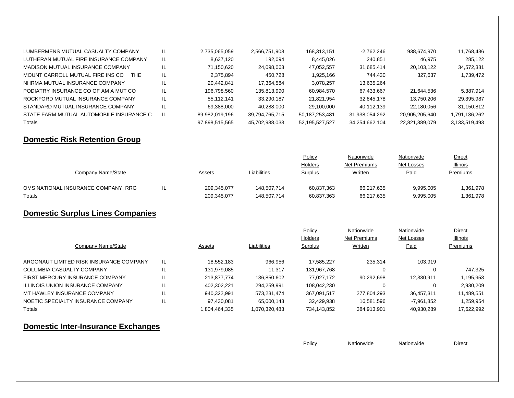| LUMBERMENS MUTUAL CASUALTY COMPANY       | IL. | 2.735.065.059  | 2.566.751.908  | 168,313,151       | -2.762.246     | 938,674,970    | 11,768,436    |
|------------------------------------------|-----|----------------|----------------|-------------------|----------------|----------------|---------------|
| LUTHERAN MUTUAL FIRE INSURANCE COMPANY   | IL. | 8.637.120      | 192.094        | 8,445,026         | 240.851        | 46.975         | 285.122       |
| MADISON MUTUAL INSURANCE COMPANY         |     | 71,150,620     | 24,098,063     | 47,052,557        | 31,685,414     | 20,103,122     | 34,572,381    |
| MOUNT CARROLL MUTUAL FIRE INS CO<br>THE  | IL. | 2,375,894      | 450.728        | 1,925,166         | 744.430        | 327.637        | 1,739,472     |
| NHRMA MUTUAL INSURANCE COMPANY           |     | 20.442.841     | 17.364.584     | 3.078.257         | 13,635,264     |                |               |
| PODIATRY INSURANCE CO OF AM A MUT CO     |     | 196.798.560    | 135.813.990    | 60,984,570        | 67.433.667     | 21.644.536     | 5.387.914     |
| ROCKFORD MUTUAL INSURANCE COMPANY        |     | 55.112.141     | 33.290.187     | 21.821.954        | 32.845.178     | 13.750.206     | 29,395,987    |
| STANDARD MUTUAL INSURANCE COMPANY        |     | 69.388.000     | 40.288.000     | 29.100.000        | 40.112.139     | 22.180.056     | 31,150,812    |
| STATE FARM MUTUAL AUTOMOBILE INSURANCE C |     | 89,982,019,196 | 39,794,765,715 | 50,187,253,481    | 31,938,054,292 | 20.905.205.640 | 1,791,136,262 |
| Totals                                   |     | 97,898,515,565 | 45.702.988.033 | 52, 195, 527, 527 | 34,254,662,104 | 22,821,389,079 | 3,133,519,493 |

#### **Domestic Risk Retention Group**

|                                     |     |               |             | Policy         | Nationwide     | Nationwide | <b>Direct</b>   |
|-------------------------------------|-----|---------------|-------------|----------------|----------------|------------|-----------------|
|                                     |     |               |             | <b>Holders</b> | Net Premiums   | Net Losses | <b>Illinois</b> |
| Company Name/State                  |     | <b>Assets</b> | Liabilities | <b>Surplus</b> | <b>Written</b> | Paid       | Premiums        |
|                                     |     |               |             |                |                |            |                 |
| OMS NATIONAL INSURANCE COMPANY, RRG | - ≖ | 209.345.077   | 148.507.714 | 60.837.363     | 66.217.635     | 9.995.005  | 1,361,978       |
| Totals                              |     | 209,345,077   | 148.507.714 | 60,837,363     | 66,217,635     | 9,995,005  | 1,361,978       |

## **Domestic Surplus Lines Companies**

|                                         |    |               |               | Policy      | Nationwide          | Nationwide   | Direct          |
|-----------------------------------------|----|---------------|---------------|-------------|---------------------|--------------|-----------------|
|                                         |    |               |               | Holders     | <b>Net Premiums</b> | Net Losses   | <b>Illinois</b> |
| Company Name/State                      |    | Assets        | Liabilities   | Surplus     | Written             | Paid         | Premiums        |
| ARGONAUT LIMITED RISK INSURANCE COMPANY | IL | 18.552.183    | 966,956       | 17,585,227  | 235.314             | 103,919      |                 |
| COLUMBIA CASUALTY COMPANY               | IL | 131.979.085   | 11.317        | 131.967.768 | 0                   |              | 747.325         |
| FIRST MERCURY INSURANCE COMPANY         | IL | 213.877.774   | 136.850.602   | 77.027.172  | 90,292,698          | 12.330.911   | 1,195,953       |
| ILLINOIS UNION INSURANCE COMPANY        | IL | 402.302.221   | 294.259.991   | 108.042.230 | 0                   |              | 2,930,209       |
| MT HAWLEY INSURANCE COMPANY             | IL | 940.322.991   | 573.231.474   | 367.091.517 | 277.804.293         | 36.457.311   | 11.489.551      |
| NOETIC SPECIALTY INSURANCE COMPANY      | IL | 97.430.081    | 65.000.143    | 32.429.938  | 16.581.596          | $-7.961.852$ | 1,259,954       |
| Totals                                  |    | 1,804,464,335 | 1,070,320,483 | 734.143.852 | 384.913.901         | 40,930,289   | 17,622,992      |

#### **Domestic Inter-Insurance Exchanges**

**Policy Nationwide Nationwide Nationwide Direct**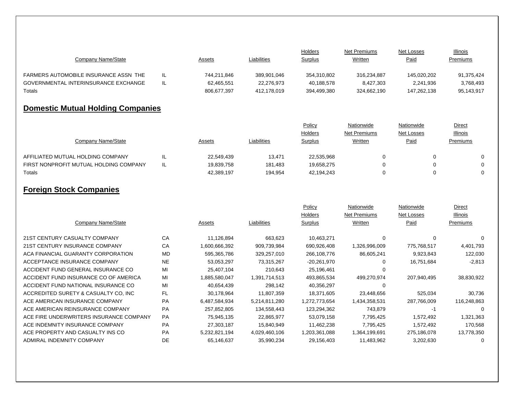|                                       |               |             | <b>Holders</b> | Net Premiums | Net Losses  | <b>Illinois</b> |
|---------------------------------------|---------------|-------------|----------------|--------------|-------------|-----------------|
| Company Name/State                    | <u>Assets</u> | Liabilities | <b>Surplus</b> | Written      | Paid        | Premiums        |
|                                       |               |             |                |              |             |                 |
| FARMERS AUTOMOBILE INSURANCE ASSN THE | 744.211.846   | 389.901.046 | 354,310,802    | 316.234.887  | 145.020.202 | 91.375.424      |
| GOVERNMENTAL INTERINSURANCE EXCHANGE  | 62.465.551    | 22.276.973  | 40.188.578     | 8.427.303    | 2,241,936   | 3.768.493       |
| Totals                                | 806,677,397   | 412.178.019 | 394.499.380    | 324,662,190  | 147.262.138 | 95,143,917      |

## **Domestic Mutual Holding Companies**

|                                        |     |               |             | Policy         | Nationwide          | Nationwide | Direct          |  |
|----------------------------------------|-----|---------------|-------------|----------------|---------------------|------------|-----------------|--|
|                                        |     |               |             | <b>Holders</b> | <b>Net Premiums</b> | Net Losses | <b>Illinois</b> |  |
| Company Name/State                     |     | <b>Assets</b> | Liabilities | <b>Surplus</b> | <b>Written</b>      | Paid       | Premiums        |  |
|                                        |     |               |             |                |                     |            |                 |  |
| AFFILIATED MUTUAL HOLDING COMPANY      |     | 22.549.439    | 13.471      | 22,535,968     |                     |            | $\Omega$        |  |
| FIRST NONPROFIT MUTUAL HOLDING COMPANY | IL. | 19,839,758    | 181.483     | 19,658,275     |                     |            | $\Omega$        |  |
| Totals                                 |     | 42,389,197    | 194.954     | 42,194,243     |                     |            |                 |  |

## **Foreign Stock Companies**

|                                         |           |               |               | Policy         | Nationwide    | Nationwide        | Direct      |
|-----------------------------------------|-----------|---------------|---------------|----------------|---------------|-------------------|-------------|
|                                         |           |               |               | <b>Holders</b> | Net Premiums  | <b>Net Losses</b> | Illinois    |
| Company Name/State                      |           | Assets        | Liabilities   | Surplus        | Written       | Paid              | Premiums    |
|                                         |           |               |               |                |               |                   |             |
| 21ST CENTURY CASUALTY COMPANY           | CA        | 11,126,894    | 663,623       | 10,463,271     | 0             | $\Omega$          | 0           |
| 21ST CENTURY INSURANCE COMPANY          | CA        | 1,600,666,392 | 909,739,984   | 690,926,408    | 1,326,996,009 | 775,768,517       | 4,401,793   |
| ACA FINANCIAL GUARANTY CORPORATION      | <b>MD</b> | 595,365,786   | 329,257,010   | 266,108,776    | 86,605,241    | 9,923,843         | 122,030     |
| ACCEPTANCE INSURANCE COMPANY            | <b>NE</b> | 53,053,297    | 73,315,267    | -20,261,970    | 0             | 16,751,684        | $-2,813$    |
| ACCIDENT FUND GENERAL INSURANCE CO      | MI        | 25,407,104    | 210,643       | 25,196,461     | 0             |                   |             |
| ACCIDENT FUND INSURANCE CO OF AMERICA   | MI        | 1,885,580,047 | 1,391,714,513 | 493,865,534    | 499,270,974   | 207,940,495       | 38,830,922  |
| ACCIDENT FUND NATIONAL INSURANCE CO     | MI        | 40,654,439    | 298,142       | 40,356,297     | 0             |                   |             |
| ACCREDITED SURETY & CASUALTY CO, INC    | FL.       | 30,178,964    | 11,807,359    | 18,371,605     | 23,448,656    | 525,034           | 30,736      |
| ACE AMERICAN INSURANCE COMPANY          | <b>PA</b> | 6,487,584,934 | 5,214,811,280 | 1,272,773,654  | 1,434,358,531 | 287,766,009       | 116,248,863 |
| ACE AMERICAN REINSURANCE COMPANY        | <b>PA</b> | 257,852,805   | 134,558,443   | 123,294,362    | 743,879       | -1                | 0           |
| ACE FIRE UNDERWRITERS INSURANCE COMPANY | <b>PA</b> | 75,945,135    | 22,865,977    | 53,079,158     | 7,795,425     | 1,572,492         | 1,321,363   |
| ACE INDEMNITY INSURANCE COMPANY         | <b>PA</b> | 27,303,187    | 15,840,949    | 11,462,238     | 7,795,425     | 1,572,492         | 170,568     |
| ACE PROPERTY AND CASUALTY INS CO        | <b>PA</b> | 5,232,821,194 | 4,029,460,106 | 1,203,361,088  | 1,364,199,691 | 275,186,078       | 13,778,350  |
| ADMIRAL INDEMNITY COMPANY               | DE        | 65,146,637    | 35,990,234    | 29,156,403     | 11,483,962    | 3,202,630         | 0           |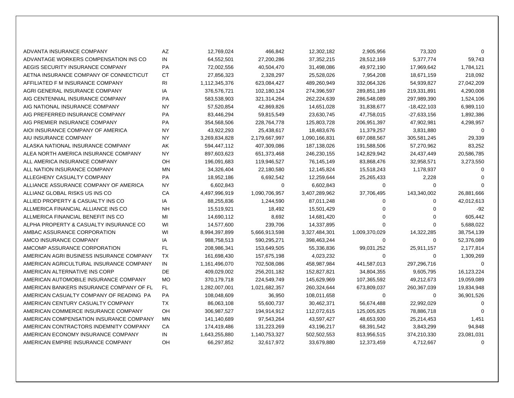| ADVANTA INSURANCE COMPANY                | AZ        | 12,769,024    | 466,842       | 12,302,182    | 2,905,956     | 73,320        | $\Omega$   |
|------------------------------------------|-----------|---------------|---------------|---------------|---------------|---------------|------------|
| ADVANTAGE WORKERS COMPENSATION INS CO    | IN        | 64,552,501    | 27,200,286    | 37, 352, 215  | 28,512,169    | 5,377,774     | 59,743     |
| AEGIS SECURITY INSURANCE COMPANY         | PA        | 72,002,556    | 40,504,470    | 31,498,086    | 49,972,190    | 17,969,642    | 1,784,121  |
| AETNA INSURANCE COMPANY OF CONNECTICUT   | СT        | 27,856,323    | 2,328,297     | 25,528,026    | 7,954,208     | 18,671,159    | 218,092    |
| AFFILIATED F M INSURANCE COMPANY         | RI        | 1,112,345,376 | 623,084,427   | 489,260,949   | 332,064,326   | 54,939,827    | 27,042,209 |
| AGRI GENERAL INSURANCE COMPANY           | IA        | 376,576,721   | 102,180,124   | 274,396,597   | 289,851,189   | 219,331,891   | 4,290,008  |
| AIG CENTENNIAL INSURANCE COMPANY         | <b>PA</b> | 583,538,903   | 321,314,264   | 262,224,639   | 286,548,089   | 297,989,390   | 1,524,106  |
| AIG NATIONAL INSURANCE COMPANY           | <b>NY</b> | 57,520,854    | 42,869,826    | 14,651,028    | 31,838,677    | $-18,422,103$ | 6,989,110  |
| AIG PREFERRED INSURANCE COMPANY          | <b>PA</b> | 83,446,294    | 59,815,549    | 23,630,745    | 47,758,015    | $-27,633,156$ | 1,892,386  |
| AIG PREMIER INSURANCE COMPANY            | <b>PA</b> | 354,568,506   | 228,764,778   | 125,803,728   | 206,951,397   | 47,902,981    | 4,298,957  |
| AIOI INSURANCE COMPANY OF AMERICA        | <b>NY</b> | 43,922,293    | 25,438,617    | 18,483,676    | 11,379,257    | 3,831,880     | $\Omega$   |
| AIU INSURANCE COMPANY                    | <b>NY</b> | 3,269,834,828 | 2,179,667,997 | 1,090,166,831 | 697,088,567   | 305,581,245   | 29,339     |
| ALASKA NATIONAL INSURANCE COMPANY        | AK        | 594,447,112   | 407,309,086   | 187,138,026   | 191,588,506   | 57,270,962    | 83,252     |
| ALEA NORTH AMERICA INSURANCE COMPANY     | <b>NY</b> | 897,603,623   | 651,373,468   | 246,230,155   | 142,829,942   | 24,437,449    | 20,586,785 |
| ALL AMERICA INSURANCE COMPANY            | OH        | 196,091,683   | 119,946,527   | 76,145,149    | 83,868,476    | 32,958,571    | 3,273,550  |
| ALL NATION INSURANCE COMPANY             | <b>MN</b> | 34,326,404    | 22,180,580    | 12,145,824    | 15,518,243    | 1,178,937     | $\Omega$   |
| ALLEGHENY CASUALTY COMPANY               | <b>PA</b> | 18,952,186    | 6,692,542     | 12,259,644    | 25,265,433    | 2,228         | $\Omega$   |
| ALLIANCE ASSURANCE COMPANY OF AMERICA    | <b>NY</b> | 6,602,843     | 0             | 6,602,843     | 0             | $\Omega$      | $\Omega$   |
| ALLIANZ GLOBAL RISKS US INS CO           | CA        | 4,497,996,919 | 1,090,706,957 | 3,407,289,962 | 37,706,495    | 143,340,002   | 26,881,666 |
| ALLIED PROPERTY & CASUALTY INS CO        | IA        | 88,255,836    | 1,244,590     | 87,011,248    | 0             | 0             | 42,012,613 |
| ALLMERICA FINANCIAL ALLIANCE INS CO      | <b>NH</b> | 15,519,921    | 18,492        | 15,501,429    | 0             | 0             | $-92$      |
| ALLMERICA FINANCIAL BENEFIT INS CO       | MI        | 14,690,112    | 8,692         | 14,681,420    | 0             | $\Omega$      | 605,442    |
| ALPHA PROPERTY & CASUALTY INSURANCE CO   | WI        | 14,577,600    | 239,706       | 14,337,895    | 0             | 0             | 5,688,022  |
| AMBAC ASSURANCE CORPORATION              | WI        | 8,994,397,899 | 5,666,913,598 | 3,327,484,301 | 1,009,370,029 | 14,322,285    | 38,754,139 |
| AMCO INSURANCE COMPANY                   | IA        | 988,758,513   | 590,295,271   | 398,463,244   | 0             | 0             | 52,376,089 |
| AMCOMP ASSURANCE CORPORATION             | FL.       | 208,986,341   | 153,649,505   | 55,336,836    | 99,031,252    | 25,911,157    | 2,177,814  |
| AMERICAN AGRI BUSINESS INSURANCE COMPANY | <b>TX</b> | 161,698,430   | 157,675,198   | 4,023,232     | 0             | 0             | 1,309,269  |
| AMERICAN AGRICULTURAL INSURANCE COMPANY  | IN        | 1,161,496,070 | 702,508,086   | 458,987,984   | 441,587,013   | 297,296,716   | $\Omega$   |
| AMERICAN ALTERNATIVE INS CORP            | DE        | 409,029,002   | 256,201,182   | 152,827,821   | 34,804,355    | 9,605,795     | 16,123,224 |
| AMERICAN AUTOMOBILE INSURANCE COMPANY    | <b>MO</b> | 370,179,718   | 224,549,749   | 145,629,969   | 107,365,592   | 49,212,673    | 19,059,089 |
| AMERICAN BANKERS INSURANCE COMPANY OF FL | FL.       | 1,282,007,001 | 1,021,682,357 | 260,324,644   | 673,809,037   | 260,367,039   | 19,834,948 |
| AMERICAN CASUALTY COMPANY OF READING PA  | <b>PA</b> | 108,048,609   | 36,950        | 108,011,658   | 0             | 0             | 36,901,526 |
| AMERICAN CENTURY CASUALTY COMPANY        | <b>TX</b> | 86,063,108    | 55,600,737    | 30,462,371    | 56,674,488    | 22,992,029    | $\Omega$   |
| AMERICAN COMMERCE INSURANCE COMPANY      | OH        | 306,987,527   | 194,914,912   | 112,072,615   | 125,005,825   | 78,886,718    | $\Omega$   |
| AMERICAN COMPENSATION INSURANCE COMPANY  | MN        | 141,140,689   | 97,543,264    | 43,597,427    | 48,653,930    | 25,214,453    | 1,451      |
| AMERICAN CONTRACTORS INDEMNITY COMPANY   | CA        | 174,419,486   | 131,223,269   | 43,196,217    | 68,391,542    | 3,843,299     | 94,848     |
| AMERICAN ECONOMY INSURANCE COMPANY       | IN        | 1,643,255,880 | 1,140,753,327 | 502,502,553   | 813,956,515   | 374,210,330   | 23,081,031 |
| AMERICAN EMPIRE INSURANCE COMPANY        | OΗ        | 66,297,852    | 32,617,972    | 33,679,880    | 12,373,459    | 4,712,667     | 0          |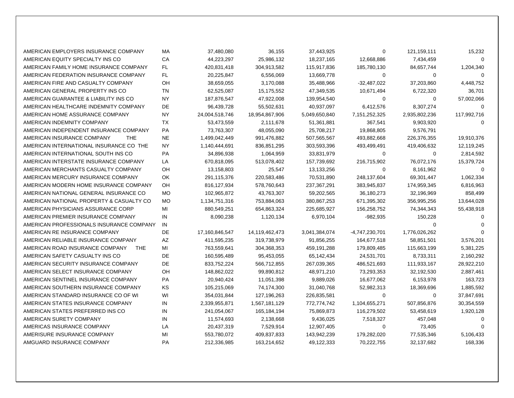| AMERICAN EMPLOYERS INSURANCE COMPANY          | МA        | 37,480,080     | 36,155         | 37,443,925    | 0              | 121,159,111   | 15,232      |
|-----------------------------------------------|-----------|----------------|----------------|---------------|----------------|---------------|-------------|
| AMERICAN EQUITY SPECIALTY INS CO              | CA        | 44,223,297     | 25,986,132     | 18,237,165    | 12,668,886     | 7,434,459     | $\Omega$    |
| AMERICAN FAMILY HOME INSURANCE COMPANY        | FL.       | 420,831,418    | 304,913,582    | 115,917,836   | 185,780,130    | 84,657,744    | 1,204,340   |
| AMERICAN FEDERATION INSURANCE COMPANY         | FL.       | 20,225,847     | 6,556,069      | 13,669,778    | 0              | 0             | $\Omega$    |
| AMERICAN FIRE AND CASUALTY COMPANY            | OH        | 38,659,055     | 3,170,088      | 35,488,966    | $-32,487,022$  | 37,203,860    | 4,448,752   |
| AMERICAN GENERAL PROPERTY INS CO              | TN        | 62,525,087     | 15,175,552     | 47,349,535    | 10,671,494     | 6,722,320     | 36,701      |
| AMERICAN GUARANTEE & LIABILITY INS CO         | <b>NY</b> | 187,876,547    | 47,922,008     | 139,954,540   | 0              | 0             | 57,002,066  |
| AMERICAN HEALTHCARE INDEMNITY COMPANY         | DE        | 96,439,728     | 55,502,631     | 40,937,097    | 6,412,576      | 8,307,274     | $\Omega$    |
| AMERICAN HOME ASSURANCE COMPANY               | <b>NY</b> | 24,004,518,746 | 18,954,867,906 | 5,049,650,840 | 7,151,252,325  | 2,935,802,236 | 117,992,716 |
| AMERICAN INDEMNITY COMPANY                    | <b>TX</b> | 53,473,559     | 2,111,678      | 51,361,881    | 367,541        | 9,903,920     | $\Omega$    |
| AMERICAN INDEPENDENT INSURANCE COMPANY        | <b>PA</b> | 73,763,307     | 48,055,090     | 25,708,217    | 19,868,805     | 9,576,791     |             |
| <b>THE</b><br>AMERICAN INSURANCE COMPANY      | <b>NE</b> | 1,499,042,449  | 991,476,882    | 507,565,567   | 493,882,668    | 226,376,355   | 19,910,376  |
| AMERICAN INTERNATIONAL INSURANCE CO THE       | <b>NY</b> | 1,140,444,691  | 836,851,295    | 303,593,396   | 493,499,491    | 419,406,632   | 12,119,245  |
| AMERICAN INTERNATIONAL SOUTH INS CO           | <b>PA</b> | 34,896,938     | 1,064,959      | 33,831,979    | $\mathbf 0$    | $\mathbf 0$   | 2,814,592   |
| AMERICAN INTERSTATE INSURANCE COMPANY         | LA        | 670,818,095    | 513,078,402    | 157,739,692   | 216,715,902    | 76,072,176    | 15,379,724  |
| AMERICAN MERCHANTS CASUALTY COMPANY           | OH        | 13,158,803     | 25,547         | 13,133,256    | 0              | 8,161,962     | $\Omega$    |
| AMERICAN MERCURY INSURANCE COMPANY            | <b>OK</b> | 291,115,376    | 220,583,486    | 70,531,890    | 248,137,604    | 69,301,447    | 1,062,334   |
| AMERICAN MODERN HOME INSURANCE COMPANY        | OH        | 816,127,934    | 578,760,643    | 237,367,291   | 383,945,837    | 174,959,345   | 6,816,963   |
| AMERICAN NATIONAL GENERAL INSURANCE CO        | <b>MO</b> | 102,965,872    | 43,763,307     | 59,202,565    | 36,180,273     | 32,196,969    | 858,499     |
| AMERICAN NATIONAL PROPERTY & CASUALTY CO      | <b>MO</b> | 1,134,751,316  | 753,884,063    | 380,867,253   | 671,395,302    | 356,995,256   | 13,644,028  |
| AMERICAN PHYSICIANS ASSURANCE CORP            | MI        | 880,549,251    | 654,863,324    | 225,685,927   | 156,258,752    | 74,344,343    | 55,438,918  |
| AMERICAN PREMIER INSURANCE COMPANY            | IN        | 8,090,238      | 1,120,134      | 6,970,104     | $-982,935$     | 150,228       | $\Omega$    |
| AMERICAN PROFESSIONALS INSURANCE COMPANY      | IN        |                |                |               |                | $\Omega$      |             |
| AMERICAN RE INSURANCE COMPANY                 | DE        | 17,160,846,547 | 14,119,462,473 | 3,041,384,074 | -4,747,230,701 | 1,776,026,262 | $\Omega$    |
| AMERICAN RELIABLE INSURANCE COMPANY           | AZ        | 411,595,235    | 319,738,979    | 91,856,255    | 164,677,518    | 58,851,501    | 3,576,201   |
| AMERICAN ROAD INSURANCE COMPANY<br><b>THE</b> | MI        | 763,559,641    | 304,368,353    | 459,191,288   | 179,809,485    | 115,663,199   | 5,381,225   |
| AMERICAN SAFETY CASUALTY INS CO               | DE        | 160,595,489    | 95,453,055     | 65,142,434    | 24,531,701     | 8,733,311     | 2,160,292   |
| AMERICAN SECURITY INSURANCE COMPANY           | DE        | 833,752,224    | 566,712,855    | 267,039,365   | 486,521,693    | 111,933,167   | 28,922,210  |
| AMERICAN SELECT INSURANCE COMPANY             | OH        | 148,862,022    | 99,890,812     | 48,971,210    | 73,293,353     | 32,192,530    | 2,887,461   |
| AMERICAN SENTINEL INSURANCE COMPANY           | PA        | 20,940,424     | 11,051,398     | 9,889,026     | 16,677,062     | 6,153,978     | 163,723     |
| AMERICAN SOUTHERN INSURANCE COMPANY           | KS        | 105,215,069    | 74,174,300     | 31,040,768    | 52,982,313     | 18,369,696    | 1,885,592   |
| AMERICAN STANDARD INSURANCE CO OF WI          | WI        | 354,031,844    | 127,196,263    | 226,835,581   | 0              | 0             | 37,847,691  |
| AMERICAN STATES INSURANCE COMPANY             | IN        | 2,339,955,871  | 1,567,181,129  | 772,774,742   | 1,104,655,271  | 507,856,876   | 30,354,559  |
| AMERICAN STATES PREFERRED INS CO              | IN        | 241,054,067    | 165,184,194    | 75,869,873    | 116,279,502    | 53,458,619    | 1,920,128   |
| AMERICAN SURETY COMPANY                       | IN        | 11,574,693     | 2,138,668      | 9,436,025     | 7,518,327      | 457,048       | $\mathbf 0$ |
| AMERICAS INSURANCE COMPANY                    | LA        | 20,437,319     | 7,529,914      | 12,907,405    | 0              | 73,405        | $\Omega$    |
| AMERISURE INSURANCE COMPANY                   | MI        | 553,780,072    | 409,837,833    | 143,942,239   | 179,282,020    | 77,535,346    | 5,106,433   |
| AMGUARD INSURANCE COMPANY                     | <b>PA</b> | 212,336,985    | 163,214,652    | 49,122,333    | 70,222,755     | 32,137,682    | 168,336     |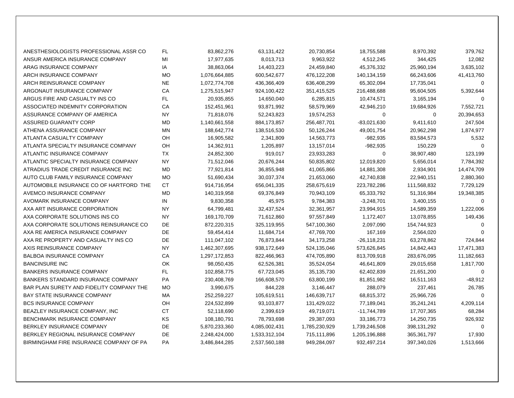| ANESTHESIOLOGISTS PROFESSIONAL ASSR CO   | FL        | 83,862,276    | 63,131,422    | 20,730,854    | 18,755,588    | 8,970,392     | 379,762     |
|------------------------------------------|-----------|---------------|---------------|---------------|---------------|---------------|-------------|
| ANSUR AMERICA INSURANCE COMPANY          | MI        | 17,977,635    | 8,013,713     | 9,963,922     | 4,512,245     | 344,425       | 12,082      |
| ARAG INSURANCE COMPANY                   | IA        | 38,863,064    | 14,403,223    | 24,459,840    | 45,376,332    | 25,960,194    | 3,635,102   |
| ARCH INSURANCE COMPANY                   | <b>MO</b> | 1,076,664,885 | 600,542,677   | 476,122,208   | 140,134,159   | 66,243,606    | 41,413,760  |
| <b>ARCH REINSURANCE COMPANY</b>          | <b>NE</b> | 1,072,774,708 | 436,366,409   | 636,408,299   | 65,302,094    | 17,735,041    | 0           |
| ARGONAUT INSURANCE COMPANY               | CA        | 1,275,515,947 | 924,100,422   | 351,415,525   | 216,488,688   | 95,604,505    | 5,392,644   |
| ARGUS FIRE AND CASUALTY INS CO           | FL.       | 20,935,855    | 14,650,040    | 6,285,815     | 10,474,571    | 3,165,194     | $\Omega$    |
| ASSOCIATED INDEMNITY CORPORATION         | СA        | 152,451,961   | 93,871,992    | 58,579,969    | 42,946,210    | 19,684,926    | 7,552,721   |
| ASSURANCE COMPANY OF AMERICA             | <b>NY</b> | 71,818,076    | 52,243,823    | 19,574,253    | 0             | 0             | 20,394,653  |
| ASSURED GUARANTY CORP                    | <b>MD</b> | 1,140,661,558 | 884,173,857   | 256,487,701   | $-83,021,630$ | 9,411,610     | 247,504     |
| ATHENA ASSURANCE COMPANY                 | <b>MN</b> | 188,642,774   | 138,516,530   | 50,126,244    | 49,001,754    | 20,962,298    | 1,874,977   |
| ATLANTA CASUALTY COMPANY                 | OH        | 16,905,582    | 2,341,809     | 14,563,773    | $-982,935$    | 83,584,573    | 5,532       |
| ATLANTA SPECIALTY INSURANCE COMPANY      | OH        | 14,362,911    | 1,205,897     | 13,157,014    | -982,935      | 150,229       | $\Omega$    |
| ATLANTIC INSURANCE COMPANY               | <b>TX</b> | 24,852,300    | 919,017       | 23,933,283    | 0             | 38,907,480    | 123,199     |
| ATLANTIC SPECIALTY INSURANCE COMPANY     | <b>NY</b> | 71,512,046    | 20,676,244    | 50,835,802    | 12,019,820    | 5,656,014     | 7,784,392   |
| ATRADIUS TRADE CREDIT INSURANCE INC      | <b>MD</b> | 77,921,814    | 36,855,948    | 41,065,866    | 14,881,308    | 2,934,901     | 14,474,709  |
| AUTO CLUB FAMILY INSURANCE COMPANY       | <b>MO</b> | 51,690,434    | 30,037,374    | 21,653,060    | 42,740,838    | 22,940,151    | 2,880,360   |
| AUTOMOBILE INSURANCE CO OF HARTFORD THE  | <b>CT</b> | 914,716,954   | 656,041,335   | 258,675,619   | 223,782,286   | 111,568,832   | 7,729,129   |
| AVEMCO INSURANCE COMPANY                 | <b>MD</b> | 140,319,958   | 69,376,849    | 70,943,109    | 65,333,792    | 51,316,984    | 19,348,385  |
| AVOMARK INSURANCE COMPANY                | $\sf IN$  | 9,830,358     | 45,975        | 9,784,383     | $-3,248,701$  | 3,400,155     | 0           |
| AXA ART INSURANCE CORPORATION            | <b>NY</b> | 64,799,481    | 32,437,524    | 32,361,957    | 23,994,915    | 14,589,359    | 1,222,006   |
| AXA CORPORATE SOLUTIONS INS CO           | <b>NY</b> | 169,170,709   | 71,612,860    | 97,557,849    | 1,172,407     | 13,078,855    | 149,436     |
| AXA CORPORATE SOLUTIONS REINSURANCE CO   | DE        | 872,220,315   | 325,119,955   | 547,100,360   | 2,097,090     | 154,744,923   | $\Omega$    |
| AXA RE AMERICA INSURANCE COMPANY         | DE        | 59,454,414    | 11,684,714    | 47,769,700    | 167,169       | 2,564,020     | $\Omega$    |
| AXA RE PROPERTY AND CASUALTY INS CO      | DE        | 111,047,102   | 76,873,844    | 34,173,258    | $-26,118,231$ | 63,278,862    | 724,844     |
| AXIS REINSURANCE COMPANY                 | <b>NY</b> | 1,462,307,695 | 938,172,649   | 524,135,046   | 573,626,845   | 14,842,443    | 17,471,383  |
| <b>BALBOA INSURANCE COMPANY</b>          | СA        | 1,297,172,853 | 822,466,963   | 474,705,890   | 813,709,918   | 283,676,095   | 11,182,663  |
| <b>BANCINSURE INC</b>                    | OK        | 98,050,435    | 62,526,381    | 35,524,054    | 46,641,809    | 29,015,658    | 1,817,700   |
| <b>BANKERS INSURANCE COMPANY</b>         | FL.       | 102,858,775   | 67,723,045    | 35,135,730    | 62,402,839    | 21,651,200    | $\mathbf 0$ |
| BANKERS STANDARD INSURANCE COMPANY       | PA        | 230,408,769   | 166,608,570   | 63,800,199    | 81,851,982    | 16,511,163    | $-48,912$   |
| BAR PLAN SURETY AND FIDELITY COMPANY THE | <b>MO</b> | 3,990,675     | 844,228       | 3,146,447     | 288,079       | 237,461       | 26,785      |
| BAY STATE INSURANCE COMPANY              | MA        | 252,259,227   | 105,619,511   | 146,639,717   | 68,815,372    | 25,966,726    | $\mathbf 0$ |
| <b>BCS INSURANCE COMPANY</b>             | OH        | 224,532,899   | 93,103,877    | 131,429,022   | 77,189,041    | 35,241,241    | 4,209,114   |
| BEAZLEY INSURANCE COMPANY, INC           | <b>CT</b> | 52,118,690    | 2,399,619     | 49,719,071    | $-11,744,789$ | 17,707,365    | 68,284      |
| BENCHMARK INSURANCE COMPANY              | KS        | 108,180,791   | 78,793,698    | 29,387,093    | 33,186,773    | 14,250,735    | 926,932     |
| BERKLEY INSURANCE COMPANY                | <b>DE</b> | 5,870,233,360 | 4,085,002,431 | 1,785,230,929 | 1,739,246,508 | 398,131,292   | $\mathbf 0$ |
| BERKLEY REGIONAL INSURANCE COMPANY       | DE        | 2,248,424,000 | 1,533,312,104 | 715,111,896   | 1,205,196,888 | 365, 361, 797 | 17,930      |
| BIRMINGHAM FIRE INSURANCE COMPANY OF PA  | <b>PA</b> | 3,486,844,285 | 2,537,560,188 | 949,284,097   | 932,497,214   | 397,340,026   | 1,513,666   |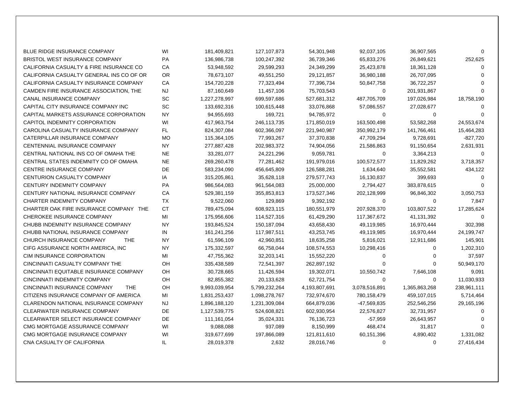| <b>BLUE RIDGE INSURANCE COMPANY</b>         | WI        | 181,409,821   | 127, 107, 873 | 54,301,948    | 92,037,105    | 36,907,565    | $\Omega$    |
|---------------------------------------------|-----------|---------------|---------------|---------------|---------------|---------------|-------------|
| <b>BRISTOL WEST INSURANCE COMPANY</b>       | <b>PA</b> | 136,986,738   | 100,247,392   | 36,739,346    | 65,833,276    | 26,849,621    | 252,625     |
| CALIFORNIA CASUALTY & FIRE INSURANCE CO     | СA        | 53,948,592    | 29,599,293    | 24,349,299    | 25,423,878    | 18,361,128    | $\Omega$    |
| CALIFORNIA CASUALTY GENERAL INS CO OF OR    | <b>OR</b> | 78,673,107    | 49,551,250    | 29,121,857    | 36,980,188    | 26,707,095    | $\Omega$    |
| CALIFORNIA CASUALTY INSURANCE COMPANY       | <b>CA</b> | 154,720,228   | 77,323,494    | 77,396,734    | 50,847,758    | 36,722,257    | $\Omega$    |
| CAMDEN FIRE INSURANCE ASSOCIATION, THE      | <b>NJ</b> | 87,160,649    | 11,457,106    | 75,703,543    | 0             | 201,931,867   | $\Omega$    |
| <b>CANAL INSURANCE COMPANY</b>              | SC        | 1,227,278,997 | 699,597,686   | 527,681,312   | 487,705,709   | 197,026,984   | 18,758,190  |
| CAPITAL CITY INSURANCE COMPANY INC          | SC        | 133,692,316   | 100,615,448   | 33,076,868    | 57,086,557    | 27,028,677    | $\Omega$    |
| CAPITAL MARKETS ASSURANCE CORPORATION       | <b>NY</b> | 94,955,693    | 169,721       | 94,785,972    | 0             | 0             | $\Omega$    |
| CAPITOL INDEMNITY CORPORATION               | WI        | 417,963,754   | 246,113,735   | 171,850,019   | 163,500,498   | 53,582,268    | 24,553,674  |
| CAROLINA CASUALTY INSURANCE COMPANY         | FL.       | 824,307,084   | 602,366,097   | 221,940,987   | 350,992,179   | 141,766,461   | 15,464,283  |
| CATERPILLAR INSURANCE COMPANY               | MO        | 115,364,105   | 77,993,267    | 37,370,838    | 47,709,294    | 9,728,691     | $-827,720$  |
| CENTENNIAL INSURANCE COMPANY                | <b>NY</b> | 277,887,428   | 202,983,372   | 74,904,056    | 21,586,863    | 91,150,654    | 2,631,931   |
| CENTRAL NATIONAL INS CO OF OMAHA THE        | <b>NE</b> | 33,281,077    | 24,221,296    | 9,059,781     | $\mathbf 0$   | 3,364,213     | $\Omega$    |
| CENTRAL STATES INDEMNITY CO OF OMAHA        | <b>NE</b> | 269,260,478   | 77,281,462    | 191,979,016   | 100,572,577   | 11,829,262    | 3,718,357   |
| <b>CENTRE INSURANCE COMPANY</b>             | DE        | 583,234,090   | 456,645,809   | 126,588,281   | 1,634,640     | 35,552,581    | 434,122     |
| <b>CENTURION CASUALTY COMPANY</b>           | IA        | 315,205,861   | 35,628,118    | 279,577,743   | 16,130,837    | 399,693       | $\Omega$    |
| CENTURY INDEMNITY COMPANY                   | <b>PA</b> | 986,564,083   | 961,564,083   | 25,000,000    | 2,794,427     | 383,878,615   | $\Omega$    |
| CENTURY NATIONAL INSURANCE COMPANY          | CA        | 529,381,159   | 355,853,813   | 173,527,346   | 202,128,999   | 96,846,302    | 3,050,753   |
| CHARTER INDEMNITY COMPANY                   | <b>TX</b> | 9,522,060     | 129,869       | 9,392,192     | 0             | 0             | 7,847       |
| CHARTER OAK FIRE INSURANCE COMPANY THE      | <b>CT</b> | 789,475,094   | 608,923,115   | 180,551,979   | 207,928,370   | 103,807,522   | 17,285,624  |
| CHEROKEE INSURANCE COMPANY                  | MI        | 175,956,606   | 114,527,316   | 61,429,290    | 117,367,672   | 41,131,392    | $\Omega$    |
| CHUBB INDEMNITY INSURANCE COMPANY           | <b>NY</b> | 193,845,524   | 150,187,094   | 43,658,430    | 49,119,985    | 16,970,444    | 302,398     |
| CHUBB NATIONAL INSURANCE COMPANY            | IN        | 161,241,256   | 117,987,511   | 43,253,745    | 49,119,985    | 16,970,444    | 24,199,747  |
| CHURCH INSURANCE COMPANY<br><b>THE</b>      | <b>NY</b> | 61,596,109    | 42,960,851    | 18,635,258    | 5,816,021     | 12,911,686    | 145,901     |
| CIFG ASSURANCE NORTH AMERICA, INC           | <b>NY</b> | 175,332,597   | 66,758,044    | 108,574,553   | 10,298,416    | 0             | 1,202,310   |
| CIM INSURANCE CORPORATION                   | MI        | 47,755,362    | 32,203,141    | 15,552,220    | 0             | $\Omega$      | 37,597      |
| CINCINNATI CASUALTY COMPANY THE             | OH        | 335,438,589   | 72,541,397    | 262,897,192   | 0             | 0             | 50,949,170  |
| CINCINNATI EQUITABLE INSURANCE COMPANY      | OH        | 30,728,665    | 11,426,594    | 19,302,071    | 10,550,742    | 7,646,108     | 9,091       |
| CINCINNATI INDEMNITY COMPANY                | OH        | 82,855,382    | 20,133,628    | 62,721,754    | 0             | 0             | 11,030,933  |
| CINCINNATI INSURANCE COMPANY<br><b>THE</b>  | OH        | 9,993,039,954 | 5,799,232,264 | 4,193,807,691 | 3,078,516,891 | 1,365,863,268 | 238,961,111 |
| CITIZENS INSURANCE COMPANY OF AMERICA       | MI        | 1,831,253,437 | 1,098,278,767 | 732,974,670   | 780,158,479   | 459,107,015   | 5,714,464   |
| <b>CLARENDON NATIONAL INSURANCE COMPANY</b> | <b>NJ</b> | 1,896,188,120 | 1,231,309,084 | 664,879,036   | -47,569,835   | 252,546,256   | 29,165,196  |
| <b>CLEARWATER INSURANCE COMPANY</b>         | DE        | 1,127,539,775 | 524,608,821   | 602,930,954   | 22,576,827    | 32,731,957    | $\Omega$    |
| CLEARWATER SELECT INSURANCE COMPANY         | <b>DE</b> | 111,161,054   | 35,024,331    | 76,136,723    | $-57,959$     | 26,643,957    | $\Omega$    |
| CMG MORTGAGE ASSURANCE COMPANY              | WI        | 9,088,088     | 937,089       | 8,150,999     | 468,474       | 31,817        | 0           |
| CMG MORTGAGE INSURANCE COMPANY              | WI        | 319,677,699   | 197,866,089   | 121,811,610   | 60,151,396    | 4,890,402     | 1,331,082   |
| CNA CASUALTY OF CALIFORNIA                  | IL.       | 28,019,378    | 2,632         | 28,016,746    | 0             | 0             | 27,416,434  |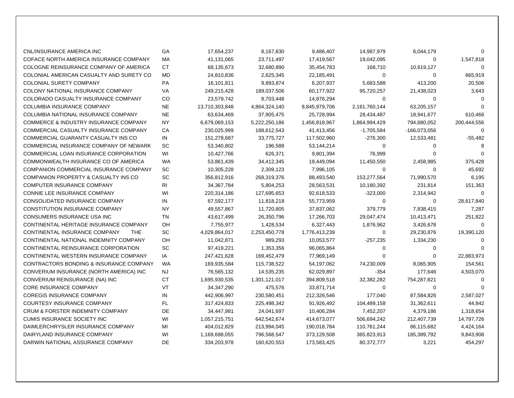| CNL/INSURANCE AMERICA INC                        | GA        | 17,654,237     | 8,167,830     | 9,486,407     | 14,987,979    | 6,044,179    | $\Omega$    |
|--------------------------------------------------|-----------|----------------|---------------|---------------|---------------|--------------|-------------|
| COFACE NORTH AMERICA INSURANCE COMPANY           | <b>MA</b> | 41,131,065     | 23,711,497    | 17,419,567    | 19,042,095    | 0            | 1,547,818   |
| COLOGNE REINSURANCE COMPANY OF AMERICA           | <b>CT</b> | 68,135,673     | 32,680,890    | 35,454,783    | 168,710       | 10,619,127   | $\Omega$    |
| COLONIAL AMERICAN CASUALTY AND SURETY CO         | <b>MD</b> | 24,810,836     | 2,625,345     | 22,185,491    | 0             | $\mathbf 0$  | 665,919     |
| COLONIAL SURETY COMPANY                          | <b>PA</b> | 16,101,811     | 9,893,874     | 6,207,937     | 5,683,588     | 413,200      | 20,506      |
| COLONY NATIONAL INSURANCE COMPANY                | VA        | 249,215,428    | 189,037,506   | 60,177,922    | 95,720,257    | 21,438,023   | 3,643       |
| COLORADO CASUALTY INSURANCE COMPANY              | <b>CO</b> | 23,579,742     | 8,703,448     | 14,876,294    | 0             | 0            | $\Omega$    |
| <b>COLUMBIA INSURANCE COMPANY</b>                | <b>NE</b> | 13,710,303,848 | 4,864,324,140 | 8,845,979,706 | 2,161,760,144 | 63,205,157   | $\Omega$    |
| COLUMBIA NATIONAL INSURANCE COMPANY              | <b>NE</b> | 63,634,469     | 37,905,475    | 25,728,994    | 28,434,487    | 18,941,677   | 610,466     |
| <b>COMMERCE &amp; INDUSTRY INSURANCE COMPANY</b> | <b>NY</b> | 6,679,069,153  | 5,222,250,186 | 1,456,818,967 | 1,864,994,429 | 794,680,052  | 200,444,556 |
| COMMERCIAL CASUALTY INSURANCE COMPANY            | CA        | 230,025,999    | 188,612,543   | 41,413,456    | $-1,705,584$  | -166,073,056 | $\Omega$    |
| COMMERCIAL GUARANTY CASUALTY INS CO              | IN        | 151,278,687    | 33,775,727    | 117,502,960   | $-276,300$    | 12,533,481   | $-55,482$   |
| COMMERCIAL INSURANCE COMPANY OF NEWARK           | SC        | 53,340,802     | 196,588       | 53,144,214    | $\mathbf 0$   | 0            | 8           |
| COMMERCIAL LOAN INSURANCE CORPORATION            | WI        | 10,427,766     | 626,371       | 9,801,394     | 76,999        | 0            | $\Omega$    |
| COMMONWEALTH INSURANCE CO OF AMERICA             | <b>WA</b> | 53,861,439     | 34,412,345    | 19,449,094    | 11,450,550    | 2,458,985    | 375,428     |
| COMPANION COMMERCIAL INSURANCE COMPANY           | SC        | 10,305,228     | 2,309,123     | 7,996,105     | $\mathbf 0$   | $\mathbf 0$  | 45,692      |
| <b>COMPANION PROPERTY &amp; CASUALTY INS CO</b>  | SC        | 356,812,916    | 268,319,376   | 88,493,540    | 153,277,564   | 71,990,570   | 6,195       |
| <b>COMPUTER INSURANCE COMPANY</b>                | <b>RI</b> | 34, 367, 784   | 5,804,253     | 28,563,531    | 10,180,392    | 231,814      | 151,363     |
| CONNIE LEE INSURANCE COMPANY                     | WI        | 220,314,186    | 127,695,653   | 92,618,533    | $-323,000$    | 2,314,942    | $\Omega$    |
| CONSOLIDATED INSURANCE COMPANY                   | IN        | 67,592,177     | 11,818,218    | 55,773,959    | $\mathbf 0$   | $\mathbf 0$  | 28,617,840  |
| <b>CONSTITUTION INSURANCE COMPANY</b>            | <b>NY</b> | 49,557,867     | 11,720,805    | 37,837,062    | 379,779       | 7,838,415    | 7,287       |
| <b>CONSUMERS INSURANCE USA INC</b>               | <b>TN</b> | 43,617,499     | 26,350,796    | 17,266,703    | 29,047,474    | 10,413,471   | 251,822     |
| CONTINENTAL HERITAGE INSURANCE COMPANY           | OH        | 7,755,977      | 1,428,534     | 6,327,443     | 1,876,962     | 3,426,678    | $\Omega$    |
| CONTINENTAL INSURANCE COMPANY<br><b>THE</b>      | SC        | 4,029,864,017  | 2,253,450,778 | 1,776,413,239 | 0             | 29,230,876   | 19,390,120  |
| CONTINENTAL NATIONAL INDEMNITY COMPANY           | OH        | 11,042,871     | 989,293       | 10,053,577    | $-257,235$    | 1,334,230    | $\Omega$    |
| CONTINENTAL REINSURANCE CORPORATION              | SC        | 97,419,221     | 1,353,356     | 96,065,864    | 0             | 0            | $\Omega$    |
| CONTINENTAL WESTERN INSURANCE COMPANY            | IA        | 247,421,628    | 169,452,479   | 77,969,149    | 0             | 0            | 22,883,973  |
| CONTRACTORS BONDING & INSURANCE COMPANY          | <b>WA</b> | 169,935,584    | 115,738,522   | 54,197,062    | 74,230,009    | 8,065,905    | 154,561     |
| CONVERIUM INSURANCE (NORTH AMERICA) INC          | NJ.       | 76,565,132     | 14,535,235    | 62,029,897    | $-354$        | 177,646      | 4,503,070   |
| CONVERIUM REINSURANCE (NA) INC                   | СT        | 1,695,930,535  | 1,301,121,017 | 394,809,518   | 32,382,282    | 754,287,821  | $\Omega$    |
| <b>CORE INSURANCE COMPANY</b>                    | <b>VT</b> | 34, 347, 290   | 475,576       | 33,871,714    | 0             | 0            | $\Omega$    |
| <b>COREGIS INSURANCE COMPANY</b>                 | IN        | 442,906,997    | 230,580,451   | 212,326,546   | 177,040       | 87,584,826   | 2,587,027   |
| COURTESY INSURANCE COMPANY                       | FL.       | 317,424,833    | 225,498,342   | 91,926,492    | 104,489,158   | 31,362,611   | 44,842      |
| <b>CRUM &amp; FORSTER INDEMNITY COMPANY</b>      | DE        | 34,447,981     | 24,041,697    | 10,406,284    | 7,452,207     | 4,379,186    | 1,318,654   |
| <b>CUMIS INSURANCE SOCIETY INC</b>               | WI        | 1,057,215,751  | 642,542,674   | 414,673,077   | 506,694,242   | 212,407,739  | 14,797,726  |
| DAIMLERCHRYSLER INSURANCE COMPANY                | MI        | 404,012,829    | 213,994,045   | 190,018,784   | 110,761,244   | 86,115,682   | 4,424,164   |
| DAIRYLAND INSURANCE COMPANY                      | WI        | 1,169,698,055  | 796,568,547   | 373,129,508   | 365,823,913   | 185,389,792  | 9,843,908   |
| DARWIN NATIONAL ASSURANCE COMPANY                | DE        | 334,203,978    | 160,620,553   | 173,583,425   | 80,372,777    | 3,221        | 454,297     |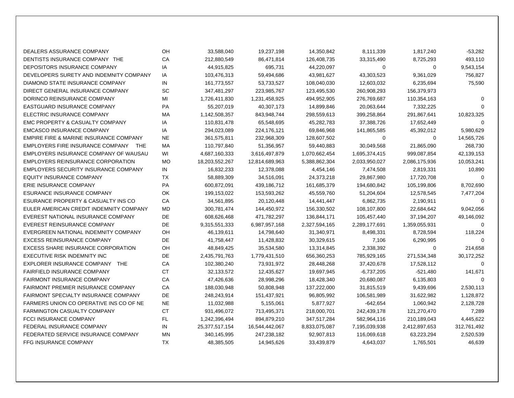| DEALERS ASSURANCE COMPANY                      | OH        | 33,588,040     | 19,237,198     | 14,350,842    | 8,111,339     | 1,817,240     | $-53,282$   |
|------------------------------------------------|-----------|----------------|----------------|---------------|---------------|---------------|-------------|
| DENTISTS INSURANCE COMPANY THE                 | CA        | 212,880,549    | 86,471,814     | 126,408,735   | 33,315,490    | 8,725,293     | 493,110     |
| DEPOSITORS INSURANCE COMPANY                   | IA        | 44,915,825     | 695,731        | 44,220,097    | 0             | 0             | 9,543,154   |
| DEVELOPERS SURETY AND INDEMNITY COMPANY        | IA        | 103,476,313    | 59,494,686     | 43,981,627    | 43,303,523    | 9,361,029     | 756,827     |
| DIAMOND STATE INSURANCE COMPANY                | IN        | 161,773,557    | 53,733,527     | 108,040,030   | 12,603,032    | 6,235,694     | 75,590      |
| DIRECT GENERAL INSURANCE COMPANY               | SC        | 347,481,297    | 223,985,767    | 123,495,530   | 260,908,293   | 156,379,973   |             |
| DORINCO REINSURANCE COMPANY                    | MI        | 1,726,411,830  | 1,231,458,925  | 494,952,905   | 276,769,687   | 110,354,163   | $\Omega$    |
| EASTGUARD INSURANCE COMPANY                    | <b>PA</b> | 55,207,019     | 40,307,173     | 14,899,846    | 20,063,644    | 7,332,225     | $\Omega$    |
| ELECTRIC INSURANCE COMPANY                     | MA        | 1,142,508,357  | 843,948,744    | 298,559,613   | 399,258,864   | 291,867,641   | 10,823,325  |
| EMC PROPERTY & CASUALTY COMPANY                | IA        | 110,831,478    | 65,548,695     | 45,282,783    | 37,388,726    | 17,652,449    | $\Omega$    |
| <b>EMCASCO INSURANCE COMPANY</b>               | IA        | 294,023,089    | 224,176,121    | 69,846,968    | 141,865,585   | 45,392,012    | 5,980,629   |
| EMPIRE FIRE & MARINE INSURANCE COMPANY         | <b>NE</b> | 361,575,811    | 232,968,309    | 128,607,502   | 0             | 0             | 14,565,726  |
| EMPLOYERS FIRE INSURANCE COMPANY<br><b>THE</b> | MA        | 110,797,840    | 51,356,957     | 59,440,883    | 30,049,568    | 21,865,090    | 268,730     |
| EMPLOYERS INSURANCE COMPANY OF WAUSAU          | WI        | 4,687,160,333  | 3,616,497,879  | 1,070,662,454 | 1,695,374,415 | 999,087,854   | 42,139,153  |
| <b>EMPLOYERS REINSURANCE CORPORATION</b>       | MO        | 18,203,552,267 | 12,814,689,963 | 5,388,862,304 | 2,033,950,027 | 2,086,175,936 | 10,053,241  |
| EMPLOYERS SECURITY INSURANCE COMPANY           | IN        | 16,832,233     | 12,378,088     | 4,454,146     | 7,474,508     | 2,819,331     | 10,890      |
| <b>EQUITY INSURANCE COMPANY</b>                | <b>TX</b> | 58,889,309     | 34,516,091     | 24,373,218    | 29,867,980    | 17,720,708    | $\Omega$    |
| <b>ERIE INSURANCE COMPANY</b>                  | <b>PA</b> | 600,872,091    | 439,186,712    | 161,685,379   | 194,680,842   | 105,199,806   | 8,702,690   |
| ESURANCE INSURANCE COMPANY                     | <b>OK</b> | 199,153,022    | 153,593,262    | 45,559,760    | 51,204,604    | 12,578,545    | 7,477,204   |
| ESURANCE PROPERTY & CASUALTY INS CO            | CA        | 34,561,895     | 20,120,448     | 14,441,447    | 6,862,735     | 2,190,911     | $\Omega$    |
| EULER AMERICAN CREDIT INDEMNITY COMPANY        | MD        | 300,781,474    | 144,450,972    | 156,330,502   | 108,107,800   | 22,684,642    | 9,042,056   |
| EVEREST NATIONAL INSURANCE COMPANY             | DE        | 608,626,468    | 471,782,297    | 136,844,171   | 105,457,440   | 37,194,207    | 49,146,092  |
| EVEREST REINSURANCE COMPANY                    | DE        | 9,315,551,333  | 6,987,957,168  | 2,327,594,165 | 2,289,177,691 | 1,359,055,931 | $\mathbf 0$ |
| EVERGREEN NATIONAL INDEMNITY COMPANY           | OH        | 46,139,611     | 14,798,640     | 31,340,971    | 8,498,331     | 8,728,594     | 118,224     |
| <b>EXCESS REINSURANCE COMPANY</b>              | DE        | 41,758,447     | 11,428,832     | 30,329,615    | 7,106         | 6,290,995     | $\Omega$    |
| <b>EXCESS SHARE INSURANCE CORPORATION</b>      | OH        | 48,849,425     | 35,534,580     | 13,314,845    | 2,338,392     | 0             | 214,658     |
| <b>EXECUTIVE RISK INDEMNITY INC</b>            | <b>DE</b> | 2,435,791,763  | 1,779,431,510  | 656,360,253   | 785,929,165   | 271,534,348   | 30,172,252  |
| EXPLORER INSURANCE COMPANY THE                 | CA        | 102,380,240    | 73,931,972     | 28,448,268    | 37,420,678    | 17,528,112    | $\Omega$    |
| <b>FAIRFIELD INSURANCE COMPANY</b>             | <b>CT</b> | 32,133,572     | 12,435,627     | 19,697,945    | $-6,737,205$  | $-521,480$    | 141,671     |
| <b>FAIRMONT INSURANCE COMPANY</b>              | CA        | 47,426,636     | 28,998,296     | 18,428,340    | 20,680,087    | 6,135,803     | $\mathbf 0$ |
| FAIRMONT PREMIER INSURANCE COMPANY             | CA        | 188,030,948    | 50,808,948     | 137,222,000   | 31,815,519    | 9,439,696     | 2,530,113   |
| FAIRMONT SPECIALTY INSURANCE COMPANY           | <b>DE</b> | 248,243,914    | 151,437,921    | 96,805,992    | 106,581,989   | 31,622,982    | 1,128,872   |
| FARMERS UNION CO OPERATIVE INS CO OF NE        | <b>NE</b> | 11,032,988     | 5,155,061      | 5,877,927     | $-642,654$    | 1,060,942     | 2,128,728   |
| <b>FARMINGTON CASUALTY COMPANY</b>             | <b>CT</b> | 931,496,072    | 713,495,371    | 218,000,701   | 242,439,178   | 121,270,470   | 7,289       |
| <b>FCCI INSURANCE COMPANY</b>                  | FL        | 1,242,396,494  | 894,879,210    | 347,517,284   | 582,964,116   | 210,189,043   | 4,445,622   |
| FEDERAL INSURANCE COMPANY                      | IN        | 25,377,517,154 | 16,544,442,067 | 8,833,075,087 | 7,195,039,938 | 2,412,897,653 | 312,761,492 |
| FEDERATED SERVICE INSURANCE COMPANY            | MN        | 340,145,995    | 247,238,182    | 92,907,813    | 116,069,618   | 63,223,294    | 2,520,539   |
| <b>FFG INSURANCE COMPANY</b>                   | <b>TX</b> | 48,385,505     | 14,945,626     | 33,439,879    | 4,643,037     | 1,765,501     | 46,639      |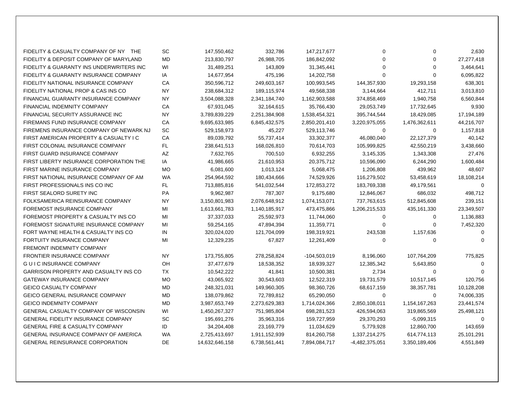| FIDELITY & CASUALTY COMPANY OF NY THE        | SC        | 147,550,462    | 332,786       | 147,217,677    | 0              | $\Omega$      | 2,630       |
|----------------------------------------------|-----------|----------------|---------------|----------------|----------------|---------------|-------------|
| FIDELITY & DEPOSIT COMPANY OF MARYLAND       | <b>MD</b> | 213,830,797    | 26,988,705    | 186,842,092    | $\Omega$       | $\mathbf 0$   | 27,277,418  |
| FIDELITY & GUARANTY INS UNDERWRITERS INC     | WI        | 31,489,251     | 143,809       | 31,345,441     | 0              | $\Omega$      | 3,464,641   |
| FIDELITY & GUARANTY INSURANCE COMPANY        | IA        | 14,677,954     | 475,196       | 14,202,758     | 0              | $\Omega$      | 6,095,822   |
| FIDELITY NATIONAL INSURANCE COMPANY          | СA        | 350,596,712    | 249,603,167   | 100,993,545    | 144,357,930    | 19,293,158    | 638,301     |
| FIDELITY NATIONAL PROP & CAS INS CO          | <b>NY</b> | 238,684,312    | 189,115,974   | 49,568,338     | 3,144,664      | 412,711       | 3,013,810   |
| FINANCIAL GUARANTY INSURANCE COMPANY         | <b>NY</b> | 3,504,088,328  | 2,341,184,740 | 1,162,903,588  | 374,858,469    | 1,940,758     | 6,560,844   |
| FINANCIAL INDEMNITY COMPANY                  | СA        | 67,931,045     | 32,164,615    | 35,766,430     | 29,053,749     | 17,732,645    | 9,930       |
| FINANCIAL SECURITY ASSURANCE INC             | <b>NY</b> | 3,789,839,229  | 2,251,384,908 | 1,538,454,321  | 395,744,544    | 18,429,085    | 17,194,189  |
| FIREMANS FUND INSURANCE COMPANY              | CA        | 9,695,633,985  | 6,845,432,575 | 2,850,201,410  | 3,220,975,055  | 1,476,362,611 | 44,216,707  |
| FIREMENS INSURANCE COMPANY OF NEWARK NJ      | SC        | 529,158,973    | 45,227        | 529,113,746    | 0              | 0             | 1,157,818   |
| FIRST AMERICAN PROPERTY & CASUALTY I C       | CA        | 89,039,792     | 55,737,414    | 33,302,377     | 46,080,040     | 22, 127, 379  | 40,142      |
| FIRST COLONIAL INSURANCE COMPANY             | FL.       | 238,641,513    | 168,026,810   | 70,614,703     | 105,999,825    | 42,550,219    | 3,438,660   |
| FIRST GUARD INSURANCE COMPANY                | ΑZ        | 7,632,765      | 700,510       | 6,932,255      | 3,145,335      | 1,343,308     | 27,476      |
| FIRST LIBERTY INSURANCE CORPORATION THE      | IA        | 41,986,665     | 21,610,953    | 20,375,712     | 10,596,090     | 6,244,290     | 1,600,484   |
| FIRST MARINE INSURANCE COMPANY               | <b>MO</b> | 6,081,600      | 1,013,124     | 5,068,475      | 1,206,808      | 439,962       | 48,607      |
| FIRST NATIONAL INSURANCE COMPANY OF AM       | WA        | 254,964,592    | 180,434,666   | 74,529,926     | 116,279,502    | 53,458,619    | 18,108,214  |
| FIRST PROFESSIONALS INS CO INC               | FL        | 713,885,816    | 541,032,544   | 172,853,272    | 183,769,338    | 49,179,561    | $\Omega$    |
| FIRST SEALORD SURETY INC                     | <b>PA</b> | 9,962,987      | 787,307       | 9,175,680      | 12,846,067     | 686,032       | 498,712     |
| FOLKSAMERICA REINSURANCE COMPANY             | <b>NY</b> | 3,150,801,983  | 2,076,648,912 | 1,074,153,071  | 737,763,615    | 512,845,608   | 239,151     |
| FOREMOST INSURANCE COMPANY                   | MI        | 1,613,661,783  | 1,140,185,917 | 473,475,866    | 1,206,215,533  | 435, 161, 330 | 23,349,507  |
| FOREMOST PROPERTY & CASUALTY INS CO          | МI        | 37,337,033     | 25,592,973    | 11,744,060     | 0              | 0             | 1,136,883   |
| FOREMOST SIGNATURE INSURANCE COMPANY         | MI        | 59,254,165     | 47,894,394    | 11,359,771     | 0              | 0             | 7,452,320   |
| FORT WAYNE HEALTH & CASUALTY INS CO          | IN        | 320,024,020    | 121,704,099   | 198,319,921    | 243,538        | 1,157,636     | $\Omega$    |
| <b>FORTUITY INSURANCE COMPANY</b>            | MI        | 12,329,235     | 67,827        | 12,261,409     | 0              | 0             | $\Omega$    |
| <b>FREMONT INDEMNITY COMPANY</b>             |           |                |               |                |                |               |             |
| <b>FRONTIER INSURANCE COMPANY</b>            | <b>NY</b> | 173,755,805    | 278,258,824   | $-104,503,019$ | 8,196,060      | 107,764,209   | 775,825     |
| <b>GUIC INSURANCE COMPANY</b>                | OH        | 37,477,679     | 18,538,352    | 18,939,327     | 12,385,342     | 5,643,850     | $\Omega$    |
| GARRISON PROPERTY AND CASUALTY INS CO        | TX        | 10,542,222     | 41,841        | 10,500,381     | 2,734          | 0             | $\Omega$    |
| <b>GATEWAY INSURANCE COMPANY</b>             | <b>MO</b> | 43,065,922     | 30,543,603    | 12,522,319     | 19,731,579     | 10,517,145    | 120,756     |
| <b>GEICO CASUALTY COMPANY</b>                | <b>MD</b> | 248,321,031    | 149,960,305   | 98,360,726     | 68,617,159     | 38, 357, 781  | 10,128,208  |
| GEICO GENERAL INSURANCE COMPANY              | <b>MD</b> | 138,079,862    | 72,789,812    | 65,290,050     | 0              | 0             | 74,006,335  |
| <b>GEICO INDEMNITY COMPANY</b>               | <b>MD</b> | 3,987,653,749  | 2,273,629,383 | 1,714,024,366  | 2,850,108,011  | 1,154,167,263 | 23,441,574  |
| <b>GENERAL CASUALTY COMPANY OF WISCONSIN</b> | WI        | 1,450,267,327  | 751,985,804   | 698,281,523    | 426,594,063    | 319,865,569   | 25,498,121  |
| <b>GENERAL FIDELITY INSURANCE COMPANY</b>    | <b>SC</b> | 195,691,276    | 35,963,316    | 159,727,959    | 29,370,293     | $-5,099,315$  | $\mathbf 0$ |
| <b>GENERAL FIRE &amp; CASUALTY COMPANY</b>   | ID        | 34,204,408     | 23,169,779    | 11,034,629     | 5,779,928      | 12,860,700    | 143,659     |
| <b>GENERAL INSURANCE COMPANY OF AMERICA</b>  | <b>WA</b> | 2,725,413,697  | 1,911,152,939 | 814,260,758    | 1,337,214,275  | 614,774,113   | 25,101,291  |
| <b>GENERAL REINSURANCE CORPORATION</b>       | DE.       | 14,632,646,158 | 6,738,561,441 | 7,894,084,717  | -4,482,375,051 | 3,350,189,406 | 4,551,849   |
|                                              |           |                |               |                |                |               |             |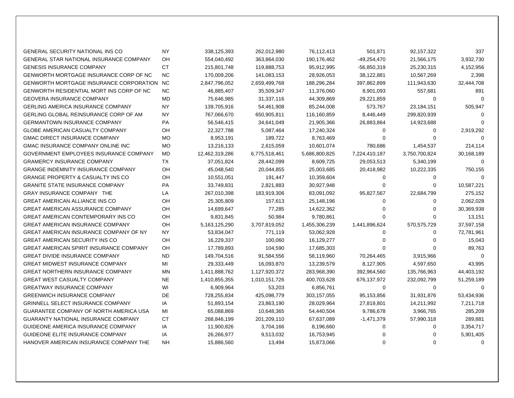| <b>GENERAL SECURITY NATIONAL INS CO</b>         | <b>NY</b> | 338,125,393    | 262,012,980   | 76,112,413    | 501,871       | 92,157,322    | 337        |
|-------------------------------------------------|-----------|----------------|---------------|---------------|---------------|---------------|------------|
| <b>GENERAL STAR NATIONAL INSURANCE COMPANY</b>  | OH        | 554,040,492    | 363,864,030   | 190,176,462   | $-49,254,470$ | 21,566,175    | 3,932,730  |
| <b>GENESIS INSURANCE COMPANY</b>                | <b>CT</b> | 215,801,748    | 119,888,753   | 95,912,995    | $-56,850,319$ | 25,230,315    | 4,152,956  |
| <b>GENWORTH MORTGAGE INSURANCE CORP OF NC</b>   | <b>NC</b> | 170,009,206    | 141,083,153   | 28,926,053    | 38,122,881    | 10,567,269    | 2,398      |
| GENWORTH MORTGAGE INSURANCE CORPORATION         | NC.       | 2,847,796,052  | 2,659,499,768 | 188,296,284   | 397,862,899   | 111,943,630   | 32,444,708 |
| <b>GENWORTH RESIDENTIAL MORT INS CORP OF NC</b> | NC.       | 46,885,407     | 35,509,347    | 11,376,060    | 8,901,093     | 557,681       | 891        |
| <b>GEOVERA INSURANCE COMPANY</b>                | <b>MD</b> | 75,646,985     | 31,337,116    | 44,309,869    | 29,221,859    | $\mathbf 0$   | $\Omega$   |
| <b>GERLING AMERICA INSURANCE COMPANY</b>        | <b>NY</b> | 139,705,916    | 54,461,908    | 85,244,008    | 573,767       | 23,184,151    | 505,947    |
| GERLING GLOBAL REINSURANCE CORP OF AM           | NY        | 767,066,670    | 650,905,811   | 116,160,859   | 8,446,449     | 299,820,939   | $\Omega$   |
| <b>GERMANTOWN INSURANCE COMPANY</b>             | <b>PA</b> | 56,546,415     | 34,641,049    | 21,905,366    | 26,883,864    | 14,923,688    | $\Omega$   |
| GLOBE AMERICAN CASUALTY COMPANY                 | OH        | 22,327,788     | 5,087,464     | 17,240,324    | 0             | 0             | 2,919,292  |
| <b>GMAC DIRECT INSURANCE COMPANY</b>            | <b>MO</b> | 8,953,191      | 189,722       | 8,763,469     | 0             | 0             | $\Omega$   |
| <b>GMAC INSURANCE COMPANY ONLINE INC</b>        | <b>MO</b> | 13,216,133     | 2,615,059     | 10,601,074    | 780,686       | 1,454,537     | 214,114    |
| GOVERNMENT EMPLOYEES INSURANCE COMPANY          | <b>MD</b> | 12,462,319,286 | 6,775,518,461 | 5,686,800,825 | 7,224,410,187 | 3,750,700,824 | 30,168,189 |
| <b>GRAMERCY INSURANCE COMPANY</b>               | TX        | 37,051,824     | 28,442,099    | 8,609,725     | 29,053,513    | 5,340,199     | $\Omega$   |
| <b>GRANGE INDEMNITY INSURANCE COMPANY</b>       | OH        | 45,048,540     | 20,044,855    | 25,003,685    | 20,418,982    | 10,222,335    | 750,155    |
| <b>GRANGE PROPERTY &amp; CASUALTY INS CO</b>    | OH        | 10,551,051     | 191,447       | 10,359,604    | 0             | 0             | $\Omega$   |
| <b>GRANITE STATE INSURANCE COMPANY</b>          | <b>PA</b> | 33,749,831     | 2,821,883     | 30,927,948    | 0             | $\Omega$      | 10,587,221 |
| <b>GRAY INSURANCE COMPANY THE</b>               | LA        | 267,010,398    | 183,919,306   | 83,091,092    | 95,827,567    | 22,684,799    | 275,152    |
| <b>GREAT AMERICAN ALLIANCE INS CO</b>           | OH        | 25,305,809     | 157,613       | 25,148,196    | 0             | 0             | 2,062,028  |
| <b>GREAT AMERICAN ASSURANCE COMPANY</b>         | OH        | 14,699,647     | 77,285        | 14,622,362    | 0             | 0             | 30,369,938 |
| <b>GREAT AMERICAN CONTEMPORARY INS CO</b>       | OH        | 9,831,845      | 50,984        | 9,780,861     | 0             | 0             | 13,151     |
| <b>GREAT AMERICAN INSURANCE COMPANY</b>         | OH        | 5,163,125,290  | 3,707,819,052 | 1,455,306,239 | 1,441,896,624 | 570,575,729   | 37,597,158 |
| <b>GREAT AMERICAN INSURANCE COMPANY OF NY</b>   | <b>NY</b> | 53,834,047     | 771,119       | 53,062,928    | 0             | 0             | 72,781,961 |
| <b>GREAT AMERICAN SECURITY INS CO</b>           | OH        | 16,229,337     | 100,060       | 16,129,277    | 0             | $\Omega$      | 15,043     |
| <b>GREAT AMERICAN SPIRIT INSURANCE COMPANY</b>  | OH        | 17,789,893     | 104,590       | 17,685,303    | 0             | $\Omega$      | 89,763     |
| <b>GREAT DIVIDE INSURANCE COMPANY</b>           | <b>ND</b> | 149,704,516    | 91,584,556    | 58,119,960    | 70,264,465    | 3,915,966     | $\Omega$   |
| <b>GREAT MIDWEST INSURANCE COMPANY</b>          | МI        | 29,333,449     | 16,093,870    | 13,239,579    | 8,127,905     | 4,597,650     | 43,995     |
| <b>GREAT NORTHERN INSURANCE COMPANY</b>         | <b>MN</b> | 1,411,888,762  | 1,127,920,372 | 283,968,390   | 392,964,560   | 135,766,963   | 44,403,192 |
| <b>GREAT WEST CASUALTY COMPANY</b>              | <b>NE</b> | 1,410,855,355  | 1,010,151,726 | 400,703,628   | 676,137,972   | 232,092,799   | 51,259,189 |
| <b>GREATWAY INSURANCE COMPANY</b>               | WI        | 6,909,964      | 53,203        | 6,856,761     | 0             | 0             | $\Omega$   |
| <b>GREENWICH INSURANCE COMPANY</b>              | DE        | 728,255,834    | 425,098,779   | 303,157,055   | 95,153,856    | 31,931,876    | 53,434,936 |
| <b>GRINNELL SELECT INSURANCE COMPANY</b>        | IA        | 51,893,154     | 23,863,190    | 28,029,964    | 27,819,801    | 14,211,992    | 7,211,718  |
| GUARANTEE COMPANY OF NORTH AMERICA USA          | MI        | 65,088,869     | 10,648,365    | 54,440,504    | 9,786,678     | 3,966,765     | 285,209    |
| <b>GUARANTY NATIONAL INSURANCE COMPANY</b>      | <b>CT</b> | 268,846,199    | 201,209,110   | 67,637,089    | -1,471,379    | 57,990,318    | 289,881    |
| GUIDEONE AMERICA INSURANCE COMPANY              | IA        | 11,900,826     | 3,704,166     | 8,196,660     | 0             | 0             | 3,354,717  |
| <b>GUIDEONE ELITE INSURANCE COMPANY</b>         | IA        | 26,266,977     | 9,513,032     | 16,753,945    | 0             | 0             | 5,901,405  |
| HANOVER AMERICAN INSURANCE COMPANY THE          | NH.       | 15,886,560     | 13,494        | 15,873,066    | 0             | $\Omega$      | $\Omega$   |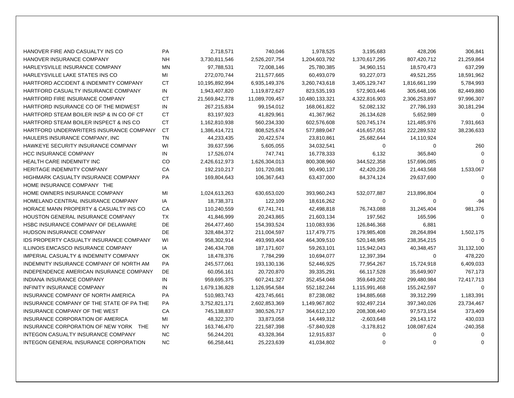| HANOVER FIRE AND CASUALTY INS CO                  | PA        | 2,718,571      | 740,046        | 1,978,525      | 3,195,683     | 428,206       | 306,841     |
|---------------------------------------------------|-----------|----------------|----------------|----------------|---------------|---------------|-------------|
| HANOVER INSURANCE COMPANY                         | NΗ        | 3,730,811,546  | 2,526,207,754  | 1,204,603,792  | 1,370,617,295 | 807,420,712   | 21,259,864  |
| HARLEYSVILLE INSURANCE COMPANY                    | <b>MN</b> | 97,788,531     | 72,008,146     | 25,780,385     | 34,960,151    | 18,570,473    | 637,299     |
| HARLEYSVILLE LAKE STATES INS CO                   | МI        | 272,070,744    | 211,577,665    | 60,493,079     | 93,227,073    | 49,521,255    | 18,591,962  |
| HARTFORD ACCIDENT & INDEMNITY COMPANY             | СT        | 10,195,892,994 | 6,935,149,376  | 3,260,743,618  | 3,405,129,747 | 1,816,661,199 | 5,784,993   |
| HARTFORD CASUALTY INSURANCE COMPANY               | IN        | 1,943,407,820  | 1,119,872,627  | 823,535,193    | 572,903,446   | 305,648,106   | 82,449,880  |
| HARTFORD FIRE INSURANCE COMPANY                   | СT        | 21,569,842,778 | 11,089,709,457 | 10,480,133,321 | 4,322,816,903 | 2,306,253,897 | 97,996,307  |
| HARTFORD INSURANCE CO OF THE MIDWEST              | IN        | 267,215,834    | 99,154,012     | 168,061,822    | 52,082,132    | 27,786,193    | 30,181,294  |
| HARTFORD STEAM BOILER INSP & IN CO OF CT          | <b>CT</b> | 83,197,923     | 41,829,961     | 41,367,962     | 26,134,628    | 5,652,989     | $\mathbf 0$ |
| HARTFORD STEAM BOILER INSPECT & INS CO            | <b>CT</b> | 1,162,810,938  | 560,234,330    | 602,576,608    | 520,745,174   | 121,485,976   | 7,931,663   |
| HARTFORD UNDERWRITERS INSURANCE COMPANY           | CT        | 1,386,414,721  | 808,525,674    | 577,889,047    | 416,657,051   | 222,289,532   | 38,236,633  |
| HAULERS INSURANCE COMPANY, INC                    | TN        | 44,233,435     | 20,422,574     | 23,810,861     | 25,682,644    | 14,110,924    |             |
| HAWKEYE SECURITY INSURANCE COMPANY                | WI        | 39,637,596     | 5,605,055      | 34,032,541     | 0             | 0             | 260         |
| <b>HCC INSURANCE COMPANY</b>                      | IN        | 17,526,074     | 747,741        | 16,778,333     | 6,132         | 365,840       | $\Omega$    |
| HEALTH CARE INDEMNITY INC                         | CO        | 2,426,612,973  | 1,626,304,013  | 800,308,960    | 344,522,358   | 157,696,085   | $\Omega$    |
| HERITAGE INDEMNITY COMPANY                        | СA        | 192,210,217    | 101,720,081    | 90,490,137     | 42,420,236    | 21,443,568    | 1,533,067   |
| HIGHMARK CASUALTY INSURANCE COMPANY               | PA        | 169,804,643    | 106,367,643    | 63,437,000     | 84,374,124    | 29,637,690    | $\Omega$    |
| HOME INSURANCE COMPANY THE                        |           |                |                |                |               |               |             |
| HOME OWNERS INSURANCE COMPANY                     | MI        | 1,024,613,263  | 630,653,020    | 393,960,243    | 532,077,887   | 213,896,804   | $\Omega$    |
| HOMELAND CENTRAL INSURANCE COMPANY                | IA        | 18,738,371     | 122,109        | 18,616,262     | 0             | $\mathbf 0$   | $-94$       |
| <b>HORACE MANN PROPERTY &amp; CASUALTY INS CO</b> | CA        | 110,240,559    | 67,741,741     | 42,498,818     | 76,743,088    | 31,245,404    | 981,376     |
| <b>HOUSTON GENERAL INSURANCE COMPANY</b>          | TX        | 41,846,999     | 20,243,865     | 21,603,134     | 197,562       | 165,596       | $\Omega$    |
| HSBC INSURANCE COMPANY OF DELAWARE                | DE.       | 264,477,460    | 154,393,524    | 110,083,936    | 126,846,368   | 6,881         |             |
| <b>HUDSON INSURANCE COMPANY</b>                   | <b>DE</b> | 328,484,372    | 211,004,597    | 117,479,775    | 179,985,408   | 28,264,894    | 1,502,175   |
| <b>IDS PROPERTY CASUALTY INSURANCE COMPANY</b>    | WI        | 958,302,914    | 493,993,404    | 464,309,510    | 520,148,985   | 238,354,215   | $\Omega$    |
| <b>ILLINOIS EMCASCO INSURANCE COMPANY</b>         | IA        | 246,434,708    | 187, 171, 607  | 59,263,101     | 115,942,043   | 40,348,457    | 31,132,100  |
| IMPERIAL CASUALTY & INDEMNITY COMPANY             | OK        | 18,478,376     | 7,784,299      | 10,694,077     | 12,397,394    | $\mathbf 0$   | 478,220     |
| INDEMNITY INSURANCE COMPANY OF NORTH AM           | <b>PA</b> | 245,577,061    | 193,130,136    | 52,446,925     | 77,954,267    | 15,724,918    | 6,409,033   |
| INDEPENDENCE AMERICAN INSURANCE COMPANY           | <b>DE</b> | 60,056,161     | 20,720,870     | 39,335,291     | 66,117,528    | 35,649,907    | 767,173     |
| <b>INDIANA INSURANCE COMPANY</b>                  | IN        | 959,695,375    | 607,241,327    | 352,454,048    | 359,649,202   | 299,480,984   | 72,417,713  |
| INFINITY INSURANCE COMPANY                        | IN        | 1,679,136,828  | 1,126,954,584  | 552,182,244    | 1,115,991,468 | 155,242,597   | 0           |
| INSURANCE COMPANY OF NORTH AMERICA                | <b>PA</b> | 510,983,743    | 423,745,661    | 87,238,082     | 194,885,668   | 39,312,299    | 1,183,391   |
| INSURANCE COMPANY OF THE STATE OF PA THE          | <b>PA</b> | 3,752,821,171  | 2,602,853,369  | 1,149,967,802  | 932,497,214   | 397,340,026   | 23,734,467  |
| INSURANCE COMPANY OF THE WEST                     | СA        | 745,138,837    | 380,526,717    | 364,612,120    | 208,308,440   | 97,573,154    | 373,409     |
| INSURANCE CORPORATION OF AMERICA                  | МI        | 48,322,370     | 33,873,058     | 14,449,312     | $-2,603,648$  | 29,143,172    | 430,033     |
| INSURANCE CORPORATION OF NEW YORK THE             | <b>NY</b> | 163,746,470    | 221,587,398    | $-57,840,928$  | $-3,178,812$  | 108,087,624   | $-240,358$  |
| INTEGON CASUALTY INSURANCE COMPANY                | NC.       | 56,244,201     | 43,328,364     | 12,915,837     | 0             | 0             | 0           |
| INTEGON GENERAL INSURANCE CORPORATION             | NC.       | 66,258,441     | 25,223,639     | 41,034,802     | 0             | $\Omega$      | $\Omega$    |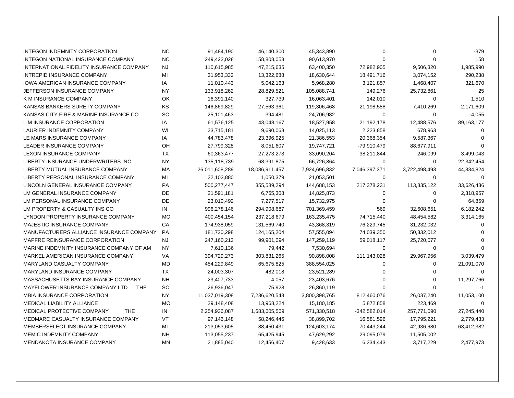| <b>INTEGON INDEMNITY CORPORATION</b>          | <b>NC</b>       | 91,484,190     | 46,140,300     | 45,343,890    | 0                        | 0             | $-379$     |
|-----------------------------------------------|-----------------|----------------|----------------|---------------|--------------------------|---------------|------------|
| INTEGON NATIONAL INSURANCE COMPANY            | NC.             | 249,422,028    |                |               | $\Omega$                 | $\Omega$      | 158        |
| INTERNATIONAL FIDELITY INSURANCE COMPANY      | <b>NJ</b>       |                | 158,808,058    | 90,613,970    |                          |               | 1,985,990  |
| <b>INTREPID INSURANCE COMPANY</b>             | MI              | 110,615,985    | 47,215,635     | 63,400,350    | 72,982,905<br>18,491,716 | 9,506,320     | 290,238    |
| IOWA AMERICAN INSURANCE COMPANY               |                 | 31,953,332     | 13,322,688     | 18,630,644    |                          | 3,074,152     |            |
| JEFFERSON INSURANCE COMPANY                   | IA<br><b>NY</b> | 11,010,443     | 5,042,163      | 5,968,280     | 3,121,857                | 1,468,407     | 321,670    |
|                                               |                 | 133,918,262    | 28,829,521     | 105,088,741   | 149,276                  | 25,732,861    | 25         |
| K M INSURANCE COMPANY                         | <b>OK</b>       | 16,391,140     | 327,739        | 16,063,401    | 142,010                  | 0             | 1,510      |
| KANSAS BANKERS SURETY COMPANY                 | <b>KS</b>       | 146,869,829    | 27,563,361     | 119,306,468   | 21,198,588               | 7,410,269     | 2,171,609  |
| KANSAS CITY FIRE & MARINE INSURANCE CO        | SC              | 25,101,463     | 394,481        | 24,706,982    | $\mathbf 0$              | 0             | -4,055     |
| L M INSURANCE CORPORATION                     | IA              | 61,576,125     | 43,048,167     | 18,527,958    | 21,192,178               | 12,488,576    | 89,163,177 |
| LAURIER INDEMNITY COMPANY                     | WI              | 23,715,181     | 9,690,068      | 14,025,113    | 2,223,858                | 678,963       | $\Omega$   |
| LE MARS INSURANCE COMPANY                     | ΙA              | 44,783,478     | 23,396,925     | 21,386,553    | 20,368,354               | 9,587,367     | $\Omega$   |
| LEADER INSURANCE COMPANY                      | <b>OH</b>       | 27,799,328     | 8,051,607      | 19,747,721    | -79,910,479              | 88,677,911    | $\Omega$   |
| LEXON INSURANCE COMPANY                       | <b>TX</b>       | 60,363,477     | 27,273,273     | 33,090,204    | 38,211,844               | 246,099       | 3,499,043  |
| LIBERTY INSURANCE UNDERWRITERS INC            | <b>NY</b>       | 135,118,739    | 68,391,875     | 66,726,864    | 0                        | 0             | 22,342,454 |
| LIBERTY MUTUAL INSURANCE COMPANY              | MA              | 26,011,608,289 | 18,086,911,457 | 7,924,696,832 | 7,046,397,371            | 3,722,498,493 | 44,334,824 |
| LIBERTY PERSONAL INSURANCE COMPANY            | МI              | 22,103,880     | 1,050,379      | 21,053,501    | $\Omega$                 | $\mathbf 0$   | $\Omega$   |
| LINCOLN GENERAL INSURANCE COMPANY             | PA              | 500,277,447    | 355,589,294    | 144,688,153   | 217,378,231              | 113,835,122   | 33,626,436 |
| LM GENERAL INSURANCE COMPANY                  | DE              | 21,591,181     | 6,765,308      | 14,825,873    | 0                        | 0             | 2,318,957  |
| LM PERSONAL INSURANCE COMPANY                 | DE              | 23,010,492     | 7,277,517      | 15,732,975    | 0                        | 0             | 64,859     |
| LM PROPERTY & CASUALTY INS CO                 | IN              | 996,278,146    | 294,908,687    | 701,369,459   | 569                      | 32,608,651    | 6,182,242  |
| LYNDON PROPERTY INSURANCE COMPANY             | <b>MO</b>       | 400,454,154    | 237,218,679    | 163,235,475   | 74,715,440               | 48,454,582    | 3,314,165  |
| <b>MAJESTIC INSURANCE COMPANY</b>             | CA              | 174,938,059    | 131,569,740    | 43,368,319    | 76,229,745               | 31,232,032    | $\Omega$   |
| MANUFACTURERS ALLIANCE INSURANCE COMPANY      | <b>PA</b>       | 181,720,298    | 124,165,204    | 57,555,094    | 74,039,350               | 50,332,012    | $\Omega$   |
| MAPFRE REINSURANCE CORPORATION                | NJ              | 247,160,213    | 99,901,094     | 147,259,119   | 59,018,117               | 25,720,077    |            |
| MARINE INDEMNITY INSURANCE COMPANY OF AM      | <b>NY</b>       | 7,610,136      | 79,442         | 7,530,694     | 0                        | 0             | $\Omega$   |
| MARKEL AMERICAN INSURANCE COMPANY             | VA              | 394,729,273    | 303,831,265    | 90,898,008    | 111,143,028              | 29,967,956    | 3,039,479  |
| <b>MARYLAND CASUALTY COMPANY</b>              | MD              | 454,229,849    | 65,675,825     | 388,554,025   | 0                        | 0             | 21,091,070 |
| <b>MARYLAND INSURANCE COMPANY</b>             | <b>TX</b>       | 24,003,307     | 482,018        | 23,521,289    | 0                        | 0             | $\Omega$   |
| MASSACHUSETTS BAY INSURANCE COMPANY           | <b>NH</b>       | 23,407,733     | 4,057          | 23,403,676    | 0                        | 0             | 11,297,766 |
| MAYFLOWER INSURANCE COMPANY LTD<br><b>THE</b> | SC              | 26,936,047     | 75,928         | 26,860,119    | 0                        | 0             | $-1$       |
| MBIA INSURANCE CORPORATION                    | <b>NY</b>       | 11,037,019,308 | 7,236,620,543  | 3,800,398,765 | 812,460,076              | 26,037,240    | 11,053,100 |
| MEDICAL LIABILITY ALLIANCE                    | <b>MO</b>       | 29,148,408     | 13,968,224     | 15,180,185    | 5,872,858                | 223,469       | 0          |
| MEDICAL PROTECTIVE COMPANY<br><b>THE</b>      | IN              | 2,254,936,087  | 1,683,605,569  | 571,330,518   | -342,582,014             | 257,771,090   | 27,245,440 |
| MEDMARC CASUALTY INSURANCE COMPANY            | VT              | 97,146,148     | 58,246,446     | 38,899,702    | 16,581,596               | 17,795,221    | 2,779,433  |
| MEMBERSELECT INSURANCE COMPANY                | MI              | 213,053,605    | 88,450,431     | 124,603,174   | 70,443,244               | 42,936,680    | 63,412,382 |
| <b>MEMIC INDEMNITY COMPANY</b>                | NH              | 113,055,237    | 65,425,945     | 47,629,292    | 29,095,079               | 11,505,002    |            |
| <b>MENDAKOTA INSURANCE COMPANY</b>            | MN              | 21,885,040     | 12,456,407     | 9,428,633     | 6,334,443                | 3,717,229     | 2,477,973  |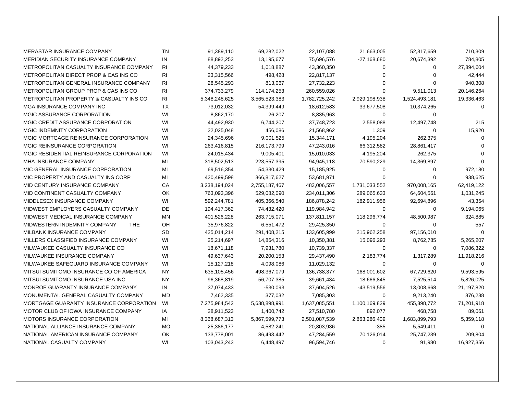| <b>MERASTAR INSURANCE COMPANY</b>                  | TN             | 91,389,110    | 69,282,022    | 22,107,088    | 21,663,005    | 52,317,659    | 710,309    |
|----------------------------------------------------|----------------|---------------|---------------|---------------|---------------|---------------|------------|
| MERIDIAN SECURITY INSURANCE COMPANY                | IN             | 88,892,253    | 13,195,677    | 75,696,576    | $-27,168,680$ | 20,674,392    | 784,805    |
| METROPOLITAN CASUALTY INSURANCE COMPANY            | R <sub>l</sub> | 44,379,233    | 1,018,887     | 43,360,350    | 0             | 0             | 27,894,604 |
| METROPOLITAN DIRECT PROP & CAS INS CO              | <b>RI</b>      | 23,315,566    | 498,428       | 22,817,137    | 0             | 0             | 42,444     |
| METROPOLITAN GENERAL INSURANCE COMPANY             | RI             | 28,545,293    | 813,067       | 27,732,223    | $\Omega$      | 0             | 940,308    |
| METROPOLITAN GROUP PROP & CAS INS CO               | RI             | 374,733,279   | 114,174,253   | 260,559,026   | $\Omega$      | 9,511,013     | 20,146,264 |
| <b>METROPOLITAN PROPERTY &amp; CASUALTY INS CO</b> | RI             | 5,348,248,625 | 3,565,523,383 | 1,782,725,242 | 2,929,198,938 | 1,524,493,181 | 19,336,463 |
| <b>MGA INSURANCE COMPANY INC</b>                   | <b>TX</b>      | 73,012,032    | 54,399,449    | 18,612,583    | 33,677,508    | 10,374,265    | $\Omega$   |
| MGIC ASSURANCE CORPORATION                         | WI             | 8,862,170     | 26,207        | 8,835,963     | 0             | 0             |            |
| MGIC CREDIT ASSURANCE CORPORATION                  | WI             | 44,492,930    | 6,744,207     | 37,748,723    | 2,558,088     | 12,497,748    | 215        |
| MGIC INDEMNITY CORPORATION                         | WI             | 22,025,048    | 456,086       | 21,568,962    | 1,309         | 0             | 15,920     |
| MGIC MORTGAGE REINSURANCE CORPORATION              | WI             | 24,345,696    | 9,001,525     | 15,344,171    | 4,195,204     | 262,375       | $\Omega$   |
| MGIC REINSURANCE CORPORATION                       | WI             | 263,416,815   | 216, 173, 799 | 47,243,016    | 66,312,582    | 28,861,417    | $\Omega$   |
| MGIC RESIDENTIAL REINSURANCE CORPORATION           | WI             | 24,015,434    | 9,005,401     | 15,010,033    | 4,195,204     | 262,375       | $\Omega$   |
| MHA INSURANCE COMPANY                              | MI             | 318,502,513   | 223,557,395   | 94,945,118    | 70,590,229    | 14,369,897    | $\Omega$   |
| MIC GENERAL INSURANCE CORPORATION                  | MI             | 69,516,354    | 54,330,429    | 15,185,925    | 0             | 0             | 972,180    |
| MIC PROPERTY AND CASUALTY INS CORP                 | MI             | 420,499,598   | 366,817,627   | 53,681,971    | $\Omega$      | 0             | 938,625    |
| MID CENTURY INSURANCE COMPANY                      | CA             | 3,238,194,024 | 2,755,187,467 | 483,006,557   | 1,731,033,552 | 970,008,165   | 62,419,122 |
| MID CONTINENT CASUALTY COMPANY                     | <b>OK</b>      | 763,093,396   | 529,082,090   | 234,011,306   | 289,065,633   | 64,604,561    | 1,031,245  |
| MIDDLESEX INSURANCE COMPANY                        | WI             | 592,244,781   | 405,366,540   | 186,878,242   | 182,911,956   | 92,694,896    | 43,354     |
| MIDWEST EMPLOYERS CASUALTY COMPANY                 | DE             | 194,417,362   | 74,432,420    | 119,984,942   | 0             | 0             | 9,194,065  |
| MIDWEST MEDICAL INSURANCE COMPANY                  | ΜN             | 401,526,228   | 263,715,071   | 137,811,157   | 118,296,774   | 48,500,987    | 324,885    |
| MIDWESTERN INDEMNITY COMPANY<br><b>THE</b>         | OH             | 35,976,822    | 6,551,472     | 29,425,350    | 0             | 0             | 557        |
| MILBANK INSURANCE COMPANY                          | <b>SD</b>      | 425,014,214   | 291,408,215   | 133,605,999   | 215,962,258   | 97,156,010    | $\Omega$   |
| MILLERS CLASSIFIED INSURANCE COMPANY               | WI             | 25,214,697    | 14,864,316    | 10,350,381    | 15,096,293    | 8,762,785     | 5,265,207  |
| MILWAUKEE CASUALTY INSURANCE CO                    | WI             | 18,671,118    | 7,931,780     | 10,739,337    | 0             | 0             | 7,086,322  |
| MILWAUKEE INSURANCE COMPANY                        | WI             | 49,637,643    | 20,200,153    | 29,437,490    | 2,183,774     | 1,317,289     | 11,918,216 |
| MILWAUKEE SAFEGUARD INSURANCE COMPANY              | WI             | 15,127,218    | 4,098,086     | 11,029,132    | 0             | 0             | $\Omega$   |
| MITSUI SUMITOMO INSURANCE CO OF AMERICA            | <b>NY</b>      | 635,105,456   | 498,367,079   | 136,738,377   | 168,001,602   | 67,729,620    | 9,593,595  |
| MITSUI SUMITOMO INSURANCE USA INC                  | <b>NY</b>      | 96,368,819    | 56,707,385    | 39,661,434    | 18,666,845    | 7,525,514     | 5,826,025  |
| MONROE GUARANTY INSURANCE COMPANY                  | IN             | 37,074,433    | $-530,093$    | 37,604,526    | -43,519,556   | 13,008,668    | 21,197,820 |
| MONUMENTAL GENERAL CASUALTY COMPANY                | MD             | 7,462,335     | 377,032       | 7,085,303     | 0             | 9,213,240     | 876,238    |
| MORTGAGE GUARANTY INSURANCE CORPORATION            | WI             | 7,275,984,542 | 5,638,898,991 | 1,637,085,551 | 1,100,169,829 | 455,398,772   | 71,201,918 |
| MOTOR CLUB OF IOWA INSURANCE COMPANY               | IA             | 28,911,523    | 1,400,742     | 27,510,780    | 892,077       | 468,758       | 89,061     |
| MOTORS INSURANCE CORPORATION                       | MI             | 8,368,687,313 | 5,867,599,773 | 2,501,087,539 | 2,863,286,409 | 1,683,899,793 | 5,359,118  |
| NATIONAL ALLIANCE INSURANCE COMPANY                | MO             | 25,386,177    | 4,582,241     | 20,803,936    | $-385$        | 5,549,411     | 0          |
| NATIONAL AMERICAN INSURANCE COMPANY                | OK             | 133,778,001   | 86,493,442    | 47,284,559    | 70,126,014    | 25,747,239    | 209,804    |
| NATIONAL CASUALTY COMPANY                          | WI             | 103,043,243   | 6,448,497     | 96,594,746    | $\Omega$      | 91,980        | 16,927,356 |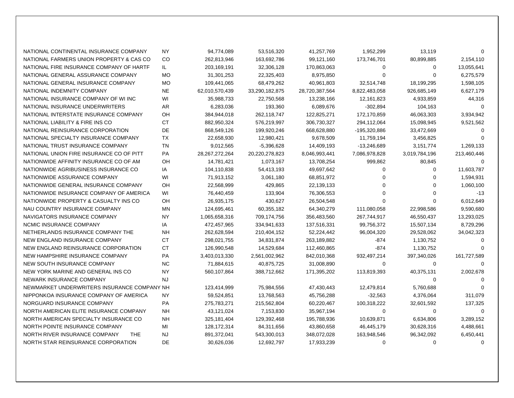| NATIONAL CONTINENTAL INSURANCE COMPANY      | NΥ        | 94,774,089        | 53,516,320     | 41,257,769     | 1,952,299     | 13,119        | $\Omega$    |
|---------------------------------------------|-----------|-------------------|----------------|----------------|---------------|---------------|-------------|
| NATIONAL FARMERS UNION PROPERTY & CAS CO    | CO        | 262,813,946       | 163,692,786    | 99,121,160     | 173,746,701   | 80,899,885    | 2,154,110   |
| NATIONAL FIRE INSURANCE COMPANY OF HARTF    | IL.       | 203,169,191       | 32,306,128     | 170,863,063    | 0             | 0             | 13,055,641  |
| NATIONAL GENERAL ASSURANCE COMPANY          | MO        | 31,301,253        | 22,325,403     | 8,975,850      | 0             | 0             | 6,275,579   |
| NATIONAL GENERAL INSURANCE COMPANY          | <b>MO</b> | 109,441,065       | 68,479,262     | 40,961,803     | 32,514,748    | 18,199,295    | 1,598,105   |
| NATIONAL INDEMNITY COMPANY                  | <b>NE</b> | 62,010,570,439    | 33,290,182,875 | 28,720,387,564 | 8,822,483,058 | 926,685,149   | 6,627,179   |
| NATIONAL INSURANCE COMPANY OF WI INC        | WI        | 35,988,733        | 22,750,568     | 13,238,166     | 12,161,823    | 4,933,859     | 44,316      |
| NATIONAL INSURANCE UNDERWRITERS             | AR        | 6,283,036         | 193,360        | 6,089,676      | $-302,894$    | 104,163       | $\Omega$    |
| NATIONAL INTERSTATE INSURANCE COMPANY       | OH        | 384,944,018       | 262,118,747    | 122,825,271    | 172,170,859   | 46,063,303    | 3,934,942   |
| NATIONAL LIABILITY & FIRE INS CO            | <b>CT</b> | 882,950,324       | 576,219,997    | 306,730,327    | 294,112,064   | 15,098,945    | 9,521,562   |
| NATIONAL REINSURANCE CORPORATION            | DE        | 868,549,126       | 199,920,246    | 668,628,880    | -195,320,886  | 33,472,669    | $\mathbf 0$ |
| NATIONAL SPECIALTY INSURANCE COMPANY        | <b>TX</b> | 22,658,930        | 12,980,421     | 9,678,509      | 11,759,194    | 3,456,825     | $\Omega$    |
| NATIONAL TRUST INSURANCE COMPANY            | <b>TN</b> | 9,012,565         | $-5,396,628$   | 14,409,193     | -13,246,689   | 3,151,774     | 1,269,133   |
| NATIONAL UNION FIRE INSURANCE CO OF PITT    | PA        | 28, 267, 272, 264 | 20,220,278,823 | 8,046,993,441  | 7,086,978,828 | 3,019,784,196 | 213,460,446 |
| NATIONWIDE AFFINITY INSURANCE CO OF AM      | OH        | 14,781,421        | 1,073,167      | 13,708,254     | 999,862       | 80,845        | $\mathbf 0$ |
| NATIONWIDE AGRIBUSINESS INSURANCE CO        | IA        | 104,110,838       | 54,413,193     | 49,697,642     | 0             | 0             | 11,603,787  |
| NATIONWIDE ASSURANCE COMPANY                | WI        | 71,913,152        | 3,061,180      | 68,851,972     | 0             | 0             | 1,594,931   |
| NATIONWIDE GENERAL INSURANCE COMPANY        | OH        | 22,568,999        | 429,865        | 22,139,133     | 0             | 0             | 1,060,100   |
| NATIONWIDE INSURANCE COMPANY OF AMERICA     | WI        | 76,440,459        | 133,904        | 76,306,553     | 0             | $\Omega$      | -13         |
| NATIONWIDE PROPERTY & CASUALTY INS CO       | OH        | 26,935,175        | 430,627        | 26,504,548     | 0             | 0             | 6,012,649   |
| NAU COUNTRY INSURANCE COMPANY               | <b>MN</b> | 124,695,461       | 60,355,182     | 64,340,279     | 111,080,058   | 22,998,586    | 9,590,680   |
| NAVIGATORS INSURANCE COMPANY                | <b>NY</b> | 1,065,658,316     | 709,174,756    | 356,483,560    | 267,744,917   | 46,550,437    | 13,293,025  |
| NCMIC INSURANCE COMPANY                     | IA        | 472,457,965       | 334,941,633    | 137,516,331    | 99,756,372    | 15,507,134    | 8,729,296   |
| NETHERLANDS INSURANCE COMPANY THE           | <b>NH</b> | 262,628,594       | 210,404,152    | 52,224,442     | 96,004,320    | 29,528,062    | 34,042,323  |
| NEW ENGLAND INSURANCE COMPANY               | <b>CT</b> | 298,021,755       | 34,831,874     | 263,189,882    | $-874$        | 1,130,752     | $\Omega$    |
| NEW ENGLAND REINSURANCE CORPORATION         | <b>CT</b> | 126,990,548       | 14,529,684     | 112,460,865    | $-874$        | 1,130,752     | $\Omega$    |
| NEW HAMPSHIRE INSURANCE COMPANY             | <b>PA</b> | 3,403,013,330     | 2,561,002,962  | 842,010,368    | 932,497,214   | 397,340,026   | 161,727,589 |
| NEW SOUTH INSURANCE COMPANY                 | NC.       | 71,884,615        | 40,875,725     | 31,008,890     | 0             | 0             | $\Omega$    |
| NEW YORK MARINE AND GENERAL INS CO          | <b>NY</b> | 560,107,864       | 388,712,662    | 171,395,202    | 113,819,393   | 40,375,131    | 2,002,678   |
| NEWARK INSURANCE COMPANY                    | <b>NJ</b> |                   |                |                |               | 0             | $\Omega$    |
| NEWMARKET UNDERWRITERS INSURANCE COMPANY NH |           | 123,414,999       | 75,984,556     | 47,430,443     | 12,479,814    | 5,760,688     | $\Omega$    |
| NIPPONKOA INSURANCE COMPANY OF AMERICA      | <b>NY</b> | 59,524,851        | 13,768,563     | 45,756,288     | $-32,563$     | 4,376,064     | 311,079     |
| NORGUARD INSURANCE COMPANY                  | PA        | 275,783,271       | 215,562,804    | 60,220,467     | 100,318,222   | 32,601,592    | 137,325     |
| NORTH AMERICAN ELITE INSURANCE COMPANY      | <b>NH</b> | 43,121,024        | 7,153,830      | 35,967,194     | 0             | 0             | $\Omega$    |
| NORTH AMERICAN SPECIALTY INSURANCE CO       | <b>NH</b> | 325, 181, 404     | 129,392,468    | 195,788,936    | 10,639,871    | 6,634,806     | 3,289,152   |
| NORTH POINTE INSURANCE COMPANY              | MI        | 128,172,314       | 84,311,656     | 43,860,658     | 46,445,179    | 30,628,316    | 4,488,661   |
| NORTH RIVER INSURANCE COMPANY<br>THE        | NJ        | 891,372,041       | 543,300,013    | 348,072,028    | 163,948,546   | 96,342,092    | 6,450,441   |
| NORTH STAR REINSURANCE CORPORATION          | DE.       | 30,626,036        | 12,692,797     | 17,933,239     | $\Omega$      | $\Omega$      | $\Omega$    |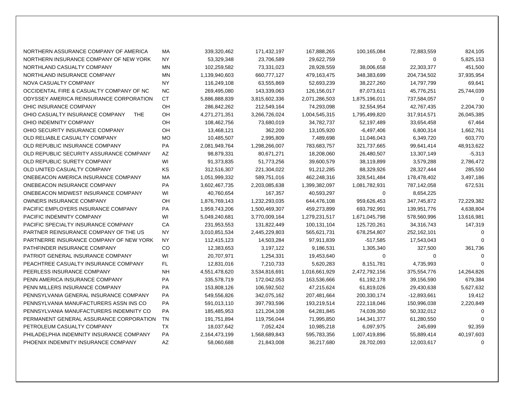| NORTHERN ASSURANCE COMPANY OF AMERICA         | МA        | 339,320,462   | 171,432,197   | 167,888,265   | 100,165,084   | 72,883,559    | 824,105     |
|-----------------------------------------------|-----------|---------------|---------------|---------------|---------------|---------------|-------------|
| NORTHERN INSURANCE COMPANY OF NEW YORK        | <b>NY</b> | 53,329,348    | 23,706,589    | 29,622,759    | 0             | 0             | 5,825,153   |
| NORTHLAND CASUALTY COMPANY                    | <b>MN</b> | 102,259,582   | 73,331,023    | 28,928,559    | 38,006,658    | 22,303,377    | 451,500     |
| NORTHLAND INSURANCE COMPANY                   | <b>MN</b> | 1,139,940,603 | 660,777,127   | 479,163,475   | 348,383,699   | 204,734,502   | 37,935,954  |
| NOVA CASUALTY COMPANY                         | <b>NY</b> | 116,249,108   | 63,555,869    | 52,693,239    | 38,227,260    | 14,797,799    | 69,641      |
| OCCIDENTAL FIRE & CASUALTY COMPANY OF NC      | <b>NC</b> | 269,495,080   | 143,339,063   | 126,156,017   | 87,073,611    | 45,776,251    | 25,744,039  |
| ODYSSEY AMERICA REINSURANCE CORPORATION       | <b>CT</b> | 5,886,888,839 | 3,815,602,336 | 2,071,286,503 | 1,875,196,011 | 737,584,057   | $\Omega$    |
| OHIC INSURANCE COMPANY                        | OH        | 286,842,262   | 212,549,164   | 74,293,098    | 32,554,954    | 42,767,435    | 2,204,730   |
| OHIO CASUALTY INSURANCE COMPANY<br><b>THE</b> | OH        | 4,271,271,351 | 3,266,726,024 | 1,004,545,315 | 1,795,499,820 | 317,914,571   | 26,045,385  |
| OHIO INDEMNITY COMPANY                        | OH        | 108,462,756   | 73,680,019    | 34,782,737    | 52,197,489    | 33,654,458    | 67,464      |
| OHIO SECURITY INSURANCE COMPANY               | OH        | 13,468,121    | 362,200       | 13,105,920    | -6,497,406    | 6,800,314     | 1,662,761   |
| OLD RELIABLE CASUALTY COMPANY                 | <b>MO</b> | 10,485,507    | 2,995,809     | 7,489,698     | 11,046,043    | 6,349,720     | 603,770     |
| OLD REPUBLIC INSURANCE COMPANY                | <b>PA</b> | 2,081,949,764 | 1,298,266,007 | 783,683,757   | 321,737,665   | 99,641,414    | 48,913,622  |
| OLD REPUBLIC SECURITY ASSURANCE COMPANY       | AZ        | 98,879,331    | 80,671,271    | 18,208,060    | 26,480,507    | 13,307,149    | $-5,313$    |
| OLD REPUBLIC SURETY COMPANY                   | WI        | 91,373,835    | 51,773,256    | 39,600,579    | 38,119,899    | 3,579,288     | 2,786,472   |
| OLD UNITED CASUALTY COMPANY                   | <b>KS</b> | 312,516,307   | 221,304,022   | 91,212,285    | 88,329,926    | 28,327,444    | 285,550     |
| ONEBEACON AMERICA INSURANCE COMPANY           | MA        | 1,051,999,332 | 589,751,016   | 462,248,316   | 328,541,484   | 178,478,402   | 3,497,186   |
| ONEBEACON INSURANCE COMPANY                   | <b>PA</b> | 3,602,467,735 | 2,203,085,638 | 1,399,382,097 | 1,081,782,931 | 787,142,058   | 672,531     |
| ONEBEACON MIDWEST INSURANCE COMPANY           | WI        | 40,760,654    | 167,357       | 40,593,297    | 0             | 8,654,225     |             |
| OWNERS INSURANCE COMPANY                      | OH        | 1,876,769,143 | 1,232,293,035 | 644,476,108   | 959,626,453   | 347,745,872   | 72,229,382  |
| <b>PACIFIC EMPLOYERS INSURANCE COMPANY</b>    | <b>PA</b> | 1,959,743,206 | 1,500,469,307 | 459,273,899   | 693,792,991   | 139,951,776   | 4,638,804   |
| PACIFIC INDEMNITY COMPANY                     | WI        | 5,049,240,681 | 3,770,009,164 | 1,279,231,517 | 1,671,045,798 | 578,560,996   | 13,616,981  |
| PACIFIC SPECIALTY INSURANCE COMPANY           | CA        | 231,953,553   | 131,822,449   | 100,131,104   | 125,720,261   | 34,316,743    | 147,319     |
| PARTNER REINSURANCE COMPANY OF THE US         | <b>NY</b> | 3,010,851,534 | 2,445,229,803 | 565,621,731   | 678,254,807   | 252,162,101   | $\Omega$    |
| PARTNERRE INSURANCE COMPANY OF NEW YORK       | <b>NY</b> | 112,415,123   | 14,503,284    | 97,911,839    | $-517,585$    | 17,543,043    | $\Omega$    |
| PATHFINDER INSURANCE COMPANY                  | CO        | 12,383,653    | 3,197,122     | 9,186,531     | 1,305,340     | 327,500       | 361,736     |
| PATRIOT GENERAL INSURANCE COMPANY             | WI        | 20,707,971    | 1,254,331     | 19,453,640    | 0             | 0             | $\mathbf 0$ |
| PEACHTREE CASUALTY INSURANCE COMPANY          | FL        | 12,831,016    | 7,210,733     | 5,620,283     | 8,151,781     | 4,735,993     | $\Omega$    |
| PEERLESS INSURANCE COMPANY                    | <b>NH</b> | 4,551,478,620 | 3,534,816,691 | 1,016,661,929 | 2,472,792,156 | 375,554,776   | 14,264,826  |
| PENN AMERICA INSURANCE COMPANY                | <b>PA</b> | 335,578,719   | 172,042,053   | 163,536,666   | 61,192,178    | 39,156,590    | 679,384     |
| PENN MILLERS INSURANCE COMPANY                | <b>PA</b> | 153,808,126   | 106,592,502   | 47,215,624    | 61,819,026    | 29,430,638    | 5,627,632   |
| PENNSYLVANIA GENERAL INSURANCE COMPANY        | <b>PA</b> | 549,556,826   | 342,075,162   | 207,481,664   | 200,330,174   | $-12,893,661$ | 19,412      |
| PENNSYLVANIA MANUFACTURERS ASSN INS CO        | <b>PA</b> | 591,013,110   | 397,793,596   | 193,219,514   | 222,118,046   | 150,996,038   | 2,220,849   |
| PENNSYLVANIA MANUFACTURERS INDEMNITY CO       | <b>PA</b> | 185,485,953   | 121,204,108   | 64,281,845    | 74,039,350    | 50,332,012    | $\mathbf 0$ |
| PERMANENT GENERAL ASSURANCE CORPORATION       | <b>TN</b> | 191,751,894   | 119,756,044   | 71,995,850    | 144,341,377   | 61,280,550    | $\Omega$    |
| PETROLEUM CASUALTY COMPANY                    | <b>TX</b> | 18,037,642    | 7,052,424     | 10,985,218    | 6,097,975     | 245,699       | 92,359      |
| PHILADELPHIA INDEMNITY INSURANCE COMPANY      | <b>PA</b> | 2,164,473,199 | 1,568,689,843 | 595,783,356   | 1,007,419,896 | 55,889,414    | 40,197,603  |
| PHOENIX INDEMNITY INSURANCE COMPANY           | AZ        | 58,060,688    | 21,843,008    | 36,217,680    | 28,702,093    | 12,003,617    | 0           |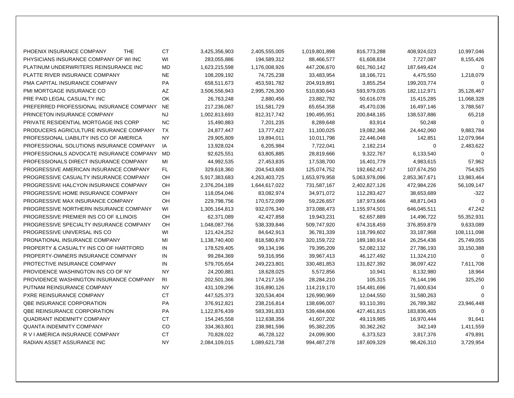| PHOENIX INSURANCE COMPANY<br><b>THE</b>  | <b>CT</b> | 3,425,356,903 | 2,405,555,005 | 1,019,801,898 | 816,773,288   | 408,924,023   | 10,997,046  |
|------------------------------------------|-----------|---------------|---------------|---------------|---------------|---------------|-------------|
| PHYSICIANS INSURANCE COMPANY OF WI INC   | WI        | 283,055,886   | 194,589,312   | 88,466,577    | 61,608,834    | 7,727,087     | 8,155,426   |
| PLATINUM UNDERWRITERS REINSURANCE INC    | <b>MD</b> | 1,623,215,598 | 1,176,008,926 | 447,206,670   | 601,760,142   | 187,649,424   | $\Omega$    |
| PLATTE RIVER INSURANCE COMPANY           | <b>NE</b> | 108,209,192   | 74,725,238    | 33,483,954    | 18,166,721    | 4,475,550     | 1,218,079   |
| <b>PMA CAPITAL INSURANCE COMPANY</b>     | <b>PA</b> | 658,511,673   | 453,591,782   | 204,919,891   | 3,855,254     | 199,203,774   | $\Omega$    |
| PMI MORTGAGE INSURANCE CO                | AZ        | 3,506,556,943 | 2,995,726,300 | 510,830,643   | 593,979,035   | 182,112,971   | 35,128,467  |
| PRE PAID LEGAL CASUALTY INC              | OK.       | 26,763,248    | 2,880,456     | 23,882,792    | 50,616,078    | 15,415,285    | 11,068,328  |
| PREFERRED PROFESSIONAL INSURANCE COMPANY | <b>NE</b> | 217,236,087   | 151,581,729   | 65,654,358    | 45,470,036    | 16,497,146    | 3,788,567   |
| PRINCETON INSURANCE COMPANY              | <b>NJ</b> | 1,002,813,693 | 812,317,742   | 190,495,951   | 200,848,165   | 138,537,886   | 65,218      |
| PRIVATE RESIDENTIAL MORTGAGE INS CORP    | <b>NC</b> | 15,490,883    | 7,201,235     | 8,289,648     | 83,914        | 50,248        | $\Omega$    |
| PRODUCERS AGRICULTURE INSURANCE COMPANY  | <b>TX</b> | 24,877,447    | 13,777,422    | 11,100,025    | 19,082,366    | 24,442,060    | 9,883,784   |
| PROFESSIONAL LIABILITY INS CO OF AMERICA | <b>NY</b> | 29,905,809    | 19,894,011    | 10,011,798    | 22,446,048    | 142,851       | 12,079,964  |
| PROFESSIONAL SOLUTIONS INSURANCE COMPANY | IA        | 13,928,024    | 6,205,984     | 7,722,041     | 2,182,214     | 0             | 2,483,622   |
| PROFESSIONALS ADVOCATE INSURANCE COMPANY | <b>MD</b> | 92,625,551    | 63,805,885    | 28,819,666    | 9,322,767     | 6,133,540     | $\Omega$    |
| PROFESSIONALS DIRECT INSURANCE COMPANY   | MI        | 44,992,535    | 27,453,835    | 17,538,700    | 16,401,779    | 4,983,615     | 57,962      |
| PROGRESSIVE AMERICAN INSURANCE COMPANY   | FL.       | 329,618,360   | 204,543,608   | 125,074,752   | 192,662,417   | 107,674,250   | 754,925     |
| PROGRESSIVE CASUALTY INSURANCE COMPANY   | <b>OH</b> | 5,917,383,683 | 4,263,403,725 | 1,653,979,958 | 5,063,978,096 | 2,853,367,671 | 13,983,464  |
| PROGRESSIVE HALCYON INSURANCE COMPANY    | OH        | 2,376,204,189 | 1,644,617,022 | 731,587,167   | 2,402,827,126 | 472,984,226   | 56,109,147  |
| PROGRESSIVE HOME INSURANCE COMPANY       | OH        | 118,054,046   | 83,082,974    | 34,971,072    | 112,283,427   | 38,653,689    | $-322$      |
| PROGRESSIVE MAX INSURANCE COMPANY        | OH        | 229,798,756   | 170,572,099   | 59,226,657    | 187,973,666   | 48,871,043    | $\Omega$    |
| PROGRESSIVE NORTHERN INSURANCE COMPANY   | WI        | 1,305,164,813 | 932,076,340   | 373,088,473   | 1,155,974,501 | 646,045,511   | 47,242      |
| PROGRESSIVE PREMIER INS CO OF ILLINOIS   | <b>OH</b> | 62,371,089    | 42,427,858    | 19,943,231    | 62,657,889    | 14,496,722    | 55,352,931  |
| PROGRESSIVE SPECIALTY INSURANCE COMPANY  | <b>OH</b> | 1,048,087,766 | 538,339,846   | 509,747,920   | 674,318,459   | 376,859,879   | 9,633,089   |
| PROGRESSIVE UNIVERSAL INS CO             | WI        | 121,424,252   | 84,642,913    | 36,781,339    | 118,799,602   | 33,187,968    | 108,111,098 |
| PRONATIONAL INSURANCE COMPANY            | MI        | 1,138,740,400 | 818,580,678   | 320,159,722   | 189,180,914   | 26,254,436    | 25,749,055  |
| PROPERTY & CASUALTY INS CO OF HARTFORD   | IN        | 178,529,405   | 99,134,196    | 79,395,209    | 52,082,132    | 27,786,193    | 33,150,388  |
| PROPERTY-OWNERS INSURANCE COMPANY        | IN        | 99,284,369    | 59,316,956    | 39,967,413    | 46,127,492    | 11,324,210    | $\mathbf 0$ |
| PROTECTIVE INSURANCE COMPANY             | IN        | 579,705,654   | 249,223,801   | 330,481,853   | 131,827,392   | 38,097,422    | 7,611,708   |
| PROVIDENCE WASHINGTON INS CO OF NY       | <b>NY</b> | 24,200,881    | 18,628,025    | 5,572,856     | 10,941        | 8,132,980     | 18,964      |
| PROVIDENCE WASHINGTON INSURANCE COMPANY  | RI        | 202,501,366   | 174,217,156   | 28,284,210    | 105,315       | 76,144,196    | 325,250     |
| PUTNAM REINSURANCE COMPANY               | <b>NY</b> | 431,109,296   | 316,890,126   | 114,219,170   | 154,481,696   | 71,600,634    | $\mathbf 0$ |
| PXRE REINSURANCE COMPANY                 | <b>CT</b> | 447,525,373   | 320,534,404   | 126,990,969   | 12,044,550    | 31,580,263    | $\Omega$    |
| <b>QBE INSURANCE CORPORATION</b>         | PA        | 376,912,821   | 238,216,814   | 138,696,007   | 93,110,391    | 26,789,382    | 23,946,448  |
| <b>QBE REINSURANCE CORPORATION</b>       | PA        | 1,122,876,439 | 583,391,833   | 539,484,606   | 427,461,815   | 183,836,405   | $\mathbf 0$ |
| <b>QUADRANT INDEMNITY COMPANY</b>        | <b>CT</b> | 154,245,558   | 112,638,356   | 41,607,202    | 49,119,985    | 16,970,444    | 91,641      |
| <b>QUANTA INDEMNITY COMPANY</b>          | CO        | 334,363,801   | 238,981,596   | 95,382,205    | 30,362,262    | 342,149       | 1,411,559   |
| R V I AMERICA INSURANCE COMPANY          | <b>CT</b> | 70,828,022    | 46,728,122    | 24,099,900    | 6,373,523     | 3,817,376     | 479,891     |
| RADIAN ASSET ASSURANCE INC               | <b>NY</b> | 2,084,109,015 | 1,089,621,738 | 994,487,278   | 187,609,329   | 98,426,310    | 3,729,954   |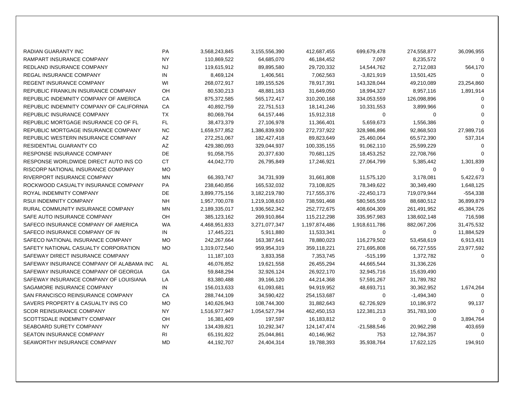| RADIAN GUARANTY INC                      | PA        | 3,568,243,845 | 3,155,556,390 | 412,687,455   | 699,679,478   | 274,558,877  | 36,096,955  |
|------------------------------------------|-----------|---------------|---------------|---------------|---------------|--------------|-------------|
| RAMPART INSURANCE COMPANY                | <b>NY</b> | 110,869,522   | 64,685,070    | 46,184,452    | 7,097         | 8,235,572    | $\Omega$    |
| REDLAND INSURANCE COMPANY                | <b>NJ</b> | 119,615,912   | 89,895,580    | 29,720,332    | 14,544,762    | 2,712,083    | 564,170     |
| <b>REGAL INSURANCE COMPANY</b>           | IN        | 8,469,124     | 1,406,561     | 7,062,563     | $-3,821,919$  | 13,501,425   | $\Omega$    |
| <b>REGENT INSURANCE COMPANY</b>          | WI        | 268,072,917   | 189, 155, 526 | 78,917,391    | 143,328,044   | 49,210,089   | 23,254,860  |
| REPUBLIC FRANKLIN INSURANCE COMPANY      | OH        | 80,530,213    | 48,881,163    | 31,649,050    | 18,994,327    | 8,957,116    | 1,891,914   |
| REPUBLIC INDEMNITY COMPANY OF AMERICA    | CA        | 875,372,585   | 565, 172, 417 | 310,200,168   | 334,053,559   | 126,098,896  | $\Omega$    |
| REPUBLIC INDEMNITY COMPANY OF CALIFORNIA | СA        | 40,892,759    | 22,751,513    | 18,141,246    | 10,331,553    | 3,899,966    | $\Omega$    |
| REPUBLIC INSURANCE COMPANY               | <b>TX</b> | 80,069,764    | 64,157,446    | 15,912,318    | 0             | $\mathbf 0$  | $\Omega$    |
| REPUBLIC MORTGAGE INSURANCE CO OF FL     | FL.       | 38,473,379    | 27,106,978    | 11,366,401    | 5,659,673     | 1,556,386    | $\Omega$    |
| REPUBLIC MORTGAGE INSURANCE COMPANY      | <b>NC</b> | 1,659,577,852 | 1,386,839,930 | 272,737,922   | 328,986,896   | 92,868,503   | 27,989,716  |
| REPUBLIC WESTERN INSURANCE COMPANY       | AZ        | 272,251,067   | 182,427,418   | 89,823,649    | 25,460,064    | 65,572,390   | 537,314     |
| <b>RESIDENTIAL GUARANTY CO</b>           | AZ        | 429,380,093   | 329,044,937   | 100,335,155   | 91,062,110    | 25,599,229   | $\Omega$    |
| <b>RESPONSE INSURANCE COMPANY</b>        | DE        | 91,058,755    | 20,377,630    | 70,681,125    | 18,453,252    | 22,708,766   | $\Omega$    |
| RESPONSE WORLDWIDE DIRECT AUTO INS CO    | <b>CT</b> | 44,042,770    | 26,795,849    | 17,246,921    | 27,064,799    | 5,385,442    | 1,301,839   |
| RISCORP NATIONAL INSURANCE COMPANY       | <b>MO</b> |               |               |               |               | $\Omega$     | $\Omega$    |
| RIVERPORT INSURANCE COMPANY              | <b>MN</b> | 66,393,747    | 34,731,939    | 31,661,808    | 11,575,120    | 3,178,081    | 5,422,673   |
| ROCKWOOD CASUALTY INSURANCE COMPANY      | PA        | 238,640,856   | 165,532,032   | 73,108,825    | 78,349,622    | 30,349,490   | 1,648,125   |
| ROYAL INDEMNITY COMPANY                  | <b>DE</b> | 3,899,775,156 | 3,182,219,780 | 717,555,376   | $-22,450,173$ | 719,079,944  | -554,338    |
| <b>RSUI INDEMNITY COMPANY</b>            | <b>NH</b> | 1,957,700,078 | 1,219,108,610 | 738,591,468   | 580,565,559   | 88,680,512   | 36,899,879  |
| RURAL COMMUNITY INSURANCE COMPANY        | <b>MN</b> | 2,189,335,017 | 1,936,562,342 | 252,772,675   | 408,604,309   | 261,491,952  | 45,384,726  |
| SAFE AUTO INSURANCE COMPANY              | OН        | 385,123,162   | 269,910,864   | 115,212,298   | 335,957,983   | 138,602,148  | 716,598     |
| SAFECO INSURANCE COMPANY OF AMERICA      | <b>WA</b> | 4,468,951,833 | 3,271,077,347 | 1,197,874,486 | 1,918,611,786 | 882,067,206  | 31,475,532  |
| SAFECO INSURANCE COMPANY OF IN           | IN        | 17,445,221    | 5,911,880     | 11,533,341    | $\mathbf 0$   | $\Omega$     | 11,884,529  |
| SAFECO NATIONAL INSURANCE COMPANY        | <b>MO</b> | 242,267,664   | 163,387,641   | 78,880,023    | 116,279,502   | 53,458,619   | 6,913,431   |
| SAFETY NATIONAL CASUALTY CORPORATION     | <b>MO</b> | 1,319,072,540 | 959,954,319   | 359,118,221   | 271,695,808   | 66,727,555   | 23,977,592  |
| SAFEWAY DIRECT INSURANCE COMPANY         |           | 11,187,103    | 3,833,358     | 7,353,745     | $-515,199$    | 1,372,782    | $\mathbf 0$ |
| SAFEWAY INSURANCE COMPANY OF ALABAMA INC | AL        | 46,076,852    | 19,621,558    | 26,455,294    | 44,665,544    | 31,336,226   |             |
| SAFEWAY INSURANCE COMPANY OF GEORGIA     | GA        | 59,848,294    | 32,926,124    | 26,922,170    | 32,945,716    | 15,639,490   |             |
| SAFEWAY INSURANCE COMPANY OF LOUISIANA   | LA        | 83,380,488    | 39,166,120    | 44,214,368    | 57,591,267    | 31,789,782   |             |
| SAGAMORE INSURANCE COMPANY               | IN        | 156,013,633   | 61,093,681    | 94,919,952    | 48,693,711    | 30,362,952   | 1,674,264   |
| SAN FRANCISCO REINSURANCE COMPANY        | СA        | 288,744,109   | 34,590,422    | 254,153,687   | 0             | $-1,494,340$ | $\mathbf 0$ |
| SAVERS PROPERTY & CASUALTY INS CO        | <b>MO</b> | 140,626,943   | 108,744,300   | 31,882,643    | 62,726,929    | 10,186,972   | 99,137      |
| <b>SCOR REINSURANCE COMPANY</b>          | <b>NY</b> | 1,516,977,947 | 1,054,527,794 | 462,450,153   | 122,381,213   | 351,783,100  | $\mathbf 0$ |
| SCOTTSDALE INDEMNITY COMPANY             | OH        | 16,381,409    | 197,597       | 16,183,812    | 0             | 0            | 3,894,764   |
| SEABOARD SURETY COMPANY                  | <b>NY</b> | 134,439,821   | 10,292,347    | 124, 147, 474 | $-21,588,546$ | 20,962,298   | 403,659     |
| <b>SEATON INSURANCE COMPANY</b>          | RI        | 65,191,822    | 25,044,861    | 40,146,962    | 753           | 12,784,357   | $\mathbf 0$ |
| SEAWORTHY INSURANCE COMPANY              | <b>MD</b> | 44,192,707    | 24,404,314    | 19,788,393    | 35,938,764    | 17,622,125   | 194,910     |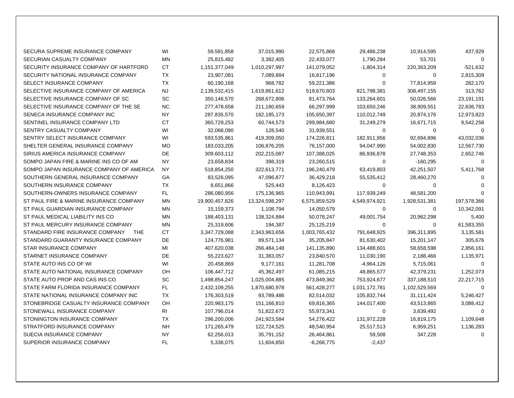| SECURA SUPREME INSURANCE COMPANY              | WI        | 59,591,858     | 37,015,990     | 22,575,868    | 29,486,238    | 10,914,595    | 437,929     |
|-----------------------------------------------|-----------|----------------|----------------|---------------|---------------|---------------|-------------|
| SECURIAN CASUALTY COMPANY                     | MN        | 25,815,482     | 3,382,405      | 22,433,077    | 1,790,284     | 53,701        | $\Omega$    |
| SECURITY INSURANCE COMPANY OF HARTFORD        | <b>CT</b> | 1,151,377,049  | 1,010,297,997  | 141,079,052   | $-1,804,314$  | 220,363,209   | -521,632    |
| SECURITY NATIONAL INSURANCE COMPANY           | <b>TX</b> | 23,907,081     | 7,089,884      | 16,817,196    | 0             | 0             | 2,815,309   |
| SELECT INSURANCE COMPANY                      | <b>TX</b> | 60,190,168     | 968,782        | 59,221,386    | $\Omega$      | 77,814,959    | 282,170     |
| SELECTIVE INSURANCE COMPANY OF AMERICA        | <b>NJ</b> | 2,139,532,415  | 1,619,861,612  | 519,670,803   | 821,798,381   | 308,497,155   | 313,762     |
| SELECTIVE INSURANCE COMPANY OF SC             | <b>SC</b> | 350,146,570    | 268,672,806    | 81,473,764    | 133,264,601   | 50,026,566    | 23,191,191  |
| SELECTIVE INSURANCE COMPANY OF THE SE         | NC.       | 277,478,658    | 211,180,659    | 66,297,999    | 103,650,246   | 38,909,551    | 22,636,783  |
| SENECA INSURANCE COMPANY INC                  | <b>NY</b> | 287,835,570    | 182, 185, 173  | 105,650,397   | 110,012,749   | 20,874,176    | 12,973,823  |
| SENTINEL INSURANCE COMPANY LTD                | <b>CT</b> | 360,729,253    | 60,744,573     | 299,984,680   | 31,249,279    | 16,671,715    | 9,542,258   |
| SENTRY CASUALTY COMPANY                       | WI        | 32,068,090     | 128,540        | 31,939,551    | 0             | 0             | $\Omega$    |
| SENTRY SELECT INSURANCE COMPANY               | WI        | 593,535,861    | 419,309,050    | 174,226,811   | 182,911,956   | 92,694,896    | 43,032,036  |
| SHELTER GENERAL INSURANCE COMPANY             | <b>MO</b> | 183,033,205    | 106,876,205    | 76,157,000    | 94,047,990    | 54,002,830    | 12,567,730  |
| SIRIUS AMERICA INSURANCE COMPANY              | <b>DE</b> | 309,603,112    | 202,215,087    | 107,388,025   | 86,936,878    | 27,748,353    | 2,652,746   |
| SOMPO JAPAN FIRE & MARINE INS CO OF AM        | <b>NY</b> | 23,658,834     | 398,319        | 23,260,515    | 0             | $-160,295$    | $\Omega$    |
| SOMPO JAPAN INSURANCE COMPANY OF AMERICA      | NY        | 518,854,250    | 322,613,771    | 196,240,479   | 63,419,803    | 42,251,507    | 5,411,768   |
| SOUTHERN GENERAL INSURANCE COMPANY            | GA        | 83,526,095     | 47,096,877     | 36,429,218    | 55,535,412    | 28,460,270    | $\Omega$    |
| SOUTHERN INSURANCE COMPANY                    | <b>TX</b> | 8,651,866      | 525,443        | 8,126,423     | 0             | 0             | $\Omega$    |
| SOUTHERN-OWNERS INSURANCE COMPANY             | <b>FL</b> | 286,080,956    | 175,136,965    | 110,943,991   | 117,939,249   | 48,581,200    | $\Omega$    |
| ST PAUL FIRE & MARINE INSURANCE COMPANY       | MN        | 19,900,457,826 | 13,324,598,297 | 6,575,859,529 | 4,549,974,921 | 1,928,531,381 | 197,578,366 |
| ST PAUL GUARDIAN INSURANCE COMPANY            | MN        | 15,159,373     | 1,108,794      | 14,050,579    | 0             | 0             | 10,342,091  |
| ST PAUL MEDICAL LIABILITY INS CO              | <b>MN</b> | 188,403,131    | 138,324,884    | 50,078,247    | 49,001,754    | 20,962,298    | 5,400       |
| ST PAUL MERCURY INSURANCE COMPANY             | MN        | 25,319,606     | 194,387        | 25,125,219    | 0             | 0             | 61,583,355  |
| STANDARD FIRE INSURANCE COMPANY<br><b>THE</b> | <b>CT</b> | 3,347,729,088  | 2,343,963,656  | 1,003,765,432 | 791,648,925   | 396,311,895   | 3,135,581   |
| STANDARD GUARANTY INSURANCE COMPANY           | DE        | 124,776,981    | 89,571,134     | 35,205,847    | 81,630,402    | 15,201,147    | 305,676     |
| STAR INSURANCE COMPANY                        | MI        | 407,620,038    | 266,484,148    | 141,135,890   | 134,488,601   | 58,658,598    | 2,856,161   |
| STARNET INSURANCE COMPANY                     | DE        | 55,223,627     | 31,383,057     | 23,840,570    | 11,030,190    | 2,188,466     | 1,135,971   |
| STATE AUTO INS CO OF WI                       | WI        | 20,458,869     | 9,177,161      | 11,281,708    | $-4,964,126$  | 5,715,061     | $\Omega$    |
| STATE AUTO NATIONAL INSURANCE COMPANY         | OH        | 106,447,712    | 45,362,497     | 61,085,215    | 48,865,577    | 42,379,231    | 1,252,073   |
| STATE AUTO PROP AND CAS INS CO                | SC        | 1,498,854,247  | 1,025,004,885  | 473,849,362   | 753,924,677   | 337,188,510   | 22,217,715  |
| STATE FARM FLORIDA INSURANCE COMPANY          | FL        | 2,432,109,255  | 1,870,680,978  | 561,428,277   | 1,031,172,781 | 1,102,529,569 | $\Omega$    |
| STATE NATIONAL INSURANCE COMPANY INC          | ТX        | 176,303,519    | 93,789,486     | 82,514,032    | 105,832,744   | 31,111,424    | 5,246,427   |
| STONEBRIDGE CASUALTY INSURANCE COMPANY        | OH        | 220,983,175    | 151,166,810    | 69,816,365    | 144,017,400   | 43,513,865    | 3,088,412   |
| STONEWALL INSURANCE COMPANY                   | <b>RI</b> | 107,796,014    | 51,822,672     | 55,973,341    | 0             | 3,639,492     | 0           |
| STONINGTON INSURANCE COMPANY                  | TX        | 296,200,006    | 241,923,584    | 54,276,422    | 131,972,228   | 16,819,175    | 1,109,648   |
| STRATFORD INSURANCE COMPANY                   | <b>NH</b> | 171,265,479    | 122,724,525    | 48,540,954    | 25,517,513    | 6,959,251     | 1,136,283   |
| SUECIA INSURANCE COMPANY                      | <b>NY</b> | 62,256,013     | 35,791,152     | 26,464,861    | 59,508        | 347,228       | $\Omega$    |
| SUPERIOR INSURANCE COMPANY                    | FL        | 5.336.075      | 11,604,850     | $-6.268.775$  | $-2.437$      |               |             |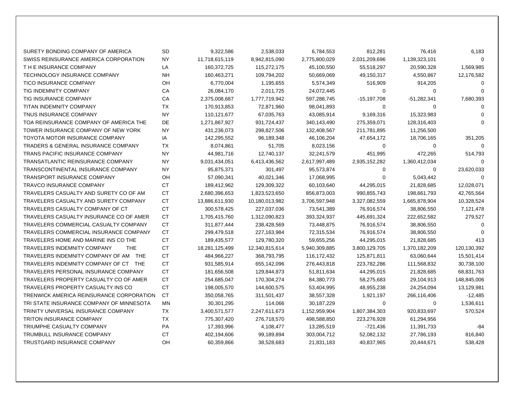| SURETY BONDING COMPANY OF AMERICA                | <b>SD</b> | 9,322,586      | 2,538,033      | 6,784,553     | 812,281       | 76,416        | 6,183       |
|--------------------------------------------------|-----------|----------------|----------------|---------------|---------------|---------------|-------------|
| SWISS REINSURANCE AMERICA CORPORATION            | <b>NY</b> | 11,718,615,119 | 8,942,815,090  | 2,775,800,029 | 2,031,209,696 | 1,139,323,101 | $\Omega$    |
| THE INSURANCE COMPANY                            | LA        | 160,372,725    | 115,272,175    | 45,100,550    | 55,518,297    | 20,590,328    | 1,569,985   |
| <b>TECHNOLOGY INSURANCE COMPANY</b>              | <b>NH</b> | 160,463,271    | 109,794,202    | 50,669,069    | 49,150,317    | 4,550,867     | 12,176,582  |
| <b>TICO INSURANCE COMPANY</b>                    | OH        | 6,770,004      | 1,195,655      | 5,574,349     | 516,909       | 914,205       | $\Omega$    |
| TIG INDEMNITY COMPANY                            | CA        | 26,084,170     | 2,011,725      | 24,072,445    | 0             | 0             | $\Omega$    |
| <b>TIG INSURANCE COMPANY</b>                     | CA        | 2,375,008,687  | 1,777,719,942  | 597,288,745   | $-15,197,708$ | $-51,282,341$ | 7,680,393   |
| <b>TITAN INDEMNITY COMPANY</b>                   | <b>TX</b> | 170,913,853    | 72,871,960     | 98,041,893    | 0             | $\Omega$      | $\Omega$    |
| <b>TNUS INSURANCE COMPANY</b>                    | <b>NY</b> | 110,121,677    | 67,035,763     | 43,085,914    | 9,169,316     | 15,323,983    | $\Omega$    |
| TOA REINSURANCE COMPANY OF AMERICA THE           | DE        | 1,271,867,927  | 931,724,437    | 340,143,490   | 275,359,071   | 128,316,403   | $\Omega$    |
| TOWER INSURANCE COMPANY OF NEW YORK              | <b>NY</b> | 431,236,073    | 298,827,506    | 132,408,567   | 211,781,895   | 11,256,500    |             |
| TOYOTA MOTOR INSURANCE COMPANY                   | IA        | 142,295,552    | 96,189,348     | 46,106,204    | 47,654,172    | 18,706,165    | 351,205     |
| <b>TRADERS &amp; GENERAL INSURANCE COMPANY</b>   | <b>TX</b> | 8,074,861      | 51,705         | 8,023,156     | 0             | 0             | $\Omega$    |
| <b>TRANS PACIFIC INSURANCE COMPANY</b>           | <b>NY</b> | 44,981,716     | 12,740,137     | 32,241,579    | 451,995       | 472,265       | 514,793     |
| <b>TRANSATLANTIC REINSURANCE COMPANY</b>         | <b>NY</b> | 9,031,434,051  | 6,413,436,562  | 2,617,997,489 | 2,935,152,282 | 1,360,412,034 | $\Omega$    |
| TRANSCONTINENTAL INSURANCE COMPANY               | NY.       | 95,875,371     | 301,497        | 95,573,874    | 0             | 0             | 23,620,033  |
| <b>TRANSPORT INSURANCE COMPANY</b>               | OH        | 57,090,341     | 40,021,346     | 17,068,995    | 0             | 5,043,442     | 0           |
| <b>TRAVCO INSURANCE COMPANY</b>                  | <b>CT</b> | 189,412,962    | 129,309,322    | 60,103,640    | 44,295,015    | 21,828,685    | 12,028,071  |
| TRAVELERS CASUALTY AND SURETY CO OF AM           | <b>CT</b> | 2,680,396,653  | 1,823,523,650  | 856,873,003   | 990,855,743   | 198,661,793   | 42,765,564  |
| TRAVELERS CASUALTY AND SURETY COMPANY            | <b>CT</b> | 13,886,611,930 | 10,180,013,982 | 3,706,597,948 | 3,327,082,559 | 1,665,878,904 | 10,328,524  |
| TRAVELERS CASUALTY COMPANY OF CT                 | <b>CT</b> | 300,578,425    | 227,037,036    | 73,541,389    | 76,916,574    | 38,806,550    | 7,121,478   |
| TRAVELERS CASUALTY INSURANCE CO OF AMER          | <b>CT</b> | 1,705,415,760  | 1,312,090,823  | 393,324,937   | 445,691,324   | 222,652,582   | 279,527     |
| TRAVELERS COMMERCIAL CASUALTY COMPANY            | <b>CT</b> | 311,877,444    | 238,428,569    | 73,448,875    | 76,916,574    | 38,806,550    | $\Omega$    |
| TRAVELERS COMMERCIAL INSURANCE COMPANY           | <b>CT</b> | 299,479,518    | 227, 163, 984  | 72,315,534    | 76,916,574    | 38,806,550    | $\Omega$    |
| TRAVELERS HOME AND MARINE INS CO THE             | <b>CT</b> | 189,435,577    | 129,780,320    | 59,655,256    | 44,295,015    | 21,828,685    | 413         |
| <b>TRAVELERS INDEMNITY COMPANY</b><br><b>THE</b> | <b>CT</b> | 18,281,125,499 | 12,340,815,614 | 5,940,309,885 | 3,800,129,705 | 1,370,182,209 | 120,130,392 |
| TRAVELERS INDEMNITY COMPANY OF AM THE            | CT.       | 484,966,227    | 368,793,795    | 116,172,432   | 125,871,811   | 63,060,644    | 15,501,414  |
| TRAVELERS INDEMNITY COMPANY OF CT THE            | <b>CT</b> | 931,585,914    | 655,142,096    | 276,443,818   | 223,782,286   | 111,568,832   | 30,738,100  |
| TRAVELERS PERSONAL INSURANCE COMPANY             | <b>CT</b> | 181,656,508    | 129,844,873    | 51,811,634    | 44,295,015    | 21,828,685    | 68,831,763  |
| TRAVELERS PROPERTY CASUALTY CO OF AMER           | <b>CT</b> | 254,685,047    | 170,304,274    | 84,380,773    | 58,275,683    | 29,104,913    | 148,845,006 |
| TRAVELERS PROPERTY CASUALTY INS CO               | <b>CT</b> | 198,005,570    | 144,600,575    | 53,404,995    | 48,955,238    | 24,254,094    | 13,129,981  |
| TRENWICK AMERICA REINSURANCE CORPORATION         | CT        | 350,058,765    | 311,501,437    | 38,557,328    | 1,921,197     | 266,116,406   | $-12,485$   |
| TRI STATE INSURANCE COMPANY OF MINNESOTA         | <b>MN</b> | 30,301,295     | 114,066        | 30,187,229    | 0             | 0             | 1,536,611   |
| TRINITY UNIVERSAL INSURANCE COMPANY              | TX        | 3,400,571,577  | 2,247,611,673  | 1,152,959,904 | 1,807,384,303 | 920,833,697   | 570,524     |
| <b>TRITON INSURANCE COMPANY</b>                  | <b>TX</b> | 775,307,420    | 276,718,570    | 498,588,850   | 223,276,928   | 61,294,956    |             |
| <b>TRIUMPHE CASUALTY COMPANY</b>                 | PA        | 17,393,996     | 4,108,477      | 13,285,519    | $-721,436$    | 11,391,733    | -84         |
| <b>TRUMBULL INSURANCE COMPANY</b>                | <b>CT</b> | 402,194,606    | 99,189,894     | 303,004,712   | 52,082,132    | 27,786,193    | 816,840     |
| TRUSTGARD INSURANCE COMPANY                      | OΗ        | 60,359,866     | 38,528,683     | 21,831,183    | 40,837,965    | 20,444,671    | 538,428     |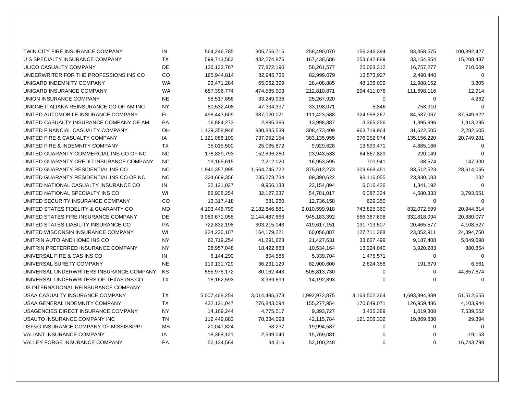| TWIN CITY FIRE INSURANCE COMPANY         | IN        | 564,246,785   | 305,756,715   | 258,490,070   | 156,246,394   | 83,358,575    | 100,392,427 |
|------------------------------------------|-----------|---------------|---------------|---------------|---------------|---------------|-------------|
| U S SPECIALTY INSURANCE COMPANY          | <b>TX</b> | 599,713,562   | 432,274,876   | 167,438,686   | 253,642,689   | 33,154,854    | 15,208,437  |
| ULICO CASUALTY COMPANY                   | <b>DE</b> | 136, 133, 767 | 77,872,190    | 58,261,577    | 25,063,312    | 16,757,277    | 710,609     |
| UNDERWRITER FOR THE PROFESSIONS INS CO   | CO        | 165,944,814   | 82,945,735    | 82,999,079    | 13,573,927    | 2,490,440     | $\Omega$    |
| UNIGARD INDEMNITY COMPANY                | <b>WA</b> | 93,471,284    | 65,062,399    | 28,408,885    | 48,136,009    | 12,988,152    | 3,805       |
| UNIGARD INSURANCE COMPANY                | <b>WA</b> | 687,396,774   | 474,585,903   | 212,810,871   | 294,411,076   | 111,698,116   | 12,914      |
| UNION INSURANCE COMPANY                  | <b>NE</b> | 58,517,856    | 33,249,936    | 25,267,920    | 0             | $\mathbf 0$   | 4,262       |
| UNIONE ITALIANA REINSURANCE CO OF AM INC | NY.       | 80,532,408    | 47,334,337    | 33,198,071    | $-5,346$      | 758,910       | $\Omega$    |
| UNITED AUTOMOBILE INSURANCE COMPANY      | FL        | 498,443,609   | 387,020,021   | 111,423,588   | 324,958,267   | 84,537,067    | 37,549,622  |
| UNITED CASUALTY INSURANCE COMPANY OF AM  | <b>PA</b> | 16,884,273    | 2,885,386     | 13,998,887    | 3,365,256     | 1,395,996     | 1,913,295   |
| UNITED FINANCIAL CASUALTY COMPANY        | OH        | 1,139,358,948 | 830,885,539   | 308,473,409   | 963,719,964   | 31,622,505    | 2,282,605   |
| UNITED FIRE & CASUALTY COMPANY           | IA        | 1,121,088,109 | 737,952,154   | 383,135,955   | 376,252,074   | 135, 156, 220 | 20,749,281  |
| UNITED FIRE & INDEMNITY COMPANY          | <b>TX</b> | 35,015,500    | 25,085,872    | 9,929,628     | 13,599,471    | 4,885,166     | 0           |
| UNITED GUARANTY COMMERCIAL INS CO OF NC  | <b>NC</b> | 176,839,793   | 152,896,260   | 23,943,533    | 64,867,829    | 220,149       | $\Omega$    |
| UNITED GUARANTY CREDIT INSURANCE COMPANY | <b>NC</b> | 19,165,615    | 2,212,020     | 16,953,595    | 700,941       | $-38,574$     | 147,900     |
| UNITED GUARANTY RESIDENTIAL INS CO       | <b>NC</b> | 1,940,357,995 | 1,564,745,722 | 375,612,273   | 309,968,451   | 83,512,523    | 28,614,065  |
| UNITED GUARANTY RESIDENTIAL INS CO OF NC | <b>NC</b> | 324,669,356   | 235,278,734   | 89,390,622    | 98,116,055    | 23,930,083    | 232         |
| UNITED NATIONAL CASUALTY INSURANCE CO    | IN        | 32,121,027    | 9,966,133     | 22,154,894    | 6,016,426     | 1,341,192     | $\Omega$    |
| UNITED NATIONAL SPECIALTY INS CO         | WI        | 86,908,254    | 32, 127, 237  | 54,781,017    | 6,087,324     | 4,580,333     | 3,793,651   |
| UNITED SECURITY INSURANCE COMPANY        | CO        | 13,317,418    | 581,260       | 12,736,158    | 629,350       | 0             | $\Omega$    |
| UNITED STATES FIDELITY & GUARANTY CO     | <b>MD</b> | 4,193,446,799 | 2,182,846,881 | 2,010,599,918 | 743,825,360   | 832,072,599   | 20,944,314  |
| UNITED STATES FIRE INSURANCE COMPANY     | DE        | 3,089,671,058 | 2,144,487,666 | 945,183,392   | 566,367,698   | 332,818,094   | 20,380,077  |
| UNITED STATES LIABILITY INSURANCE CO     | PA        | 722,832,198   | 303,215,043   | 419,617,151   | 131,713,507   | 20,465,577    | 4,108,527   |
| UNITED WISCONSIN INSURANCE COMPANY       | WI        | 224,236,107   | 164,179,221   | 60,056,887    | 127,711,388   | 23,852,911    | 24,894,750  |
| UNITRIN AUTO AND HOME INS CO             | <b>NY</b> | 62,719,254    | 41,291,623    | 21,427,631    | 33,627,499    | 9,187,408     | 5,049,698   |
| UNITRIN PREFERRED INSURANCE COMPANY      | NY        | 28,957,048    | 18,422,883    | 10,534,164    | 13,224,040    | 3,920,283     | 880,854     |
| UNIVERSAL FIRE & CAS INS CO              | IN        | 6,144,290     | 804,586       | 5,339,704     | 1,475,571     | 0             | $\Omega$    |
| UNIVERSAL SURETY COMPANY                 | <b>NE</b> | 119,131,729   | 36,231,129    | 82,900,600    | 2,824,358     | 191,679       | 6,561       |
| UNIVERSAL UNDERWRITERS INSURANCE COMPANY | KS        | 585,976,172   | 80,162,443    | 505,813,730   | 0             | $\mathbf 0$   | 44,857,674  |
| UNIVERSAL UNDERWRITERS OF TEXAS INS CO   | <b>TX</b> | 18,162,593    | 3,969,699     | 14,192,893    | 0             | 0             | $\mathbf 0$ |
| US INTERNATIONAL REINSURANCE COMPANY     |           |               |               |               |               |               |             |
| USAA CASUALTY INSURANCE COMPANY          | <b>TX</b> | 5,007,468,254 | 3,014,495,378 | 1,992,972,875 | 3,163,502,364 | 1,693,894,889 | 51,512,655  |
| USAA GENERAL INDEMNITY COMPANY           | <b>TX</b> | 432,121,047   | 276,843,094   | 155,277,954   | 170,649,071   | 126,959,486   | 4,103,944   |
| USAGENCIES DIRECT INSURANCE COMPANY      | NY.       | 14,169,244    | 4,775,517     | 9,393,727     | 3,435,389     | 1,019,308     | 7,539,552   |
| USAUTO INSURANCE COMPANY INC             | TN        | 112,449,883   | 70,334,098    | 42,115,784    | 121,206,302   | 19,869,830    | 29,394      |
| USF&G INSURANCE COMPANY OF MISSISSIPPI   | <b>MS</b> | 20,047,824    | 53,237        | 19,994,587    | 0             | 0             | 0           |
| <b>VALIANT INSURANCE COMPANY</b>         | IA        | 18,368,121    | 2,599,040     | 15,769,081    | 0             | $\mathbf 0$   | $-19,153$   |
| VALLEY FORGE INSURANCE COMPANY           | <b>PA</b> | 52,134,564    | 34,316        | 52,100,248    | $\Omega$      | $\Omega$      | 16,743,798  |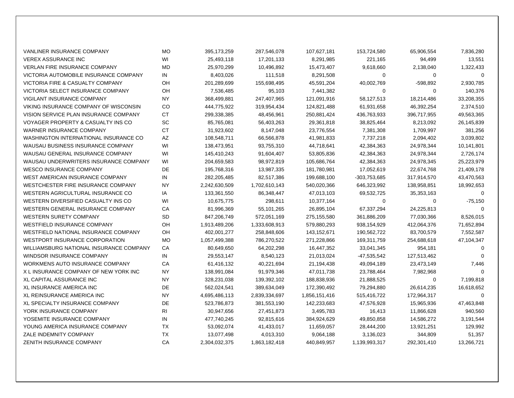| VANLINER INSURANCE COMPANY              | <b>MO</b> | 395, 173, 259 | 287,546,078   | 107,627,181   | 153,724,580   | 65,906,554   | 7,836,280   |
|-----------------------------------------|-----------|---------------|---------------|---------------|---------------|--------------|-------------|
| <b>VEREX ASSURANCE INC</b>              | WI        | 25,493,118    | 17,201,133    | 8,291,985     | 221,165       | 94,499       | 13,551      |
| <b>VERLAN FIRE INSURANCE COMPANY</b>    | <b>MD</b> | 25,970,299    | 10,496,892    | 15,473,407    | 9,618,660     | 2,138,040    | 1,322,433   |
| VICTORIA AUTOMOBILE INSURANCE COMPANY   | IN.       | 8,403,026     | 111,518       | 8,291,508     | 0             | 0            | $\Omega$    |
| VICTORIA FIRE & CASUALTY COMPANY        | OH        | 201,289,699   | 155,698,495   | 45,591,204    | 40,002,769    | $-598,892$   | 2,930,785   |
| VICTORIA SELECT INSURANCE COMPANY       | OH        | 7,536,485     | 95,103        | 7,441,382     | 0             | $\mathbf 0$  | 140,376     |
| <b>VIGILANT INSURANCE COMPANY</b>       | <b>NY</b> | 368,499,881   | 247,407,965   | 121,091,916   | 58,127,513    | 18,214,486   | 33,208,355  |
| VIKING INSURANCE COMPANY OF WISCONSIN   | CO        | 444,775,922   | 319,954,434   | 124,821,488   | 61,931,658    | 46,392,254   | 2,374,510   |
| VISION SERVICE PLAN INSURANCE COMPANY   | <b>CT</b> | 299,338,385   | 48,456,961    | 250,881,424   | 436,763,933   | 396,717,955  | 49,563,365  |
| VOYAGER PROPERTY & CASUALTY INS CO      | SC        | 85,765,081    | 56,403,263    | 29,361,818    | 38,825,464    | 8,213,092    | 26,145,839  |
| WARNER INSURANCE COMPANY                | <b>CT</b> | 31,923,602    | 8,147,048     | 23,776,554    | 7,381,308     | 1,709,997    | 381,256     |
| WASHINGTON INTERNATIONAL INSURANCE CO   | AZ        | 108,548,711   | 66,566,878    | 41,981,833    | 7,737,218     | 2,094,402    | 3,039,802   |
| WAUSAU BUSINESS INSURANCE COMPANY       | WI        | 138,473,951   | 93,755,310    | 44,718,641    | 42,384,363    | 24,978,344   | 10,141,801  |
| WAUSAU GENERAL INSURANCE COMPANY        | WI        | 145,410,243   | 91,604,407    | 53,805,836    | 42,384,363    | 24,978,344   | 2,726,174   |
| WAUSAU UNDERWRITERS INSURANCE COMPANY   | WI        | 204,659,583   | 98,972,819    | 105,686,764   | 42,384,363    | 24,978,345   | 25,223,979  |
| <b>WESCO INSURANCE COMPANY</b>          | DE        | 195,768,316   | 13,987,335    | 181,780,981   | 17,052,619    | 22,674,768   | 21,409,178  |
| WEST AMERICAN INSURANCE COMPANY         | IN.       | 282,205,485   | 82,517,386    | 199,688,100   | -303,753,685  | 317,914,570  | 43,470,563  |
| WESTCHESTER FIRE INSURANCE COMPANY      | <b>NY</b> | 2,242,630,509 | 1,702,610,143 | 540,020,366   | 646,323,992   | 138,958,851  | 18,992,653  |
| WESTERN AGRICULTURAL INSURANCE CO       | IA        | 133,361,550   | 86,348,447    | 47,013,103    | 69,532,725    | 35, 353, 163 | $\Omega$    |
| WESTERN DIVERSIFIED CASUALTY INS CO     | WI        | 10,675,775    | 298,611       | 10,377,164    | $\mathbf 0$   | 0            | $-75,150$   |
| WESTERN GENERAL INSURANCE COMPANY       | СA        | 81,996,369    | 55,101,265    | 26,895,104    | 67,337,294    | 24,225,813   | $\Omega$    |
| <b>WESTERN SURETY COMPANY</b>           | <b>SD</b> | 847,206,749   | 572,051,169   | 275,155,580   | 361,886,209   | 77,030,366   | 8,526,015   |
| <b>WESTFIELD INSURANCE COMPANY</b>      | OH        | 1,913,489,206 | 1,333,608,913 | 579,880,293   | 938,154,929   | 412,064,376  | 71,652,894  |
| WESTFIELD NATIONAL INSURANCE COMPANY    | OH        | 402,001,277   | 258,848,606   | 143,152,671   | 190,562,722   | 83,700,579   | 7,552,587   |
| WESTPORT INSURANCE CORPORATION          | <b>MO</b> | 1,057,499,388 | 786,270,522   | 271,228,866   | 169,311,759   | 254,688,618  | 47,104,347  |
| WILLIAMSBURG NATIONAL INSURANCE COMPANY | CA        | 80,649,650    | 64,202,298    | 16,447,352    | 33,041,345    | 954,181      | $\mathbf 0$ |
| <b>WINDSOR INSURANCE COMPANY</b>        | IN        | 29,553,147    | 8,540,123     | 21,013,024    | $-47,535,542$ | 127,513,462  | $\Omega$    |
| WORKMENS AUTO INSURANCE COMPANY         | СA        | 61,416,132    | 40,221,694    | 21,194,438    | 49,094,189    | 23,473,149   | 7,446       |
| X L INSURANCE COMPANY OF NEW YORK INC   | NY.       | 138,991,084   | 91,979,346    | 47,011,738    | 23,788,464    | 7,982,968    | $\Omega$    |
| XL CAPITAL ASSURANCE INC                | NY.       | 328,231,038   | 139,392,102   | 188,838,936   | 21,888,525    | 0            | 7,199,818   |
| XL INSURANCE AMERICA INC                | <b>DE</b> | 562,024,541   | 389,634,049   | 172,390,492   | 79,294,880    | 26,614,235   | 16,618,652  |
| XL REINSURANCE AMERICA INC              | <b>NY</b> | 4,695,486,113 | 2,839,334,697 | 1,856,151,416 | 515,416,722   | 172,964,317  | $\mathbf 0$ |
| XL SPECIALTY INSURANCE COMPANY          | <b>DE</b> | 523,786,873   | 381,553,190   | 142,233,683   | 47,576,928    | 15,965,936   | 47,463,848  |
| YORK INSURANCE COMPANY                  | RI        | 30,947,656    | 27,451,873    | 3,495,783     | 16,413        | 11,866,628   | 940,560     |
| YOSEMITE INSURANCE COMPANY              | IN        | 477,740,245   | 92,815,616    | 384,924,629   | 49,850,858    | 14,586,272   | 3,191,544   |
| YOUNG AMERICA INSURANCE COMPANY         | TX        | 53,092,074    | 41,433,017    | 11,659,057    | 28,444,200    | 13,921,251   | 129,992     |
| ZALE INDEMNITY COMPANY                  | <b>TX</b> | 13,077,498    | 4,013,310     | 9,064,188     | 3,136,023     | 344,809      | 51,357      |
| ZENITH INSURANCE COMPANY                | CA        | 2,304,032,375 | 1,863,182,418 | 440,849,957   | 1,139,993,317 | 292,301,410  | 13,266,721  |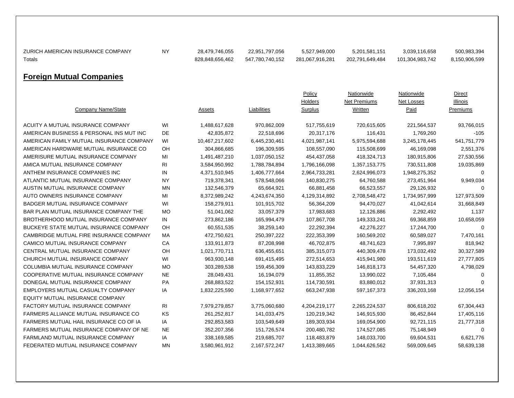| ZURICH AMERICAN INSURANCE COMPANY<br>Totals | <b>NY</b> | 28,479,746,055<br>828,848,656,462 | 22,951,797,056<br>547,780,740,152 | 5,527,949,000<br>281,067,916,281 | 5,201,581,151<br>202,791,649,484             | 3,039,116,658<br>101,304,983,742        | 500,983,394<br>8,150,906,599          |
|---------------------------------------------|-----------|-----------------------------------|-----------------------------------|----------------------------------|----------------------------------------------|-----------------------------------------|---------------------------------------|
| <b>Foreign Mutual Companies</b>             |           |                                   |                                   |                                  |                                              |                                         |                                       |
| Company Name/State                          |           | Assets                            | Liabilities                       | Policy<br>Holders<br>Surplus     | Nationwide<br><b>Net Premiums</b><br>Written | Nationwide<br>Net Losses<br><u>Paid</u> | Direct<br>Illinois<br><b>Premiums</b> |
| ACUITY A MUTUAL INSURANCE COMPANY           | WI        | 1,488,617,628                     | 970,862,009                       | 517,755,619                      | 720,615,605                                  | 221,564,537                             | 93,766,015                            |
| AMERICAN BUSINESS & PERSONAL INS MUT INC    | DE        | 42,835,872                        | 22,518,696                        | 20,317,176                       | 116,431                                      | 1,769,260                               | $-105$                                |
| AMERICAN FAMILY MUTUAL INSURANCE COMPANY    | WI        | 10,467,217,602                    | 6,445,230,461                     | 4,021,987,141                    | 5,975,594,688                                | 3,245,178,445                           | 541,751,779                           |
| AMERICAN HARDWARE MUTUAL INSURANCE CO       | OH        | 304,866,685                       | 196,309,595                       | 108,557,090                      | 115,508,699                                  | 46,169,098                              | 2,551,376                             |
| AMERISURE MUTUAL INSURANCE COMPANY          | MI        | 1,491,487,210                     | 1,037,050,152                     | 454,437,058                      | 418,324,713                                  | 180,915,806                             | 27,530,556                            |
| AMICA MUTUAL INSURANCE COMPANY              | RI        | 3,584,950,992                     | 1,788,784,894                     | 1,796,166,098                    | 1,357,153,775                                | 730,511,808                             | 19,035,869                            |
| ANTHEM INSURANCE COMPANIES INC              | IN        | 4,371,510,945                     | 1,406,777,664                     | 2,964,733,281                    | 2,624,996,073                                | 1,948,275,352                           | 0                                     |
| ATLANTIC MUTUAL INSURANCE COMPANY           | ΝY        | 719,378,341                       | 578,548,066                       | 140,830,275                      | 64,760,588                                   | 273,451,964                             | 9,949,034                             |
| AUSTIN MUTUAL INSURANCE COMPANY             | <b>MN</b> | 132,546,379                       | 65,664,921                        | 66,881,458                       | 66,523,557                                   | 29,126,932                              | $\mathbf 0$                           |
| AUTO OWNERS INSURANCE COMPANY               | MI        | 8,372,989,242                     | 4,243,674,350                     | 4,129,314,892                    | 2,708,548,472                                | 1,734,957,999                           | 127,973,509                           |
| BADGER MUTUAL INSURANCE COMPANY             | WI        | 158,279,911                       | 101,915,702                       | 56,364,209                       | 94,470,027                                   | 41,042,614                              | 31,668,849                            |
| BAR PLAN MUTUAL INSURANCE COMPANY THE       | MO        | 51,041,062                        | 33,057,379                        | 17,983,683                       | 12,126,886                                   | 2,292,492                               | 1,137                                 |
| BROTHERHOOD MUTUAL INSURANCE COMPANY        | IN        | 273,862,186                       | 165,994,479                       | 107,867,708                      | 149,333,241                                  | 69,368,859                              | 10,658,059                            |
| BUCKEYE STATE MUTUAL INSURANCE COMPANY      | OH        | 60,551,535                        | 38,259,140                        | 22,292,394                       | 42,276,227                                   | 17,244,700                              | 0                                     |
| CAMBRIDGE MUTUAL FIRE INSURANCE COMPANY     | <b>MA</b> | 472,750,621                       | 250, 397, 222                     | 222,353,399                      | 160,569,202                                  | 60,589,027                              | 7,470,161                             |
| CAMICO MUTUAL INSURANCE COMPANY             | СA        | 133,911,873                       | 87,208,998                        | 46,702,875                       | 48,741,623                                   | 7,995,897                               | 818,942                               |
| CENTRAL MUTUAL INSURANCE COMPANY            | OH        | 1,021,770,711                     | 636,455,651                       | 385,315,073                      | 440,309,478                                  | 173,032,492                             | 30,327,589                            |
| CHURCH MUTUAL INSURANCE COMPANY             | WI        | 963,930,148                       | 691,415,495                       | 272,514,653                      | 415,941,980                                  | 193,511,619                             | 27,777,805                            |
| COLUMBIA MUTUAL INSURANCE COMPANY           | <b>MO</b> | 303,289,538                       | 159,456,309                       | 143,833,229                      | 146,818,173                                  | 54,457,320                              | 4,798,029                             |
| COOPERATIVE MUTUAL INSURANCE COMPANY        | <b>NE</b> | 28,049,431                        | 16,194,079                        | 11,855,352                       | 13,990,022                                   | 7,105,484                               | $\mathbf 0$                           |
| DONEGAL MUTUAL INSURANCE COMPANY            | PA        | 268,883,522                       | 154, 152, 931                     | 114,730,591                      | 83,880,012                                   | 37,931,313                              | $\Omega$                              |
| EMPLOYERS MUTUAL CASUALTY COMPANY           | ΙA        | 1,832,225,590                     | 1,168,977,652                     | 663,247,938                      | 597, 167, 373                                | 336,203,168                             | 12,056,154                            |
| <b>EQUITY MUTUAL INSURANCE COMPANY</b>      |           |                                   |                                   |                                  |                                              |                                         |                                       |
| FACTORY MUTUAL INSURANCE COMPANY            | RI        | 7,979,279,857                     | 3,775,060,680                     | 4,204,219,177                    | 2,265,224,537                                | 806,618,202                             | 67,304,443                            |
| <b>FARMERS ALLIANCE MUTUAL INSURANCE CO</b> | KS        | 261,252,817                       | 141,033,475                       | 120,219,342                      | 146,915,930                                  | 86,452,844                              | 17,405,116                            |
| FARMERS MUTUAL HAIL INSURANCE CO OF IA      | ΙA        | 292,853,583                       | 103,549,649                       | 189,303,934                      | 169,054,900                                  | 92,721,115                              | 21,777,318                            |
| FARMERS MUTUAL INSURANCE COMPANY OF NE      | <b>NE</b> | 352,207,356                       | 151,726,574                       | 200,480,782                      | 174,527,085                                  | 75,148,949                              | 0                                     |
| FARMLAND MUTUAL INSURANCE COMPANY           | IA        | 338,169,585                       | 219,685,707                       | 118,483,879                      | 148,033,700                                  | 69,604,531                              | 6,621,776                             |
| FEDERATED MUTUAL INSURANCE COMPANY          | ΜN        | 3,580,961,912                     | 2,167,572,247                     | 1,413,389,665                    | 1,044,626,562                                | 569,009,645                             | 58,639,138                            |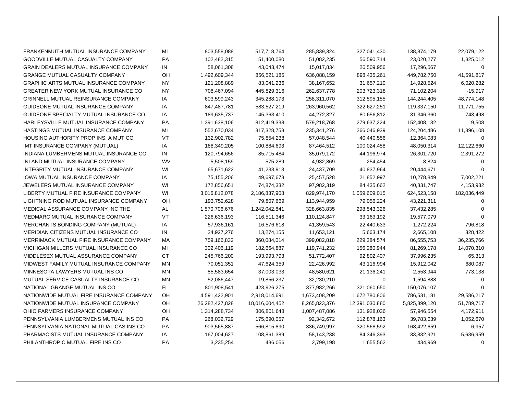| FRANKENMUTH MUTUAL INSURANCE COMPANY          | MI        | 803,558,088    | 517,718,764    | 285,839,324   | 327,041,430    | 138,874,179   | 22,079,122  |
|-----------------------------------------------|-----------|----------------|----------------|---------------|----------------|---------------|-------------|
| GOODVILLE MUTUAL CASUALTY COMPANY             | <b>PA</b> | 102,482,315    | 51,400,080     | 51,082,235    | 56,590,714     | 23,020,277    | 1,325,012   |
| <b>GRAIN DEALERS MUTUAL INSURANCE COMPANY</b> | IN        | 58,061,308     | 43,043,474     | 15,017,834    | 26,509,956     | 17,296,567    | $\Omega$    |
| <b>GRANGE MUTUAL CASUALTY COMPANY</b>         | OH        | 1,492,609,344  | 856,521,185    | 636,088,159   | 898,435,261    | 449,782,750   | 41,591,817  |
| <b>GRAPHIC ARTS MUTUAL INSURANCE COMPANY</b>  | NY.       | 121,208,889    | 83,041,236     | 38,167,652    | 31,657,210     | 14,928,524    | 6,020,282   |
| GREATER NEW YORK MUTUAL INSURANCE CO          | <b>NY</b> | 708,467,094    | 445,829,316    | 262,637,778   | 203,723,318    | 71,102,204    | $-15,917$   |
| <b>GRINNELL MUTUAL REINSURANCE COMPANY</b>    | IA        | 603,599,243    | 345,288,173    | 258,311,070   | 312,595,155    | 144,244,405   | 48,774,148  |
| GUIDEONE MUTUAL INSURANCE COMPANY             | IA        | 847,487,781    | 583,527,219    | 263,960,562   | 322,627,251    | 119,337,150   | 11,771,755  |
| GUIDEONE SPECIALTY MUTUAL INSURANCE CO        | IA        | 189,635,737    | 145,363,410    | 44,272,327    | 80,656,812     | 31,346,360    | 743,498     |
| HARLEYSVILLE MUTUAL INSURANCE COMPANY         | PA        | 1,391,638,106  | 812,419,338    | 579,218,768   | 279,637,224    | 152,408,132   | 9,508       |
| HASTINGS MUTUAL INSURANCE COMPANY             | MI        | 552,670,034    | 317,328,758    | 235,341,276   | 266,046,939    | 124,204,486   | 11,896,108  |
| HOUSING AUTHORITY PROP INS, A MUT CO          | VT        | 132,902,782    | 75,854,238     | 57,048,544    | 40,440,556     | 12,364,083    | $\mathbf 0$ |
| IMT INSURANCE COMPANY (MUTUAL)                | IA        | 188,349,205    | 100,884,693    | 87,464,512    | 100,024,458    | 48,050,314    | 12,122,660  |
| INDIANA LUMBERMENS MUTUAL INSURANCE CO        | IN        | 120,794,656    | 85,715,484     | 35,079,172    | 44,196,974     | 26,301,720    | 2,391,272   |
| INLAND MUTUAL INSURANCE COMPANY               | <b>WV</b> | 5,508,159      | 575,289        | 4,932,869     | 254,454        | 8,824         | $\Omega$    |
| INTEGRITY MUTUAL INSURANCE COMPANY            | WI        | 65,671,622     | 41,233,913     | 24,437,709    | 40,837,964     | 20,444,671    | $\Omega$    |
| <b>IOWA MUTUAL INSURANCE COMPANY</b>          | IA        | 75,155,206     | 49,697,678     | 25,457,528    | 21,852,997     | 10,278,849    | 7,002,221   |
| JEWELERS MUTUAL INSURANCE COMPANY             | WI        | 172,856,651    | 74,874,332     | 97,982,319    | 84,435,662     | 40,831,747    | 4,153,932   |
| LIBERTY MUTUAL FIRE INSURANCE COMPANY         | WI        | 3,016,812,078  | 2,186,837,908  | 829,974,170   | 1,059,609,015  | 624,523,158   | 182,036,449 |
| LIGHTNING ROD MUTUAL INSURANCE COMPANY        | OH.       | 193,752,628    | 79,807,669     | 113,944,959   | 79,056,224     | 43,221,311    | $\Omega$    |
| MEDICAL ASSURANCE COMPANY INC THE             | AL        | 1,570,706,676  | 1,242,042,841  | 328,663,835   | 298,543,326    | 37,432,285    | $\Omega$    |
| MEDMARC MUTUAL INSURANCE COMPANY              | VT        | 226,636,193    | 116,511,346    | 110,124,847   | 33, 163, 192   | 19,577,079    | $\Omega$    |
| MERCHANTS BONDING COMPANY (MUTUAL)            | IA        | 57,936,161     | 16,576,618     | 41,359,543    | 22,440,633     | 1,272,224     | 796,818     |
| MERIDIAN CITIZENS MUTUAL INSURANCE CO         | IN        | 24,927,276     | 13,274,155     | 11,653,121    | 5,663,174      | 2,665,108     | 328,422     |
| MERRIMACK MUTUAL FIRE INSURANCE COMPANY       | <b>MA</b> | 759,166,832    | 360,084,014    | 399,082,818   | 229,384,574    | 86,555,753    | 36,235,766  |
| MICHIGAN MILLERS MUTUAL INSURANCE CO          | MI        | 302,406,119    | 182,664,887    | 119,741,232   | 156,280,944    | 81,269,178    | 14,070,310  |
| MIDDLESEX MUTUAL ASSURANCE COMPANY            | <b>CT</b> | 245,766,200    | 193,993,793    | 51,772,407    | 92,802,407     | 37,996,235    | 65,313      |
| MIDWEST FAMILY MUTUAL INSURANCE COMPANY       | MN        | 70,051,351     | 47,624,359     | 22,426,992    | 43,116,994     | 15,912,042    | 680,087     |
| MINNESOTA LAWYERS MUTUAL INS CO               | <b>MN</b> | 85,583,654     | 37,003,033     | 48,580,621    | 21,136,241     | 2,553,944     | 773,138     |
| MUTUAL SERVICE CASUALTY INSURANCE CO          | <b>MN</b> | 52,086,447     | 19,856,237     | 32,230,210    | 0              | 1,594,888     | $\Omega$    |
| NATIONAL GRANGE MUTUAL INS CO                 | <b>FL</b> | 801,908,541    | 423,926,275    | 377,982,266   | 321,060,650    | 150,076,107   | $\Omega$    |
| NATIONWIDE MUTUAL FIRE INSURANCE COMPANY      | OH        | 4,591,422,901  | 2,918,014,691  | 1,673,408,209 | 1,672,780,806  | 786,531,181   | 29,586,217  |
| NATIONWIDE MUTUAL INSURANCE COMPANY           | OH        | 26,282,427,828 | 18,016,604,452 | 8,265,823,376 | 12,391,030,880 | 5,825,899,120 | 51,789,717  |
| OHIO FARMERS INSURANCE COMPANY                | OH        | 1,314,288,734  | 306,801,648    | 1,007,487,086 | 131,928,036    | 57,946,554    | 4,172,911   |
| PENNSYLVANIA LUMBERMENS MUTUAL INS CO         | <b>PA</b> | 268,032,729    | 175,690,057    | 92,342,672    | 112,878,163    | 39,783,039    | 1,052,670   |
| PENNSYLVANIA NATIONAL MUTUAL CAS INS CO       | <b>PA</b> | 903,565,887    | 566,815,890    | 336,749,997   | 320,568,592    | 168,422,659   | 6,957       |
| PHARMACISTS MUTUAL INSURANCE COMPANY          | IA        | 167,004,627    | 108,861,389    | 58,143,238    | 84,346,393     | 33,832,921    | 5,636,959   |
| PHILANTHROPIC MUTUAL FIRE INS CO              | <b>PA</b> | 3,235,254      | 436,056        | 2,799,198     | 1,655,562      | 434,969       | 0           |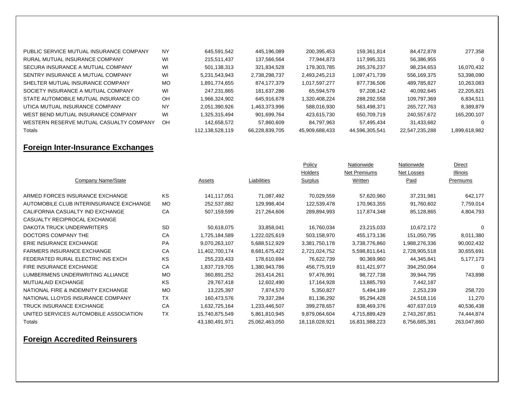| PUBLIC SERVICE MUTUAL INSURANCE COMPANY | <b>NY</b> | 645.591.542     | 445.196.089    | 200,395,453    | 159.361.814    | 84.472.878     | 277,358       |
|-----------------------------------------|-----------|-----------------|----------------|----------------|----------------|----------------|---------------|
| RURAL MUTUAL INSURANCE COMPANY          | WI        | 215.511.437     | 137.566.564    | 77.944.873     | 117.995.321    | 56,386,955     | $\Omega$      |
| SECURA INSURANCE A MUTUAL COMPANY       | WI        | 501.138.313     | 321.834.528    | 179.303.785    | 265.376.237    | 98.234.653     | 16,070,432    |
| SENTRY INSURANCE A MUTUAL COMPANY       | WI        | 5,231,543,943   | 2,738,298,737  | 2,493,245,213  | 1,097,471,739  | 556,169,375    | 53,398,090    |
| SHELTER MUTUAL INSURANCE COMPANY        | MO        | 1.891.774.655   | 874.177.379    | 1,017,597,277  | 877.736.506    | 489.785.827    | 10,263,083    |
| SOCIETY INSURANCE A MUTUAL COMPANY      | WI        | 247.231.865     | 181.637.286    | 65.594.579     | 97.208.142     | 40.092.645     | 22,205,821    |
| STATE AUTOMOBILE MUTUAL INSURANCE CO    | OH        | 1,966,324,902   | 645.916.678    | 1.320.408.224  | 288.292.558    | 109.797.369    | 6,834,511     |
| UTICA MUTUAL INSURANCE COMPANY          | <b>NY</b> | 2.051.390.926   | 1.463.373.996  | 588,016,930    | 563.498.371    | 265.727.763    | 8.389.879     |
| WEST BEND MUTUAL INSURANCE COMPANY      | WI        | 1.325.315.494   | 901.699.764    | 423.615.730    | 650.709.719    | 240.557.672    | 165.200.107   |
| WESTERN RESERVE MUTUAL CASUALTY COMPANY | OH        | 142.658.572     | 57.860.609     | 84.797.963     | 57.495.434     | 31.433.682     |               |
| Totals                                  |           | 112.138.528.119 | 66.228.839.705 | 45.909.688.433 | 44.596.305.541 | 22.547.235.288 | 1.899.618.982 |

## **Foreign Inter-Insurance Exchanges**

|                                         |           |                |                | Policy         | Nationwide     | Nationwide    | <b>Direct</b> |
|-----------------------------------------|-----------|----------------|----------------|----------------|----------------|---------------|---------------|
|                                         |           |                |                | Holders        | Net Premiums   | Net Losses    | Illinois      |
| Company Name/State                      |           | Assets         | Liabilities    | Surplus        | Written        | Paid          | Premiums      |
|                                         |           |                |                |                |                |               |               |
| ARMED FORCES INSURANCE EXCHANGE         | KS        | 141,117,051    | 71,087,492     | 70,029,559     | 57,620,960     | 37,231,981    | 642,177       |
| AUTOMOBILE CLUB INTERINSURANCE EXCHANGE | MO        | 252,537,882    | 129,998,404    | 122,539,478    | 170,963,355    | 91,760,602    | 7,759,014     |
| CALIFORNIA CASUALTY IND EXCHANGE        | CA        | 507,159,599    | 217,264,606    | 289,894,993    | 117,874,348    | 85,128,865    | 4,804,793     |
| CASUALTY RECIPROCAL EXCHANGE            |           |                |                |                |                |               |               |
| DAKOTA TRUCK UNDERWRITERS               | <b>SD</b> | 50,618,075     | 33,858,041     | 16,760,034     | 23,215,033     | 10,672,172    |               |
| DOCTORS COMPANY THE                     | CA        | 1,725,184,589  | 1,222,025,619  | 503,158,970    | 455,173,136    | 151,050,795   | 8,011,380     |
| ERIE INSURANCE EXCHANGE                 | <b>PA</b> | 9,070,263,107  | 5,688,512,929  | 3,381,750,178  | 3,738,776,860  | 1,988,276,336 | 90,002,432    |
| <b>FARMERS INSURANCE EXCHANGE</b>       | CA        | 11,402,700,174 | 8,681,675,422  | 2,721,024,752  | 5,598,811,641  | 2,728,905,518 | 30,655,691    |
| FEDERATED RURAL ELECTRIC INS EXCH       | <b>KS</b> | 255,233,433    | 178,610,694    | 76,622,739     | 90,369,960     | 44,345,841    | 5,177,173     |
| FIRE INSURANCE EXCHANGE                 | CA        | 1,837,719,705  | 1,380,943,786  | 456,775,919    | 811,421,977    | 394,250,064   | $\Omega$      |
| LUMBERMENS UNDERWRITING ALLIANCE        | <b>MO</b> | 360,891,252    | 263,414,261    | 97,476,991     | 98,727,738     | 39,944,795    | 743,898       |
| MUTUALAID EXCHANGE                      | KS        | 29,767,418     | 12,602,490     | 17,164,928     | 13,885,793     | 7,442,187     |               |
| NATIONAL FIRE & INDEMNITY EXCHANGE      | <b>MO</b> | 13,225,397     | 7,874,570      | 5,350,827      | 5,494,189      | 2,253,239     | 258,720       |
| NATIONAL LLOYDS INSURANCE COMPANY       | TX.       | 160,473,576    | 79,337,284     | 81,136,292     | 95,294,428     | 24,518,116    | 11,270        |
| <b>TRUCK INSURANCE EXCHANGE</b>         | CA        | 1,632,725,164  | 1,233,446,507  | 399,278,657    | 838,469,376    | 407,637,019   | 40,536,438    |
| UNITED SERVICES AUTOMOBILE ASSOCIATION  | <b>TX</b> | 15,740,875,549 | 5,861,810,945  | 9,879,064,604  | 4,715,889,429  | 2,743,267,851 | 74,444,874    |
| Totals                                  |           | 43,180,491,971 | 25,062,463,050 | 18,118,028,921 | 16,831,988,223 | 8,756,685,381 | 263,047,860   |

## **Foreign Accredited Reinsurers**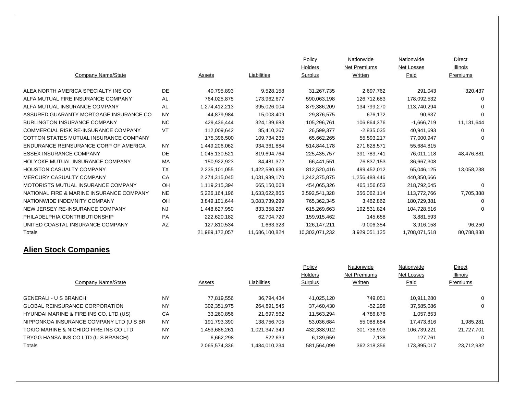|                                          |           |                |                | Policy         | Nationwide    | Nationwide    | Direct     |
|------------------------------------------|-----------|----------------|----------------|----------------|---------------|---------------|------------|
|                                          |           |                |                | Holders        | Net Premiums  | Net Losses    | Illinois   |
| Company Name/State                       |           | Assets         | Liabilities    | Surplus        | Written       | Paid          | Premiums   |
| ALEA NORTH AMERICA SPECIALTY INS CO      | DE.       | 40,795,893     | 9,528,158      | 31,267,735     | 2,697,762     | 291,043       | 320,437    |
| ALFA MUTUAL FIRE INSURANCE COMPANY       | AL        | 764,025,875    | 173,962,677    | 590,063,198    | 126,712,683   | 178,092,532   | $\Omega$   |
| ALFA MUTUAL INSURANCE COMPANY            | AL        | 1,274,412,213  | 395,026,004    | 879,386,209    | 134,799,270   | 113.740.294   | 0          |
| ASSURED GUARANTY MORTGAGE INSURANCE CO   | <b>NY</b> | 44,879,984     | 15,003,409     | 29,876,575     | 676,172       | 90,637        | 0          |
| <b>BURLINGTON INSURANCE COMPANY</b>      | NC.       | 429,436,444    | 324,139,683    | 105,296,761    | 106,864,376   | $-1,666,719$  | 11,131,644 |
| COMMERCIAL RISK RE-INSURANCE COMPANY     | VT        | 112,009,642    | 85,410,267     | 26,599,377     | $-2,835,035$  | 40,941,693    | 0          |
| COTTON STATES MUTUAL INSURANCE COMPANY   |           | 175,396,500    | 109,734,235    | 65,662,265     | 55,593,217    | 77,000,947    | $\Omega$   |
| ENDURANCE REINSURANCE CORP OF AMERICA    | <b>NY</b> | 1,449,206,062  | 934,361,884    | 514,844,178    | 271,628,571   | 55,684,815    |            |
| <b>ESSEX INSURANCE COMPANY</b>           | <b>DE</b> | 1,045,130,521  | 819,694,764    | 225,435,757    | 391,783,741   | 76,011,118    | 48,476,881 |
| HOLYOKE MUTUAL INSURANCE COMPANY         | <b>MA</b> | 150,922,923    | 84.481.372     | 66,441,551     | 76,837,153    | 36,667,308    |            |
| <b>HOUSTON CASUALTY COMPANY</b>          | <b>TX</b> | 2,235,101,055  | 1,422,580,639  | 812,520,416    | 499,452,012   | 65,046,125    | 13,058,238 |
| MERCURY CASUALTY COMPANY                 | CA        | 2,274,315,045  | 1,031,939,170  | 1,242,375,875  | 1.256.488.446 | 440,350,666   |            |
| MOTORISTS MUTUAL INSURANCE COMPANY       | OH        | 1,119,215,394  | 665,150,068    | 454,065,326    | 465,156,653   | 218,792,645   | $\Omega$   |
| NATIONAL FIRE & MARINE INSURANCE COMPANY | <b>NE</b> | 5,226,164,196  | 1,633,622,865  | 3,592,541,328  | 356,062,114   | 113,772,766   | 7,705,388  |
| NATIONWIDE INDEMNITY COMPANY             | OH        | 3,849,101,644  | 3,083,739,299  | 765,362,345    | 3,462,862     | 180,729,381   | 0          |
| NEW JERSEY RE-INSURANCE COMPANY          | <b>NJ</b> | 1,448,627,950  | 833,358,287    | 615,269,663    | 192,531,824   | 104,728,516   | $\Omega$   |
| PHILADELPHIA CONTRIBUTIONSHIP            | PA        | 222,620,182    | 62.704.720     | 159,915,462    | 145.658       | 3,881,593     |            |
| UNITED COASTAL INSURANCE COMPANY         | AZ        | 127,810,534    | 1,663,323      | 126, 147, 211  | $-9,006,354$  | 3,916,158     | 96,250     |
| Totals                                   |           | 21,989,172,057 | 11,686,100,824 | 10,303,071,232 | 3,929,051,125 | 1,708,071,518 | 80,788,838 |

## **Alien Stock Companies**

|                                         |           |               |               | Policy      | Nationwide   | Nationwide  | <b>Direct</b>   |
|-----------------------------------------|-----------|---------------|---------------|-------------|--------------|-------------|-----------------|
|                                         |           |               |               | Holders     | Net Premiums | Net Losses  | <b>Illinois</b> |
| Company Name/State                      |           | Assets        | Liabilities   | Surplus     | Written      | Paid        | Premiums        |
|                                         |           |               |               |             |              |             |                 |
| <b>GENERALI - U S BRANCH</b>            | <b>NY</b> | 77.819.556    | 36,794,434    | 41,025,120  | 749.051      | 10.911.280  | $\mathbf{0}$    |
| <b>GLOBAL REINSURANCE CORPORATION</b>   | <b>NY</b> | 302.351.975   | 264,891,545   | 37,460,430  | $-52.298$    | 37,585,086  | $\mathbf{0}$    |
| HYUNDAI MARINE & FIRE INS CO, LTD (US)  | CA        | 33,260,856    | 21.697.562    | 11,563,294  | 4.786.878    | 1.057.853   |                 |
| NIPPONKOA INSURANCE COMPANY LTD (U S BR | <b>NY</b> | 191,793,390   | 138,756,705   | 53,036,684  | 55,088,684   | 17,473,816  | 1,985,281       |
| TOKIO MARINE & NICHIDO FIRE INS CO LTD  | <b>NY</b> | 1,453,686,261 | 1,021,347,349 | 432,338,912 | 301,738,903  | 106.739.221 | 21,727,701      |
| TRYGG HANSA INS CO LTD (U S BRANCH)     | <b>NY</b> | 6.662.298     | 522.639       | 6,139,659   | 7.138        | 127.761     | $\Omega$        |
| Totals                                  |           | 2,065,574,336 | 1,484,010,234 | 581,564,099 | 362,318,356  | 173,895,017 | 23,712,982      |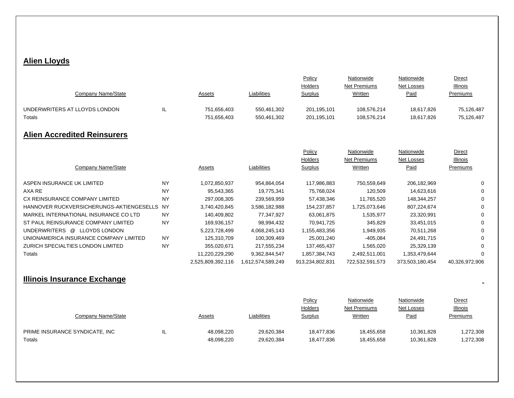## **Alien Lloyds**

|                                          |           |                   |                   | Policy          | Nationwide          | Nationwide      | <b>Direct</b>  |
|------------------------------------------|-----------|-------------------|-------------------|-----------------|---------------------|-----------------|----------------|
|                                          |           |                   |                   | Holders         | Net Premiums        | Net Losses      | Illinois       |
| Company Name/State                       |           | Assets            | Liabilities       | Surplus         | Written             | Paid            | Premiums       |
| UNDERWRITERS AT LLOYDS LONDON            | IL        | 751,656,403       | 550,461,302       | 201,195,101     | 108,576,214         | 18,617,826      | 75,126,487     |
| Totals                                   |           | 751,656,403       | 550,461,302       | 201,195,101     | 108,576,214         | 18,617,826      | 75,126,487     |
| <b>Alien Accredited Reinsurers</b>       |           |                   |                   |                 |                     |                 |                |
|                                          |           |                   |                   | Policy          | Nationwide          | Nationwide      | <b>Direct</b>  |
|                                          |           |                   |                   | Holders         | <b>Net Premiums</b> | Net Losses      | Illinois       |
| Company Name/State                       |           | Assets            | Liabilities       | Surplus         | Written             | Paid            | Premiums       |
| ASPEN INSURANCE UK LIMITED               | <b>NY</b> | 1,072,850,937     | 954,864,054       | 117,986,883     | 750.559.649         | 206,182,969     | 0              |
| AXA RE                                   | <b>NY</b> | 95,543,365        | 19,775,341        | 75,768,024      | 120,509             | 14,623,616      | 0              |
| CX REINSURANCE COMPANY LIMITED           | <b>NY</b> | 297,008,305       | 239,569,959       | 57,438,346      | 11.765.520          | 148,344,257     | 0              |
| HANNOVER RUCKVERSICHERUNGS-AKTIENGESELLS | <b>NY</b> | 3,740,420,845     | 3,586,182,988     | 154,237,857     | 1,725,073,646       | 807,224,674     | 0              |
| MARKEL INTERNATIONAL INSURANCE CO LTD    | <b>NY</b> | 140,409,802       | 77,347,927        | 63.061.875      | 1,535,977           | 23,320,991      | 0              |
| ST PAUL REINSURANCE COMPANY LIMITED      | <b>NY</b> | 169,936,157       | 98,994,432        | 70,941,725      | 345,829             | 33,451,015      | 0              |
| UNDERWRITERS @<br><b>LLOYDS LONDON</b>   |           | 5,223,728,499     | 4,068,245,143     | 1,155,483,356   | 1,949,935           | 70,511,268      | 0              |
| UNIONAMERICA INSURANCE COMPANY LIMITED   | <b>NY</b> | 125,310,709       | 100,309,469       | 25,001,240      | $-405,084$          | 24,491,715      | 0              |
| ZURICH SPECIALTIES LONDON LIMITED        | <b>NY</b> | 355,020,671       | 217,555,234       | 137,465,437     | 1,565,020           | 25,329,139      | $\Omega$       |
| Totals                                   |           | 11,220,229,290    | 9,362,844,547     | 1,857,384,743   | 2,492,511,001       | 1,353,479,644   | $\Omega$       |
|                                          |           | 2,525,809,392,116 | 1,612,574,589,249 | 913,234,802,831 | 722,532,591,573     | 373,503,180,454 | 40,326,972,906 |

#### **Illinois Insurance Exchange**

|                                |   |               |             | Policy         | Nationwide   | Nationwide | Direct          |
|--------------------------------|---|---------------|-------------|----------------|--------------|------------|-----------------|
|                                |   |               |             | Holders        | Net Premiums | Net Losses | <b>Illinois</b> |
| Company Name/State             |   | <u>Assets</u> | Liabilities | <b>Surplus</b> | Written      | Paid       | <b>Premiums</b> |
|                                |   |               |             |                |              |            |                 |
| PRIME INSURANCE SYNDICATE, INC | ╌ | 48,098,220    | 29,620,384  | 18,477,836     | 18.455.658   | 10,361,828 | 1,272,308       |
| Totals                         |   | 48,098,220    | 29,620,384  | 18,477,836     | 18,455,658   | 10,361,828 | 1,272,308       |

 $\blacksquare$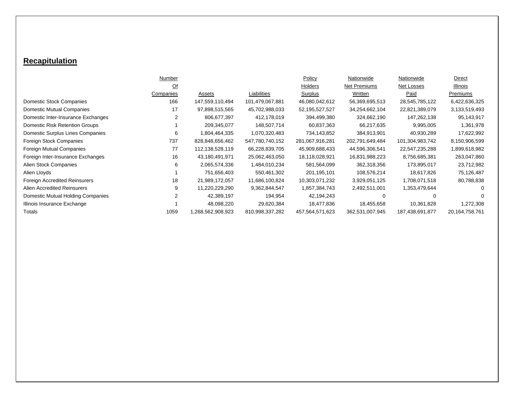## **Recapitulation**

|                                      | Number    |                  |                 | Policy          | Nationwide      | Nationwide      | Direct         |
|--------------------------------------|-----------|------------------|-----------------|-----------------|-----------------|-----------------|----------------|
|                                      | <u>Of</u> |                  |                 | Holders         | Net Premiums    | Net Losses      | Illinois       |
|                                      | Companies | Assets           | Liabilities     | Surplus         | Written         | Paid            | Premiums       |
| Domestic Stock Companies             | 166       | 147,559,110,494  | 101,479,067,881 | 46,080,042,612  | 56,369,695,513  | 28,545,785,122  | 6,422,636,325  |
| <b>Domestic Mutual Companies</b>     | 17        | 97,898,515,565   | 45,702,988,033  | 52,195,527,527  | 34,254,662,104  | 22,821,389,079  | 3,133,519,493  |
| Domestic Inter-Insurance Exchanges   | 2         | 806,677,397      | 412,178,019     | 394,499,380     | 324,662,190     | 147,262,138     | 95,143,917     |
| Domestic Risk Retention Groups       |           | 209,345,077      | 148,507,714     | 60,837,363      | 66,217,635      | 9,995,005       | 1,361,978      |
| Domestic Surplus Lines Companies     | 6         | 1,804,464,335    | 1,070,320,483   | 734,143,852     | 384,913,901     | 40,930,289      | 17,622,992     |
| Foreign Stock Companies              | 737       | 828,848,656,462  | 547,780,740,152 | 281,067,916,281 | 202,791,649,484 | 101,304,983,742 | 8,150,906,599  |
| Foreign Mutual Companies             | 77        | 112,138,528,119  | 66,228,839,705  | 45,909,688,433  | 44,596,306,541  | 22,547,235,288  | 1,899,618,982  |
| Foreign Inter-Insurance Exchanges    | 16        | 43,180,491,971   | 25,062,463,050  | 18,118,028,921  | 16,831,988,223  | 8,756,685,381   | 263,047,860    |
| Alien Stock Companies                | 6         | 2,065,574,336    | 1,484,010,234   | 581,564,099     | 362,318,356     | 173,895,017     | 23,712,982     |
| Alien Lloyds                         |           | 751,656,403      | 550,461,302     | 201,195,101     | 108,576,214     | 18,617,826      | 75,126,487     |
| <b>Foreign Accredited Reinsurers</b> | 18        | 21,989,172,057   | 11,686,100,824  | 10,303,071,232  | 3,929,051,125   | 1,708,071,518   | 80,788,838     |
| Alien Accredited Reinsurers          | 9         | 11,220,229,290   | 9,362,844,547   | 1,857,384,743   | 2,492,511,001   | 1,353,479,644   | 0              |
| Domestic Mutual Holding Companies    | 2         | 42,389,197       | 194,954         | 42,194,243      | ∩               | ∩               | 0              |
| Illinois Insurance Exchange          |           | 48,098,220       | 29,620,384      | 18,477,836      | 18,455,658      | 10,361,828      | 1,272,308      |
| Totals                               | 1059      | .268,562,908,923 | 810,998,337,282 | 457,564,571,623 | 362,531,007,945 | 187,438,691,877 | 20,164,758,761 |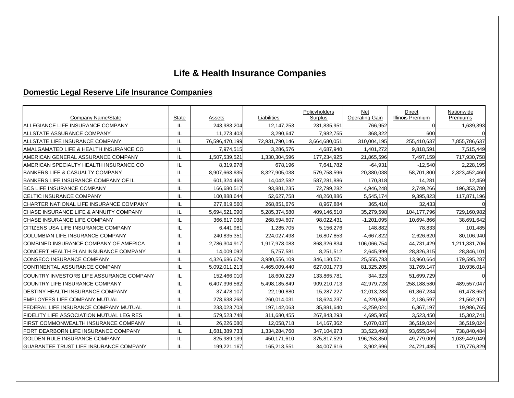# **Life & Health Insurance Companies**

## **Domestic Legal Reserve Life Insurance Companies**

| Company Name/State                                | <b>State</b> | Assets         | Liabilities    | Policyholders<br>Surplus | Net<br><b>Operating Gain</b> | Direct<br><b>Illinois Premium</b> | Nationwide<br>Premiums |
|---------------------------------------------------|--------------|----------------|----------------|--------------------------|------------------------------|-----------------------------------|------------------------|
| ALLEGIANCE LIFE INSURANCE COMPANY                 | IL           | 243,983,204    | 12, 147, 253   | 231,835,951              | 766,952                      |                                   | 1,639,393              |
| ALLSTATE ASSURANCE COMPANY                        | IL           | 11,273,403     | 3,290,647      | 7,982,755                | 368,322                      | 600                               |                        |
| ALLSTATE LIFE INSURANCE COMPANY                   |              | 76,596,470,199 | 72,931,790,146 | 3,664,680,051            | 310,004,195                  | 255,410,637                       | 7,855,786,637          |
| <b>AMALGAMATED LIFE &amp; HEALTH INSURANCE CO</b> | IL           | 7,974,515      | 3,286,576      | 4,687,940                | 1,401,272                    | 9,818,591                         | 7,515,449              |
| AMERICAN GENERAL ASSURANCE COMPANY                | IL           | 1,507,539,521  | 1,330,304,596  | 177,234,925              | 21,865,596                   | 7,497,159                         | 717,930,758            |
| AMERICAN SPECIALTY HEALTH INSURANCE CO            | IL           | 8,319,978      | 678,196        | 7,641,782                | $-64,931$                    | $-12,540$                         | 2,228,195              |
| <b>BANKERS LIFE &amp; CASUALTY COMPANY</b>        | IL           | 8,907,663,635  | 8,327,905,038  | 579,758,596              | 20,380,038                   | 58,701,800                        | 2,323,452,460          |
| BANKERS LIFE INSURANCE COMPANY OF IL              |              | 601,324,469    | 14,042,582     | 587,281,886              | 170,818                      | 14,281                            | 12,459                 |
| <b>BCS LIFE INSURANCE COMPANY</b>                 | IL           | 166,680,517    | 93,881,235     | 72,799,282               | 4,946,248                    | 2,749,266                         | 196,353,780            |
| <b>ICELTIC INSURANCE COMPANY</b>                  | IL           | 100,888,644    | 52,627,758     | 48,260,886               | 5,545,174                    | 9,395,823                         | 117,871,196            |
| CHARTER NATIONAL LIFE INSURANCE COMPANY           | IL           | 277,819,560    | 268,851,676    | 8,967,884                | 365,410                      | 32,433                            |                        |
| CHASE INSURANCE LIFE & ANNUITY COMPANY            | IL           | 5,694,521,090  | 5,285,374,580  | 409,146,510              | 35,279,598                   | 104, 177, 796                     | 729,160,982            |
| <b>ICHASE INSURANCE LIFE COMPANY</b>              | IL           | 366,617,038    | 268,594,607    | 98,022,431               | $-1,201,095$                 | 10,694,866                        | 38,691,642             |
| <b>ICITIZENS USA LIFE INSURANCE COMPANY</b>       | IL           | 6,441,981      | 1,285,705      | 5,156,276                | 148,882                      | 78,833                            | 101,485                |
| <b>COLUMBIAN LIFE INSURANCE COMPANY</b>           | IL           | 240,835,351    | 224,027,498    | 16,807,853               | $-4,667,822$                 | 2,626,620                         | 80,106,940             |
| COMBINED INSURANCE COMPANY OF AMERICA             | IL           | 2,786,304,917  | 1,917,978,083  | 868,326,834              | 106,066,754                  | 44,731,429                        | 1,211,331,706          |
| CONCERT HEALTH PLAN INSURANCE COMPANY             | IL           | 14,009,092     | 5,757,581      | 8,251,512                | 2,645,999                    | 28,826,315                        | 28,846,101             |
| CONSECO INSURANCE COMPANY                         | IL           | 4,326,686,679  | 3,980,556,109  | 346,130,571              | 25,555,783                   | 13,960,664                        | 179,595,287            |
| CONTINENTAL ASSURANCE COMPANY                     | IL           | 5,092,011,213  | 4,465,009,440  | 627,001,773              | 81,325,205                   | 31,769,147                        | 10,936,014             |
| <b>ICOUNTRY INVESTORS LIFE ASSURANCE COMPANY</b>  | IL           | 152,466,010    | 18,600,229     | 133,865,781              | 344,323                      | 51,699,729                        |                        |
| <b>COUNTRY LIFE INSURANCE COMPANY</b>             | IL           | 6,407,396,562  | 5,498,185,849  | 909,210,713              | 42,979,728                   | 258,188,580                       | 489,557,047            |
| DESTINY HEALTH INSURANCE COMPANY                  | IL           | 37,478,107     | 22,190,880     | 15,287,227               | $-12,013,283$                | 61,367,234                        | 61,478,652             |
| <b>EMPLOYEES LIFE COMPANY MUTUAL</b>              |              | 278,638,268    | 260,014,031    | 18,624,237               | 4,220,860                    | 2,136,597                         | 21,562,971             |
| FEDERAL LIFE INSURANCE COMPANY MUTUAL             | IL           | 233,023,703    | 197,142,063    | 35,881,640               | $-3,259,024$                 | 6,367,197                         | 19,986,765             |
| FIDELITY LIFE ASSOCIATION MUTUAL LEG RES          | IL           | 579,523,748    | 311,680,455    | 267,843,293              | 4,695,805                    | 3,523,450                         | 15,302,741             |
| FIRST COMMONWEALTH INSURANCE COMPANY              |              | 26,226,080     | 12,058,718     | 14, 167, 362             | 5,070,037                    | 36,519,024                        | 36,519,024             |
| FORT DEARBORN LIFE INSURANCE COMPANY              |              | 1,681,389,733  | 1,334,284,760  | 347,104,973              | 33,523,493                   | 93,655,044                        | 738,840,484            |
| <b>GOLDEN RULE INSURANCE COMPANY</b>              | IL           | 825,989,139    | 450,171,610    | 375,817,529              | 196,253,850                  | 49,779,009                        | 1,039,449,049          |
| <b>GUARANTEE TRUST LIFE INSURANCE COMPANY</b>     | IL           | 199,221,167    | 165,213,551    | 34,007,616               | 3,902,696                    | 24,721,485                        | 170,776,829            |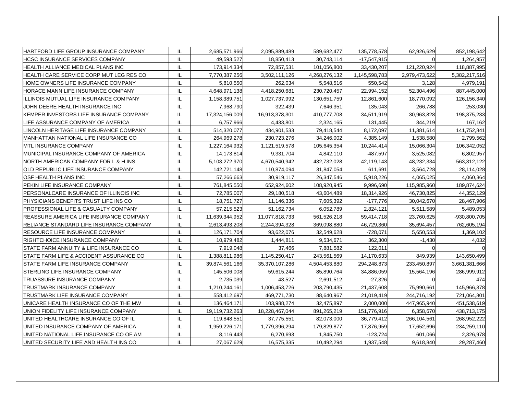| HARTFORD LIFE GROUP INSURANCE COMPANY     | IL | 2,685,571,966  | 2,095,889,489  | 589,682,477   | 135,778,578   | 62,926,629    | 852,198,642   |
|-------------------------------------------|----|----------------|----------------|---------------|---------------|---------------|---------------|
| HCSC INSURANCE SERVICES COMPANY           | IL | 49.593.527     | 18.850.413     | 30.743.114    | $-17.547.915$ |               | 1.264.957     |
| HEALTH ALLIANCE MEDICAL PLANS INC         | IL | 173,914,334    | 72,857,531     | 101,056,800   | 33,430,207    | 121,220,924   | 118,887,995   |
| HEALTH CARE SERVICE CORP MUT LEG RES CO   | IL | 7,770,387,256  | 3,502,111,126  | 4,268,276,132 | 1,145,598,783 | 2,979,473,622 | 5,382,217,516 |
| HOME OWNERS LIFE INSURANCE COMPANY        | IL | 5,810,550      | 262,034        | 5,548,516     | 550,542       | 3,128         | 4,979,191     |
| HORACE MANN LIFE INSURANCE COMPANY        | IL | 4,648,971,138  | 4,418,250,681  | 230,720,457   | 22,994,152    | 52,304,496    | 887,445,000   |
| IILLINOIS MUTUAL LIFE INSURANCE COMPANY   | IL | 1,158,389,751  | 1,027,737,992  | 130,651,759   | 12,861,600    | 18,770,092    | 126,156,340   |
| JOHN DEERE HEALTH INSURANCE INC           | IL | 7,968,790      | 322,439        | 7,646,351     | 135,043       | 266,788       | 253,030       |
| KEMPER INVESTORS LIFE INSURANCE COMPANY   | IL | 17,324,156,009 | 16,913,378,301 | 410,777,708   | 34,511,919    | 30,963,828    | 198,375,233   |
| LIFE ASSURANCE COMPANY OF AMERICA         | IL | 6,757,966      | 4,433,801      | 2,324,165     | 131,445       | 344,219       | 167,162       |
| LINCOLN HERITAGE LIFE INSURANCE COMPANY   | IL | 514,320,077    | 434,901,533    | 79,418,544    | 8,172,097     | 11,381,614    | 141,752,841   |
| IMANHATTAN NATIONAL LIFE INSURANCE CO     | IL | 264,969,278    | 230,723,276    | 34,246,002    | 4,385,149     | 1,538,580     | 2,799,562     |
| IMTL INSURANCE COMPANY                    | IL | 1,227,164,932  | 1,121,519,578  | 105,645,354   | 10,244,414    | 15,066,304    | 106,342,052   |
| MUNICIPAL INSURANCE COMPANY OF AMERICA    | IL | 14,173,814     | 9,331,704      | 4,842,110     | -487,597      | 3,525,082     | 6,802,957     |
| NORTH AMERICAN COMPANY FOR L & H INS      | IL | 5,103,272,970  | 4,670,540,942  | 432,732,028   | 42,119,143    | 48,232,334    | 563,312,122   |
| OLD REPUBLIC LIFE INSURANCE COMPANY       | IL | 142,721,148    | 110,874,094    | 31,847,054    | 611,691       | 3,564,728     | 28,114,028    |
| OSF HEALTH PLANS INC                      | IL | 57.266.663     | 30,919,117     | 26,347,546    | 5,918,226     | 4,065,025     | 4,060,364     |
| PEKIN LIFE INSURANCE COMPANY              | IL | 761,845,550    | 652,924,602    | 108,920,945   | 9,996,690     | 115,985,960   | 189,874,624   |
| PERSONALCARE INSURANCE OF ILLINOIS INC    | IL | 72,785,007     | 29,180,518     | 43,604,489    | 18,314,926    | 46,730,825    | 44,352,129    |
| IPHYSICIANS BENEFITS TRUST LIFE INS CO    | IL | 18,751,727     | 11,146,336     | 7,605,392     | -177,776      | 30,042,670    | 28,467,906    |
| PROFESSIONAL LIFE & CASUALTY COMPANY      | IL | 57,215,523     | 51,162,734     | 6,052,789     | 2,824,121     | 5,511,589     | 5,489,053     |
| REASSURE AMERICA LIFE INSURANCE COMPANY   | IL | 11,639,344,952 | 11,077,818,733 | 561,526,218   | 59,414,718    | 23,760,625    | -930,800,705  |
| IRELIANCE STANDARD LIFE INSURANCE COMPANY | IL | 2,613,493,208  | 2,244,394,328  | 369,098,880   | 46,729,360    | 35,694,457    | 762,605,194   |
| IRESOURCE LIFE INSURANCE COMPANY          | IL | 126,171,704    | 93,622,076     | 32,549,628    | $-728,071$    | 5,650,553     | 1,369,102     |
| RIGHTCHOICE INSURANCE COMPANY             | IL | 10,979,482     | 1,444,811      | 9,534,671     | 362,300       | $-1,430$      | 4,032         |
| ISTATE FARM ANNUITY & LIFE INSURANCE CO   | IL | 7,919,048      | 37,466         | 7,881,582     | 122,011       |               |               |
| ISTATE FARM LIFE & ACCIDENT ASSURANCE CO  | IL | 1,388,811,986  | 1,145,250,417  | 243,561,569   | 14,170,633    | 849,939       | 143,650,499   |
| ISTATE FARM LIFE INSURANCE COMPANY        | IL | 39,874,561,166 | 35,370,107,286 | 4,504,453,880 | 294,248,873   | 233,450,897   | 3,661,381,666 |
| ISTERLING LIFE INSURANCE COMPANY          | IL | 145,506,008    | 59,615,244     | 85,890,764    | 34,886,059    | 15,564,196    | 286,999,912   |
| ITRUASSURE INSURANCE COMPANY              | IL | 2,735,039      | 43,527         | 2,691,512     | $-27,326$     |               | 474           |
| TRUSTMARK INSURANCE COMPANY               | IL | 1,210,244,161  | 1,006,453,726  | 203,790,435   | 21,437,608    | 75,990,661    | 145,966,378   |
| TRUSTMARK LIFE INSURANCE COMPANY          | IL | 558.412.697    | 469.771.730    | 88.640.967    | 21,019,419    | 244,716,192   | 721,064,801   |
| UNICARE HEALTH INSURANCE CO OF THE MW     | IL | 136,464,171    | 103,988,274    | 32,475,897    | 2,000,000     | 447,965,940   | 451,538,619   |
| UNION FIDELITY LIFE INSURANCE COMPANY     | IL | 19,119,732,263 | 18,228,467,044 | 891,265,219   | 151,776,916   | 6,358,670     | 438,713,175   |
| UNITED HEALTHCARE INSURANCE CO OF IL      | IL | 119,848,551    | 37,775,551     | 82,073,000    | 36,779,412    | 266,104,561   | 268,952,222   |
| UNITED INSURANCE COMPANY OF AMERICA       | IL | 1,959,226,171  | 1,779,396,294  | 179,829,877   | 17,876,959    | 17,652,696    | 234,259,110   |
| UNITED NATIONAL LIFE INSURANCE CO OF AM   | IL | 8,116,443      | 6,270,693      | 1,845,750     | $-123,724$    | 601,066       | 2,326,978     |
| UNITED SECURITY LIFE AND HEALTH INS CO    | IL | 27,067,629     | 16,575,335     | 10,492,294    | 1,937,548     | 9,618,840     | 29,287,460    |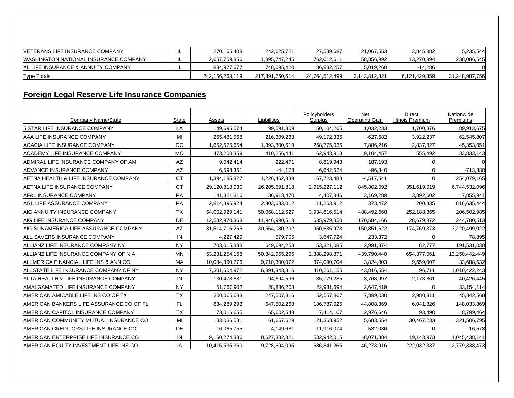| <b>IVETERANS LIFE INSURANCE COMPANY</b>       | ╌ | 270.165.408     | 242.625.721     | 27,539,687     | 21,067,553    | 3,845,882     | 5,235,544      |
|-----------------------------------------------|---|-----------------|-----------------|----------------|---------------|---------------|----------------|
| <b>IWASHINGTON NATIONAL INSURANCE COMPANY</b> | ╌ | 2,657,759,856   | 1.895.747.245   | 762.012.611    | 58,856,992    | 13.270.894    | 238,086,545    |
| IXL LIFE INSURANCE & ANNUITY COMPANY          | ╌ | 834.977.677     | 748.095.420     | 86.882.257     | 5,019,260     | -14.286       |                |
| Type Totals                                   |   | 242.156.263.119 | 217.391.750.614 | 24.764.512.499 | 3.143.812.821 | 6.121.429.859 | 31,248,987,756 |

# **Foreign Legal Reserve Life Insurance Companies**

|                                                     |                    |                       | Liabilities    | Policyholders         | <b>Net</b><br><b>Operating Gain</b> | <b>Direct</b>                        | Nationwide<br>Premiums |
|-----------------------------------------------------|--------------------|-----------------------|----------------|-----------------------|-------------------------------------|--------------------------------------|------------------------|
| Company Name/State<br>5 STAR LIFE INSURANCE COMPANY | <b>State</b><br>LA | Assets<br>149,695,574 | 99,591,309     | Surplus<br>50,104,265 | 1,032,233                           | <b>Illinois Premium</b><br>1,700,376 | 89,913,675             |
| AAA LIFE INSURANCE COMPANY                          | MI                 | 265,481,568           | 216,309,233    | 49,172,335            | $-627,682$                          | 3,922,237                            | 62,545,807             |
| <b>ACACIA LIFE INSURANCE COMPANY</b>                | <b>DC</b>          | 1,652,575,654         | 1,393,800,619  | 258,775,035           | 7,886,216                           | 2,837,827                            | 45,353,051             |
| ACADEMY LIFE INSURANCE COMPANY                      | <b>MO</b>          | 473,200,359           | 410,256,441    |                       |                                     |                                      |                        |
| ADMIRAL LIFE INSURANCE COMPANY OF AM                | <b>AZ</b>          | 9,042,414             | 222,471        | 62,943,918            | 9,104,457                           | 555,492                              | 33,833,143             |
| ADVANCE INSURANCE COMPANY                           | AZ                 |                       |                | 8,819,943             | 187,193                             |                                      |                        |
|                                                     |                    | 6,598,351             | $-44,173$      | 6,642,524             | $-96,840$                           | 0                                    | $-713,880$             |
| AETNA HEALTH & LIFE INSURANCE COMPANY               | <b>CT</b>          | 1,394,185,827         | 1,226,462,339  | 167,723,488           | $-4,517,541$                        |                                      | 254,079,165            |
| AETNA LIFE INSURANCE COMPANY                        | <b>CT</b>          | 29,120,818,930        | 26,205,591,818 | 2,915,227,112         | 845,802,092                         | 351,619,019                          | 6,744,532,096          |
| AF&L INSURANCE COMPANY                              | PA                 | 141,321,316           | 136,913,470    | 4,407,846             | 3,169,289                           | 3,892,602                            | 7,855,941              |
| <b>AGL LIFE ASSURANCE COMPANY</b>                   | PA                 | 2,814,896,924         | 2,803,633,012  | 11,263,912            | 373,472                             | 200,835                              | 816,635,444            |
| AIG ANNUITY INSURANCE COMPANY                       | <b>TX</b>          | 54,002,929,141        | 50,068,112,627 | 3,934,816,514         | 488,492,668                         | 252,188,365                          | 206,502,985            |
| <b>AIG LIFE INSURANCE COMPANY</b>                   | DE                 | 12,582,970,363        | 11,946,990,513 | 635,979,850           | 170,584,166                         | 28,679,872                           | 244,780,513            |
| AIG SUNAMERICA LIFE ASSURANCE COMPANY               | AZ                 | 31,514,716,265        | 30,564,080,292 | 950,635,973           | 150,851,622                         | 174,769,373                          | 3,220,499,022          |
| <b>ALL SAVERS INSURANCE COMPANY</b>                 | IN                 | 4,227,429             | 579,705        | 3,647,724             | 233,372                             | $\mathbf 0$                          | 78,895                 |
| ALLIANZ LIFE INSURANCE COMPANY NY                   | <b>NY</b>          | 703,015,338           | 649,694,253    | 53,321,085            | 2,991,874                           | 82,777                               | 191,531,030            |
| ALLIANZ LIFE INSURANCE COMPANY OF N A               | <b>MN</b>          | 53,231,254,168        | 50,842,955,296 | 2,388,298,871         | 439,790,440                         | 654,377,061                          | 13,250,442,449         |
| ALLMERICA FINANCIAL LIFE INS & ANN CO               | MA                 | 10,084,390,776        | 9,710,300,072  | 374,090,704           | 3,824,803                           | 9,559,007                            | 33,688,532             |
| <b>IALLSTATE LIFE INSURANCE COMPANY OF NY</b>       | <b>NY</b>          | 7,301,604,972         | 6,891,343,816  | 410,261,155           | 43,816,554                          | 96,711                               | 1,010,422,243          |
| ALTA HEALTH & LIFE INSURANCE COMPANY                | IN                 | 130,473,881           | 94,694,596     | 35,779,285            | $-3,768,997$                        | 2,173,861                            | 40,426,445             |
| AMALGAMATED LIFE INSURANCE COMPANY                  | <b>NY</b>          | 51,767,902            | 28,836,208     | 22,931,694            | 2,647,419                           | $\Omega$                             | 33, 154, 114           |
| AMERICAN AMICABLE LIFE INS CO OF TX                 | <b>TX</b>          | 300,065,683           | 247,507,816    | 52,557,867            | 7,899,030                           | 2,980,311                            | 45,842,568             |
| AMERICAN BANKERS LIFE ASSURANCE CO OF FL            | <b>FL</b>          | 834,289,293           | 647,502,268    | 186,787,025           | 44,808,369                          | 6,041,826                            | 148,033,869            |
| <b>AMERICAN CAPITOL INSURANCE COMPANY</b>           | <b>TX</b>          | 73,016,655            | 65,602,548     | 7,414,107             | 2,976,646                           | 93,490                               | 8,799,464              |
| <b>IAMERICAN COMMUNITY MUTUAL INSURANCE CO</b>      | MI                 | 183,036,581           | 61,667,629     | 121,368,952           | 5,683,554                           | 30,467,233                           | 321,506,795            |
| AMERICAN CREDITORS LIFE INSURANCE CO                | DE                 | 16,065,755            | 4,149,681      | 11,916,074            | 532,086                             |                                      | $-16,578$              |
| <b>AMERICAN ENTERPRISE LIFE INSURANCE CO</b>        | IN                 | 9,160,274,336         | 8,627,332,321  | 532,942,015           | $-8,071,884$                        | 19,143,973                           | 1,045,438,141          |
| AMERICAN EQUITY INVESTMENT LIFE INS CO              | IA                 | 10,415,535,360        | 9,728,694,095  | 686,841,265           | 46,273,916                          | 222,032,337                          | 2,779,338,473          |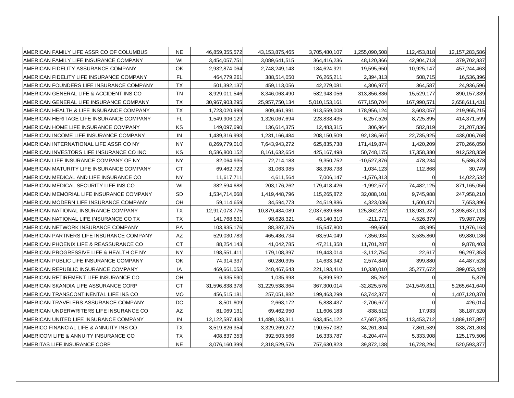| AMERICAN FAMILY LIFE ASSR CO OF COLUMBUS  | <b>NE</b> | 46,859,355,572 | 43, 153, 875, 465 | 3,705,480,107 | 1,255,090,508 | 112,453,818 | 12, 157, 283, 586 |
|-------------------------------------------|-----------|----------------|-------------------|---------------|---------------|-------------|-------------------|
| AMERICAN FAMILY LIFE INSURANCE COMPANY    | WI        | 3.454.057.751  | 3.089.641.515     | 364.416.236   | 48.120.366    | 42.904.713  | 379,702,837       |
| AMERICAN FIDELITY ASSURANCE COMPANY       | OK        | 2,932,874,064  | 2,748,249,143     | 184,624,921   | 19,595,650    | 10,925,147  | 457,244,463       |
| AMERICAN FIDELITY LIFE INSURANCE COMPANY  | <b>FL</b> | 464,779,261    | 388,514,050       | 76,265,211    | 2,394,313     | 508,715     | 16,536,396        |
| AMERICAN FOUNDERS LIFE INSURANCE COMPANY  | <b>TX</b> | 501,392,137    | 459,113,056       | 42,279,081    | 4,306,977     | 364,587     | 24,936,596        |
| AMERICAN GENERAL LIFE & ACCIDENT INS CO   | <b>TN</b> | 8,929,011,546  | 8,346,063,490     | 582,948,056   | 313,856,836   | 15,529,177  | 890,157,339       |
| AMERICAN GENERAL LIFE INSURANCE COMPANY   | TX        | 30,967,903,295 | 25,957,750,134    | 5,010,153,161 | 677,150,704   | 167,990,571 | 2,658,611,431     |
| IAMERICAN HEALTH & LIFE INSURANCE COMPANY | <b>TX</b> | 1,723,020,999  | 809,461,991       | 913,559,008   | 178,956,124   | 3,603,057   | 219,965,215       |
| AMERICAN HERITAGE LIFE INSURANCE COMPANY  | <b>FL</b> | 1,549,906,129  | 1,326,067,694     | 223,838,435   | 6,257,526     | 8,725,895   | 414,371,599       |
| AMERICAN HOME LIFE INSURANCE COMPANY      | <b>KS</b> | 149,097,690    | 136,614,375       | 12,483,315    | 306,964       | 582,819     | 21,207,836        |
| AMERICAN INCOME LIFE INSURANCE COMPANY    | IN        | 1,439,316,993  | 1,231,166,484     | 208,150,509   | 92,136,567    | 22,735,925  | 438,006,768       |
| AMERICAN INTERNATIONAL LIFE ASSR CO NY    | <b>NY</b> | 8,269,779,010  | 7,643,943,272     | 625,835,738   | 171,419,874   | 1,420,209   | 270,266,050       |
| AMERICAN INVESTORS LIFE INSURANCE CO INC  | KS        | 8,586,800,152  | 8,161,632,654     | 425,167,498   | 50,748,175    | 17,358,380  | 912,528,859       |
| AMERICAN LIFE INSURANCE COMPANY OF NY     | <b>NY</b> | 82,064,935     | 72,714,183        | 9,350,752     | $-10,527,876$ | 478,234     | 5,586,378         |
| AMERICAN MATURITY LIFE INSURANCE COMPANY  | <b>CT</b> | 69,462,723     | 31,063,985        | 38,398,738    | 1,034,123     | 112,868     | 30,749            |
| AMERICAN MEDICAL AND LIFE INSURANCE CO    | <b>NY</b> | 11,617,711     | 4,611,564         | 7,006,147     | $-1,576,313$  |             | 14,022,532        |
| AMERICAN MEDICAL SECURITY LIFE INS CO     | WI        | 382,594,688    | 203,176,262       | 179,418,426   | $-1,992,577$  | 74,482,125  | 871,165,056       |
| AMERICAN MEMORIAL LIFE INSURANCE COMPANY  | <b>SD</b> | 1,534,714,668  | 1,419,448,796     | 115,265,872   | 32,088,101    | 9,745,988   | 247,958,210       |
| AMERICAN MODERN LIFE INSURANCE COMPANY    | OH        | 59,114,659     | 34,594,773        | 24,519,886    | 4,323,036     | 1,500,471   | 7,653,896         |
| AMERICAN NATIONAL INSURANCE COMPANY       | TX        | 12,917,073,775 | 10,879,434,089    | 2,037,639,686 | 125,362,872   | 118,931,237 | 1,398,637,113     |
| AMERICAN NATIONAL LIFE INSURANCE CO TX    | <b>TX</b> | 141,768,631    | 98,628,321        | 43,140,310    | $-211,771$    | 4,526,379   | 79,987,705        |
| AMERICAN NETWORK INSURANCE COMPANY        | PA        | 103,935,176    | 88,387,376        | 15,547,800    | $-99,650$     | 48,995      | 11,976,163        |
| AMERICAN PARTNERS LIFE INSURANCE COMPANY  | <b>AZ</b> | 529,030,783    | 465,436,734       | 63,594,049    | 7,356,934     | 3,535,860   | 69,880,136        |
| AMERICAN PHOENIX LIFE & REASSURANCE CO    | <b>CT</b> | 88,254,143     | 41,042,785        | 47,211,358    | 11,701,287    |             | 9,878,403         |
| AMERICAN PROGRESSIVE LIFE & HEALTH OF NY  | <b>NY</b> | 198,551,411    | 179,108,397       | 19,443,014    | $-3,112,754$  | 22,617      | 96,297,353        |
| AMERICAN PUBLIC LIFE INSURANCE COMPANY    | OK        | 74,914,337     | 60,280,395        | 14,633,942    | 2,574,840     | 399,880     | 44,487,528        |
| AMERICAN REPUBLIC INSURANCE COMPANY       | IA        | 469,661,053    | 248,467,643       | 221,193,410   | 10,330,010    | 35,277,672  | 399,053,428       |
| AMERICAN RETIREMENT LIFE INSURANCE CO     | OН        | 6,935,590      | 1,035,998         | 5,899,592     | 85,262        |             | 5,379             |
| AMERICAN SKANDIA LIFE ASSURANCE CORP      | СT        | 31,596,838,378 | 31,229,538,364    | 367,300,014   | $-32,825,576$ | 241,549,811 | 5,265,641,640     |
| AMERICAN TRANSCONTINENTAL LIFE INS CO     | <b>MO</b> | 456,515,181    | 257,051,882       | 199,463,299   | 63,742,377    | ი           | 1,407,120,370     |
| AMERICAN TRAVELERS ASSURANCE COMPANY      | DC        | 8,501,609      | 2,663,172         | 5,838,437     | $-2,706,677$  | $\Omega$    | 426,014           |
| AMERICAN UNDERWRITERS LIFE INSURANCE CO   | <b>AZ</b> | 81,069,131     | 69,462,950        | 11,606,183    | $-838,512$    | 17,933      | 38,187,520        |
| AMERICAN UNITED LIFE INSURANCE COMPANY    | IN        | 12,122,587,433 | 11,489,133,311    | 633,454,122   | 47,687,825    | 113,453,712 | 1,889,187,897     |
| AMERICO FINANCIAL LIFE & ANNUITY INS CO   | <b>TX</b> | 3,519,826,354  | 3,329,269,272     | 190,557,082   | 34,261,304    | 7,861,539   | 338,781,303       |
| AMERICOM LIFE & ANNUITY INSURANCE CO      | <b>TX</b> | 408,837,353    | 392,503,566       | 16,333,787    | $-8,204,474$  | 5,333,908   | 125,179,506       |
| AMERITAS LIFE INSURANCE CORP              | <b>NE</b> | 3,076,160,399  | 2,318,529,576     | 757,630,823   | 39,872,138    | 16,728,294  | 520,593,377       |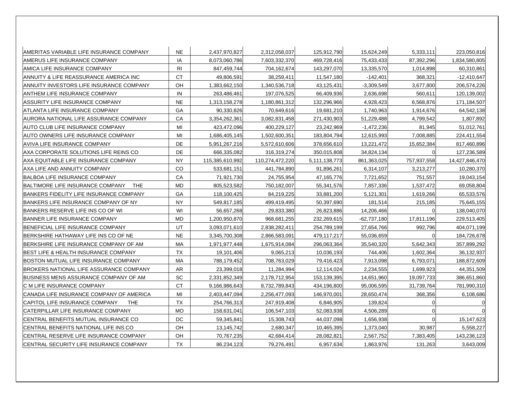| IAMERITAS VARIABLE LIFE INSURANCE COMPANY       | <b>NE</b>      | 2,437,970,827   | 2,312,058,037   | 125,912,790   | 15,624,249    | 5,333,111   | 223,050,816    |
|-------------------------------------------------|----------------|-----------------|-----------------|---------------|---------------|-------------|----------------|
| AMERUS LIFE INSURANCE COMPANY                   | IA             | 8,073,060,786   | 7,603,332,370   | 469,728,416   | 75,433,433    | 87,392,296  | 1,834,580,805  |
| AMICA LIFE INSURANCE COMPANY                    | R <sub>1</sub> | 847,459,744     | 704,162,674     | 143,297,070   | 13,335,570    | 1,014,898   | 60,310,861     |
| ANNUITY & LIFE REASSURANCE AMERICA INC          | <b>CT</b>      | 49,806,591      | 38,259,411      | 11,547,180    | $-142,401$    | 368,321     | $-12,410,647$  |
| ANNUITY INVESTORS LIFE INSURANCE COMPANY        | OH             | 1,383,662,150   | 1,340,536,718   | 43,125,431    | $-3,309,549$  | 3,677,800   | 206,574,226    |
| ANTHEM LIFE INSURANCE COMPANY                   | IN             | 263,486,461     | 197,076,525     | 66,409,936    | 2,636,698     | 560,611     | 120,139,002    |
| IASSURITY LIFE INSURANCE COMPANY                | <b>NE</b>      | 1,313,158,278   | 1,180,861,312   | 132,296,966   | 4,928,423     | 6,568,876   | 171,184,507    |
| ATLANTA LIFE INSURANCE COMPANY                  | GA             | 90,330,826      | 70,649,616      | 19,681,210    | 1,740,963     | 1,914,676   | 64,542,138     |
| AURORA NATIONAL LIFE ASSURANCE COMPANY          | CA             | 3,354,262,361   | 3,082,831,458   | 271,430,903   | 51,229,488    | 4,799,542   | 1,807,892      |
| IAUTO CLUB LIFE INSURANCE COMPANY               | MI             | 423,472,096     | 400,229,127     | 23,242,969    | $-1,472,236$  | 81,945      | 51,012,761     |
| AUTO OWNERS LIFE INSURANCE COMPANY              | MI             | 1,686,405,145   | 1,502,600,351   | 183,804,794   | 12,615,993    | 7,008,885   | 224,411,554    |
| IAVIVA LIFE INSURANCE COMPANY                   | DE             | 5,951,267,216   | 5,572,610,606   | 378,656,610   | 13,221,472    | 15,652,384  | 817,460,896    |
| AXA CORPORATE SOLUTIONS LIFE REINS CO           | DE             | 666,335,082     | 316,319,274     | 350,015,808   | 34,824,134    | $\Omega$    | 127,236,589    |
| AXA EQUITABLE LIFE INSURANCE COMPANY            | <b>NY</b>      | 115,385,610,992 | 110,274,472,220 | 5,111,138,773 | 861,363,025   | 757,937,558 | 14,427,846,470 |
| IAXA LIFE AND ANNUITY COMPANY                   | CO             | 533,681,151     | 441,784,890     | 91,896,261    | 6,314,107     | 3,213,277   | 10,280,370     |
| IBALBOA LIFE INSURANCE COMPANY                  | CA             | 71,921,730      | 24,755,954      | 47,165,776    | 7,721,652     | 751,557     | 19,043,154     |
| <b>THE</b><br> BALTIMORE LIFE INSURANCE COMPANY | MD             | 805,523,582     | 750,182,007     | 55,341,576    | 7,857,336     | 1,537,472   | 69,058,804     |
| BANKERS FIDELITY LIFE INSURANCE COMPANY         | GA             | 118,100,425     | 84,219,225      | 33,881,200    | 5,121,301     | 1,619,266   | 65,533,576     |
| BANKERS LIFE INSURANCE COMPANY OF NY            | <b>NY</b>      | 549,817,185     | 499,419,495     | 50,397,690    | 181,514       | 215,185     | 75,645,155     |
| BANKERS RESERVE LIFE INS CO OF WI               | WI             | 56,657,268      | 29,833,380      | 26,823,886    | 14,206,466    | 0           | 138,040,070    |
| BANNER LIFE INSURANCE COMPANY                   | <b>MD</b>      | 1,200,950,870   | 968,681,255     | 232,269,615   | $-62,737,180$ | 17,811,196  | 229,513,405    |
| BENEFICIAL LIFE INSURANCE COMPANY               | UT             | 3,093,071,610   | 2,838,282,411   | 254,789,199   | 27,654,766    | 992,796     | 404,071,199    |
| BERKSHIRE HATHAWAY LIFE INS CO OF NE            | <b>NE</b>      | 3,345,700,308   | 2,866,583,091   | 479,117,217   | 55,036,659    |             | 184,726,678    |
| BERKSHIRE LIFE INSURANCE COMPANY OF AM          | МA             | 1,971,977,448   | 1,675,914,084   | 296,063,364   | 35,540,320    | 5,642,343   | 357,899,292    |
| <b>BEST LIFE &amp; HEALTH INSURANCE COMPANY</b> | TX             | 19,101,406      | 9,065,213       | 10,036,193    | 744,406       | 1,602,364   | 36,132,937     |
| BOSTON MUTUAL LIFE INSURANCE COMPANY            | <b>MA</b>      | 788,179,452     | 708,763,029     | 79,416,423    | 7,913,098     | 6,793,071   | 188,872,609    |
| BROKERS NATIONAL LIFE ASSURANCE COMPANY         | AR             | 23,399,018      | 11,284,994      | 12,114,024    | 2,234,555     | 1,699,923   | 44,351,509     |
| BUSINESS MENS ASSURANCE COMPANY OF AM           | SC             | 2,331,852,349   | 2,178,712,954   | 153,139,395   | 14,651,960    | 19,097,733  | 386,651,860    |
| C M LIFE INSURANCE COMPANY                      | <b>CT</b>      | 9,166,986,643   | 8,732,789,843   | 434,196,800   | 95,006,595    | 31,739,764  | 781,990,310    |
| CANADA LIFE INSURANCE COMPANY OF AMERICA        | MI             | 2,403,447,094   | 2,256,477,093   | 146,970,001   | 28,650,474    | 368,356     | 6,108,686      |
| CAPITOL LIFE INSURANCE COMPANY<br>THE           | TX             | 254,766,313     | 247,919,408     | 6,846,905     | 139,824       | 0           |                |
| CATERPILLAR LIFE INSURANCE COMPANY              | <b>MO</b>      | 158,631,041     | 106,547,103     | 52,083,938    | 4,506,289     | U           |                |
| CENTRAL BENEFITS MUTUAL INSURANCE CO            | DC             | 59,345,841      | 15,308,743      | 44,037,098    | 1,656,938     | 0           | 15,147,623     |
| ICENTRAL BENEFITS NATIONAL LIFE INS CO          | OH             | 13,145,742      | 2,680,347       | 10,465,395    | 1,373,040     | 30,987      | 5,558,227      |
| ICENTRAL RESERVE LIFE INSURANCE COMPANY         | OH             | 70,767,235      | 42,684,414      | 28,082,821    | 2,567,752     | 7,383,405   | 143,236,123    |
| CENTRAL SECURITY LIFE INSURANCE COMPANY         | <b>TX</b>      | 86,234,123      | 79,276,491      | 6,957,634     | 1,863,976     | 131,263     | 3,643,009      |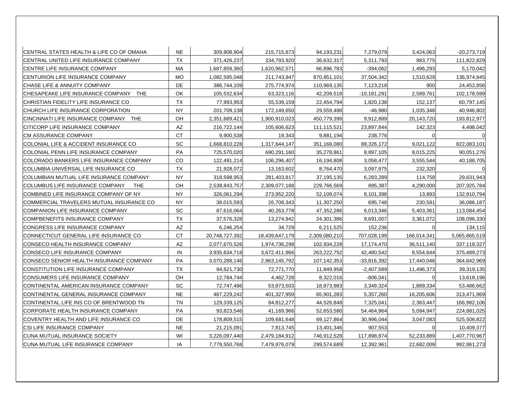| ICENTRAL STATES HEALTH & LIFE CO OF OMAHA       | <b>NE</b> | 309,908,904    | 215,715,673    | 94,193,231    | 7,279,079     | 3,424,063   | $-20,273,719$ |
|-------------------------------------------------|-----------|----------------|----------------|---------------|---------------|-------------|---------------|
| CENTRAL UNITED LIFE INSURANCE COMPANY           | TX        | 371,426,237    | 334,793,920    | 36,632,317    | 5,311,793     | 983,775     | 111,822,829   |
| CENTRE LIFE INSURANCE COMPANY                   | <b>MA</b> | 1,687,859,360  | 1,620,962,571  | 66,896,783    | $-394,062$    | 1,496,293   | 5,170,042     |
| ICENTURION LIFE INSURANCE COMPANY               | <b>MO</b> | 1.082.595.048  | 211,743,947    | 870,851,101   | 37,504,342    | 1,510,629   | 136,974,845   |
| <b>CHASE LIFE &amp; ANNUITY COMPANY</b>         | <b>DE</b> | 386,744,109    | 275,774,974    | 110,969,135   | 7,123,218     | 900         | 24,452,856    |
| CHESAPEAKE LIFE INSURANCE COMPANY<br><b>THE</b> | OK        | 105,532,634    | 63,323,116     | 42,209,518    | -10,181,291   | 2,599,761   | 102,178,599   |
| CHRISTIAN FIDELITY LIFE INSURANCE CO            | <b>TX</b> | 77,993,953     | 55,539,159     | 22,454,794    | 1,820,138     | 152,137     | 60,797,145    |
| ICHURCH LIFE INSURANCE CORPORATION              | <b>NY</b> | 201,709,138    | 172,149,650    | 29,559,488    | -46,980       | 1,035,348   | 40,946,802    |
| CINCINNATI LIFE INSURANCE COMPANY THE           | OH        | 2,351,689,421  | 1.900.910.023  | 450,779,399   | 9,912,889     | 20,143,720  | 193,812,977   |
| CITICORP LIFE INSURANCE COMPANY                 | AZ        | 216,722,144    | 105,606,623    | 111,115,521   | 23,897,844    | 142,323     | 4,498,042     |
| <b>CM ASSURANCE COMPANY</b>                     | <b>CT</b> | 9,900,538      | 19,343         | 9,881,194     | 238,776       |             |               |
| COLONIAL LIFE & ACCIDENT INSURANCE CO           | SC        | 1,668,810,228  | 1,317,644,147  | 351,166,080   | 89,326,172    | 9,021,122   | 822,083,101   |
| <b>COLONIAL PENN LIFE INSURANCE COMPANY</b>     | <b>PA</b> | 725,570,020    | 690,291,160    | 35,278,861    | 8,897,105     | 8,015,225   | 90,051,276    |
| COLORADO BANKERS LIFE INSURANCE COMPANY         | CO        | 122,491,214    | 106,296,407    | 16,194,808    | 3,058,477     | 3,555,544   | 40,188,705    |
| COLUMBIA UNIVERSAL LIFE INSURANCE CO            | <b>TX</b> | 21,928,072     | 13,163,602     | 8,764,470     | 3,097,975     | 232,320     |               |
| ICOLUMBIAN MUTUAL LIFE INSURANCE COMPANY        | <b>NY</b> | 318,598,953    | 281,403,817    | 37,195,135    | 6,283,289     | 114,758     | 29,631,943    |
| COLUMBUS LIFE INSURANCE COMPANY<br>THE          | OH        | 2,538,843,757  | 2,309,077,188  | 229,766,569   | 895,387       | 4,290,000   | 207,925,784   |
| COMBINED LIFE INSURANCE COMPANY OF NY           | <b>NY</b> | 326,061,294    | 273,952,220    | 52,109,074    | 8,101,398     | 13,893      | 132,910,794   |
| COMMERCIAL TRAVELERS MUTUAL INSURANCE CO        | <b>NY</b> | 38,015,593     | 26,708,343     | 11,307,250    | 695,748       | 230,581     | 36,086,187    |
| COMPANION LIFE INSURANCE COMPANY                | SC        | 87,616,064     | 40,263,778     | 47,352,286    | 6,013,346     | 5,403,361   | 113,084,454   |
| COMPBENEFITS INSURANCE COMPANY                  | <b>TX</b> | 37,576,328     | 13,274,942     | 24,301,386    | 9,691,007     | 3,361,072   | 108,096,330   |
| CONGRESS LIFE INSURANCE COMPANY                 | <b>AZ</b> | 6,246,254      | 34,729         | 6,211,525     | 152,236       |             | 134,115       |
| CONNECTICUT GENERAL LIFE INSURANCE CO           | <b>CT</b> | 20,748,727,392 | 18,439,647,179 | 2,309,080,210 | 707,028,199   | 166,014,341 | 5,065,865,519 |
| CONSECO HEALTH INSURANCE COMPANY                | AZ        | 2,077,670,526  | 1,974,736,298  | 102,934,228   | 17,174,470    | 36,511,140  | 337,118,327   |
| CONSECO LIFE INSURANCE COMPANY                  | IN        | 3,935,634,718  | 3,672,411,966  | 263,222,752   | 42,480,542    | 8,554,644   | 375,489,273   |
| CONSECO SENIOR HEALTH INSURANCE COMPANY         | <b>PA</b> | 3,070,288,146  | 2,963,145,792  | 107,142,353   | $-33,816,392$ | 17,440,046  | 364,642,969   |
| CONSTITUTION LIFE INSURANCE COMPANY             | <b>TX</b> | 84,621,730     | 72,771,770     | 11,849,958    | $-2,407,589$  | 11,496,373  | 39,319,135    |
| CONSUMERS LIFE INSURANCE COMPANY                | OH        | 12,784,744     | 4,462,728      | 8,322,016     | $-806,041$    |             | 13,618,196    |
| CONTINENTAL AMERICAN INSURANCE COMPANY          | <b>SC</b> | 72,747,486     | 53,873,503     | 18,873,983    | 3,349,324     | 1,889,334   | 53,486,662    |
| CONTINENTAL GENERAL INSURANCE COMPANY           | <b>NE</b> | 467,229,242    | 401,327,959    | 65,901,283    | 5,357,260     | 16,205,606  | 313,471,969   |
| CONTINENTAL LIFE INS CO OF BRENTWOOD TN         | <b>TN</b> | 129,339,125    | 84,812,277     | 44,526,848    | 7,325,041     | 2,363,447   | 166,982,106   |
| CORPORATE HEALTH INSURANCE COMPANY              | PA        | 93,823,546     | 41,169,966     | 52,653,580    | 54,464,964    | 5,094,947   | 224,881,025   |
| COVENTRY HEALTH AND LIFE INSURANCE CO           | DE        | 178,809,515    | 109,681,648    | 69,127,864    | 30,996,044    | 3,047,083   | 525,506,822   |
| CSI LIFE INSURANCE COMPANY                      | <b>NE</b> | 21,215,091     | 7,813,745      | 13,401,346    | 907,553       | $\Omega$    | 10,409,377    |
| <b>CUNA MUTUAL INSURANCE SOCIETY</b>            | WI        | 3,226,097,440  | 2,479,184,912  | 746,912,528   | 117,898,874   | 52,233,889  | 1,407,770,967 |
| CUNA MUTUAL LIFE INSURANCE COMPANY              | IA        | 7,779,550,768  | 7,479,976,079  | 299,574,689   | 12,392,961    | 22,682,009  | 992,861,273   |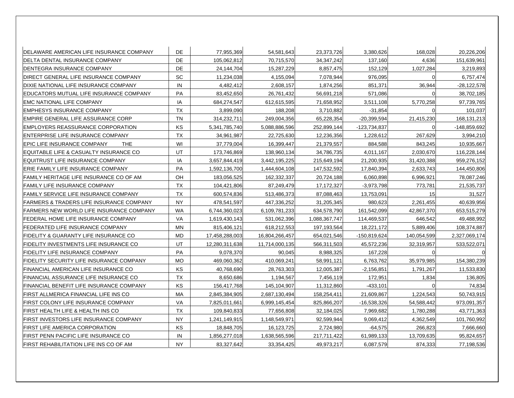| DELAWARE AMERICAN LIFE INSURANCE COMPANY  | <b>DE</b> | 77,955,369     | 54,581,643     | 23,373,726    | 3,380,626     | 168,028     | 20,226,206    |
|-------------------------------------------|-----------|----------------|----------------|---------------|---------------|-------------|---------------|
| DELTA DENTAL INSURANCE COMPANY            | DE        | 105,062,812    | 70,715,570     | 34, 347, 242  | 137,160       | 4,636       | 151,639,961   |
| DENTEGRA INSURANCE COMPANY                | <b>DE</b> | 24,144,704     | 15,287,229     | 8,857,475     | 152,129       | 1,027,284   | 3,219,893     |
| DIRECT GENERAL LIFE INSURANCE COMPANY     | <b>SC</b> | 11,234,038     | 4,155,094      | 7,078,944     | 976,095       |             | 6,757,474     |
| DIXIE NATIONAL LIFE INSURANCE COMPANY     | IN        | 4,482,412      | 2,608,157      | 1,874,256     | 851,371       | 36,944      | $-28,122,578$ |
| EDUCATORS MUTUAL LIFE INSURANCE COMPANY   | PA        | 83,452,650     | 26,761,432     | 56,691,218    | 571,086       |             | 38,702,185    |
| EMC NATIONAL LIFE COMPANY                 | IA        | 684,274,547    | 612,615,595    | 71,658,952    | 3,511,108     | 5,770,258   | 97,739,765    |
| <b>EMPHESYS INSURANCE COMPANY</b>         | <b>TX</b> | 3,899,090      | 188,208        | 3,710,882     | $-31,854$     | 0           | 101,037       |
| EMPIRE GENERAL LIFE ASSURANCE CORP        | <b>TN</b> | 314,232,711    | 249,004,356    | 65,228,354    | $-20,399,594$ | 21,415,230  | 168, 131, 213 |
| EMPLOYERS REASSURANCE CORPORATION         | KS        | 5,341,785,740  | 5,088,886,596  | 252,899,144   | -123,734,837  | $\Omega$    | -148,859,692  |
| ENTERPRISE LIFE INSURANCE COMPANY         | TX        | 34,961,987     | 22,725,630     | 12,236,356    | 1,228,612     | 267,629     | 3,994,210     |
| EPIC LIFE INSURANCE COMPANY<br><b>THE</b> | WI        | 37,779,004     | 16,399,447     | 21,379,557    | 884,588       | 843,245     | 10,935,667    |
| EQUITABLE LIFE & CASUALTY INSURANCE CO    | UT        | 173,746,869    | 138,960,134    | 34,786,735    | 4,011,167     | 2,030,670   | 116,228,144   |
| EQUITRUST LIFE INSURANCE COMPANY          | IA        | 3,657,844,419  | 3,442,195,225  | 215,649,194   | 21,200,935    | 31,420,388  | 959,276,152   |
| ERIE FAMILY LIFE INSURANCE COMPANY        | PA        | 1,592,136,700  | 1,444,604,108  | 147,532,592   | 17,840,394    | 2,633,743   | 144,450,806   |
| FAMILY HERITAGE LIFE INSURANCE CO OF AM   | OH        | 183,056,525    | 162,332,337    | 20,724,188    | 6,060,898     | 6,996,921   | 78,087,246    |
| FAMILY LIFE INSURANCE COMPANY             | <b>TX</b> | 104,421,806    | 87,249,479     | 17, 172, 327  | $-3,973,798$  | 773,781     | 21,535,737    |
| IFAMILY SERVICE LIFE INSURANCE COMPANY    | <b>TX</b> | 600,574,836    | 513,486,373    | 87,088,463    | 13,753,091    | 15          | 31,527        |
| FARMERS & TRADERS LIFE INSURANCE COMPANY  | <b>NY</b> | 478,541,597    | 447,336,252    | 31,205,345    | 980,623       | 2,261,455   | 40,639,956    |
| FARMERS NEW WORLD LIFE INSURANCE COMPANY  | WA        | 6,744,360,023  | 6,109,781,233  | 634,578,790   | 161,542,099   | 42,867,370  | 653,515,279   |
| FEDERAL HOME LIFE INSURANCE COMPANY       | VA        | 1,619,430,143  | 531,062,396    | 1,088,367,747 | 114,469,537   | 646,542     | 49,488,992    |
| <b>FEDERATED LIFE INSURANCE COMPANY</b>   | <b>MN</b> | 815,406,121    | 618,212,553    | 197,193,564   | 18,221,172    | 5,889,406   | 108,374,887   |
| FIDELITY & GUARANTY LIFE INSURANCE CO     | MD        | 17,458,288,003 | 16,804,266,457 | 654,021,546   | -150,819,624  | 140,054,599 | 2,327,069,174 |
| FIDELITY INVESTMENTS LIFE INSURANCE CO    | UT        | 12,280,311,638 | 11,714,000,135 | 566,311,503   | 45,572,236    | 32,319,957  | 533,522,071   |
| FIDELITY LIFE INSURANCE COMPANY           | <b>PA</b> | 9,078,370      | 90,045         | 8,988,325     | 167,228       | 0           |               |
| FIDELITY SECURITY LIFE INSURANCE COMPANY  | MO.       | 469,060,362    | 410,069,241    | 58,991,121    | 6,763,762     | 35,979,985  | 154,380,239   |
| FINANCIAL AMERICAN LIFE INSURANCE CO      | KS        | 40,768,690     | 28,763,303     | 12,005,387    | $-2,156,851$  | 1,791,267   | 11,533,830    |
| FINANCIAL ASSURANCE LIFE INSURANCE CO     | TX        | 8,650,686      | 1,194,567      | 7,456,119     | 172,951       | 1,834       | 136,805       |
| FINANCIAL BENEFIT LIFE INSURANCE COMPANY  | ΚS        | 156,417,768    | 145,104,907    | 11,312,860    | $-433,101$    |             | 74,834        |
| FIRST ALLMERICA FINANCIAL LIFE INS CO     | MA        | 2,845,384,905  | 2,687,130,494  | 158,254,411   | 21,609,867    | 1,224,543   | 50,743,915    |
| FIRST COLONY LIFE INSURANCE COMPANY       | VA        | 7,825,011,661  | 6,999,145,454  | 825,866,207   | $-16,538,326$ | 54,588,442  | 973,091,357   |
| FIRST HEALTH LIFE & HEALTH INS CO         | <b>TX</b> | 109,840,833    | 77,656,808     | 32,184,025    | 7,969,682     | 1,780,288   | 43,771,363    |
| FIRST INVESTORS LIFE INSURANCE COMPANY    | <b>NY</b> | 1,241,149,915  | 1,148,549,971  | 92,599,944    | 9,069,412     | 4,362,549   | 101,760,992   |
| <b>FIRST LIFE AMERICA CORPORATION</b>     | <b>KS</b> | 18,848,705     | 16,123,725     | 2,724,980     | $-64,575$     | 266,823     | 7,666,660     |
| FIRST PENN PACIFIC LIFE INSURANCE CO      | IN        | 1,856,277,018  | 1,638,565,596  | 217,711,422   | 61,989,133    | 13,709,635  | 95,824,657    |
| FIRST REHABILITATION LIFE INS CO OF AM    | <b>NY</b> | 83,327,642     | 33,354,425     | 49,973,217    | 6,087,579     | 874,333     | 77,198,536    |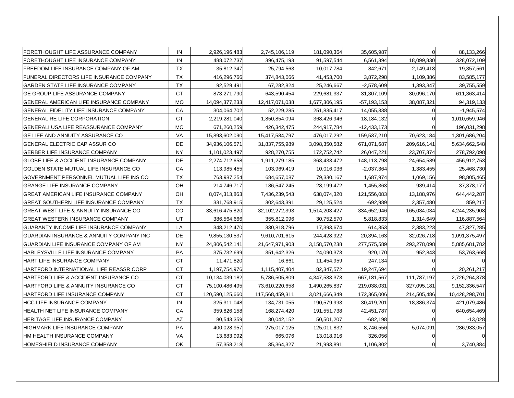| FORETHOUGHT LIFE ASSURANCE COMPANY                 | IN        | 2,926,196,483   | 2,745,106,119   | 181,090,364   | 35,605,987      |                | 88,133,266     |
|----------------------------------------------------|-----------|-----------------|-----------------|---------------|-----------------|----------------|----------------|
| FORETHOUGHT LIFE INSURANCE COMPANY                 | IN.       | 488,072,737     | 396,475,193     | 91,597,544    | 6,561,394       | 18,099,830     | 328,072,109    |
| FREEDOM LIFE INSURANCE COMPANY OF AM               | <b>TX</b> | 35,812,347      | 25,794,563      | 10,017,784    | 842,671         | 2,149,418      | 19,357,561     |
| FUNERAL DIRECTORS LIFE INSURANCE COMPANY           | <b>TX</b> | 416,296,766     | 374,843,066     | 41,453,700    | 3,872,298       | 1,109,386      | 83,585,177     |
| GARDEN STATE LIFE INSURANCE COMPANY                | <b>TX</b> | 92,529,491      | 67,282,824      | 25,246,667    | $-2,578,609$    | 1,393,347      | 39,755,559     |
| GE GROUP LIFE ASSURANCE COMPANY                    | CT        | 873,271,790     | 643,590,454     | 229,681,337   | 31,307,109      | 30,096,170     | 611,363,414    |
| IGENERAL AMERICAN LIFE INSURANCE COMPANY           | <b>MO</b> | 14,094,377,233  | 12,417,071,038  | 1,677,306,195 | $-57, 193, 153$ | 38,087,321     | 94,319,133     |
| GENERAL FIDELITY LIFE INSURANCE COMPANY            | CA        | 304,064,702     | 52,229,285      | 251,835,417   | 14,055,338      | U              | $-1,945,574$   |
| <b>GENERAL RE LIFE CORPORATION</b>                 | <b>CT</b> | 2,219,281,040   | 1,850,854,094   | 368,426,946   | 18,184,132      | U              | 1,010,659,946  |
| GENERALI USA LIFE REASSURANCE COMPANY              | MO        | 671,260,259     | 426,342,475     | 244,917,784   | $-12,433,173$   |                | 196,031,298    |
| GE LIFE AND ANNUITY ASSURANCE CO                   | <b>VA</b> | 15,893,602,090  | 15,417,584,797  | 476,017,292   | 159,537,210     | 70,623,184     | 1,301,686,204  |
| IGENERAL ELECTRIC CAP ASSUR CO                     | DE        | 34,936,106,571  | 31,837,755,989  | 3,098,350,582 | 671,071,687     | 209,616,141    | 5,634,662,548  |
| GERBER LIFE INSURANCE COMPANY                      | <b>NY</b> | 1,101,023,497   | 928,270,755     | 172,752,742   | 26,047,221      | 23,707,374     | 278,792,098    |
| <b>GLOBE LIFE &amp; ACCIDENT INSURANCE COMPANY</b> | <b>DE</b> | 2,274,712,658   | 1,911,279,185   | 363,433,472   | 148,113,798     | 24,654,589     | 456,912,753    |
| GOLDEN STATE MUTUAL LIFE INSURANCE CO              | CA        | 113,985,455     | 103,969,419     | 10,016,036    | $-2,037,364$    | 1,383,455      | 25,468,730     |
| GOVERNMENT PERSONNEL MUTUAL LIFE INS CO            | <b>TX</b> | 763,987,254     | 684,657,087     | 79,330,167    | 1,687,974       | 1,069,156      | 98,805,465     |
| <b>GRANGE LIFE INSURANCE COMPANY</b>               | OH        | 214,746,717     | 186,547,245     | 28,199,472    | 1,455,363       | 939,414        | 37,378,177     |
| <b>GREAT AMERICAN LIFE INSURANCE COMPANY</b>       | OH        | 8,074,313,863   | 7,436,239,543   | 638,074,320   | 121,556,083     | 13,188,976     | 644,442,287    |
| GREAT SOUTHERN LIFE INSURANCE COMPANY              | <b>TX</b> | 331,768,915     | 302,643,391     | 29,125,524    | -692,989        | 2,357,480      | 859,217        |
| <b>GREAT WEST LIFE &amp; ANNUITY INSURANCE CO</b>  | CO        | 33,616,475,820  | 32,102,272,393  | 1,514,203,427 | 334,652,946     | 165,034,034    | 4,244,235,908  |
| <b>GREAT WESTERN INSURANCE COMPANY</b>             | UT        | 386,564,666     | 355,812,096     | 30,752,570    | 5,818,833       | 1,314,649      | 116,887,564    |
| GUARANTY INCOME LIFE INSURANCE COMPANY             | LA        | 348,212,470     | 330,818,796     | 17,393,674    | 614,353         | 2,383,223      | 47,827,285     |
| GUARDIAN INSURANCE & ANNUITY COMPANY INC           | DE        | 9,855,130,537   | 9,610,701,615   | 244,428,922   | 20,394,163      | 32,026,718     | 1,091,375,497  |
| GUARDIAN LIFE INSURANCE COMPANY OF AM              | <b>NY</b> | 24,806,542,141  | 21,647,971,903  | 3,158,570,238 | 277,575,589     | 293,278,098    | 5,885,681,782  |
| HARLEYSVILLE LIFE INSURANCE COMPANY                | <b>PA</b> | 375,732,699     | 351,642,326     | 24,090,373    | 920,170         | 952,843        | 53,763,668     |
| HART LIFE INSURANCE COMPANY                        | <b>CT</b> | 11,471,820      | 16,861          | 11,454,959    | 247,134         | U              |                |
| HARTFORD INTERNATIONAL LIFE REASSR CORP            | <b>CT</b> | 1,197,754,976   | 1,115,407,404   | 82,347,572    | 19,247,694      |                | 20,261,217     |
| HARTFORD LIFE & ACCIDENT INSURANCE CO              | CT        | 10,134,039,182  | 5,786,505,809   | 4,347,533,373 | 667, 181, 567   | 111,787,197    | 2,726,264,378  |
| HARTFORD LIFE & ANNUITY INSURANCE CO               | <b>CT</b> | 75,100,486,495  | 73,610,220,658  | 1,490,265,837 | 219,038,031     | 327,095,181    | 9,152,336,547  |
| <b>IHARTFORD LIFE INSURANCE COMPANY</b>            | <b>CT</b> | 120,590,125,660 | 117,568,459,311 | 3,021,666,349 | 172,365,006     | 214,505,486    | 10,428,298,701 |
| <b>HCC LIFE INSURANCE COMPANY</b>                  | IN        | 325,311,048     | 134,731,055     | 190,579,993   | 30,419,201      | 18,386,374     | 421,079,486    |
| HEALTH NET LIFE INSURANCE COMPANY                  | CA        | 359,826,158     | 168,274,420     | 191,551,738   | 42,451,787      | n              | 640,654,469    |
| HERITAGE LIFE INSURANCE COMPANY                    | AZ        | 80,543,359      | 30,042,152      | 50,501,207    | $-682,198$      | $\overline{0}$ | $-13,028$      |
| IHIGHMARK LIFE INSURANCE COMPANY                   | PA        | 400,028,957     | 275,017,125     | 125,011,832   | 8,746,556       | 5,074,091      | 286,933,057    |
| HM HEALTH INSURANCE COMPANY                        | VA        | 13,683,992      | 665,076         | 13,018,916    | 326,056         | $\Omega$       |                |
| HOMESHIELD INSURANCE COMPANY                       | OK        | 57,358,218      | 35,364,327      | 21,993,891    | 1,106,802       | $\overline{0}$ | 3,740,884      |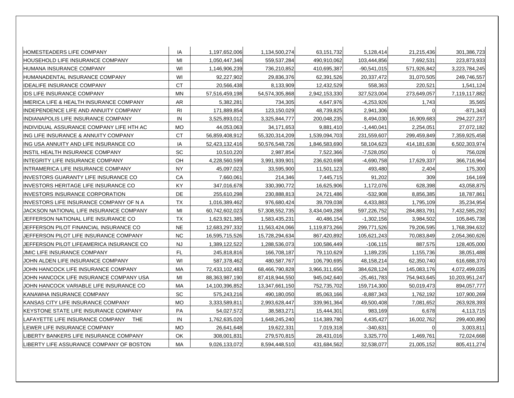| HOMESTEADERS LIFE COMPANY                | ΙA             | 1,197,652,006  | 1,134,500,274  | 63, 151, 732  | 5,128,414     | 21,215,436    | 301,386,723    |
|------------------------------------------|----------------|----------------|----------------|---------------|---------------|---------------|----------------|
| HOUSEHOLD LIFE INSURANCE COMPANY         | MI             | 1,050,447,346  | 559,537,284    | 490,910,062   | 103,444,856   | 7,692,531     | 223,873,933    |
| HUMANA INSURANCE COMPANY                 | WI             | 1,146,906,239  | 736,210,852    | 410,695,387   | $-90,541,015$ | 571,926,842   | 3,223,784,245  |
| HUMANADENTAL INSURANCE COMPANY           | WI             | 92,227,902     | 29,836,376     | 62,391,526    | 20,337,472    | 31,070,505    | 249,746,557    |
| <b>IDEALIFE INSURANCE COMPANY</b>        | CT             | 20,566,438     | 8,133,909      | 12,432,529    | 558,363       | 220,521       | 1,541,124      |
| <b>IDS LIFE INSURANCE COMPANY</b>        | <b>MN</b>      | 57,516,459,198 | 54,574,305,868 | 2,942,153,330 | 327,523,004   | 273,649,057   | 7,119,117,882  |
| IIMERICA LIFE & HEALTH INSURANCE COMPANY | AR             | 5,382,281      | 734,305        | 4,647,976     | $-4.253.926$  | 1,743         | 35,565         |
| INDEPENDENCE LIFE AND ANNUITY COMPANY    | R <sub>l</sub> | 171,889,854    | 123,150,029    | 48,739,825    | 2,941,306     |               | -871,343       |
| INDIANAPOLIS LIFE INSURANCE COMPANY      | IN             | 3,525,893,012  | 3,325,844,777  | 200,048,235   | 8,494,030     | 16,909,683    | 294,227,237    |
| INDIVIDUAL ASSURANCE COMPANY LIFE HTH AC | <b>MO</b>      | 44,053,063     | 34,171,653     | 9,881,410     | $-1,440,041$  | 2,254,051     | 27,072,182     |
| ING LIFE INSURANCE & ANNUITY COMPANY     | CT             | 56,859,408,912 | 55,320,314,209 | 1,539,094,703 | 231,559,607   | 299,459,849   | 7,359,925,458  |
| IING USA ANNUITY AND LIFE INSURANCE CO   | IA             | 52,423,132,416 | 50,576,548,726 | 1,846,583,690 | 58,104,623    | 414, 181, 638 | 6,502,303,974  |
| INSTIL HEALTH INSURANCE COMPANY          | <b>SC</b>      | 10,510,220     | 2,987,854      | 7,522,366     | $-7,528,050$  | $\Omega$      | 756,028        |
| INTEGRITY LIFE INSURANCE COMPANY         | OH             | 4,228,560,599  | 3,991,939,901  | 236,620,698   | $-4,690,758$  | 17,629,337    | 366,716,964    |
| INTRAMERICA LIFE INSURANCE COMPANY       | <b>NY</b>      | 45,097,023     | 33,595,900     | 11,501,123    | 493,480       | 2,404         | 175,300        |
| INVESTORS GUARANTY LIFE INSURANCE CO     | CA             | 7,660,061      | 214,346        | 7,445,715     | 91,202        | 309           | 164,169        |
| INVESTORS HERITAGE LIFE INSURANCE CO     | KY             | 347,016,678    | 330,390,772    | 16,625,906    | 1,172,076     | 628,398       | 43,058,875     |
| <b>INVESTORS INSURANCE CORPORATION</b>   | DE             | 255,610,298    | 230,888,813    | 24,721,486    | $-532,908$    | 8,856,385     | 18,787,861     |
| INVESTORS LIFE INSURANCE COMPANY OF N A  | <b>TX</b>      | 1,016,389,462  | 976,680,424    | 39,709,038    | 4,433,883     | 1,795,109     | 35,234,954     |
| JACKSON NATIONAL LIFE INSURANCE COMPANY  | MI             | 60,742,602,023 | 57,308,552,735 | 3,434,049,288 | 597,226,752   | 284,883,791   | 7,432,585,292  |
| JEFFERSON NATIONAL LIFE INSURANCE CO     | <b>TX</b>      | 1,623,921,385  | 1,583,435,231  | 40,486,154    | $-1,302,156$  | 3,984,502     | 105,845,738    |
| JEFFERSON PILOT FINANCIAL INSURANCE CO   | <b>NE</b>      | 12,683,297,332 | 11,563,424,066 | 1,119,873,266 | 299,771,526   | 79,206,595    | 1,768,394,632  |
| JEFFERSON PILOT LIFE INSURANCE COMPANY   | <b>NC</b>      | 16,595,715,526 | 15,728,294,634 | 867,420,892   | 105,621,243   | 70,083,849    | 2,054,360,626  |
| JEFFERSON PILOT LIFEAMERICA INSURANCE CO | <b>NJ</b>      | 1,389,122,522  | 1,288,536,073  | 100,586,449   | $-106, 115$   | 887,575       | 128,405,000    |
| JMIC LIFE INSURANCE COMPANY              | <b>FL</b>      | 245,818,816    | 166,708,187    | 79,110,629    | 1,189,235     | 1,155,736     | 38,051,488     |
| JOHN ALDEN LIFE INSURANCE COMPANY        | WI             | 587,378,462    | 480.587.767    | 106,790,695   | 48,158,214    | 62,350,740    | 616,688,370    |
| JOHN HANCOCK LIFE INSURANCE COMPANY      | МA             | 72,433,102,483 | 68,466,790,828 | 3,966,311,656 | 384,628,124   | 145,083,176   | 4,072,499,035  |
| JOHN HANCOCK LIFE INSURANCE COMPANY USA  | МI             | 88,363,987,190 | 87,418,944,550 | 945,042,640   | $-25,461,783$ | 754,943,645   | 10,203,951,247 |
| JOHN HANCOCK VARIABLE LIFE INSURANCE CO  | МA             | 14,100,396,852 | 13,347,661,150 | 752,735,702   | 159,714,300   | 50,019,473    | 894,057,777    |
| IKANAWHA INSURANCE COMPANY               | <b>SC</b>      | 575,243,216    | 490,180,050    | 85,063,166    | $-8,887,343$  | 1,762,192     | 107,900,269    |
| IKANSAS CITY LIFE INSURANCE COMPANY      | <b>MO</b>      | 3,333,589,811  | 2,993,628,447  | 339,961,364   | 49,500,408    | 7,081,652     | 263,928,393    |
| KEYSTONE STATE LIFE INSURANCE COMPANY    | PA             | 54,027,572     | 38,583,271     | 15,444,301    | 983,169       | 6,678         | 4,113,715      |
| LAFAYETTE LIFE INSURANCE COMPANY THE     | IN             | 1,762,635,020  | 1,648,245,240  | 114,389,780   | 4,435,427     | 16,002,762    | 299,400,890    |
| LEWER LIFE INSURANCE COMPANY             | <b>MO</b>      | 26,641,648     | 19,622,331     | 7,019,318     | $-340,631$    |               | 3,003,811      |
| LIBERTY BANKERS LIFE INSURANCE COMPANY   | OK             | 308,001,831    | 279,570,815    | 28,431,016    | 3,325,770     | 1,469,761     | 72,024,668     |
| LIBERTY LIFE ASSURANCE COMPANY OF BOSTON | МA             | 9,026,133,072  | 8,594,448,510  | 431,684,562   | 32,538,077    | 21,005,152    | 805,411,274    |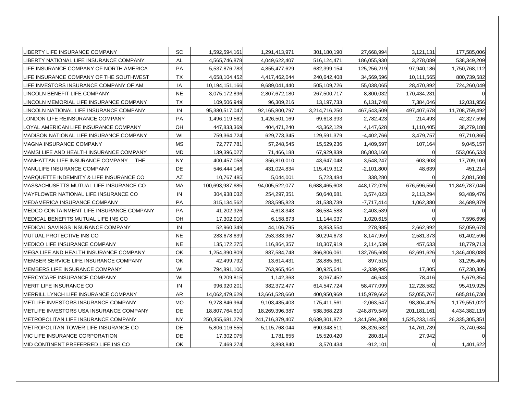| ILIBERTY LIFE INSURANCE COMPANY            | <b>SC</b> | 1,592,594,161      | 1,291,413,971   | 301,180,190   | 27,668,994    | 3,121,131      | 177,585,006    |
|--------------------------------------------|-----------|--------------------|-----------------|---------------|---------------|----------------|----------------|
| LIBERTY NATIONAL LIFE INSURANCE COMPANY    | <b>AL</b> | 4,565,746,878      | 4,049,622,407   | 516,124,471   | 186,055,930   | 3,278,089      | 538,349,209    |
| LIFE INSURANCE COMPANY OF NORTH AMERICA    | <b>PA</b> | 5,537,876,783      | 4,855,477,629   | 682,399,154   | 125,256,219   | 97,940,186     | 1,750,768,112  |
| LIFE INSURANCE COMPANY OF THE SOUTHWEST    | <b>TX</b> | 4,658,104,452      | 4,417,462,044   | 240,642,408   | 34,569,596    | 10,111,565     | 800,739,582    |
| LIFE INVESTORS INSURANCE COMPANY OF AM     | IA        | 10,194,151,166     | 9,689,041,440   | 505,109,726   | 55,038,065    | 28,470,892     | 724,260,049    |
| LINCOLN BENEFIT LIFE COMPANY               | <b>NE</b> | 3,075,172,896      | 2,807,672,180   | 267,500,717   | 8,800,032     | 170,434,231    |                |
| LINCOLN MEMORIAL LIFE INSURANCE COMPANY    | <b>TX</b> | 109,506,949        | 96,309,216      | 13,197,733    | 6,131,748     | 7,384,046      | 12,031,956     |
| LINCOLN NATIONAL LIFE INSURANCE COMPANY    | IN        | 95,380,517,047     | 92,165,800,797  | 3,214,716,250 | 467,543,509   | 497,407,678    | 11,708,759,492 |
| LONDON LIFE REINSURANCE COMPANY            | PA        | 1,496,119,562      | 1,426,501,169   | 69,618,393    | 2,782,423     | 214,493        | 42,327,596     |
| LOYAL AMERICAN LIFE INSURANCE COMPANY      | OH        | 447,833,369        | 404,471,240     | 43,362,129    | 4,147,628     | 1,110,405      | 38,279,188     |
| MADISON NATIONAL LIFE INSURANCE COMPANY    | WI        | 759,364,724        | 629,773,345     | 129,591,379   | $-4,402,766$  | 3,479,757      | 97,710,865     |
| <b>IMAGNA INSURANCE COMPANY</b>            | <b>MS</b> | 72,777,781         | 57,248,545      | 15,529,236    | 1,409,597     | 107,164        | 9,045,157      |
| IMAMSI LIFE AND HEALTH INSURANCE COMPANY   | <b>MD</b> | 139,396,027        | 71,466,188      | 67,929,839    | 86,803,160    |                | 553,066,533    |
| MANHATTAN LIFE INSURANCE COMPANY THE       | <b>NY</b> | 400,457,058        | 356,810,010     | 43,647,048    | 3,548,247     | 603,903        | 17,709,100     |
| MANULIFE INSURANCE COMPANY                 | DE        | 546,444,146        | 431,024,834     | 115,419,312   | $-2,101,800$  | 48,639         | 451,214        |
| MARQUETTE INDEMNITY & LIFE INSURANCE CO    | AZ        | 10,767,485         | 5,044,001       | 5,723,484     | 338,280       | $\Omega$       | 2,081,508      |
| MASSACHUSETTS MUTUAL LIFE INSURANCE CO     | <b>MA</b> | 100,693,987,685    | 94,005,522,077  | 6,688,465,608 | 448,172,026   | 676,596,550    | 11,849,787,046 |
| MAYFLOWER NATIONAL LIFE INSURANCE CO       | IN        | 304,938,032        | 254,297,351     | 50,640,681    | 3,574,023     | 2,113,294      | 93,489,476     |
| MEDAMERICA INSURANCE COMPANY               | PA        | 315, 134, 562      | 283,595,823     | 31,538,739    | $-7,717,414$  | 1,062,380      | 34,689,879     |
| MEDCO CONTAINMENT LIFE INSURANCE COMPANY   | <b>PA</b> | 41,202,926         | 4,618,343       | 36,584,583    | $-2.403.539$  |                |                |
| MEDICAL BENEFITS MUTUAL LIFE INS CO        | OH        | 17,302,910         | 6,158,873       | 11,144,037    | 1,020,615     |                | 7,596,696      |
| MEDICAL SAVINGS INSURANCE COMPANY          | IN.       | 52,960,349         | 44,106,795      | 8,853,554     | 278,985       | 2,662,992      | 52,059,678     |
| MUTUAL PROTECTIVE INS CO                   | <b>NE</b> | 283,678,639        | 253,383,967     | 30,294,673    | 8,147,959     | 2,581,373      | 61,402,596     |
| MEDICO LIFE INSURANCE COMPANY              | <b>NE</b> | 135, 172, 275      | 116,864,357     | 18,307,919    | 2,114,539     | 457,633        | 18,779,713     |
| MEGA LIFE AND HEALTH INSURANCE COMPANY     | OK        | 1,254,390,809      | 887,584,748     | 366,806,061   | 132,765,608   | 62,691,626     | 1,346,408,088  |
| MEMBER SERVICE LIFE INSURANCE COMPANY      | OK        | 42,499,792         | 13,614,431      | 28,885,361    | 897,515       |                | 31,295,405     |
| MEMBERS LIFE INSURANCE COMPANY             | WI        | 794,891,106        | 763,965,464     | 30,925,641    | $-2,339,995$  | 17,805         | 67,230,386     |
| MERCYCARE INSURANCE COMPANY                | WI        | 9,209,815          | 1,142,363       | 8,067,452     | 46,643        | 78,416         | 5,679,354      |
| <b>MERIT LIFE INSURANCE CO</b>             | IN        | 996,920,201        | 382,372,477     | 614,547,724   | 58,477,099    | 12,728,582     | 95,419,925     |
| MERRILL LYNCH LIFE INSURANCE COMPANY       | AR        | 14,062,479,629     | 13,661,528,660  | 400,950,969   | 115,979,662   | 52,055,767     | 685,816,730    |
| METLIFE INVESTORS INSURANCE COMPANY        | <b>MO</b> | 9,278,846,964      | 9,103,435,403   | 175,411,561   | $-2,063,547$  | 98,304,425     | 1,179,551,022  |
| METLIFE INVESTORS USA INSURANCE COMPANY    | <b>DE</b> | 18,807,764,610     | 18,269,396,387  | 538,368,223   | -248,879,549  | 201,181,161    | 4,434,382,119  |
| <b>METROPOLITAN LIFE INSURANCE COMPANY</b> | <b>NY</b> | 250, 355, 681, 279 | 241,716,379,407 | 8,639,301,872 | 1,341,594,308 | 1,525,233,145  | 26,335,305,351 |
| METROPOLITAN TOWER LIFE INSURANCE CO       | DE        | 5,806,116,555      | 5,115,768,044   | 690,348,511   | 85,326,582    | 14,761,739     | 73,740,684     |
| <b>MIC LIFE INSURANCE CORPORATION</b>      | DE        | 17,302,075         | 1,781,655       | 15,520,420    | 280,814       | 27,942         |                |
| MID CONTINENT PREFERRED LIFE INS CO        | <b>OK</b> | 7,469,274          | 3,898,840       | 3,570,434     | $-912,101$    | $\overline{0}$ | 1,401,622      |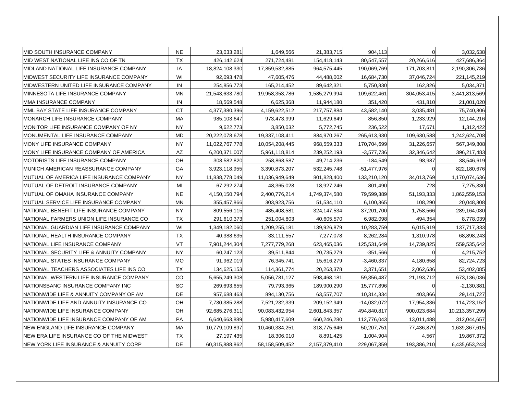| <b>IMID SOUTH INSURANCE COMPANY</b>           | <b>NE</b> | 23,033,281     | 1,649,566      | 21,383,715    | 904,113       |             | 3,032,638      |
|-----------------------------------------------|-----------|----------------|----------------|---------------|---------------|-------------|----------------|
| MID WEST NATIONAL LIFE INS CO OF TN           | <b>TX</b> | 426,142,624    | 271,724,481    | 154,418,143   | 80,547,557    | 20,266,616  | 427,686,364    |
| MIDLAND NATIONAL LIFE INSURANCE COMPANY       | IA        | 18,824,108,330 | 17,859,532,885 | 964,575,445   | 190,069,769   | 171,703,811 | 2,190,306,736  |
| MIDWEST SECURITY LIFE INSURANCE COMPANY       | WI        | 92,093,478     | 47,605,476     | 44,488,002    | 16,684,730    | 37,046,724  | 221,145,219    |
| MIDWESTERN UNITED LIFE INSURANCE COMPANY      | IN        | 254,856,773    | 165,214,452    | 89,642,321    | 5,750,830     | 162,826     | 5,034,871      |
| MINNESOTA LIFE INSURANCE COMPANY              | <b>MN</b> | 21,543,633,780 | 19,958,353,786 | 1,585,279,994 | 109,622,461   | 304,053,415 | 3,441,813,569  |
| MMA INSURANCE COMPANY                         | IN        | 18,569,548     | 6,625,368      | 11,944,180    | 351,420       | 431,810     | 21,001,020     |
| MML BAY STATE LIFE INSURANCE COMPANY          | <b>CT</b> | 4,377,380,396  | 4,159,622,512  | 217,757,884   | 43,582,140    | 3,035,481   | 75,740,806     |
| MONARCH LIFE INSURANCE COMPANY                | MA        | 985,103,647    | 973,473,999    | 11,629,649    | 856,850       | 1,233,929   | 12,144,216     |
| MONITOR LIFE INSURANCE COMPANY OF NY          | <b>NY</b> | 9,622,773      | 3,850,032      | 5,772,745     | 236,522       | 17,671      | 1,312,422      |
| MONUMENTAL LIFE INSURANCE COMPANY             | <b>MD</b> | 20,222,078,678 | 19,337,108,411 | 884,970,267   | 265,613,930   | 109,630,588 | 1,242,624,708  |
| MONY LIFE INSURANCE COMPANY                   | <b>NY</b> | 11,022,767,778 | 10,054,208,445 | 968,559,333   | 170,704,699   | 31,226,657  | 567,349,808    |
| IMONY LIFE INSURANCE COMPANY OF AMERICA       | <b>AZ</b> | 6,200,371,007  | 5,961,118,814  | 239,252,193   | $-3,577,736$  | 32,346,642  | 396,217,483    |
| <b>IMOTORISTS LIFE INSURANCE COMPANY</b>      | OH        | 308,582,820    | 258,868,587    | 49,714,236    | $-184,549$    | 98,987      | 38,546,619     |
| MUNICH AMERICAN REASSURANCE COMPANY           | GA        | 3,923,118,955  | 3,390,873,207  | 532,245,748   | $-51,477,976$ | $\Omega$    | 822,180,676    |
| IMUTUAL OF AMERICA LIFE INSURANCE COMPANY     | <b>NY</b> | 11,838,778,049 | 11,036,949,649 | 801,828,400   | 133,210,120   | 34,013,769  | 1,170,074,636  |
| <b>IMUTUAL OF DETROIT INSURANCE COMPANY</b>   | MI        | 67,292,274     | 48,365,028     | 18,927,246    | 801,490       | 728         | 7,275,330      |
| MUTUAL OF OMAHA INSURANCE COMPANY             | <b>NE</b> | 4,150,150,794  | 2,400,776,214  | 1,749,374,580 | 79,599,389    | 51,193,333  | 1,862,559,153  |
| <b>IMUTUAL SERVICE LIFE INSURANCE COMPANY</b> | <b>MN</b> | 355,457,866    | 303,923,756    | 51,534,110    | 6,100,365     | 108,290     | 20,048,808     |
| NATIONAL BENEFIT LIFE INSURANCE COMPANY       | <b>NY</b> | 809,556,115    | 485,408,581    | 324,147,534   | 37,201,700    | 1,758,566   | 289,164,030    |
| NATIONAL FARMERS UNION LIFE INSURANCE CO      | <b>TX</b> | 291,610,373    | 251,004,803    | 40,605,570    | 6,982,098     | 494,354     | 8,778,039      |
| NATIONAL GUARDIAN LIFE INSURANCE COMPANY      | WI        | 1,349,182,060  | 1,209,255,181  | 139,926,879   | 10,283,759    | 6,015,919   | 137,717,333    |
| NATIONAL HEALTH INSURANCE COMPANY             | <b>TX</b> | 40,388,635     | 33,111,557     | 7,277,078     | 8,262,284     | 1,310,978   | 68,898,243     |
| NATIONAL LIFE INSURANCE COMPANY               | VT        | 7,901,244,304  | 7,277,779,268  | 623,465,036   | 125,531,649   | 14,739,825  | 559,535,642    |
| NATIONAL SECURITY LIFE & ANNUITY COMPANY      | <b>NY</b> | 60,247,123     | 39,511,844     | 20,735,279    | $-351,566$    | 0           | 4,215,752      |
| NATIONAL STATES INSURANCE COMPANY             | <b>MO</b> | 91,962,019     | 76,345,741     | 15,616,279    | $-3,460,337$  | 4,180,658   | 82,724,723     |
| NATIONAL TEACHERS ASSOCIATES LIFE INS CO      | <b>TX</b> | 134,625,153    | 114,361,774    | 20,263,378    | 3,371,651     | 2,062,636   | 53,402,085     |
| NATIONAL WESTERN LIFE INSURANCE COMPANY       | CO.       | 5,655,249,308  | 5,056,781,127  | 598,468,181   | 59,356,487    | 21,193,712  | 673,136,036    |
| NATIONSBANC INSURANCE COMPANY INC             | SC        | 269,693,655    | 79,793,365     | 189,900,290   | 15,777,896    | U           | $-2,130,381$   |
| NATIONWIDE LIFE & ANNUITY COMPANY OF AM       | <b>DE</b> | 957,688,463    | 894,130,756    | 63,557,707    | 10,314,334    | 403,866     | 29,141,727     |
| NATIONWIDE LIFE AND ANNUITY INSURANCE CO      | OH        | 7,730,385,288  | 7,521,232,339  | 209,152,949   | $-14,032,072$ | 17,954,336  | 114,723,152    |
| NATIONWIDE LIFE INSURANCE COMPANY             | OH        | 92,685,276,311 | 90,083,432,954 | 2,601,843,357 | 494,840,817   | 900,023,684 | 10,213,357,299 |
| NATIONWIDE LIFE INSURANCE COMPANY OF AM       | PA        | 6,640,663,889  | 5,980,417,609  | 660,246,280   | 112,776,043   | 13,011,488  | 312,044,657    |
| NEW ENGLAND LIFE INSURANCE COMPANY            | MA        | 10,779,109,897 | 10,460,334,251 | 318,775,646   | 50,207,751    | 77,436,879  | 1,639,367,615  |
| NEW ERA LIFE INSURANCE CO OF THE MIDWEST      | <b>TX</b> | 27,197,435     | 18,306,010     | 8,891,425     | 1,004,904     | 4,567       | 19,867,372     |
| NEW YORK LIFE INSURANCE & ANNUITY CORP        | <b>DE</b> | 60,315,888,862 | 58,158,509,452 | 2,157,379,410 | 229,067,359   | 193,386,210 | 6,435,653,243  |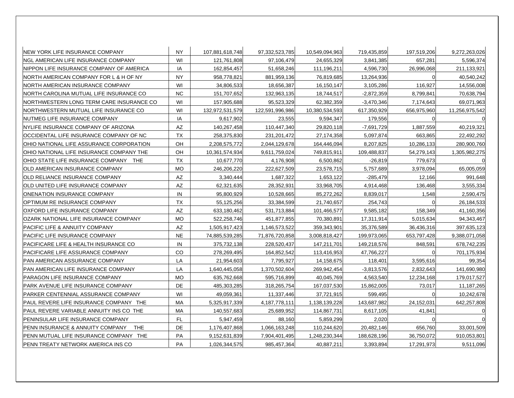| NEW YORK LIFE INSURANCE COMPANY                 | <b>NY</b> | 107,881,618,748 | 97,332,523,785  | 10,549,094,963 | 719,435,859  | 197,519,206 | 9,272,263,026  |
|-------------------------------------------------|-----------|-----------------|-----------------|----------------|--------------|-------------|----------------|
| NGL AMERICAN LIFE INSURANCE COMPANY             | WI        | 121,761,808     | 97,106,479      | 24,655,329     | 3,841,385    | 657,281     | 5,596,374      |
| NIPPON LIFE INSURANCE COMPANY OF AMERICA        | IA        | 162,854,457     | 51,658,246      | 111,196,211    | 4,596,730    | 26,996,068  | 211,133,921    |
| NORTH AMERICAN COMPANY FOR L & H OF NY          | <b>NY</b> | 958,778,821     | 881,959,136     | 76,819,685     | 13,264,936   | n           | 40,540,242     |
| NORTH AMERICAN INSURANCE COMPANY                | WI        | 34,806,533      | 18,656,387      | 16,150,147     | 3,105,286    | 116,927     | 14,556,008     |
| NORTH CAROLINA MUTUAL LIFE INSURANCE CO         | <b>NC</b> | 151,707,652     | 132,963,135     | 18,744,517     | $-2,872,359$ | 8,799,841   | 70,638,794     |
| NORTHWESTERN LONG TERM CARE INSURANCE CO        | WI        | 157,905,688     | 95,523,329      | 62,382,359     | $-3,470,346$ | 7,174,643   | 69,071,963     |
| NORTHWESTERN MUTUAL LIFE INSURANCE CO           | WI        | 132,972,531,579 | 122,591,996,986 | 10,380,534,593 | 617,350,929  | 656,975,960 | 11,256,975,542 |
| NUTMEG LIFE INSURANCE COMPANY                   | ΙA        | 9,617,902       | 23,555          | 9,594,347      | 179,556      |             |                |
| NYLIFE INSURANCE COMPANY OF ARIZONA             | AZ        | 140,267,458     | 110,447,340     | 29,820,118     | $-7,691,729$ | 1,887,559   | 40,219,321     |
| OCCIDENTAL LIFE INSURANCE COMPANY OF NC         | <b>TX</b> | 258,375,830     | 231, 201, 472   | 27,174,358     | 5,097,874    | 663,865     | 22,492,292     |
| OHIO NATIONAL LIFE ASSURANCE CORPORATION        | OH        | 2,208,575,772   | 2,044,129,678   | 164,446,094    | 8,207,825    | 10,286,133  | 280,900,760    |
| OHIO NATIONAL LIFE INSURANCE COMPANY THE        | OH        | 10,361,574,934  | 9,611,759,024   | 749,815,911    | 109,488,837  | 54,279,143  | 1,305,982,275  |
| OHIO STATE LIFE INSURANCE COMPANY THE           | <b>TX</b> | 10,677,770      | 4,176,908       | 6,500,862      | $-26,819$    | 779,673     |                |
| OLD AMERICAN INSURANCE COMPANY                  | <b>MO</b> | 246,206,220     | 222,627,509     | 23,578,715     | 5,757,689    | 3,978,094   | 65,005,059     |
| OLD RELIANCE INSURANCE COMPANY                  | AZ        | 3,340,444       | 1,687,322       | 1,653,122      | $-285,479$   | 12,166      | 991,648        |
| OLD UNITED LIFE INSURANCE COMPANY               | <b>AZ</b> | 62,321,635      | 28,352,931      | 33,968,705     | 4,914,468    | 136,468     | 3,555,334      |
| ONENATION INSURANCE COMPANY                     | IN        | 95,800,929      | 10,528,665      | 85,272,262     | 8,839,017    | 1,548       | 2,590,475      |
| OPTIMUM RE INSURANCE COMPANY                    | <b>TX</b> | 55,125,256      | 33,384,599      | 21,740,657     | 254,743      |             | 26, 184, 533   |
| IOXFORD LIFE INSURANCE COMPANY                  | <b>AZ</b> | 633,180,462     | 531,713,884     | 101,466,577    | 9,585,182    | 158,349     | 41,160,356     |
| OZARK NATIONAL LIFE INSURANCE COMPANY           | <b>MO</b> | 522,258,746     | 451,877,855     | 70,380,891     | 17,311,914   | 5,015,634   | 94,343,467     |
| <b>PACIFIC LIFE &amp; ANNUITY COMPANY</b>       | AZ        | 1,505,917,423   | 1,146,573,522   | 359,343,901    | 35,376,589   | 36,436,316  | 397,635,123    |
| PACIFIC LIFE INSURANCE COMPANY                  | <b>NE</b> | 74,885,539,285  | 71,876,720,858  | 3,008,818,427  | 199,973,065  | 653,797,428 | 9,388,071,058  |
| PACIFICARE LIFE & HEALTH INSURANCE CO           | IN        | 375,732,138     | 228,520,437     | 147,211,701    | 149,218,576  | 848,591     | 678,742,235    |
| PACIFICARE LIFE ASSURANCE COMPANY               | CO        | 278,269,495     | 164,852,542     | 113,416,953    | 47,766,227   |             | 701,175,934    |
| PAN AMERICAN ASSURANCE COMPANY                  | LA        | 21,954,603      | 7,795,927       | 14,158,675     | 118,401      | 3,595,616   | 99,354         |
| PAN AMERICAN LIFE INSURANCE COMPANY             | LA        | 1,640,445,058   | 1,370,502,604   | 269,942,454    | $-3,813,576$ | 2,832,643   | 141,690,980    |
| PARAGON LIFE INSURANCE COMPANY                  | <b>MO</b> | 635,762,668     | 595,716,899     | 40,045,769     | 4,563,540    | 12,234,168  | 179,017,527    |
| PARK AVENUE LIFE INSURANCE COMPANY              | <b>DE</b> | 485,303,285     | 318,265,754     | 167,037,530    | 15,862,005   | 73,017      | 11,187,265     |
| PARKER CENTENNIAL ASSURANCE COMPANY             | WI        | 49,059,361      | 11,337,446      | 37,721,915     | 599,495      |             | 10,242,678     |
| PAUL REVERE LIFE INSURANCE COMPANY THE          | MA        | 5,325,917,339   | 4,187,778,111   | 1,138,139,228  | 143,687,982  | 24,152,031  | 642,257,808    |
| <b>IPAUL REVERE VARIABLE ANNUITY INS CO THE</b> | MA        | 140,557,683     | 25,689,952      | 114,867,731    | 8,617,105    | 41,841      |                |
| PENINSULAR LIFE INSURANCE COMPANY               | <b>FL</b> | 5,947,459       | 88,160          | 5,859,299      | 2,020        |             |                |
| PENN INSURANCE & ANNUITY COMPANY<br><b>THE</b>  | <b>DE</b> | 1,176,407,868   | 1,066,163,248   | 110,244,620    | 20,482,146   | 656,760     | 33,001,509     |
| PENN MUTUAL LIFE INSURANCE COMPANY THE          | PA        | 9,152,631,839   | 7,904,401,495   | 1,248,230,344  | 188,628,196  | 36,750,072  | 910,053,801    |
| PENN TREATY NETWORK AMERICA INS CO              | PA        | 1,026,344,575   | 985,457,364     | 40,887,211     | 3,393,894    | 17,291,973  | 9,511,096      |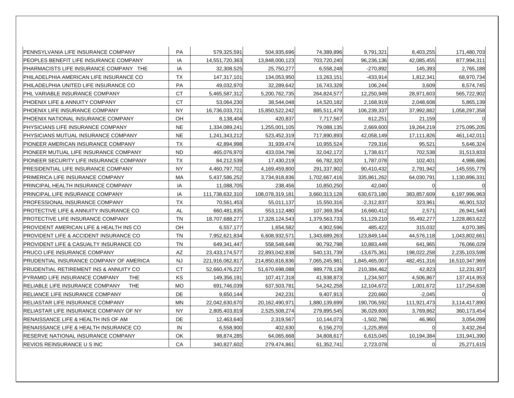| IPENNSYLVANIA LIFE INSURANCE COMPANY               | PA        | 579,325,591     | 504,935,696     | 74,389,896    | 9,791,321     | 8,403,255      | 171,480,703    |
|----------------------------------------------------|-----------|-----------------|-----------------|---------------|---------------|----------------|----------------|
| PEOPLES BENEFIT LIFE INSURANCE COMPANY             | IA        | 14,551,720,363  | 13,848,000,123  | 703,720,240   | 96,236,136    | 42,085,455     | 877,994,311    |
| PHARMACISTS LIFE INSURANCE COMPANY THE             | IA        | 32,308,525      | 25,750,277      | 6,558,248     | $-270,892$    | 145,393        | 2,765,188      |
| PHILADELPHIA AMERICAN LIFE INSURANCE CO            | <b>TX</b> | 147,317,101     | 134,053,950     | 13,263,151    | -433,914      | 1,812,341      | 68,970,734     |
| PHILADELPHIA UNITED LIFE INSURANCE CO              | PA        | 49,032,970      | 32,289,642      | 16,743,328    | 106,244       | 3,609          | 8,574,745      |
| PHL VARIABLE INSURANCE COMPANY                     | <b>CT</b> | 5,465,587,312   | 5,200,762,735   | 264,824,577   | 12,250,949    | 28,971,603     | 565,722,902    |
| PHOENIX LIFE & ANNUITY COMPANY                     | <b>CT</b> | 53,064,230      | 38,544,048      | 14,520,182    | 2,168,919     | 2,048,608      | 5,865,139      |
| PHOENIX LIFE INSURANCE COMPANY                     | <b>NY</b> | 16,736,033,721  | 15,850,522,242  | 885,511,479   | 106,239,337   | 37,992,882     | 1,058,297,358  |
| PHOENIX NATIONAL INSURANCE COMPANY                 | OH        | 8,138,404       | 420,837         | 7,717,567     | 612,251       | 21,159         |                |
| IPHYSICIANS LIFE INSURANCE COMPANY                 | <b>NE</b> | 1,334,089,241   | 1,255,001,105   | 79,088,135    | 2,669,600     | 19,264,219     | 275,095,205    |
| PHYSICIANS MUTUAL INSURANCE COMPANY                | <b>NE</b> | 1,241,343,212   | 523,452,319     | 717,890,893   | 42,058,149    | 17,111,826     | 461,142,011    |
| PIONEER AMERICAN INSURANCE COMPANY                 | TX        | 42,894,998      | 31,939,474      | 10,955,524    | 729,316       | 95,521         | 5,646,324      |
| PIONEER MUTUAL LIFE INSURANCE COMPANY              | <b>ND</b> | 465,076,970     | 433,034,798     | 32,042,172    | 1,738,617     | 702,538        | 31,513,833     |
| PIONEER SECURITY LIFE INSURANCE COMPANY            | <b>TX</b> | 84,212,539      | 17,430,219      | 66,782,320    | 1,787,078     | 102,401        | 4,986,686      |
| PRESIDENTIAL LIFE INSURANCE COMPANY                | <b>NY</b> | 4,460,797,702   | 4,169,459,800   | 291,337,902   | 90,410,432    | 2,791,942      | 145,555,779    |
| PRIMERICA LIFE INSURANCE COMPANY                   | MA        | 5,437,586,252   | 3,734,918,836   | 1,702,667,416 | 335,861,262   | 64,030,791     | 1,130,896,331  |
| PRINCIPAL HEALTH INSURANCE COMPANY                 | IA        | 11,088,705      | 238,456         | 10,850,250    | 42,040        | $\Omega$       |                |
| IPRINCIPAL LIFE INSURANCE COMPANY                  | IA        | 111,738,632,310 | 108,078,319,181 | 3,660,313,128 | 630,673,180   | 383,857,609    | 6,197,996,963  |
| PROFESSIONAL INSURANCE COMPANY                     | <b>TX</b> | 70,561,453      | 55,011,137      | 15,550,316    | $-2,312,837$  | 323,961        | 46,901,532     |
| PROTECTIVE LIFE & ANNUITY INSURANCE CO             | AL        | 660,481,835     | 553,112,480     | 107,369,354   | 16,660,412    | 2,571          | 26,941,540     |
| PROTECTIVE LIFE INSURANCE COMPANY                  | <b>TN</b> | 18,707,688,277  | 17,328,124,543  | 1,379,563,733 | 51,129,210    | 55,492,277     | 1,228,863,622  |
| <b>PROVIDENT AMERICAN LIFE &amp; HEALTH INS CO</b> | OH        | 6,557,177       | 1,654,582       | 4,902,596     | 485,422       | 315,032        | 4,070,385      |
| IPROVIDENT LIFE & ACCIDENT INSURANCE CO            | <b>TN</b> | 7,952,621,834   | 6,608,932,571   | 1,343,689,263 | 123,849,144   | 44,576,118     | 1,043,802,661  |
| PROVIDENT LIFE & CASUALTY INSURANCE CO             | <b>TN</b> | 649,341,447     | 558,548,648     | 90,792,798    | 10,883,449    | 641,965        | 76,066,029     |
| PRUCO LIFE INSURANCE COMPANY                       | <b>AZ</b> | 23,433,174,577  | 22,893,042,838  | 540,131,739   | -13,675,361   | 198,022,258    | 2,235,103,598  |
| PRUDENTIAL INSURANCE COMPANY OF AMERICA            | <b>NJ</b> | 221,916,062,817 | 214,850,816,836 | 7,065,245,981 | 1,845,465,007 | 482,451,316    | 16,510,347,969 |
| PRUDENTIAL RETIREMENT INS & ANNUITY CO             | <b>CT</b> | 52,660,476,227  | 51,670,698,088  | 989,778,139   | 210,384,462   | 42,823         | 12,231,937     |
| PYRAMID LIFE INSURANCE COMPANY<br>THE              | KS        | 149,356,191     | 107,417,318     | 41,938,873    | 1,234,507     | 4,506,867      | 137,414,953    |
| RELIABLE LIFE INSURANCE COMPANY<br><b>THE</b>      | <b>MO</b> | 691,746,039     | 637,503,781     | 54,242,258    | 12,104,672    | 1,001,672      | 117,254,638    |
| <b>RELIANCE LIFE INSURANCE COMPANY</b>             | <b>DE</b> | 9,650,144       | 242,231         | 9,407,913     | 220,660       | $-2,045$       |                |
| RELIASTAR LIFE INSURANCE COMPANY                   | <b>MN</b> | 22,042,630,670  | 20,162,490,971  | 1,880,139,699 | 190,706,592   | 111,921,473    | 3,114,417,890  |
| RELIASTAR LIFE INSURANCE COMPANY OF NY             | <b>NY</b> | 2,805,403,819   | 2,525,508,274   | 279,895,545   | 36,029,600    | 3,769,862      | 360,173,454    |
| RENAISSANCE LIFE & HEALTH INS OF AM                | DE        | 12,463,640      | 2,319,567       | 10,144,073    | $-1,502,786$  | 46,960         | 3,054,099      |
| RENAISSANCE LIFE & HEALTH INSURANCE CO             | IN        | 6,558,900       | 402,630         | 6,156,270     | $-1,225,859$  | $\Omega$       | 3,432,264      |
| RESERVE NATIONAL INSURANCE COMPANY                 | OK        | 98,874,285      | 64,065,668      | 34,808,617    | 6,615,045     | 10,194,384     | 131,941,390    |
| IREVIOS REINSURANCE U S INC                        | CA        | 340,827,602     | 279,474,861     | 61,352,741    | 2,723,078     | $\overline{0}$ | 25,271,615     |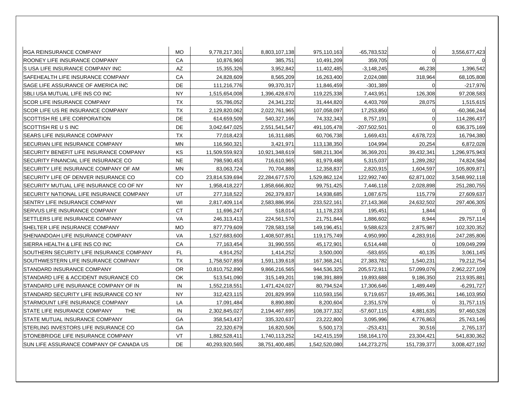| <b>RGA REINSURANCE COMPANY</b>             | <b>MO</b> | 9,778,217,301  | 8,803,107,138  | 975,110,163   | -65,783,532    | 0           | 3,556,677,423 |
|--------------------------------------------|-----------|----------------|----------------|---------------|----------------|-------------|---------------|
| ROONEY LIFE INSURANCE COMPANY              | CA        | 10,876,960     | 385,751        | 10,491,209    | 359,705        | $\Omega$    |               |
| S USA LIFE INSURANCE COMPANY INC           | AZ        | 15,355,326     | 3,952,842      | 11,402,485    | $-3,148,245$   | 46,238      | 1,396,542     |
| SAFEHEALTH LIFE INSURANCE COMPANY          | CA        | 24,828,609     | 8,565,209      | 16,263,400    | 2,024,088      | 318,964     | 68,105,808    |
| <b>ISAGE LIFE ASSURANCE OF AMERICA INC</b> | DE        | 111,216,776    | 99,370,317     | 11,846,459    | $-301,389$     | 0           | $-217,976$    |
| SBLI USA MUTUAL LIFE INS CO INC            | <b>NY</b> | 1,515,654,008  | 1,396,428,670  | 119,225,338   | 7,443,951      | 126,308     | 97,208,583    |
| <b>SCOR LIFE INSURANCE COMPANY</b>         | <b>TX</b> | 55,786,052     | 24,341,232     | 31,444,820    | 4,403,769      | 28,075      | 1,515,615     |
| SCOR LIFE US RE INSURANCE COMPANY          | <b>TX</b> | 2,129,820,062  | 2,022,761,965  | 107,058,097   | 17,253,850     | 0           | -60,366,244   |
| SCOTTISH RE LIFE CORPORATION               | DE        | 614,659,509    | 540,327,166    | 74,332,343    | 8,757,191      |             | 114,286,437   |
| SCOTTISH RE U S INC                        | DE        | 3,042,647,025  | 2,551,541,547  | 491,105,478   | $-207,502,501$ | 0           | 636,375,169   |
| SEARS LIFE INSURANCE COMPANY               | <b>TX</b> | 77,018,423     | 16,311,685     | 60,706,738    | 1,669,431      | 4,678,723   | 16,794,380    |
| SECURIAN LIFE INSURANCE COMPANY            | <b>MN</b> | 116,560,321    | 3,421,971      | 113,138,350   | 104,994        | 20,254      | 6,872,028     |
| SECURITY BENEFIT LIFE INSURANCE COMPANY    | KS        | 11,509,559,923 | 10,921,348,619 | 588,211,304   | 36,369,201     | 39,432,341  | 1,296,975,943 |
| SECURITY FINANCIAL LIFE INSURANCE CO       | <b>NE</b> | 798,590,453    | 716,610,965    | 81,979,488    | 5,315,037      | 1,289,282   | 74,824,584    |
| SECURITY LIFE INSURANCE COMPANY OF AM      | <b>MN</b> | 83,063,724     | 70,704,888     | 12,358,837    | 2,820,915      | 1,604,597   | 105,809,871   |
| SECURITY LIFE OF DENVER INSURANCE CO       | CO        | 23,814,539,694 | 22,284,677,570 | 1,529,862,124 | 122,992,740    | 62,871,002  | 3,548,992,118 |
| SECURITY MUTUAL LIFE INSURANCE CO OF NY    | <b>NY</b> | 1,958,418,227  | 1,858,666,802  | 99,751,425    | 7,446,118      | 2,028,898   | 251,280,755   |
| SECURITY NATIONAL LIFE INSURANCE COMPANY   | UT        | 277,318,522    | 262,379,837    | 14,938,685    | 1,087,675      | 115,779     | 27,609,637    |
| SENTRY LIFE INSURANCE COMPANY              | WI        | 2,817,409,114  | 2,583,886,956  | 233,522,161   | 27,143,368     | 24,632,502  | 297,406,305   |
| <b>SERVUS LIFE INSURANCE COMPANY</b>       | <b>CT</b> | 11,696,247     | 518,014        | 11,178,233    | 195,451        | 1,844       |               |
| SETTLERS LIFE INSURANCE COMPANY            | <b>VA</b> | 246,313,413    | 224,561,570    | 21,751,844    | 1,886,602      | 8,944       | 29,757,114    |
| SHELTER LIFE INSURANCE COMPANY             | <b>MO</b> | 877,779,609    | 728,583,158    | 149,196,451   | 9,588,623      | 2,875,987   | 102,320,352   |
| SHENANDOAH LIFE INSURANCE COMPANY          | <b>VA</b> | 1,527,683,600  | 1,408,507,851  | 119,175,749   | 4,950,990      | 4,283,916   | 247,285,806   |
| SIERRA HEALTH & LIFE INS CO INC            | CA        | 77,163,454     | 31,990,555     | 45,172,901    | 6,514,448      |             | 109,049,299   |
| SOUTHERN SECURITY LIFE INSURANCE COMPANY   | FL        | 4,914,252      | 1,414,252      | 3,500,000     | -583,655       | 40,135      | 3,061,145     |
| SOUTHWESTERN LIFE INSURANCE COMPANY        | <b>TX</b> | 1,758,507,859  | 1,591,139,618  | 167,368,241   | 27,383,782     | 1,540,231   | 79,212,754    |
| STANDARD INSURANCE COMPANY                 | <b>OR</b> | 10,810,752,890 | 9,866,216,565  | 944,536,325   | 205,572,911    | 57,099,076  | 2,962,227,109 |
| STANDARD LIFE & ACCIDENT INSURANCE CO      | OK        | 513,541,090    | 315,149,201    | 198,391,889   | 19,893,688     | 9,186,350   | 213,935,881   |
| STANDARD LIFE INSURANCE COMPANY OF IN      | IN        | 1,552,218,551  | 1,471,424,027  | 80,794,524    | 17,306,646     | 1,489,449   | $-6,291,727$  |
| STANDARD SECURITY LIFE INSURANCE CO NY     | <b>NY</b> | 312,423,115    | 201,829,959    | 110,593,156   | 9,719,657      | 19,495,361  | 146,103,950   |
| STARMOUNT LIFE INSURANCE COMPANY           | LA        | 17,091,484     | 8,890,880      | 8,200,604     | 2,351,579      |             | 31,757,115    |
| STATE LIFE INSURANCE COMPANY<br><b>THE</b> | IN        | 2,302,845,027  | 2,194,467,695  | 108,377,332   | $-57,607,115$  | 4,881,635   | 97,460,528    |
| <b>ISTATE MUTUAL INSURANCE COMPANY</b>     | GA        | 358,543,437    | 335,320,637    | 23,222,800    | 3,095,996      | 4,776,863   | 25,743,146    |
| STERLING INVESTORS LIFE INSURANCE CO       | GA        | 22,320,679     | 16,820,506     | 5,500,173     | $-253,431$     | 30,516      | 2,765,137     |
| <b>ISTONEBRIDGE LIFE INSURANCE COMPANY</b> | VT        | 1,882,528,411  | 1,740,113,252  | 142,415,159   | 158,164,170    | 23,304,421  | 541,830,362   |
| SUN LIFE ASSURANCE COMPANY OF CANADA US    | DE        | 40,293,920,565 | 38,751,400,485 | 1,542,520,080 | 144,273,275    | 151,739,377 | 3,008,427,192 |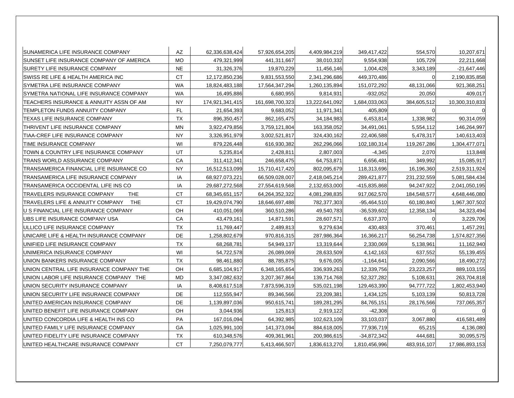| ISUNAMERICA LIFE INSURANCE COMPANY             | AZ        | 62,336,638,424  | 57,926,654,205  | 4,409,984,219  | 349,417,422   | 554,570     | 10,207,671     |
|------------------------------------------------|-----------|-----------------|-----------------|----------------|---------------|-------------|----------------|
| SUNSET LIFE INSURANCE COMPANY OF AMERICA       | <b>MO</b> | 479,321,999     | 441,311,667     | 38,010,332     | 9,554,938     | 105,729     | 22,211,668     |
| SURETY LIFE INSURANCE COMPANY                  | <b>NE</b> | 31,326,376      | 19,870,229      | 11,456,146     | 1,004,428     | 3,343,189   | $-21,647,446$  |
| ISWISS RE LIFE & HEALTH AMERICA INC            | <b>CT</b> | 12,172,850,236  | 9,831,553,550   | 2,341,296,686  | 449,370,486   |             | 2,190,835,858  |
| SYMETRA LIFE INSURANCE COMPANY                 | <b>WA</b> | 18,824,483,188  | 17,564,347,294  | 1,260,135,894  | 151,072,292   | 48,131,066  | 921,368,251    |
| SYMETRA NATIONAL LIFE INSURANCE COMPANY        | <b>WA</b> | 16,495,886      | 6,680,955       | 9,814,931      | $-932,052$    | 20,050      | 409,017        |
| TEACHERS INSURANCE & ANNUITY ASSN OF AM        | <b>NY</b> | 174,921,341,415 | 161,698,700,323 | 13,222,641,092 | 1,684,033,063 | 384,605,512 | 10,300,310,833 |
| TEMPLETON FUNDS ANNUITY COMPANY                | FL        | 21,654,393      | 9,683,052       | 11,971,341     | 405,809       | O           |                |
| TEXAS LIFE INSURANCE COMPANY                   | <b>TX</b> | 896,350,457     | 862,165,475     | 34,184,983     | 6,453,814     | 1,338,982   | 90,314,059     |
| THRIVENT LIFE INSURANCE COMPANY                | <b>MN</b> | 3,922,479,856   | 3,759,121,804   | 163,358,052    | 34,491,061    | 5,554,112   | 146,264,997    |
| TIAA-CREF LIFE INSURANCE COMPANY               | <b>NY</b> | 3,326,951,979   | 3,002,521,817   | 324,430,162    | 22,406,588    | 5,478,317   | 140,613,403    |
| TIME INSURANCE COMPANY                         | WI        | 879,226,448     | 616,930,382     | 262,296,066    | 102,180,314   | 119,267,286 | 1,304,477,071  |
| TOWN & COUNTRY LIFE INSURANCE COMPANY          | UT        | 5,235,814       | 2,428,811       | 2,807,003      | $-4,345$      | 2,070       | 113,848        |
| TRANS WORLD ASSURANCE COMPANY                  | CA        | 311,412,341     | 246,658,475     | 64,753,871     | 6,656,481     | 349,992     | 15,085,917     |
| TRANSAMERICA FINANCIAL LIFE INSURANCE CO       | <b>NY</b> | 16,512,513,099  | 15,710,417,420  | 802,095,679    | 118,313,696   | 16,196,360  | 2,519,311,924  |
| ITRANSAMERICA LIFE INSURANCE COMPANY           | IA        | 68,927,073,221  | 66,509,028,007  | 2,418,045,214  | 289,421,877   | 231,232,559 | 5,081,584,434  |
| TRANSAMERICA OCCIDENTAL LIFE INS CO            | IA        | 29,687,272,568  | 27,554,619,568  | 2,132,653,000  | -415,835,868  | 94,247,922  | 2,041,050,195  |
| THE<br>TRAVELERS INSURANCE COMPANY             | <b>CT</b> | 68,345,651,157  | 64,264,352,322  | 4,081,298,835  | 917,062,570   | 184,548,577 | 4,648,446,080  |
| <b>THE</b><br>TRAVELERS LIFE & ANNUITY COMPANY | <b>CT</b> | 19,429,074,790  | 18,646,697,488  | 782,377,303    | $-95,464,510$ | 60,180,840  | 1,967,307,502  |
| U S FINANCIAL LIFE INSURANCE COMPANY           | OH        | 410,051,069     | 360,510,286     | 49,540,783     | $-36,539,602$ | 12,358,134  | 34,323,494     |
| UBS LIFE INSURANCE COMPANY USA                 | CA        | 43,479,161      | 14,871,591      | 28,607,571     | 6,637,370     |             | 3,229,706      |
| ULLICO LIFE INSURANCE COMPANY                  | <b>TX</b> | 11,769,447      | 2,489,813       | 9,279,634      | 430,483       | 370,461     | 1,457,291      |
| UNICARE LIFE & HEALTH INSURANCE COMPANY        | DE        | 1,258,802,679   | 970,816,315     | 287,986,364    | 16,366,217    | 56,254,738  | 1,574,827,356  |
| UNIFIED LIFE INSURANCE COMPANY                 | <b>TX</b> | 68,268,781      | 54,949,137      | 13,319,644     | 2,330,069     | 5,138,961   | 11,162,940     |
| UNIMERICA INSURANCE COMPANY                    | WI        | 54,722,578      | 26,089,069      | 28,633,509     | 4,142,163     | 637,552     | 55,139,455     |
| UNION BANKERS INSURANCE COMPANY                | <b>TX</b> | 98,461,880      | 88,785,875      | 9,676,005      | $-1,164,641$  | 2,090,566   | 18,490,272     |
| UNION CENTRAL LIFE INSURANCE COMPANY THE       | OH        | 6,685,104,917   | 6,348,165,654   | 336,939,263    | 12,339,756    | 23,223,257  | 889,103,155    |
| UNION LABOR LIFE INSURANCE COMPANY THE         | MD        | 3,347,082,632   | 3,207,367,864   | 139,714,768    | 52,327,282    | 5,108,631   | 263,704,818    |
| UNION SECURITY INSURANCE COMPANY               | IA        | 8,408,617,518   | 7,873,596,319   | 535,021,198    | 129,463,390   | 94,777,722  | 1,802,453,940  |
| UNION SECURITY LIFE INSURANCE COMPANY          | DE        | 112,555,947     | 89,346,566      | 23,209,381     | 1,434,125     | 5,103,139   | 50,813,728     |
| UNITED AMERICAN INSURANCE COMPANY              | DE        | 1,139,897,036   | 950,615,741     | 189,281,295    | 84,765,151    | 28,176,566  | 737,065,357    |
| UNITED BENEFIT LIFE INSURANCE COMPANY          | OH        | 3,044,936       | 125,813         | 2,919,122      | $-42,308$     |             |                |
| UNITED CONCORDIA LIFE & HEALTH INS CO          | PA        | 167,016,094     | 64,392,985      | 102,623,109    | 33,103,037    | 3,067,880   | 416,581,489    |
| UNITED FAMILY LIFE INSURANCE COMPANY           | GA        | 1,025,991,100   | 141,373,094     | 884,618,005    | 77,936,719    | 65,215      | 4,136,080      |
| UNITED FIDELITY LIFE INSURANCE COMPANY         | <b>TX</b> | 610,348,576     | 409,361,961     | 200,986,615    | $-34,872,342$ | 444,681     | 30,095,575     |
| UNITED HEALTHCARE INSURANCE COMPANY            | <b>CT</b> | 7,250,079,777   | 5,413,466,507   | 1,836,613,270  | 1,810,456,996 | 483,916,107 | 17,986,893,153 |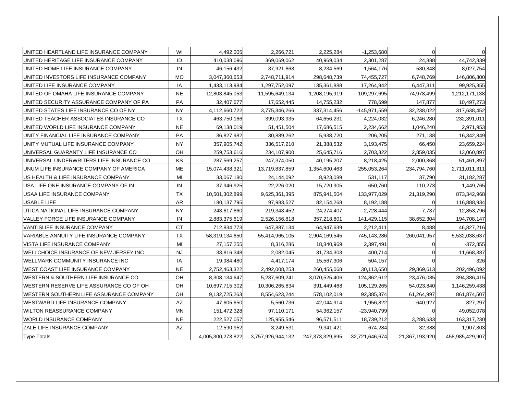| UNITED HEARTLAND LIFE INSURANCE COMPANY         | WI        | 4,492,005         | 2,266,721         | 2,225,284       | $-1,253,680$   |                |                 |
|-------------------------------------------------|-----------|-------------------|-------------------|-----------------|----------------|----------------|-----------------|
| UNITED HERITAGE LIFE INSURANCE COMPANY          | ID        | 410,038,096       | 369,069,062       | 40,969,034      | 2,301,287      | 24,888         | 44,742,839      |
| UNITED HOME LIFE INSURANCE COMPANY              | IN        | 46,156,432        | 37,921,863        | 8,234,569       | $-1,564,176$   | 530,848        | 8,027,754       |
| IUNITED INVESTORS LIFE INSURANCE COMPANY        | <b>MO</b> | 3,047,360,653     | 2,748,711,914     | 298,648,739     | 74,455,727     | 6,748,769      | 146,806,800     |
| UNITED LIFE INSURANCE COMPANY                   | IA        | 1,433,113,984     | 1,297,752,097     | 135,361,888     | 17,264,942     | 6,447,311      | 99,925,355      |
| IUNITED OF OMAHA LIFE INSURANCE COMPANY         | <b>NE</b> | 12,803,845,053    | 11,595,649,134    | 1,208,195,919   | 109,297,695    | 74,978,499     | 1,212,171,138   |
| UNITED SECURITY ASSURANCE COMPANY OF PA         | PA        | 32,407,677        | 17,652,445        | 14,755,232      | 778,699        | 147,877        | 10,497,273      |
| IUNITED STATES LIFE INSURANCE CO OF NY          | <b>NY</b> | 4.112,660,722     | 3,775,346,266     | 337,314,456     | -145,971,559   | 32,238,022     | 317,638,452     |
| UNITED TEACHER ASSOCIATES INSURANCE CO          | <b>TX</b> | 463,750,166       | 399,093,935       | 64,656,231      | 4,224,032      | 6,246,280      | 232,391,011     |
| UNITED WORLD LIFE INSURANCE COMPANY             | <b>NE</b> | 69,138,019        | 51,451,504        | 17,686,515      | 2,234,662      | 1,046,240      | 2,971,953       |
| UNITY FINANCIAL LIFE INSURANCE COMPANY          | PA        | 36,827,982        | 30,889,262        | 5,938,720       | 206,205        | 271,138        | 16,342,849      |
| UNITY MUTUAL LIFE INSURANCE COMPANY             | <b>NY</b> | 357,905,742       | 336,517,210       | 21,388,532      | 3,193,475      | 66,450         | 23,659,224      |
| IUNIVERSAL GUARANTY LIFE INSURANCE CO           | OH        | 259,753,616       | 234,107,900       | 25,645,716      | 2.703.322      | 2,859,035      | 13,060,897      |
| UNIVERSAL UNDERWRITERS LIFE INSURANCE CO        | ΚS        | 287,569,257       | 247,374,050       | 40,195,207      | 8,218,425      | 2,000,368      | 51,461,897      |
| UNUM LIFE INSURANCE COMPANY OF AMERICA          | <b>ME</b> | 15,074,438,321    | 13,719,837,859    | 1,354,600,463   | 255,053,264    | 234,794,760    | 2,711,011,311   |
| IUS HEALTH & LIFE INSURANCE COMPANY             | MI        | 33,067,180        | 24,144,092        | 8,923,089       | 531,117        | 37,790         | 31,182,287      |
| USA LIFE ONE INSURANCE COMPANY OF IN            | IN        | 37,946,925        | 22,226,020        | 15,720,905      | 650,760        | 110,273        | 1,449,765       |
| USAA LIFE INSURANCE COMPANY                     | TX        | 10,501,302,899    | 9,625,361,395     | 875,941,504     | 133,977,029    | 21,319,290     | 873,342,968     |
| USABLE LIFE                                     | <b>AR</b> | 180, 137, 795     | 97,983,527        | 82,154,268      | 8,192,188      | 0              | 116,888,934     |
| UTICA NATIONAL LIFE INSURANCE COMPANY           | <b>NY</b> | 243,617,860       | 219,343,452       | 24,274,407      | 2,728,444      | 7,737          | 12,853,796      |
| IVALLEY FORGE LIFE INSURANCE COMPANY            | IN        | 2,883,375,619     | 2,526,156,818     | 357,218,801     | 141,429,115    | 38,652,304     | 194,708,147     |
| VANTISLIFE INSURANCE COMPANY                    | <b>CT</b> | 712,834,773       | 647,887,134       | 64,947,639      | 2,212,411      | 8,488          | 46,827,216      |
| <b>IVARIABLE ANNUITY LIFE INSURANCE COMPANY</b> | <b>TX</b> | 58,319,134,650    | 55,414,965,105    | 2,904,169,545   | 745,143,286    | 260,041,957    | 5,532,038,637   |
| IVISTA LIFE INSURANCE COMPANY                   | MI        | 27, 157, 255      | 8,316,286         | 18,840,969      | 2,397,491      | $\Omega$       | $-372,855$      |
| WELLCHOICE INSURANCE OF NEW JERSEY INC          | <b>NJ</b> | 33,816,348        | 2,082,045         | 31,734,303      | 400,714        | 0              | 11,668,387      |
| IWELLMARK COMMUNITY INSURANCE INC               | IA        | 19,984,480        | 4,417,174         | 15,567,306      | 504,157        |                | 326             |
| IWEST COAST LIFE INSURANCE COMPANY              | <b>NE</b> | 2,752,463,322     | 2,492,008,253     | 260,455,068     | 30,113,650     | 29,869,613     | 202,496,092     |
| WESTERN & SOUTHERN LIFE INSURANCE CO            | OH        | 8,308,134,647     | 5,237,609,241     | 3,070,525,406   | 124,862,612    | 23,476,085     | 394,386,415     |
| WESTERN RESERVE LIFE ASSURANCE CO OF OH         | OH        | 10,697,715,302    | 10,306,265,834    | 391,449,468     | 105,129,265    | 54,023,840     | 1,146,259,438   |
| IWESTERN SOUTHERN LIFE ASSURANCE COMPANY        | OН        | 9,132,725,263     | 8,554,623,244     | 578,102,019     | 92,385,374     | 61,264,997     | 861,874,507     |
| WESTWARD LIFE INSURANCE COMPANY                 | AZ        | 47,605,650        | 5,560,736         | 42,044,914      | 1,956,822      | 640,927        | 827,297         |
| <b>WILTON REASSURANCE COMPANY</b>               | <b>MN</b> | 151,472,328       | 97,110,171        | 54,362,157      | -23,940,799    | U              | 49,052,078      |
| <b>WORLD INSURANCE COMPANY</b>                  | <b>NE</b> | 222,527,057       | 125,955,546       | 96,571,511      | 18,739,212     | 3,288,633      | 163,317,230     |
| ZALE LIFE INSURANCE COMPANY                     | AZ        | 12,590,952        | 3,249,531         | 9,341,421       | 674,284        | 32,388         | 1,907,303       |
| <b>Type Totals</b>                              |           | 4.005.300.273.822 | 3.757.926.944.132 | 247.373.329.695 | 32.721.646.674 | 21,367,193,920 | 458.985.429.907 |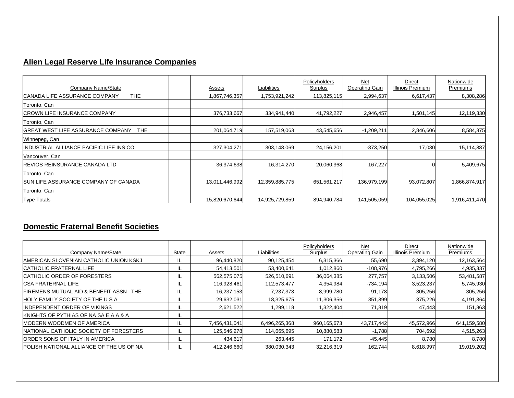## **Alien Legal Reserve Life Insurance Companies**

| Company Name/State                                      | Assets         | Liabilities    | Policyholders<br>Surplus | <b>Net</b><br><b>Operating Gain</b> | Direct<br>Illinois Premium | Nationwide<br>Premiums |
|---------------------------------------------------------|----------------|----------------|--------------------------|-------------------------------------|----------------------------|------------------------|
| THE.<br>ICANADA LIFE ASSURANCE COMPANY                  | .867,746,357   | 1,753,921,242  | 113,825,115              | 2,994,637                           | 6,617,437                  | 8,308,286              |
| Toronto, Can                                            |                |                |                          |                                     |                            |                        |
| ICROWN LIFE INSURANCE COMPANY                           | 376,733,667    | 334,941,440    | 41,792,227               | 2,946,457                           | 1,501,145                  | 12,119,330             |
| Toronto, Can                                            |                |                |                          |                                     |                            |                        |
| <b>IGREAT WEST LIFE ASSURANCE COMPANY</b><br><b>THE</b> | 201,064,719    | 157,519,063    | 43,545,656               | $-1,209,211$                        | 2,846,606                  | 8,584,375              |
| Winnepeg, Can                                           |                |                |                          |                                     |                            |                        |
| IINDUSTRIAL ALLIANCE PACIFIC LIFE INS CO                | 327,304,271    | 303,148,069    | 24,156,201               | $-373,250$                          | 17,030                     | 15,114,887             |
| Vancouver, Can                                          |                |                |                          |                                     |                            |                        |
| <b>REVIOS REINSURANCE CANADA LTD</b>                    | 36,374,638     | 16,314,270     | 20,060,368               | 167,227                             |                            | 5,409,675              |
| Toronto, Can                                            |                |                |                          |                                     |                            |                        |
| <b>ISUN LIFE ASSURANCE COMPANY OF CANADA</b>            | 13,011,446,992 | 12,359,885,775 | 651,561,217              | 136,979,199                         | 93,072,807                 | 1,866,874,917          |
| Toronto, Can                                            |                |                |                          |                                     |                            |                        |
| <b>Type Totals</b>                                      | 15,820,670,644 | 14,925,729,859 | 894,940,784              | 141,505,059                         | 104,055,025                | 1,916,411,470          |

### **Domestic Fraternal Benefit Societies**

| Company Name/State                                 | State | Assets        | Liabilities   | Policyholders<br>Surplus | Net<br><b>Operating Gain</b> | Direct<br>Illinois Premium | Nationwide<br><u>Premiums</u> |
|----------------------------------------------------|-------|---------------|---------------|--------------------------|------------------------------|----------------------------|-------------------------------|
| IAMERICAN SLOVENIAN CATHOLIC UNION KSKJ            |       | 96,440,820    | 90,125,454    | 6,315,366                | 55,690                       | 3,894,120                  | 12,163,564                    |
| <b>CATHOLIC FRATERNAL LIFE</b>                     | IL    | 54,413,501    | 53,400,641    | 1,012,860                | $-108,976$                   | 4,795,266                  | 4,935,337                     |
| <b>CATHOLIC ORDER OF FORESTERS</b>                 |       | 562,575,075   | 526,510,691   | 36,064,385               | 277,757                      | 3,133,506                  | 53,481,587                    |
| <b>ICSA FRATERNAL LIFE</b>                         | IL    | 116,928,461   | 112,573,477   | 4,354,984                | $-734,194$                   | 3,523,237                  | 5,745,930                     |
| <b>IFIREMENS MUTUAL AID &amp; BENEFIT ASSN THE</b> | IL    | 16,237,153    | 7,237,373     | 8,999,780                | 91,178                       | 305,256                    | 305,256                       |
| <b>HOLY FAMILY SOCIETY OF THE U S A</b>            | IL    | 29,632,031    | 18,325,675    | 11,306,356               | 351,899                      | 375,226                    | 4,191,364                     |
| <b>INDEPENDENT ORDER OF VIKINGS</b>                | ℡     | 2,621,522     | 1,299,118     | 1,322,404                | 71,819                       | 47,443                     | 151,863                       |
| <b>IKNIGHTS OF PYTHIAS OF NA SA E A A &amp; A</b>  |       |               |               |                          |                              |                            |                               |
| <b>IMODERN WOODMEN OF AMERICA</b>                  | IL    | 7,456,431,041 | 6,496,265,368 | 960,165,673              | 43,717,442                   | 45,572,966                 | 641,159,580                   |
| NATIONAL CATHOLIC SOCIETY OF FORESTERS             | IL    | 125,546,278   | 114,665,695   | 10,880,583               | $-1,788$                     | 704,692                    | 4,515,263                     |
| <b>ORDER SONS OF ITALY IN AMERICA</b>              |       | 434,617       | 263,445       | 171,172                  | $-45,445$                    | 8,780                      | 8,780                         |
| <b>POLISH NATIONAL ALLIANCE OF THE US OF NA</b>    |       | 412,246,660   | 380,030,343   | 32,216,319               | 162.744                      | 8,618,997                  | 19,019,202                    |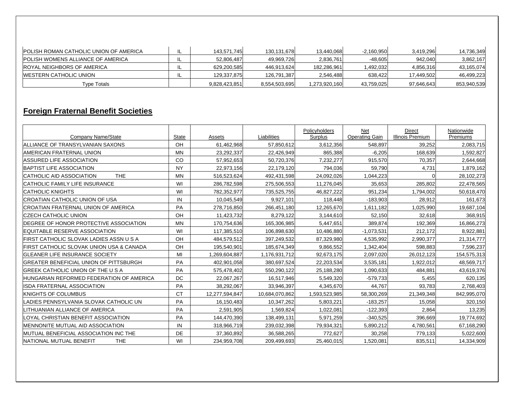| <b>IPOLISH ROMAN CATHOLIC UNION OF AMERICA</b> | 143.571.745   | 130.131.678   | 13,440,068    | $-2,160,950$ | 3.419.296  | 14,736,349  |
|------------------------------------------------|---------------|---------------|---------------|--------------|------------|-------------|
| <b>POLISH WOMENS ALLIANCE OF AMERICA</b>       | 52,806,487    | 49.969.726    | 2,836,761     | $-48.605$    | 942.040    | 3,862,167   |
| <b>ROYAL NEIGHBORS OF AMERICA</b>              | 629,200,585   | 446,913,624   | 182,286,961   | .492.032     | 4,856,316  | 43,165,074  |
| IWESTERN CATHOLIC UNION                        | 129,337,875   | 126,791,387   | 2,546,488     | 638.422      | 17,449,502 | 46,499,223  |
| Tvpe Totals                                    | 9,828,423,851 | 8,554,503,695 | 1,273,920,160 | 43,759,025   | 97,646,643 | 853,940,539 |

### **Foreign Fraternal Benefit Societies**

| Company Name/State                            | <b>State</b> | Assets         | Liabilities    | Policyholders<br>Surplus | Net<br><b>Operating Gain</b> | <b>Direct</b><br>Illinois Premium | Nationwide<br>Premiums |
|-----------------------------------------------|--------------|----------------|----------------|--------------------------|------------------------------|-----------------------------------|------------------------|
| ALLIANCE OF TRANSYLVANIAN SAXONS              | OH           | 61,462,968     | 57,850,612     | 3,612,356                | 548,897                      | 39,252                            | 2,083,715              |
| AMERICAN FRATERNAL UNION                      | <b>MN</b>    | 23,292,337     | 22,426,949     | 865,388                  | $-6,205$                     | 168,639                           | 1,592,827              |
| <b>ASSURED LIFE ASSOCIATION</b>               | CO           | 57,952,653     | 50,720,376     | 7,232,277                | 915,570                      | 70,357                            | 2,644,668              |
| BAPTIST LIFE ASSOCIATION                      | <b>NY</b>    | 22,973,156     | 22,179,120     | 794,036                  | 59,790                       | 4,731                             | 1,879,162              |
| <b>ICATHOLIC AID ASSOCIATION</b><br>THE.      | <b>MN</b>    | 516,523,624    | 492,431,598    | 24,092,026               | 1,044,223                    | $\Omega$                          | 28,102,273             |
| ICATHOLIC FAMILY LIFE INSURANCE               | WI           | 286,782,598    | 275,506,553    | 11,276,045               | 35,653                       | 285,802                           | 22,478,565             |
| <b>CATHOLIC KNIGHTS</b>                       | WI           | 782,352,977    | 735,525,755    | 46,827,222               | 951,234                      | 1,794,002                         | 50,618,470             |
| <b>CROATIAN CATHOLIC UNION OF USA</b>         | IN           | 10,045,549     | 9,927,101      | 118,448                  | $-183,903$                   | 28,912                            | 161,673                |
| CROATIAN FRATERNAL UNION OF AMERICA           | PA           | 278,716,850    | 266,451,180    | 12,265,670               | 1,611,182                    | 1,025,990                         | 19,687,104             |
| ICZECH CATHOLIC UNION                         | OH           | 11,423,732     | 8,279,122      | 3,144,610                | 52,150                       | 32,618                            | 368,915                |
| DEGREE OF HONOR PROTECTIVE ASSOCIATION        | <b>MN</b>    | 170,754,636    | 165,306,985    | 5,447,651                | 389,874                      | 192,369                           | 16,866,273             |
| EQUITABLE RESERVE ASSOCIATION                 | WI           | 117,385,510    | 106,898,630    | 10,486,880               | $-1,073,531$                 | 212,172                           | 8,922,881              |
| FIRST CATHOLIC SLOVAK LADIES ASSN U S A       | OH           | 484,579,512    | 397,249,532    | 87,329,980               | 4,535,992                    | 2,990,377                         | 21,314,777             |
| FIRST CATHOLIC SLOVAK UNION USA & CANADA      | OH           | 195,540,901    | 185,674,349    | 9,866,552                | 1,342,404                    | 598,883                           | 7,596,237              |
| <b>GLEANER LIFE INSURANCE SOCIETY</b>         | MI           | 1,269,604,887  | 1,176,931,712  | 92,673,175               | 2,097,020                    | 26,012,123                        | 154,575,313            |
| <b>GREATER BENEFICIAL UNION OF PITTSBURGH</b> | PA           | 402,901,058    | 380.697.524    | 22,203,534               | 3,535,181                    | 1,922,012                         | 48,569,717             |
| IGREEK CATHOLIC UNION OF THE U S A            | PA           | 575,478,402    | 550,290,122    | 25,188,280               | 1,090,633                    | 484,881                           | 43,619,376             |
| HUNGARIAN REFORMED FEDERATION OF AMERICA      | DC           | 22,067,267     | 16,517,946     | 5,549,320                | $-579,733$                   | 5,455                             | 620,135                |
| <b>ISDA FRATERNAL ASSOCIATION</b>             | PA           | 38,292,067     | 33,946,397     | 4,345,670                | 44,767                       | 93,783                            | 2,768,403              |
| <b>IKNIGHTS OF COLUMBUS</b>                   | <b>CT</b>    | 12,277,594,847 | 10,684,070,862 | 1,593,523,985            | 58,300,269                   | 21,349,348                        | 842,995,070            |
| LADIES PENNSYLVANIA SLOVAK CATHOLIC UN        | PA           | 16,150,483     | 10,347,262     | 5,803,221                | $-183,257$                   | 15,058                            | 320,150                |
| LITHUANIAN ALLIANCE OF AMERICA                | PA           | 2,591,905      | 1.569.824      | 1.022.081                | $-122,393$                   | 2.864                             | 13,235                 |
| LOYAL CHRISTIAN BENEFIT ASSOCIATION           | PA           | 144,470,390    | 138,499,131    | 5,971,259                | $-340,525$                   | 396,669                           | 19,774,692             |
| MENNONITE MUTUAL AID ASSOCIATION              | IN           | 318,966,719    | 239,032,398    | 79,934,321               | 5,890,212                    | 4,780,561                         | 67,168,290             |
| MUTUAL BENEFICIAL ASSOCIATION INC THE         | <b>DE</b>    | 37,360,892     | 36,588,265     | 772,627                  | 30,258                       | 779,133                           | 5,022,600              |
| INATIONAL MUTUAL BENEFIT<br><b>THE</b>        | WI           | 234,959,708    | 209,499,693    | 25,460,015               | 1,520,081                    | 835,511                           | 14,334,909             |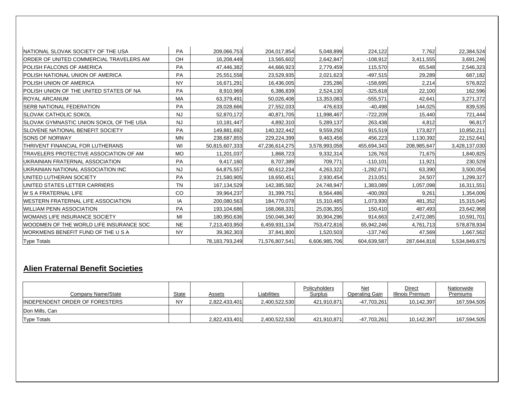| INATIONAL SLOVAK SOCIETY OF THE USA            | PA            | 209,066,753    | 204,017,854    | 5,048,899     | 224,122      | 7,762       | 22,384,524    |
|------------------------------------------------|---------------|----------------|----------------|---------------|--------------|-------------|---------------|
| <b>ORDER OF UNITED COMMERCIAL TRAVELERS AM</b> | OH            | 16,208,449     | 13,565,602     | 2,642,847     | $-108,912$   | 3,411,555   | 3,691,246     |
| <b>POLISH FALCONS OF AMERICA</b>               | <b>PA</b>     | 47,446,382     | 44,666,923     | 2,779,459     | 115,570      | 65,548      | 2,546,323     |
| IPOLISH NATIONAL UNION OF AMERICA              | PA            | 25,551,558     | 23,529,935     | 2,021,623     | $-497,515$   | 29,289      | 687,182       |
| <b>POLISH UNION OF AMERICA</b>                 | <b>NY</b>     | 16,671,291     | 16,436,005     | 235,286       | $-158,695$   | 2,214       | 576,822       |
| POLISH UNION OF THE UNITED STATES OF NA        | <b>PA</b>     | 8,910,969      | 6,386,839      | 2,524,130     | $-325,618$   | 22,100      | 162,596       |
| <b>ROYAL ARCANUM</b>                           | MA            | 63,379,491     | 50,026,408     | 13,353,083    | $-555,571$   | 42,641      | 3,271,372     |
| <b>ISERB NATIONAL FEDERATION</b>               | PA            | 28,028,666     | 27,552,033     | 476,633       | $-40,498$    | 144,025     | 839,535       |
| <b>ISLOVAK CATHOLIC SOKOL</b>                  | <b>NJ</b>     | 52,870,172     | 40,871,705     | 11,998,467    | $-722,209$   | 15,440      | 721,444       |
| SLOVAK GYMNASTIC UNION SOKOL OF THE USA        | <b>NJ</b>     | 10,181,447     | 4,892,310      | 5,289,137     | 263,438      | 4,812       | 96,817        |
| <b>ISLOVENE NATIONAL BENEFIT SOCIETY</b>       | PA            | 149,881,692    | 140,322,442    | 9,559,250     | 915,519      | 173,827     | 10,850,211    |
| <b>SONS OF NORWAY</b>                          | <b>MN</b>     | 238,687,855    | 229,224,399    | 9,463,456     | 456,223      | 1,130,392   | 22,152,641    |
| <b>ITHRIVENT FINANCIAL FOR LUTHERANS</b>       | WI            | 50,815,607,333 | 47,236,614,275 | 3,578,993,058 | 455,694,343  | 208,985,647 | 3,428,137,030 |
| <b>ITRAVELERS PROTECTIVE ASSOCIATION OF AM</b> | <b>MO</b>     | 11,201,037     | 1,868,723      | 9,332,314     | 126,763      | 71,675      | 1,840,825     |
| UKRAINIAN FRATERNAL ASSOCIATION                | PA            | 9,417,160      | 8,707,389      | 709,771       | $-110,101$   | 11,921      | 230,529       |
| UKRAINIAN NATIONAL ASSOCIATION INC             | <b>NJ</b>     | 64,875,557     | 60,612,234     | 4,263,322     | $-1,282,671$ | 63,390      | 3,500,054     |
| UNITED LUTHERAN SOCIETY                        | PA            | 21,580,905     | 18,650,451     | 2,930,454     | 213,051      | 24,507      | 1,299,327     |
| UNITED STATES LETTER CARRIERS                  | <b>TN</b>     | 167,134,529    | 142,385,582    | 24,748,947    | 1,383,089    | 1,057,098   | 16,311,551    |
| <b>IW S A FRATERNAL LIFE</b>                   | <sub>CO</sub> | 39,964,237     | 31,399,751     | 8,564,486     | $-400,093$   | 9,261       | 1,354,006     |
| <b>IWESTERN FRATERNAL LIFE ASSOCIATION</b>     | IA            | 200,080,563    | 184,770,078    | 15,310,485    | 1,073,930    | 481,352     | 15,315,045    |
| <b>WILLIAM PENN ASSOCIATION</b>                | PA            | 193,104,686    | 168,068,331    | 25,036,355    | 150,410      | 487,493     | 23,642,968    |
| <b>WOMANS LIFE INSURANCE SOCIETY</b>           | MI            | 180,950,636    | 150,046,340    | 30,904,296    | 914,663      | 2,472,085   | 10,591,701    |
| WOODMEN OF THE WORLD LIFE INSURANCE SOC        | <b>NE</b>     | 7,213,403,950  | 6,459,931,134  | 753,472,816   | 65,942,246   | 4,761,713   | 578,878,934   |
| WORKMENS BENEFIT FUND OF THE U S A             | <b>NY</b>     | 39,362,303     | 37,841,800     | 1,520,503     | $-137,740$   | 47,569      | 1,667,562     |
| <b>Type Totals</b>                             |               | 78,183,793,249 | 71,576,807,541 | 6,606,985,706 | 604,639,587  | 287,644,818 | 5,534,849,675 |

## **Alien Fraternal Benefit Societies**

| Company Name/State              | State     | <b>Assets</b> | Liabilities   | Policyholders<br>Surplus | Net<br>Operating Gain | Direct<br>Illinois Premium | <b>Nationwide</b><br>Premiums |
|---------------------------------|-----------|---------------|---------------|--------------------------|-----------------------|----------------------------|-------------------------------|
| IINDEPENDENT ORDER OF FORESTERS | <b>NY</b> | 2.822.433.401 | 2.400.522.530 | 421.910.871              | $-47,703,261$         | 10,142,397                 | 167,594,505                   |
| Don Mills, Can                  |           |               |               |                          |                       |                            |                               |
| <b>Type Totals</b>              |           | 2,822,433,401 | 2,400,522,530 | 421,910,871              | $-47,703,261$         | 10,142,397                 | 167,594,505                   |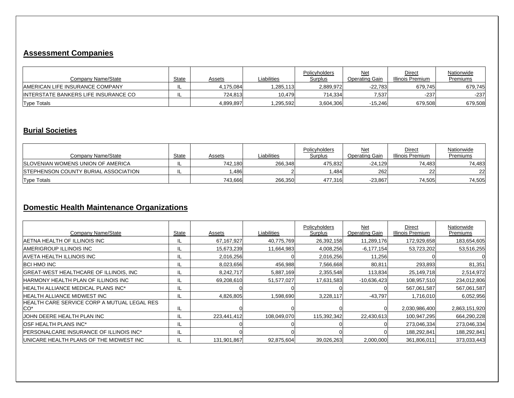### **Assessment Companies**

| Company Name/State                      | State | Assets    | Liabilities | Policyholders<br>Surplus | Net<br>Operating Gain | Direct<br>Illinois Premium | Nationwide<br>Premiums |
|-----------------------------------------|-------|-----------|-------------|--------------------------|-----------------------|----------------------------|------------------------|
| <b>IAMERICAN LIFE INSURANCE COMPANY</b> | ·     | 4.175.084 | .285,113    | 2.889.972                | $-22.783$             | 679.745                    | 679.745                |
| INTERSTATE BANKERS LIFE INSURANCE CO    | IL.   | 724.8131  | 10.479      | 714.334                  | 7,537                 | $-237$                     | $-237$                 |
| <b>Type Totals</b>                      |       | 4,899,897 | ,295,592    | 3,604,306                | $-15,246$             | 679,508                    | 679,508                |

#### **Burial Societies**

| Company Name/State                           | State | Assets  | Liabilities | Policyholders<br>Surplus | Net<br>Operating Gain | Direct<br>Illinois Premium | Nationwide<br>Premiums |
|----------------------------------------------|-------|---------|-------------|--------------------------|-----------------------|----------------------------|------------------------|
| <b>ISLOVENIAN WOMENS UNION OF AMERICA</b>    |       | 742.180 | 266.348     | 475.832                  | $-24.129$             | 74.483                     | 74.483                 |
| <b>ISTEPHENSON COUNTY BURIAL ASSOCIATION</b> | IL    | .486    |             | .484                     | 262                   | 22                         | 22                     |
| <b>Type Totals</b>                           |       | 743.666 | 266,350     | 477.316                  | $-23,867$             | 74.505                     | 74,505                 |

## **Domestic Health Maintenance Organizations**

| Company Name/State                                             | State | Assets       | Liabilities | Policyholders<br>Surplus | Net<br><b>Operating Gain</b> | Direct<br>Illinois Premium | Nationwide<br>Premiums |
|----------------------------------------------------------------|-------|--------------|-------------|--------------------------|------------------------------|----------------------------|------------------------|
| IAETNA HEALTH OF ILLINOIS INC                                  | IL    | 67, 167, 927 | 40,775,769  | 26,392,158               | 11,289,176                   | 172,929,658                | 183,654,605            |
| <b>AMERIGROUP ILLINOIS INC.</b>                                | IL    | 15,673,239   | 11,664,983  | 4,008,256                | $-6,177,154$                 | 53,723,202                 | 53,516,255             |
| <b>AVETA HEALTH ILLINOIS INC</b>                               | IL    | 2,016,256    |             | 2,016,256                | 11,256                       |                            |                        |
| <b>BCI HMO INC</b>                                             |       | 8,023,656    | 456,988     | 7,566,668                | 80,811                       | 293,893                    | 81,351                 |
| GREAT-WEST HEALTHCARE OF ILLINOIS, INC                         | IL.   | 8,242,717    | 5,887,169   | 2,355,548                | 113,834                      | 25,149,718                 | 2,514,972              |
| <b>HARMONY HEALTH PLAN OF ILLINOIS INC</b>                     | IL    | 69,208,610   | 51,577,027  | 17,631,583               | $-10,636,423$                | 108,957,510                | 234,012,806            |
| IHEALTH ALLIANCE MEDICAL PLANS INC*                            | IL    |              |             |                          |                              | 567,061,587                | 567,061,587            |
| <b>HEALTH ALLIANCE MIDWEST INC</b>                             | IL    | 4,826,805    | .598,690    | 3,228,117                | $-43,797$                    | 1,716,010                  | 6,052,956              |
| HEALTH CARE SERVICE CORP A MUTUAL LEGAL RES<br>CO <sup>*</sup> | IL    |              |             |                          |                              | 2,030,986,400              | 2,863,151,920          |
| JOHN DEERE HEALTH PLAN INC                                     |       | 223,441,412  | 108,049,070 | 115,392,342              | 22,430,613                   | 100,947,295                | 664,290,228            |
| <b>OSF HEALTH PLANS INC*</b>                                   | IL    |              |             |                          |                              | 273,046,334                | 273,046,334            |
| <b>IPERSONALCARE INSURANCE OF ILLINOIS INC*</b>                | IL    |              |             |                          |                              | 188,292,841                | 188,292,841            |
| UNICARE HEALTH PLANS OF THE MIDWEST INC                        |       | 131,901,867  | 92,875,604  | 39,026,263               | 2,000,000                    | 361,806,011                | 373,033,443            |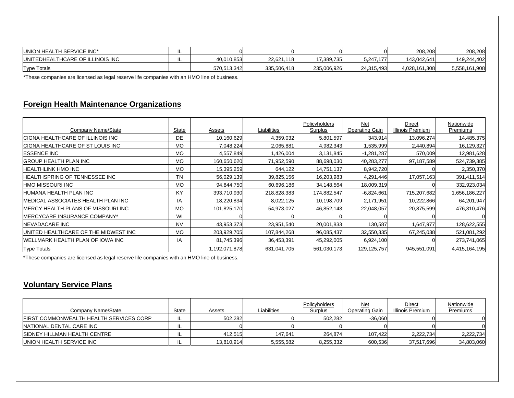| UNION HEALTH SERVICE INC*                |     |             |                 |             |            | 208.208       | 208,208       |
|------------------------------------------|-----|-------------|-----------------|-------------|------------|---------------|---------------|
| <b>IUNITEDHEALTHCARE OF ILLINOIS INC</b> | . . | 40.010.853  | 22.621.<br>.118 | 17,389,735  | 5,247,177  | 143.042.641   | 149.244.402   |
| <b>Type Totals</b>                       |     | 570.513.342 | 335.506.418     | 235,006,926 | 24,315,493 | 4,028,161,308 | 5,558,161,908 |

\*These companies are licensed as legal reserve life companies with an HMO line of business.

#### **Foreign Health Maintenance Organizations**

| Company Name/State                   | State     | Assets        | Liabilities | Policyholders<br>Surplus | <u>Net</u><br><b>Operating Gain</b> | Direct<br>Illinois Premium | Nationwide<br>Premiums |
|--------------------------------------|-----------|---------------|-------------|--------------------------|-------------------------------------|----------------------------|------------------------|
| CIGNA HEALTHCARE OF ILLINOIS INC     | <b>DE</b> | 10,160,629    | 4,359,032   | 5,801,597                | 343,914                             | 13,096,274                 | 14,485,375             |
| CIGNA HEALTHCARE OF ST LOUIS INC     | <b>MO</b> | 7,048,224     | 2,065,881   | 4,982,343                | 1,535,999                           | 2,440,894                  | 16,129,327             |
| <b>ESSENCE INC</b>                   | <b>MO</b> | 4,557,849     | ,426,004    | 3,131,845                | $-1,281,287$                        | 570,009                    | 12,981,628             |
| <b>GROUP HEALTH PLAN INC</b>         | <b>MO</b> | 160,650,620   | 71,952,590  | 88,698,030               | 40,283,277                          | 97,187,589                 | 524,739,385            |
| HEALTHLINK HMO INC                   | <b>MO</b> | 15,395,259    | 644,122     | 14,751,137               | 8,942,720                           |                            | 2,350,370              |
| HEALTHSPRING OF TENNESSEE INC        | <b>TN</b> | 56,029,139    | 39,825,156  | 16,203,983               | 4,291,446                           | 17,057,163                 | 391,411,514            |
| HMO MISSOURI INC                     | <b>MO</b> | 94,844,750    | 60,696,186  | 34,148,564               | 18,009,319                          |                            | 332,923,034            |
| HUMANA HEALTH PLAN INC               | KY        | 393,710,930   | 218,828,383 | 174,882,547              | $-6,824,661$                        | 715,207,682                | 1,656,186,227          |
| MEDICAL ASSOCIATES HEALTH PLAN INC   | IA        | 18,220,834    | 8,022,125   | 10,198,709               | 2,171,951                           | 10,222,866                 | 64,201,947             |
| IMERCY HEALTH PLANS OF MISSOURI INC  | <b>MO</b> | 101,825,170   | 54,973,027  | 46,852,143               | 22,048,057                          | 20,875,599                 | 476,310,476            |
| MERCYCARE INSURANCE COMPANY*         | WI        |               |             |                          |                                     |                            |                        |
| NEVADACARE INC                       | <b>NV</b> | 43,953,373    | 23,951,540  | 20,001,833               | 130,587                             | 1,647,977                  | 128,622,555            |
| UNITED HEALTHCARE OF THE MIDWEST INC | <b>MO</b> | 203,929,705   | 107,844,268 | 96,085,437               | 32,550,335                          | 67,245,038                 | 521,081,292            |
| WELLMARK HEALTH PLAN OF IOWA INC     | IA        | 81,745,396    | 36,453,391  | 45,292,005               | 6,924,100                           |                            | 273,741,065            |
| <b>Type Totals</b>                   |           | 1,192,071,878 | 631,041,705 | 561,030,173              | 129,125,757                         | 945,551,091                | 4,415,164,195          |

\*These companies are licensed as legal reserve life companies with an HMO line of business.

#### **Voluntary Service Plans**

| Company Name/State                              | State | Assets     | Liabilities | Policyholders<br>Surplus | Net<br>Operating Gain | Direct<br>Illinois Premium | Nationwide<br>Premiums |
|-------------------------------------------------|-------|------------|-------------|--------------------------|-----------------------|----------------------------|------------------------|
| <b>IFIRST COMMONWEALTH HEALTH SERVICES CORP</b> | IL    | 502,282    |             | 502.282                  | $-36.060$             |                            |                        |
| INATIONAL DENTAL CARE INC                       | ·     |            |             |                          |                       |                            |                        |
| <b>ISIDNEY HILLMAN HEALTH CENTRE</b>            | IL.   | 412,515    | 147.641     | 264,874                  | 107,422               | 2,222,734                  | 2,222,734              |
| UNION HEALTH SERVICE INC                        | . .   | 13,810,914 | 5,555,582   | 8,255,332                | 600,536               | 37,517,696                 | 34,803,060             |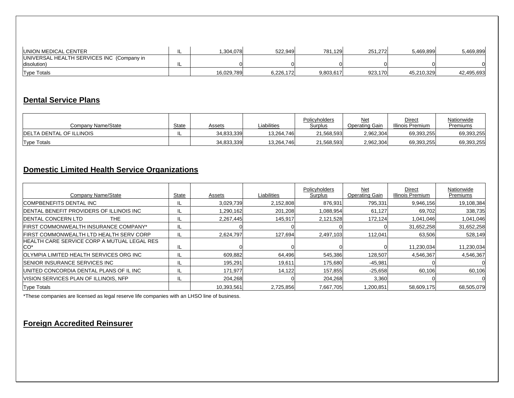| <b>UNION MEDICAL CENTER</b>               | .304.078   | 522.949   | 781.129   | 251.272 | 5.469.899  | 5.469.899  |
|-------------------------------------------|------------|-----------|-----------|---------|------------|------------|
| UNIVERSAL HEALTH SERVICES INC (Company in |            |           |           |         |            |            |
| disolution)                               |            |           |           |         |            |            |
| <b>Type Totals</b>                        | 16,029,789 | 6.226.172 | 9.803.617 | 923,170 | 45.210.329 | 42,495,693 |

#### **Dental Service Plans**

| Company Name/State               | State | Assets     | Liabilities | Policyholders<br>Surplus | Net<br>Operating Gain | Direct<br>Illinois Premium | Nationwide<br>Premiums |
|----------------------------------|-------|------------|-------------|--------------------------|-----------------------|----------------------------|------------------------|
| <b>IDELTA DENTAL OF ILLINOIS</b> | . .   | 34.833.339 | 13.264.746  | 21,568,593               | 2,962,304             | 69,393,255                 | 69,393,255             |
| <b>Type Totals</b>               |       | 34,833,339 | 13,264,746  | 21,568,593               | 2,962,304             | 69,393,255                 | 69,393,255             |

## **Domestic Limited Health Service Organizations**

| Company Name/State                                              | State | Assets     | Liabilities | Policyholders<br>Surplus | Net<br><b>Operating Gain</b> | Direct<br><b>Illinois Premium</b> | Nationwide<br>Premiums |
|-----------------------------------------------------------------|-------|------------|-------------|--------------------------|------------------------------|-----------------------------------|------------------------|
| <b>ICOMPBENEFITS DENTAL INC</b>                                 | IL    | 3,029,739  | 2,152,808   | 876,931                  | 795,331                      | 9,946,156                         | 19,108,384             |
| <b>IDENTAL BENEFIT PROVIDERS OF ILLINOIS INC.</b>               | IL    | 1,290,162  | 201,208     | 1,088,954                | 61,127                       | 69,702                            | 338,735                |
| <b>DENTAL CONCERN LTD</b><br>THE                                | IL    | 2,267,445  | 145,917     | 2,121,528                | 172,124                      | 1,041,046                         | 1,041,046              |
| <b>IFIRST COMMONWEALTH INSURANCE COMPANY*</b>                   | IL    |            |             |                          |                              | 31,652,258                        | 31,652,258             |
| <b>IFIRST COMMONWEALTH LTD HEALTH SERV CORP</b>                 |       | 2,624,797  | 127,694     | 2,497,103                | 112,041                      | 63,506                            | 528,149                |
| HEALTH CARE SERVICE CORP A MUTUAL LEGAL RES<br>ICO <sup>*</sup> | -lL   |            |             |                          |                              | 11,230,034                        | 11,230,034             |
| <b>OLYMPIA LIMITED HEALTH SERVICES ORG INC.</b>                 |       | 609.882    | 64.496      | 545,386                  | 128.507                      | 4.546.367                         | 4,546,367              |
| <b>ISENIOR INSURANCE SERVICES INC</b>                           |       | 195,291    | 19.611      | 175,680                  | $-45,981$                    |                                   |                        |
| UNITED CONCORDIA DENTAL PLANS OF IL INC                         | IL    | 171,977    | 14,122      | 157,855                  | $-25,658$                    | 60,106                            | 60,106                 |
| VISION SERVICES PLAN OF ILLINOIS, NFP                           |       | 204,268    |             | 204,268                  | 3,360                        |                                   |                        |
| <b>Type Totals</b>                                              |       | 10,393,561 | 2.725.856   | 7.667.705                | .200.851                     | 58,609,175                        | 68,505,079             |

\*These companies are licensed as legal reserve life companies with an LHSO line of business.

#### **Foreign Accredited Reinsurer**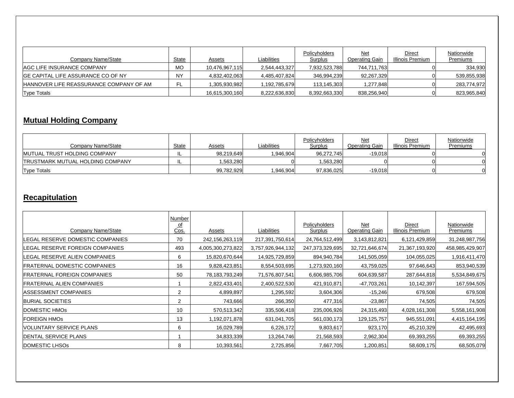| Company Name/State                             | State          | Assets         | Liabilities   | Policyholders<br>Surplus | Net<br>Operating Gain | Direct<br>Illinois Premium | Nationwide<br>Premiums |
|------------------------------------------------|----------------|----------------|---------------|--------------------------|-----------------------|----------------------------|------------------------|
| IAGC LIFE INSURANCE COMPANY                    | МC             | 10,476,967,115 | 2,544,443,327 | 7,932,523,788            | 744,711,763           |                            | 334,930                |
| IGE CAPITAL LIFE ASSURANCE CO OF NY            | N <sub>N</sub> | 4,832,402,063  | 4,485,407,824 | 346,994,239              | 92,267,329            |                            | 539,855,938            |
| <b>HANNOVER LIFE REASSURANCE COMPANY OF AM</b> | FL             | 1,305,930,982  | 1,192,785,679 | 113,145,303              | 1,277,848             |                            | 283,774,972            |
| <b>Type Totals</b>                             |                | 16,615,300,160 | 8,222,636,830 | 8,392,663,330            | 838,256,940           |                            | 823,965,840            |

## **Mutual Holding Company**

| Company Name/State                       | State | Assets     | Liabilities | Policyholders<br>Surplus | Net<br><b>Operating Gain</b> | Direct<br>Illinois Premium | Nationwide<br>Premiums |
|------------------------------------------|-------|------------|-------------|--------------------------|------------------------------|----------------------------|------------------------|
| IMUTUAL TRUST HOLDING COMPANY            | ⊔.    | 98.219.649 | 946.904     | 96.272.745               | $-19.018$                    |                            |                        |
| <b>ITRUSTMARK MUTUAL HOLDING COMPANY</b> | ⊔.    | 1,563,280  |             | 1,563,280                |                              |                            |                        |
| <b>Type Totals</b>                       |       | 99,782,929 | 946,904     | 97,836,025               | $-19,018$                    |                            |                        |

### **Recapitulation**

|                                     | Number    |                   |                   |                 |                       |                  |                 |
|-------------------------------------|-----------|-------------------|-------------------|-----------------|-----------------------|------------------|-----------------|
|                                     | <u>of</u> |                   |                   | Policyholders   | Net                   | Direct           | Nationwide      |
| Company Name/State                  | Cos.      | <u>Assets</u>     | Liabilities       | Surplus         | <b>Operating Gain</b> | Illinois Premium | Premiums        |
| LEGAL RESERVE DOMESTIC COMPANIES    | 70        | 242,156,263,119   | 217,391,750,614   | 24,764,512,499  | 3,143,812,821         | 6,121,429,859    | 31,248,987,756  |
| LEGAL RESERVE FOREIGN COMPANIES     | 493       | 4,005,300,273,822 | 3,757,926,944,132 | 247,373,329,695 | 32,721,646,674        | 21,367,193,920   | 458,985,429,907 |
| EGAL RESERVE ALIEN COMPANIES.       | 6         | 15,820,670,644    | 14,925,729,859    | 894,940,784     | 141,505,059           | 104,055,025      | 1,916,411,470   |
| <b>FRATERNAL DOMESTIC COMPANIES</b> | 16        | 9,828,423,851     | 8,554,503,695     | 1,273,920,160   | 43,759,025            | 97,646,643       | 853,940,539     |
| FRATERNAL FOREIGN COMPANIES         | 50        | 78,183,793,249    | 71,576,807,541    | 6,606,985,706   | 604,639,587           | 287,644,818      | 5,534,849,675   |
| <b>FRATERNAL ALIEN COMPANIES</b>    |           | 2,822,433,401     | 2,400,522,530     | 421,910,871     | -47,703,261           | 10,142,397       | 167,594,505     |
| <b>IASSESSMENT COMPANIES</b>        | 2         | 4,899,897         | ,295,592          | 3,604,306       | $-15,246$             | 679,508          | 679,508         |
| <b>BURIAL SOCIETIES</b>             | 2         | 743,666           | 266,350           | 477,316         | $-23,867$             | 74,505           | 74,505          |
| DOMESTIC HMOS                       | 10        | 570,513,342       | 335,506,418       | 235,006,926     | 24,315,493            | 4,028,161,308    | 5,558,161,908   |
| <b>FOREIGN HMOS</b>                 | 13        | 1,192,071,878     | 631,041,705       | 561,030,173     | 129,125,757           | 945,551,091      | 4,415,164,195   |
| IVOLUNTARY SERVICE PLANS            | 6         | 16,029,789        | 6,226,172         | 9,803,617       | 923,170               | 45,210,329       | 42,495,693      |
| DENTAL SERVICE PLANS                |           | 34,833,339        | 13,264,746        | 21,568,593      | 2,962,304             | 69,393,255       | 69,393,255      |
| <b>DOMESTIC LHSOS</b>               | 8         | 10,393,561        | 2,725,856         | 7,667,705       | 1,200,851             | 58,609,175       | 68,505,079      |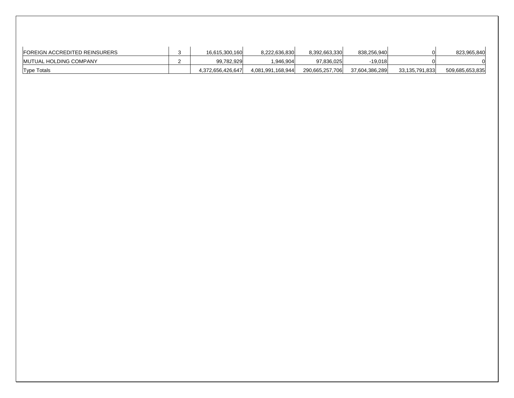| <b>FOREIGN ACCREDITED REINSURERS</b> | 16.615.300.160    | 8.222.636.830     | 8.392.663.330   | 838.256.940    |                | 823.965.840     |
|--------------------------------------|-------------------|-------------------|-----------------|----------------|----------------|-----------------|
| IMUTUAL HOLDING COMPANY              | 99,782,929        | ,946,904          | 97,836,025      |                |                |                 |
| <b>Type Totals</b>                   | 4,372,656,426,647 | 4,081,991,168,944 | 290,665,257,706 | 37,604,386,289 | 33,135,791,833 | 509,685,653,835 |